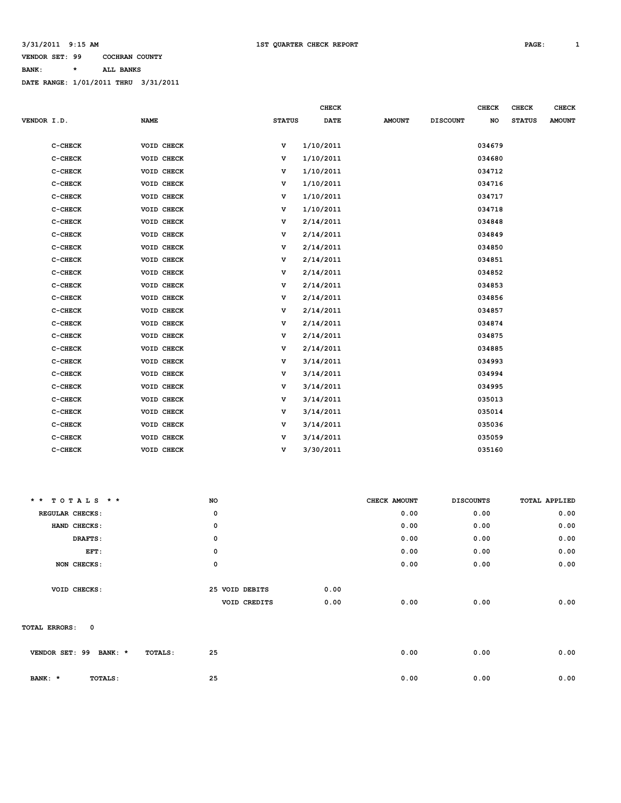#### **VENDOR SET: 99 COCHRAN COUNTY BANK: \* ALL BANKS**

|             |         |             |               | <b>CHECK</b> |               |                 | CHECK  | <b>CHECK</b>  | <b>CHECK</b>  |
|-------------|---------|-------------|---------------|--------------|---------------|-----------------|--------|---------------|---------------|
| VENDOR I.D. |         | <b>NAME</b> | <b>STATUS</b> | <b>DATE</b>  | <b>AMOUNT</b> | <b>DISCOUNT</b> | NO     | <b>STATUS</b> | <b>AMOUNT</b> |
|             |         |             |               |              |               |                 |        |               |               |
|             | C-CHECK | VOID CHECK  | v             | 1/10/2011    |               |                 | 034679 |               |               |
|             | C-CHECK | VOID CHECK  | v             | 1/10/2011    |               |                 | 034680 |               |               |
|             | C-CHECK | VOID CHECK  | v             | 1/10/2011    |               |                 | 034712 |               |               |
|             | C-CHECK | VOID CHECK  | v             | 1/10/2011    |               |                 | 034716 |               |               |
|             | C-CHECK | VOID CHECK  | v             | 1/10/2011    |               |                 | 034717 |               |               |
|             | C-CHECK | VOID CHECK  | v             | 1/10/2011    |               |                 | 034718 |               |               |
|             | C-CHECK | VOID CHECK  | v             | 2/14/2011    |               |                 | 034848 |               |               |
|             | C-CHECK | VOID CHECK  | v             | 2/14/2011    |               |                 | 034849 |               |               |
|             | C-CHECK | VOID CHECK  | v             | 2/14/2011    |               |                 | 034850 |               |               |
|             | C-CHECK | VOID CHECK  | v             | 2/14/2011    |               |                 | 034851 |               |               |
|             | C-CHECK | VOID CHECK  | v             | 2/14/2011    |               |                 | 034852 |               |               |
|             | C-CHECK | VOID CHECK  | v             | 2/14/2011    |               |                 | 034853 |               |               |
|             | C-CHECK | VOID CHECK  | v             | 2/14/2011    |               |                 | 034856 |               |               |
|             | C-CHECK | VOID CHECK  | v             | 2/14/2011    |               |                 | 034857 |               |               |
|             | C-CHECK | VOID CHECK  | v             | 2/14/2011    |               |                 | 034874 |               |               |
|             | C-CHECK | VOID CHECK  | v             | 2/14/2011    |               |                 | 034875 |               |               |
|             | C-CHECK | VOID CHECK  | v             | 2/14/2011    |               |                 | 034885 |               |               |
|             | C-CHECK | VOID CHECK  | v             | 3/14/2011    |               |                 | 034993 |               |               |
|             | C-CHECK | VOID CHECK  | v             | 3/14/2011    |               |                 | 034994 |               |               |
|             | C-CHECK | VOID CHECK  | v             | 3/14/2011    |               |                 | 034995 |               |               |
|             | C-CHECK | VOID CHECK  | v             | 3/14/2011    |               |                 | 035013 |               |               |
|             | C-CHECK | VOID CHECK  | v             | 3/14/2011    |               |                 | 035014 |               |               |
|             | C-CHECK | VOID CHECK  | v             | 3/14/2011    |               |                 | 035036 |               |               |
|             | C-CHECK | VOID CHECK  | v             | 3/14/2011    |               |                 | 035059 |               |               |
|             | C-CHECK | VOID CHECK  | v             | 3/30/2011    |               |                 | 035160 |               |               |

| $* * TOTALS$ * *             | <b>NO</b>                |                | CHECK AMOUNT | <b>DISCOUNTS</b> | TOTAL APPLIED |
|------------------------------|--------------------------|----------------|--------------|------------------|---------------|
| REGULAR CHECKS:              | 0                        |                |              | 0.00             | 0.00<br>0.00  |
| HAND CHECKS:                 | 0                        |                |              | 0.00             | 0.00<br>0.00  |
| DRAFTS:                      | 0                        |                |              | 0.00             | 0.00<br>0.00  |
| EFT:                         | 0                        |                |              | 0.00             | 0.00<br>0.00  |
| NON CHECKS:                  | 0                        |                |              | 0.00             | 0.00<br>0.00  |
|                              |                          |                |              |                  |               |
| VOID CHECKS:                 |                          | 25 VOID DEBITS | 0.00         |                  |               |
|                              |                          | VOID CREDITS   | 0.00         | 0.00             | 0.00<br>0.00  |
|                              |                          |                |              |                  |               |
| $\mathbf 0$<br>TOTAL ERRORS: |                          |                |              |                  |               |
|                              |                          |                |              |                  |               |
| VENDOR SET: 99               | 25<br>BANK: *<br>TOTALS: |                |              | 0.00             | 0.00<br>0.00  |
|                              |                          |                |              |                  |               |
| BANK: *<br>TOTALS:           | 25                       |                |              | 0.00             | 0.00<br>0.00  |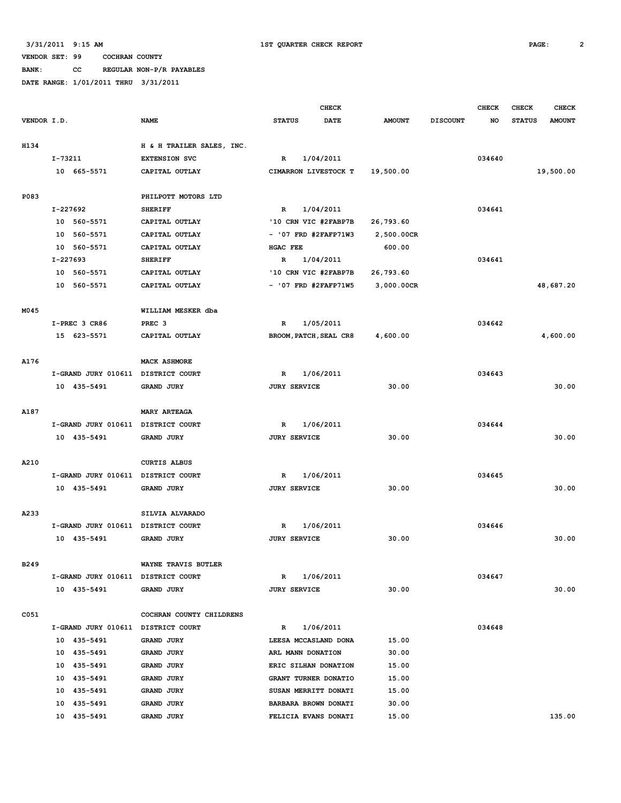**BANK: CC REGULAR NON-P/R PAYABLES**

|             |                                    |                           | <b>CHECK</b>                 | <b>CHECK</b>  | <b>CHECK</b>    |        |               |               |
|-------------|------------------------------------|---------------------------|------------------------------|---------------|-----------------|--------|---------------|---------------|
| VENDOR I.D. |                                    | <b>NAME</b>               | <b>STATUS</b><br><b>DATE</b> | <b>AMOUNT</b> | <b>DISCOUNT</b> | NO.    | <b>STATUS</b> | <b>AMOUNT</b> |
|             |                                    |                           |                              |               |                 |        |               |               |
| H134        |                                    | H & H TRAILER SALES, INC. |                              |               |                 |        |               |               |
|             | I-73211                            | <b>EXTENSION SVC</b>      | $\mathbb{R}$<br>1/04/2011    |               |                 | 034640 |               |               |
|             | 10 665-5571                        | CAPITAL OUTLAY            | CIMARRON LIVESTOCK T         | 19,500.00     |                 |        |               | 19,500.00     |
|             |                                    |                           |                              |               |                 |        |               |               |
| P083        |                                    | PHILPOTT MOTORS LTD       |                              |               |                 |        |               |               |
|             | I-227692                           | <b>SHERIFF</b>            | 1/04/2011<br>$\mathbb R$     |               |                 | 034641 |               |               |
|             | 10 560-5571                        | CAPITAL OUTLAY            | '10 CRN VIC #2FABP7B         | 26,793.60     |                 |        |               |               |
|             | 10 560-5571                        | CAPITAL OUTLAY            | $-$ '07 FRD #2FAFP71W3       | 2,500.00CR    |                 |        |               |               |
|             | 10 560-5571                        | CAPITAL OUTLAY            | <b>HGAC FEE</b>              | 600.00        |                 |        |               |               |
|             | I-227693                           | <b>SHERIFF</b>            | 1/04/2011<br>$\mathbf R$     |               |                 | 034641 |               |               |
|             | 10 560-5571                        | CAPITAL OUTLAY            | '10 CRN VIC #2FABP7B         | 26,793.60     |                 |        |               |               |
|             | 10 560-5571                        | CAPITAL OUTLAY            | $-$ '07 FRD #2FAFP71W5       | 3,000.00CR    |                 |        |               | 48,687.20     |
|             |                                    |                           |                              |               |                 |        |               |               |
| M045        |                                    | WILLIAM MESKER dba        |                              |               |                 |        |               |               |
|             | I-PREC 3 CR86                      | PREC <sub>3</sub>         | 1/05/2011<br>$\mathbf R$     |               |                 | 034642 |               |               |
|             | 15 623-5571                        | CAPITAL OUTLAY            | BROOM, PATCH, SEAL CR8       | 4,600.00      |                 |        |               | 4,600.00      |
|             |                                    |                           |                              |               |                 |        |               |               |
| A176        |                                    | <b>MACK ASHMORE</b>       |                              |               |                 |        |               |               |
|             | I-GRAND JURY 010611                | DISTRICT COURT            | 1/06/2011<br>R               |               |                 | 034643 |               |               |
|             | 10 435-5491                        | <b>GRAND JURY</b>         | <b>JURY SERVICE</b>          | 30.00         |                 |        |               | 30.00         |
|             |                                    |                           |                              |               |                 |        |               |               |
| A187        |                                    | <b>MARY ARTEAGA</b>       |                              |               |                 |        |               |               |
|             | I-GRAND JURY 010611                | DISTRICT COURT            | $\mathbb{R}$<br>1/06/2011    |               |                 | 034644 |               |               |
|             | 10 435-5491                        | GRAND JURY                | <b>JURY SERVICE</b>          | 30.00         |                 |        |               | 30.00         |
|             |                                    |                           |                              |               |                 |        |               |               |
| A210        |                                    | <b>CURTIS ALBUS</b>       |                              |               |                 |        |               |               |
|             | I-GRAND JURY 010611                | DISTRICT COURT            | 1/06/2011<br>R               |               |                 | 034645 |               |               |
|             | 10 435-5491                        | <b>GRAND JURY</b>         | <b>JURY SERVICE</b>          | 30.00         |                 |        |               | 30.00         |
|             |                                    |                           |                              |               |                 |        |               |               |
| A233        |                                    | SILVIA ALVARADO           |                              |               |                 |        |               |               |
|             | I-GRAND JURY 010611                | DISTRICT COURT            | 1/06/2011<br>R               |               |                 | 034646 |               |               |
|             | 10 435-5491                        | <b>GRAND JURY</b>         | <b>JURY SERVICE</b>          | 30.00         |                 |        |               | 30.00         |
|             |                                    |                           |                              |               |                 |        |               |               |
| B249        |                                    | WAYNE TRAVIS BUTLER       |                              |               |                 |        |               |               |
|             | I-GRAND JURY 010611 DISTRICT COURT |                           | 1/06/2011<br>R               |               |                 | 034647 |               |               |
|             | 10 435-5491                        | GRAND JURY                | <b>JURY SERVICE</b>          | 30.00         |                 |        |               | 30.00         |
|             |                                    |                           |                              |               |                 |        |               |               |
| C051        |                                    | COCHRAN COUNTY CHILDRENS  |                              |               |                 |        |               |               |
|             | I-GRAND JURY 010611                | DISTRICT COURT            | 1/06/2011<br>R               |               |                 | 034648 |               |               |
|             | 10 435-5491                        | <b>GRAND JURY</b>         | LEESA MCCASLAND DONA         | 15.00         |                 |        |               |               |
|             | 10 435-5491                        | GRAND JURY                | ARL MANN DONATION            | 30.00         |                 |        |               |               |
|             | 10 435-5491                        | GRAND JURY                | ERIC SILHAN DONATION         | 15.00         |                 |        |               |               |
|             | 10 435-5491                        | GRAND JURY                | GRANT TURNER DONATIO         | 15.00         |                 |        |               |               |
|             | 435-5491<br>10                     | GRAND JURY                | SUSAN MERRITT DONATI         | 15.00         |                 |        |               |               |
|             | 10<br>435-5491                     | GRAND JURY                | BARBARA BROWN DONATI         | 30.00         |                 |        |               |               |
|             | 10<br>435-5491                     | GRAND JURY                | FELICIA EVANS DONATI         | 15.00         |                 |        |               | 135.00        |
|             |                                    |                           |                              |               |                 |        |               |               |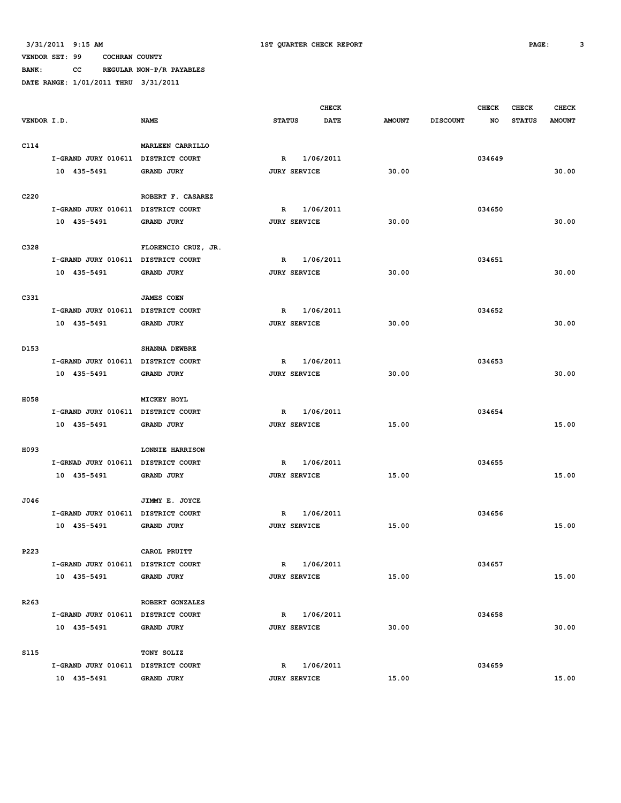**BANK: CC REGULAR NON-P/R PAYABLES DATE RANGE: 1/01/2011 THRU 3/31/2011**

|                  |                                    |                     |               |                     | <b>CHECK</b> |               |                 | <b>CHECK</b> | CHECK         | <b>CHECK</b>  |
|------------------|------------------------------------|---------------------|---------------|---------------------|--------------|---------------|-----------------|--------------|---------------|---------------|
| VENDOR I.D.      |                                    | <b>NAME</b>         | <b>STATUS</b> |                     | DATE         | <b>AMOUNT</b> | <b>DISCOUNT</b> | NO           | <b>STATUS</b> | <b>AMOUNT</b> |
|                  |                                    |                     |               |                     |              |               |                 |              |               |               |
| C114             |                                    | MARLEEN CARRILLO    |               |                     |              |               |                 |              |               |               |
|                  | I-GRAND JURY 010611 DISTRICT COURT |                     | $\mathbb{R}$  |                     | 1/06/2011    |               |                 | 034649       |               |               |
|                  | 10 435-5491                        | <b>GRAND JURY</b>   |               | <b>JURY SERVICE</b> |              | 30.00         |                 |              |               | 30.00         |
|                  |                                    |                     |               |                     |              |               |                 |              |               |               |
| C220             |                                    | ROBERT F. CASAREZ   |               |                     |              |               |                 |              |               |               |
|                  | I-GRAND JURY 010611                | DISTRICT COURT      | R             |                     | 1/06/2011    |               |                 | 034650       |               |               |
|                  | 10 435-5491                        | <b>GRAND JURY</b>   |               | <b>JURY SERVICE</b> |              | 30.00         |                 |              |               | 30.00         |
|                  |                                    |                     |               |                     |              |               |                 |              |               |               |
| C328             |                                    | FLORENCIO CRUZ, JR. |               |                     |              |               |                 |              |               |               |
|                  | I-GRAND JURY 010611 DISTRICT COURT |                     | $\mathbb R$   |                     | 1/06/2011    |               |                 | 034651       |               |               |
|                  | 10 435-5491                        | GRAND JURY          |               | <b>JURY SERVICE</b> |              | 30.00         |                 |              |               | 30.00         |
|                  |                                    |                     |               |                     |              |               |                 |              |               |               |
| C331             |                                    | <b>JAMES COEN</b>   |               |                     |              |               |                 |              |               |               |
|                  | I-GRAND JURY 010611 DISTRICT COURT |                     | R             |                     | 1/06/2011    |               |                 | 034652       |               |               |
|                  | 10 435-5491                        | GRAND JURY          |               | <b>JURY SERVICE</b> |              | 30.00         |                 |              |               | 30.00         |
|                  |                                    |                     |               |                     |              |               |                 |              |               |               |
| D153             |                                    | SHANNA DEWBRE       |               |                     |              |               |                 |              |               |               |
|                  | I-GRAND JURY 010611                | DISTRICT COURT      | R             |                     | 1/06/2011    |               |                 | 034653       |               |               |
|                  | 10 435-5491                        | GRAND JURY          |               | <b>JURY SERVICE</b> |              | 30.00         |                 |              |               | 30.00         |
|                  |                                    |                     |               |                     |              |               |                 |              |               |               |
|                  |                                    |                     |               |                     |              |               |                 |              |               |               |
| H058             |                                    | MICKEY HOYL         |               |                     |              |               |                 |              |               |               |
|                  | I-GRAND JURY 010611                | DISTRICT COURT      | $\mathbb R$   |                     | 1/06/2011    |               |                 | 034654       |               |               |
|                  | 10 435-5491                        | GRAND JURY          |               | <b>JURY SERVICE</b> |              | 15.00         |                 |              |               | 15.00         |
|                  |                                    |                     |               |                     |              |               |                 |              |               |               |
| H093             |                                    | LONNIE HARRISON     |               |                     |              |               |                 |              |               |               |
|                  | I-GRNAD JURY 010611                | DISTRICT COURT      | R             |                     | 1/06/2011    |               |                 | 034655       |               |               |
|                  | 10 435-5491                        | <b>GRAND JURY</b>   |               | <b>JURY SERVICE</b> |              | 15.00         |                 |              |               | 15.00         |
|                  |                                    |                     |               |                     |              |               |                 |              |               |               |
| J046             |                                    | JIMMY E. JOYCE      |               |                     |              |               |                 |              |               |               |
|                  | I-GRAND JURY 010611                | DISTRICT COURT      | R             |                     | 1/06/2011    |               |                 | 034656       |               |               |
|                  | 10 435-5491                        | GRAND JURY          |               | <b>JURY SERVICE</b> |              | 15.00         |                 |              |               | 15.00         |
|                  |                                    |                     |               |                     |              |               |                 |              |               |               |
| P223             |                                    | CAROL PRUITT        |               |                     |              |               |                 |              |               |               |
|                  | I-GRAND JURY 010611 DISTRICT COURT |                     |               | $\mathbb{R}$        | 1/06/2011    |               |                 | 034657       |               |               |
|                  | 10 435-5491                        | <b>GRAND JURY</b>   |               | <b>JURY SERVICE</b> |              | 15.00         |                 |              |               | 15.00         |
|                  |                                    |                     |               |                     |              |               |                 |              |               |               |
| R <sub>263</sub> |                                    | ROBERT GONZALES     |               |                     |              |               |                 |              |               |               |
|                  | I-GRAND JURY 010611 DISTRICT COURT |                     |               | R 1/06/2011         |              |               |                 | 034658       |               |               |
|                  | 10 435-5491                        | <b>GRAND JURY</b>   |               | <b>JURY SERVICE</b> |              | 30.00         |                 |              |               | 30.00         |
|                  |                                    |                     |               |                     |              |               |                 |              |               |               |
| <b>S115</b>      |                                    | TONY SOLIZ          |               |                     |              |               |                 |              |               |               |
|                  | I-GRAND JURY 010611 DISTRICT COURT |                     |               | R 1/06/2011         |              |               |                 | 034659       |               |               |
|                  | 10 435-5491                        | GRAND JURY          |               | <b>JURY SERVICE</b> |              | 15.00         |                 |              |               | 15.00         |
|                  |                                    |                     |               |                     |              |               |                 |              |               |               |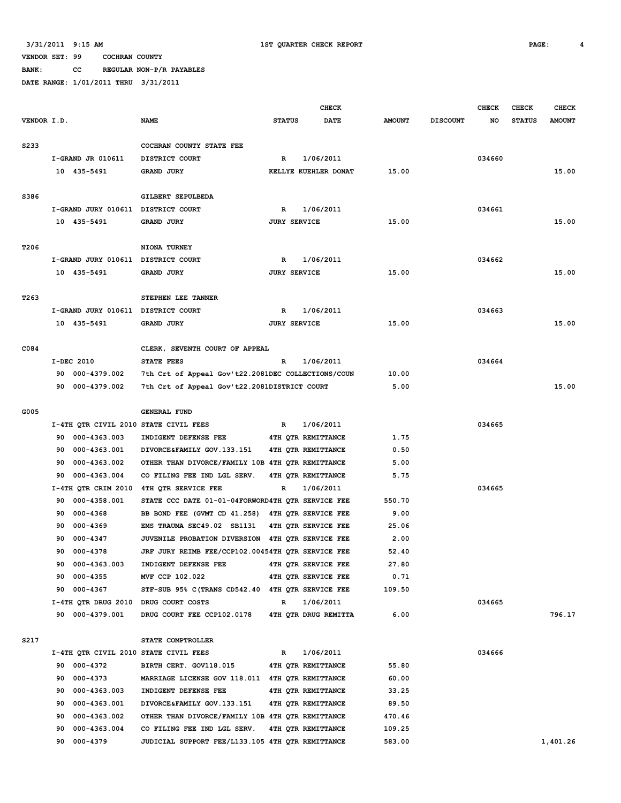**BANK: CC REGULAR NON-P/R PAYABLES**

|                   |     |                                    |                                                    |               |                     | <b>CHECK</b>         |               |                 | <b>CHECK</b> | <b>CHECK</b>  | <b>CHECK</b>  |
|-------------------|-----|------------------------------------|----------------------------------------------------|---------------|---------------------|----------------------|---------------|-----------------|--------------|---------------|---------------|
| VENDOR I.D.       |     |                                    | <b>NAME</b>                                        | <b>STATUS</b> |                     | DATE                 | <b>AMOUNT</b> | <b>DISCOUNT</b> | NO           | <b>STATUS</b> | <b>AMOUNT</b> |
|                   |     |                                    |                                                    |               |                     |                      |               |                 |              |               |               |
| S <sub>2</sub> 33 |     |                                    | COCHRAN COUNTY STATE FEE                           |               |                     |                      |               |                 |              |               |               |
|                   |     | I-GRAND JR 010611                  | DISTRICT COURT                                     | R             |                     | 1/06/2011            |               |                 | 034660       |               |               |
|                   |     | 10 435-5491                        | GRAND JURY                                         |               |                     | KELLYE KUEHLER DONAT | 15.00         |                 |              |               | 15.00         |
|                   |     |                                    |                                                    |               |                     |                      |               |                 |              |               |               |
| S386              |     |                                    | GILBERT SEPULBEDA                                  |               |                     |                      |               |                 |              |               |               |
|                   |     | I-GRAND JURY 010611 DISTRICT COURT |                                                    | $\mathbb{R}$  |                     | 1/06/2011            |               |                 | 034661       |               |               |
|                   |     | 10 435-5491                        | GRAND JURY                                         |               | <b>JURY SERVICE</b> |                      | 15.00         |                 |              |               | 15.00         |
|                   |     |                                    |                                                    |               |                     |                      |               |                 |              |               |               |
| T206              |     |                                    | NIONA TURNEY                                       |               |                     |                      |               |                 |              |               |               |
|                   |     | I-GRAND JURY 010611 DISTRICT COURT |                                                    | R             |                     | 1/06/2011            |               |                 | 034662       |               |               |
|                   |     | 10 435-5491                        | <b>GRAND JURY</b>                                  |               | <b>JURY SERVICE</b> |                      | 15.00         |                 |              |               | 15.00         |
|                   |     |                                    |                                                    |               |                     |                      |               |                 |              |               |               |
| T <sub>263</sub>  |     |                                    | STEPHEN LEE TANNER                                 |               |                     |                      |               |                 |              |               |               |
|                   |     | I-GRAND JURY 010611 DISTRICT COURT |                                                    | R             |                     | 1/06/2011            |               |                 | 034663       |               |               |
|                   |     | 10 435-5491                        | <b>GRAND JURY</b>                                  |               | <b>JURY SERVICE</b> |                      | 15.00         |                 |              |               | 15.00         |
|                   |     |                                    |                                                    |               |                     |                      |               |                 |              |               |               |
| C084              |     |                                    | CLERK, SEVENTH COURT OF APPEAL                     |               |                     |                      |               |                 |              |               |               |
|                   |     | I-DEC 2010                         | STATE FEES                                         | R             |                     | 1/06/2011            |               |                 | 034664       |               |               |
|                   | 90  | 000-4379.002                       | 7th Crt of Appeal Gov't22.2081DEC COLLECTIONS/COUN |               |                     |                      | 10.00         |                 |              |               |               |
|                   | 90. | 000-4379.002                       | 7th Crt of Appeal Gov't22.2081DISTRICT COURT       |               |                     |                      | 5.00          |                 |              |               | 15.00         |
|                   |     |                                    |                                                    |               |                     |                      |               |                 |              |               |               |
| G005              |     |                                    | <b>GENERAL FUND</b>                                |               |                     |                      |               |                 |              |               |               |
|                   |     |                                    | I-4TH QTR CIVIL 2010 STATE CIVIL FEES              | R             |                     | 1/06/2011            |               |                 | 034665       |               |               |
|                   | 90  | 000-4363.003                       | INDIGENT DEFENSE FEE                               |               |                     | 4TH QTR REMITTANCE   | 1.75          |                 |              |               |               |
|                   | 90  | 000-4363.001                       | DIVORCE&FAMILY GOV.133.151                         |               |                     | 4TH OTR REMITTANCE   | 0.50          |                 |              |               |               |
|                   | 90  | 000-4363.002                       | OTHER THAN DIVORCE/FAMILY 10B 4TH QTR REMITTANCE   |               |                     |                      | 5.00          |                 |              |               |               |
|                   | 90  | 000-4363.004                       | CO FILING FEE IND LGL SERV.                        |               |                     | 4TH QTR REMITTANCE   | 5.75          |                 |              |               |               |
|                   |     | I-4TH QTR CRIM 2010                | 4TH QTR SERVICE FEE                                | R             |                     | 1/06/2011            |               |                 | 034665       |               |               |
|                   | 90  | 000-4358.001                       | STATE CCC DATE 01-01-04FORWORD4TH OTR SERVICE FEE  |               |                     |                      | 550.70        |                 |              |               |               |
|                   | 90  | $000 - 4368$                       | BB BOND FEE (GVMT CD 41.258) 4TH QTR SERVICE FEE   |               |                     |                      | 9.00          |                 |              |               |               |
|                   | 90  | 000-4369                           | EMS TRAUMA SEC49.02 SB1131                         |               |                     | 4TH OTR SERVICE FEE  | 25.06         |                 |              |               |               |
|                   | 90  | 000-4347                           | JUVENILE PROBATION DIVERSION 4TH OTR SERVICE FEE   |               |                     |                      | 2.00          |                 |              |               |               |
|                   | 90  | 000-4378                           | JRF JURY REIMB FEE/CCP102.00454TH QTR SERVICE FEE  |               |                     |                      | 52.40         |                 |              |               |               |
|                   | 90  | 000-4363.003                       | INDIGENT DEFENSE FEE                               |               |                     | 4TH QTR SERVICE FEE  | 27.80         |                 |              |               |               |
|                   | 90  | 000-4355                           | MVF CCP 102.022                                    |               |                     | 4TH QTR SERVICE FEE  | 0.71          |                 |              |               |               |
|                   | 90  | 000-4367                           | STF-SUB 95% C(TRANS CD542.40 4TH QTR SERVICE FEE   |               |                     |                      | 109.50        |                 |              |               |               |
|                   |     |                                    | I-4TH QTR DRUG 2010 DRUG COURT COSTS               | $\mathbb{R}$  |                     | 1/06/2011            |               |                 | 034665       |               |               |
|                   |     | 90 000-4379.001                    | DRUG COURT FEE CCP102.0178                         |               |                     | 4TH QTR DRUG REMITTA | 6.00          |                 |              |               | 796.17        |
|                   |     |                                    |                                                    |               |                     |                      |               |                 |              |               |               |
| S217              |     |                                    | STATE COMPTROLLER                                  |               |                     |                      |               |                 |              |               |               |
|                   |     |                                    | I-4TH QTR CIVIL 2010 STATE CIVIL FEES              | R             |                     | 1/06/2011            |               |                 | 034666       |               |               |
|                   |     | 90 000-4372                        | BIRTH CERT. GOV118.015                             |               |                     | 4TH OTR REMITTANCE   | 55.80         |                 |              |               |               |
|                   | 90  | 000-4373                           | MARRIAGE LICENSE GOV 118.011 4TH QTR REMITTANCE    |               |                     |                      | 60.00         |                 |              |               |               |
|                   | 90  | 000-4363.003                       | INDIGENT DEFENSE FEE                               |               |                     | 4TH QTR REMITTANCE   | 33.25         |                 |              |               |               |
|                   | 90  | 000-4363.001                       | DIVORCE&FAMILY GOV.133.151                         |               |                     | 4TH QTR REMITTANCE   | 89.50         |                 |              |               |               |
|                   | 90  | 000-4363.002                       | OTHER THAN DIVORCE/FAMILY 10B 4TH QTR REMITTANCE   |               |                     |                      | 470.46        |                 |              |               |               |
|                   | 90  | 000-4363.004                       | CO FILING FEE IND LGL SERV.                        |               |                     | 4TH QTR REMITTANCE   | 109.25        |                 |              |               |               |
|                   |     | 90 000-4379                        | JUDICIAL SUPPORT FEE/L133.105 4TH QTR REMITTANCE   |               |                     |                      | 583.00        |                 |              |               | 1,401.26      |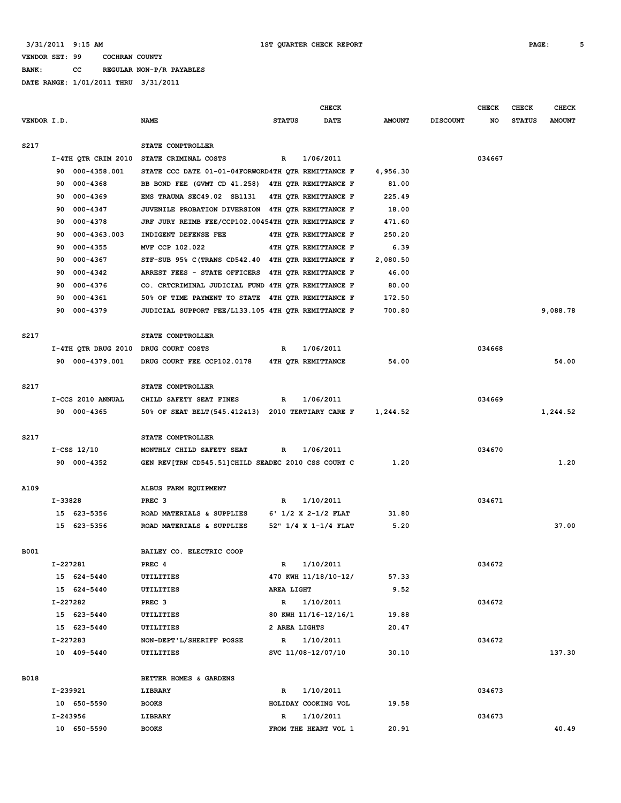**BANK: CC REGULAR NON-P/R PAYABLES**

|             |                     |                                                    |               | <b>CHECK</b>                |               |                 | <b>CHECK</b> | <b>CHECK</b>  | <b>CHECK</b>  |
|-------------|---------------------|----------------------------------------------------|---------------|-----------------------------|---------------|-----------------|--------------|---------------|---------------|
| VENDOR I.D. |                     | <b>NAME</b>                                        | <b>STATUS</b> | <b>DATE</b>                 | <b>AMOUNT</b> | <b>DISCOUNT</b> | NO           | <b>STATUS</b> | <b>AMOUNT</b> |
| S217        |                     | STATE COMPTROLLER                                  |               |                             |               |                 |              |               |               |
|             | I-4TH QTR CRIM 2010 | STATE CRIMINAL COSTS                               | R             | 1/06/2011                   |               |                 | 034667       |               |               |
|             | 000-4358.001<br>90  | STATE CCC DATE 01-01-04FORWORD4TH OTR REMITTANCE F |               |                             | 4,956.30      |                 |              |               |               |
|             | 000-4368<br>90      | BB BOND FEE (GVMT CD 41.258) 4TH QTR REMITTANCE F  |               |                             | 81.00         |                 |              |               |               |
|             | 000-4369<br>90      | EMS TRAUMA SEC49.02 SB1131                         |               | 4TH QTR REMITTANCE F        | 225.49        |                 |              |               |               |
|             | 000-4347<br>90      | JUVENILE PROBATION DIVERSION                       |               | 4TH QTR REMITTANCE F        | 18.00         |                 |              |               |               |
|             | 000-4378<br>90      | JRF JURY REIMB FEE/CCP102.00454TH QTR REMITTANCE F |               |                             | 471.60        |                 |              |               |               |
|             | 000-4363.003<br>90  | INDIGENT DEFENSE FEE                               |               | 4TH QTR REMITTANCE F        | 250.20        |                 |              |               |               |
|             | 000-4355<br>90      | MVF CCP 102.022                                    |               | 4TH QTR REMITTANCE F        | 6.39          |                 |              |               |               |
|             | 000-4367<br>90      | STF-SUB 95% C (TRANS CD542.40 4TH QTR REMITTANCE F |               |                             | 2,080.50      |                 |              |               |               |
|             | 000-4342<br>90      | ARREST FEES - STATE OFFICERS                       |               | 4TH QTR REMITTANCE F        | 46.00         |                 |              |               |               |
|             | 000-4376<br>90      | CO. CRTCRIMINAL JUDICIAL FUND 4TH QTR REMITTANCE F |               |                             | 80.00         |                 |              |               |               |
|             | 90<br>000-4361      | 50% OF TIME PAYMENT TO STATE                       |               | <b>4TH QTR REMITTANCE F</b> | 172.50        |                 |              |               |               |
|             | 90<br>000-4379      | JUDICIAL SUPPORT FEE/L133.105 4TH QTR REMITTANCE F |               |                             | 700.80        |                 |              |               | 9,088.78      |
| S217        |                     | STATE COMPTROLLER                                  |               |                             |               |                 |              |               |               |
|             | I-4TH OTR DRUG 2010 | DRUG COURT COSTS                                   | R             | 1/06/2011                   |               |                 | 034668       |               |               |
|             | 90 000-4379.001     | DRUG COURT FEE CCP102.0178                         |               | 4TH OTR REMITTANCE          | 54.00         |                 |              |               | 54.00         |
| S217        |                     | STATE COMPTROLLER                                  |               |                             |               |                 |              |               |               |
|             | I-CCS 2010 ANNUAL   | CHILD SAFETY SEAT FINES                            | R             | 1/06/2011                   |               |                 | 034669       |               |               |
|             | 90 000-4365         | 50% OF SEAT BELT (545.412&13) 2010 TERTIARY CARE F |               |                             | 1,244.52      |                 |              |               | 1,244.52      |
| S217        |                     | STATE COMPTROLLER                                  |               |                             |               |                 |              |               |               |
|             | $I-CSS$ $12/10$     | MONTHLY CHILD SAFETY SEAT                          | R             | 1/06/2011                   |               |                 | 034670       |               |               |
|             | 90 000-4352         | GEN REV[TRN CD545.51]CHILD SEADEC 2010 CSS COURT C |               |                             | 1.20          |                 |              |               | 1.20          |
| A109        |                     | ALBUS FARM EQUIPMENT                               |               |                             |               |                 |              |               |               |
|             | I-33828             | PREC <sub>3</sub>                                  | R             | 1/10/2011                   |               |                 | 034671       |               |               |
|             | 15 623-5356         | ROAD MATERIALS & SUPPLIES                          |               | $6'$ 1/2 X 2-1/2 FLAT       | 31.80         |                 |              |               |               |
|             | 15 623-5356         | ROAD MATERIALS & SUPPLIES                          |               | 52" 1/4 X 1-1/4 FLAT        | 5.20          |                 |              |               | 37.00         |
| B001        |                     | BAILEY CO. ELECTRIC COOP                           |               |                             |               |                 |              |               |               |
|             | I-227281            | PREC 4                                             | R             | 1/10/2011                   |               |                 | 034672       |               |               |
|             | 15 624-5440         | <b>UTILITIES</b>                                   |               | 470 KWH 11/18/10-12/        | 57.33         |                 |              |               |               |
|             | 15 624-5440         | UTILITIES                                          | AREA LIGHT    |                             | 9.52          |                 |              |               |               |
|             | I-227282            | PREC <sub>3</sub>                                  | $\mathbb{R}$  | 1/10/2011                   |               |                 | 034672       |               |               |
|             | 15 623-5440         | UTILITIES                                          |               | 80 KWH 11/16-12/16/1        | 19.88         |                 |              |               |               |
|             | 15 623-5440         | UTILITIES                                          | 2 AREA LIGHTS |                             | 20.47         |                 |              |               |               |
|             | I-227283            | NON-DEPT'L/SHERIFF POSSE                           |               | R 1/10/2011                 |               |                 | 034672       |               |               |
|             | 10 409-5440         | UTILITIES                                          |               | SVC 11/08-12/07/10          | 30.10         |                 |              |               | 137.30        |
| <b>B018</b> |                     | BETTER HOMES & GARDENS                             |               |                             |               |                 |              |               |               |
|             | I-239921            | LIBRARY                                            | R             | 1/10/2011                   |               |                 | 034673       |               |               |
|             | 10 650-5590         | <b>BOOKS</b>                                       |               | HOLIDAY COOKING VOL         | 19.58         |                 |              |               |               |
|             | I-243956            | LIBRARY                                            | R             | 1/10/2011                   |               |                 | 034673       |               |               |
|             | 10 650-5590         | <b>BOOKS</b>                                       |               | FROM THE HEART VOL 1        | 20.91         |                 |              |               | 40.49         |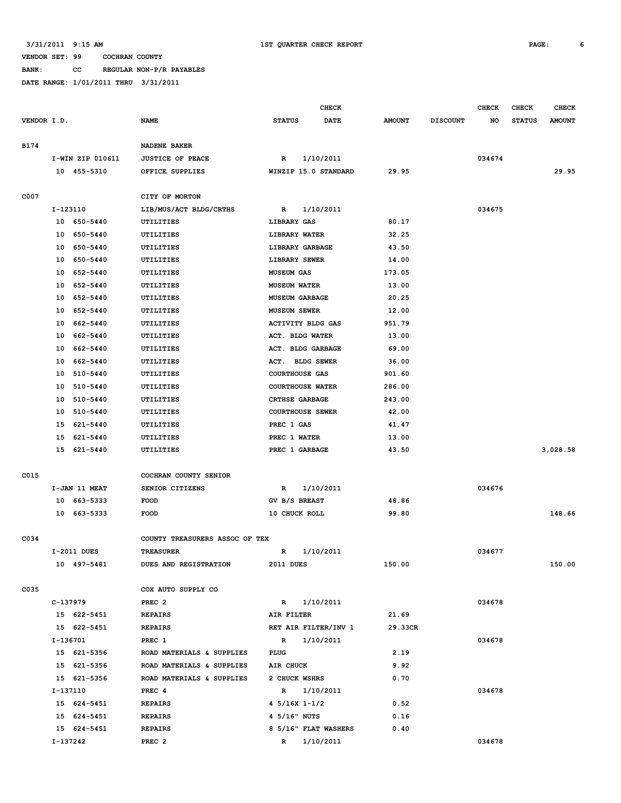**BANK: CC REGULAR NON-P/R PAYABLES**

|             |                  |                                | <b>CHECK</b>                 |               |                 | <b>CHECK</b> | <b>CHECK</b>  | <b>CHECK</b>  |
|-------------|------------------|--------------------------------|------------------------------|---------------|-----------------|--------------|---------------|---------------|
| VENDOR I.D. |                  | <b>NAME</b>                    | <b>STATUS</b><br><b>DATE</b> | <b>AMOUNT</b> | <b>DISCOUNT</b> | NO           | <b>STATUS</b> | <b>AMOUNT</b> |
|             |                  |                                |                              |               |                 |              |               |               |
| <b>B174</b> |                  | <b>NADENE BAKER</b>            |                              |               |                 |              |               |               |
|             | I-WIN ZIP 010611 | <b>JUSTICE OF PEACE</b>        | 1/10/2011<br>R               |               |                 | 034674       |               |               |
|             | 10 455-5310      | OFFICE SUPPLIES                | WINZIP 15.0 STANDARD         | 29.95         |                 |              |               | 29.95         |
|             |                  |                                |                              |               |                 |              |               |               |
| C007        |                  | CITY OF MORTON                 |                              |               |                 |              |               |               |
|             | I-123110         | LIB/MUS/ACT BLDG/CRTHS         | 1/10/2011<br>R               |               |                 | 034675       |               |               |
|             | 10 650-5440      | UTILITIES                      | LIBRARY GAS                  | 80.17         |                 |              |               |               |
|             | 10<br>650-5440   | <b>UTILITIES</b>               | LIBRARY WATER                | 32.25         |                 |              |               |               |
|             | 650-5440<br>10   | UTILITIES                      | LIBRARY GARBAGE              | 43.50         |                 |              |               |               |
|             | 10<br>650-5440   | UTILITIES                      | LIBRARY SEWER                | 14.00         |                 |              |               |               |
|             | 10<br>652-5440   | UTILITIES                      | <b>MUSEUM GAS</b>            | 173.05        |                 |              |               |               |
|             | 10<br>652-5440   | UTILITIES                      | <b>MUSEUM WATER</b>          | 13.00         |                 |              |               |               |
|             | 10<br>652-5440   | UTILITIES                      | <b>MUSEUM GARBAGE</b>        | 20.25         |                 |              |               |               |
|             | 10<br>652-5440   | UTILITIES                      | <b>MUSEUM SEWER</b>          | 12.00         |                 |              |               |               |
|             | 10<br>662-5440   | UTILITIES                      | <b>ACTIVITY BLDG GAS</b>     | 951.79        |                 |              |               |               |
|             | 10<br>662-5440   | <b>UTILITIES</b>               | ACT. BLDG WATER              | 13.00         |                 |              |               |               |
|             | 10<br>662-5440   | UTILITIES                      | ACT. BLDG GARBAGE            | 69.00         |                 |              |               |               |
|             | 662-5440<br>10   | UTILITIES                      | ACT. BLDG SEWER              | 36.00         |                 |              |               |               |
|             | 10<br>510-5440   | <b>UTILITIES</b>               | <b>COURTHOUSE GAS</b>        | 901.60        |                 |              |               |               |
|             | 10<br>510-5440   | UTILITIES                      | <b>COURTHOUSE WATER</b>      | 286.00        |                 |              |               |               |
|             | 510-5440<br>10   | UTILITIES                      | <b>CRTHSE GARBAGE</b>        | 243.00        |                 |              |               |               |
|             | 10<br>510-5440   | UTILITIES                      | <b>COURTHOUSE SEWER</b>      | 42.00         |                 |              |               |               |
|             | 15<br>621-5440   | UTILITIES                      | PREC 1 GAS                   | 41.47         |                 |              |               |               |
|             | 621-5440<br>15   | UTILITIES                      | PREC 1 WATER                 | 13.00         |                 |              |               |               |
|             | 15 621-5440      | UTILITIES                      | PREC 1 GARBAGE               | 43.50         |                 |              |               | 3,028.58      |
|             |                  |                                |                              |               |                 |              |               |               |
| C015        |                  | COCHRAN COUNTY SENIOR          |                              |               |                 |              |               |               |
|             | I-JAN 11 MEAT    | SENIOR CITIZENS                | R<br>1/10/2011               |               |                 | 034676       |               |               |
|             | 10 663-5333      | <b>FOOD</b>                    | GV B/S BREAST                | 48.86         |                 |              |               |               |
|             | 10<br>663-5333   | <b>FOOD</b>                    | 10 CHUCK ROLL                | 99.80         |                 |              |               | 148.66        |
|             |                  |                                |                              |               |                 |              |               |               |
| C034        |                  | COUNTY TREASURERS ASSOC OF TEX |                              |               |                 |              |               |               |
|             | I-2011 DUES      | <b>TREASURER</b>               | 1/10/2011<br>R               |               |                 | 034677       |               |               |
|             | 10 497-5481      | DUES AND REGISTRATION          | 2011 DUES                    | 150.00        |                 |              |               | 150.00        |
|             |                  |                                |                              |               |                 |              |               |               |
| C035        |                  | COX AUTO SUPPLY CO             |                              |               |                 |              |               |               |
|             | C-137979         | PREC <sub>2</sub>              | $\mathbb{R}$<br>1/10/2011    |               |                 | 034678       |               |               |
|             | 15 622-5451      | <b>REPAIRS</b>                 | AIR FILTER                   | 21.69         |                 |              |               |               |
|             | 15 622-5451      | <b>REPAIRS</b>                 | RET AIR FILTER/INV 1         | 29.33CR       |                 |              |               |               |
|             | I-136701         | PREC 1                         | $\mathbb{R}$<br>1/10/2011    |               |                 | 034678       |               |               |
|             | 15 621-5356      | ROAD MATERIALS & SUPPLIES      | PLUG                         | 2.19          |                 |              |               |               |
|             | 15 621-5356      | ROAD MATERIALS & SUPPLIES      | AIR CHUCK                    | 9.92          |                 |              |               |               |
|             | 15 621-5356      | ROAD MATERIALS & SUPPLIES      | 2 CHUCK WSHRS                | 0.70          |                 |              |               |               |
|             | I-137110         | PREC 4                         | R 1/10/2011                  |               |                 | 034678       |               |               |
|             | 15 624-5451      | <b>REPAIRS</b>                 | 4 $5/16X$ 1-1/2              | 0.52          |                 |              |               |               |
|             | 15 624-5451      | <b>REPAIRS</b>                 | 4 5/16" NUTS                 | 0.16          |                 |              |               |               |
|             | 15 624-5451      | <b>REPAIRS</b>                 | 8 5/16" FLAT WASHERS         | 0.40          |                 |              |               |               |
|             | I-137242         | PREC <sub>2</sub>              | R 1/10/2011                  |               |                 | 034678       |               |               |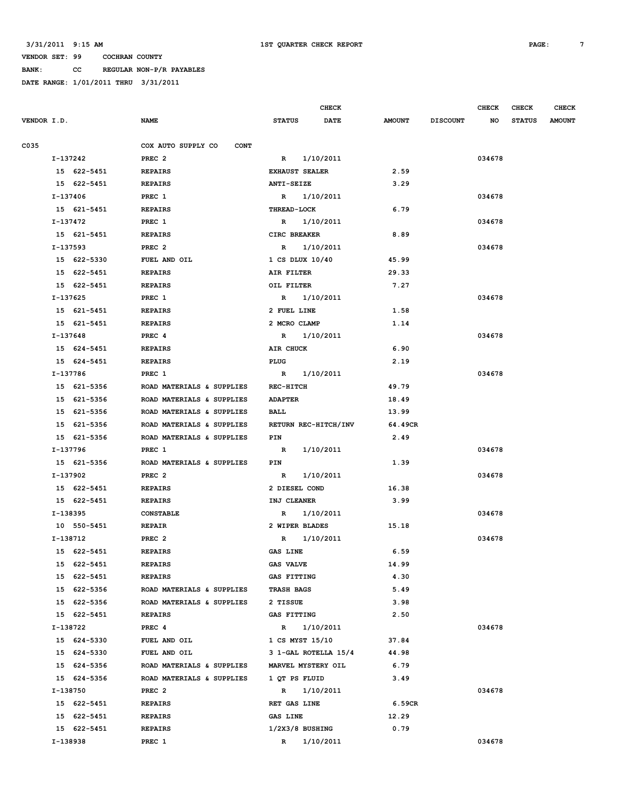**BANK: CC REGULAR NON-P/R PAYABLES**

|             |             |                                   | <b>CHECK</b>              |             |               |                 | <b>CHECK</b> | <b>CHECK</b>  | <b>CHECK</b>  |
|-------------|-------------|-----------------------------------|---------------------------|-------------|---------------|-----------------|--------------|---------------|---------------|
| VENDOR I.D. |             | <b>NAME</b>                       | <b>STATUS</b>             | <b>DATE</b> | <b>AMOUNT</b> | <b>DISCOUNT</b> | NO           | <b>STATUS</b> | <b>AMOUNT</b> |
| C035        |             | COX AUTO SUPPLY CO<br><b>CONT</b> |                           |             |               |                 |              |               |               |
|             | I-137242    | PREC <sub>2</sub>                 | R 1/10/2011               |             |               |                 | 034678       |               |               |
|             | 15 622-5451 | <b>REPAIRS</b>                    | <b>EXHAUST SEALER</b>     |             | 2.59          |                 |              |               |               |
|             | 15 622-5451 | <b>REPAIRS</b>                    | ANTI-SEIZE                |             | 3.29          |                 |              |               |               |
|             | I-137406    | PREC 1                            | R 1/10/2011               |             |               |                 | 034678       |               |               |
|             | 15 621-5451 | <b>REPAIRS</b>                    | <b>THREAD-LOCK</b>        |             | 6.79          |                 |              |               |               |
|             | I-137472    | PREC 1                            | R                         | 1/10/2011   |               |                 | 034678       |               |               |
|             | 15 621-5451 | <b>REPAIRS</b>                    | CIRC BREAKER              |             | 8.89          |                 |              |               |               |
|             | I-137593    | PREC <sub>2</sub>                 | R                         | 1/10/2011   |               |                 | 034678       |               |               |
|             | 15 622-5330 | FUEL AND OIL                      | 1 CS DLUX 10/40           |             | 45.99         |                 |              |               |               |
|             | 15 622-5451 | <b>REPAIRS</b>                    | AIR FILTER                |             | 29.33         |                 |              |               |               |
|             | 15 622-5451 | <b>REPAIRS</b>                    | OIL FILTER                |             | 7.27          |                 |              |               |               |
|             | I-137625    | PREC 1                            | R 1/10/2011               |             |               |                 | 034678       |               |               |
|             | 15 621-5451 | <b>REPAIRS</b>                    | 2 FUEL LINE               |             | 1.58          |                 |              |               |               |
|             | 15 621-5451 | <b>REPAIRS</b>                    | 2 MCRO CLAMP              |             | 1.14          |                 |              |               |               |
|             | I-137648    | PREC 4                            | R 1/10/2011               |             |               |                 | 034678       |               |               |
|             | 15 624-5451 | <b>REPAIRS</b>                    | AIR CHUCK                 |             | 6.90          |                 |              |               |               |
|             | 15 624-5451 | <b>REPAIRS</b>                    | PLUG                      |             | 2.19          |                 |              |               |               |
|             | I-137786    | PREC 1                            | R 1/10/2011               |             |               |                 | 034678       |               |               |
|             | 15 621-5356 | ROAD MATERIALS & SUPPLIES         | <b>REC-HITCH</b>          |             | 49.79         |                 |              |               |               |
|             | 15 621-5356 | ROAD MATERIALS & SUPPLIES         | <b>ADAPTER</b>            |             | 18.49         |                 |              |               |               |
|             | 15 621-5356 | ROAD MATERIALS & SUPPLIES         | BALL                      |             | 13.99         |                 |              |               |               |
|             | 15 621-5356 | ROAD MATERIALS & SUPPLIES         | RETURN REC-HITCH/INV      |             | 64.49CR       |                 |              |               |               |
|             | 15 621-5356 | ROAD MATERIALS & SUPPLIES         | PIN                       |             | 2.49          |                 |              |               |               |
|             | I-137796    | PREC 1                            | $\mathbb{R}$              | 1/10/2011   |               |                 | 034678       |               |               |
|             | 15 621-5356 | ROAD MATERIALS & SUPPLIES         | PIN                       |             | 1.39          |                 |              |               |               |
|             | I-137902    | PREC <sub>2</sub>                 | R                         | 1/10/2011   |               |                 | 034678       |               |               |
|             | 15 622-5451 | <b>REPAIRS</b>                    | 2 DIESEL COND             |             | 16.38         |                 |              |               |               |
|             | 15 622-5451 | <b>REPAIRS</b>                    | INJ CLEANER               |             | 3.99          |                 |              |               |               |
|             | I-138395    | <b>CONSTABLE</b>                  | $\mathbb{R}$              | 1/10/2011   |               |                 | 034678       |               |               |
|             | 10 550-5451 | <b>REPAIR</b>                     | 2 WIPER BLADES            |             | 15.18         |                 |              |               |               |
|             | I-138712    | PREC <sub>2</sub>                 | R 1/10/2011               |             |               |                 | 034678       |               |               |
|             | 15 622-5451 | <b>REPAIRS</b>                    | <b>GAS LINE</b>           |             | 6.59          |                 |              |               |               |
|             | 15 622-5451 | <b>REPAIRS</b>                    | <b>GAS VALVE</b>          |             | 14.99         |                 |              |               |               |
|             | 15 622-5451 | <b>REPAIRS</b>                    | <b>GAS FITTING</b>        |             | 4.30          |                 |              |               |               |
|             | 15 622-5356 | ROAD MATERIALS & SUPPLIES         | <b>TRASH BAGS</b>         |             | 5.49          |                 |              |               |               |
|             | 15 622-5356 | ROAD MATERIALS & SUPPLIES         | 2 TISSUE                  |             | 3.98          |                 |              |               |               |
|             | 15 622-5451 | <b>REPAIRS</b>                    | <b>GAS FITTING</b>        |             | 2.50          |                 |              |               |               |
|             | I-138722    | PREC 4                            | R                         | 1/10/2011   |               |                 | 034678       |               |               |
|             | 15 624-5330 | FUEL AND OIL                      | 1 CS MYST 15/10           |             | 37.84         |                 |              |               |               |
|             | 15 624-5330 | FUEL AND OIL                      | 3 1-GAL ROTELLA 15/4      |             | 44.98         |                 |              |               |               |
|             | 15 624-5356 | ROAD MATERIALS & SUPPLIES         | <b>MARVEL MYSTERY OIL</b> |             | 6.79          |                 |              |               |               |
|             | 15 624-5356 | ROAD MATERIALS & SUPPLIES         | 1 QT PS FLUID             |             | 3.49          |                 |              |               |               |
|             | I-138750    | PREC <sub>2</sub>                 | R 1/10/2011               |             |               |                 | 034678       |               |               |
|             | 15 622-5451 | <b>REPAIRS</b>                    | RET GAS LINE              |             | 6.59CR        |                 |              |               |               |
|             | 15 622-5451 | <b>REPAIRS</b>                    | GAS LINE                  |             | 12.29         |                 |              |               |               |
|             | 15 622-5451 | <b>REPAIRS</b>                    | $1/2x3/8$ BUSHING         |             | 0.79          |                 |              |               |               |
|             | I-138938    | PREC 1                            | $\mathbb{R}$              | 1/10/2011   |               |                 | 034678       |               |               |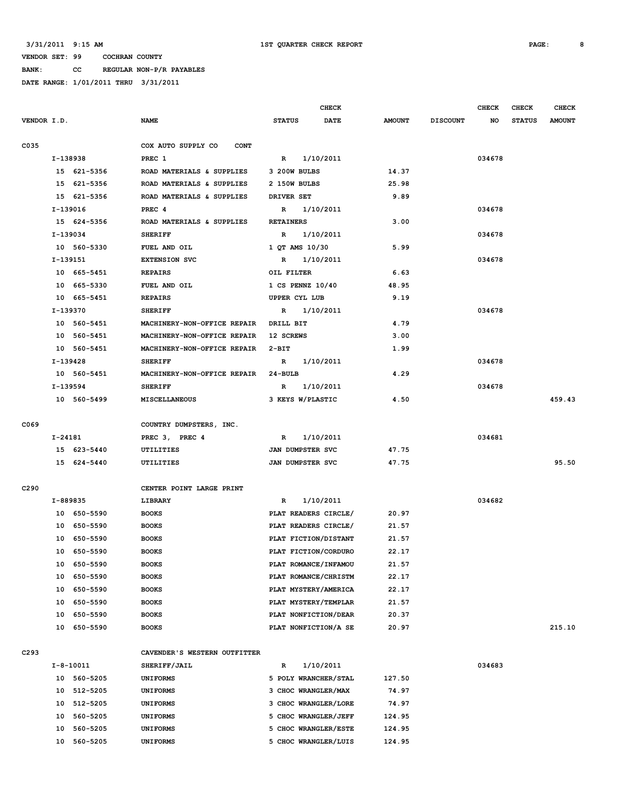**BANK: CC REGULAR NON-P/R PAYABLES**

|                  |          |                 |                                   |                      | <b>CHECK</b> |                |                 | <b>CHECK</b> | CHECK         | <b>CHECK</b>  |
|------------------|----------|-----------------|-----------------------------------|----------------------|--------------|----------------|-----------------|--------------|---------------|---------------|
| VENDOR I.D.      |          |                 | <b>NAME</b>                       | <b>STATUS</b>        | <b>DATE</b>  | <b>AMOUNT</b>  | <b>DISCOUNT</b> | NO           | <b>STATUS</b> | <b>AMOUNT</b> |
| C035             |          |                 | COX AUTO SUPPLY CO<br><b>CONT</b> |                      |              |                |                 |              |               |               |
|                  |          | I-138938        | PREC 1                            | $\mathbb{R}$         | 1/10/2011    |                |                 | 034678       |               |               |
|                  |          | 15 621-5356     | ROAD MATERIALS & SUPPLIES         | 3 200W BULBS         |              | 14.37          |                 |              |               |               |
|                  |          | 15 621-5356     | ROAD MATERIALS & SUPPLIES         | 2 150W BULBS         |              | 25.98          |                 |              |               |               |
|                  |          | 15 621-5356     | ROAD MATERIALS & SUPPLIES         | DRIVER SET           |              | 9.89           |                 |              |               |               |
|                  |          | I-139016        | PREC <sub>4</sub>                 | $\mathbb{R}$         | 1/10/2011    |                |                 | 034678       |               |               |
|                  |          | 15 624-5356     | ROAD MATERIALS & SUPPLIES         | <b>RETAINERS</b>     |              | 3.00           |                 |              |               |               |
|                  | I-139034 |                 | <b>SHERIFF</b>                    | $\mathbf R$          | 1/10/2011    |                |                 | 034678       |               |               |
|                  |          | 10 560-5330     | FUEL AND OIL                      | 1 QT AMS 10/30       |              | 5.99           |                 |              |               |               |
|                  | I-139151 |                 | <b>EXTENSION SVC</b>              | $\mathbb{R}$         | 1/10/2011    |                |                 | 034678       |               |               |
|                  |          | 10 665-5451     | <b>REPAIRS</b>                    | OIL FILTER           |              | 6.63           |                 |              |               |               |
|                  |          | 10 665-5330     | FUEL AND OIL                      | 1 CS PENNZ 10/40     |              | 48.95          |                 |              |               |               |
|                  |          | 10 665-5451     | <b>REPAIRS</b>                    | UPPER CYL LUB        |              | 9.19           |                 |              |               |               |
|                  | I-139370 |                 | <b>SHERIFF</b>                    | R                    | 1/10/2011    |                |                 | 034678       |               |               |
|                  |          | 10 560-5451     | MACHINERY-NON-OFFICE REPAIR       | DRILL BIT            |              | 4.79           |                 |              |               |               |
|                  |          | 10 560-5451     | MACHINERY-NON-OFFICE REPAIR       | 12 SCREWS            |              | 3.00           |                 |              |               |               |
|                  |          | 10 560-5451     | MACHINERY-NON-OFFICE REPAIR       | $2-BIT$              |              | 1.99           |                 |              |               |               |
|                  |          | I-139428        | <b>SHERIFF</b>                    | R                    | 1/10/2011    |                |                 | 034678       |               |               |
|                  |          | 10 560-5451     | MACHINERY-NON-OFFICE REPAIR       | 24-BULB              |              | 4.29           |                 |              |               |               |
|                  |          | I-139594        | <b>SHERIFF</b>                    | R                    | 1/10/2011    |                |                 | 034678       |               |               |
|                  |          | 10 560-5499     | <b>MISCELLANEOUS</b>              | 3 KEYS W/PLASTIC     |              | 4.50           |                 |              |               | 459.43        |
|                  |          |                 |                                   |                      |              |                |                 |              |               |               |
| C069             |          |                 | COUNTRY DUMPSTERS, INC.           |                      |              |                |                 |              |               |               |
|                  | I-24181  |                 | PREC 3, PREC 4                    | $\mathbb{R}$         | 1/10/2011    |                |                 | 034681       |               |               |
|                  |          | 15 623-5440     | UTILITIES                         | JAN DUMPSTER SVC     |              | 47.75          |                 |              |               |               |
|                  |          | 15 624-5440     | UTILITIES                         | JAN DUMPSTER SVC     |              | 47.75          |                 |              |               | 95.50         |
| C <sub>290</sub> |          |                 | CENTER POINT LARGE PRINT          |                      |              |                |                 |              |               |               |
|                  |          | I-889835        | LIBRARY                           | R                    | 1/10/2011    |                |                 | 034682       |               |               |
|                  |          | 10 650-5590     | <b>BOOKS</b>                      | PLAT READERS CIRCLE/ |              | 20.97          |                 |              |               |               |
|                  |          |                 |                                   |                      |              |                |                 |              |               |               |
|                  |          | 10 650-5590     | <b>BOOKS</b>                      | PLAT READERS CIRCLE/ |              | 21.57          |                 |              |               |               |
|                  |          | 10 650-5590     | <b>BOOKS</b>                      | PLAT FICTION/DISTANT |              | 21.57<br>22.17 |                 |              |               |               |
|                  |          | 10 650-5590     | <b>BOOKS</b>                      | PLAT FICTION/CORDURO |              |                |                 |              |               |               |
|                  | 10       | 650-5590        | <b>BOOKS</b>                      | PLAT ROMANCE/INFAMOU |              | 21.57          |                 |              |               |               |
|                  | 10       | 650-5590        | <b>BOOKS</b>                      | PLAT ROMANCE/CHRISTM |              | 22.17          |                 |              |               |               |
|                  | 10       | 650-5590        | <b>BOOKS</b>                      | PLAT MYSTERY/AMERICA |              | 22.17          |                 |              |               |               |
|                  | 10       | 650-5590        | <b>BOOKS</b>                      | PLAT MYSTERY/TEMPLAR |              | 21.57          |                 |              |               |               |
|                  | 10       | 650-5590        | <b>BOOKS</b>                      | PLAT NONFICTION/DEAR |              | 20.37          |                 |              |               |               |
|                  | 10       | 650-5590        | <b>BOOKS</b>                      | PLAT NONFICTION/A SE |              | 20.97          |                 |              |               | 215.10        |
| C293             |          |                 | CAVENDER'S WESTERN OUTFITTER      |                      |              |                |                 |              |               |               |
|                  |          | $I - 8 - 10011$ | SHERIFF/JAIL                      | R                    | 1/10/2011    |                |                 | 034683       |               |               |
|                  |          | 10 560-5205     | <b>UNIFORMS</b>                   | 5 POLY WRANCHER/STAL |              | 127.50         |                 |              |               |               |
|                  |          | 10 512-5205     | <b>UNIFORMS</b>                   | 3 CHOC WRANGLER/MAX  |              | 74.97          |                 |              |               |               |
|                  | 10       | 512-5205        | <b>UNIFORMS</b>                   | 3 CHOC WRANGLER/LORE |              | 74.97          |                 |              |               |               |
|                  | 10       | 560-5205        | <b>UNIFORMS</b>                   | 5 CHOC WRANGLER/JEFF |              | 124.95         |                 |              |               |               |
|                  | 10       | 560-5205        | <b>UNIFORMS</b>                   | 5 CHOC WRANGLER/ESTE |              | 124.95         |                 |              |               |               |
|                  | 10       | 560-5205        | <b>UNIFORMS</b>                   | 5 CHOC WRANGLER/LUIS |              | 124.95         |                 |              |               |               |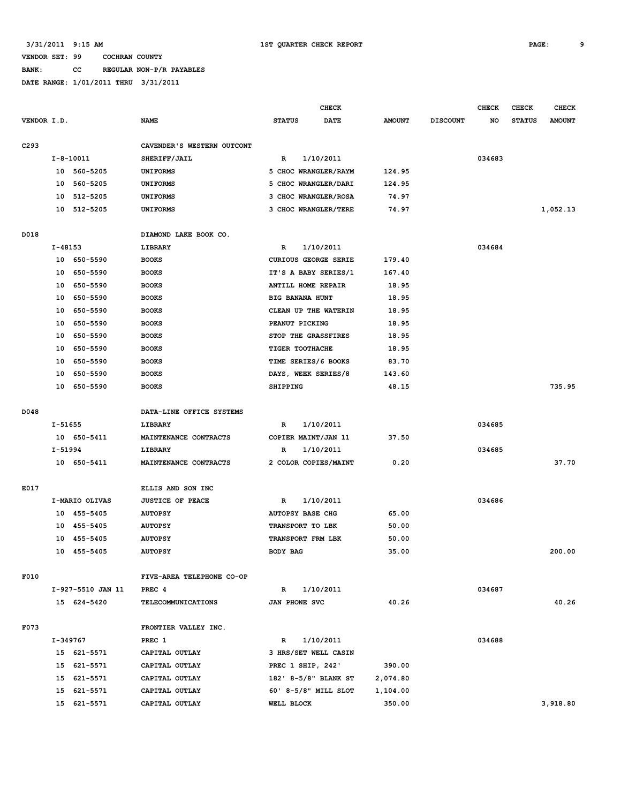### **BANK: CC REGULAR NON-P/R PAYABLES**

|                  |             |                   |                            |                             | <b>CHECK</b> |               |                 | <b>CHECK</b> | <b>CHECK</b>  | <b>CHECK</b>  |
|------------------|-------------|-------------------|----------------------------|-----------------------------|--------------|---------------|-----------------|--------------|---------------|---------------|
| VENDOR I.D.      |             |                   | <b>NAME</b>                | <b>STATUS</b>               | <b>DATE</b>  | <b>AMOUNT</b> | <b>DISCOUNT</b> | NO           | <b>STATUS</b> | <b>AMOUNT</b> |
|                  |             |                   |                            |                             |              |               |                 |              |               |               |
| C <sub>293</sub> |             |                   | CAVENDER'S WESTERN OUTCONT |                             |              |               |                 |              |               |               |
|                  |             | $I - 8 - 10011$   | SHERIFF/JAIL               | $\mathbb{R}$                | 1/10/2011    |               |                 | 034683       |               |               |
|                  |             | 10 560-5205       | <b>UNIFORMS</b>            | 5 CHOC WRANGLER/RAYM        |              | 124.95        |                 |              |               |               |
|                  | 10          | 560-5205          | <b>UNIFORMS</b>            | 5 CHOC WRANGLER/DARI        |              | 124.95        |                 |              |               |               |
|                  | 10          | 512-5205          | <b>UNIFORMS</b>            | 3 CHOC WRANGLER/ROSA        |              | 74.97         |                 |              |               |               |
|                  | 10          | 512-5205          | <b>UNIFORMS</b>            | 3 CHOC WRANGLER/TERE        |              | 74.97         |                 |              |               | 1,052.13      |
| D018             |             |                   | DIAMOND LAKE BOOK CO.      |                             |              |               |                 |              |               |               |
|                  | $I - 48153$ |                   | LIBRARY                    | R                           | 1/10/2011    |               |                 | 034684       |               |               |
|                  |             | 10 650-5590       | <b>BOOKS</b>               | <b>CURIOUS GEORGE SERIE</b> |              | 179.40        |                 |              |               |               |
|                  | 10          | 650-5590          | <b>BOOKS</b>               | IT'S A BABY SERIES/1        |              | 167.40        |                 |              |               |               |
|                  | 10          | 650-5590          | <b>BOOKS</b>               | ANTILL HOME REPAIR          |              | 18.95         |                 |              |               |               |
|                  | 10          | 650-5590          | <b>BOOKS</b>               | BIG BANANA HUNT             |              | 18.95         |                 |              |               |               |
|                  | 10          | 650-5590          | <b>BOOKS</b>               | CLEAN UP THE WATERIN        |              | 18.95         |                 |              |               |               |
|                  | 10          | 650-5590          | <b>BOOKS</b>               | PEANUT PICKING              |              | 18.95         |                 |              |               |               |
|                  | 10          | 650-5590          | <b>BOOKS</b>               | STOP THE GRASSFIRES         |              | 18.95         |                 |              |               |               |
|                  | 10          | 650-5590          | <b>BOOKS</b>               | TIGER TOOTHACHE             |              | 18.95         |                 |              |               |               |
|                  | 10          | 650-5590          | <b>BOOKS</b>               | TIME SERIES/6 BOOKS         |              | 83.70         |                 |              |               |               |
|                  | 10          | 650-5590          | <b>BOOKS</b>               | DAYS, WEEK SERIES/8         |              | 143.60        |                 |              |               |               |
|                  | 10          | 650-5590          | <b>BOOKS</b>               | <b>SHIPPING</b>             |              | 48.15         |                 |              |               | 735.95        |
|                  |             |                   |                            |                             |              |               |                 |              |               |               |
| D048             |             |                   | DATA-LINE OFFICE SYSTEMS   |                             |              |               |                 |              |               |               |
|                  | I-51655     |                   | LIBRARY                    | $\mathbb{R}$                | 1/10/2011    |               |                 | 034685       |               |               |
|                  |             | 10 650-5411       | MAINTENANCE CONTRACTS      | COPIER MAINT/JAN 11         |              | 37.50         |                 |              |               |               |
|                  | I-51994     |                   | LIBRARY                    | R                           | 1/10/2011    |               |                 | 034685       |               |               |
|                  |             | 10 650-5411       | MAINTENANCE CONTRACTS      | 2 COLOR COPIES/MAINT        |              | 0.20          |                 |              |               | 37.70         |
|                  |             |                   |                            |                             |              |               |                 |              |               |               |
| E017             |             |                   | ELLIS AND SON INC          |                             |              |               |                 |              |               |               |
|                  |             | I-MARIO OLIVAS    | <b>JUSTICE OF PEACE</b>    | R                           | 1/10/2011    |               |                 | 034686       |               |               |
|                  | 10          | 455-5405          | <b>AUTOPSY</b>             | <b>AUTOPSY BASE CHG</b>     |              | 65.00         |                 |              |               |               |
|                  | 10          | 455-5405          | <b>AUTOPSY</b>             | TRANSPORT TO LBK            |              | 50.00         |                 |              |               |               |
|                  | 10          | 455-5405          | <b>AUTOPSY</b>             | TRANSPORT FRM LBK           |              | 50.00         |                 |              |               |               |
|                  |             | 10 455-5405       | <b>AUTOPSY</b>             | <b>BODY BAG</b>             |              | 35.00         |                 |              |               | 200.00        |
|                  |             |                   |                            |                             |              |               |                 |              |               |               |
| F010             |             |                   | FIVE-AREA TELEPHONE CO-OP  |                             |              |               |                 |              |               |               |
|                  |             | I-927-5510 JAN 11 | PREC <sub>4</sub>          | R                           | 1/10/2011    |               |                 | 034687       |               |               |
|                  |             | 15 624-5420       | <b>TELECOMMUNICATIONS</b>  | JAN PHONE SVC               |              | 40.26         |                 |              |               | 40.26         |
| F073             |             |                   | FRONTIER VALLEY INC.       |                             |              |               |                 |              |               |               |
|                  |             | I-349767          | PREC 1                     | $\mathbb{R}$                | 1/10/2011    |               |                 | 034688       |               |               |
|                  |             | 15 621-5571       | CAPITAL OUTLAY             | 3 HRS/SET WELL CASIN        |              |               |                 |              |               |               |
|                  |             | 15 621-5571       | CAPITAL OUTLAY             | PREC 1 SHIP, 242'           |              | 390.00        |                 |              |               |               |
|                  |             | 15 621-5571       | CAPITAL OUTLAY             | 182' 8-5/8" BLANK ST        |              | 2,074.80      |                 |              |               |               |
|                  |             | 15 621-5571       | CAPITAL OUTLAY             | 60' 8-5/8" MILL SLOT        |              | 1,104.00      |                 |              |               |               |
|                  |             | 15 621-5571       | CAPITAL OUTLAY             | WELL BLOCK                  |              | 350.00        |                 |              |               | 3,918.80      |
|                  |             |                   |                            |                             |              |               |                 |              |               |               |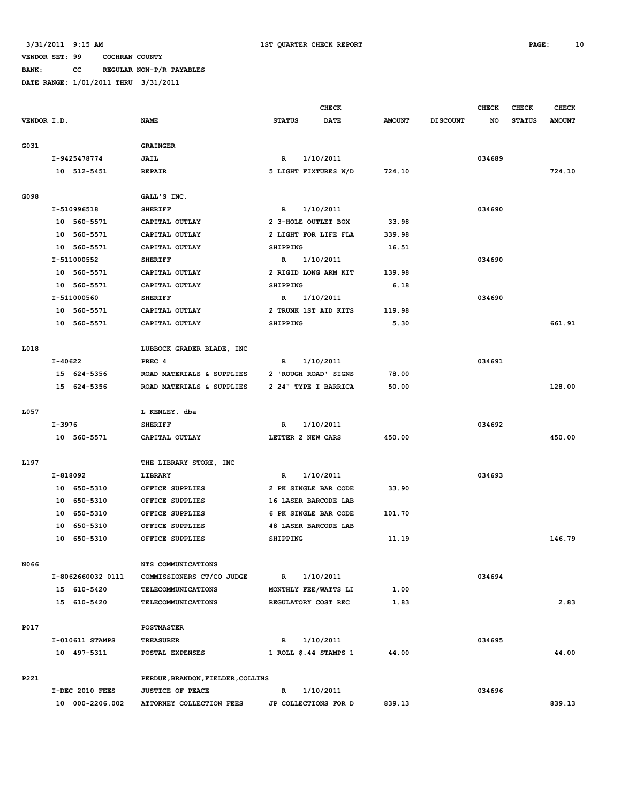**BANK: CC REGULAR NON-P/R PAYABLES**

|             |          |                   |                                   | <b>CHECK</b>    |                       |               |                 | <b>CHECK</b> | <b>CHECK</b>  | <b>CHECK</b>  |
|-------------|----------|-------------------|-----------------------------------|-----------------|-----------------------|---------------|-----------------|--------------|---------------|---------------|
| VENDOR I.D. |          |                   | <b>NAME</b>                       | <b>STATUS</b>   | DATE                  | <b>AMOUNT</b> | <b>DISCOUNT</b> | NO           | <b>STATUS</b> | <b>AMOUNT</b> |
|             |          |                   |                                   |                 |                       |               |                 |              |               |               |
| G031        |          |                   | <b>GRAINGER</b>                   |                 |                       |               |                 |              |               |               |
|             |          | I-9425478774      | JAIL                              | R               | 1/10/2011             |               |                 | 034689       |               |               |
|             |          | 10 512-5451       | <b>REPAIR</b>                     |                 | 5 LIGHT FIXTURES W/D  | 724.10        |                 |              |               | 724.10        |
|             |          |                   |                                   |                 |                       |               |                 |              |               |               |
| G098        |          |                   | GALL'S INC.                       |                 |                       |               |                 |              |               |               |
|             |          | I-510996518       | <b>SHERIFF</b>                    | $\mathbb{R}$    | 1/10/2011             |               |                 | 034690       |               |               |
|             |          | 10 560-5571       | CAPITAL OUTLAY                    |                 | 2 3-HOLE OUTLET BOX   | 33.98         |                 |              |               |               |
|             |          | 10 560-5571       | CAPITAL OUTLAY                    |                 | 2 LIGHT FOR LIFE FLA  | 339.98        |                 |              |               |               |
|             |          | 10 560-5571       | CAPITAL OUTLAY                    | <b>SHIPPING</b> |                       | 16.51         |                 |              |               |               |
|             |          | I-511000552       | <b>SHERIFF</b>                    | $\mathbb{R}$    | 1/10/2011             |               |                 | 034690       |               |               |
|             |          | 10 560-5571       | CAPITAL OUTLAY                    |                 | 2 RIGID LONG ARM KIT  | 139.98        |                 |              |               |               |
|             |          | 10 560-5571       | CAPITAL OUTLAY                    | <b>SHIPPING</b> |                       | 6.18          |                 |              |               |               |
|             |          | I-511000560       | <b>SHERIFF</b>                    | $\mathbb{R}$    | 1/10/2011             |               |                 | 034690       |               |               |
|             |          | 10 560-5571       | CAPITAL OUTLAY                    |                 | 2 TRUNK 1ST AID KITS  | 119.98        |                 |              |               |               |
|             |          | 10 560-5571       | CAPITAL OUTLAY                    | <b>SHIPPING</b> |                       | 5.30          |                 |              |               | 661.91        |
|             |          |                   |                                   |                 |                       |               |                 |              |               |               |
| L018        |          |                   | LUBBOCK GRADER BLADE, INC         |                 |                       |               |                 |              |               |               |
|             | I-40622  |                   | PREC <sub>4</sub>                 | R               | 1/10/2011             |               |                 | 034691       |               |               |
|             |          | 15 624-5356       | ROAD MATERIALS & SUPPLIES         |                 | 2 'ROUGH ROAD' SIGNS  | 78.00         |                 |              |               |               |
|             |          | 15 624-5356       | ROAD MATERIALS & SUPPLIES         |                 | 2 24" TYPE I BARRICA  | 50.00         |                 |              |               | 128.00        |
|             |          |                   |                                   |                 |                       |               |                 |              |               |               |
| L057        |          |                   | L KENLEY, dba                     |                 |                       |               |                 |              |               |               |
|             | I-3976   |                   | <b>SHERIFF</b>                    | R               | 1/10/2011             |               |                 | 034692       |               |               |
|             |          | 10 560-5571       | CAPITAL OUTLAY                    |                 | LETTER 2 NEW CARS     | 450.00        |                 |              |               | 450.00        |
|             |          |                   |                                   |                 |                       |               |                 |              |               |               |
| L197        |          |                   | THE LIBRARY STORE, INC            |                 |                       |               |                 |              |               |               |
|             | I-818092 |                   | LIBRARY                           | R               | 1/10/2011             |               |                 | 034693       |               |               |
|             |          | 10 650-5310       | OFFICE SUPPLIES                   |                 | 2 PK SINGLE BAR CODE  | 33.90         |                 |              |               |               |
|             | 10       | 650-5310          | OFFICE SUPPLIES                   |                 | 16 LASER BARCODE LAB  |               |                 |              |               |               |
|             | 10       | 650-5310          | OFFICE SUPPLIES                   |                 | 6 PK SINGLE BAR CODE  | 101.70        |                 |              |               |               |
|             | 10       | 650-5310          | OFFICE SUPPLIES                   |                 | 48 LASER BARCODE LAB  |               |                 |              |               |               |
|             |          | 10 650-5310       | OFFICE SUPPLIES                   | SHIPPING        |                       | 11.19         |                 |              |               | 146.79        |
|             |          |                   |                                   |                 |                       |               |                 |              |               |               |
| N066        |          |                   | NTS COMMUNICATIONS                |                 |                       |               |                 |              |               |               |
|             |          | I-8062660032 0111 | COMMISSIONERS CT/CO JUDGE         | $\mathbb{R}$    | 1/10/2011             |               |                 | 034694       |               |               |
|             |          | 15 610-5420       | <b>TELECOMMUNICATIONS</b>         |                 | MONTHLY FEE/WATTS LI  | 1.00          |                 |              |               |               |
|             |          | 15 610-5420       | TELECOMMUNICATIONS                |                 | REGULATORY COST REC   | 1.83          |                 |              |               | 2.83          |
|             |          |                   |                                   |                 |                       |               |                 |              |               |               |
| P017        |          |                   | <b>POSTMASTER</b>                 |                 |                       |               |                 |              |               |               |
|             |          | I-010611 STAMPS   | <b>TREASURER</b>                  | $\mathbb{R}$    | 1/10/2011             |               |                 | 034695       |               |               |
|             |          | 10 497-5311       | POSTAL EXPENSES                   |                 | 1 ROLL \$.44 STAMPS 1 | 44.00         |                 |              |               | 44.00         |
|             |          |                   |                                   |                 |                       |               |                 |              |               |               |
| P221        |          |                   | PERDUE, BRANDON, FIELDER, COLLINS |                 |                       |               |                 |              |               |               |
|             |          | I-DEC 2010 FEES   | <b>JUSTICE OF PEACE</b>           | R               | 1/10/2011             |               |                 | 034696       |               |               |
|             |          | 10 000-2206.002   | ATTORNEY COLLECTION FEES          |                 | JP COLLECTIONS FOR D  | 839.13        |                 |              |               | 839.13        |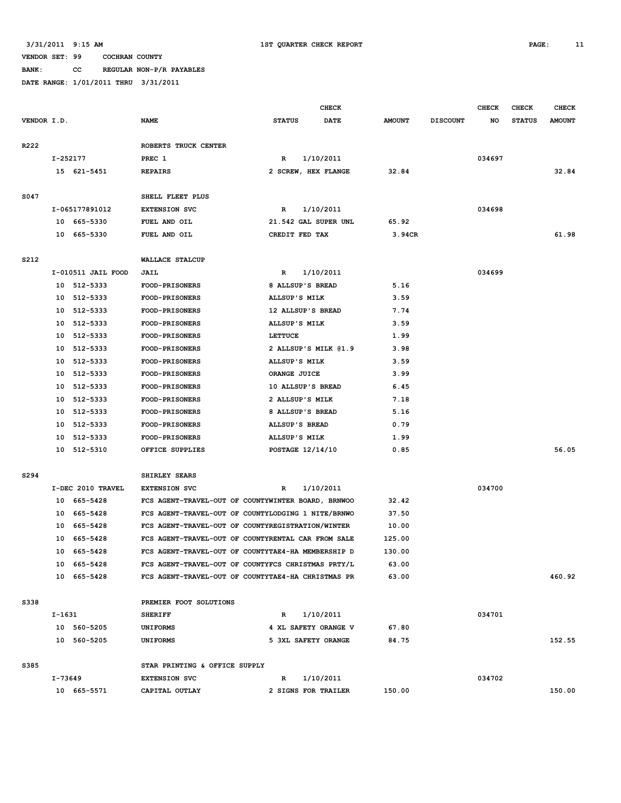**BANK: CC REGULAR NON-P/R PAYABLES**

|             | CHECK              |                                                    |                         | <b>CHECK</b><br><b>CHECK</b><br><b>CHECK</b> |               |                 |        |               |               |
|-------------|--------------------|----------------------------------------------------|-------------------------|----------------------------------------------|---------------|-----------------|--------|---------------|---------------|
| VENDOR I.D. |                    | <b>NAME</b>                                        | <b>STATUS</b>           | <b>DATE</b>                                  | <b>AMOUNT</b> | <b>DISCOUNT</b> | NO     | <b>STATUS</b> | <b>AMOUNT</b> |
|             |                    |                                                    |                         |                                              |               |                 |        |               |               |
| R222        |                    | ROBERTS TRUCK CENTER                               |                         |                                              |               |                 |        |               |               |
|             | I-252177           | PREC 1                                             | R                       | 1/10/2011                                    |               |                 | 034697 |               |               |
|             | 15 621-5451        | <b>REPAIRS</b>                                     | 2 SCREW, HEX FLANGE     |                                              | 32.84         |                 |        |               | 32.84         |
|             |                    |                                                    |                         |                                              |               |                 |        |               |               |
| S047        |                    | SHELL FLEET PLUS                                   |                         |                                              |               |                 |        |               |               |
|             | I-065177891012     | <b>EXTENSION SVC</b>                               | R                       | 1/10/2011                                    |               |                 | 034698 |               |               |
|             | 10 665-5330        | FUEL AND OIL                                       | 21.542 GAL SUPER UNL    |                                              | 65.92         |                 |        |               |               |
|             | 10 665-5330        | FUEL AND OIL                                       | CREDIT FED TAX          |                                              | 3.94CR        |                 |        |               | 61.98         |
|             |                    |                                                    |                         |                                              |               |                 |        |               |               |
| S212        |                    | WALLACE STALCUP                                    |                         |                                              |               |                 |        |               |               |
|             | I-010511 JAIL FOOD | JAIL                                               | R                       | 1/10/2011                                    |               |                 | 034699 |               |               |
|             | 10 512-5333        | FOOD-PRISONERS                                     | 8 ALLSUP'S BREAD        |                                              | 5.16          |                 |        |               |               |
|             | 10 512-5333        | <b>FOOD-PRISONERS</b>                              | ALLSUP'S MILK           |                                              | 3.59          |                 |        |               |               |
|             | 10 512-5333        | <b>FOOD-PRISONERS</b>                              | 12 ALLSUP'S BREAD       |                                              | 7.74          |                 |        |               |               |
|             | 10 512-5333        | FOOD-PRISONERS                                     | ALLSUP'S MILK           |                                              | 3.59          |                 |        |               |               |
|             | 10 512-5333        | FOOD-PRISONERS                                     | <b>LETTUCE</b>          |                                              | 1.99          |                 |        |               |               |
|             | 512-5333<br>10     | <b>FOOD-PRISONERS</b>                              | 2 ALLSUP'S MILK @1.9    |                                              | 3.98          |                 |        |               |               |
|             | 10 512-5333        | <b>FOOD-PRISONERS</b>                              | ALLSUP'S MILK           |                                              | 3.59          |                 |        |               |               |
|             | 10 512-5333        | FOOD-PRISONERS                                     | ORANGE JUICE            |                                              | 3.99          |                 |        |               |               |
|             | 10<br>512-5333     | <b>FOOD-PRISONERS</b>                              | 10 ALLSUP'S BREAD       |                                              | 6.45          |                 |        |               |               |
|             | 512-5333<br>10     | <b>FOOD-PRISONERS</b>                              | 2 ALLSUP'S MILK         |                                              | 7.18          |                 |        |               |               |
|             | 512-5333<br>10     | <b>FOOD-PRISONERS</b>                              | 8 ALLSUP'S BREAD        |                                              | 5.16          |                 |        |               |               |
|             | 512-5333<br>10     | <b>FOOD-PRISONERS</b>                              | ALLSUP'S BREAD          |                                              | 0.79          |                 |        |               |               |
|             | 512-5333<br>10     | <b>FOOD-PRISONERS</b>                              | ALLSUP'S MILK           |                                              | 1.99          |                 |        |               |               |
|             | 10 512-5310        | OFFICE SUPPLIES                                    | <b>POSTAGE 12/14/10</b> |                                              | 0.85          |                 |        |               | 56.05         |
|             |                    |                                                    |                         |                                              |               |                 |        |               |               |
| S294        |                    | SHIRLEY SEARS                                      |                         |                                              |               |                 |        |               |               |
|             | I-DEC 2010 TRAVEL  | <b>EXTENSION SVC</b>                               | R                       | 1/10/2011                                    |               |                 | 034700 |               |               |
|             | 665-5428<br>10     | FCS AGENT-TRAVEL-OUT OF COUNTYWINTER BOARD, BRNWOO |                         |                                              | 32.42         |                 |        |               |               |
|             | 665-5428<br>10     | FCS AGENT-TRAVEL-OUT OF COUNTYLODGING 1 NITE/BRNWO |                         |                                              | 37.50         |                 |        |               |               |
|             | 665-5428<br>10     | FCS AGENT-TRAVEL-OUT OF COUNTYREGISTRATION/WINTER  |                         |                                              | 10.00         |                 |        |               |               |
|             | 10<br>665-5428     | FCS AGENT-TRAVEL-OUT OF COUNTYRENTAL CAR FROM SALE |                         |                                              | 125.00        |                 |        |               |               |
|             | 665-5428<br>10     | FCS AGENT-TRAVEL-OUT OF COUNTYTAE4-HA MEMBERSHIP D |                         |                                              | 130.00        |                 |        |               |               |
|             | 10 665-5428        | FCS AGENT-TRAVEL-OUT OF COUNTYFCS CHRISTMAS PRTY/L |                         |                                              | 63.00         |                 |        |               |               |
|             | 10 665-5428        | FCS AGENT-TRAVEL-OUT OF COUNTYTAE4-HA CHRISTMAS PR |                         |                                              | 63.00         |                 |        |               | 460.92        |
|             |                    |                                                    |                         |                                              |               |                 |        |               |               |
| S338        |                    | PREMIER FOOT SOLUTIONS                             |                         |                                              |               |                 |        |               |               |
|             | I-1631             | <b>SHERIFF</b>                                     | R                       | 1/10/2011                                    |               |                 | 034701 |               |               |
|             | 10 560-5205        | <b>UNIFORMS</b>                                    | 4 XL SAFETY ORANGE V    |                                              | 67.80         |                 |        |               |               |
|             | 10 560-5205        | <b>UNIFORMS</b>                                    | 5 3XL SAFETY ORANGE     |                                              | 84.75         |                 |        |               | 152.55        |
|             |                    |                                                    |                         |                                              |               |                 |        |               |               |
| S385        |                    | STAR PRINTING & OFFICE SUPPLY                      |                         |                                              |               |                 |        |               |               |
|             | I-73649            | <b>EXTENSION SVC</b>                               | R                       | 1/10/2011                                    |               |                 | 034702 |               |               |
|             | 10 665-5571        | CAPITAL OUTLAY                                     | 2 SIGNS FOR TRAILER     |                                              | 150.00        |                 |        |               | 150.00        |
|             |                    |                                                    |                         |                                              |               |                 |        |               |               |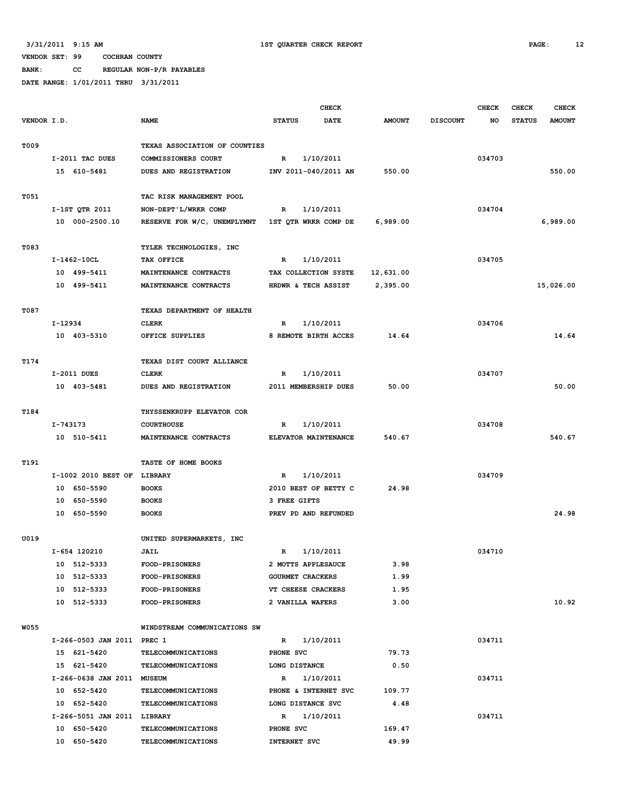**BANK: CC REGULAR NON-P/R PAYABLES**

|             |          |                             | <b>CHECK</b>                                     |                         |                      |               | <b>CHECK</b>    | <b>CHECK</b> | <b>CHECK</b>  |               |
|-------------|----------|-----------------------------|--------------------------------------------------|-------------------------|----------------------|---------------|-----------------|--------------|---------------|---------------|
| VENDOR I.D. |          |                             | <b>NAME</b>                                      | <b>STATUS</b>           | <b>DATE</b>          | <b>AMOUNT</b> | <b>DISCOUNT</b> | NO           | <b>STATUS</b> | <b>AMOUNT</b> |
|             |          |                             |                                                  |                         |                      |               |                 |              |               |               |
| <b>T009</b> |          |                             | TEXAS ASSOCIATION OF COUNTIES                    |                         |                      |               |                 |              |               |               |
|             |          | I-2011 TAC DUES             | COMMISSIONERS COURT                              | $\mathbb{R}$            | 1/10/2011            |               |                 | 034703       |               |               |
|             |          | 15 610-5481                 | DUES AND REGISTRATION                            |                         | INV 2011-040/2011 AN | 550.00        |                 |              |               | 550.00        |
|             |          |                             |                                                  |                         |                      |               |                 |              |               |               |
| T051        |          |                             | TAC RISK MANAGEMENT POOL                         |                         |                      |               |                 |              |               |               |
|             |          | I-1ST QTR 2011              | NON-DEPT'L/WRKR COMP                             | $\mathbb{R}$            | 1/10/2011            |               |                 | 034704       |               |               |
|             |          | 10 000-2500.10              | RESERVE FOR W/C, UNEMPLYMNT 1ST QTR WRKR COMP DE |                         |                      | 6,989.00      |                 |              |               | 6,989.00      |
|             |          |                             |                                                  |                         |                      |               |                 |              |               |               |
| T083        |          |                             | TYLER TECHNOLOGIES, INC                          |                         |                      |               |                 |              |               |               |
|             |          | I-1462-10CL                 | TAX OFFICE                                       | $\mathbb{R}$            | 1/10/2011            |               |                 | 034705       |               |               |
|             |          | 10 499-5411                 | MAINTENANCE CONTRACTS                            |                         | TAX COLLECTION SYSTE | 12,631.00     |                 |              |               |               |
|             |          | 10 499-5411                 | MAINTENANCE CONTRACTS                            |                         | HRDWR & TECH ASSIST  | 2,395.00      |                 |              |               | 15,026.00     |
| T087        |          |                             | TEXAS DEPARTMENT OF HEALTH                       |                         |                      |               |                 |              |               |               |
|             | I-12934  |                             | <b>CLERK</b>                                     | R                       | 1/10/2011            |               |                 | 034706       |               |               |
|             |          | 10 403-5310                 | OFFICE SUPPLIES                                  |                         | 8 REMOTE BIRTH ACCES | 14.64         |                 |              |               | 14.64         |
|             |          |                             |                                                  |                         |                      |               |                 |              |               |               |
| T174        |          |                             | TEXAS DIST COURT ALLIANCE                        |                         |                      |               |                 |              |               |               |
|             |          | I-2011 DUES                 | <b>CLERK</b>                                     | $\mathbb{R}$            | 1/10/2011            |               |                 | 034707       |               |               |
|             |          | 10 403-5481                 | DUES AND REGISTRATION                            |                         | 2011 MEMBERSHIP DUES | 50.00         |                 |              |               | 50.00         |
|             |          |                             |                                                  |                         |                      |               |                 |              |               |               |
| T184        |          |                             | THYSSENKRUPP ELEVATOR COR                        |                         |                      |               |                 |              |               |               |
|             | I-743173 |                             | <b>COURTHOUSE</b>                                | R                       | 1/10/2011            |               |                 | 034708       |               |               |
|             |          | 10 510-5411                 | MAINTENANCE CONTRACTS                            |                         | ELEVATOR MAINTENANCE | 540.67        |                 |              |               | 540.67        |
|             |          |                             |                                                  |                         |                      |               |                 |              |               |               |
| T191        |          |                             | TASTE OF HOME BOOKS                              |                         |                      |               |                 |              |               |               |
|             |          | I-1002 2010 BEST OF LIBRARY |                                                  | R                       | 1/10/2011            |               |                 | 034709       |               |               |
|             |          | 10 650-5590                 | <b>BOOKS</b>                                     |                         | 2010 BEST OF BETTY C | 24.98         |                 |              |               |               |
|             |          | 10 650-5590                 | <b>BOOKS</b>                                     | 3 FREE GIFTS            |                      |               |                 |              |               |               |
|             |          | 10 650-5590                 | <b>BOOKS</b>                                     |                         | PREV PD AND REFUNDED |               |                 |              |               | 24.98         |
|             |          |                             |                                                  |                         |                      |               |                 |              |               |               |
| U019        |          |                             | UNITED SUPERMARKETS, INC                         |                         |                      |               |                 |              |               |               |
|             |          | I-654 120210                | JAIL                                             | $\mathbb{R}$            | 1/10/2011            |               |                 | 034710       |               |               |
|             |          | 10 512-5333                 | <b>FOOD-PRISONERS</b>                            |                         | 2 MOTTS APPLESAUCE   | 3.98          |                 |              |               |               |
|             |          | 10 512-5333                 | <b>FOOD-PRISONERS</b>                            | <b>GOURMET CRACKERS</b> |                      | 1.99          |                 |              |               |               |
|             |          | 10 512-5333                 | <b>FOOD-PRISONERS</b>                            |                         | VT CHEESE CRACKERS   | 1.95          |                 |              |               |               |
|             |          | 10 512-5333                 | <b>FOOD-PRISONERS</b>                            | 2 VANILLA WAFERS        |                      | 3.00          |                 |              |               | 10.92         |
|             |          |                             |                                                  |                         |                      |               |                 |              |               |               |
| <b>W055</b> |          |                             | WINDSTREAM COMMUNICATIONS SW                     |                         |                      |               |                 |              |               |               |
|             |          | I-266-0503 JAN 2011 PREC 1  |                                                  |                         | R 1/10/2011          |               |                 | 034711       |               |               |
|             |          | 15 621-5420                 | TELECOMMUNICATIONS                               | PHONE SVC               |                      | 79.73         |                 |              |               |               |
|             |          | 15 621-5420                 | TELECOMMUNICATIONS                               | LONG DISTANCE           |                      | 0.50          |                 |              |               |               |
|             |          | I-266-0638 JAN 2011 MUSEUM  |                                                  |                         | R 1/10/2011          |               |                 | 034711       |               |               |
|             |          | 10 652-5420                 | TELECOMMUNICATIONS                               |                         | PHONE & INTERNET SVC | 109.77        |                 |              |               |               |
|             |          | 10 652-5420                 | TELECOMMUNICATIONS                               | LONG DISTANCE SVC       |                      | 4.48          |                 |              |               |               |
|             |          | I-266-5051 JAN 2011 LIBRARY |                                                  |                         | R 1/10/2011          |               |                 | 034711       |               |               |
|             |          | 10 650-5420                 | TELECOMMUNICATIONS                               | PHONE SVC               |                      | 169.47        |                 |              |               |               |
|             |          | 10 650-5420                 | TELECOMMUNICATIONS                               | INTERNET SVC            |                      | 49.99         |                 |              |               |               |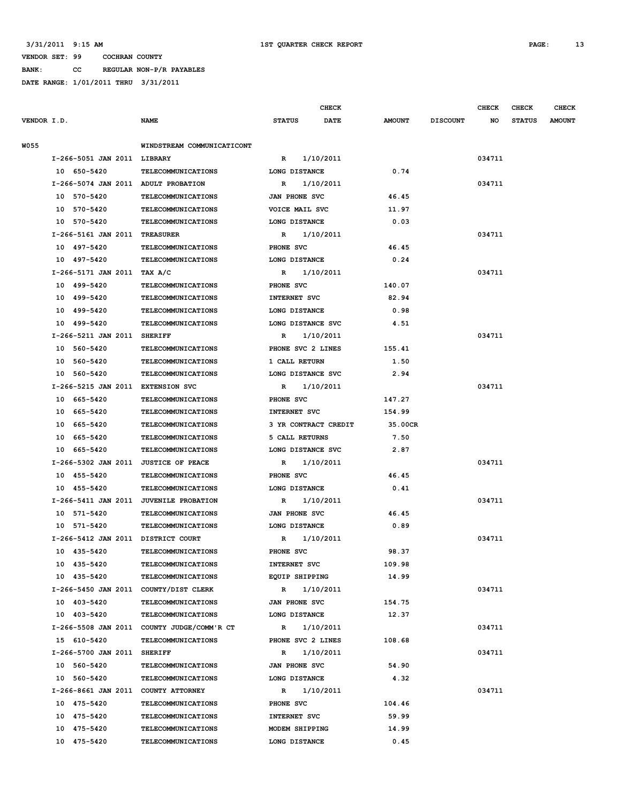**BANK: CC REGULAR NON-P/R PAYABLES DATE RANGE: 1/01/2011 THRU 3/31/2011**

|             |                                        |                                            |                      | <b>CHECK</b> |               |                 | <b>CHECK</b> | <b>CHECK</b>  | <b>CHECK</b>  |
|-------------|----------------------------------------|--------------------------------------------|----------------------|--------------|---------------|-----------------|--------------|---------------|---------------|
| VENDOR I.D. |                                        | <b>NAME</b>                                | <b>STATUS</b>        | <b>DATE</b>  | <b>AMOUNT</b> | <b>DISCOUNT</b> | NO           | <b>STATUS</b> | <b>AMOUNT</b> |
|             |                                        |                                            |                      |              |               |                 |              |               |               |
| <b>W055</b> |                                        | WINDSTREAM COMMUNICATICONT                 |                      |              |               |                 |              |               |               |
|             | I-266-5051 JAN 2011 LIBRARY            |                                            | R                    | 1/10/2011    |               |                 | 034711       |               |               |
|             | 10 650-5420                            | TELECOMMUNICATIONS                         | LONG DISTANCE        |              | 0.74          |                 |              |               |               |
|             | I-266-5074 JAN 2011 ADULT PROBATION    |                                            | R                    | 1/10/2011    |               |                 | 034711       |               |               |
|             | 10 570-5420                            | <b>TELECOMMUNICATIONS</b>                  | JAN PHONE SVC        |              | 46.45         |                 |              |               |               |
|             | 10 570-5420                            | TELECOMMUNICATIONS                         | VOICE MAIL SVC       |              | 11.97         |                 |              |               |               |
|             | 10 570-5420                            | <b>TELECOMMUNICATIONS</b>                  | LONG DISTANCE        |              | 0.03          |                 |              |               |               |
|             | I-266-5161 JAN 2011 TREASURER          |                                            | R                    | 1/10/2011    |               |                 | 034711       |               |               |
|             | 10 497-5420                            | <b>TELECOMMUNICATIONS</b>                  | PHONE SVC            |              | 46.45         |                 |              |               |               |
|             | 10 497-5420                            | <b>TELECOMMUNICATIONS</b>                  | LONG DISTANCE        |              | 0.24          |                 |              |               |               |
|             | I-266-5171 JAN 2011 TAX A/C            |                                            | R                    | 1/10/2011    |               |                 | 034711       |               |               |
|             | 10 499-5420                            | <b>TELECOMMUNICATIONS</b>                  | PHONE SVC            |              | 140.07        |                 |              |               |               |
|             | 499–5420<br>10                         | <b>TELECOMMUNICATIONS</b>                  | <b>INTERNET SVC</b>  |              | 82.94         |                 |              |               |               |
|             | 10<br>499-5420                         | TELECOMMUNICATIONS                         | LONG DISTANCE        |              | 0.98          |                 |              |               |               |
|             | 10 499-5420                            | TELECOMMUNICATIONS                         | LONG DISTANCE SVC    |              | 4.51          |                 |              |               |               |
|             | I-266-5211 JAN 2011 SHERIFF            |                                            | R                    | 1/10/2011    |               |                 | 034711       |               |               |
|             | 10 560-5420                            | <b>TELECOMMUNICATIONS</b>                  | PHONE SVC 2 LINES    |              | 155.41        |                 |              |               |               |
|             | 10 560-5420                            | <b>TELECOMMUNICATIONS</b>                  | 1 CALL RETURN        |              | 1.50          |                 |              |               |               |
|             | 10 560-5420                            | <b>TELECOMMUNICATIONS</b>                  | LONG DISTANCE SVC    |              | 2.94          |                 |              |               |               |
|             | I-266-5215 JAN 2011 EXTENSION SVC      |                                            | R                    | 1/10/2011    |               |                 | 034711       |               |               |
|             | 10 665-5420                            | <b>TELECOMMUNICATIONS</b>                  | PHONE SVC            |              | 147.27        |                 |              |               |               |
|             | 10 665-5420                            | <b>TELECOMMUNICATIONS</b>                  | <b>INTERNET SVC</b>  |              | 154.99        |                 |              |               |               |
|             | 10 665-5420                            | <b>TELECOMMUNICATIONS</b>                  | 3 YR CONTRACT CREDIT |              | 35.00CR       |                 |              |               |               |
|             | 10 665-5420                            | <b>TELECOMMUNICATIONS</b>                  | 5 CALL RETURNS       |              | 7.50          |                 |              |               |               |
|             | 665-5420<br>10                         | <b>TELECOMMUNICATIONS</b>                  | LONG DISTANCE SVC    |              | 2.87          |                 |              |               |               |
|             | I-266-5302 JAN 2011 JUSTICE OF PEACE   |                                            | R                    | 1/10/2011    |               |                 | 034711       |               |               |
|             | 10 455-5420                            | <b>TELECOMMUNICATIONS</b>                  | PHONE SVC            |              | 46.45         |                 |              |               |               |
|             | 10 455-5420                            | <b>TELECOMMUNICATIONS</b>                  | LONG DISTANCE        |              | 0.41          |                 |              |               |               |
|             | I-266-5411 JAN 2011 JUVENILE PROBATION |                                            | R                    | 1/10/2011    |               |                 | 034711       |               |               |
|             | 10 571-5420                            | TELECOMMUNICATIONS                         | JAN PHONE SVC        |              | 46.45         |                 |              |               |               |
|             | 10 571-5420                            | <b>TELECOMMUNICATIONS</b>                  | LONG DISTANCE        |              | 0.89          |                 |              |               |               |
|             | I-266-5412 JAN 2011 DISTRICT COURT     |                                            | R                    | 1/10/2011    |               |                 | 034711       |               |               |
|             | 10 435-5420                            | <b>TELECOMMUNICATIONS</b>                  | PHONE SVC            |              | 98.37         |                 |              |               |               |
|             | 10 435-5420                            | <b>TELECOMMUNICATIONS</b>                  | INTERNET SVC         |              | 109.98        |                 |              |               |               |
|             | 10 435-5420                            | <b>TELECOMMUNICATIONS</b>                  | EQUIP SHIPPING       |              | 14.99         |                 |              |               |               |
|             | I-266-5450 JAN 2011 COUNTY/DIST CLERK  |                                            |                      | R 1/10/2011  |               |                 | 034711       |               |               |
|             | 10 403-5420                            | <b>TELECOMMUNICATIONS</b>                  | JAN PHONE SVC        |              | 154.75        |                 |              |               |               |
|             | 10 403-5420                            | <b>TELECOMMUNICATIONS</b>                  | LONG DISTANCE        |              | 12.37         |                 |              |               |               |
|             |                                        | I-266-5508 JAN 2011 COUNTY JUDGE/COMM'R CT | $\mathbb{R}$         | 1/10/2011    |               |                 | 034711       |               |               |
|             | 15 610-5420                            | TELECOMMUNICATIONS                         | PHONE SVC 2 LINES    |              | 108.68        |                 |              |               |               |
|             | I-266-5700 JAN 2011 SHERIFF            |                                            | R                    | 1/10/2011    |               |                 | 034711       |               |               |
|             | 10 560-5420                            | <b>TELECOMMUNICATIONS</b>                  | JAN PHONE SVC        |              | 54.90         |                 |              |               |               |
|             | 10 560-5420                            | <b>TELECOMMUNICATIONS</b>                  | LONG DISTANCE        |              | 4.32          |                 |              |               |               |
|             | I-266-8661 JAN 2011 COUNTY ATTORNEY    |                                            | R                    | 1/10/2011    |               |                 | 034711       |               |               |
|             | 10 475-5420                            | <b>TELECOMMUNICATIONS</b>                  | PHONE SVC            |              | 104.46        |                 |              |               |               |
|             | 10 475-5420                            | <b>TELECOMMUNICATIONS</b>                  | INTERNET SVC         |              | 59.99         |                 |              |               |               |
|             | 10 475-5420                            | TELECOMMUNICATIONS                         | MODEM SHIPPING       |              | 14.99         |                 |              |               |               |
|             | 10 475-5420                            | <b>TELECOMMUNICATIONS</b>                  | LONG DISTANCE        |              | 0.45          |                 |              |               |               |
|             |                                        |                                            |                      |              |               |                 |              |               |               |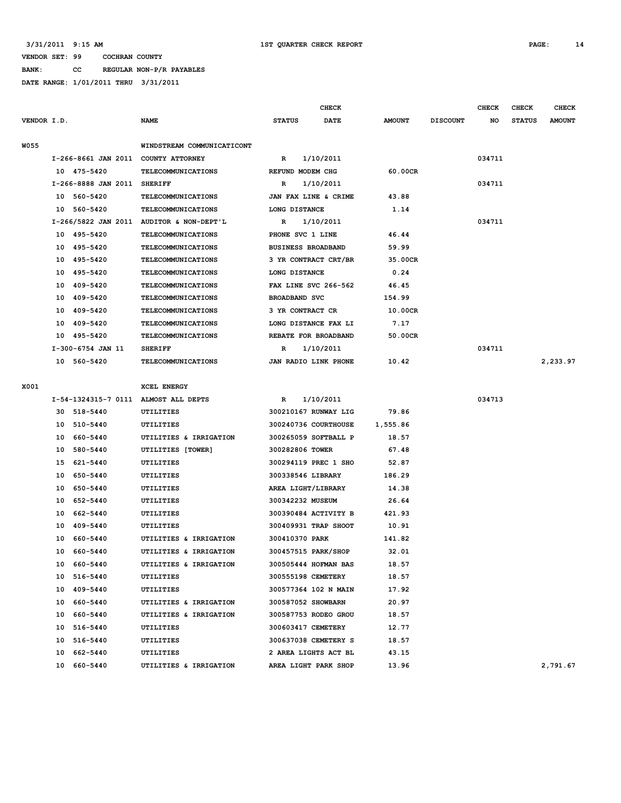#### **VENDOR SET: 99 COCHRAN COUNTY BANK: CC REGULAR NON-P/R PAYABLES**

**DATE RANGE: 1/01/2011 THRU 3/31/2011**

|             |             |                             |                                          |                           |           | <b>CHECK</b>         |               |                 | <b>CHECK</b> | <b>CHECK</b>  | <b>CHECK</b>  |
|-------------|-------------|-----------------------------|------------------------------------------|---------------------------|-----------|----------------------|---------------|-----------------|--------------|---------------|---------------|
| VENDOR I.D. |             |                             | <b>NAME</b>                              | <b>STATUS</b>             |           | DATE                 | <b>AMOUNT</b> | <b>DISCOUNT</b> | NO           | <b>STATUS</b> | <b>AMOUNT</b> |
|             |             |                             |                                          |                           |           |                      |               |                 |              |               |               |
| <b>W055</b> |             |                             | WINDSTREAM COMMUNICATICONT               |                           |           |                      |               |                 |              |               |               |
|             |             |                             | I-266-8661 JAN 2011 COUNTY ATTORNEY      | $\mathbb{R}$              | 1/10/2011 |                      |               |                 | 034711       |               |               |
|             |             | 10 475-5420                 | TELECOMMUNICATIONS                       | REFUND MODEM CHG          |           |                      | 60.00CR       |                 |              |               |               |
|             |             | I-266-8888 JAN 2011 SHERIFF |                                          | $\mathbb{R}$              | 1/10/2011 |                      |               |                 | 034711       |               |               |
|             |             | 10 560-5420                 | TELECOMMUNICATIONS                       |                           |           | JAN FAX LINE & CRIME | 43.88         |                 |              |               |               |
|             |             | 10 560-5420                 | TELECOMMUNICATIONS                       | LONG DISTANCE             |           |                      | 1.14          |                 |              |               |               |
|             |             |                             | I-266/5822 JAN 2011 AUDITOR & NON-DEPT'L | R                         | 1/10/2011 |                      |               |                 | 034711       |               |               |
|             | 10 495-5420 |                             | <b>TELECOMMUNICATIONS</b>                | PHONE SVC 1 LINE          |           |                      | 46.44         |                 |              |               |               |
|             |             | 10 495-5420                 | <b>TELECOMMUNICATIONS</b>                | <b>BUSINESS BROADBAND</b> |           |                      | 59.99         |                 |              |               |               |
|             | 10 495-5420 |                             | <b>TELECOMMUNICATIONS</b>                |                           |           | 3 YR CONTRACT CRT/BR | 35.00CR       |                 |              |               |               |
|             |             | 10 495-5420                 | <b>TELECOMMUNICATIONS</b>                | LONG DISTANCE             |           |                      | 0.24          |                 |              |               |               |
|             |             | 10 409-5420                 | TELECOMMUNICATIONS                       |                           |           | FAX LINE SVC 266-562 | 46.45         |                 |              |               |               |
|             | 10 409-5420 |                             | <b>TELECOMMUNICATIONS</b>                | <b>BROADBAND SVC</b>      |           |                      | 154.99        |                 |              |               |               |
|             |             | 10 409-5420                 | TELECOMMUNICATIONS                       | 3 YR CONTRACT CR          |           |                      | 10.00CR       |                 |              |               |               |
|             |             | 10 409-5420                 | TELECOMMUNICATIONS                       |                           |           | LONG DISTANCE FAX LI | 7.17          |                 |              |               |               |
|             | 10          | 495-5420                    | <b>TELECOMMUNICATIONS</b>                |                           |           | REBATE FOR BROADBAND | 50.00CR       |                 |              |               |               |
|             |             | I-300-6754 JAN 11           | <b>SHERIFF</b>                           | $\mathbb{R}$              | 1/10/2011 |                      |               |                 | 034711       |               |               |
|             |             | 10 560-5420                 | TELECOMMUNICATIONS                       |                           |           | JAN RADIO LINK PHONE | 10.42         |                 |              |               | 2,233.97      |
|             |             |                             |                                          |                           |           |                      |               |                 |              |               |               |
| X001        |             |                             | <b>XCEL ENERGY</b>                       |                           |           |                      |               |                 |              |               |               |
|             |             |                             | I-54-1324315-7 0111 ALMOST ALL DEPTS     | R                         | 1/10/2011 |                      |               |                 | 034713       |               |               |
|             |             | 30 518-5440                 | <b>UTILITIES</b>                         |                           |           | 300210167 RUNWAY LIG | 79.86         |                 |              |               |               |
|             |             | 10 510-5440                 | <b>UTILITIES</b>                         |                           |           | 300240736 COURTHOUSE | 1,555.86      |                 |              |               |               |
|             |             | 10 660-5440                 | UTILITIES & IRRIGATION                   |                           |           | 300265059 SOFTBALL P | 18.57         |                 |              |               |               |
|             |             | 10 580-5440                 | UTILITIES [TOWER]                        | 300282806 TOWER           |           |                      | 67.48         |                 |              |               |               |
|             |             | 15 621-5440                 | <b>UTILITIES</b>                         |                           |           | 300294119 PREC 1 SHO | 52.87         |                 |              |               |               |
|             | 10          | 650-5440                    | UTILITIES                                | 300338546 LIBRARY         |           |                      | 186.29        |                 |              |               |               |
|             | 10          | 650-5440                    | UTILITIES                                | AREA LIGHT/LIBRARY        |           |                      | 14.38         |                 |              |               |               |
|             | 10          | 652-5440                    | <b>UTILITIES</b>                         | 300342232 MUSEUM          |           |                      | 26.64         |                 |              |               |               |
|             | 10          | 662-5440                    | UTILITIES                                |                           |           | 300390484 ACTIVITY B | 421.93        |                 |              |               |               |
|             | 10          | 409-5440                    | UTILITIES                                |                           |           | 300409931 TRAP SHOOT | 10.91         |                 |              |               |               |
|             |             | 10 660-5440                 | UTILITIES & IRRIGATION                   | 300410370 PARK            |           |                      | 141.82        |                 |              |               |               |
|             | 10          | 660-5440                    | UTILITIES & IRRIGATION                   |                           |           | 300457515 PARK/SHOP  | 32.01         |                 |              |               |               |
|             | 10          | 660-5440                    | UTILITIES & IRRIGATION                   |                           |           | 300505444 HOFMAN BAS | 18.57         |                 |              |               |               |
|             |             | 10 516-5440                 | <b>UTILITIES</b>                         | 300555198 CEMETERY        |           |                      | 18.57         |                 |              |               |               |
|             | 10          | 409-5440                    | <b>UTILITIES</b>                         |                           |           | 300577364 102 N MAIN | 17.92         |                 |              |               |               |
|             | 10          | 660-5440                    | UTILITIES & IRRIGATION                   | 300587052 SHOWBARN        |           |                      | 20.97         |                 |              |               |               |
|             | 10          | 660-5440                    | UTILITIES & IRRIGATION                   |                           |           | 300587753 RODEO GROU | 18.57         |                 |              |               |               |

 **10 516-5440 UTILITIES 300603417 CEMETERY 12.77 10 516-5440 UTILITIES 300637038 CEMETERY S 18.57**

 **10 662-5440 UTILITIES 2 AREA LIGHTS ACT BL 43.15**

 **10 660-5440 UTILITIES & IRRIGATION AREA LIGHT PARK SHOP 13.96 2,791.67**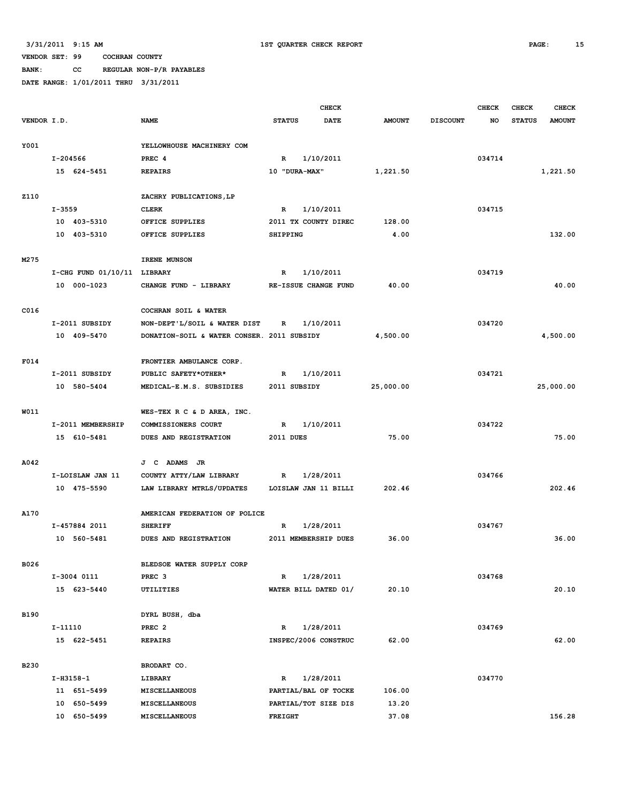**BANK: CC REGULAR NON-P/R PAYABLES**

|             |                             | <b>CHECK</b>                               |                              |               |                 |        | <b>CHECK</b>  | <b>CHECK</b>  |
|-------------|-----------------------------|--------------------------------------------|------------------------------|---------------|-----------------|--------|---------------|---------------|
| VENDOR I.D. |                             | <b>NAME</b>                                | <b>STATUS</b><br><b>DATE</b> | <b>AMOUNT</b> | <b>DISCOUNT</b> | NO     | <b>STATUS</b> | <b>AMOUNT</b> |
|             |                             |                                            |                              |               |                 |        |               |               |
| Y001        |                             | YELLOWHOUSE MACHINERY COM                  |                              |               |                 |        |               |               |
|             | I-204566                    | PREC 4                                     | 1/10/2011<br>$\mathbb{R}$    |               |                 | 034714 |               |               |
|             | 15 624-5451                 | <b>REPAIRS</b>                             | 10 "DURA-MAX"                | 1,221.50      |                 |        |               | 1,221.50      |
|             |                             |                                            |                              |               |                 |        |               |               |
| <b>Z110</b> |                             | ZACHRY PUBLICATIONS, LP                    |                              |               |                 |        |               |               |
|             | $I - 3559$                  | <b>CLERK</b>                               | 1/10/2011<br>R               |               |                 | 034715 |               |               |
|             | 10 403-5310                 | OFFICE SUPPLIES                            | 2011 TX COUNTY DIREC         | 128.00        |                 |        |               |               |
|             | 10 403-5310                 | OFFICE SUPPLIES                            | SHIPPING                     | 4.00          |                 |        |               | 132.00        |
|             |                             |                                            |                              |               |                 |        |               |               |
| M275        |                             | IRENE MUNSON                               |                              |               |                 |        |               |               |
|             | I-CHG FUND 01/10/11 LIBRARY |                                            | 1/10/2011<br>R               |               |                 | 034719 |               |               |
|             | 10 000-1023                 | CHANGE FUND - LIBRARY                      | RE-ISSUE CHANGE FUND         | 40.00         |                 |        |               | 40.00         |
|             |                             |                                            |                              |               |                 |        |               |               |
| C016        |                             | COCHRAN SOIL & WATER                       |                              |               |                 |        |               |               |
|             | I-2011 SUBSIDY              | NON-DEPT'L/SOIL & WATER DIST               | 1/10/2011<br>R               |               |                 | 034720 |               |               |
|             | 10 409-5470                 | DONATION-SOIL & WATER CONSER. 2011 SUBSIDY |                              | 4,500.00      |                 |        |               | 4,500.00      |
|             |                             |                                            |                              |               |                 |        |               |               |
| F014        |                             | FRONTIER AMBULANCE CORP.                   |                              |               |                 |        |               |               |
|             | I-2011 SUBSIDY              | PUBLIC SAFETY*OTHER*                       | 1/10/2011<br>$\mathbb{R}$    |               |                 | 034721 |               |               |
|             | 10 580-5404                 | MEDICAL-E.M.S. SUBSIDIES                   | 2011 SUBSIDY                 | 25,000.00     |                 |        |               | 25,000.00     |
|             |                             |                                            |                              |               |                 |        |               |               |
| W011        |                             | WES-TEX R C & D AREA, INC.                 |                              |               |                 |        |               |               |
|             | I-2011 MEMBERSHIP           | COMMISSIONERS COURT                        | 1/10/2011<br>R               |               |                 | 034722 |               |               |
|             | 15 610-5481                 | DUES AND REGISTRATION                      | <b>2011 DUES</b>             | 75.00         |                 |        |               | 75.00         |
|             |                             |                                            |                              |               |                 |        |               |               |
| A042        |                             | J C ADAMS JR                               |                              |               |                 |        |               |               |
|             | I-LOISLAW JAN 11            | COUNTY ATTY/LAW LIBRARY                    | $\mathbb{R}$<br>1/28/2011    |               |                 | 034766 |               |               |
|             | 10 475-5590                 | LAW LIBRARY MTRLS/UPDATES                  | LOISLAW JAN 11 BILLI         | 202.46        |                 |        |               | 202.46        |
|             |                             |                                            |                              |               |                 |        |               |               |
| A170        |                             | AMERICAN FEDERATION OF POLICE              |                              |               |                 |        |               |               |
|             | I-457884 2011               | <b>SHERIFF</b>                             | 1/28/2011<br>R               |               |                 | 034767 |               |               |
|             | 10 560-5481                 | DUES AND REGISTRATION                      | 2011 MEMBERSHIP DUES         | 36.00         |                 |        |               | 36.00         |
|             |                             |                                            |                              |               |                 |        |               |               |
| B026        |                             | BLEDSOE WATER SUPPLY CORP                  |                              |               |                 |        |               |               |
|             | I-3004 0111                 | PREC <sub>3</sub>                          | 1/28/2011<br>$\mathbb{R}$    |               |                 | 034768 |               |               |
|             | 15 623-5440                 | UTILITIES                                  | WATER BILL DATED 01/         | 20.10         |                 |        |               | 20.10         |
|             |                             |                                            |                              |               |                 |        |               |               |
| <b>B190</b> |                             | DYRL BUSH, dba                             |                              |               |                 |        |               |               |
|             | $I-11110$                   | PREC <sub>2</sub>                          | 1/28/2011<br>R               |               |                 | 034769 |               |               |
|             | 15 622-5451                 | <b>REPAIRS</b>                             | INSPEC/2006 CONSTRUC         | 62.00         |                 |        |               | 62.00         |
|             |                             |                                            |                              |               |                 |        |               |               |
| <b>B230</b> |                             | BRODART CO.                                |                              |               |                 |        |               |               |
|             | $I-H3158-1$                 | LIBRARY                                    | 1/28/2011<br>$\mathbb{R}$    |               |                 | 034770 |               |               |
|             | 11 651-5499                 | MISCELLANEOUS                              | PARTIAL/BAL OF TOCKE         | 106.00        |                 |        |               |               |
|             | 10 650-5499                 | MISCELLANEOUS                              | PARTIAL/TOT SIZE DIS         | 13.20         |                 |        |               |               |
|             | 10 650-5499                 | MISCELLANEOUS                              | <b>FREIGHT</b>               | 37.08         |                 |        |               | 156.28        |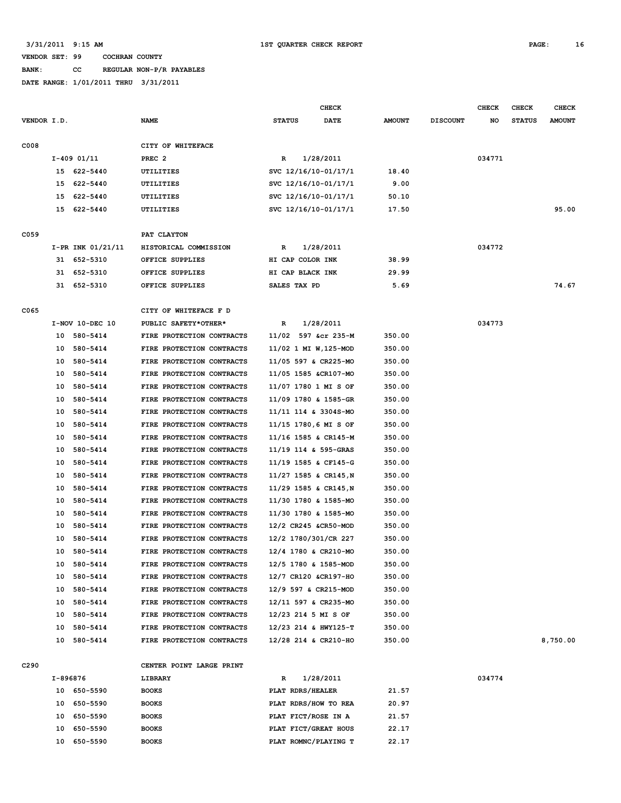# **BANK: CC REGULAR NON-P/R PAYABLES**

|                  |          |                   |                           |                       | <b>CHECK</b> |               |                 | <b>CHECK</b> | CHECK         | <b>CHECK</b>  |
|------------------|----------|-------------------|---------------------------|-----------------------|--------------|---------------|-----------------|--------------|---------------|---------------|
| VENDOR I.D.      |          |                   | <b>NAME</b>               | <b>STATUS</b>         | DATE         | <b>AMOUNT</b> | <b>DISCOUNT</b> | NO           | <b>STATUS</b> | <b>AMOUNT</b> |
| C008             |          |                   | CITY OF WHITEFACE         |                       |              |               |                 |              |               |               |
|                  |          | $I-409$ 01/11     | PREC <sub>2</sub>         | R                     | 1/28/2011    |               |                 | 034771       |               |               |
|                  | 15       | 622-5440          | UTILITIES                 | SVC 12/16/10-01/17/1  |              | 18.40         |                 |              |               |               |
|                  | 15       | 622-5440          | UTILITIES                 | SVC 12/16/10-01/17/1  |              | 9.00          |                 |              |               |               |
|                  | 15       | 622-5440          | UTILITIES                 | SVC 12/16/10-01/17/1  |              | 50.10         |                 |              |               |               |
|                  |          | 15 622-5440       | UTILITIES                 | SVC 12/16/10-01/17/1  |              | 17.50         |                 |              |               | 95.00         |
|                  |          |                   |                           |                       |              |               |                 |              |               |               |
| C059             |          |                   | PAT CLAYTON               |                       |              |               |                 |              |               |               |
|                  |          | I-PR INK 01/21/11 | HISTORICAL COMMISSION     | R                     | 1/28/2011    |               |                 | 034772       |               |               |
|                  |          | 31 652-5310       | OFFICE SUPPLIES           | HI CAP COLOR INK      |              | 38.99         |                 |              |               |               |
|                  |          | 31 652-5310       | OFFICE SUPPLIES           | HI CAP BLACK INK      |              | 29.99         |                 |              |               |               |
|                  |          | 31 652-5310       | OFFICE SUPPLIES           | SALES TAX PD          |              | 5.69          |                 |              |               | 74.67         |
| C065             |          |                   | CITY OF WHITEFACE F D     |                       |              |               |                 |              |               |               |
|                  |          | I-NOV 10-DEC 10   | PUBLIC SAFETY*OTHER*      | R                     | 1/28/2011    |               |                 | 034773       |               |               |
|                  | 10       | 580-5414          | FIRE PROTECTION CONTRACTS | 11/02 597 &cr 235-M   |              | 350.00        |                 |              |               |               |
|                  | 10       | 580-5414          | FIRE PROTECTION CONTRACTS | 11/02 1 MI W, 125-MOD |              | 350.00        |                 |              |               |               |
|                  | 10       | 580-5414          | FIRE PROTECTION CONTRACTS | 11/05 597 & CR225-MO  |              | 350.00        |                 |              |               |               |
|                  | 10       | 580-5414          | FIRE PROTECTION CONTRACTS | 11/05 1585 &CR107-MO  |              | 350.00        |                 |              |               |               |
|                  | 10       | 580-5414          | FIRE PROTECTION CONTRACTS | 11/07 1780 1 MI S OF  |              | 350.00        |                 |              |               |               |
|                  | 10       | 580-5414          | FIRE PROTECTION CONTRACTS | 11/09 1780 & 1585-GR  |              | 350.00        |                 |              |               |               |
|                  | 10       | 580-5414          | FIRE PROTECTION CONTRACTS | 11/11 114 & 3304S-MO  |              | 350.00        |                 |              |               |               |
|                  | 10       | 580-5414          | FIRE PROTECTION CONTRACTS | 11/15 1780,6 MI S OF  |              | 350.00        |                 |              |               |               |
|                  | 10       | 580-5414          | FIRE PROTECTION CONTRACTS | 11/16 1585 & CR145-M  |              | 350.00        |                 |              |               |               |
|                  | 10       | 580-5414          | FIRE PROTECTION CONTRACTS | 11/19 114 & 595-GRAS  |              | 350.00        |                 |              |               |               |
|                  | 10       | 580-5414          | FIRE PROTECTION CONTRACTS | 11/19 1585 & CF145-G  |              | 350.00        |                 |              |               |               |
|                  | 10       | 580-5414          | FIRE PROTECTION CONTRACTS | 11/27 1585 & CR145, N |              | 350.00        |                 |              |               |               |
|                  | 10       | 580-5414          | FIRE PROTECTION CONTRACTS | 11/29 1585 & CR145, N |              | 350.00        |                 |              |               |               |
|                  | 10       | 580-5414          | FIRE PROTECTION CONTRACTS | 11/30 1780 & 1585-MO  |              | 350.00        |                 |              |               |               |
|                  | 10       | 580-5414          | FIRE PROTECTION CONTRACTS | 11/30 1780 & 1585-MO  |              | 350.00        |                 |              |               |               |
|                  | 10       | 580-5414          | FIRE PROTECTION CONTRACTS | 12/2 CR245 &CR50-MOD  |              | 350.00        |                 |              |               |               |
|                  | 10       | 580-5414          | FIRE PROTECTION CONTRACTS | 12/2 1780/301/CR 227  |              | 350.00        |                 |              |               |               |
|                  |          | 10 580-5414       | FIRE PROTECTION CONTRACTS | 12/4 1780 & CR210-MO  |              | 350.00        |                 |              |               |               |
|                  |          | 10 580-5414       | FIRE PROTECTION CONTRACTS | 12/5 1780 & 1585-MOD  |              | 350.00        |                 |              |               |               |
|                  |          | 10 580-5414       | FIRE PROTECTION CONTRACTS | 12/7 CR120 &CR197-HO  |              | 350.00        |                 |              |               |               |
|                  | 10       | 580-5414          | FIRE PROTECTION CONTRACTS | 12/9 597 & CR215-MOD  |              | 350.00        |                 |              |               |               |
|                  |          | 10 580-5414       | FIRE PROTECTION CONTRACTS | 12/11 597 & CR235-MO  |              | 350.00        |                 |              |               |               |
|                  |          |                   |                           |                       |              |               |                 |              |               |               |
|                  |          | 10 580-5414       | FIRE PROTECTION CONTRACTS | 12/23 214 5 MI S OF   |              | 350.00        |                 |              |               |               |
|                  |          | 10 580-5414       | FIRE PROTECTION CONTRACTS | 12/23 214 & HWY125-T  |              | 350.00        |                 |              |               |               |
|                  |          | 10 580-5414       | FIRE PROTECTION CONTRACTS | 12/28 214 & CR210-HO  |              | 350.00        |                 |              |               | 8,750.00      |
| C <sub>290</sub> |          |                   | CENTER POINT LARGE PRINT  |                       |              |               |                 |              |               |               |
|                  | I-896876 |                   | LIBRARY                   | R                     | 1/28/2011    |               |                 | 034774       |               |               |
|                  |          | 10 650-5590       | <b>BOOKS</b>              | PLAT RDRS/HEALER      |              | 21.57         |                 |              |               |               |
|                  |          | 10 650-5590       | <b>BOOKS</b>              | PLAT RDRS/HOW TO REA  |              | 20.97         |                 |              |               |               |
|                  |          | 10 650-5590       | <b>BOOKS</b>              | PLAT FICT/ROSE IN A   |              | 21.57         |                 |              |               |               |
|                  | 10       | 650-5590          | <b>BOOKS</b>              | PLAT FICT/GREAT HOUS  |              | 22.17         |                 |              |               |               |
|                  | 10       | 650-5590          | <b>BOOKS</b>              | PLAT ROMNC/PLAYING T  |              | 22.17         |                 |              |               |               |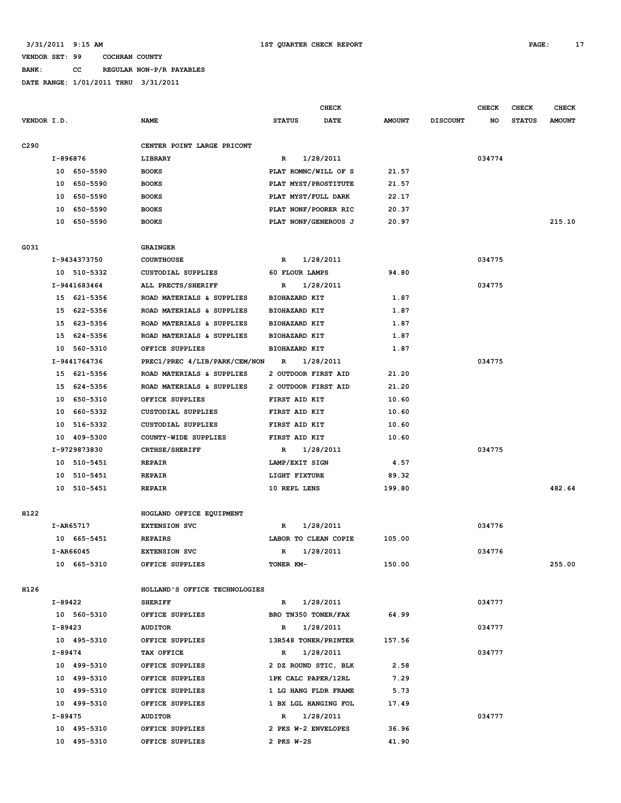# **BANK: CC REGULAR NON-P/R PAYABLES**

|                  |           |              |                               |               |                      | <b>CHECK</b>         |               |                 | <b>CHECK</b> | CHECK         | <b>CHECK</b>  |
|------------------|-----------|--------------|-------------------------------|---------------|----------------------|----------------------|---------------|-----------------|--------------|---------------|---------------|
| VENDOR I.D.      |           |              | <b>NAME</b>                   | <b>STATUS</b> |                      | DATE                 | <b>AMOUNT</b> | <b>DISCOUNT</b> | NO           | <b>STATUS</b> | <b>AMOUNT</b> |
| C <sub>290</sub> |           |              | CENTER POINT LARGE PRICONT    |               |                      |                      |               |                 |              |               |               |
|                  | I-896876  |              | LIBRARY                       | $\mathbb{R}$  |                      | 1/28/2011            |               |                 | 034774       |               |               |
|                  |           | 10 650-5590  | <b>BOOKS</b>                  |               |                      | PLAT ROMNC/WILL OF S | 21.57         |                 |              |               |               |
|                  | 10        | 650-5590     | <b>BOOKS</b>                  |               |                      | PLAT MYST/PROSTITUTE | 21.57         |                 |              |               |               |
|                  | 10        | 650-5590     | <b>BOOKS</b>                  |               |                      | PLAT MYST/FULL DARK  | 22.17         |                 |              |               |               |
|                  | 10        | 650-5590     | <b>BOOKS</b>                  |               |                      | PLAT NONF/POORER RIC | 20.37         |                 |              |               |               |
|                  | 10        | 650-5590     | <b>BOOKS</b>                  |               |                      | PLAT NONF/GENEROUS J | 20.97         |                 |              |               | 215.10        |
| G031             |           |              | <b>GRAINGER</b>               |               |                      |                      |               |                 |              |               |               |
|                  |           | I-9434373750 | <b>COURTHOUSE</b>             | $\mathbb{R}$  |                      | 1/28/2011            |               |                 | 034775       |               |               |
|                  |           | 10 510-5332  | CUSTODIAL SUPPLIES            |               | 60 FLOUR LAMPS       |                      | 94.80         |                 |              |               |               |
|                  |           | I-9441683464 | ALL PRECTS/SHERIFF            | R             |                      | 1/28/2011            |               |                 | 034775       |               |               |
|                  |           | 15 621-5356  | ROAD MATERIALS & SUPPLIES     |               | <b>BIOHAZARD KIT</b> |                      | 1.87          |                 |              |               |               |
|                  |           | 15 622-5356  | ROAD MATERIALS & SUPPLIES     |               | <b>BIOHAZARD KIT</b> |                      | 1.87          |                 |              |               |               |
|                  | 15        | 623-5356     | ROAD MATERIALS & SUPPLIES     |               | <b>BIOHAZARD KIT</b> |                      | 1.87          |                 |              |               |               |
|                  | 15        | 624-5356     | ROAD MATERIALS & SUPPLIES     |               | <b>BIOHAZARD KIT</b> |                      | 1.87          |                 |              |               |               |
|                  | 10        | 560-5310     | OFFICE SUPPLIES               |               | <b>BIOHAZARD KIT</b> |                      | 1.87          |                 |              |               |               |
|                  |           | I-9441764736 | PREC1/PREC 4/LIB/PARK/CEM/NON | R             |                      | 1/28/2011            |               |                 | 034775       |               |               |
|                  | 15        | 621-5356     | ROAD MATERIALS & SUPPLIES     |               |                      | 2 OUTDOOR FIRST AID  | 21.20         |                 |              |               |               |
|                  | 15        | 624-5356     | ROAD MATERIALS & SUPPLIES     |               |                      | 2 OUTDOOR FIRST AID  | 21.20         |                 |              |               |               |
|                  | 10        | 650-5310     | OFFICE SUPPLIES               |               | FIRST AID KIT        |                      | 10.60         |                 |              |               |               |
|                  | 10        | 660-5332     | <b>CUSTODIAL SUPPLIES</b>     |               | FIRST AID KIT        |                      | 10.60         |                 |              |               |               |
|                  | 10        | 516-5332     | CUSTODIAL SUPPLIES            |               | FIRST AID KIT        |                      | 10.60         |                 |              |               |               |
|                  | 10        | 409-5300     | COUNTY-WIDE SUPPLIES          |               | FIRST AID KIT        |                      | 10.60         |                 |              |               |               |
|                  |           | I-9729873830 | CRTHSE/SHERIFF                | R             |                      | 1/28/2011            |               |                 | 034775       |               |               |
|                  |           | 10 510-5451  | REPAIR                        |               | LAMP/EXIT SIGN       |                      | 4.57          |                 |              |               |               |
|                  | 10        | 510-5451     | <b>REPAIR</b>                 |               | LIGHT FIXTURE        |                      | 89.32         |                 |              |               |               |
|                  |           | 10 510-5451  | <b>REPAIR</b>                 |               | 10 REPL LENS         |                      | 199.80        |                 |              |               | 482.64        |
| H122             |           |              | HOGLAND OFFICE EQUIPMENT      |               |                      |                      |               |                 |              |               |               |
|                  |           | I-AR65717    | <b>EXTENSION SVC</b>          | R             |                      | 1/28/2011            |               |                 | 034776       |               |               |
|                  |           | 10 665-5451  | <b>REPAIRS</b>                |               |                      | LABOR TO CLEAN COPIE | 105.00        |                 |              |               |               |
|                  |           | I-AR66045    | <b>EXTENSION SVC</b>          | $\mathbb{R}$  |                      | 1/28/2011            |               |                 | 034776       |               |               |
|                  |           | 10 665-5310  | OFFICE SUPPLIES               |               | TONER KM-            |                      | 150.00        |                 |              |               | 255.00        |
|                  |           |              |                               |               |                      |                      |               |                 |              |               |               |
| H126             |           |              | HOLLAND'S OFFICE TECHNOLOGIES |               |                      |                      |               |                 |              |               |               |
|                  | I-89422   |              | <b>SHERIFF</b>                | $\mathbb{R}$  |                      | 1/28/2011            |               |                 | 034777       |               |               |
|                  |           | 10 560-5310  | OFFICE SUPPLIES               |               |                      | BRO TN350 TONER/FAX  | 64.99         |                 |              |               |               |
|                  | I-89423   |              | <b>AUDITOR</b>                | $\mathbb{R}$  |                      | 1/28/2011            |               |                 | 034777       |               |               |
|                  |           | 10 495-5310  | OFFICE SUPPLIES               |               |                      | 13R548 TONER/PRINTER | 157.56        |                 |              |               |               |
|                  | I-89474   |              | TAX OFFICE                    | $\mathbb{R}$  |                      | 1/28/2011            |               |                 | 034777       |               |               |
|                  |           | 10 499-5310  | OFFICE SUPPLIES               |               |                      | 2 DZ ROUND STIC, BLK | 2.58          |                 |              |               |               |
|                  |           | 10 499-5310  | OFFICE SUPPLIES               |               |                      | 1PK CALC PAPER/12RL  | 7.29          |                 |              |               |               |
|                  |           | 10 499-5310  | OFFICE SUPPLIES               |               |                      | 1 LG HANG FLDR FRAME | 5.73          |                 |              |               |               |
|                  |           | 10 499-5310  | OFFICE SUPPLIES               |               |                      | 1 BX LGL HANGING FOL | 17.49         |                 |              |               |               |
|                  | $I-89475$ |              | <b>AUDITOR</b>                | $\mathbb{R}$  |                      | 1/28/2011            |               |                 | 034777       |               |               |
|                  |           | 10 495-5310  | OFFICE SUPPLIES               |               |                      | 2 PKS W-2 ENVELOPES  | 36.96         |                 |              |               |               |
|                  |           | 10 495-5310  | OFFICE SUPPLIES               |               | 2 PKS W-2S           |                      | 41.90         |                 |              |               |               |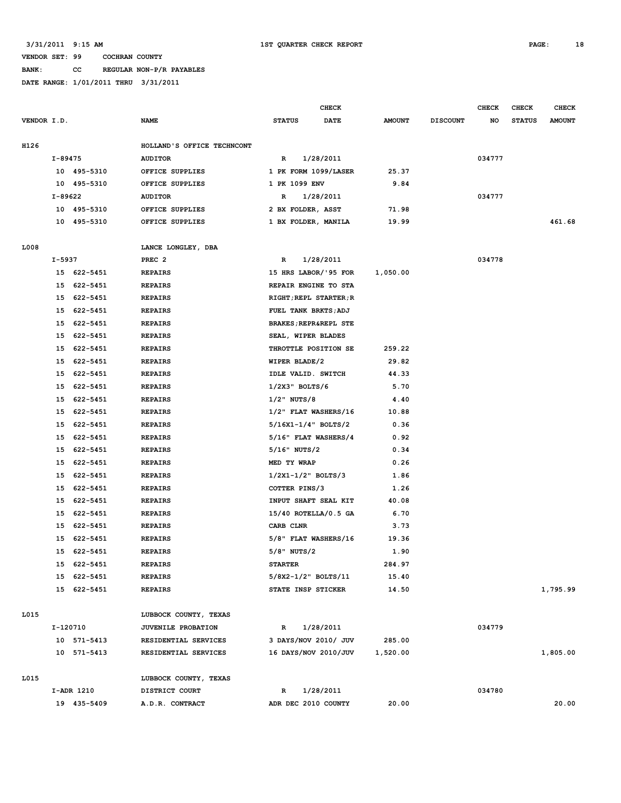**BANK: CC REGULAR NON-P/R PAYABLES**

|             |          |             |                                         |                   | CHECK                            |               |                 | <b>CHECK</b> | <b>CHECK</b>  | <b>CHECK</b>  |
|-------------|----------|-------------|-----------------------------------------|-------------------|----------------------------------|---------------|-----------------|--------------|---------------|---------------|
| VENDOR I.D. |          |             | <b>NAME</b>                             | <b>STATUS</b>     | <b>DATE</b>                      | <b>AMOUNT</b> | <b>DISCOUNT</b> | NO           | <b>STATUS</b> | <b>AMOUNT</b> |
| H126        |          |             | HOLLAND'S OFFICE TECHNCONT              |                   |                                  |               |                 |              |               |               |
|             | I-89475  |             | <b>AUDITOR</b>                          | R                 | 1/28/2011                        |               |                 | 034777       |               |               |
|             |          | 10 495-5310 | OFFICE SUPPLIES                         |                   | 1 PK FORM 1099/LASER             | 25.37         |                 |              |               |               |
|             |          | 10 495-5310 | OFFICE SUPPLIES                         | 1 PK 1099 ENV     |                                  | 9.84          |                 |              |               |               |
|             | I-89622  |             | <b>AUDITOR</b>                          | 1/28/2011<br>R    |                                  |               |                 | 034777       |               |               |
|             |          | 10 495-5310 | OFFICE SUPPLIES                         |                   | 2 BX FOLDER, ASST                | 71.98         |                 |              |               |               |
|             |          | 10 495-5310 | OFFICE SUPPLIES                         |                   | 1 BX FOLDER, MANILA              | 19.99         |                 |              |               | 461.68        |
| L008        |          |             |                                         |                   |                                  |               |                 |              |               |               |
|             | I-5937   |             | LANCE LONGLEY, DBA<br>PREC <sub>2</sub> | R                 | 1/28/2011                        |               |                 | 034778       |               |               |
|             |          | 15 622-5451 | <b>REPAIRS</b>                          |                   | 15 HRS LABOR/ '95 FOR            | 1,050.00      |                 |              |               |               |
|             | 15       | 622-5451    | <b>REPAIRS</b>                          |                   | REPAIR ENGINE TO STA             |               |                 |              |               |               |
|             | 15       |             |                                         |                   |                                  |               |                 |              |               |               |
|             |          | 622-5451    | <b>REPAIRS</b>                          |                   | RIGHT; REPL STARTER; R           |               |                 |              |               |               |
|             | 15       | 622-5451    | <b>REPAIRS</b>                          |                   | FUEL TANK BRKTS; ADJ             |               |                 |              |               |               |
|             | 15       | 622-5451    | <b>REPAIRS</b>                          |                   | <b>BRAKES; REPR&amp;REPL STE</b> |               |                 |              |               |               |
|             | 15       | 622-5451    | <b>REPAIRS</b>                          |                   | SEAL, WIPER BLADES               |               |                 |              |               |               |
|             | 15       | 622-5451    | <b>REPAIRS</b>                          |                   | THROTTLE POSITION SE             | 259.22        |                 |              |               |               |
|             | 15       | 622-5451    | <b>REPAIRS</b>                          | WIPER BLADE/2     |                                  | 29.82         |                 |              |               |               |
|             | 15       | 622-5451    | <b>REPAIRS</b>                          |                   | IDLE VALID. SWITCH               | 44.33         |                 |              |               |               |
|             | 15       | 622-5451    | <b>REPAIRS</b>                          | $1/2X3$ " BOLTS/6 |                                  | 5.70          |                 |              |               |               |
|             | 15       | 622-5451    | <b>REPAIRS</b>                          | $1/2$ " NUTS/8    |                                  | 4.40          |                 |              |               |               |
|             | 15       | 622-5451    | <b>REPAIRS</b>                          |                   | 1/2" FLAT WASHERS/16             | 10.88         |                 |              |               |               |
|             | 15       | 622-5451    | <b>REPAIRS</b>                          |                   | $5/16X1 - 1/4$ " BOLTS/2         | 0.36          |                 |              |               |               |
|             | 15       | 622-5451    | <b>REPAIRS</b>                          |                   | 5/16" FLAT WASHERS/4             | 0.92          |                 |              |               |               |
|             | 15       | 622-5451    | <b>REPAIRS</b>                          | 5/16" NUTS/2      |                                  | 0.34          |                 |              |               |               |
|             | 15       | 622-5451    | <b>REPAIRS</b>                          | MED TY WRAP       |                                  | 0.26          |                 |              |               |               |
|             | 15       | 622-5451    | <b>REPAIRS</b>                          |                   | $1/2X1 - 1/2$ " BOLTS/3          | 1.86          |                 |              |               |               |
|             | 15       | 622-5451    | <b>REPAIRS</b>                          | COTTER PINS/3     |                                  | 1.26          |                 |              |               |               |
|             | 15       | 622-5451    | <b>REPAIRS</b>                          |                   | INPUT SHAFT SEAL KIT             | 40.08         |                 |              |               |               |
|             | 15       | 622-5451    | <b>REPAIRS</b>                          |                   | $15/40$ ROTELLA/0.5 GA           | 6.70          |                 |              |               |               |
|             | 15       | 622-5451    | <b>REPAIRS</b>                          | CARB CLNR         |                                  | 3.73          |                 |              |               |               |
|             | 15       | 622-5451    | <b>REPAIRS</b>                          |                   | 5/8" FLAT WASHERS/16             | 19.36         |                 |              |               |               |
|             | 15       | 622-5451    | <b>REPAIRS</b>                          | 5/8" NUTS/2       |                                  | 1.90          |                 |              |               |               |
|             |          | 15 622-5451 | <b>REPAIRS</b>                          | <b>STARTER</b>    |                                  | 284.97        |                 |              |               |               |
|             |          | 15 622-5451 | <b>REPAIRS</b>                          |                   | 5/8X2-1/2" BOLTS/11              | 15.40         |                 |              |               |               |
|             |          | 15 622-5451 | <b>REPAIRS</b>                          |                   | STATE INSP STICKER               | 14.50         |                 |              |               | 1,795.99      |
| L015        |          |             | LUBBOCK COUNTY, TEXAS                   |                   |                                  |               |                 |              |               |               |
|             | I-120710 |             | JUVENILE PROBATION                      | $\mathbb{R}$      | 1/28/2011                        |               |                 | 034779       |               |               |
|             |          | 10 571-5413 | RESIDENTIAL SERVICES                    |                   | 3 DAYS/NOV 2010/ JUV             | 285.00        |                 |              |               |               |
|             |          | 10 571-5413 | RESIDENTIAL SERVICES                    |                   | 16 DAYS/NOV 2010/JUV             | 1,520.00      |                 |              |               | 1,805.00      |
| L015        |          |             | LUBBOCK COUNTY, TEXAS                   |                   |                                  |               |                 |              |               |               |
|             |          | I-ADR 1210  | DISTRICT COURT                          | R                 | 1/28/2011                        |               |                 | 034780       |               |               |
|             |          | 19 435-5409 | A.D.R. CONTRACT                         |                   | ADR DEC 2010 COUNTY              | 20.00         |                 |              |               | 20.00         |
|             |          |             |                                         |                   |                                  |               |                 |              |               |               |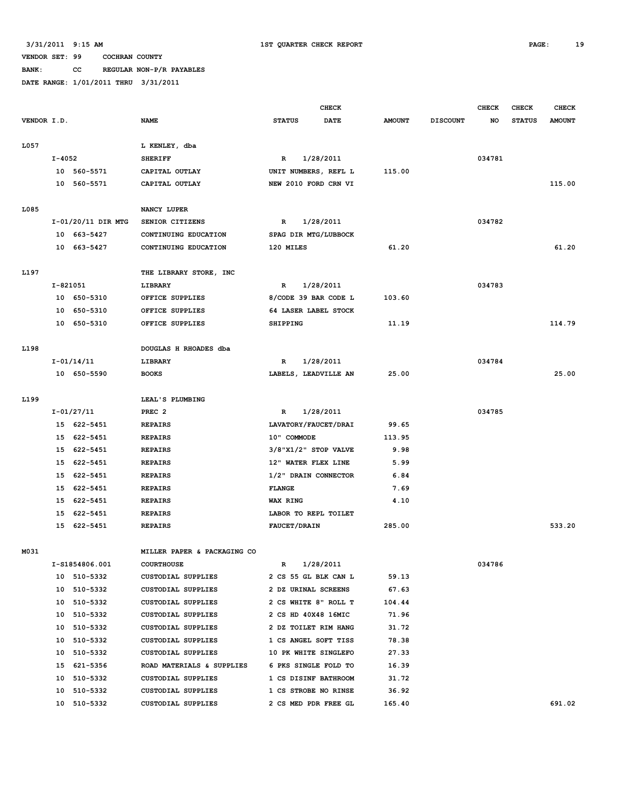**BANK: CC REGULAR NON-P/R PAYABLES**

|             |          |                    |                             | <b>CHECK</b>                |           |               |                 | <b>CHECK</b> | CHECK         | <b>CHECK</b>  |
|-------------|----------|--------------------|-----------------------------|-----------------------------|-----------|---------------|-----------------|--------------|---------------|---------------|
| VENDOR I.D. |          |                    | <b>NAME</b>                 | <b>STATUS</b>               | DATE      | <b>AMOUNT</b> | <b>DISCOUNT</b> | NO           | <b>STATUS</b> | <b>AMOUNT</b> |
|             |          |                    |                             |                             |           |               |                 |              |               |               |
| L057        |          |                    | L KENLEY, dba               |                             |           |               |                 |              |               |               |
|             | I-4052   |                    | <b>SHERIFF</b>              | R                           | 1/28/2011 |               |                 | 034781       |               |               |
|             |          | 10 560-5571        | CAPITAL OUTLAY              | UNIT NUMBERS, REFL L        |           | 115.00        |                 |              |               |               |
|             |          | 10 560-5571        | CAPITAL OUTLAY              | NEW 2010 FORD CRN VI        |           |               |                 |              |               | 115.00        |
| L085        |          |                    | NANCY LUPER                 |                             |           |               |                 |              |               |               |
|             |          | I-01/20/11 DIR MTG | SENIOR CITIZENS             | R                           | 1/28/2011 |               |                 | 034782       |               |               |
|             |          | 10 663-5427        | CONTINUING EDUCATION        | SPAG DIR MTG/LUBBOCK        |           |               |                 |              |               |               |
|             |          | 10 663-5427        | CONTINUING EDUCATION        | 120 MILES                   |           | 61.20         |                 |              |               | 61.20         |
|             |          |                    |                             |                             |           |               |                 |              |               |               |
| L197        |          |                    | THE LIBRARY STORE, INC      |                             |           |               |                 |              |               |               |
|             | I-821051 |                    | LIBRARY                     | R                           | 1/28/2011 |               |                 | 034783       |               |               |
|             |          | 10 650-5310        | OFFICE SUPPLIES             | 8/CODE 39 BAR CODE L        |           | 103.60        |                 |              |               |               |
|             |          | 10 650-5310        | OFFICE SUPPLIES             | 64 LASER LABEL STOCK        |           |               |                 |              |               |               |
|             |          | 10 650-5310        | OFFICE SUPPLIES             | <b>SHIPPING</b>             |           | 11.19         |                 |              |               | 114.79        |
|             |          |                    |                             |                             |           |               |                 |              |               |               |
| L198        |          |                    | DOUGLAS H RHOADES dba       |                             |           |               |                 |              |               |               |
|             |          | I-01/14/11         | LIBRARY                     | R                           | 1/28/2011 |               |                 | 034784       |               |               |
|             |          | 10 650-5590        | <b>BOOKS</b>                | LABELS, LEADVILLE AN        |           | 25.00         |                 |              |               | 25.00         |
| L199        |          |                    | LEAL'S PLUMBING             |                             |           |               |                 |              |               |               |
|             |          | I-01/27/11         | PREC <sub>2</sub>           | R                           | 1/28/2011 |               |                 | 034785       |               |               |
|             |          | 15 622-5451        | <b>REPAIRS</b>              | LAVATORY/FAUCET/DRAI        |           | 99.65         |                 |              |               |               |
|             |          | 15 622-5451        | <b>REPAIRS</b>              | 10" COMMODE                 |           | 113.95        |                 |              |               |               |
|             |          | 15 622-5451        | <b>REPAIRS</b>              | $3/8$ "X $1/2$ " STOP VALVE |           | 9.98          |                 |              |               |               |
|             |          | 15 622-5451        | <b>REPAIRS</b>              | 12" WATER FLEX LINE         |           | 5.99          |                 |              |               |               |
|             |          | 15 622-5451        | <b>REPAIRS</b>              | 1/2" DRAIN CONNECTOR        |           | 6.84          |                 |              |               |               |
|             |          | 15 622-5451        | <b>REPAIRS</b>              | <b>FLANGE</b>               |           | 7.69          |                 |              |               |               |
|             |          | 15 622-5451        | <b>REPAIRS</b>              | <b>WAX RING</b>             |           | 4.10          |                 |              |               |               |
|             |          | 15 622-5451        | <b>REPAIRS</b>              | LABOR TO REPL TOILET        |           |               |                 |              |               |               |
|             |          | 15 622-5451        | <b>REPAIRS</b>              | <b>FAUCET/DRAIN</b>         |           | 285.00        |                 |              |               | 533.20        |
|             |          |                    |                             |                             |           |               |                 |              |               |               |
| M031        |          |                    | MILLER PAPER & PACKAGING CO |                             |           |               |                 |              |               |               |
|             |          | I-S1854806.001     | <b>COURTHOUSE</b>           | R                           | 1/28/2011 |               |                 | 034786       |               |               |
|             |          | 10 510-5332        | CUSTODIAL SUPPLIES          | 2 CS 55 GL BLK CAN L        |           | 59.13         |                 |              |               |               |
|             |          | 10 510-5332        | CUSTODIAL SUPPLIES          | 2 DZ URINAL SCREENS         |           | 67.63         |                 |              |               |               |
|             |          | 10 510-5332        | CUSTODIAL SUPPLIES          | 2 CS WHITE 8" ROLL T        |           | 104.44        |                 |              |               |               |
|             |          | 10 510-5332        | CUSTODIAL SUPPLIES          | 2 CS HD 40X48 16MIC         |           | 71.96         |                 |              |               |               |
|             |          | 10 510-5332        | CUSTODIAL SUPPLIES          | 2 DZ TOILET RIM HANG        |           | 31.72         |                 |              |               |               |
|             |          | 10 510-5332        | CUSTODIAL SUPPLIES          | 1 CS ANGEL SOFT TISS        |           | 78.38         |                 |              |               |               |
|             |          | 10 510-5332        | CUSTODIAL SUPPLIES          | 10 PK WHITE SINGLEFO        |           | 27.33         |                 |              |               |               |
|             |          | 15 621-5356        | ROAD MATERIALS & SUPPLIES   | 6 PKS SINGLE FOLD TO        |           | 16.39         |                 |              |               |               |
|             |          | 10 510-5332        | CUSTODIAL SUPPLIES          | 1 CS DISINF BATHROOM        |           | 31.72         |                 |              |               |               |
|             |          | 10 510-5332        | CUSTODIAL SUPPLIES          | 1 CS STROBE NO RINSE        |           | 36.92         |                 |              |               |               |
|             |          | 10 510-5332        | CUSTODIAL SUPPLIES          | 2 CS MED PDR FREE GL        |           | 165.40        |                 |              |               | 691.02        |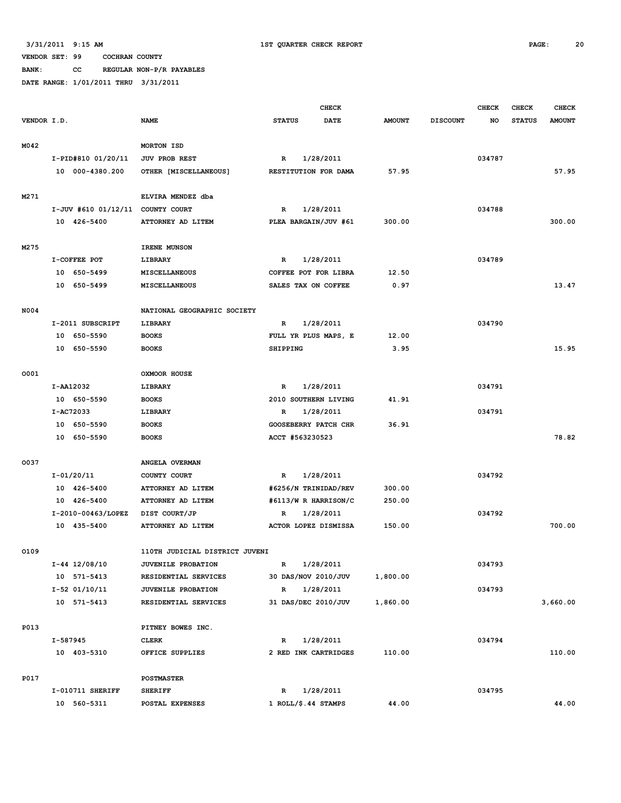**BANK: CC REGULAR NON-P/R PAYABLES**

|             |          |                       |                                |                      | <b>CHECK</b>            |               |                 | <b>CHECK</b> | CHECK         | <b>CHECK</b>  |
|-------------|----------|-----------------------|--------------------------------|----------------------|-------------------------|---------------|-----------------|--------------|---------------|---------------|
| VENDOR I.D. |          |                       | <b>NAME</b>                    | <b>STATUS</b>        | <b>DATE</b>             | <b>AMOUNT</b> | <b>DISCOUNT</b> | NO           | <b>STATUS</b> | <b>AMOUNT</b> |
| M042        |          |                       | MORTON ISD                     |                      |                         |               |                 |              |               |               |
|             |          | I-PID#810 01/20/11    | <b>JUV PROB REST</b>           | R                    | 1/28/2011               |               |                 | 034787       |               |               |
|             |          | 10 000-4380.200       | OTHER [MISCELLANEOUS]          |                      | RESTITUTION FOR DAMA    | 57.95         |                 |              |               | 57.95         |
|             |          |                       |                                |                      |                         |               |                 |              |               |               |
| M271        |          |                       | ELVIRA MENDEZ dba              |                      |                         |               |                 |              |               |               |
|             |          | $I-JUV$ #610 01/12/11 | COUNTY COURT                   | 1/28/2011<br>R       |                         |               |                 | 034788       |               |               |
|             |          | 10 426-5400           | ATTORNEY AD LITEM              | PLEA BARGAIN/JUV #61 |                         | 300.00        |                 |              |               | 300.00        |
|             |          |                       |                                |                      |                         |               |                 |              |               |               |
| M275        |          |                       | IRENE MUNSON                   |                      |                         |               |                 |              |               |               |
|             |          | I-COFFEE POT          | LIBRARY                        | R                    | 1/28/2011               |               |                 | 034789       |               |               |
|             |          | 10 650-5499           | MISCELLANEOUS                  |                      | COFFEE POT FOR LIBRA    | 12.50         |                 |              |               |               |
|             |          | 10 650-5499           | <b>MISCELLANEOUS</b>           |                      | SALES TAX ON COFFEE     | 0.97          |                 |              |               | 13.47         |
| N004        |          |                       | NATIONAL GEOGRAPHIC SOCIETY    |                      |                         |               |                 |              |               |               |
|             |          | I-2011 SUBSCRIPT      | LIBRARY                        | R                    | 1/28/2011               |               |                 | 034790       |               |               |
|             |          |                       |                                |                      |                         |               |                 |              |               |               |
|             |          | 10 650-5590           | <b>BOOKS</b>                   |                      | FULL YR PLUS MAPS, E    | 12.00         |                 |              |               |               |
|             |          | 10 650-5590           | <b>BOOKS</b>                   | SHIPPING             |                         | 3.95          |                 |              |               | 15.95         |
| 0001        |          |                       | OXMOOR HOUSE                   |                      |                         |               |                 |              |               |               |
|             |          | I-AA12032             | LIBRARY                        | R                    | 1/28/2011               |               |                 | 034791       |               |               |
|             |          | 10 650-5590           | <b>BOOKS</b>                   |                      | 2010 SOUTHERN LIVING    | 41.91         |                 |              |               |               |
|             |          | I-AC72033             | LIBRARY                        | R                    | 1/28/2011               |               |                 | 034791       |               |               |
|             |          | 10 650-5590           | <b>BOOKS</b>                   |                      | GOOSEBERRY PATCH CHR    | 36.91         |                 |              |               |               |
|             |          | 10 650-5590           | <b>BOOKS</b>                   |                      | ACCT #563230523         |               |                 |              |               | 78.82         |
|             |          |                       |                                |                      |                         |               |                 |              |               |               |
| 0037        |          |                       | ANGELA OVERMAN                 |                      |                         |               |                 |              |               |               |
|             |          | I-01/20/11            | COUNTY COURT                   | $\mathbb{R}$         | 1/28/2011               |               |                 | 034792       |               |               |
|             |          | 10 426-5400           | ATTORNEY AD LITEM              |                      | #6256/N TRINIDAD/REV    | 300.00        |                 |              |               |               |
|             |          | 10 426-5400           | ATTORNEY AD LITEM              |                      | #6113/W R HARRISON/C    | 250.00        |                 |              |               |               |
|             |          | I-2010-00463/LOPEZ    | DIST COURT/JP                  | R                    | 1/28/2011               |               |                 | 034792       |               |               |
|             |          | 10 435-5400           | ATTORNEY AD LITEM              |                      | ACTOR LOPEZ DISMISSA    | 150.00        |                 |              |               | 700.00        |
|             |          |                       |                                |                      |                         |               |                 |              |               |               |
| 0109        |          |                       | 110TH JUDICIAL DISTRICT JUVENI |                      |                         |               |                 |              |               |               |
|             |          | $I-44$ 12/08/10       | <b>JUVENILE PROBATION</b>      | R                    | 1/28/2011               |               |                 | 034793       |               |               |
|             |          | 10 571-5413           | RESIDENTIAL SERVICES           |                      | 30 DAS/NOV 2010/JUV     | 1,800.00      |                 |              |               |               |
|             |          | $I-52$ 01/10/11       | JUVENILE PROBATION             | $\mathbb{R}$         | 1/28/2011               |               |                 | 034793       |               |               |
|             |          | 10 571-5413           | RESIDENTIAL SERVICES           |                      | 31 DAS/DEC 2010/JUV     | 1,860.00      |                 |              |               | 3,660.00      |
| P013        |          |                       | PITNEY BOWES INC.              |                      |                         |               |                 |              |               |               |
|             | I-587945 |                       | <b>CLERK</b>                   | R                    | 1/28/2011               |               |                 | 034794       |               |               |
|             |          | 10 403-5310           | OFFICE SUPPLIES                |                      | 2 RED INK CARTRIDGES    | 110.00        |                 |              |               | 110.00        |
|             |          |                       |                                |                      |                         |               |                 |              |               |               |
| P017        |          |                       | <b>POSTMASTER</b>              |                      |                         |               |                 |              |               |               |
|             |          | I-010711 SHERIFF      | <b>SHERIFF</b>                 | R                    | 1/28/2011               |               |                 | 034795       |               |               |
|             |          | 10 560-5311           | POSTAL EXPENSES                |                      | $1$ ROLL/ $$.44$ STAMPS | 44.00         |                 |              |               | 44.00         |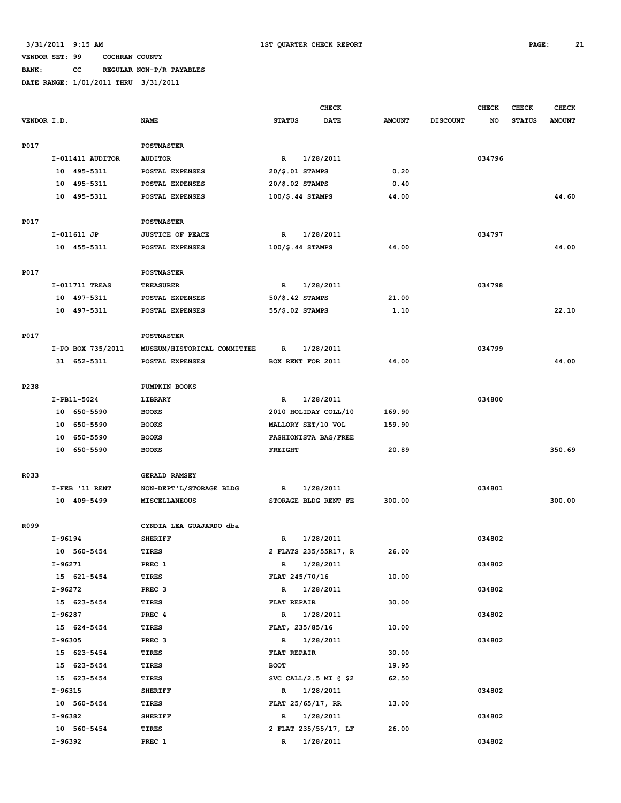**BANK: CC REGULAR NON-P/R PAYABLES**

|             |         |                               |                                          |                                     | <b>CHECK</b>          |               |                 | <b>CHECK</b> | <b>CHECK</b>  | <b>CHECK</b>  |
|-------------|---------|-------------------------------|------------------------------------------|-------------------------------------|-----------------------|---------------|-----------------|--------------|---------------|---------------|
| VENDOR I.D. |         |                               | <b>NAME</b>                              | <b>STATUS</b>                       | <b>DATE</b>           | <b>AMOUNT</b> | <b>DISCOUNT</b> | NO           | <b>STATUS</b> | <b>AMOUNT</b> |
|             |         |                               |                                          |                                     |                       |               |                 |              |               |               |
| <b>P017</b> |         |                               | <b>POSTMASTER</b>                        |                                     |                       |               |                 |              |               |               |
|             |         | I-011411 AUDITOR              | <b>AUDITOR</b>                           | $\mathbb{R}$                        | 1/28/2011             |               |                 | 034796       |               |               |
|             |         | 10 495-5311                   | POSTAL EXPENSES                          | $20/\$.01$ STAMPS                   |                       | 0.20          |                 |              |               |               |
|             |         | 10 495-5311                   | POSTAL EXPENSES                          | $20/\$.02$ STAMPS                   |                       | 0.40          |                 |              |               |               |
|             |         | 10 495-5311                   | POSTAL EXPENSES                          | $100/\$.44$ STAMPS                  |                       | 44.00         |                 |              |               | 44.60         |
|             |         |                               |                                          |                                     |                       |               |                 |              |               |               |
| P017        |         |                               | <b>POSTMASTER</b>                        |                                     |                       |               |                 |              |               |               |
|             |         | I-011611 JP                   | <b>JUSTICE OF PEACE</b>                  | $\mathbb{R}$                        | 1/28/2011             |               |                 | 034797       |               |               |
|             |         | 10 455-5311                   | POSTAL EXPENSES                          | $100/\text{\textdegree}$ .44 STAMPS |                       | 44.00         |                 |              |               | 44.00         |
|             |         |                               |                                          |                                     |                       |               |                 |              |               |               |
| P017        |         |                               | <b>POSTMASTER</b>                        |                                     |                       |               |                 |              |               |               |
|             |         | I-011711 TREAS                | <b>TREASURER</b>                         | $\mathbb{R}$                        | 1/28/2011             |               |                 | 034798       |               |               |
|             |         | 10 497-5311                   | POSTAL EXPENSES                          | $50/\$.42$ STAMPS                   |                       | 21.00         |                 |              |               |               |
|             |         | 10 497-5311                   | POSTAL EXPENSES                          | 55/\$.02 STAMPS                     |                       | 1.10          |                 |              |               | 22.10         |
|             |         |                               |                                          |                                     |                       |               |                 |              |               |               |
| <b>P017</b> |         |                               | <b>POSTMASTER</b>                        |                                     |                       |               |                 |              |               |               |
|             |         | I-PO BOX 735/2011             | MUSEUM/HISTORICAL COMMITTEE              | $\mathbb{R}$                        | 1/28/2011             |               |                 | 034799       |               |               |
|             |         | 31 652-5311                   | POSTAL EXPENSES                          | BOX RENT FOR 2011                   |                       | 44.00         |                 |              |               | 44.00         |
|             |         |                               |                                          |                                     |                       |               |                 |              |               |               |
| P238        |         |                               | PUMPKIN BOOKS                            |                                     |                       |               |                 |              |               |               |
|             |         | I-PB11-5024                   | LIBRARY                                  | R                                   | 1/28/2011             |               |                 | 034800       |               |               |
|             |         | 10 650-5590                   | <b>BOOKS</b>                             |                                     | 2010 HOLIDAY COLL/10  | 169.90        |                 |              |               |               |
|             |         | 10 650-5590                   | <b>BOOKS</b>                             |                                     | MALLORY SET/10 VOL    | 159.90        |                 |              |               |               |
|             |         | 10 650-5590                   | <b>BOOKS</b>                             |                                     | FASHIONISTA BAG/FREE  |               |                 |              |               |               |
|             |         | 10 650-5590                   | <b>BOOKS</b>                             | <b>FREIGHT</b>                      |                       | 20.89         |                 |              |               | 350.69        |
|             |         |                               |                                          |                                     |                       |               |                 |              |               |               |
| R033        |         |                               | GERALD RAMSEY<br>NON-DEPT'L/STORAGE BLDG |                                     | 1/28/2011             |               |                 | 034801       |               |               |
|             |         | I-FEB '11 RENT<br>10 409-5499 | MISCELLANEOUS                            | R                                   | STORAGE BLDG RENT FE  | 300.00        |                 |              |               | 300.00        |
|             |         |                               |                                          |                                     |                       |               |                 |              |               |               |
| R099        |         |                               | CYNDIA LEA GUAJARDO dba                  |                                     |                       |               |                 |              |               |               |
|             | I-96194 |                               | <b>SHERIFF</b>                           | $\mathbf R$                         | 1/28/2011             |               |                 | 034802       |               |               |
|             |         | 10 560-5454                   | <b>TIRES</b>                             |                                     | 2 FLATS 235/55R17, R  | 26.00         |                 |              |               |               |
|             | I-96271 |                               | PREC 1                                   | R                                   | 1/28/2011             |               |                 | 034802       |               |               |
|             |         | 15 621-5454                   | TIRES                                    | FLAT 245/70/16                      |                       | 10.00         |                 |              |               |               |
|             | I-96272 |                               | PREC <sub>3</sub>                        | $\mathbb{R}$                        | 1/28/2011             |               |                 | 034802       |               |               |
|             |         | 15 623-5454                   | TIRES                                    | <b>FLAT REPAIR</b>                  |                       | 30.00         |                 |              |               |               |
|             | I-96287 |                               | PREC 4                                   | $\mathbb{R}$                        | 1/28/2011             |               |                 | 034802       |               |               |
|             |         | 15 624-5454                   | TIRES                                    | FLAT, 235/85/16                     |                       | 10.00         |                 |              |               |               |
|             | I-96305 |                               | PREC <sub>3</sub>                        | $\mathbb{R}$                        | 1/28/2011             |               |                 | 034802       |               |               |
|             |         | 15 623-5454                   | TIRES                                    | FLAT REPAIR                         |                       | 30.00         |                 |              |               |               |
|             |         | 15 623-5454                   | TIRES                                    | <b>BOOT</b>                         |                       | 19.95         |                 |              |               |               |
|             |         | 15 623-5454                   | TIRES                                    |                                     | SVC CALL/2.5 MI @ \$2 | 62.50         |                 |              |               |               |
|             | I-96315 |                               | <b>SHERIFF</b>                           | $\mathbb{R}$                        | 1/28/2011             |               |                 | 034802       |               |               |
|             |         | 10 560-5454                   | TIRES                                    | FLAT 25/65/17, RR                   |                       | 13.00         |                 |              |               |               |
|             | I-96382 |                               | <b>SHERIFF</b>                           | $\mathbb{R}$                        | 1/28/2011             |               |                 | 034802       |               |               |
|             |         | 10 560-5454                   | TIRES                                    |                                     | 2 FLAT 235/55/17, LF  | 26.00         |                 |              |               |               |
|             | I-96392 |                               | PREC 1                                   |                                     | R 1/28/2011           |               |                 | 034802       |               |               |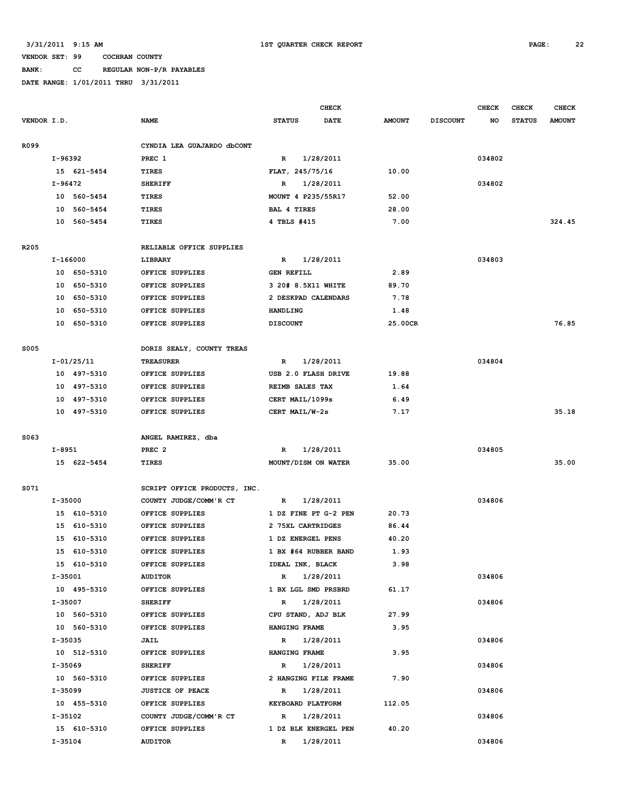# **BANK: CC REGULAR NON-P/R PAYABLES**

|                  |                        |                                           | <b>CHECK</b>                        |               |                 | <b>CHECK</b> | <b>CHECK</b>  | <b>CHECK</b>  |
|------------------|------------------------|-------------------------------------------|-------------------------------------|---------------|-----------------|--------------|---------------|---------------|
| VENDOR I.D.      |                        | <b>NAME</b>                               | <b>STATUS</b><br><b>DATE</b>        | <b>AMOUNT</b> | <b>DISCOUNT</b> | NO           | <b>STATUS</b> | <b>AMOUNT</b> |
|                  |                        |                                           |                                     |               |                 |              |               |               |
| R099             |                        | CYNDIA LEA GUAJARDO dbCONT                |                                     |               |                 |              |               |               |
|                  | I-96392                | PREC 1                                    | 1/28/2011<br>R                      |               |                 | 034802       |               |               |
|                  | 15 621-5454            | TIRES                                     | FLAT, 245/75/16                     | 10.00         |                 |              |               |               |
|                  | I-96472                | <b>SHERIFF</b>                            | 1/28/2011<br>R                      |               |                 | 034802       |               |               |
|                  | 10 560-5454            | <b>TIRES</b>                              | MOUNT 4 P235/55R17                  | 52.00         |                 |              |               |               |
|                  | 10 560-5454            | TIRES                                     | <b>BAL 4 TIRES</b>                  | 28.00         |                 |              |               |               |
|                  | 10 560-5454            | <b>TIRES</b>                              | 4 TBLS #415                         | 7.00          |                 |              |               | 324.45        |
|                  |                        |                                           |                                     |               |                 |              |               |               |
| R <sub>205</sub> |                        | RELIABLE OFFICE SUPPLIES                  |                                     |               |                 |              |               |               |
|                  | I-166000               | LIBRARY                                   | 1/28/2011<br>R                      |               |                 | 034803       |               |               |
|                  | 10 650-5310            | OFFICE SUPPLIES                           | <b>GEN REFILL</b>                   | 2.89          |                 |              |               |               |
|                  | 10 650-5310            | OFFICE SUPPLIES                           | 3 20# 8.5X11 WHITE                  | 89.70         |                 |              |               |               |
|                  | 650-5310<br>10         | OFFICE SUPPLIES                           | 2 DESKPAD CALENDARS                 | 7.78          |                 |              |               |               |
|                  | 10<br>650-5310         | OFFICE SUPPLIES                           | HANDLING                            | 1.48          |                 |              |               |               |
|                  | 10 650-5310            | OFFICE SUPPLIES                           | <b>DISCOUNT</b>                     | 25.00CR       |                 |              |               | 76.85         |
|                  |                        |                                           |                                     |               |                 |              |               |               |
| <b>S005</b>      |                        | DORIS SEALY, COUNTY TREAS                 |                                     |               |                 |              |               |               |
|                  | $I - 01/25/11$         | <b>TREASURER</b>                          | 1/28/2011<br>R                      |               |                 | 034804       |               |               |
|                  | 10 497-5310            | OFFICE SUPPLIES                           | USB 2.0 FLASH DRIVE                 | 19.88         |                 |              |               |               |
|                  | 10 497-5310            | OFFICE SUPPLIES                           | REIMB SALES TAX                     | 1.64          |                 |              |               |               |
|                  | 10 497-5310            | OFFICE SUPPLIES                           | CERT MAIL/1099s                     | 6.49          |                 |              |               |               |
|                  | 10 497-5310            | OFFICE SUPPLIES                           | CERT MAIL/W-2s                      | 7.17          |                 |              |               | 35.18         |
|                  |                        |                                           |                                     |               |                 |              |               |               |
| S063             |                        | ANGEL RAMIREZ, dba                        |                                     |               |                 |              |               |               |
|                  | I-8951                 | PREC <sub>2</sub>                         | 1/28/2011<br>$\mathbb{R}$           |               |                 | 034805       |               |               |
|                  | 15 622-5454            | <b>TIRES</b>                              | MOUNT/DISM ON WATER                 | 35.00         |                 |              |               | 35.00         |
|                  |                        |                                           |                                     |               |                 |              |               |               |
| S071             | I-35000                | SCRIPT OFFICE PRODUCTS, INC.              | $\mathbf{R}$                        |               |                 | 034806       |               |               |
|                  | 15 610-5310            | COUNTY JUDGE/COMM'R CT<br>OFFICE SUPPLIES | 1/28/2011<br>1 DZ FINE PT G-2 PEN   | 20.73         |                 |              |               |               |
|                  | 15 610-5310            | OFFICE SUPPLIES                           | 2 75XL CARTRIDGES                   | 86.44         |                 |              |               |               |
|                  | 15 610-5310            | OFFICE SUPPLIES                           | 1 DZ ENERGEL PENS                   | 40.20         |                 |              |               |               |
|                  | 15 610-5310            | OFFICE SUPPLIES                           | 1 BX #64 RUBBER BAND                | 1.93          |                 |              |               |               |
|                  | 15 610-5310            | OFFICE SUPPLIES                           | IDEAL INK, BLACK                    | 3.98          |                 |              |               |               |
|                  | I-35001                | AUDITOR                                   | R 1/28/2011                         |               |                 | 034806       |               |               |
|                  | 10 495-5310            | OFFICE SUPPLIES                           | 1 BX LGL SMD PRSBRD                 | 61.17         |                 |              |               |               |
|                  | I-35007                | <b>SHERIFF</b>                            | R 1/28/2011                         |               |                 | 034806       |               |               |
|                  | 10 560-5310            | OFFICE SUPPLIES                           | CPU STAND, ADJ BLK                  | 27.99         |                 |              |               |               |
|                  | 10 560-5310            | OFFICE SUPPLIES                           | HANGING FRAME                       | 3.95          |                 |              |               |               |
|                  | I-35035                | JAIL                                      | 1/28/2011<br>$\mathbf{R}$           |               |                 | 034806       |               |               |
|                  | 10 512-5310            | OFFICE SUPPLIES                           | HANGING FRAME                       | 3.95          |                 |              |               |               |
|                  | I-35069                | <b>SHERIFF</b>                            | 1/28/2011<br>$\mathbf{R}$           |               |                 | 034806       |               |               |
|                  |                        |                                           |                                     | 7.90          |                 |              |               |               |
|                  |                        |                                           |                                     |               |                 |              |               |               |
|                  | 10 560-5310            | OFFICE SUPPLIES                           | 2 HANGING FILE FRAME                |               |                 |              |               |               |
|                  | I-35099                | <b>JUSTICE OF PEACE</b>                   | R 1/28/2011                         |               |                 | 034806       |               |               |
|                  | 10 455-5310            | OFFICE SUPPLIES                           | KEYBOARD PLATFORM                   | 112.05        |                 |              |               |               |
|                  | I-35102<br>15 610-5310 | COUNTY JUDGE/COMM'R CT<br>OFFICE SUPPLIES | R 1/28/2011<br>1 DZ BLK ENERGEL PEN | 40.20         |                 | 034806       |               |               |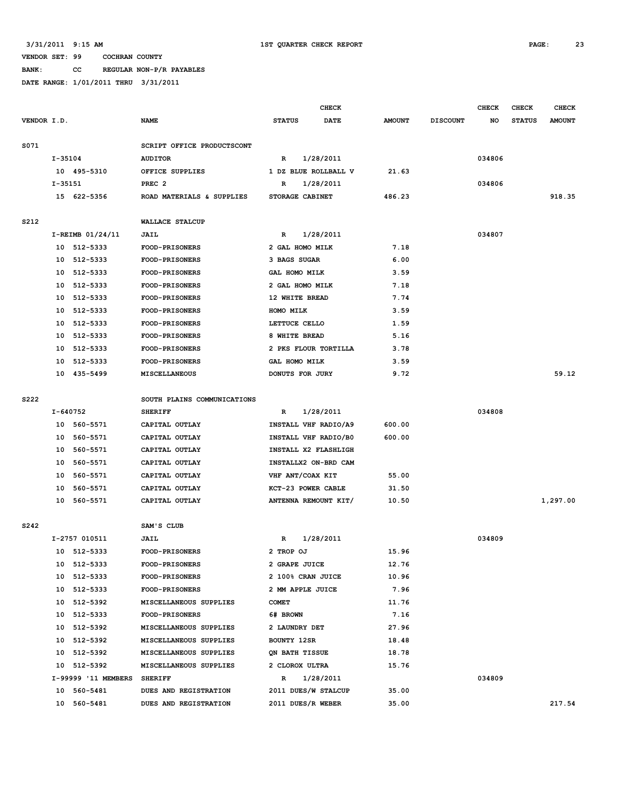**BANK: CC REGULAR NON-P/R PAYABLES**

|             |          |                             |                                  | <b>CHECK</b>                           |             |               | <b>CHECK</b>    | <b>CHECK</b> | <b>CHECK</b>  |               |
|-------------|----------|-----------------------------|----------------------------------|----------------------------------------|-------------|---------------|-----------------|--------------|---------------|---------------|
| VENDOR I.D. |          |                             | <b>NAME</b>                      | <b>STATUS</b>                          | <b>DATE</b> | <b>AMOUNT</b> | <b>DISCOUNT</b> | NO           | <b>STATUS</b> | <b>AMOUNT</b> |
|             |          |                             |                                  |                                        |             |               |                 |              |               |               |
| S071        |          |                             | SCRIPT OFFICE PRODUCTSCONT       |                                        |             |               |                 |              |               |               |
|             | I-35104  |                             | <b>AUDITOR</b>                   | R                                      | 1/28/2011   |               |                 | 034806       |               |               |
|             |          | 10 495-5310                 | OFFICE SUPPLIES                  | 1 DZ BLUE ROLLBALL V                   |             | 21.63         |                 |              |               |               |
|             | I-35151  |                             | PREC <sub>2</sub>                | R                                      | 1/28/2011   |               |                 | 034806       |               |               |
|             |          | 15 622-5356                 | ROAD MATERIALS & SUPPLIES        | STORAGE CABINET                        |             | 486.23        |                 |              |               | 918.35        |
| S212        |          |                             | <b>WALLACE STALCUP</b>           |                                        |             |               |                 |              |               |               |
|             |          | I-REIMB 01/24/11            | JAIL                             | R                                      | 1/28/2011   |               |                 | 034807       |               |               |
|             |          | 10 512-5333                 | <b>FOOD-PRISONERS</b>            | 2 GAL HOMO MILK                        |             | 7.18          |                 |              |               |               |
|             |          | 10 512-5333                 | FOOD-PRISONERS                   | 3 BAGS SUGAR                           |             | 6.00          |                 |              |               |               |
|             | 10       | 512-5333                    | <b>FOOD-PRISONERS</b>            | GAL HOMO MILK                          |             | 3.59          |                 |              |               |               |
|             | 10       | 512-5333                    | <b>FOOD-PRISONERS</b>            | 2 GAL HOMO MILK                        |             | 7.18          |                 |              |               |               |
|             | 10       | 512-5333                    | <b>FOOD-PRISONERS</b>            | 12 WHITE BREAD                         |             | 7.74          |                 |              |               |               |
|             |          | 10 512-5333                 | <b>FOOD-PRISONERS</b>            | HOMO MILK                              |             | 3.59          |                 |              |               |               |
|             |          | 10 512-5333                 | <b>FOOD-PRISONERS</b>            | LETTUCE CELLO                          |             | 1.59          |                 |              |               |               |
|             |          | 10 512-5333                 | <b>FOOD-PRISONERS</b>            | 8 WHITE BREAD                          |             | 5.16          |                 |              |               |               |
|             |          | 10 512-5333                 | FOOD-PRISONERS                   | 2 PKS FLOUR TORTILLA                   |             | 3.78          |                 |              |               |               |
|             | 10       | 512-5333                    | <b>FOOD-PRISONERS</b>            | GAL HOMO MILK                          |             | 3.59          |                 |              |               |               |
|             |          | 10 435-5499                 | MISCELLANEOUS                    | DONUTS FOR JURY                        |             | 9.72          |                 |              |               | 59.12         |
|             |          |                             |                                  |                                        |             |               |                 |              |               |               |
| S222        |          |                             | SOUTH PLAINS COMMUNICATIONS      |                                        |             |               |                 |              |               |               |
|             | I-640752 |                             | <b>SHERIFF</b>                   | R                                      | 1/28/2011   |               |                 | 034808       |               |               |
|             |          | 10 560-5571                 | CAPITAL OUTLAY                   | INSTALL VHF RADIO/A9                   |             | 600.00        |                 |              |               |               |
|             | 10       | 560-5571                    | CAPITAL OUTLAY                   | INSTALL VHF RADIO/B0                   |             | 600.00        |                 |              |               |               |
|             | 10       | 560-5571                    | CAPITAL OUTLAY                   | INSTALL X2 FLASHLIGH                   |             |               |                 |              |               |               |
|             |          | 10 560-5571<br>10 560-5571  | CAPITAL OUTLAY<br>CAPITAL OUTLAY | INSTALLX2 ON-BRD CAM                   |             | 55.00         |                 |              |               |               |
|             | 10       | 560-5571                    | CAPITAL OUTLAY                   | VHF ANT/COAX KIT<br>KCT-23 POWER CABLE |             | 31.50         |                 |              |               |               |
|             | 10       | 560-5571                    | CAPITAL OUTLAY                   | ANTENNA REMOUNT KIT/                   |             | 10.50         |                 |              |               | 1,297.00      |
|             |          |                             |                                  |                                        |             |               |                 |              |               |               |
| S242        |          |                             | SAM'S CLUB                       |                                        |             |               |                 |              |               |               |
|             |          | I-2757 010511               | JAIL                             | R                                      | 1/28/2011   |               |                 | 034809       |               |               |
|             |          | 10 512-5333                 | <b>FOOD-PRISONERS</b>            | 2 TROP OJ                              |             | 15.96         |                 |              |               |               |
|             |          | 10 512-5333                 | <b>FOOD-PRISONERS</b>            | 2 GRAPE JUICE                          |             | 12.76         |                 |              |               |               |
|             |          | 10 512-5333                 | <b>FOOD-PRISONERS</b>            | 2 100% CRAN JUICE                      |             | 10.96         |                 |              |               |               |
|             |          | 10 512-5333                 | <b>FOOD-PRISONERS</b>            | 2 MM APPLE JUICE                       |             | 7.96          |                 |              |               |               |
|             |          | 10 512-5392                 | MISCELLANEOUS SUPPLIES           | <b>COMET</b>                           |             | 11.76         |                 |              |               |               |
|             |          | 10 512-5333                 | FOOD-PRISONERS                   | 6# BROWN                               |             | 7.16          |                 |              |               |               |
|             |          | 10 512-5392                 | MISCELLANEOUS SUPPLIES           | 2 LAUNDRY DET                          |             | 27.96         |                 |              |               |               |
|             |          | 10 512-5392                 | MISCELLANEOUS SUPPLIES           | BOUNTY 12SR                            |             | 18.48         |                 |              |               |               |
|             |          | 10 512-5392                 | MISCELLANEOUS SUPPLIES           | QN BATH TISSUE                         |             | 18.78         |                 |              |               |               |
|             |          | 10 512-5392                 | MISCELLANEOUS SUPPLIES           | 2 CLOROX ULTRA                         |             | 15.76         |                 |              |               |               |
|             |          | I-99999 '11 MEMBERS SHERIFF |                                  | $\mathbb{R}$                           | 1/28/2011   |               |                 | 034809       |               |               |
|             |          | 10 560-5481                 | DUES AND REGISTRATION            | 2011 DUES/W STALCUP                    |             | 35.00         |                 |              |               |               |
|             |          | 10 560-5481                 | DUES AND REGISTRATION            | 2011 DUES/R WEBER                      |             | 35.00         |                 |              |               | 217.54        |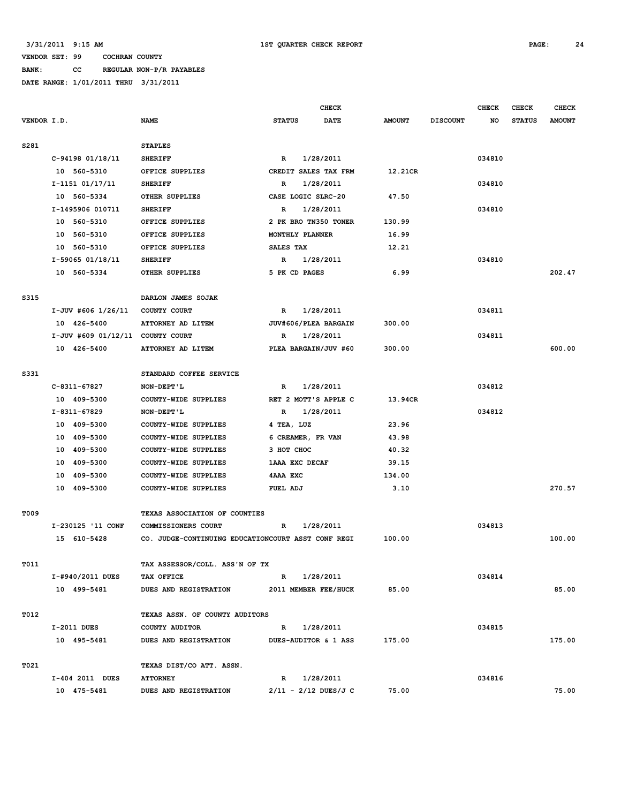**BANK: CC REGULAR NON-P/R PAYABLES DATE RANGE: 1/01/2011 THRU 3/31/2011**

|                    |                                    |                                                    |                        | <b>CHECK</b> |               |                 | <b>CHECK</b> | <b>CHECK</b>  | <b>CHECK</b>  |
|--------------------|------------------------------------|----------------------------------------------------|------------------------|--------------|---------------|-----------------|--------------|---------------|---------------|
| <b>VENDOR I.D.</b> |                                    | <b>NAME</b>                                        | <b>STATUS</b>          | DATE         | <b>AMOUNT</b> | <b>DISCOUNT</b> | NO           | <b>STATUS</b> | <b>AMOUNT</b> |
| S281               |                                    | <b>STAPLES</b>                                     |                        |              |               |                 |              |               |               |
|                    | C-94198 01/18/11                   | <b>SHERIFF</b>                                     | R                      | 1/28/2011    |               |                 | 034810       |               |               |
|                    | 10 560-5310                        | OFFICE SUPPLIES                                    | CREDIT SALES TAX FRM   |              | 12.21CR       |                 |              |               |               |
|                    | I-1151 01/17/11                    | <b>SHERIFF</b>                                     | R                      | 1/28/2011    |               |                 | 034810       |               |               |
|                    | 10 560-5334                        | OTHER SUPPLIES                                     | CASE LOGIC SLRC-20     |              | 47.50         |                 |              |               |               |
|                    | I-1495906 010711                   | <b>SHERIFF</b>                                     | R                      | 1/28/2011    |               |                 | 034810       |               |               |
|                    | 10 560-5310                        | OFFICE SUPPLIES                                    | 2 PK BRO TN350 TONER   |              | 130.99        |                 |              |               |               |
|                    | 10 560-5310                        | OFFICE SUPPLIES                                    | MONTHLY PLANNER        |              | 16.99         |                 |              |               |               |
|                    | 10 560-5310                        | OFFICE SUPPLIES                                    | SALES TAX              |              | 12.21         |                 |              |               |               |
|                    | I-59065 01/18/11                   | <b>SHERIFF</b>                                     | R                      | 1/28/2011    |               |                 | 034810       |               |               |
|                    | 10 560-5334                        | OTHER SUPPLIES                                     | 5 PK CD PAGES          |              | 6.99          |                 |              |               | 202.47        |
| S315               |                                    | DARLON JAMES SOJAK                                 |                        |              |               |                 |              |               |               |
|                    | I-JUV #606 1/26/11                 | COUNTY COURT                                       | $\mathbb{R}$           | 1/28/2011    |               |                 | 034811       |               |               |
|                    | 10 426-5400                        | ATTORNEY AD LITEM                                  | JUV#606/PLEA BARGAIN   |              | 300.00        |                 |              |               |               |
|                    | $I-JUV$ #609 01/12/11 COUNTY COURT |                                                    | $\mathbb{R}$           | 1/28/2011    |               |                 | 034811       |               |               |
|                    | 10 426-5400                        | ATTORNEY AD LITEM                                  | PLEA BARGAIN/JUV #60   |              | 300.00        |                 |              |               | 600.00        |
| S331               |                                    | STANDARD COFFEE SERVICE                            |                        |              |               |                 |              |               |               |
|                    | C-8311-67827                       | NON-DEPT'L                                         | $\mathbb{R}$           | 1/28/2011    |               |                 | 034812       |               |               |
|                    | 10 409-5300                        | COUNTY-WIDE SUPPLIES                               | RET 2 MOTT'S APPLE C   |              | 13.94CR       |                 |              |               |               |
|                    | I-8311-67829                       | NON-DEPT'L                                         | R                      | 1/28/2011    |               |                 | 034812       |               |               |
|                    | 10 409-5300                        | COUNTY-WIDE SUPPLIES                               | 4 TEA, LUZ             |              | 23.96         |                 |              |               |               |
|                    | 10 409-5300                        | COUNTY-WIDE SUPPLIES                               | 6 CREAMER, FR VAN      |              | 43.98         |                 |              |               |               |
|                    | 10 409-5300                        | COUNTY-WIDE SUPPLIES                               | 3 нот снос             |              | 40.32         |                 |              |               |               |
|                    | 10 409-5300                        | COUNTY-WIDE SUPPLIES                               | 1AAA EXC DECAF         |              | 39.15         |                 |              |               |               |
|                    | 10 409-5300                        | COUNTY-WIDE SUPPLIES                               | 4AAA EXC               |              | 134.00        |                 |              |               |               |
|                    | 10 409-5300                        | COUNTY-WIDE SUPPLIES                               | FUEL ADJ               |              | 3.10          |                 |              |               | 270.57        |
| <b>T009</b>        |                                    | TEXAS ASSOCIATION OF COUNTIES                      |                        |              |               |                 |              |               |               |
|                    | I-230125 '11 CONF                  | COMMISSIONERS COURT                                | R                      | 1/28/2011    |               |                 | 034813       |               |               |
|                    | 15 610-5428                        | CO. JUDGE-CONTINUING EDUCATIONCOURT ASST CONF REGI |                        |              | 100.00        |                 |              |               | 100.00        |
| T011               |                                    | TAX ASSESSOR/COLL. ASS'N OF TX                     |                        |              |               |                 |              |               |               |
|                    | I-#940/2011 DUES                   | TAX OFFICE                                         | $\mathbb{R}$           | 1/28/2011    |               |                 | 034814       |               |               |
|                    | 10 499-5481                        | DUES AND REGISTRATION                              | 2011 MEMBER FEE/HUCK   |              | 85.00         |                 |              |               | 85.00         |
| T012               |                                    | TEXAS ASSN. OF COUNTY AUDITORS                     |                        |              |               |                 |              |               |               |
|                    | I-2011 DUES                        | COUNTY AUDITOR                                     | R                      | 1/28/2011    |               |                 | 034815       |               |               |
|                    | 10 495-5481                        | DUES AND REGISTRATION                              | DUES-AUDITOR & 1 ASS   |              | 175.00        |                 |              |               | 175.00        |
| T021               |                                    | TEXAS DIST/CO ATT. ASSN.                           |                        |              |               |                 |              |               |               |
|                    | I-404 2011 DUES                    | <b>ATTORNEY</b>                                    | R                      | 1/28/2011    |               |                 | 034816       |               |               |
|                    | 10 475-5481                        | DUES AND REGISTRATION                              | $2/11 - 2/12$ DUES/J C |              | 75.00         |                 |              |               | 75.00         |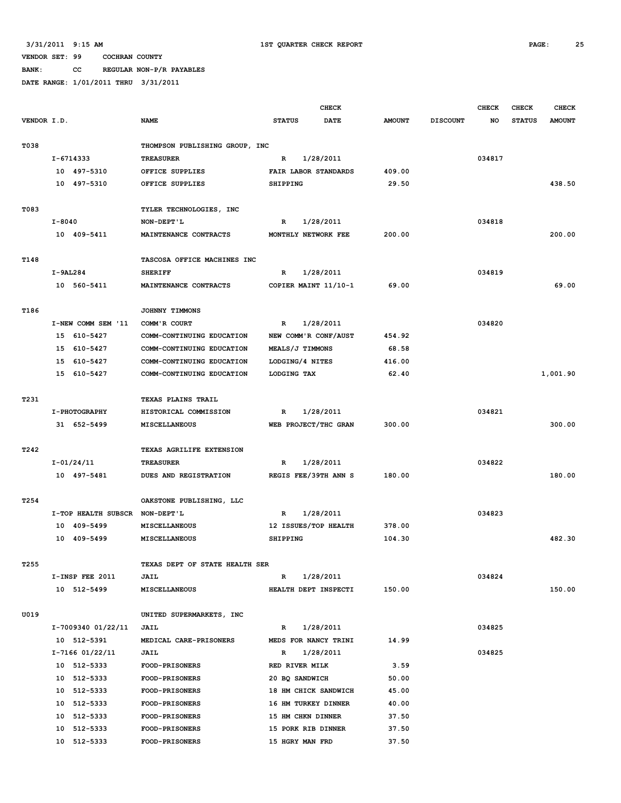**BANK: CC REGULAR NON-P/R PAYABLES**

|             |            |                                |                                |                                | <b>CHECK</b>         |               |                 | <b>CHECK</b> | <b>CHECK</b>  | <b>CHECK</b>  |
|-------------|------------|--------------------------------|--------------------------------|--------------------------------|----------------------|---------------|-----------------|--------------|---------------|---------------|
| VENDOR I.D. |            |                                | <b>NAME</b>                    | <b>STATUS</b>                  | DATE                 | <b>AMOUNT</b> | <b>DISCOUNT</b> | NO           | <b>STATUS</b> | <b>AMOUNT</b> |
|             |            |                                |                                |                                |                      |               |                 |              |               |               |
| T038        |            |                                | THOMPSON PUBLISHING GROUP, INC |                                |                      |               |                 |              |               |               |
|             |            | I-6714333                      | <b>TREASURER</b>               | R                              | 1/28/2011            |               |                 | 034817       |               |               |
|             |            | 10 497-5310                    | OFFICE SUPPLIES                |                                | FAIR LABOR STANDARDS | 409.00        |                 |              |               |               |
|             |            | 10 497-5310                    | OFFICE SUPPLIES                | <b>SHIPPING</b>                |                      | 29.50         |                 |              |               | 438.50        |
|             |            |                                |                                |                                |                      |               |                 |              |               |               |
| T083        |            |                                | TYLER TECHNOLOGIES, INC        |                                |                      |               |                 |              |               |               |
|             | $I - 8040$ |                                | NON-DEPT'L                     | $\mathbb{R}$                   | 1/28/2011            |               |                 | 034818       |               |               |
|             |            | 10 409-5411                    | MAINTENANCE CONTRACTS          |                                | MONTHLY NETWORK FEE  | 200.00        |                 |              |               | 200.00        |
|             |            |                                |                                |                                |                      |               |                 |              |               |               |
| T148        |            |                                | TASCOSA OFFICE MACHINES INC    |                                |                      |               |                 |              |               |               |
|             | $I-9AL284$ |                                | <b>SHERIFF</b>                 | R                              | 1/28/2011            |               |                 | 034819       |               |               |
|             |            | 10 560-5411                    | MAINTENANCE CONTRACTS          |                                | COPIER MAINT 11/10-1 | 69.00         |                 |              |               | 69.00         |
| T186        |            |                                | JOHNNY TIMMONS                 |                                |                      |               |                 |              |               |               |
|             |            | I-NEW COMM SEM '11             | COMM'R COURT                   | R                              | 1/28/2011            |               |                 | 034820       |               |               |
|             | 15         | 610-5427                       | COMM-CONTINUING EDUCATION      |                                | NEW COMM'R CONF/AUST | 454.92        |                 |              |               |               |
|             | 15         | 610-5427                       | COMM-CONTINUING EDUCATION      | MEALS/J TIMMONS                |                      | 68.58         |                 |              |               |               |
|             |            | 15 610-5427                    | COMM-CONTINUING EDUCATION      | LODGING/4 NITES                |                      | 416.00        |                 |              |               |               |
|             |            | 15 610-5427                    | COMM-CONTINUING EDUCATION      | LODGING TAX                    |                      | 62.40         |                 |              |               | 1,001.90      |
|             |            |                                |                                |                                |                      |               |                 |              |               |               |
| T231        |            |                                | <b>TEXAS PLAINS TRAIL</b>      |                                |                      |               |                 |              |               |               |
|             |            | I-PHOTOGRAPHY                  | HISTORICAL COMMISSION          | $\mathbb{R}$                   | 1/28/2011            |               |                 | 034821       |               |               |
|             |            | 31 652-5499                    | MISCELLANEOUS                  |                                | WEB PROJECT/THC GRAN | 300.00        |                 |              |               | 300.00        |
|             |            |                                |                                |                                |                      |               |                 |              |               |               |
| T242        |            |                                | TEXAS AGRILIFE EXTENSION       |                                |                      |               |                 |              |               |               |
|             |            | I-01/24/11                     | <b>TREASURER</b>               | R                              | 1/28/2011            |               |                 | 034822       |               |               |
|             |            | 10 497-5481                    | DUES AND REGISTRATION          |                                | REGIS FEE/39TH ANN S | 180.00        |                 |              |               | 180.00        |
|             |            |                                |                                |                                |                      |               |                 |              |               |               |
| T254        |            |                                | OAKSTONE PUBLISHING, LLC       |                                |                      |               |                 |              |               |               |
|             |            | I-TOP HEALTH SUBSCR            | NON-DEPT'L                     | R                              | 1/28/2011            |               |                 | 034823       |               |               |
|             |            | 10 409-5499                    | MISCELLANEOUS                  |                                | 12 ISSUES/TOP HEALTH | 378.00        |                 |              |               |               |
|             |            | 10 409-5499                    | MISCELLANEOUS                  | SHIPPING                       |                      | 104.30        |                 |              |               | 482.30        |
|             |            |                                |                                |                                |                      |               |                 |              |               |               |
| T255        |            |                                | TEXAS DEPT OF STATE HEALTH SER |                                |                      |               |                 |              |               |               |
|             |            | I-INSP FEE 2011                | JAIL                           | $\mathbb{R}$                   | 1/28/2011            |               |                 | 034824       |               |               |
|             |            | 10 512-5499                    | MISCELLANEOUS                  |                                | HEALTH DEPT INSPECTI | 150.00        |                 |              |               | 150.00        |
|             |            |                                |                                |                                |                      |               |                 |              |               |               |
| U019        |            |                                | UNITED SUPERMARKETS, INC       |                                |                      |               |                 |              |               |               |
|             |            | I-7009340 01/22/11             | JAIL                           | $\mathbb{R}$                   | 1/28/2011            |               |                 | 034825       |               |               |
|             |            | 10 512-5391                    | MEDICAL CARE-PRISONERS         |                                | MEDS FOR NANCY TRINI | 14.99         |                 |              |               |               |
|             |            | I-7166 01/22/11<br>10 512-5333 | JAIL<br>FOOD-PRISONERS         | $\mathbb{R}$<br>RED RIVER MILK | 1/28/2011            | 3.59          |                 | 034825       |               |               |
|             |            | 10 512-5333                    | <b>FOOD-PRISONERS</b>          |                                |                      | 50.00         |                 |              |               |               |
|             |            | 10 512-5333                    | FOOD-PRISONERS                 | 20 BQ SANDWICH                 | 18 HM CHICK SANDWICH | 45.00         |                 |              |               |               |
|             |            | 10 512-5333                    | FOOD-PRISONERS                 |                                | 16 HM TURKEY DINNER  | 40.00         |                 |              |               |               |
|             |            | 10 512-5333                    | FOOD-PRISONERS                 |                                | 15 HM CHKN DINNER    | 37.50         |                 |              |               |               |
|             |            | 10 512-5333                    | <b>FOOD-PRISONERS</b>          |                                | 15 PORK RIB DINNER   | 37.50         |                 |              |               |               |
|             |            | 10 512-5333                    | FOOD-PRISONERS                 | 15 HGRY MAN FRD                |                      | 37.50         |                 |              |               |               |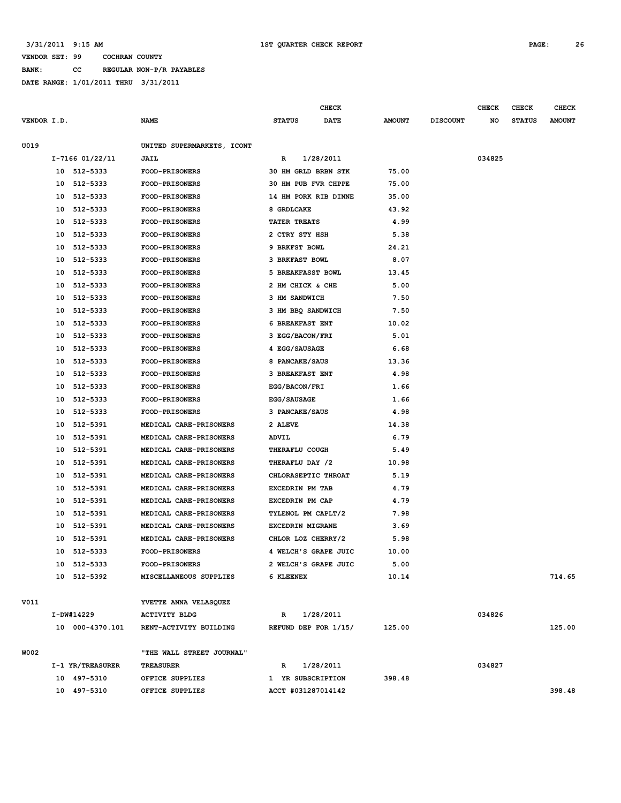**BANK: CC REGULAR NON-P/R PAYABLES**

|             |    |                  |                            |                        | CHECK       |               |                 | <b>CHECK</b> | CHECK         | <b>CHECK</b>  |
|-------------|----|------------------|----------------------------|------------------------|-------------|---------------|-----------------|--------------|---------------|---------------|
| VENDOR I.D. |    |                  | <b>NAME</b>                | <b>STATUS</b>          | <b>DATE</b> | <b>AMOUNT</b> | <b>DISCOUNT</b> | NO           | <b>STATUS</b> | <b>AMOUNT</b> |
| U019        |    |                  | UNITED SUPERMARKETS, ICONT |                        |             |               |                 |              |               |               |
|             |    | I-7166 01/22/11  | JAIL                       | R                      | 1/28/2011   |               |                 | 034825       |               |               |
|             | 10 | 512-5333         | <b>FOOD-PRISONERS</b>      | 30 HM GRLD BRBN STK    |             | 75.00         |                 |              |               |               |
|             | 10 | 512-5333         | <b>FOOD-PRISONERS</b>      | 30 HM PUB FVR CHPPE    |             | 75.00         |                 |              |               |               |
|             | 10 | 512-5333         | <b>FOOD-PRISONERS</b>      | 14 HM PORK RIB DINNE   |             | 35.00         |                 |              |               |               |
|             | 10 | 512-5333         | <b>FOOD-PRISONERS</b>      | 8 GRDLCAKE             |             | 43.92         |                 |              |               |               |
|             | 10 | 512-5333         | <b>FOOD-PRISONERS</b>      | TATER TREATS           |             | 4.99          |                 |              |               |               |
|             | 10 | 512-5333         | <b>FOOD-PRISONERS</b>      | 2 CTRY STY HSH         |             | 5.38          |                 |              |               |               |
|             | 10 | 512-5333         | <b>FOOD-PRISONERS</b>      | 9 BRKFST BOWL          |             | 24.21         |                 |              |               |               |
|             | 10 | 512-5333         | FOOD-PRISONERS             | <b>3 BRKFAST BOWL</b>  |             | 8.07          |                 |              |               |               |
|             | 10 | 512-5333         | <b>FOOD-PRISONERS</b>      | 5 BREAKFASST BOWL      |             | 13.45         |                 |              |               |               |
|             | 10 | 512-5333         | <b>FOOD-PRISONERS</b>      | 2 HM CHICK & CHE       |             | 5.00          |                 |              |               |               |
|             | 10 | 512-5333         | FOOD-PRISONERS             | 3 HM SANDWICH          |             | 7.50          |                 |              |               |               |
|             | 10 | 512-5333         | FOOD-PRISONERS             | 3 HM BBQ SANDWICH      |             | 7.50          |                 |              |               |               |
|             | 10 | 512-5333         | <b>FOOD-PRISONERS</b>      | <b>6 BREAKFAST ENT</b> |             | 10.02         |                 |              |               |               |
|             | 10 | 512-5333         | <b>FOOD-PRISONERS</b>      | 3 EGG/BACON/FRI        |             | 5.01          |                 |              |               |               |
|             | 10 | 512-5333         | <b>FOOD-PRISONERS</b>      | 4 EGG/SAUSAGE          |             | 6.68          |                 |              |               |               |
|             | 10 | 512-5333         | <b>FOOD-PRISONERS</b>      | 8 PANCAKE/SAUS         |             | 13.36         |                 |              |               |               |
|             | 10 | 512-5333         | FOOD-PRISONERS             | <b>3 BREAKFAST ENT</b> |             | 4.98          |                 |              |               |               |
|             | 10 | 512-5333         | FOOD-PRISONERS             | EGG/BACON/FRI          |             | 1.66          |                 |              |               |               |
|             | 10 | 512-5333         | <b>FOOD-PRISONERS</b>      | <b>EGG/SAUSAGE</b>     |             | 1.66          |                 |              |               |               |
|             | 10 | 512-5333         | <b>FOOD-PRISONERS</b>      | 3 PANCAKE/SAUS         |             | 4.98          |                 |              |               |               |
|             | 10 | 512-5391         | MEDICAL CARE-PRISONERS     | 2 ALEVE                |             | 14.38         |                 |              |               |               |
|             | 10 | 512-5391         | MEDICAL CARE-PRISONERS     | <b>ADVIL</b>           |             | 6.79          |                 |              |               |               |
|             | 10 | 512-5391         | MEDICAL CARE-PRISONERS     | THERAFLU COUGH         |             | 5.49          |                 |              |               |               |
|             | 10 | 512-5391         | MEDICAL CARE-PRISONERS     | THERAFLU DAY /2        |             | 10.98         |                 |              |               |               |
|             | 10 | 512-5391         | MEDICAL CARE-PRISONERS     | CHLORASEPTIC THROAT    |             | 5.19          |                 |              |               |               |
|             | 10 | 512-5391         | MEDICAL CARE-PRISONERS     | EXCEDRIN PM TAB        |             | 4.79          |                 |              |               |               |
|             | 10 | 512-5391         | MEDICAL CARE-PRISONERS     | EXCEDRIN PM CAP        |             | 4.79          |                 |              |               |               |
|             | 10 | 512-5391         | MEDICAL CARE-PRISONERS     | TYLENOL PM CAPLT/2     |             | 7.98          |                 |              |               |               |
|             | 10 | 512-5391         | MEDICAL CARE-PRISONERS     | EXCEDRIN MIGRANE       |             | 3.69          |                 |              |               |               |
|             | 10 | 512-5391         | MEDICAL CARE-PRISONERS     | CHLOR LOZ CHERRY/2     |             | 5.98          |                 |              |               |               |
|             | 10 | 512-5333         | FOOD-PRISONERS             | 4 WELCH'S GRAPE JUIC   |             | 10.00         |                 |              |               |               |
|             |    | 10 512-5333      | <b>FOOD-PRISONERS</b>      | 2 WELCH'S GRAPE JUIC   |             | 5.00          |                 |              |               |               |
|             |    | 10 512-5392      | MISCELLANEOUS SUPPLIES     | 6 KLEENEX              |             | 10.14         |                 |              |               | 714.65        |
| V011        |    |                  | YVETTE ANNA VELASQUEZ      |                        |             |               |                 |              |               |               |
|             |    | I-DW#14229       | <b>ACTIVITY BLDG</b>       | R                      | 1/28/2011   |               |                 | 034826       |               |               |
|             |    | 10 000-4370.101  | RENT-ACTIVITY BUILDING     | REFUND DEP FOR 1/15/   |             | 125.00        |                 |              |               | 125.00        |
| W002        |    |                  | "THE WALL STREET JOURNAL"  |                        |             |               |                 |              |               |               |
|             |    | I-1 YR/TREASURER |                            | R                      | 1/28/2011   |               |                 | 034827       |               |               |
|             |    |                  | <b>TREASURER</b>           | 1 YR SUBSCRIPTION      |             |               |                 |              |               |               |
|             |    | 10 497-5310      | OFFICE SUPPLIES            |                        |             | 398.48        |                 |              |               | 398.48        |
|             |    | 10 497-5310      | OFFICE SUPPLIES            | ACCT #031287014142     |             |               |                 |              |               |               |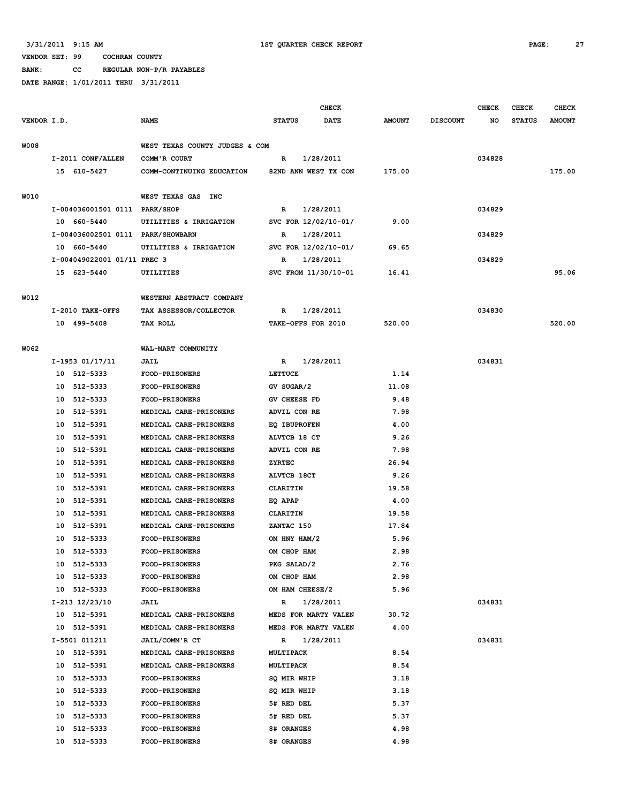**BANK: CC REGULAR NON-P/R PAYABLES**

|             |                                   |                                |                      | <b>CHECK</b> |               |                 | <b>CHECK</b> | CHECK         | <b>CHECK</b>  |
|-------------|-----------------------------------|--------------------------------|----------------------|--------------|---------------|-----------------|--------------|---------------|---------------|
| VENDOR I.D. |                                   | <b>NAME</b>                    | <b>STATUS</b>        | <b>DATE</b>  | <b>AMOUNT</b> | <b>DISCOUNT</b> | NO           | <b>STATUS</b> | <b>AMOUNT</b> |
| <b>W008</b> |                                   | WEST TEXAS COUNTY JUDGES & COM |                      |              |               |                 |              |               |               |
|             | I-2011 CONF/ALLEN                 | COMM'R COURT                   | R                    | 1/28/2011    |               |                 | 034828       |               |               |
|             | 15 610-5427                       | COMM-CONTINUING EDUCATION      | 82ND ANN WEST TX CON |              | 175.00        |                 |              |               | 175.00        |
|             |                                   |                                |                      |              |               |                 |              |               |               |
| W010        |                                   | WEST TEXAS GAS INC             |                      |              |               |                 |              |               |               |
|             | I-004036001501 0111 PARK/SHOP     |                                | R                    | 1/28/2011    |               |                 | 034829       |               |               |
|             | 10 660-5440                       | UTILITIES & IRRIGATION         | SVC FOR 12/02/10-01/ |              | 9.00          |                 |              |               |               |
|             | I-004036002501 0111 PARK/SHOWBARN |                                | $\mathbf R$          | 1/28/2011    |               |                 | 034829       |               |               |
|             | 10 660-5440                       | UTILITIES & IRRIGATION         | SVC FOR 12/02/10-01/ |              | 69.65         |                 |              |               |               |
|             | I-004049022001 01/11 PREC 3       |                                | R                    | 1/28/2011    |               |                 | 034829       |               |               |
|             | 15 623-5440                       | UTILITIES                      | SVC FROM 11/30/10-01 |              | 16.41         |                 |              |               | 95.06         |
| W012        |                                   | WESTERN ABSTRACT COMPANY       |                      |              |               |                 |              |               |               |
|             | I-2010 TAKE-OFFS                  | TAX ASSESSOR/COLLECTOR         | R                    | 1/28/2011    |               |                 | 034830       |               |               |
|             | 10 499-5408                       | TAX ROLL                       | TAKE-OFFS FOR 2010   |              | 520.00        |                 |              |               | 520.00        |
|             |                                   |                                |                      |              |               |                 |              |               |               |
| W062        |                                   | WAL-MART COMMUNITY             |                      |              |               |                 |              |               |               |
|             | I-1953 01/17/11                   | <b>JAIL</b>                    | R                    | 1/28/2011    |               |                 | 034831       |               |               |
|             | 10 512-5333                       | FOOD-PRISONERS                 | LETTUCE              |              | 1.14          |                 |              |               |               |
|             | 10 512-5333                       | FOOD-PRISONERS                 | GV SUGAR/2           |              | 11.08         |                 |              |               |               |
|             | 10 512-5333                       | FOOD-PRISONERS                 | GV CHEESE FD         |              | 9.48          |                 |              |               |               |
|             | 10 512-5391                       | MEDICAL CARE-PRISONERS         | ADVIL CON RE         |              | 7.98          |                 |              |               |               |
|             | 10 512-5391                       | MEDICAL CARE-PRISONERS         | <b>EQ IBUPROFEN</b>  |              | 4.00          |                 |              |               |               |
|             | 10 512-5391                       | MEDICAL CARE-PRISONERS         | ALVTCB 18 CT         |              | 9.26          |                 |              |               |               |
|             | 512-5391<br>10                    | MEDICAL CARE-PRISONERS         | ADVIL CON RE         |              | 7.98          |                 |              |               |               |
|             | 10<br>512-5391                    | MEDICAL CARE-PRISONERS         | <b>ZYRTEC</b>        |              | 26.94         |                 |              |               |               |
|             | 512-5391<br>10                    | MEDICAL CARE-PRISONERS         | ALVTCB 18CT          |              | 9.26          |                 |              |               |               |
|             | 512-5391<br>10                    | MEDICAL CARE-PRISONERS         | CLARITIN             |              | 19.58         |                 |              |               |               |
|             | 10 512-5391                       | MEDICAL CARE-PRISONERS         | EQ APAP              |              | 4.00          |                 |              |               |               |
|             | 10 512-5391                       | MEDICAL CARE-PRISONERS         | CLARITIN             |              | 19.58         |                 |              |               |               |
|             | 512-5391<br>10                    | MEDICAL CARE-PRISONERS         | ZANTAC 150           |              | 17.84         |                 |              |               |               |
|             | 10<br>512-5333                    | FOOD-PRISONERS                 | OM HNY HAM/2         |              | 5.96          |                 |              |               |               |
|             | 10<br>512-5333                    | FOOD-PRISONERS                 | OM CHOP HAM          |              | 2.98          |                 |              |               |               |
|             | 10 512-5333                       | FOOD-PRISONERS                 | PKG SALAD/2          |              | 2.76          |                 |              |               |               |
|             | 10 512-5333                       | <b>FOOD-PRISONERS</b>          | OM CHOP HAM          |              | 2.98          |                 |              |               |               |
|             | 10 512-5333                       | <b>FOOD-PRISONERS</b>          | OM HAM CHEESE/2      |              | 5.96          |                 |              |               |               |
|             | I-213 12/23/10                    | JAIL                           | $\mathbb{R}$         | 1/28/2011    |               |                 | 034831       |               |               |
|             | 10 512-5391                       | MEDICAL CARE-PRISONERS         | MEDS FOR MARTY VALEN |              | 30.72         |                 |              |               |               |
|             | 10 512-5391                       | MEDICAL CARE-PRISONERS         | MEDS FOR MARTY VALEN |              | 4.00          |                 |              |               |               |
|             | I-5501 011211                     | JAIL/COMM'R CT                 | $\mathbb{R}$         | 1/28/2011    |               |                 | 034831       |               |               |
|             | 10 512-5391                       | MEDICAL CARE-PRISONERS         | <b>MULTIPACK</b>     |              | 8.54          |                 |              |               |               |
|             | 10 512-5391                       | MEDICAL CARE-PRISONERS         | <b>MULTIPACK</b>     |              | 8.54          |                 |              |               |               |
|             | 10 512-5333                       | FOOD-PRISONERS                 | SQ MIR WHIP          |              | 3.18          |                 |              |               |               |
|             | 10 512-5333                       | <b>FOOD-PRISONERS</b>          | SQ MIR WHIP          |              | 3.18          |                 |              |               |               |
|             | 10 512-5333                       | FOOD-PRISONERS                 | 5# RED DEL           |              | 5.37          |                 |              |               |               |
|             | 10 512-5333                       | <b>FOOD-PRISONERS</b>          | 5# RED DEL           |              | 5.37          |                 |              |               |               |
|             | 10 512-5333                       | <b>FOOD-PRISONERS</b>          | 8# ORANGES           |              | 4.98          |                 |              |               |               |
|             | 10 512-5333                       | <b>FOOD-PRISONERS</b>          | 8# ORANGES           |              | 4.98          |                 |              |               |               |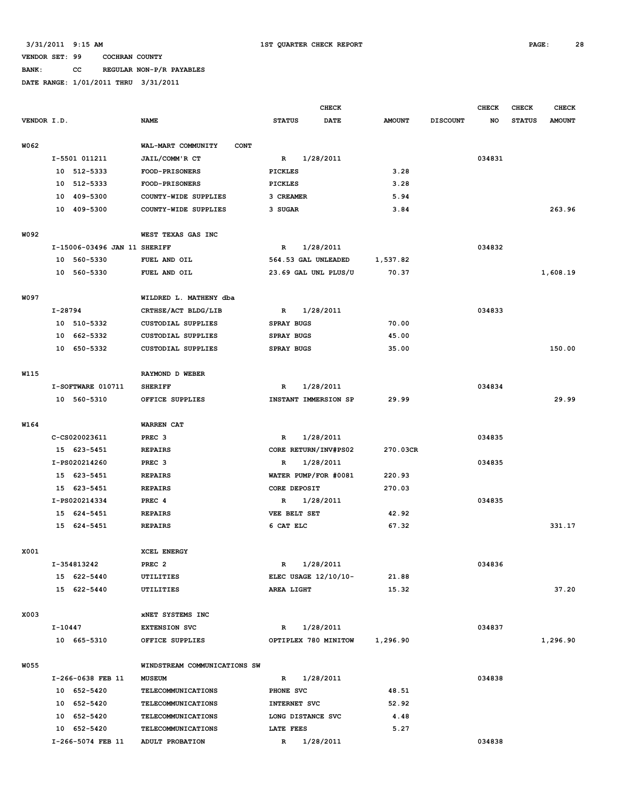# **BANK: CC REGULAR NON-P/R PAYABLES**

|             |         |                              |                                   |                   |                   | <b>CHECK</b>         |               |                 | <b>CHECK</b> | <b>CHECK</b>  | <b>CHECK</b>  |
|-------------|---------|------------------------------|-----------------------------------|-------------------|-------------------|----------------------|---------------|-----------------|--------------|---------------|---------------|
| VENDOR I.D. |         |                              | <b>NAME</b>                       | <b>STATUS</b>     |                   | <b>DATE</b>          | <b>AMOUNT</b> | <b>DISCOUNT</b> | NO           | <b>STATUS</b> | <b>AMOUNT</b> |
| W062        |         |                              | WAL-MART COMMUNITY<br><b>CONT</b> |                   |                   |                      |               |                 |              |               |               |
|             |         | I-5501 011211                | JAIL/COMM'R CT                    | R                 |                   | 1/28/2011            |               |                 | 034831       |               |               |
|             | 10      | 512-5333                     | <b>FOOD-PRISONERS</b>             | <b>PICKLES</b>    |                   |                      | 3.28          |                 |              |               |               |
|             | 10      | 512-5333                     | FOOD-PRISONERS                    | <b>PICKLES</b>    |                   |                      | 3.28          |                 |              |               |               |
|             | 10      | 409-5300                     | COUNTY-WIDE SUPPLIES              | 3 CREAMER         |                   |                      | 5.94          |                 |              |               |               |
|             |         | 10 409-5300                  | COUNTY-WIDE SUPPLIES              | 3 SUGAR           |                   |                      | 3.84          |                 |              |               | 263.96        |
| W092        |         |                              | WEST TEXAS GAS INC                |                   |                   |                      |               |                 |              |               |               |
|             |         | I-15006-03496 JAN 11 SHERIFF |                                   | R                 |                   | 1/28/2011            |               |                 | 034832       |               |               |
|             |         | 10 560-5330                  | FUEL AND OIL                      |                   |                   | 564.53 GAL UNLEADED  | 1,537.82      |                 |              |               |               |
|             |         | 10 560-5330                  | FUEL AND OIL                      |                   |                   | 23.69 GAL UNL PLUS/U | 70.37         |                 |              |               | 1,608.19      |
| W097        |         |                              | WILDRED L. MATHENY dba            |                   |                   |                      |               |                 |              |               |               |
|             | I-28794 |                              | CRTHSE/ACT BLDG/LIB               | R                 |                   | 1/28/2011            |               |                 | 034833       |               |               |
|             | 10      | 510-5332                     | <b>CUSTODIAL SUPPLIES</b>         | <b>SPRAY BUGS</b> |                   |                      | 70.00         |                 |              |               |               |
|             | 10      | 662-5332                     | <b>CUSTODIAL SUPPLIES</b>         | <b>SPRAY BUGS</b> |                   |                      | 45.00         |                 |              |               |               |
|             |         | 10 650-5332                  | <b>CUSTODIAL SUPPLIES</b>         | <b>SPRAY BUGS</b> |                   |                      | 35.00         |                 |              |               | 150.00        |
| <b>W115</b> |         |                              | RAYMOND D WEBER                   |                   |                   |                      |               |                 |              |               |               |
|             |         | I-SOFTWARE 010711            | <b>SHERIFF</b>                    | R                 |                   | 1/28/2011            |               |                 | 034834       |               |               |
|             |         | 10 560-5310                  | OFFICE SUPPLIES                   |                   |                   | INSTANT IMMERSION SP | 29.99         |                 |              |               | 29.99         |
|             |         |                              |                                   |                   |                   |                      |               |                 |              |               |               |
| W164        |         |                              | WARREN CAT                        |                   |                   |                      |               |                 |              |               |               |
|             |         | C-CS020023611                | PREC <sub>3</sub>                 | R                 |                   | 1/28/2011            |               |                 | 034835       |               |               |
|             |         | 15 623-5451                  | <b>REPAIRS</b>                    |                   |                   | CORE RETURN/INV#PS02 | 270.03CR      |                 |              |               |               |
|             |         | I-PS020214260                | PREC <sub>3</sub>                 | R                 |                   | 1/28/2011            |               |                 | 034835       |               |               |
|             |         | 15 623-5451                  | <b>REPAIRS</b>                    |                   |                   | WATER PUMP/FOR #0081 | 220.93        |                 |              |               |               |
|             |         | 15 623-5451                  | <b>REPAIRS</b>                    |                   | CORE DEPOSIT      |                      | 270.03        |                 |              |               |               |
|             |         | I-PS020214334                | PREC 4                            | R                 |                   | 1/28/2011            |               |                 | 034835       |               |               |
|             |         | 15 624-5451                  | <b>REPAIRS</b>                    |                   | VEE BELT SET      |                      | 42.92         |                 |              |               |               |
|             |         | 15 624-5451                  | <b>REPAIRS</b>                    | 6 CAT ELC         |                   |                      | 67.32         |                 |              |               | 331.17        |
| X001        |         |                              | XCEL ENERGY                       |                   |                   |                      |               |                 |              |               |               |
|             |         | I-354813242                  | PREC <sub>2</sub>                 | R                 |                   | 1/28/2011            |               |                 | 034836       |               |               |
|             |         | 15 622-5440                  | <b>UTILITIES</b>                  |                   |                   | ELEC USAGE 12/10/10- | 21.88         |                 |              |               |               |
|             |         | 15 622-5440                  | UTILITIES                         | AREA LIGHT        |                   |                      | 15.32         |                 |              |               | 37.20         |
| X003        |         |                              | XNET SYSTEMS INC                  |                   |                   |                      |               |                 |              |               |               |
|             | I-10447 |                              | <b>EXTENSION SVC</b>              | $\mathbb{R}$      |                   | 1/28/2011            |               |                 | 034837       |               |               |
|             |         | 10 665-5310                  | OFFICE SUPPLIES                   |                   |                   | OPTIPLEX 780 MINITOW | 1,296.90      |                 |              |               | 1,296.90      |
| W055        |         |                              | WINDSTREAM COMMUNICATIONS SW      |                   |                   |                      |               |                 |              |               |               |
|             |         | I-266-0638 FEB 11            | <b>MUSEUM</b>                     | $\mathbb{R}$      |                   | 1/28/2011            |               |                 | 034838       |               |               |
|             |         | 10 652-5420                  | <b>TELECOMMUNICATIONS</b>         | PHONE SVC         |                   |                      | 48.51         |                 |              |               |               |
|             |         | 10 652-5420                  | TELECOMMUNICATIONS                |                   | INTERNET SVC      |                      | 52.92         |                 |              |               |               |
|             |         | 10 652-5420                  | TELECOMMUNICATIONS                |                   | LONG DISTANCE SVC |                      | 4.48          |                 |              |               |               |
|             |         | 10 652-5420                  | TELECOMMUNICATIONS                | LATE FEES         |                   |                      | 5.27          |                 |              |               |               |
|             |         | I-266-5074 FEB 11            | ADULT PROBATION                   |                   | R 1/28/2011       |                      |               |                 | 034838       |               |               |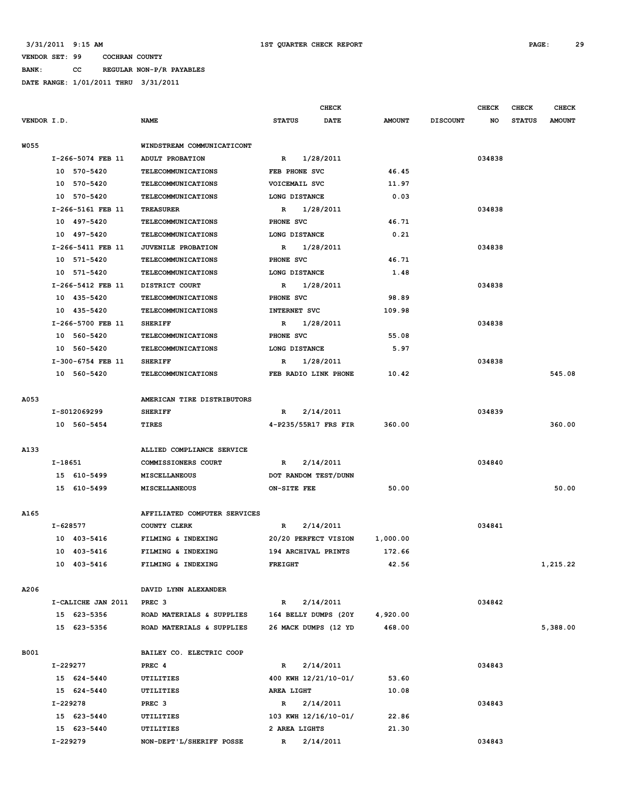**BANK: CC REGULAR NON-P/R PAYABLES DATE RANGE: 1/01/2011 THRU 3/31/2011**

|                    |                              | <b>CHECK</b>              |               |                 | <b>CHECK</b> | CHECK         | <b>CHECK</b>  |
|--------------------|------------------------------|---------------------------|---------------|-----------------|--------------|---------------|---------------|
| VENDOR I.D.        | <b>NAME</b>                  | <b>STATUS</b><br>DATE     | <b>AMOUNT</b> | <b>DISCOUNT</b> | NO           | <b>STATUS</b> | <b>AMOUNT</b> |
| <b>W055</b>        | WINDSTREAM COMMUNICATICONT   |                           |               |                 |              |               |               |
| I-266-5074 FEB 11  | <b>ADULT PROBATION</b>       | 1/28/2011<br>$\mathbb{R}$ |               |                 | 034838       |               |               |
| 10 570-5420        | <b>TELECOMMUNICATIONS</b>    | FEB PHONE SVC             | 46.45         |                 |              |               |               |
| 10 570-5420        | <b>TELECOMMUNICATIONS</b>    | VOICEMAIL SVC             | 11.97         |                 |              |               |               |
| 10 570-5420        | <b>TELECOMMUNICATIONS</b>    | LONG DISTANCE             | 0.03          |                 |              |               |               |
| I-266-5161 FEB 11  | <b>TREASURER</b>             | 1/28/2011<br>R            |               |                 | 034838       |               |               |
| 10 497-5420        | <b>TELECOMMUNICATIONS</b>    | PHONE SVC                 | 46.71         |                 |              |               |               |
| 10 497-5420        | <b>TELECOMMUNICATIONS</b>    | LONG DISTANCE             | 0.21          |                 |              |               |               |
| I-266-5411 FEB 11  | JUVENILE PROBATION           | 1/28/2011<br>$\mathbb{R}$ |               |                 | 034838       |               |               |
| 10 571-5420        |                              |                           | 46.71         |                 |              |               |               |
|                    | <b>TELECOMMUNICATIONS</b>    | PHONE SVC                 |               |                 |              |               |               |
| 10 571-5420        | <b>TELECOMMUNICATIONS</b>    | LONG DISTANCE             | 1.48          |                 | 034838       |               |               |
| I-266-5412 FEB 11  | DISTRICT COURT               | 1/28/2011<br>R            |               |                 |              |               |               |
| 10 435-5420        | <b>TELECOMMUNICATIONS</b>    | PHONE SVC                 | 98.89         |                 |              |               |               |
| 10 435-5420        | <b>TELECOMMUNICATIONS</b>    | <b>INTERNET SVC</b>       | 109.98        |                 |              |               |               |
| I-266-5700 FEB 11  | <b>SHERIFF</b>               | 1/28/2011<br>$\mathbb{R}$ |               |                 | 034838       |               |               |
| 10 560-5420        | <b>TELECOMMUNICATIONS</b>    | PHONE SVC                 | 55.08         |                 |              |               |               |
| 10 560-5420        | <b>TELECOMMUNICATIONS</b>    | LONG DISTANCE             | 5.97          |                 |              |               |               |
| I-300-6754 FEB 11  | <b>SHERIFF</b>               | 1/28/2011<br>R            |               |                 | 034838       |               |               |
| 10 560-5420        | <b>TELECOMMUNICATIONS</b>    | FEB RADIO LINK PHONE      | 10.42         |                 |              |               | 545.08        |
| A053               | AMERICAN TIRE DISTRIBUTORS   |                           |               |                 |              |               |               |
| I-S012069299       | <b>SHERIFF</b>               | 2/14/2011<br>R            |               |                 | 034839       |               |               |
| 10 560-5454        | TIRES                        | 4-P235/55R17 FRS FIR      | 360.00        |                 |              |               | 360.00        |
|                    |                              |                           |               |                 |              |               |               |
| A133               | ALLIED COMPLIANCE SERVICE    |                           |               |                 |              |               |               |
| I-18651            | COMMISSIONERS COURT          | 2/14/2011<br>R            |               |                 | 034840       |               |               |
| 15 610-5499        | MISCELLANEOUS                | DOT RANDOM TEST/DUNN      |               |                 |              |               |               |
| 15 610-5499        | MISCELLANEOUS                | ON-SITE FEE               | 50.00         |                 |              |               | 50.00         |
|                    |                              |                           |               |                 |              |               |               |
| A165               | AFFILIATED COMPUTER SERVICES |                           |               |                 |              |               |               |
| I-628577           | COUNTY CLERK                 | 2/14/2011<br>R            |               |                 | 034841       |               |               |
| 10 403-5416        | FILMING & INDEXING           | 20/20 PERFECT VISION      | 1,000.00      |                 |              |               |               |
| 10 403-5416        | FILMING & INDEXING           | 194 ARCHIVAL PRINTS       | 172.66        |                 |              |               |               |
| 10 403-5416        | FILMING & INDEXING           | FREIGHT                   | 42.56         |                 |              |               | 1,215.22      |
|                    |                              |                           |               |                 |              |               |               |
| A206               | DAVID LYNN ALEXANDER         |                           |               |                 |              |               |               |
| I-CALICHE JAN 2011 | PREC <sub>3</sub>            | 2/14/2011<br>$\mathbb{R}$ |               |                 | 034842       |               |               |
| 15 623-5356        | ROAD MATERIALS & SUPPLIES    | 164 BELLY DUMPS (20Y      | 4,920.00      |                 |              |               |               |
| 15 623-5356        | ROAD MATERIALS & SUPPLIES    | 26 MACK DUMPS (12 YD      | 468.00        |                 |              |               | 5,388.00      |
| B001               | BAILEY CO. ELECTRIC COOP     |                           |               |                 |              |               |               |
| I-229277           | PREC 4                       | 2/14/2011<br>$\mathbb{R}$ |               |                 | 034843       |               |               |
| 15 624-5440        | UTILITIES                    | 400 KWH 12/21/10-01/      | 53.60         |                 |              |               |               |
| 15 624-5440        | UTILITIES                    | AREA LIGHT                | 10.08         |                 |              |               |               |
| I-229278           | PREC <sub>3</sub>            | R 2/14/2011               |               |                 | 034843       |               |               |
| 15 623-5440        | UTILITIES                    | 103 KWH 12/16/10-01/      | 22.86         |                 |              |               |               |
| 15 623-5440        | UTILITIES                    | 2 AREA LIGHTS             | 21.30         |                 |              |               |               |
| I-229279           | NON-DEPT'L/SHERIFF POSSE     | R 2/14/2011               |               |                 | 034843       |               |               |
|                    |                              |                           |               |                 |              |               |               |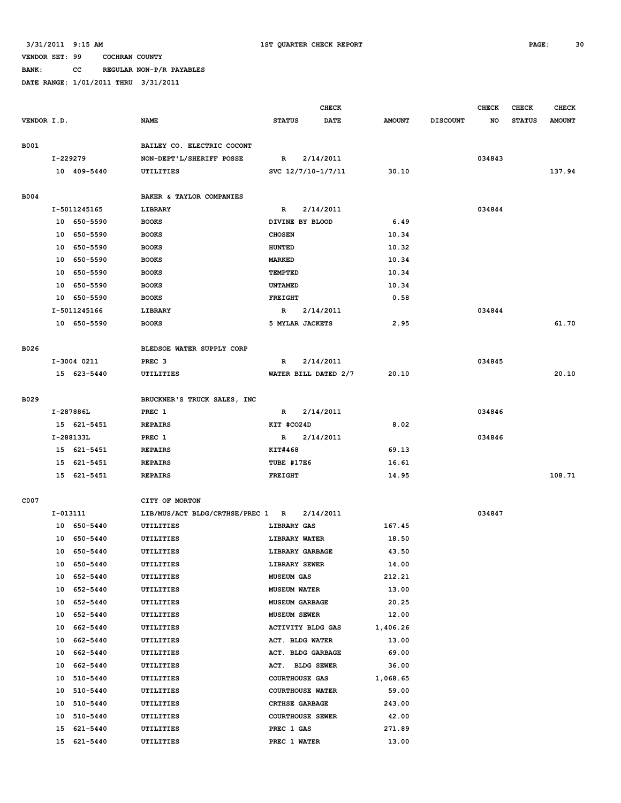**BANK: CC REGULAR NON-P/R PAYABLES**

|             |          |              |                                  |                         | <b>CHECK</b>         |               |                 | <b>CHECK</b> | <b>CHECK</b>  | <b>CHECK</b>  |
|-------------|----------|--------------|----------------------------------|-------------------------|----------------------|---------------|-----------------|--------------|---------------|---------------|
| VENDOR I.D. |          |              | <b>NAME</b>                      | <b>STATUS</b>           | <b>DATE</b>          | <b>AMOUNT</b> | <b>DISCOUNT</b> | NO           | <b>STATUS</b> | <b>AMOUNT</b> |
|             |          |              |                                  |                         |                      |               |                 |              |               |               |
| B001        |          |              | BAILEY CO. ELECTRIC COCONT       |                         |                      |               |                 |              |               |               |
|             | I-229279 |              | NON-DEPT'L/SHERIFF POSSE         | R                       | 2/14/2011            |               |                 | 034843       |               |               |
|             |          | 10 409-5440  | UTILITIES                        |                         | SVC 12/7/10-1/7/11   | 30.10         |                 |              |               | 137.94        |
|             |          |              |                                  |                         |                      |               |                 |              |               |               |
| <b>B004</b> |          |              | BAKER & TAYLOR COMPANIES         |                         |                      |               |                 |              |               |               |
|             |          | I-5011245165 | LIBRARY                          | R                       | 2/14/2011            |               |                 | 034844       |               |               |
|             |          | 10 650-5590  | <b>BOOKS</b>                     | DIVINE BY BLOOD         |                      | 6.49          |                 |              |               |               |
|             |          | 10 650-5590  | <b>BOOKS</b>                     | <b>CHOSEN</b>           |                      | 10.34         |                 |              |               |               |
|             | 10       | 650-5590     | <b>BOOKS</b>                     | <b>HUNTED</b>           |                      | 10.32         |                 |              |               |               |
|             |          | 10 650-5590  | <b>BOOKS</b>                     | <b>MARKED</b>           |                      | 10.34         |                 |              |               |               |
|             |          | 10 650-5590  | <b>BOOKS</b>                     | TEMPTED                 |                      | 10.34         |                 |              |               |               |
|             | 10       | 650-5590     | <b>BOOKS</b>                     | <b>UNTAMED</b>          |                      | 10.34         |                 |              |               |               |
|             |          | 10 650-5590  | <b>BOOKS</b>                     | <b>FREIGHT</b>          |                      | 0.58          |                 |              |               |               |
|             |          | I-5011245166 | LIBRARY                          | R                       | 2/14/2011            |               |                 | 034844       |               |               |
|             |          | 10 650-5590  | <b>BOOKS</b>                     | 5 MYLAR JACKETS         |                      | 2.95          |                 |              |               | 61.70         |
|             |          |              |                                  |                         |                      |               |                 |              |               |               |
| B026        |          |              | BLEDSOE WATER SUPPLY CORP        |                         |                      |               |                 |              |               |               |
|             |          | I-3004 0211  | PREC <sub>3</sub>                | R                       | 2/14/2011            |               |                 | 034845       |               |               |
|             |          | 15 623-5440  | UTILITIES                        |                         | WATER BILL DATED 2/7 | 20.10         |                 |              |               | 20.10         |
|             |          |              |                                  |                         |                      |               |                 |              |               |               |
| B029        |          |              | BRUCKNER'S TRUCK SALES, INC      |                         |                      |               |                 |              |               |               |
|             |          | I-287886L    | PREC 1                           | $\mathbb{R}$            | 2/14/2011            |               |                 | 034846       |               |               |
|             |          | 15 621-5451  | <b>REPAIRS</b>                   | KIT #CO24D              |                      | 8.02          |                 |              |               |               |
|             |          | I-288133L    | PREC 1                           | R                       | 2/14/2011            |               |                 | 034846       |               |               |
|             |          | 15 621-5451  | <b>REPAIRS</b>                   | KIT#468                 |                      | 69.13         |                 |              |               |               |
|             |          | 15 621-5451  | <b>REPAIRS</b>                   | TUBE #17E6              |                      | 16.61         |                 |              |               |               |
|             |          | 15 621-5451  | <b>REPAIRS</b>                   | <b>FREIGHT</b>          |                      | 14.95         |                 |              |               | 108.71        |
|             |          |              |                                  |                         |                      |               |                 |              |               |               |
| C007        |          |              | CITY OF MORTON                   |                         |                      |               |                 |              |               |               |
|             | I-013111 |              | LIB/MUS/ACT BLDG/CRTHSE/PREC 1 R |                         | 2/14/2011            |               |                 | 034847       |               |               |
|             |          | 10 650-5440  | UTILITIES                        | LIBRARY GAS             |                      | 167.45        |                 |              |               |               |
|             | 10       | 650-5440     | UTILITIES                        | LIBRARY WATER           |                      | 18.50         |                 |              |               |               |
|             | 10       | 650-5440     | UTILITIES                        | LIBRARY GARBAGE         |                      | 43.50         |                 |              |               |               |
|             |          | 10 650-5440  | UTILITIES                        | LIBRARY SEWER           |                      | 14.00         |                 |              |               |               |
|             |          | 10 652-5440  | UTILITIES                        | <b>MUSEUM GAS</b>       |                      | 212.21        |                 |              |               |               |
|             | 10       | 652-5440     | UTILITIES                        | <b>MUSEUM WATER</b>     |                      | 13.00         |                 |              |               |               |
|             | 10       | 652-5440     | UTILITIES                        | MUSEUM GARBAGE          |                      | 20.25         |                 |              |               |               |
|             | 10       | 652-5440     | UTILITIES                        | <b>MUSEUM SEWER</b>     |                      | 12.00         |                 |              |               |               |
|             | 10       | 662-5440     | UTILITIES                        | ACTIVITY BLDG GAS       |                      | 1,406.26      |                 |              |               |               |
|             | 10       | 662-5440     | UTILITIES                        | ACT. BLDG WATER         |                      | 13.00         |                 |              |               |               |
|             | 10       | 662-5440     | UTILITIES                        | ACT. BLDG GARBAGE       |                      | 69.00         |                 |              |               |               |
|             | 10       | 662-5440     | UTILITIES                        | ACT. BLDG SEWER         |                      | 36.00         |                 |              |               |               |
|             | 10       | 510-5440     | UTILITIES                        | <b>COURTHOUSE GAS</b>   |                      | 1,068.65      |                 |              |               |               |
|             | 10       | 510-5440     | UTILITIES                        | COURTHOUSE WATER        |                      | 59.00         |                 |              |               |               |
|             | 10       | 510-5440     | UTILITIES                        | CRTHSE GARBAGE          |                      | 243.00        |                 |              |               |               |
|             | 10       | 510-5440     | UTILITIES                        | <b>COURTHOUSE SEWER</b> |                      | 42.00         |                 |              |               |               |
|             | 15       | 621-5440     | UTILITIES                        | PREC 1 GAS              |                      | 271.89        |                 |              |               |               |
|             | 15       | 621-5440     | UTILITIES                        | PREC 1 WATER            |                      | 13.00         |                 |              |               |               |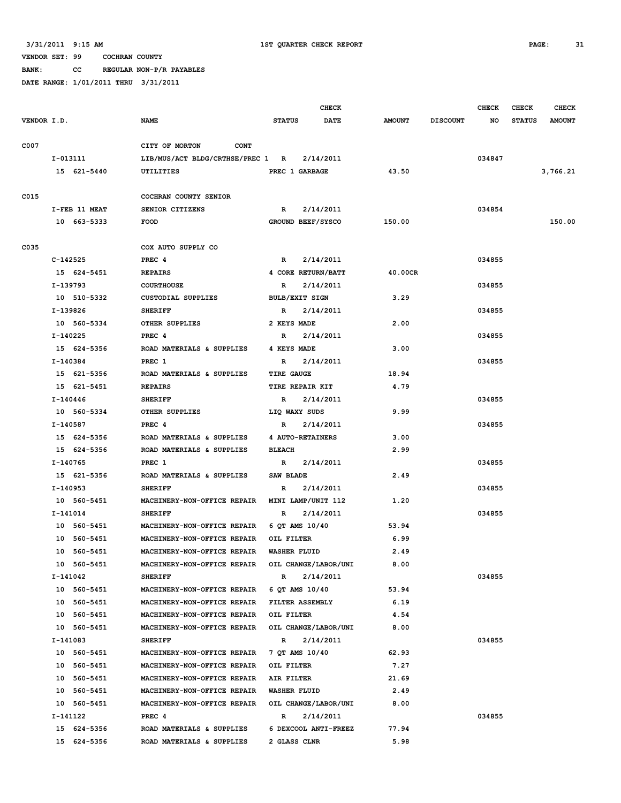**BANK: CC REGULAR NON-P/R PAYABLES**

|             |                         |                                                                    |                       | <b>CHECK</b>         |               |                 | <b>CHECK</b> | CHECK         | <b>CHECK</b>  |
|-------------|-------------------------|--------------------------------------------------------------------|-----------------------|----------------------|---------------|-----------------|--------------|---------------|---------------|
| VENDOR I.D. |                         | <b>NAME</b>                                                        | <b>STATUS</b>         | <b>DATE</b>          | <b>AMOUNT</b> | <b>DISCOUNT</b> | NO           | <b>STATUS</b> | <b>AMOUNT</b> |
| C007        |                         | CITY OF MORTON<br><b>CONT</b>                                      |                       |                      |               |                 |              |               |               |
|             | I-013111                | LIB/MUS/ACT BLDG/CRTHSE/PREC 1 R                                   |                       | 2/14/2011            |               |                 | 034847       |               |               |
|             | 15 621-5440             | <b>UTILITIES</b>                                                   | PREC 1 GARBAGE        |                      | 43.50         |                 |              |               | 3,766.21      |
|             |                         |                                                                    |                       |                      |               |                 |              |               |               |
| C015        |                         | COCHRAN COUNTY SENIOR                                              |                       |                      |               |                 |              |               |               |
|             | I-FEB 11 MEAT           | SENIOR CITIZENS                                                    | R                     | 2/14/2011            |               |                 | 034854       |               |               |
|             | 10 663-5333             | <b>FOOD</b>                                                        | GROUND BEEF/SYSCO     |                      | 150.00        |                 |              |               | 150.00        |
|             |                         |                                                                    |                       |                      |               |                 |              |               |               |
| C035        |                         | COX AUTO SUPPLY CO                                                 |                       |                      |               |                 |              |               |               |
|             | C-142525                | PREC <sub>4</sub>                                                  | R                     | 2/14/2011            |               |                 | 034855       |               |               |
|             | 15 624-5451             | <b>REPAIRS</b>                                                     | 4 CORE RETURN/BATT    |                      | 40.00CR       |                 |              |               |               |
|             | I-139793                | <b>COURTHOUSE</b>                                                  | $\mathbb{R}$          | 2/14/2011            |               |                 | 034855       |               |               |
|             | 10 510-5332             | <b>CUSTODIAL SUPPLIES</b>                                          | <b>BULB/EXIT SIGN</b> |                      | 3.29          |                 |              |               |               |
|             | I-139826                | <b>SHERIFF</b>                                                     | R                     | 2/14/2011            |               |                 | 034855       |               |               |
|             | 10 560-5334             | OTHER SUPPLIES                                                     | 2 KEYS MADE           |                      | 2.00          |                 |              |               |               |
|             | I-140225                | PREC 4                                                             | R                     | 2/14/2011            |               |                 | 034855       |               |               |
|             | 15 624-5356             | ROAD MATERIALS & SUPPLIES                                          | 4 KEYS MADE           |                      | 3.00          |                 |              |               |               |
|             | I-140384                | PREC 1                                                             | R                     | 2/14/2011            |               |                 | 034855       |               |               |
|             | 15 621-5356             | ROAD MATERIALS & SUPPLIES                                          | <b>TIRE GAUGE</b>     |                      | 18.94         |                 |              |               |               |
|             | 15 621-5451             | <b>REPAIRS</b>                                                     | TIRE REPAIR KIT       |                      | 4.79          |                 |              |               |               |
|             | I-140446                | <b>SHERIFF</b>                                                     | R                     | 2/14/2011            |               |                 | 034855       |               |               |
|             | 10 560-5334             | OTHER SUPPLIES                                                     | LIQ WAXY SUDS         |                      | 9.99          |                 |              |               |               |
|             | I-140587                | PREC <sub>4</sub>                                                  | R                     | 2/14/2011            |               |                 | 034855       |               |               |
|             | 15 624-5356             | ROAD MATERIALS & SUPPLIES                                          | 4 AUTO-RETAINERS      |                      | 3.00          |                 |              |               |               |
|             | 15 624-5356             | ROAD MATERIALS & SUPPLIES                                          | <b>BLEACH</b>         |                      | 2.99          |                 |              |               |               |
|             | I-140765                | PREC 1                                                             | R                     | 2/14/2011            |               |                 | 034855       |               |               |
|             | 15 621-5356             | ROAD MATERIALS & SUPPLIES                                          | SAW BLADE             |                      | 2.49          |                 |              |               |               |
|             | I-140953                | <b>SHERIFF</b>                                                     | R                     | 2/14/2011            |               |                 | 034855       |               |               |
|             | 10 560-5451             | MACHINERY-NON-OFFICE REPAIR                                        | MINI LAMP/UNIT 112    |                      | 1.20          |                 |              |               |               |
|             | I-141014                | <b>SHERIFF</b>                                                     | R                     | 2/14/2011            |               |                 | 034855       |               |               |
|             | 10 560-5451             | MACHINERY-NON-OFFICE REPAIR                                        | 6 QT AMS 10/40        |                      | 53.94         |                 |              |               |               |
|             | 10 560-5451             | MACHINERY-NON-OFFICE REPAIR                                        | OIL FILTER            |                      | 6.99          |                 |              |               |               |
|             | 10 560-5451             | MACHINERY-NON-OFFICE REPAIR                                        | <b>WASHER FLUID</b>   |                      | 2.49          |                 |              |               |               |
|             | 10 560-5451             | MACHINERY-NON-OFFICE REPAIR                                        |                       | OIL CHANGE/LABOR/UNI | 8.00          |                 |              |               |               |
|             | I-141042                | <b>SHERIFF</b>                                                     | $\mathbb{R}$          | 2/14/2011            |               |                 | 034855       |               |               |
|             | 10 560-5451             | MACHINERY-NON-OFFICE REPAIR                                        | 6 QT AMS 10/40        |                      | 53.94         |                 |              |               |               |
|             | 10 560-5451             | MACHINERY-NON-OFFICE REPAIR FILTER ASSEMBLY                        |                       |                      | 6.19          |                 |              |               |               |
|             | 10 560-5451             | MACHINERY-NON-OFFICE REPAIR                                        | OIL FILTER            |                      | 4.54          |                 |              |               |               |
|             | 10 560-5451<br>I-141083 | MACHINERY-NON-OFFICE REPAIR OIL CHANGE/LABOR/UNI<br><b>SHERIFF</b> | $\mathbb{R}$          | 2/14/2011            | 8.00          |                 | 034855       |               |               |
|             | 10 560-5451             | MACHINERY-NON-OFFICE REPAIR                                        | 7 QT AMS 10/40        |                      | 62.93         |                 |              |               |               |
|             | 10 560-5451             | MACHINERY-NON-OFFICE REPAIR                                        | OIL FILTER            |                      | 7.27          |                 |              |               |               |
|             | 10 560-5451             | MACHINERY-NON-OFFICE REPAIR                                        | AIR FILTER            |                      | 21.69         |                 |              |               |               |
|             | 10 560-5451             | MACHINERY-NON-OFFICE REPAIR                                        | <b>WASHER FLUID</b>   |                      | 2.49          |                 |              |               |               |
|             | 10 560-5451             | MACHINERY-NON-OFFICE REPAIR OIL CHANGE/LABOR/UNI                   |                       |                      | 8.00          |                 |              |               |               |
|             | I-141122                | PREC 4                                                             | R                     | 2/14/2011            |               |                 | 034855       |               |               |
|             | 15 624-5356             | ROAD MATERIALS & SUPPLIES                                          |                       | 6 DEXCOOL ANTI-FREEZ | 77.94         |                 |              |               |               |
|             | 15 624-5356             | ROAD MATERIALS & SUPPLIES                                          | 2 GLASS CLNR          |                      | 5.98          |                 |              |               |               |
|             |                         |                                                                    |                       |                      |               |                 |              |               |               |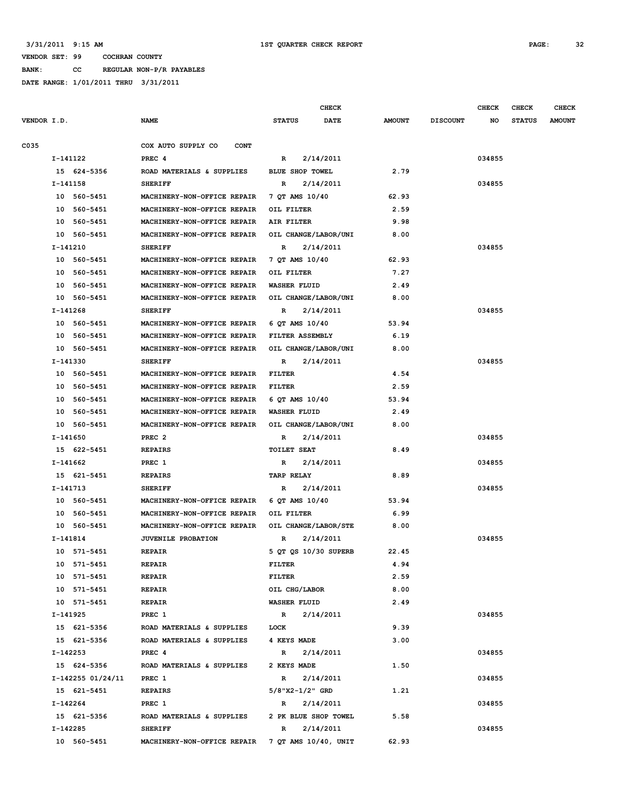**BANK: CC REGULAR NON-P/R PAYABLES**

|             |            |                   | <b>CHECK</b>                                     |                        |             |               |                 | <b>CHECK</b> | <b>CHECK</b>  | <b>CHECK</b>  |
|-------------|------------|-------------------|--------------------------------------------------|------------------------|-------------|---------------|-----------------|--------------|---------------|---------------|
| VENDOR I.D. |            |                   | <b>NAME</b>                                      | <b>STATUS</b>          | <b>DATE</b> | <b>AMOUNT</b> | <b>DISCOUNT</b> | NO           | <b>STATUS</b> | <b>AMOUNT</b> |
|             |            |                   |                                                  |                        |             |               |                 |              |               |               |
| C035        |            |                   | COX AUTO SUPPLY CO<br><b>CONT</b>                |                        |             |               |                 |              |               |               |
|             | $I-141122$ |                   | PREC <sub>4</sub>                                | R                      | 2/14/2011   |               |                 | 034855       |               |               |
|             |            | 15 624-5356       | ROAD MATERIALS & SUPPLIES                        | BLUE SHOP TOWEL        |             | 2.79          |                 |              |               |               |
|             | I-141158   |                   | <b>SHERIFF</b>                                   | R                      | 2/14/2011   |               |                 | 034855       |               |               |
|             |            | 10 560-5451       | MACHINERY-NON-OFFICE REPAIR                      | 7 QT AMS 10/40         |             | 62.93         |                 |              |               |               |
|             |            | 10 560-5451       | MACHINERY-NON-OFFICE REPAIR                      | OIL FILTER             |             | 2.59          |                 |              |               |               |
|             |            | 10 560-5451       | MACHINERY-NON-OFFICE REPAIR                      | AIR FILTER             |             | 9.98          |                 |              |               |               |
|             |            | 10 560-5451       | MACHINERY-NON-OFFICE REPAIR                      | OIL CHANGE/LABOR/UNI   |             | 8.00          |                 |              |               |               |
|             | I-141210   |                   | <b>SHERIFF</b>                                   | R                      | 2/14/2011   |               |                 | 034855       |               |               |
|             |            | 10 560-5451       | MACHINERY-NON-OFFICE REPAIR                      | 7 QT AMS 10/40         |             | 62.93         |                 |              |               |               |
|             |            | 10 560-5451       | MACHINERY-NON-OFFICE REPAIR                      | OIL FILTER             |             | 7.27          |                 |              |               |               |
|             |            | 10 560-5451       | MACHINERY-NON-OFFICE REPAIR                      | WASHER FLUID           |             | 2.49          |                 |              |               |               |
|             |            | 10 560-5451       | MACHINERY-NON-OFFICE REPAIR                      | OIL CHANGE/LABOR/UNI   |             | 8.00          |                 |              |               |               |
|             | I-141268   |                   | <b>SHERIFF</b>                                   | R                      | 2/14/2011   |               |                 | 034855       |               |               |
|             |            | 10 560-5451       | MACHINERY-NON-OFFICE REPAIR                      | 6 OT AMS 10/40         |             | 53.94         |                 |              |               |               |
|             |            | 10 560-5451       | MACHINERY-NON-OFFICE REPAIR                      | FILTER ASSEMBLY        |             | 6.19          |                 |              |               |               |
|             |            | 10 560-5451       | MACHINERY-NON-OFFICE REPAIR                      | OIL CHANGE/LABOR/UNI   |             | 8.00          |                 |              |               |               |
|             | I-141330   |                   | <b>SHERIFF</b>                                   | R                      | 2/14/2011   |               |                 | 034855       |               |               |
|             |            | 10 560-5451       | MACHINERY-NON-OFFICE REPAIR                      | FILTER                 |             | 4.54          |                 |              |               |               |
|             |            | 10 560-5451       | MACHINERY-NON-OFFICE REPAIR                      | FILTER                 |             | 2.59          |                 |              |               |               |
|             |            | 10 560-5451       | MACHINERY-NON-OFFICE REPAIR                      | 6 QT AMS 10/40         |             | 53.94         |                 |              |               |               |
|             |            | 10 560-5451       | MACHINERY-NON-OFFICE REPAIR                      | <b>WASHER FLUID</b>    |             | 2.49          |                 |              |               |               |
|             |            | 10 560-5451       | MACHINERY-NON-OFFICE REPAIR                      | OIL CHANGE/LABOR/UNI   |             | 8.00          |                 |              |               |               |
|             | I-141650   |                   | PREC <sub>2</sub>                                | R                      | 2/14/2011   |               |                 | 034855       |               |               |
|             |            | 15 622-5451       | <b>REPAIRS</b>                                   | <b>TOILET SEAT</b>     |             | 8.49          |                 |              |               |               |
|             | I-141662   |                   | PREC <sub>1</sub>                                | R                      | 2/14/2011   |               |                 | 034855       |               |               |
|             | I-141713   | 15 621-5451       | <b>REPAIRS</b><br><b>SHERIFF</b>                 | <b>TARP RELAY</b><br>R | 2/14/2011   | 8.89          |                 | 034855       |               |               |
|             |            | 10 560-5451       | MACHINERY-NON-OFFICE REPAIR                      | 6 QT AMS 10/40         |             | 53.94         |                 |              |               |               |
|             |            | 10 560-5451       | MACHINERY-NON-OFFICE REPAIR                      | OIL FILTER             |             | 6.99          |                 |              |               |               |
|             |            | 10 560-5451       | MACHINERY-NON-OFFICE REPAIR                      | OIL CHANGE/LABOR/STE   |             | 8.00          |                 |              |               |               |
|             | I-141814   |                   | <b>JUVENILE PROBATION</b>                        | R                      | 2/14/2011   |               |                 | 034855       |               |               |
|             |            | 10 571-5451       | <b>REPAIR</b>                                    | 5 QT QS 10/30 SUPERB   |             | 22.45         |                 |              |               |               |
|             |            | 10 571-5451       | <b>REPAIR</b>                                    | FILTER                 |             | 4.94          |                 |              |               |               |
|             |            | 10 571-5451       | <b>REPAIR</b>                                    | FILTER                 |             | 2.59          |                 |              |               |               |
|             |            | 10 571-5451       | <b>REPAIR</b>                                    | OIL CHG/LABOR          |             | 8.00          |                 |              |               |               |
|             |            | 10 571-5451       | <b>REPAIR</b>                                    | <b>WASHER FLUID</b>    |             | 2.49          |                 |              |               |               |
|             | I-141925   |                   | PREC 1                                           | $\mathbf{R}$           | 2/14/2011   |               |                 | 034855       |               |               |
|             |            | 15 621-5356       | ROAD MATERIALS & SUPPLIES                        | LOCK                   |             | 9.39          |                 |              |               |               |
|             |            | 15 621-5356       | ROAD MATERIALS & SUPPLIES                        | 4 KEYS MADE            |             | 3.00          |                 |              |               |               |
|             | I-142253   |                   | PREC 4                                           | R 2/14/2011            |             |               |                 | 034855       |               |               |
|             |            | 15 624-5356       | ROAD MATERIALS & SUPPLIES                        | 2 KEYS MADE            |             | 1.50          |                 |              |               |               |
|             |            | I-142255 01/24/11 | PREC 1                                           | R 2/14/2011            |             |               |                 | 034855       |               |               |
|             |            | 15 621-5451       | <b>REPAIRS</b>                                   | $5/8$ "X2-1/2" GRD     |             | 1.21          |                 |              |               |               |
|             | I-142264   |                   | PREC 1                                           | $\mathbb{R}$           | 2/14/2011   |               |                 | 034855       |               |               |
|             |            | 15 621-5356       | ROAD MATERIALS & SUPPLIES                        | 2 PK BLUE SHOP TOWEL   |             | 5.58          |                 |              |               |               |
|             | I-142285   |                   | <b>SHERIFF</b>                                   | $\mathbb{R}$           | 2/14/2011   |               |                 | 034855       |               |               |
|             |            | 10 560-5451       | MACHINERY-NON-OFFICE REPAIR 7 QT AMS 10/40, UNIT |                        |             | 62.93         |                 |              |               |               |
|             |            |                   |                                                  |                        |             |               |                 |              |               |               |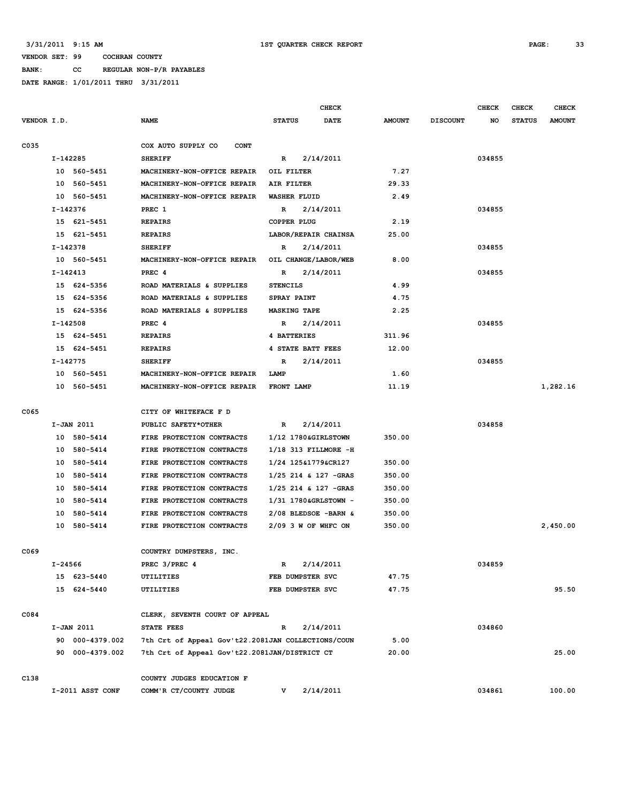**BANK: CC REGULAR NON-P/R PAYABLES**

|             |         |                  |                                                    |                        | <b>CHECK</b> |               |                 | <b>CHECK</b> | <b>CHECK</b>  | <b>CHECK</b>  |
|-------------|---------|------------------|----------------------------------------------------|------------------------|--------------|---------------|-----------------|--------------|---------------|---------------|
| VENDOR I.D. |         |                  | <b>NAME</b>                                        | <b>STATUS</b>          | <b>DATE</b>  | <b>AMOUNT</b> | <b>DISCOUNT</b> | NO           | <b>STATUS</b> | <b>AMOUNT</b> |
| C035        |         |                  | COX AUTO SUPPLY CO<br><b>CONT</b>                  |                        |              |               |                 |              |               |               |
|             |         | I-142285         | <b>SHERIFF</b>                                     | R                      | 2/14/2011    |               |                 | 034855       |               |               |
|             |         | 10 560-5451      | MACHINERY-NON-OFFICE REPAIR                        | OIL FILTER             |              | 7.27          |                 |              |               |               |
|             |         | 10 560-5451      | MACHINERY-NON-OFFICE REPAIR                        | AIR FILTER             |              | 29.33         |                 |              |               |               |
|             |         | 10 560-5451      | MACHINERY-NON-OFFICE REPAIR                        | WASHER FLUID           |              | 2.49          |                 |              |               |               |
|             |         | I-142376         | PREC 1                                             | R                      | 2/14/2011    |               |                 | 034855       |               |               |
|             |         | 15 621-5451      | <b>REPAIRS</b>                                     | <b>COPPER PLUG</b>     |              | 2.19          |                 |              |               |               |
|             |         | 15 621-5451      | <b>REPAIRS</b>                                     | LABOR/REPAIR CHAINSA   |              | 25.00         |                 |              |               |               |
|             |         | I-142378         | <b>SHERIFF</b>                                     | R                      | 2/14/2011    |               |                 | 034855       |               |               |
|             |         | 10 560-5451      | MACHINERY-NON-OFFICE REPAIR                        | OIL CHANGE/LABOR/WEB   |              | 8.00          |                 |              |               |               |
|             |         | I-142413         | PREC 4                                             | R                      | 2/14/2011    |               |                 | 034855       |               |               |
|             |         | 15 624-5356      | ROAD MATERIALS & SUPPLIES                          | <b>STENCILS</b>        |              | 4.99          |                 |              |               |               |
|             |         | 15 624-5356      | ROAD MATERIALS & SUPPLIES                          | SPRAY PAINT            |              | 4.75          |                 |              |               |               |
|             |         | 15 624-5356      | ROAD MATERIALS & SUPPLIES                          | <b>MASKING TAPE</b>    |              | 2.25          |                 |              |               |               |
|             |         | I-142508         | PREC 4                                             | R                      | 2/14/2011    |               |                 | 034855       |               |               |
|             |         | 15 624-5451      | <b>REPAIRS</b>                                     | 4 BATTERIES            |              | 311.96        |                 |              |               |               |
|             |         | 15 624-5451      | <b>REPAIRS</b>                                     | 4 STATE BATT FEES      |              | 12.00         |                 |              |               |               |
|             |         | $I-142775$       | <b>SHERIFF</b>                                     | R                      | 2/14/2011    |               |                 | 034855       |               |               |
|             |         | 10 560-5451      | MACHINERY-NON-OFFICE REPAIR                        | LAMP                   |              | 1.60          |                 |              |               |               |
|             |         | 10 560-5451      | MACHINERY-NON-OFFICE REPAIR                        | <b>FRONT LAMP</b>      |              | 11.19         |                 |              |               | 1,282.16      |
|             |         |                  |                                                    |                        |              |               |                 |              |               |               |
| C065        |         |                  | CITY OF WHITEFACE F D                              |                        |              |               |                 |              |               |               |
|             |         | I-JAN 2011       | PUBLIC SAFETY*OTHER                                | R                      | 2/14/2011    |               |                 | 034858       |               |               |
|             |         | 10 580-5414      | FIRE PROTECTION CONTRACTS                          | 1/12 1780&GIRLSTOWN    |              | 350.00        |                 |              |               |               |
|             |         | 10 580-5414      | FIRE PROTECTION CONTRACTS                          | 1/18 313 FILLMORE -H   |              |               |                 |              |               |               |
|             | 10      | 580-5414         | FIRE PROTECTION CONTRACTS                          | 1/24 125&1779&CR127    |              | 350.00        |                 |              |               |               |
|             | 10      | 580-5414         | FIRE PROTECTION CONTRACTS                          | $1/25$ 214 & 127 -GRAS |              | 350.00        |                 |              |               |               |
|             | 10      | 580-5414         | FIRE PROTECTION CONTRACTS                          | $1/25$ 214 & 127 -GRAS |              | 350.00        |                 |              |               |               |
|             | 10      | 580-5414         | FIRE PROTECTION CONTRACTS                          | 1/31 1780&GRLSTOWN -   |              | 350.00        |                 |              |               |               |
|             | 10      | 580-5414         | FIRE PROTECTION CONTRACTS                          | $2/08$ BLEDSOE -BARN & |              | 350.00        |                 |              |               |               |
|             |         | 10 580-5414      | FIRE PROTECTION CONTRACTS                          | $2/09$ 3 W OF WHEC ON  |              | 350.00        |                 |              |               | 2,450.00      |
| C069        |         |                  | COUNTRY DUMPSTERS, INC.                            |                        |              |               |                 |              |               |               |
|             | I-24566 |                  | PREC 3/PREC 4                                      | R                      | 2/14/2011    |               |                 | 034859       |               |               |
|             |         | 15 623-5440      | UTILITIES                                          | FEB DUMPSTER SVC       |              | 47.75         |                 |              |               |               |
|             |         | 15 624-5440      | UTILITIES                                          | FEB DUMPSTER SVC       |              | 47.75         |                 |              |               | 95.50         |
| C084        |         |                  | CLERK, SEVENTH COURT OF APPEAL                     |                        |              |               |                 |              |               |               |
|             |         | I-JAN 2011       | STATE FEES                                         | $\mathbb{R}$           | 2/14/2011    |               |                 | 034860       |               |               |
|             |         | 90 000-4379.002  | 7th Crt of Appeal Gov't22.2081JAN COLLECTIONS/COUN |                        |              | 5.00          |                 |              |               |               |
|             |         | 90 000-4379.002  | 7th Crt of Appeal Gov't22.2081JAN/DISTRICT CT      |                        |              | 20.00         |                 |              |               | 25.00         |
|             |         |                  |                                                    |                        |              |               |                 |              |               |               |
| C138        |         |                  | COUNTY JUDGES EDUCATION F                          |                        |              |               |                 |              |               |               |
|             |         | I-2011 ASST CONF | COMM'R CT/COUNTY JUDGE                             | v.                     | 2/14/2011    |               |                 | 034861       |               | 100.00        |
|             |         |                  |                                                    |                        |              |               |                 |              |               |               |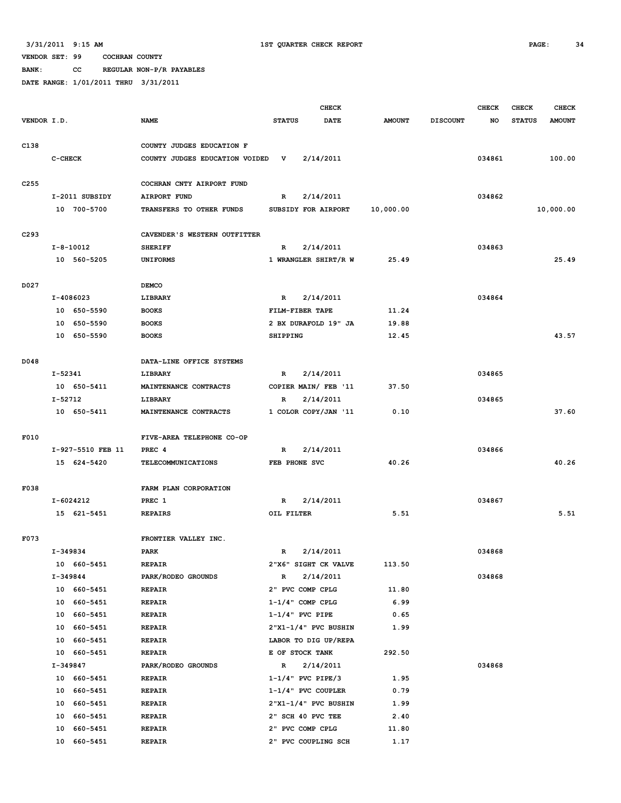**BANK: CC REGULAR NON-P/R PAYABLES**

|                  |                   |                                |                       | <b>CHECK</b>         |               |                 | <b>CHECK</b> | <b>CHECK</b>  | <b>CHECK</b>  |
|------------------|-------------------|--------------------------------|-----------------------|----------------------|---------------|-----------------|--------------|---------------|---------------|
| VENDOR I.D.      |                   | <b>NAME</b>                    | <b>STATUS</b>         | <b>DATE</b>          | <b>AMOUNT</b> | <b>DISCOUNT</b> | NO           | <b>STATUS</b> | <b>AMOUNT</b> |
|                  |                   |                                |                       |                      |               |                 |              |               |               |
| C138             |                   | COUNTY JUDGES EDUCATION F      |                       |                      |               |                 |              |               |               |
|                  | C-CHECK           | COUNTY JUDGES EDUCATION VOIDED | v                     | 2/14/2011            |               |                 | 034861       |               | 100.00        |
| C <sub>255</sub> |                   | COCHRAN CNTY AIRPORT FUND      |                       |                      |               |                 |              |               |               |
|                  | I-2011 SUBSIDY    | <b>AIRPORT FUND</b>            | R                     | 2/14/2011            |               |                 | 034862       |               |               |
|                  | 10 700-5700       | TRANSFERS TO OTHER FUNDS       | SUBSIDY FOR AIRPORT   |                      | 10,000.00     |                 |              |               | 10,000.00     |
|                  |                   |                                |                       |                      |               |                 |              |               |               |
| C293             |                   | CAVENDER'S WESTERN OUTFITTER   |                       |                      |               |                 |              |               |               |
|                  | $I - 8 - 10012$   | <b>SHERIFF</b>                 | R                     | 2/14/2011            |               |                 | 034863       |               |               |
|                  | 10 560-5205       | <b>UNIFORMS</b>                |                       | 1 WRANGLER SHIRT/R W | 25.49         |                 |              |               | 25.49         |
| D027             |                   | <b>DEMCO</b>                   |                       |                      |               |                 |              |               |               |
|                  | I-4086023         | LIBRARY                        | R                     | 2/14/2011            |               |                 | 034864       |               |               |
|                  | 10 650-5590       | <b>BOOKS</b>                   | FILM-FIBER TAPE       |                      | 11.24         |                 |              |               |               |
|                  | 10 650-5590       | <b>BOOKS</b>                   |                       | 2 BX DURAFOLD 19" JA | 19.88         |                 |              |               |               |
|                  | 10 650-5590       | <b>BOOKS</b>                   | SHIPPING              |                      | 12.45         |                 |              |               | 43.57         |
|                  |                   |                                |                       |                      |               |                 |              |               |               |
| D048             |                   | DATA-LINE OFFICE SYSTEMS       |                       |                      |               |                 |              |               |               |
|                  | $I - 52341$       | LIBRARY                        | $\mathbb{R}$          | 2/14/2011            |               |                 | 034865       |               |               |
|                  | 10 650-5411       | MAINTENANCE CONTRACTS          |                       | COPIER MAIN/ FEB '11 | 37.50         |                 |              |               |               |
|                  | I-52712           | <b>LIBRARY</b>                 | R                     | 2/14/2011            |               |                 | 034865       |               |               |
|                  | 10 650-5411       | MAINTENANCE CONTRACTS          |                       | 1 COLOR COPY/JAN '11 | 0.10          |                 |              |               | 37.60         |
|                  |                   |                                |                       |                      |               |                 |              |               |               |
| F010             |                   | FIVE-AREA TELEPHONE CO-OP      |                       |                      |               |                 |              |               |               |
|                  | I-927-5510 FEB 11 | PREC <sub>4</sub>              | R                     | 2/14/2011            |               |                 | 034866       |               |               |
|                  | 15 624-5420       | <b>TELECOMMUNICATIONS</b>      | FEB PHONE SVC         |                      | 40.26         |                 |              |               | 40.26         |
| F038             |                   | FARM PLAN CORPORATION          |                       |                      |               |                 |              |               |               |
|                  | $I-6024212$       | PREC 1                         | $\mathbb{R}$          | 2/14/2011            |               |                 | 034867       |               |               |
|                  | 15 621-5451       | <b>REPAIRS</b>                 | OIL FILTER            |                      | 5.51          |                 |              |               | 5.51          |
|                  |                   |                                |                       |                      |               |                 |              |               |               |
| F073             |                   | FRONTIER VALLEY INC.           |                       |                      |               |                 |              |               |               |
|                  | I-349834          | PARK                           | $\mathbb{R}$          | 2/14/2011            |               |                 | 034868       |               |               |
|                  | 10 660-5451       | <b>REPAIR</b>                  |                       | 2"X6" SIGHT CK VALVE | 113.50        |                 |              |               |               |
|                  | I-349844          | PARK/RODEO GROUNDS             | $\mathbb{R}$          | 2/14/2011            |               |                 | 034868       |               |               |
|                  | 10 660-5451       | <b>REPAIR</b>                  | 2" PVC COMP CPLG      |                      | 11.80         |                 |              |               |               |
|                  | 10 660-5451       | <b>REPAIR</b>                  | $1-1/4$ " COMP CPLG   |                      | 6.99          |                 |              |               |               |
|                  | 10 660-5451       | REPAIR                         | $1-1/4$ " PVC PIPE    |                      | 0.65          |                 |              |               |               |
|                  | 10 660-5451       | <b>REPAIR</b>                  |                       | 2"X1-1/4" PVC BUSHIN | 1.99          |                 |              |               |               |
|                  | 10 660-5451       | <b>REPAIR</b>                  |                       | LABOR TO DIG UP/REPA |               |                 |              |               |               |
|                  | 10 660-5451       | <b>REPAIR</b>                  | E OF STOCK TANK       |                      | 292.50        |                 |              |               |               |
|                  | I-349847          | PARK/RODEO GROUNDS             | R                     | 2/14/2011            |               |                 | 034868       |               |               |
|                  | 10 660-5451       | <b>REPAIR</b>                  | $1-1/4$ " PVC PIPE/3  |                      | 1.95          |                 |              |               |               |
|                  | 10 660-5451       | REPAIR                         | $1-1/4$ " PVC COUPLER |                      | 0.79          |                 |              |               |               |
|                  | 10 660-5451       | <b>REPAIR</b>                  |                       | 2"X1-1/4" PVC BUSHIN | 1.99          |                 |              |               |               |
|                  | 10 660-5451       | <b>REPAIR</b>                  | 2" SCH 40 PVC TEE     |                      | 2.40          |                 |              |               |               |
|                  | 10 660-5451       | <b>REPAIR</b>                  | 2" PVC COMP CPLG      |                      | 11.80         |                 |              |               |               |
|                  | 10 660-5451       | REPAIR                         |                       | 2" PVC COUPLING SCH  | 1.17          |                 |              |               |               |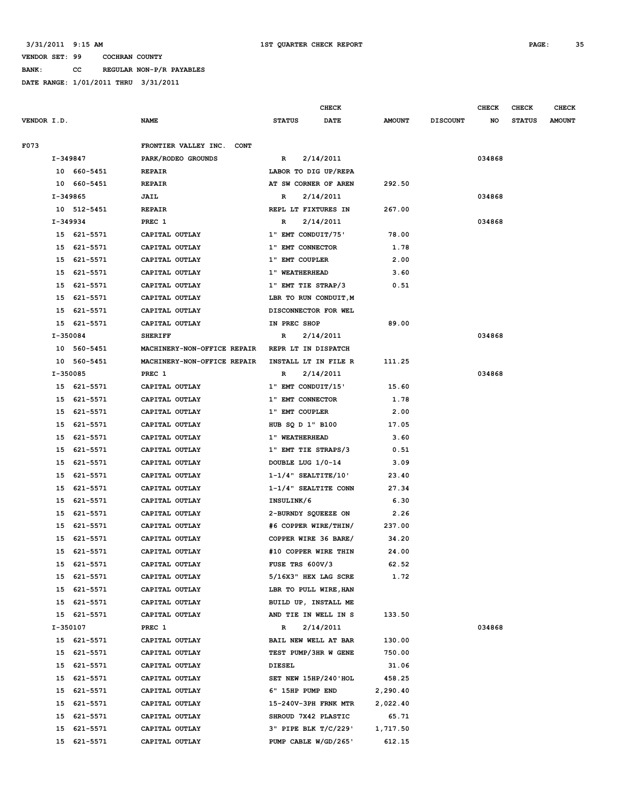**BANK: CC REGULAR NON-P/R PAYABLES**

|             |          |             |                                     |                         | <b>CHECK</b> |               |                 | <b>CHECK</b> | <b>CHECK</b>  | <b>CHECK</b>  |
|-------------|----------|-------------|-------------------------------------|-------------------------|--------------|---------------|-----------------|--------------|---------------|---------------|
| VENDOR I.D. |          |             | <b>NAME</b>                         | <b>STATUS</b>           | DATE         | <b>AMOUNT</b> | <b>DISCOUNT</b> | NO           | <b>STATUS</b> | <b>AMOUNT</b> |
| F073        |          |             | FRONTIER VALLEY INC.<br><b>CONT</b> |                         |              |               |                 |              |               |               |
|             | I-349847 |             | PARK/RODEO GROUNDS                  | R                       | 2/14/2011    |               |                 | 034868       |               |               |
|             |          | 10 660-5451 | <b>REPAIR</b>                       | LABOR TO DIG UP/REPA    |              |               |                 |              |               |               |
|             |          | 10 660-5451 | <b>REPAIR</b>                       | AT SW CORNER OF AREN    |              | 292.50        |                 |              |               |               |
|             | I-349865 |             | JAIL                                | R                       | 2/14/2011    |               |                 | 034868       |               |               |
|             |          | 10 512-5451 | <b>REPAIR</b>                       | REPL LT FIXTURES IN     |              | 267.00        |                 |              |               |               |
|             | I-349934 |             | PREC 1                              | R                       | 2/14/2011    |               |                 | 034868       |               |               |
|             |          | 15 621-5571 | CAPITAL OUTLAY                      | 1" EMT CONDUIT/75'      |              | 78.00         |                 |              |               |               |
|             |          | 15 621-5571 | CAPITAL OUTLAY                      | 1" EMT CONNECTOR        |              | 1.78          |                 |              |               |               |
|             |          | 15 621-5571 | CAPITAL OUTLAY                      | 1" EMT COUPLER          |              | 2.00          |                 |              |               |               |
|             | 15       | 621-5571    | CAPITAL OUTLAY                      | 1" WEATHERHEAD          |              | 3.60          |                 |              |               |               |
|             | 15       | 621-5571    | CAPITAL OUTLAY                      | 1" EMT TIE STRAP/3      |              | 0.51          |                 |              |               |               |
|             | 15       | 621-5571    | CAPITAL OUTLAY                      | LBR TO RUN CONDUIT, M   |              |               |                 |              |               |               |
|             | 15       | 621-5571    | CAPITAL OUTLAY                      | DISCONNECTOR FOR WEL    |              |               |                 |              |               |               |
|             |          | 15 621-5571 | CAPITAL OUTLAY                      | IN PREC SHOP            |              | 89.00         |                 |              |               |               |
|             | I-350084 |             | <b>SHERIFF</b>                      | R                       | 2/14/2011    |               |                 | 034868       |               |               |
|             |          | 10 560-5451 | MACHINERY-NON-OFFICE REPAIR         | REPR LT IN DISPATCH     |              |               |                 |              |               |               |
|             |          | 10 560-5451 | MACHINERY-NON-OFFICE REPAIR         | INSTALL LT IN FILE R    |              | 111.25        |                 |              |               |               |
|             | I-350085 |             | PREC 1                              | R                       | 2/14/2011    |               |                 | 034868       |               |               |
|             |          | 15 621-5571 | CAPITAL OUTLAY                      | 1" EMT CONDUIT/15'      |              | 15.60         |                 |              |               |               |
|             | 15       | 621-5571    | CAPITAL OUTLAY                      | 1" EMT CONNECTOR        |              | 1.78          |                 |              |               |               |
|             | 15       | 621-5571    | CAPITAL OUTLAY                      | 1" EMT COUPLER          |              | 2.00          |                 |              |               |               |
|             | 15       | 621-5571    | CAPITAL OUTLAY                      | HUB SQ D 1" B100        |              | 17.05         |                 |              |               |               |
|             | 15       | 621-5571    | CAPITAL OUTLAY                      | 1" WEATHERHEAD          |              | 3.60          |                 |              |               |               |
|             | 15       | 621-5571    | CAPITAL OUTLAY                      | 1" EMT TIE STRAPS/3     |              | 0.51          |                 |              |               |               |
|             | 15       | 621-5571    | CAPITAL OUTLAY                      | DOUBLE LUG 1/0-14       |              | 3.09          |                 |              |               |               |
|             | 15       | 621-5571    | CAPITAL OUTLAY                      | $1-1/4$ " SEALTITE/10'  |              | 23.40         |                 |              |               |               |
|             | 15       | 621-5571    | CAPITAL OUTLAY                      | $1-1/4$ " SEALTITE CONN |              | 27.34         |                 |              |               |               |
|             | 15       | 621-5571    | CAPITAL OUTLAY                      | INSULINK/6              |              | 6.30          |                 |              |               |               |
|             | 15       | 621-5571    | CAPITAL OUTLAY                      | 2-BURNDY SQUEEZE ON     |              | 2.26          |                 |              |               |               |
|             | 15       | 621-5571    | CAPITAL OUTLAY                      | #6 COPPER WIRE/THIN/    |              | 237.00        |                 |              |               |               |
|             | 15       | 621-5571    | CAPITAL OUTLAY                      | COPPER WIRE 36 BARE/    |              | 34.20         |                 |              |               |               |
|             | 15       | 621-5571    | CAPITAL OUTLAY                      | #10 COPPER WIRE THIN    |              | 24.00         |                 |              |               |               |
|             |          | 15 621-5571 | CAPITAL OUTLAY                      | FUSE TRS 600V/3         |              | 62.52         |                 |              |               |               |
|             |          | 15 621-5571 | CAPITAL OUTLAY                      | 5/16X3" HEX LAG SCRE    |              | 1.72          |                 |              |               |               |
|             |          | 15 621-5571 | CAPITAL OUTLAY                      | LBR TO PULL WIRE, HAN   |              |               |                 |              |               |               |
|             |          | 15 621-5571 | CAPITAL OUTLAY                      | BUILD UP, INSTALL ME    |              |               |                 |              |               |               |
|             |          | 15 621-5571 | CAPITAL OUTLAY                      | AND TIE IN WELL IN S    |              | 133.50        |                 |              |               |               |
|             | I-350107 |             | PREC 1                              | R                       | 2/14/2011    |               |                 | 034868       |               |               |
|             |          | 15 621-5571 | CAPITAL OUTLAY                      | BAIL NEW WELL AT BAR    |              | 130.00        |                 |              |               |               |
|             |          | 15 621-5571 | CAPITAL OUTLAY                      | TEST PUMP/3HR W GENE    |              | 750.00        |                 |              |               |               |
|             |          | 15 621-5571 | CAPITAL OUTLAY                      | <b>DIESEL</b>           |              | 31.06         |                 |              |               |               |
|             |          | 15 621-5571 | CAPITAL OUTLAY                      | SET NEW 15HP/240'HOL    |              | 458.25        |                 |              |               |               |
|             | 15       | 621-5571    | CAPITAL OUTLAY                      | 6" 15HP PUMP END        |              | 2,290.40      |                 |              |               |               |
|             | 15       | 621-5571    | CAPITAL OUTLAY                      | 15-240V-3PH FRNK MTR    |              | 2,022.40      |                 |              |               |               |
|             | 15       | 621-5571    | CAPITAL OUTLAY                      | SHROUD 7X42 PLASTIC     |              | 65.71         |                 |              |               |               |
|             | 15       | 621-5571    | CAPITAL OUTLAY                      | 3" PIPE BLK T/C/229'    |              | 1,717.50      |                 |              |               |               |
|             |          | 15 621-5571 | CAPITAL OUTLAY                      | PUMP CABLE W/GD/265'    |              | 612.15        |                 |              |               |               |
|             |          |             |                                     |                         |              |               |                 |              |               |               |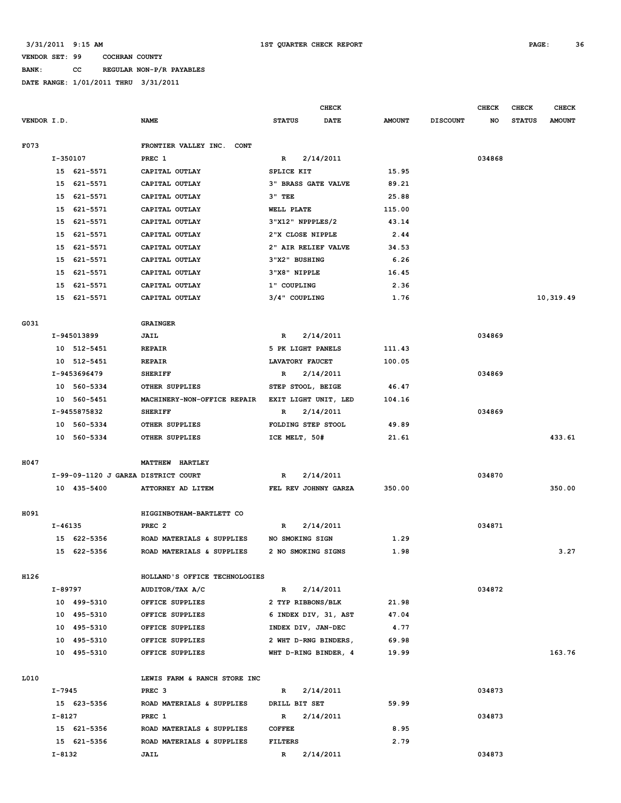**BANK: CC REGULAR NON-P/R PAYABLES**

|             |                                     |                                     | CHECK                        |               |                 | <b>CHECK</b> | <b>CHECK</b>  | <b>CHECK</b>  |
|-------------|-------------------------------------|-------------------------------------|------------------------------|---------------|-----------------|--------------|---------------|---------------|
| VENDOR I.D. |                                     | <b>NAME</b>                         | <b>STATUS</b><br><b>DATE</b> | <b>AMOUNT</b> | <b>DISCOUNT</b> | NO           | <b>STATUS</b> | <b>AMOUNT</b> |
| F073        |                                     | FRONTIER VALLEY INC.<br><b>CONT</b> |                              |               |                 |              |               |               |
|             | I-350107                            | PREC 1                              | 2/14/2011<br>R               |               |                 | 034868       |               |               |
|             | 15 621-5571                         | CAPITAL OUTLAY                      | SPLICE KIT                   | 15.95         |                 |              |               |               |
|             | 15<br>621-5571                      | CAPITAL OUTLAY                      | <b>3" BRASS GATE VALVE</b>   | 89.21         |                 |              |               |               |
|             | 15<br>621-5571                      | CAPITAL OUTLAY                      | $3"$ TEE                     | 25.88         |                 |              |               |               |
|             | 621-5571<br>15                      | CAPITAL OUTLAY                      | WELL PLATE                   | 115.00        |                 |              |               |               |
|             | 15<br>621-5571                      | CAPITAL OUTLAY                      | 3"X12" NPPPLES/2             | 43.14         |                 |              |               |               |
|             | 15<br>621-5571                      | CAPITAL OUTLAY                      | 2"X CLOSE NIPPLE             | 2.44          |                 |              |               |               |
|             | 621-5571<br>15                      | CAPITAL OUTLAY                      | 2" AIR RELIEF VALVE          | 34.53         |                 |              |               |               |
|             | 15<br>621-5571                      | CAPITAL OUTLAY                      | 3"X2" BUSHING                | 6.26          |                 |              |               |               |
|             | 621-5571<br>15                      | CAPITAL OUTLAY                      | 3"X8" NIPPLE                 | 16.45         |                 |              |               |               |
|             | 621-5571<br>15                      | CAPITAL OUTLAY                      | 1" COUPLING                  | 2.36          |                 |              |               |               |
|             | 15<br>621-5571                      | CAPITAL OUTLAY                      | 3/4" COUPLING                | 1.76          |                 |              |               | 10,319.49     |
|             |                                     |                                     |                              |               |                 |              |               |               |
| G031        |                                     | <b>GRAINGER</b>                     |                              |               |                 |              |               |               |
|             | I-945013899                         | JAIL                                | R<br>2/14/2011               |               |                 | 034869       |               |               |
|             | 10 512-5451                         | <b>REPAIR</b>                       | 5 PK LIGHT PANELS            | 111.43        |                 |              |               |               |
|             | 10 512-5451                         | <b>REPAIR</b>                       | LAVATORY FAUCET              | 100.05        |                 |              |               |               |
|             | I-9453696479                        | <b>SHERIFF</b>                      | 2/14/2011<br>R               |               |                 | 034869       |               |               |
|             | 10 560-5334                         | OTHER SUPPLIES                      | STEP STOOL, BEIGE            | 46.47         |                 |              |               |               |
|             | 10 560-5451                         | MACHINERY-NON-OFFICE REPAIR         | EXIT LIGHT UNIT, LED         | 104.16        |                 |              |               |               |
|             | I-9455875832                        | <b>SHERIFF</b>                      | 2/14/2011<br>R               |               |                 | 034869       |               |               |
|             | 10 560-5334                         | OTHER SUPPLIES                      | FOLDING STEP STOOL           | 49.89         |                 |              |               |               |
|             | 10 560-5334                         | OTHER SUPPLIES                      | ICE MELT, 50#                | 21.61         |                 |              |               | 433.61        |
|             |                                     |                                     |                              |               |                 |              |               |               |
| H047        |                                     | <b>HARTLEY</b><br><b>MATTHEW</b>    |                              |               |                 |              |               |               |
|             | I-99-09-1120 J GARZA DISTRICT COURT |                                     | 2/14/2011<br>R               |               |                 | 034870       |               |               |
|             | 10 435-5400                         | ATTORNEY AD LITEM                   | FEL REV JOHNNY GARZA         | 350.00        |                 |              |               | 350.00        |
|             |                                     |                                     |                              |               |                 |              |               |               |
| H091        |                                     | HIGGINBOTHAM-BARTLETT CO            |                              |               |                 |              |               |               |
|             | I-46135                             | PREC <sub>2</sub>                   | 2/14/2011<br>R               |               |                 | 034871       |               |               |
|             | 15 622-5356                         | ROAD MATERIALS & SUPPLIES           | NO SMOKING SIGN              | 1.29          |                 |              |               |               |
|             | 15 622-5356                         | ROAD MATERIALS & SUPPLIES           | 2 NO SMOKING SIGNS           | 1.98          |                 |              |               | 3.27          |
|             |                                     |                                     |                              |               |                 |              |               |               |
| H126        |                                     | HOLLAND'S OFFICE TECHNOLOGIES       |                              |               |                 |              |               |               |
|             | I-89797                             | AUDITOR/TAX A/C                     | 2/14/2011<br>$\mathbb{R}$    |               |                 | 034872       |               |               |
|             | 10 499-5310                         | OFFICE SUPPLIES                     | 2 TYP RIBBONS/BLK            | 21.98         |                 |              |               |               |
|             | 10 495-5310                         | OFFICE SUPPLIES                     | 6 INDEX DIV, 31, AST         | 47.04         |                 |              |               |               |
|             | 10 495-5310                         | OFFICE SUPPLIES                     | INDEX DIV, JAN-DEC           | 4.77          |                 |              |               |               |
|             | 10 495-5310                         | OFFICE SUPPLIES                     | 2 WHT D-RNG BINDERS,         | 69.98         |                 |              |               |               |
|             | 10 495-5310                         | OFFICE SUPPLIES                     | WHT D-RING BINDER, 4         | 19.99         |                 |              |               | 163.76        |
|             |                                     |                                     |                              |               |                 |              |               |               |
| L010        |                                     | LEWIS FARM & RANCH STORE INC        |                              |               |                 |              |               |               |
|             | $I - 7945$                          | PREC <sub>3</sub>                   | 2/14/2011<br>R               |               |                 | 034873       |               |               |
|             | 15 623-5356                         | ROAD MATERIALS & SUPPLIES           | DRILL BIT SET                | 59.99         |                 |              |               |               |
|             | I-8127                              | PREC 1                              | 2/14/2011<br>R               |               |                 | 034873       |               |               |
|             | 15 621-5356                         | ROAD MATERIALS & SUPPLIES           | <b>COFFEE</b>                | 8.95          |                 |              |               |               |
|             | 15 621-5356                         | ROAD MATERIALS & SUPPLIES           | FILTERS                      | 2.79          |                 |              |               |               |
|             | $I - 8132$                          | <b>JAIL</b>                         | 2/14/2011<br>$\mathbb{R}$    |               |                 | 034873       |               |               |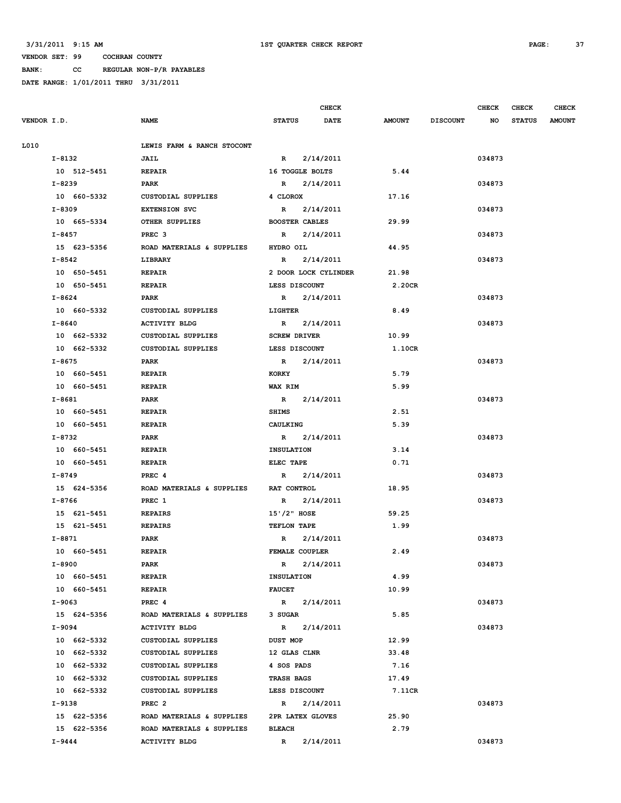**BANK: CC REGULAR NON-P/R PAYABLES**

|             |             |                            | <b>CHECK</b>          |                      |               |                 | CHECK  | CHECK         | <b>CHECK</b>  |
|-------------|-------------|----------------------------|-----------------------|----------------------|---------------|-----------------|--------|---------------|---------------|
| VENDOR I.D. |             | <b>NAME</b>                | <b>STATUS</b>         | <b>DATE</b>          | <b>AMOUNT</b> | <b>DISCOUNT</b> | NO     | <b>STATUS</b> | <b>AMOUNT</b> |
| L010        |             | LEWIS FARM & RANCH STOCONT |                       |                      |               |                 |        |               |               |
|             | I-8132      | JAIL                       | $\mathbf{R}$          | 2/14/2011            |               |                 | 034873 |               |               |
|             | 10 512-5451 | <b>REPAIR</b>              | 16 TOGGLE BOLTS       |                      | 5.44          |                 |        |               |               |
|             | $I - 8239$  | PARK                       | $\mathbb{R}$          | 2/14/2011            |               |                 | 034873 |               |               |
|             | 10 660-5332 | <b>CUSTODIAL SUPPLIES</b>  | 4 CLOROX              |                      | 17.16         |                 |        |               |               |
|             | I-8309      | <b>EXTENSION SVC</b>       | R 2/14/2011           |                      |               |                 | 034873 |               |               |
|             | 10 665-5334 | OTHER SUPPLIES             | <b>BOOSTER CABLES</b> |                      | 29.99         |                 |        |               |               |
|             | I-8457      | PREC <sub>3</sub>          |                       | R 2/14/2011          |               |                 | 034873 |               |               |
|             | 15 623-5356 | ROAD MATERIALS & SUPPLIES  | HYDRO OIL             |                      | 44.95         |                 |        |               |               |
|             | I-8542      | LIBRARY                    | $\mathbb{R}$          | 2/14/2011            |               |                 | 034873 |               |               |
|             | 10 650-5451 | <b>REPAIR</b>              |                       | 2 DOOR LOCK CYLINDER | 21.98         |                 |        |               |               |
|             | 10 650-5451 | <b>REPAIR</b>              | LESS DISCOUNT         |                      | 2.20CR        |                 |        |               |               |
|             | I-8624      | PARK                       |                       | R 2/14/2011          |               |                 | 034873 |               |               |
|             | 10 660-5332 | <b>CUSTODIAL SUPPLIES</b>  | LIGHTER               |                      | 8.49          |                 |        |               |               |
|             | I-8640      | ACTIVITY BLDG              |                       | R 2/14/2011          |               |                 | 034873 |               |               |
|             | 10 662-5332 | CUSTODIAL SUPPLIES         | <b>SCREW DRIVER</b>   |                      | 10.99         |                 |        |               |               |
|             | 10 662-5332 | <b>CUSTODIAL SUPPLIES</b>  | LESS DISCOUNT         |                      | 1.10CR        |                 |        |               |               |
|             | I-8675      | <b>PARK</b>                |                       | R 2/14/2011          |               |                 | 034873 |               |               |
|             | 10 660-5451 | <b>REPAIR</b>              | <b>KORKY</b>          |                      | 5.79          |                 |        |               |               |
|             | 10 660-5451 | <b>REPAIR</b>              | WAX RIM               |                      | 5.99          |                 |        |               |               |
|             | I-8681      | PARK                       | R 2/14/2011           |                      |               |                 | 034873 |               |               |
|             | 10 660-5451 | <b>REPAIR</b>              | <b>SHIMS</b>          |                      | 2.51          |                 |        |               |               |
|             | 10 660-5451 | <b>REPAIR</b>              | CAULKING              |                      | 5.39          |                 |        |               |               |
|             | I-8732      | PARK                       | R 2/14/2011           |                      |               |                 | 034873 |               |               |
|             | 10 660-5451 | <b>REPAIR</b>              | <b>INSULATION</b>     |                      | 3.14          |                 |        |               |               |
|             | 10 660-5451 | <b>REPAIR</b>              | ELEC TAPE             |                      | 0.71          |                 |        |               |               |
|             | I-8749      | PREC <sub>4</sub>          |                       | R 2/14/2011          |               |                 | 034873 |               |               |
|             | 15 624-5356 | ROAD MATERIALS & SUPPLIES  | RAT CONTROL           |                      | 18.95         |                 |        |               |               |
|             | I-8766      | PREC 1                     |                       | R 2/14/2011          |               |                 | 034873 |               |               |
|             | 15 621-5451 | <b>REPAIRS</b>             | 15'/2" HOSE           |                      | 59.25         |                 |        |               |               |
|             | 15 621-5451 | <b>REPAIRS</b>             | TEFLON TAPE           |                      | 1.99          |                 |        |               |               |
|             | I-8871      | PARK                       |                       | R 2/14/2011          |               |                 | 034873 |               |               |
|             | 10 660-5451 | <b>REPAIR</b>              | FEMALE COUPLER        |                      | 2.49          |                 |        |               |               |
|             | I-8900      | PARK                       | $\mathbb{R}$          | 2/14/2011            |               |                 | 034873 |               |               |
|             | 10 660-5451 | <b>REPAIR</b>              | <b>INSULATION</b>     |                      | 4.99          |                 |        |               |               |
|             | 10 660-5451 | <b>REPAIR</b>              | <b>FAUCET</b>         |                      | 10.99         |                 |        |               |               |
|             | I-9063      | PREC 4                     |                       | R 2/14/2011          |               |                 | 034873 |               |               |
|             | 15 624-5356 | ROAD MATERIALS & SUPPLIES  | 3 SUGAR               |                      | 5.85          |                 |        |               |               |
|             | I-9094      | <b>ACTIVITY BLDG</b>       |                       | R 2/14/2011          |               |                 | 034873 |               |               |
|             | 10 662-5332 | CUSTODIAL SUPPLIES         | DUST MOP              |                      | 12.99         |                 |        |               |               |
|             | 10 662-5332 | CUSTODIAL SUPPLIES         | 12 GLAS CLNR          |                      | 33.48         |                 |        |               |               |
|             | 10 662-5332 | CUSTODIAL SUPPLIES         | 4 SOS PADS            |                      | 7.16          |                 |        |               |               |
|             | 10 662-5332 | CUSTODIAL SUPPLIES         | <b>TRASH BAGS</b>     |                      | 17.49         |                 |        |               |               |
|             | 10 662-5332 | CUSTODIAL SUPPLIES         | LESS DISCOUNT         |                      | 7.11CR        |                 |        |               |               |
|             | I-9138      | PREC <sub>2</sub>          |                       | R 2/14/2011          |               |                 | 034873 |               |               |
|             | 15 622-5356 | ROAD MATERIALS & SUPPLIES  | 2PR LATEX GLOVES      |                      | 25.90         |                 |        |               |               |
|             | 15 622-5356 | ROAD MATERIALS & SUPPLIES  | <b>BLEACH</b>         |                      | 2.79          |                 |        |               |               |
|             | I-9444      | <b>ACTIVITY BLDG</b>       | $\mathbb{R}$          | 2/14/2011            |               |                 | 034873 |               |               |
|             |             |                            |                       |                      |               |                 |        |               |               |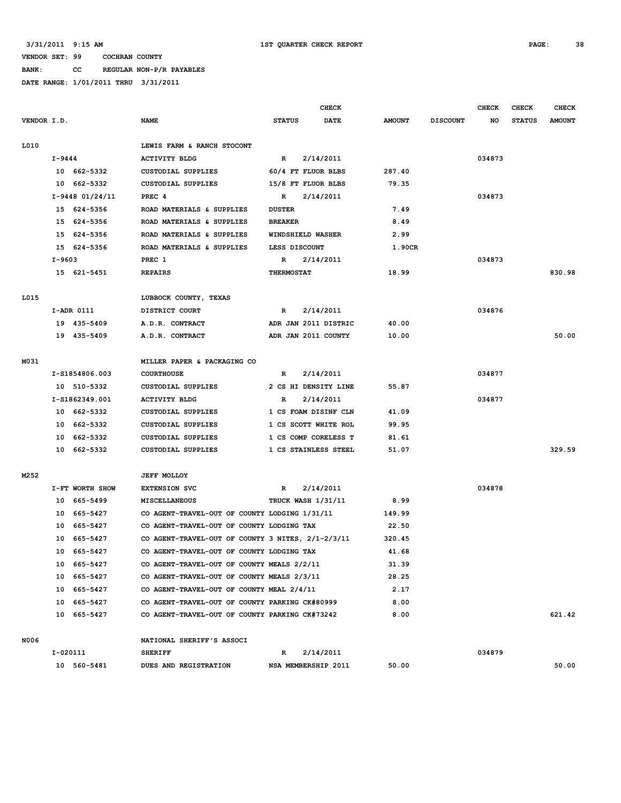**BANK: CC REGULAR NON-P/R PAYABLES**

|             |                            |                     |                                                                                          |                   | CHECK                |               |                 | <b>CHECK</b> | CHECK         | <b>CHECK</b>  |
|-------------|----------------------------|---------------------|------------------------------------------------------------------------------------------|-------------------|----------------------|---------------|-----------------|--------------|---------------|---------------|
|             | VENDOR I.D.<br><b>NAME</b> |                     |                                                                                          | <b>STATUS</b>     | <b>DATE</b>          | <b>AMOUNT</b> | <b>DISCOUNT</b> | NO           | <b>STATUS</b> | <b>AMOUNT</b> |
|             |                            |                     |                                                                                          |                   |                      |               |                 |              |               |               |
| L010        |                            |                     | LEWIS FARM & RANCH STOCONT                                                               |                   |                      |               |                 |              |               |               |
|             | I-9444                     |                     | <b>ACTIVITY BLDG</b>                                                                     | R                 | 2/14/2011            |               |                 | 034873       |               |               |
|             |                            | 10 662-5332         | CUSTODIAL SUPPLIES                                                                       |                   | 60/4 FT FLUOR BLBS   | 287.40        |                 |              |               |               |
|             |                            | 10 662-5332         | CUSTODIAL SUPPLIES                                                                       |                   | 15/8 FT FLUOR BLBS   | 79.35         |                 |              |               |               |
|             |                            | $I-9448$ $01/24/11$ | PREC 4                                                                                   | R                 | 2/14/2011            |               |                 | 034873       |               |               |
|             |                            | 15 624-5356         | ROAD MATERIALS & SUPPLIES                                                                | <b>DUSTER</b>     |                      | 7.49          |                 |              |               |               |
|             |                            | 15 624-5356         | ROAD MATERIALS & SUPPLIES                                                                | <b>BREAKER</b>    |                      | 8.49          |                 |              |               |               |
|             |                            | 15 624-5356         | ROAD MATERIALS & SUPPLIES                                                                |                   | WINDSHIELD WASHER    | 2.99          |                 |              |               |               |
|             |                            | 15 624-5356         | ROAD MATERIALS & SUPPLIES                                                                | LESS DISCOUNT     |                      | 1.90CR        |                 |              |               |               |
|             | I-9603                     |                     | PREC 1                                                                                   | R                 | 2/14/2011            |               |                 | 034873       |               |               |
|             |                            | 15 621-5451         | <b>REPAIRS</b>                                                                           | <b>THERMOSTAT</b> |                      | 18.99         |                 |              |               | 830.98        |
|             |                            |                     |                                                                                          |                   |                      |               |                 |              |               |               |
| L015        |                            |                     | LUBBOCK COUNTY, TEXAS                                                                    |                   |                      |               |                 |              |               |               |
|             |                            | I-ADR 0111          | DISTRICT COURT                                                                           | R                 | 2/14/2011            |               |                 | 034876       |               |               |
|             |                            | 19 435-5409         | A.D.R. CONTRACT                                                                          |                   | ADR JAN 2011 DISTRIC | 40.00         |                 |              |               |               |
|             |                            | 19 435-5409         | A.D.R. CONTRACT                                                                          |                   | ADR JAN 2011 COUNTY  | 10.00         |                 |              |               | 50.00         |
| M031        |                            |                     | MILLER PAPER & PACKAGING CO                                                              |                   |                      |               |                 |              |               |               |
|             |                            | I-S1854806.003      | <b>COURTHOUSE</b>                                                                        | R                 | 2/14/2011            |               |                 | 034877       |               |               |
|             |                            | 10 510-5332         | CUSTODIAL SUPPLIES                                                                       |                   | 2 CS HI DENSITY LINE | 55.87         |                 |              |               |               |
|             |                            | I-S1862349.001      | <b>ACTIVITY BLDG</b>                                                                     | R                 | 2/14/2011            |               |                 | 034877       |               |               |
|             |                            | 10 662-5332         | <b>CUSTODIAL SUPPLIES</b>                                                                |                   | 1 CS FOAM DISINF CLN | 41.09         |                 |              |               |               |
|             |                            | 10 662-5332         | CUSTODIAL SUPPLIES                                                                       |                   | 1 CS SCOTT WHITE ROL | 99.95         |                 |              |               |               |
|             |                            | 10 662-5332         | CUSTODIAL SUPPLIES                                                                       |                   | 1 CS COMP CORELESS T | 81.61         |                 |              |               |               |
|             |                            | 10 662-5332         | CUSTODIAL SUPPLIES                                                                       |                   | 1 CS STAINLESS STEEL | 51.07         |                 |              |               | 329.59        |
| M252        |                            |                     | <b>JEFF MOLLOY</b>                                                                       |                   |                      |               |                 |              |               |               |
|             |                            | I-FT WORTH SHOW     | <b>EXTENSION SVC</b>                                                                     | R                 | 2/14/2011            |               |                 | 034878       |               |               |
|             |                            | 10 665-5499         | <b>MISCELLANEOUS</b>                                                                     |                   | TRUCK WASH 1/31/11   | 8.99          |                 |              |               |               |
|             | 10                         | 665–5427            | CO AGENT-TRAVEL-OUT OF COUNTY LODGING 1/31/11                                            |                   |                      | 149.99        |                 |              |               |               |
|             | 10                         | 665–5427            | CO AGENT-TRAVEL-OUT OF COUNTY LODGING TAX                                                |                   |                      | 22.50         |                 |              |               |               |
|             | 10                         | 665-5427            | CO AGENT-TRAVEL-OUT OF COUNTY 3 NITES, 2/1-2/3/11                                        |                   |                      | 320.45        |                 |              |               |               |
|             |                            | 10 665-5427         | CO AGENT-TRAVEL-OUT OF COUNTY LODGING TAX                                                |                   |                      | 41.68         |                 |              |               |               |
|             |                            |                     |                                                                                          |                   |                      |               |                 |              |               |               |
|             |                            | 10 665-5427         | CO AGENT-TRAVEL-OUT OF COUNTY MEALS 2/2/11<br>CO AGENT-TRAVEL-OUT OF COUNTY MEALS 2/3/11 |                   |                      | 31.39         |                 |              |               |               |
|             |                            | 10 665-5427         | CO AGENT-TRAVEL-OUT OF COUNTY MEAL 2/4/11                                                |                   |                      | 28.25         |                 |              |               |               |
|             |                            | 10 665-5427         |                                                                                          |                   |                      | 2.17          |                 |              |               |               |
|             |                            | 10 665-5427         | CO AGENT-TRAVEL-OUT OF COUNTY PARKING CK#80999                                           |                   |                      | 8.00          |                 |              |               |               |
|             |                            | 10 665-5427         | CO AGENT-TRAVEL-OUT OF COUNTY PARKING CK#73242                                           |                   |                      | 8.00          |                 |              |               | 621.42        |
| <b>N006</b> |                            |                     | NATIONAL SHERIFF'S ASSOCI                                                                |                   |                      |               |                 |              |               |               |
|             |                            | I-020111            | <b>SHERIFF</b>                                                                           | R                 | 2/14/2011            |               |                 | 034879       |               |               |
|             |                            | 10 560-5481         | DUES AND REGISTRATION                                                                    |                   | NSA MEMBERSHIP 2011  | 50.00         |                 |              |               | 50.00         |
|             |                            |                     |                                                                                          |                   |                      |               |                 |              |               |               |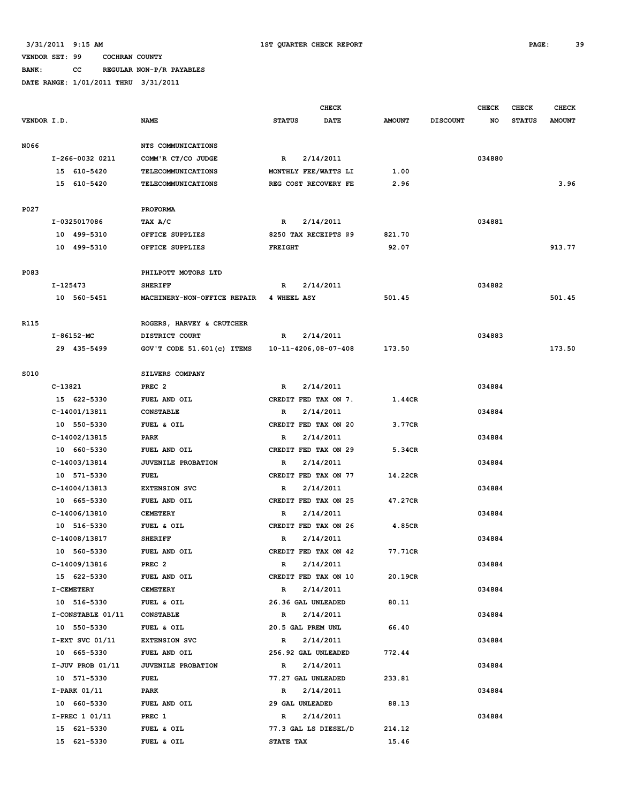# **BANK: CC REGULAR NON-P/R PAYABLES**

|             |          |                      |                             |                | <b>CHECK</b>         |               |                 | <b>CHECK</b> | <b>CHECK</b>  | CHECK         |
|-------------|----------|----------------------|-----------------------------|----------------|----------------------|---------------|-----------------|--------------|---------------|---------------|
| VENDOR I.D. |          |                      | <b>NAME</b>                 | <b>STATUS</b>  | DATE                 | <b>AMOUNT</b> | <b>DISCOUNT</b> | NO           | <b>STATUS</b> | <b>AMOUNT</b> |
| N066        |          |                      | NTS COMMUNICATIONS          |                |                      |               |                 |              |               |               |
|             |          | I-266-0032 0211      | COMM'R CT/CO JUDGE          | $\mathbb{R}$   | 2/14/2011            |               |                 | 034880       |               |               |
|             |          | 15 610-5420          | <b>TELECOMMUNICATIONS</b>   |                | MONTHLY FEE/WATTS LI | 1.00          |                 |              |               |               |
|             |          | 15 610-5420          | TELECOMMUNICATIONS          |                | REG COST RECOVERY FE | 2.96          |                 |              |               | 3.96          |
|             |          |                      |                             |                |                      |               |                 |              |               |               |
| P027        |          |                      | <b>PROFORMA</b>             |                |                      |               |                 |              |               |               |
|             |          | I-0325017086         | TAX A/C                     | R              | 2/14/2011            |               |                 | 034881       |               |               |
|             |          | 10 499-5310          | OFFICE SUPPLIES             |                | 8250 TAX RECEIPTS @9 | 821.70        |                 |              |               |               |
|             |          | 10 499-5310          | OFFICE SUPPLIES             | <b>FREIGHT</b> |                      | 92.07         |                 |              |               | 913.77        |
| P083        |          |                      | PHILPOTT MOTORS LTD         |                |                      |               |                 |              |               |               |
|             | I-125473 |                      | <b>SHERIFF</b>              | R              | 2/14/2011            |               |                 | 034882       |               |               |
|             |          | 10 560-5451          | MACHINERY-NON-OFFICE REPAIR | 4 WHEEL ASY    |                      | 501.45        |                 |              |               | 501.45        |
|             |          |                      |                             |                |                      |               |                 |              |               |               |
| R115        |          |                      | ROGERS, HARVEY & CRUTCHER   |                |                      |               |                 |              |               |               |
|             |          | I-86152-MC           | DISTRICT COURT              | R              | 2/14/2011            |               |                 | 034883       |               |               |
|             |          | 29 435-5499          | GOV'T CODE 51.601(c) ITEMS  |                | 10-11-4206,08-07-408 | 173.50        |                 |              |               | 173.50        |
|             |          |                      |                             |                |                      |               |                 |              |               |               |
| S010        |          |                      | SILVERS COMPANY             |                |                      |               |                 |              |               |               |
|             | C-13821  |                      | PREC <sub>2</sub>           | R              | 2/14/2011            |               |                 | 034884       |               |               |
|             |          | 15 622-5330          | FUEL AND OIL                |                | CREDIT FED TAX ON 7. | 1.44CR        |                 |              |               |               |
|             |          | C-14001/13811        | <b>CONSTABLE</b>            | R              | 2/14/2011            |               |                 | 034884       |               |               |
|             |          | 10 550-5330          | FUEL & OIL                  |                | CREDIT FED TAX ON 20 | 3.77CR        |                 |              |               |               |
|             |          | C-14002/13815        | PARK                        | R              | 2/14/2011            |               |                 | 034884       |               |               |
|             |          | 10 660-5330          | FUEL AND OIL                |                | CREDIT FED TAX ON 29 | 5.34CR        |                 |              |               |               |
|             |          | C-14003/13814        | <b>JUVENILE PROBATION</b>   | R              | 2/14/2011            |               |                 | 034884       |               |               |
|             |          | 10 571-5330          | <b>FUEL</b>                 |                | CREDIT FED TAX ON 77 | 14.22CR       |                 |              |               |               |
|             |          | C-14004/13813        | <b>EXTENSION SVC</b>        | R              | 2/14/2011            |               |                 | 034884       |               |               |
|             |          | 10 665-5330          | FUEL AND OIL                |                | CREDIT FED TAX ON 25 | 47.27CR       |                 |              |               |               |
|             |          | C-14006/13810        | <b>CEMETERY</b>             | R              | 2/14/2011            |               |                 | 034884       |               |               |
|             |          | 10 516-5330          | FUEL & OIL                  |                | CREDIT FED TAX ON 26 | 4.85CR        |                 |              |               |               |
|             |          | C-14008/13817        | <b>SHERIFF</b>              | R              | 2/14/2011            |               |                 | 034884       |               |               |
|             |          | 10 560-5330          | FUEL AND OIL                |                | CREDIT FED TAX ON 42 | 77.71CR       |                 |              |               |               |
|             |          | C-14009/13816        | PREC <sub>2</sub>           | R              | 2/14/2011            |               |                 | 034884       |               |               |
|             |          | 15 622-5330          | FUEL AND OIL                |                | CREDIT FED TAX ON 10 | 20.19CR       |                 |              |               |               |
|             |          | <b>I-CEMETERY</b>    | <b>CEMETERY</b>             | R              | 2/14/2011            |               |                 | 034884       |               |               |
|             |          | 10 516-5330          | FUEL & OIL                  |                | 26.36 GAL UNLEADED   | 80.11         |                 |              |               |               |
|             |          | I-CONSTABLE 01/11    | <b>CONSTABLE</b>            | R              | 2/14/2011            |               |                 | 034884       |               |               |
|             |          | 10 550-5330          | FUEL & OIL                  |                | 20.5 GAL PREM UNL    | 66.40         |                 |              |               |               |
|             |          | $I-EXT$ SVC $01/11$  | <b>EXTENSION SVC</b>        | $\mathbb{R}$   | 2/14/2011            |               |                 | 034884       |               |               |
|             |          | 10 665-5330          | FUEL AND OIL                |                | 256.92 GAL UNLEADED  | 772.44        |                 |              |               |               |
|             |          | $I-JUV$ PROB $01/11$ | <b>JUVENILE PROBATION</b>   | $\mathbb{R}$   | 2/14/2011            |               |                 | 034884       |               |               |
|             |          | 10 571-5330          | <b>FUEL</b>                 |                | 77.27 GAL UNLEADED   | 233.81        |                 |              |               |               |
|             |          | I-PARK 01/11         | PARK                        | R              | 2/14/2011            |               |                 | 034884       |               |               |
|             |          | 10 660-5330          | FUEL AND OIL                |                | 29 GAL UNLEADED      | 88.13         |                 |              |               |               |
|             |          | I-PREC 1 01/11       | PREC 1                      | R              | 2/14/2011            |               |                 | 034884       |               |               |
|             |          | 15 621-5330          | FUEL & OIL                  |                | 77.3 GAL LS DIESEL/D | 214.12        |                 |              |               |               |
|             |          | 15 621-5330          | FUEL & OIL                  | STATE TAX      |                      | 15.46         |                 |              |               |               |
|             |          |                      |                             |                |                      |               |                 |              |               |               |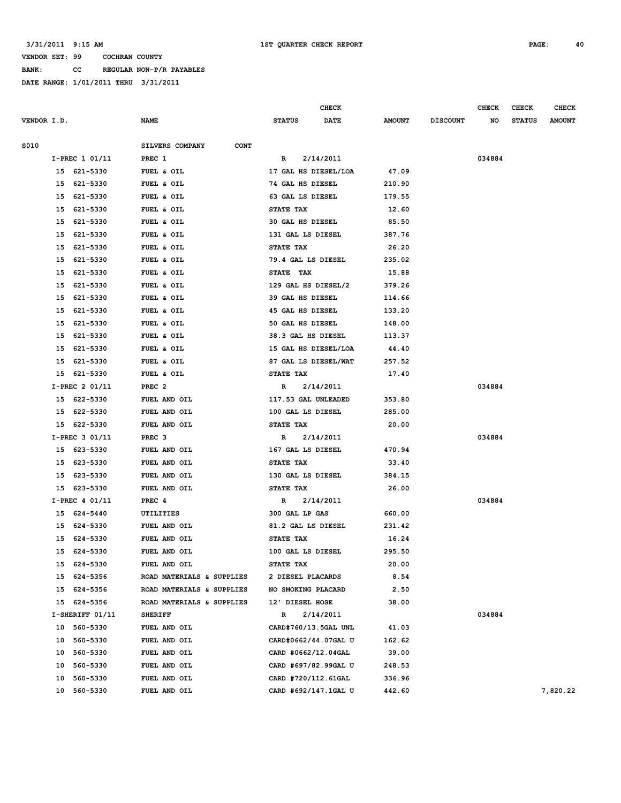**BANK: CC REGULAR NON-P/R PAYABLES**

|                   |                                | <b>CHECK</b>          |               |                 | <b>CHECK</b> | <b>CHECK</b>  | <b>CHECK</b>  |
|-------------------|--------------------------------|-----------------------|---------------|-----------------|--------------|---------------|---------------|
| VENDOR I.D.       | <b>NAME</b>                    | <b>STATUS</b><br>DATE | <b>AMOUNT</b> | <b>DISCOUNT</b> | NO           | <b>STATUS</b> | <b>AMOUNT</b> |
|                   |                                |                       |               |                 |              |               |               |
| S010              | SILVERS COMPANY<br><b>CONT</b> |                       |               |                 |              |               |               |
| I-PREC 1 01/11    | PREC 1                         | 2/14/2011<br>R        |               |                 | 034884       |               |               |
| 15 621-5330       | FUEL & OIL                     | 17 GAL HS DIESEL/LOA  | 47.09         |                 |              |               |               |
| 15 621-5330       | FUEL & OIL                     | 74 GAL HS DIESEL      | 210.90        |                 |              |               |               |
| 15 621-5330       | FUEL & OIL                     | 63 GAL LS DIESEL      | 179.55        |                 |              |               |               |
| 15 621-5330       | FUEL & OIL                     | STATE TAX             | 12.60         |                 |              |               |               |
| 621-5330<br>15    | FUEL & OIL                     | 30 GAL HS DIESEL      | 85.50         |                 |              |               |               |
| 15<br>621-5330    | FUEL & OIL                     | 131 GAL LS DIESEL     | 387.76        |                 |              |               |               |
| 621-5330<br>15    | FUEL & OIL                     | STATE TAX             | 26.20         |                 |              |               |               |
| 621-5330<br>15    | FUEL & OIL                     | 79.4 GAL LS DIESEL    | 235.02        |                 |              |               |               |
| 621-5330<br>15    | FUEL & OIL                     | STATE TAX             | 15.88         |                 |              |               |               |
| 621-5330<br>15    | FUEL & OIL                     | 129 GAL HS DIESEL/2   | 379.26        |                 |              |               |               |
| 621-5330<br>15    | FUEL & OIL                     | 39 GAL HS DIESEL      | 114.66        |                 |              |               |               |
| 15<br>621-5330    | FUEL & OIL                     | 45 GAL HS DIESEL      | 133.20        |                 |              |               |               |
| 621-5330<br>15    | FUEL & OIL                     | 50 GAL HS DIESEL      | 148.00        |                 |              |               |               |
| 621-5330<br>15    | FUEL & OIL                     | 38.3 GAL HS DIESEL    | 113.37        |                 |              |               |               |
| 15 621-5330       | FUEL & OIL                     | 15 GAL HS DIESEL/LOA  | 44.40         |                 |              |               |               |
| 15 621-5330       | FUEL & OIL                     | 87 GAL LS DIESEL/WAT  | 257.52        |                 |              |               |               |
| 15<br>621-5330    | FUEL & OIL                     | STATE TAX             | 17.40         |                 |              |               |               |
| $I-PREC 2 01/11$  | PREC <sub>2</sub>              | 2/14/2011<br>R        |               |                 | 034884       |               |               |
| 15 622-5330       | FUEL AND OIL                   | 117.53 GAL UNLEADED   | 353.80        |                 |              |               |               |
| 15<br>622-5330    | FUEL AND OIL                   | 100 GAL LS DIESEL     | 285.00        |                 |              |               |               |
| 15 622-5330       | FUEL AND OIL                   | STATE TAX             | 20.00         |                 |              |               |               |
| $I-PREC 3 01/11$  | PREC <sub>3</sub>              | 2/14/2011<br>R        |               |                 | 034884       |               |               |
| 15 623-5330       | FUEL AND OIL                   | 167 GAL LS DIESEL     | 470.94        |                 |              |               |               |
| 15 623-5330       | FUEL AND OIL                   | STATE TAX             | 33.40         |                 |              |               |               |
| 623-5330<br>15    | FUEL AND OIL                   | 130 GAL LS DIESEL     | 384.15        |                 |              |               |               |
| 15 623-5330       | FUEL AND OIL                   | STATE TAX             | 26.00         |                 |              |               |               |
| I-PREC 4 01/11    | PREC 4                         | 2/14/2011<br>R        |               |                 | 034884       |               |               |
| 15 624-5440       | UTILITIES                      | 300 GAL LP GAS        | 660.00        |                 |              |               |               |
| 15 624-5330       | FUEL AND OIL                   | 81.2 GAL LS DIESEL    | 231.42        |                 |              |               |               |
| 15 624-5330       | FUEL AND OIL                   | STATE TAX             | 16.24         |                 |              |               |               |
| 15 624-5330       | FUEL AND OIL                   | 100 GAL LS DIESEL     | 295.50        |                 |              |               |               |
| 15 624-5330       | FUEL AND OIL                   | STATE TAX             | 20.00         |                 |              |               |               |
| 15 624-5356       | ROAD MATERIALS & SUPPLIES      | 2 DIESEL PLACARDS     | 8.54          |                 |              |               |               |
| 624-5356<br>15    | ROAD MATERIALS & SUPPLIES      | NO SMOKING PLACARD    | 2.50          |                 |              |               |               |
| 15 624-5356       | ROAD MATERIALS & SUPPLIES      | 12' DIESEL HOSE       | 38.00         |                 |              |               |               |
| $I-SHERIFF 01/11$ | <b>SHERIFF</b>                 | 2/14/2011<br>R        |               |                 | 034884       |               |               |
| 10 560-5330       | FUEL AND OIL                   | CARD#760/13.5GAL UNL  | 41.03         |                 |              |               |               |
| 10 560-5330       | FUEL AND OIL                   | CARD#0662/44.07GAL U  | 162.62        |                 |              |               |               |
| 10 560-5330       | FUEL AND OIL                   | CARD #0662/12.04GAL   | 39.00         |                 |              |               |               |
| 10<br>560-5330    | FUEL AND OIL                   | CARD #697/82.99GAL U  | 248.53        |                 |              |               |               |
| 560-5330<br>10    | FUEL AND OIL                   | CARD #720/112.61GAL   | 336.96        |                 |              |               |               |
| 560-5330<br>10    | FUEL AND OIL                   | CARD #692/147.1GAL U  | 442.60        |                 |              |               | 7,820.22      |
|                   |                                |                       |               |                 |              |               |               |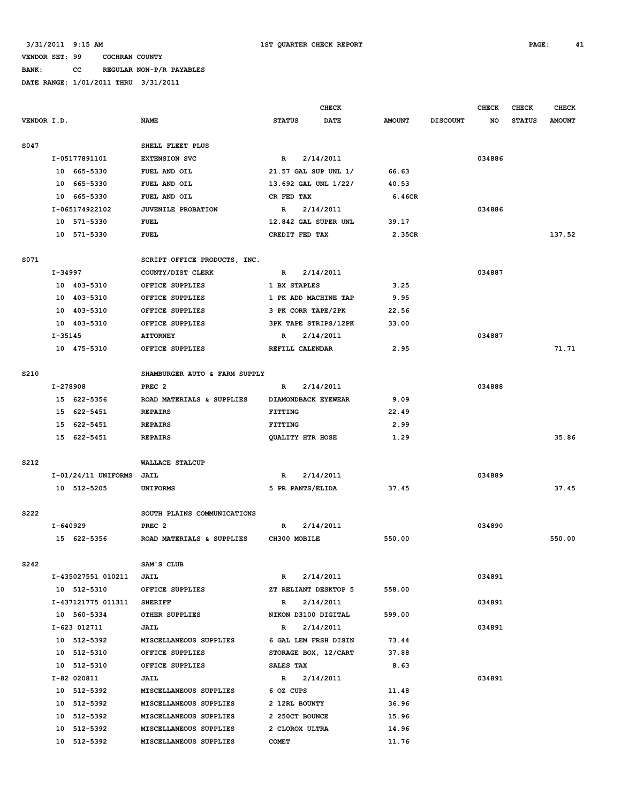# **BANK: CC REGULAR NON-P/R PAYABLES**

|             |          |                       |                               |                             | <b>CHECK</b>         |               |                 | <b>CHECK</b> | <b>CHECK</b>  | <b>CHECK</b>  |
|-------------|----------|-----------------------|-------------------------------|-----------------------------|----------------------|---------------|-----------------|--------------|---------------|---------------|
| VENDOR I.D. |          |                       | <b>NAME</b>                   | <b>STATUS</b>               | <b>DATE</b>          | <b>AMOUNT</b> | <b>DISCOUNT</b> | NO           | <b>STATUS</b> | <b>AMOUNT</b> |
| S047        |          |                       | SHELL FLEET PLUS              |                             |                      |               |                 |              |               |               |
|             |          | I-05177891101         | <b>EXTENSION SVC</b>          | $\mathbb{R}$                | 2/14/2011            |               |                 | 034886       |               |               |
|             |          | 10 665-5330           | FUEL AND OIL                  | 21.57 GAL SUP UNL 1/        |                      | 66.63         |                 |              |               |               |
|             | 10       | 665–5330              | FUEL AND OIL                  | 13.692 GAL UNL 1/22/        |                      | 40.53         |                 |              |               |               |
|             | 10       | 665-5330              | FUEL AND OIL                  | CR FED TAX                  |                      | 6.46CR        |                 |              |               |               |
|             |          | I-065174922102        | <b>JUVENILE PROBATION</b>     | R                           | 2/14/2011            |               |                 | 034886       |               |               |
|             |          | 10 571-5330           | <b>FUEL</b>                   | 12.842 GAL SUPER UNL        |                      | 39.17         |                 |              |               |               |
|             |          | 10 571-5330           | <b>FUEL</b>                   | CREDIT FED TAX              |                      | 2.35CR        |                 |              |               | 137.52        |
| S071        |          |                       | SCRIPT OFFICE PRODUCTS, INC.  |                             |                      |               |                 |              |               |               |
|             | I-34997  |                       | COUNTY/DIST CLERK             | R                           | 2/14/2011            |               |                 | 034887       |               |               |
|             |          | 10 403-5310           | OFFICE SUPPLIES               | 1 BX STAPLES                |                      | 3.25          |                 |              |               |               |
|             |          | 10 403-5310           | OFFICE SUPPLIES               | 1 PK ADD MACHINE TAP        |                      | 9.95          |                 |              |               |               |
|             | 10       | 403-5310              | OFFICE SUPPLIES               | 3 PK CORR TAPE/2PK          |                      | 22.56         |                 |              |               |               |
|             |          | 10 403-5310           | OFFICE SUPPLIES               | <b>3PK TAPE STRIPS/12PK</b> |                      | 33.00         |                 |              |               |               |
|             | I-35145  |                       | <b>ATTORNEY</b>               | R                           | 2/14/2011            |               |                 | 034887       |               |               |
|             |          | 10 475-5310           | OFFICE SUPPLIES               | REFILL CALENDAR             |                      | 2.95          |                 |              |               | 71.71         |
| S210        |          |                       | SHAMBURGER AUTO & FARM SUPPLY |                             |                      |               |                 |              |               |               |
|             | I-278908 |                       | PREC <sub>2</sub>             | R                           | 2/14/2011            |               |                 | 034888       |               |               |
|             |          | 15 622-5356           | ROAD MATERIALS & SUPPLIES     | DIAMONDBACK EYEWEAR         |                      | 9.09          |                 |              |               |               |
|             |          | 15 622-5451           | <b>REPAIRS</b>                | <b>FITTING</b>              |                      | 22.49         |                 |              |               |               |
|             |          | 15 622-5451           | <b>REPAIRS</b>                | <b>FITTING</b>              |                      | 2.99          |                 |              |               |               |
|             |          | 15 622-5451           | <b>REPAIRS</b>                | QUALITY HTR HOSE            |                      | 1.29          |                 |              |               | 35.86         |
| S212        |          |                       | <b>WALLACE STALCUP</b>        |                             |                      |               |                 |              |               |               |
|             |          | $I-01/24/11$ UNIFORMS | <b>JAIL</b>                   | R                           | 2/14/2011            |               |                 | 034889       |               |               |
|             |          | 10 512-5205           | <b>UNIFORMS</b>               | 5 PR PANTS/ELIDA            |                      | 37.45         |                 |              |               | 37.45         |
| S222        |          |                       | SOUTH PLAINS COMMUNICATIONS   |                             |                      |               |                 |              |               |               |
|             | I-640929 |                       | PREC <sub>2</sub>             | R                           | 2/14/2011            |               |                 | 034890       |               |               |
|             |          | 15 622-5356           | ROAD MATERIALS & SUPPLIES     | CH300 MOBILE                |                      | 550.00        |                 |              |               | 550.00        |
| S242        |          |                       | SAM'S CLUB                    |                             |                      |               |                 |              |               |               |
|             |          | I-435027551 010211    | JAIL                          | R                           | 2/14/2011            |               |                 | 034891       |               |               |
|             |          | 10 512-5310           | OFFICE SUPPLIES               |                             | ZT RELIANT DESKTOP 5 | 558.00        |                 |              |               |               |
|             |          | I-437121775 011311    | <b>SHERIFF</b>                | $\mathbb{R}$                | 2/14/2011            |               |                 | 034891       |               |               |
|             |          | 10 560-5334           | OTHER SUPPLIES                | NIKON D3100 DIGITAL         |                      | 599.00        |                 |              |               |               |
|             |          | I-623 012711          | JAIL                          | $\mathbb{R}$                | 2/14/2011            |               |                 | 034891       |               |               |
|             |          | 10 512-5392           | MISCELLANEOUS SUPPLIES        |                             | 6 GAL LEM FRSH DISIN | 73.44         |                 |              |               |               |
|             |          | 10 512-5310           | OFFICE SUPPLIES               |                             | STORAGE BOX, 12/CART | 37.88         |                 |              |               |               |
|             |          | 10 512-5310           | OFFICE SUPPLIES               | SALES TAX                   |                      | 8.63          |                 |              |               |               |
|             |          | I-82 020811           | <b>JAIL</b>                   | $\mathbb{R}$                | 2/14/2011            |               |                 | 034891       |               |               |
|             |          | 10 512-5392           | MISCELLANEOUS SUPPLIES        | 6 OZ CUPS                   |                      | 11.48         |                 |              |               |               |
|             |          | 10 512-5392           | MISCELLANEOUS SUPPLIES        | 2 12RL BOUNTY               |                      | 36.96         |                 |              |               |               |
|             |          | 10 512-5392           | MISCELLANEOUS SUPPLIES        | 2 250CT BOUNCE              |                      | 15.96         |                 |              |               |               |
|             |          | 10 512-5392           | MISCELLANEOUS SUPPLIES        | 2 CLOROX ULTRA              |                      | 14.96         |                 |              |               |               |
|             |          | 10 512-5392           | MISCELLANEOUS SUPPLIES        | <b>COMET</b>                |                      | 11.76         |                 |              |               |               |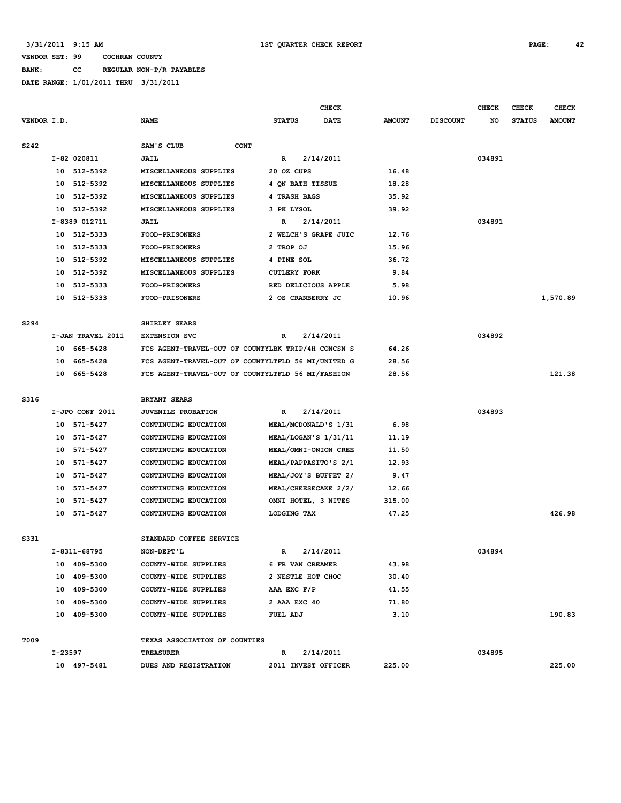**BANK: CC REGULAR NON-P/R PAYABLES**

|                  | <b>CHECK</b> |                   |                                                    |                      |             |               |                 | <b>CHECK</b> | <b>CHECK</b>  | <b>CHECK</b>  |
|------------------|--------------|-------------------|----------------------------------------------------|----------------------|-------------|---------------|-----------------|--------------|---------------|---------------|
| VENDOR I.D.      |              |                   | <b>NAME</b>                                        | <b>STATUS</b>        | <b>DATE</b> | <b>AMOUNT</b> | <b>DISCOUNT</b> | NO           | <b>STATUS</b> | <b>AMOUNT</b> |
|                  |              |                   |                                                    |                      |             |               |                 |              |               |               |
| S242             |              |                   | SAM'S CLUB<br><b>CONT</b>                          |                      |             |               |                 |              |               |               |
|                  |              | I-82 020811       | JAIL                                               | R                    | 2/14/2011   |               |                 | 034891       |               |               |
|                  | 10           | 512-5392          | MISCELLANEOUS SUPPLIES                             | 20 OZ CUPS           |             | 16.48         |                 |              |               |               |
|                  | 10           | 512-5392          | MISCELLANEOUS SUPPLIES                             | 4 QN BATH TISSUE     |             | 18.28         |                 |              |               |               |
|                  | 10           | 512-5392          | MISCELLANEOUS SUPPLIES                             | 4 TRASH BAGS         |             | 35.92         |                 |              |               |               |
|                  | 10           | 512-5392          | MISCELLANEOUS SUPPLIES                             | 3 PK LYSOL           |             | 39.92         |                 |              |               |               |
|                  |              | I-8389 012711     | JAIL                                               | R                    | 2/14/2011   |               |                 | 034891       |               |               |
|                  |              | 10 512-5333       | FOOD-PRISONERS                                     | 2 WELCH'S GRAPE JUIC |             | 12.76         |                 |              |               |               |
|                  | 10           | 512-5333          | <b>FOOD-PRISONERS</b>                              | 2 TROP OJ            |             | 15.96         |                 |              |               |               |
|                  | 10           | 512-5392          | MISCELLANEOUS SUPPLIES                             | 4 PINE SOL           |             | 36.72         |                 |              |               |               |
|                  |              | 10 512-5392       | MISCELLANEOUS SUPPLIES                             | <b>CUTLERY FORK</b>  |             | 9.84          |                 |              |               |               |
|                  | 10           | 512-5333          | <b>FOOD-PRISONERS</b>                              | RED DELICIOUS APPLE  |             | 5.98          |                 |              |               |               |
|                  | 10           | 512-5333          | <b>FOOD-PRISONERS</b>                              | 2 OS CRANBERRY JC    |             | 10.96         |                 |              |               | 1,570.89      |
|                  |              |                   |                                                    |                      |             |               |                 |              |               |               |
| S <sub>294</sub> |              |                   | SHIRLEY SEARS                                      |                      |             |               |                 |              |               |               |
|                  |              | I-JAN TRAVEL 2011 | <b>EXTENSION SVC</b>                               | R                    | 2/14/2011   |               |                 | 034892       |               |               |
|                  | 10           | 665-5428          | FCS AGENT-TRAVEL-OUT OF COUNTYLBK TRIP/4H CONCSN S |                      |             | 64.26         |                 |              |               |               |
|                  | 10           | 665-5428          | FCS AGENT-TRAVEL-OUT OF COUNTYLTFLD 56 MI/UNITED G |                      |             | 28.56         |                 |              |               |               |
|                  |              | 10 665-5428       | FCS AGENT-TRAVEL-OUT OF COUNTYLTFLD 56 MI/FASHION  |                      |             | 28.56         |                 |              |               | 121.38        |
|                  |              |                   |                                                    |                      |             |               |                 |              |               |               |
| S316             |              |                   | <b>BRYANT SEARS</b>                                |                      |             |               |                 |              |               |               |
|                  |              | I-JPO CONF 2011   | JUVENILE PROBATION                                 | $\mathbb{R}$         | 2/14/2011   |               |                 | 034893       |               |               |
|                  |              | 10 571-5427       | CONTINUING EDUCATION                               | MEAL/MCDONALD'S 1/31 |             | 6.98          |                 |              |               |               |
|                  | 10           | 571-5427          | CONTINUING EDUCATION                               | MEAL/LOGAN'S 1/31/11 |             | 11.19         |                 |              |               |               |
|                  | 10           | 571-5427          | CONTINUING EDUCATION                               | MEAL/OMNI-ONION CREE |             | 11.50         |                 |              |               |               |
|                  | 10           | 571-5427          | CONTINUING EDUCATION                               | MEAL/PAPPASITO'S 2/1 |             | 12.93         |                 |              |               |               |
|                  | 10           | 571-5427          | CONTINUING EDUCATION                               | MEAL/JOY'S BUFFET 2/ |             | 9.47          |                 |              |               |               |
|                  | 10           | 571-5427          | CONTINUING EDUCATION                               | MEAL/CHEESECAKE 2/2/ |             | 12.66         |                 |              |               |               |
|                  | 10           | 571-5427          | CONTINUING EDUCATION                               | OMNI HOTEL, 3 NITES  |             | 315.00        |                 |              |               |               |
|                  |              | 10 571-5427       | CONTINUING EDUCATION                               | LODGING TAX          |             | 47.25         |                 |              |               | 426.98        |
|                  |              |                   |                                                    |                      |             |               |                 |              |               |               |
| S331             |              |                   | STANDARD COFFEE SERVICE                            |                      |             |               |                 |              |               |               |
|                  |              | I-8311-68795      | NON-DEPT'L                                         | R                    | 2/14/2011   |               |                 | 034894       |               |               |
|                  |              | 10 409-5300       | COUNTY-WIDE SUPPLIES                               | 6 FR VAN CREAMER     |             | 43.98         |                 |              |               |               |
|                  |              | 10 409-5300       | COUNTY-WIDE SUPPLIES                               | 2 NESTLE HOT CHOC    |             | 30.40         |                 |              |               |               |
|                  |              | 10 409-5300       | COUNTY-WIDE SUPPLIES                               | AAA EXC F/P          |             | 41.55         |                 |              |               |               |
|                  |              | 10 409-5300       | COUNTY-WIDE SUPPLIES                               | 2 AAA EXC 40         |             | 71.80         |                 |              |               |               |
|                  |              | 10 409-5300       | COUNTY-WIDE SUPPLIES                               | FUEL ADJ             |             | 3.10          |                 |              |               | 190.83        |
|                  |              |                   |                                                    |                      |             |               |                 |              |               |               |
| T009             |              |                   | TEXAS ASSOCIATION OF COUNTIES                      |                      |             |               |                 |              |               |               |
|                  | I-23597      |                   | <b>TREASURER</b>                                   | R                    | 2/14/2011   |               |                 | 034895       |               |               |
|                  |              | 10 497-5481       | DUES AND REGISTRATION                              | 2011 INVEST OFFICER  |             | 225.00        |                 |              |               | 225.00        |
|                  |              |                   |                                                    |                      |             |               |                 |              |               |               |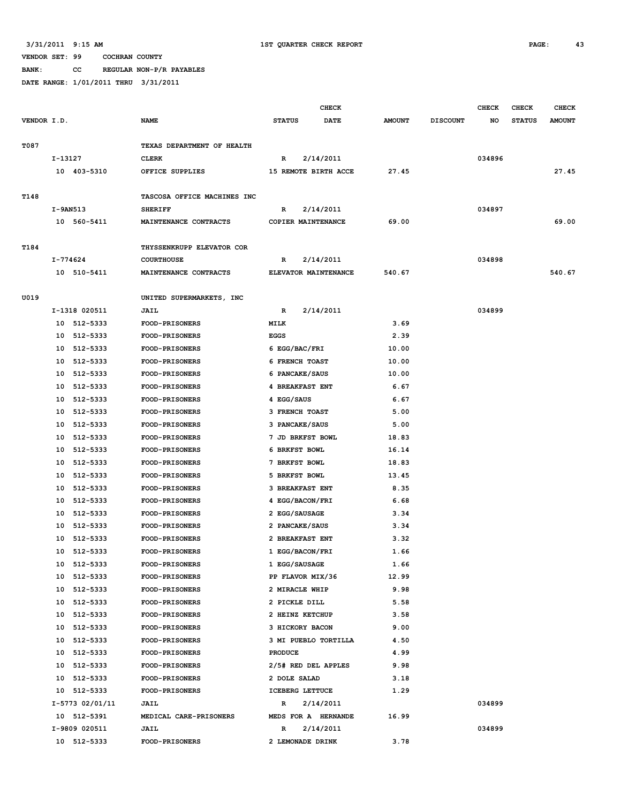**BANK: CC REGULAR NON-P/R PAYABLES**

|             |                 |                             |                           | <b>CHECK</b>          |                 | <b>CHECK</b> | <b>CHECK</b>  | <b>CHECK</b>  |
|-------------|-----------------|-----------------------------|---------------------------|-----------------------|-----------------|--------------|---------------|---------------|
| VENDOR I.D. |                 | <b>NAME</b>                 | <b>STATUS</b>             | DATE<br><b>AMOUNT</b> | <b>DISCOUNT</b> | NO           | <b>STATUS</b> | <b>AMOUNT</b> |
| T087        |                 | TEXAS DEPARTMENT OF HEALTH  |                           |                       |                 |              |               |               |
|             | I-13127         | <b>CLERK</b>                | 2/14/2011<br>R            |                       |                 | 034896       |               |               |
|             | 10 403-5310     |                             | 15 REMOTE BIRTH ACCE      | 27.45                 |                 |              |               | 27.45         |
|             |                 | OFFICE SUPPLIES             |                           |                       |                 |              |               |               |
| T148        |                 | TASCOSA OFFICE MACHINES INC |                           |                       |                 |              |               |               |
|             | I-9AN513        | <b>SHERIFF</b>              | R<br>2/14/2011            |                       |                 | 034897       |               |               |
|             | 10 560-5411     | MAINTENANCE CONTRACTS       | COPIER MAINTENANCE        | 69.00                 |                 |              |               | 69.00         |
| T184        |                 | THYSSENKRUPP ELEVATOR COR   |                           |                       |                 |              |               |               |
|             | I-774624        | <b>COURTHOUSE</b>           | 2/14/2011<br>R            |                       |                 | 034898       |               |               |
|             | 10 510-5411     | MAINTENANCE CONTRACTS       | ELEVATOR MAINTENANCE      | 540.67                |                 |              |               | 540.67        |
|             |                 |                             |                           |                       |                 |              |               |               |
| U019        |                 | UNITED SUPERMARKETS, INC    |                           |                       |                 |              |               |               |
|             | I-1318 020511   | <b>JAIL</b>                 | 2/14/2011<br>R            |                       |                 | 034899       |               |               |
|             | 10 512-5333     | FOOD-PRISONERS              | MILK                      |                       | 3.69            |              |               |               |
|             | 10 512-5333     | <b>FOOD-PRISONERS</b>       | <b>EGGS</b>               |                       | 2.39            |              |               |               |
|             | 10 512-5333     | FOOD-PRISONERS              | 6 EGG/BAC/FRI             | 10.00                 |                 |              |               |               |
|             | 10 512-5333     | FOOD-PRISONERS              | 6 FRENCH TOAST            | 10.00                 |                 |              |               |               |
|             | 512-5333<br>10  | <b>FOOD-PRISONERS</b>       | 6 PANCAKE/SAUS            | 10.00                 |                 |              |               |               |
|             | 10 512-5333     | FOOD-PRISONERS              | <b>4 BREAKFAST ENT</b>    |                       | 6.67            |              |               |               |
|             | 10 512-5333     | FOOD-PRISONERS              | 4 EGG/SAUS                |                       | 6.67            |              |               |               |
|             | 512-5333<br>10  | <b>FOOD-PRISONERS</b>       | <b>3 FRENCH TOAST</b>     |                       | 5.00            |              |               |               |
|             | 512-5333<br>10  | <b>FOOD-PRISONERS</b>       | 3 PANCAKE/SAUS            |                       | 5.00            |              |               |               |
|             | 512-5333<br>10  | FOOD-PRISONERS              | 7 JD BRKFST BOWL          | 18.83                 |                 |              |               |               |
|             | 512-5333<br>10  | <b>FOOD-PRISONERS</b>       | 6 BRKFST BOWL             | 16.14                 |                 |              |               |               |
|             | 512-5333<br>10  | <b>FOOD-PRISONERS</b>       | 7 BRKFST BOWL             | 18.83                 |                 |              |               |               |
|             | 512-5333<br>10  | <b>FOOD-PRISONERS</b>       | 5 BRKFST BOWL             | 13.45                 |                 |              |               |               |
|             | 512-5333<br>10  | <b>FOOD-PRISONERS</b>       | <b>3 BREAKFAST ENT</b>    |                       | 8.35            |              |               |               |
|             | 10 512-5333     | <b>FOOD-PRISONERS</b>       | 4 EGG/BACON/FRI           |                       | 6.68            |              |               |               |
|             | 10 512-5333     | FOOD-PRISONERS              | 2 EGG/SAUSAGE             |                       | 3.34            |              |               |               |
|             | 512-5333<br>10  | <b>FOOD-PRISONERS</b>       | 2 PANCAKE/SAUS            |                       | 3.34            |              |               |               |
|             | 512-5333<br>10  | <b>FOOD-PRISONERS</b>       | 2 BREAKFAST ENT           |                       | 3.32            |              |               |               |
|             | 10<br>512-5333  | FOOD-PRISONERS              | 1 EGG/BACON/FRI           |                       | 1.66            |              |               |               |
|             | 10 512-5333     | <b>FOOD-PRISONERS</b>       | 1 EGG/SAUSAGE             |                       | 1.66            |              |               |               |
|             | 10 512-5333     | <b>FOOD-PRISONERS</b>       | PP FLAVOR MIX/36          | 12.99                 |                 |              |               |               |
|             | 10 512-5333     | FOOD-PRISONERS              | 2 MIRACLE WHIP            |                       | 9.98            |              |               |               |
|             | 10 512-5333     | FOOD-PRISONERS              | 2 PICKLE DILL             |                       | 5.58            |              |               |               |
|             | 10 512-5333     | <b>FOOD-PRISONERS</b>       | 2 HEINZ KETCHUP           |                       | 3.58            |              |               |               |
|             | 10 512-5333     | <b>FOOD-PRISONERS</b>       | 3 HICKORY BACON           |                       | 9.00            |              |               |               |
|             | 10 512-5333     | FOOD-PRISONERS              | 3 MI PUEBLO TORTILLA      |                       | 4.50            |              |               |               |
|             | 10 512-5333     | FOOD-PRISONERS              | <b>PRODUCE</b>            |                       | 4.99            |              |               |               |
|             | 10 512-5333     | FOOD-PRISONERS              | 2/5# RED DEL APPLES       |                       | 9.98            |              |               |               |
|             | 10 512-5333     | FOOD-PRISONERS              | 2 DOLE SALAD              |                       | 3.18            |              |               |               |
|             | 10 512-5333     | FOOD-PRISONERS              | ICEBERG LETTUCE           |                       | 1.29            |              |               |               |
|             | I-5773 02/01/11 | <b>JAIL</b>                 | 2/14/2011<br>$\mathbb{R}$ |                       |                 | 034899       |               |               |
|             | 10 512-5391     | MEDICAL CARE-PRISONERS      | MEDS FOR A HERNANDE       | 16.99                 |                 |              |               |               |
|             | I-9809 020511   | <b>JAIL</b>                 | 2/14/2011<br>R            |                       |                 | 034899       |               |               |
|             | 10 512-5333     | FOOD-PRISONERS              | 2 LEMONADE DRINK          |                       | 3.78            |              |               |               |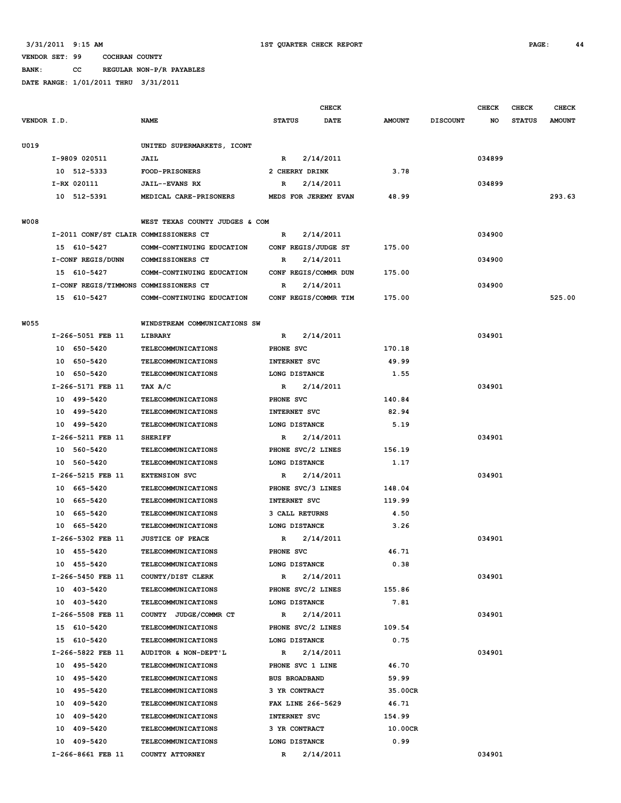# **BANK: CC REGULAR NON-P/R PAYABLES**

|             |                                       |                                                   |                                   | <b>CHECK</b> |                |                 | <b>CHECK</b> | CHECK         | <b>CHECK</b>  |
|-------------|---------------------------------------|---------------------------------------------------|-----------------------------------|--------------|----------------|-----------------|--------------|---------------|---------------|
| VENDOR I.D. |                                       | <b>NAME</b>                                       | <b>STATUS</b>                     | <b>DATE</b>  | <b>AMOUNT</b>  | <b>DISCOUNT</b> | NO           | <b>STATUS</b> | <b>AMOUNT</b> |
| U019        |                                       | UNITED SUPERMARKETS, ICONT                        |                                   |              |                |                 |              |               |               |
|             | I-9809 020511                         | JAIL                                              | $\mathbb{R}$                      | 2/14/2011    |                |                 | 034899       |               |               |
|             | 10 512-5333                           | <b>FOOD-PRISONERS</b>                             | 2 CHERRY DRINK                    |              | 3.78           |                 |              |               |               |
|             | I-RX 020111                           | <b>JAIL--EVANS RX</b>                             | R                                 | 2/14/2011    |                |                 | 034899       |               |               |
|             | 10 512-5391                           | MEDICAL CARE-PRISONERS                            | MEDS FOR JEREMY EVAN              |              | 48.99          |                 |              |               | 293.63        |
|             |                                       |                                                   |                                   |              |                |                 |              |               |               |
| <b>W008</b> |                                       | WEST TEXAS COUNTY JUDGES & COM                    |                                   |              |                |                 |              |               |               |
|             | I-2011 CONF/ST CLAIR COMMISSIONERS CT |                                                   | $\mathbb{R}$                      | 2/14/2011    |                |                 | 034900       |               |               |
|             | 15 610-5427                           | COMM-CONTINUING EDUCATION                         | CONF REGIS/JUDGE ST               |              | 175.00         |                 |              |               |               |
|             | I-CONF REGIS/DUNN                     | COMMISSIONERS CT                                  | R                                 | 2/14/2011    |                |                 | 034900       |               |               |
|             | 15 610-5427                           | COMM-CONTINUING EDUCATION                         | CONF REGIS/COMMR DUN              |              | 175.00         |                 |              |               |               |
|             | I-CONF REGIS/TIMMONS COMMISSIONERS CT |                                                   | R                                 | 2/14/2011    |                |                 | 034900       |               |               |
|             | 15 610-5427                           | COMM-CONTINUING EDUCATION                         | CONF REGIS/COMMR TIM              |              | 175.00         |                 |              |               | 525.00        |
| <b>W055</b> |                                       | WINDSTREAM COMMUNICATIONS SW                      |                                   |              |                |                 |              |               |               |
|             | I-266-5051 FEB 11                     | LIBRARY                                           | R                                 | 2/14/2011    |                |                 | 034901       |               |               |
|             | 10 650-5420                           | TELECOMMUNICATIONS                                | PHONE SVC                         |              | 170.18         |                 |              |               |               |
|             | 10 650-5420                           | <b>TELECOMMUNICATIONS</b>                         | INTERNET SVC                      |              | 49.99          |                 |              |               |               |
|             | 10 650-5420                           | <b>TELECOMMUNICATIONS</b>                         | LONG DISTANCE                     |              | 1.55           |                 |              |               |               |
|             | I-266-5171 FEB 11                     | TAX A/C                                           | R                                 | 2/14/2011    |                |                 | 034901       |               |               |
|             | 10 499-5420                           | <b>TELECOMMUNICATIONS</b>                         | PHONE SVC                         |              | 140.84         |                 |              |               |               |
|             | 10 499-5420                           | <b>TELECOMMUNICATIONS</b>                         | <b>INTERNET SVC</b>               |              | 82.94          |                 |              |               |               |
|             | 10 499-5420                           | <b>TELECOMMUNICATIONS</b>                         | LONG DISTANCE                     |              | 5.19           |                 |              |               |               |
|             | I-266-5211 FEB 11                     | <b>SHERIFF</b>                                    | R                                 | 2/14/2011    |                |                 | 034901       |               |               |
|             | 10 560-5420                           | <b>TELECOMMUNICATIONS</b>                         |                                   |              |                |                 |              |               |               |
|             | 10 560-5420                           |                                                   | PHONE SVC/2 LINES                 |              | 156.19<br>1.17 |                 |              |               |               |
|             |                                       | <b>TELECOMMUNICATIONS</b>                         | LONG DISTANCE                     |              |                |                 |              |               |               |
|             | I-266-5215 FEB 11<br>10 665-5420      | <b>EXTENSION SVC</b><br><b>TELECOMMUNICATIONS</b> | R                                 | 2/14/2011    | 148.04         |                 | 034901       |               |               |
|             | 10 665-5420                           | <b>TELECOMMUNICATIONS</b>                         | PHONE SVC/3 LINES<br>INTERNET SVC |              | 119.99         |                 |              |               |               |
|             | 10 665-5420                           | TELECOMMUNICATIONS                                | <b>3 CALL RETURNS</b>             |              | 4.50           |                 |              |               |               |
|             |                                       |                                                   |                                   |              |                |                 |              |               |               |
|             | 10 665-5420<br>I-266-5302 FEB 11      | <b>TELECOMMUNICATIONS</b>                         | LONG DISTANCE                     |              | 3.26           |                 | 034901       |               |               |
|             |                                       | <b>JUSTICE OF PEACE</b>                           | R                                 | 2/14/2011    |                |                 |              |               |               |
|             | 10 455-5420                           | <b>TELECOMMUNICATIONS</b>                         | PHONE SVC                         |              | 46.71          |                 |              |               |               |
|             | 10 455-5420                           | <b>TELECOMMUNICATIONS</b>                         | LONG DISTANCE                     |              | 0.38           |                 |              |               |               |
|             | I-266-5450 FEB 11                     | COUNTY/DIST CLERK                                 | $\mathbb{R}$                      | 2/14/2011    |                |                 | 034901       |               |               |
|             | 10 403-5420                           | <b>TELECOMMUNICATIONS</b>                         | PHONE SVC/2 LINES                 |              | 155.86         |                 |              |               |               |
|             | 10 403-5420                           | <b>TELECOMMUNICATIONS</b>                         | LONG DISTANCE                     |              | 7.81           |                 |              |               |               |
|             | I-266-5508 FEB 11                     | COUNTY JUDGE/COMMR CT                             | $\mathbb{R}$                      | 2/14/2011    |                |                 | 034901       |               |               |
|             | 15 610-5420                           | <b>TELECOMMUNICATIONS</b>                         | PHONE SVC/2 LINES                 |              | 109.54         |                 |              |               |               |
|             | 15 610-5420                           | <b>TELECOMMUNICATIONS</b>                         | LONG DISTANCE                     |              | 0.75           |                 |              |               |               |
|             | I-266-5822 FEB 11                     | AUDITOR & NON-DEPT'L                              | R                                 | 2/14/2011    |                |                 | 034901       |               |               |
|             | 10 495-5420                           | <b>TELECOMMUNICATIONS</b>                         | PHONE SVC 1 LINE                  |              | 46.70          |                 |              |               |               |
|             | 10 495-5420                           | TELECOMMUNICATIONS                                | <b>BUS BROADBAND</b>              |              | 59.99          |                 |              |               |               |
|             | 10 495-5420                           | TELECOMMUNICATIONS                                | 3 YR CONTRACT                     |              | 35.00CR        |                 |              |               |               |
|             | 10 409-5420                           | <b>TELECOMMUNICATIONS</b>                         | FAX LINE 266-5629                 |              | 46.71          |                 |              |               |               |
|             | 10 409-5420                           | <b>TELECOMMUNICATIONS</b>                         | INTERNET SVC                      |              | 154.99         |                 |              |               |               |
|             | 10 409-5420                           | TELECOMMUNICATIONS                                | 3 YR CONTRACT                     |              | 10.00CR        |                 |              |               |               |
|             | 10 409-5420                           | <b>TELECOMMUNICATIONS</b>                         | LONG DISTANCE                     |              | 0.99           |                 |              |               |               |
|             | I-266-8661 FEB 11                     | COUNTY ATTORNEY                                   | $\mathbb{R}$                      | 2/14/2011    |                |                 | 034901       |               |               |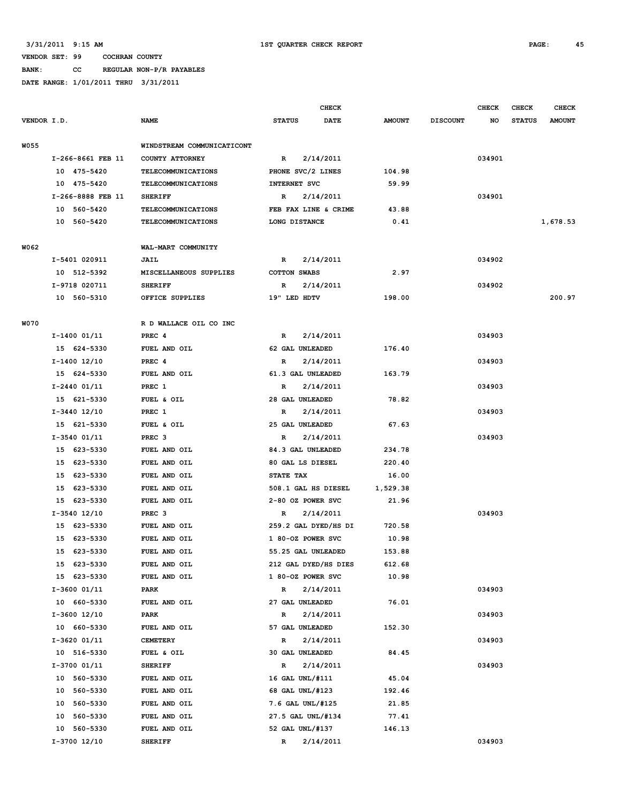**BANK: CC REGULAR NON-P/R PAYABLES**

|             |                   |                            |                        | CHECK       |               |                 | <b>CHECK</b> | <b>CHECK</b>  | <b>CHECK</b>  |
|-------------|-------------------|----------------------------|------------------------|-------------|---------------|-----------------|--------------|---------------|---------------|
| VENDOR I.D. |                   | <b>NAME</b>                | <b>STATUS</b>          | <b>DATE</b> | <b>AMOUNT</b> | <b>DISCOUNT</b> | NO           | <b>STATUS</b> | <b>AMOUNT</b> |
| <b>W055</b> |                   | WINDSTREAM COMMUNICATICONT |                        |             |               |                 |              |               |               |
|             | I-266-8661 FEB 11 | COUNTY ATTORNEY            | R                      | 2/14/2011   |               |                 | 034901       |               |               |
|             | 10 475-5420       | <b>TELECOMMUNICATIONS</b>  | PHONE SVC/2 LINES      |             | 104.98        |                 |              |               |               |
|             | 10 475-5420       | <b>TELECOMMUNICATIONS</b>  | INTERNET SVC           |             | 59.99         |                 |              |               |               |
|             | I-266-8888 FEB 11 | <b>SHERIFF</b>             | R                      | 2/14/2011   |               |                 | 034901       |               |               |
|             | 10 560-5420       | <b>TELECOMMUNICATIONS</b>  | FEB FAX LINE & CRIME   |             | 43.88         |                 |              |               |               |
|             | 10 560-5420       | <b>TELECOMMUNICATIONS</b>  | LONG DISTANCE          |             | 0.41          |                 |              |               | 1,678.53      |
|             |                   |                            |                        |             |               |                 |              |               |               |
| W062        |                   | WAL-MART COMMUNITY         |                        |             |               |                 |              |               |               |
|             | I-5401 020911     | JAIL                       | $\mathbb{R}$           | 2/14/2011   |               |                 | 034902       |               |               |
|             | 10 512-5392       | MISCELLANEOUS SUPPLIES     | <b>COTTON SWABS</b>    |             | 2.97          |                 |              |               |               |
|             | I-9718 020711     | <b>SHERIFF</b>             | R                      | 2/14/2011   |               |                 | 034902       |               |               |
|             | 10 560-5310       | OFFICE SUPPLIES            | 19" LED HDTV           |             | 198.00        |                 |              |               | 200.97        |
| W070        |                   | R D WALLACE OIL CO INC     |                        |             |               |                 |              |               |               |
|             | $I-1400$ 01/11    | PREC <sub>4</sub>          | $\mathbb{R}$           | 2/14/2011   |               |                 | 034903       |               |               |
|             | 15 624-5330       | FUEL AND OIL               | 62 GAL UNLEADED        |             | 176.40        |                 |              |               |               |
|             | $I-1400$ 12/10    | PREC 4                     | R                      | 2/14/2011   |               |                 | 034903       |               |               |
|             | 15 624-5330       | FUEL AND OIL               | 61.3 GAL UNLEADED      |             | 163.79        |                 |              |               |               |
|             | $I-2440$ 01/11    | PREC 1                     | R                      | 2/14/2011   |               |                 | 034903       |               |               |
|             | 15 621-5330       | FUEL & OIL                 | 28 GAL UNLEADED        |             | 78.82         |                 |              |               |               |
|             | $I-3440$ 12/10    | PREC 1                     | R                      | 2/14/2011   |               |                 | 034903       |               |               |
|             | 15 621-5330       | FUEL & OIL                 | 25 GAL UNLEADED        |             | 67.63         |                 |              |               |               |
|             | I-3540 01/11      | PREC <sub>3</sub>          | R                      | 2/14/2011   |               |                 | 034903       |               |               |
|             | 15 623-5330       | FUEL AND OIL               | 84.3 GAL UNLEADED      |             | 234.78        |                 |              |               |               |
|             | 15 623-5330       | FUEL AND OIL               | 80 GAL LS DIESEL       |             | 220.40        |                 |              |               |               |
|             | 15<br>623-5330    | FUEL AND OIL               | STATE TAX              |             | 16.00         |                 |              |               |               |
|             | 15<br>623-5330    | FUEL AND OIL               | 508.1 GAL HS DIESEL    |             | 1,529.38      |                 |              |               |               |
|             | 15 623-5330       | FUEL AND OIL               | 2-80 OZ POWER SVC      |             | 21.96         |                 |              |               |               |
|             | $I-3540$ 12/10    | PREC <sub>3</sub>          | R                      | 2/14/2011   |               |                 | 034903       |               |               |
|             | 15 623-5330       | FUEL AND OIL               | 259.2 GAL DYED/HS DI   |             | 720.58        |                 |              |               |               |
|             | 623-5330<br>15    | FUEL AND OIL               | 1 80-OZ POWER SVC      |             | 10.98         |                 |              |               |               |
|             | 15 623-5330       | FUEL AND OIL               | 55.25 GAL UNLEADED     |             | 153.88        |                 |              |               |               |
|             | 15 623-5330       | FUEL AND OIL               | 212 GAL DYED/HS DIES   |             | 612.68        |                 |              |               |               |
|             | 15 623-5330       | FUEL AND OIL               | 1 80-OZ POWER SVC      |             | 10.98         |                 |              |               |               |
|             | $I-3600$ $01/11$  | PARK                       | R                      | 2/14/2011   |               |                 | 034903       |               |               |
|             | 10 660-5330       | FUEL AND OIL               | 27 GAL UNLEADED        |             | 76.01         |                 |              |               |               |
|             | $I-3600$ 12/10    | <b>PARK</b>                | R                      | 2/14/2011   |               |                 | 034903       |               |               |
|             | 10 660-5330       | FUEL AND OIL               | 57 GAL UNLEADED        |             | 152.30        |                 |              |               |               |
|             | I-3620 01/11      | <b>CEMETERY</b>            | R                      | 2/14/2011   |               |                 | 034903       |               |               |
|             | 10 516-5330       | FUEL & OIL                 | <b>30 GAL UNLEADED</b> |             | 84.45         |                 |              |               |               |
|             | I-3700 01/11      | <b>SHERIFF</b>             | R                      | 2/14/2011   |               |                 | 034903       |               |               |
|             | 10 560-5330       | FUEL AND OIL               | 16 GAL UNL/#111        |             | 45.04         |                 |              |               |               |
|             | 10 560-5330       | FUEL AND OIL               | 68 GAL UNL/#123        |             | 192.46        |                 |              |               |               |
|             | 10 560-5330       | FUEL AND OIL               | 7.6 GAL UNL/#125       |             | 21.85         |                 |              |               |               |
|             | 10 560-5330       | FUEL AND OIL               | 27.5 GAL UNL/#134      |             | 77.41         |                 |              |               |               |
|             | 10 560-5330       | FUEL AND OIL               | 52 GAL UNL/#137        |             | 146.13        |                 |              |               |               |
|             | I-3700 12/10      | <b>SHERIFF</b>             | R                      | 2/14/2011   |               |                 | 034903       |               |               |
|             |                   |                            |                        |             |               |                 |              |               |               |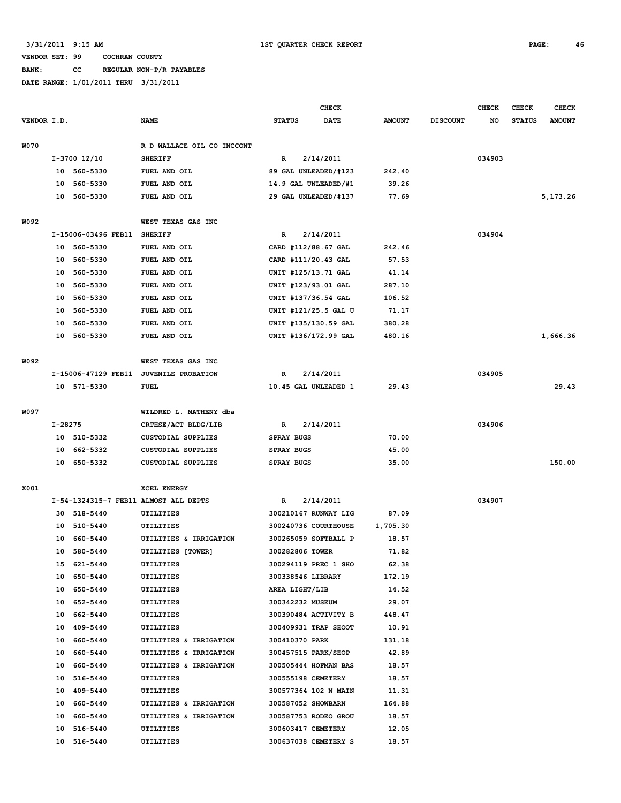# **BANK: CC REGULAR NON-P/R PAYABLES**

| VENDOR I.D.<br><b>NAME</b><br><b>STATUS</b><br><b>DATE</b><br><b>AMOUNT</b><br><b>DISCOUNT</b><br>NO<br><b>STATUS</b><br><b>AMOUNT</b><br>W070<br>R D WALLACE OIL CO INCCONT<br>034903<br>I-3700 12/10<br>R<br>2/14/2011<br><b>SHERIFF</b><br>560-5330<br>89 GAL UNLEADED/#123<br>242.40<br>10<br>FUEL AND OIL<br>14.9 GAL UNLEADED/#1<br>10<br>560-5330<br>FUEL AND OIL<br>39.26<br>5, 173. 26<br>10<br>560-5330<br>FUEL AND OIL<br>29 GAL UNLEADED/#137<br>77.69<br>W092<br>WEST TEXAS GAS INC<br>I-15006-03496 FEB11<br>2/14/2011<br>034904<br><b>SHERIFF</b><br>R<br>10 560-5330<br>CARD #112/88.67 GAL<br>242.46<br>FUEL AND OIL<br>CARD #111/20.43 GAL<br>10<br>560-5330<br>FUEL AND OIL<br>57.53<br>10<br>560-5330<br>UNIT #125/13.71 GAL<br>FUEL AND OIL<br>41.14<br>UNIT #123/93.01 GAL<br>287.10<br>10<br>560-5330<br>FUEL AND OIL<br>10<br>560-5330<br>FUEL AND OIL<br>UNIT #137/36.54 GAL<br>106.52<br>560-5330<br>UNIT #121/25.5 GAL U<br>71.17<br>10<br>FUEL AND OIL<br>560-5330<br>UNIT #135/130.59 GAL<br>10<br>FUEL AND OIL<br>380.28<br>1,666.36<br>10<br>560-5330<br>FUEL AND OIL<br>UNIT #136/172.99 GAL<br>480.16<br>W092<br>WEST TEXAS GAS INC<br>I-15006-47129 FEB11<br>2/14/2011<br>034905<br>JUVENILE PROBATION<br>R<br>29.43<br>29.43<br>10 571-5330<br>FUEL<br>10.45 GAL UNLEADED 1<br>W097<br>WILDRED L. MATHENY dba<br>I-28275<br>CRTHSE/ACT BLDG/LIB<br>2/14/2011<br>034906<br>R<br>70.00<br>10 510-5332<br><b>CUSTODIAL SUPPLIES</b><br><b>SPRAY BUGS</b><br>10<br>662-5332<br><b>CUSTODIAL SUPPLIES</b><br><b>SPRAY BUGS</b><br>45.00<br>150.00<br>10<br>650-5332<br>35.00<br>CUSTODIAL SUPPLIES<br><b>SPRAY BUGS</b><br>X001<br><b>XCEL ENERGY</b><br>034907<br>I-54-1324315-7 FEB11 ALMOST ALL DEPTS<br>2/14/2011<br>R<br>518-5440<br>300210167 RUNWAY LIG<br>87.09<br>30<br>UTILITIES<br>10<br>510-5440<br>UTILITIES<br>300240736 COURTHOUSE<br>1,705.30<br>660-5440<br>UTILITIES & IRRIGATION<br>300265059 SOFTBALL P<br>18.57<br>10<br>10<br>580-5440<br>300282806 TOWER<br>71.82<br>UTILITIES [TOWER]<br>15 621-5440<br>300294119 PREC 1 SHO<br>62.38<br>UTILITIES<br>10 650-5440<br>300338546 LIBRARY<br>172.19<br>UTILITIES<br>10 650-5440<br>AREA LIGHT/LIB<br>14.52<br>UTILITIES<br>29.07<br>10 652-5440<br>UTILITIES<br>300342232 MUSEUM<br>10 662-5440<br>300390484 ACTIVITY B<br>448.47<br>UTILITIES<br>10 409-5440<br>UTILITIES<br>300409931 TRAP SHOOT<br>10.91<br>10 660-5440<br>UTILITIES & IRRIGATION<br>300410370 PARK<br>131.18<br>10 660-5440<br>300457515 PARK/SHOP<br>42.89<br>UTILITIES & IRRIGATION<br>10 660-5440<br>300505444 HOFMAN BAS<br>18.57<br>UTILITIES & IRRIGATION<br>10 516-5440<br>300555198 CEMETERY<br>18.57<br>UTILITIES<br>10 409-5440<br>300577364 102 N MAIN<br>11.31<br>UTILITIES<br>10 660-5440<br>UTILITIES & IRRIGATION<br>300587052 SHOWBARN<br>164.88<br>10 660-5440<br>UTILITIES & IRRIGATION<br>300587753 RODEO GROU<br>18.57<br>10 516-5440<br>300603417 CEMETERY<br>12.05<br>UTILITIES<br>300637038 CEMETERY S<br>18.57<br>10 516-5440<br>UTILITIES |  |  | <b>CHECK</b> |  |  |  | <b>CHECK</b> | <b>CHECK</b> | <b>CHECK</b> |
|-------------------------------------------------------------------------------------------------------------------------------------------------------------------------------------------------------------------------------------------------------------------------------------------------------------------------------------------------------------------------------------------------------------------------------------------------------------------------------------------------------------------------------------------------------------------------------------------------------------------------------------------------------------------------------------------------------------------------------------------------------------------------------------------------------------------------------------------------------------------------------------------------------------------------------------------------------------------------------------------------------------------------------------------------------------------------------------------------------------------------------------------------------------------------------------------------------------------------------------------------------------------------------------------------------------------------------------------------------------------------------------------------------------------------------------------------------------------------------------------------------------------------------------------------------------------------------------------------------------------------------------------------------------------------------------------------------------------------------------------------------------------------------------------------------------------------------------------------------------------------------------------------------------------------------------------------------------------------------------------------------------------------------------------------------------------------------------------------------------------------------------------------------------------------------------------------------------------------------------------------------------------------------------------------------------------------------------------------------------------------------------------------------------------------------------------------------------------------------------------------------------------------------------------------------------------------------------------------------------------------------------------------------------------------------------------------------------------------------------------------------------------------------------------------------------------------------------------------------------------------------------------------------------------------------------------------------------------------------------------------------------------------------------------|--|--|--------------|--|--|--|--------------|--------------|--------------|
|                                                                                                                                                                                                                                                                                                                                                                                                                                                                                                                                                                                                                                                                                                                                                                                                                                                                                                                                                                                                                                                                                                                                                                                                                                                                                                                                                                                                                                                                                                                                                                                                                                                                                                                                                                                                                                                                                                                                                                                                                                                                                                                                                                                                                                                                                                                                                                                                                                                                                                                                                                                                                                                                                                                                                                                                                                                                                                                                                                                                                                           |  |  |              |  |  |  |              |              |              |
|                                                                                                                                                                                                                                                                                                                                                                                                                                                                                                                                                                                                                                                                                                                                                                                                                                                                                                                                                                                                                                                                                                                                                                                                                                                                                                                                                                                                                                                                                                                                                                                                                                                                                                                                                                                                                                                                                                                                                                                                                                                                                                                                                                                                                                                                                                                                                                                                                                                                                                                                                                                                                                                                                                                                                                                                                                                                                                                                                                                                                                           |  |  |              |  |  |  |              |              |              |
|                                                                                                                                                                                                                                                                                                                                                                                                                                                                                                                                                                                                                                                                                                                                                                                                                                                                                                                                                                                                                                                                                                                                                                                                                                                                                                                                                                                                                                                                                                                                                                                                                                                                                                                                                                                                                                                                                                                                                                                                                                                                                                                                                                                                                                                                                                                                                                                                                                                                                                                                                                                                                                                                                                                                                                                                                                                                                                                                                                                                                                           |  |  |              |  |  |  |              |              |              |
|                                                                                                                                                                                                                                                                                                                                                                                                                                                                                                                                                                                                                                                                                                                                                                                                                                                                                                                                                                                                                                                                                                                                                                                                                                                                                                                                                                                                                                                                                                                                                                                                                                                                                                                                                                                                                                                                                                                                                                                                                                                                                                                                                                                                                                                                                                                                                                                                                                                                                                                                                                                                                                                                                                                                                                                                                                                                                                                                                                                                                                           |  |  |              |  |  |  |              |              |              |
|                                                                                                                                                                                                                                                                                                                                                                                                                                                                                                                                                                                                                                                                                                                                                                                                                                                                                                                                                                                                                                                                                                                                                                                                                                                                                                                                                                                                                                                                                                                                                                                                                                                                                                                                                                                                                                                                                                                                                                                                                                                                                                                                                                                                                                                                                                                                                                                                                                                                                                                                                                                                                                                                                                                                                                                                                                                                                                                                                                                                                                           |  |  |              |  |  |  |              |              |              |
|                                                                                                                                                                                                                                                                                                                                                                                                                                                                                                                                                                                                                                                                                                                                                                                                                                                                                                                                                                                                                                                                                                                                                                                                                                                                                                                                                                                                                                                                                                                                                                                                                                                                                                                                                                                                                                                                                                                                                                                                                                                                                                                                                                                                                                                                                                                                                                                                                                                                                                                                                                                                                                                                                                                                                                                                                                                                                                                                                                                                                                           |  |  |              |  |  |  |              |              |              |
|                                                                                                                                                                                                                                                                                                                                                                                                                                                                                                                                                                                                                                                                                                                                                                                                                                                                                                                                                                                                                                                                                                                                                                                                                                                                                                                                                                                                                                                                                                                                                                                                                                                                                                                                                                                                                                                                                                                                                                                                                                                                                                                                                                                                                                                                                                                                                                                                                                                                                                                                                                                                                                                                                                                                                                                                                                                                                                                                                                                                                                           |  |  |              |  |  |  |              |              |              |
|                                                                                                                                                                                                                                                                                                                                                                                                                                                                                                                                                                                                                                                                                                                                                                                                                                                                                                                                                                                                                                                                                                                                                                                                                                                                                                                                                                                                                                                                                                                                                                                                                                                                                                                                                                                                                                                                                                                                                                                                                                                                                                                                                                                                                                                                                                                                                                                                                                                                                                                                                                                                                                                                                                                                                                                                                                                                                                                                                                                                                                           |  |  |              |  |  |  |              |              |              |
|                                                                                                                                                                                                                                                                                                                                                                                                                                                                                                                                                                                                                                                                                                                                                                                                                                                                                                                                                                                                                                                                                                                                                                                                                                                                                                                                                                                                                                                                                                                                                                                                                                                                                                                                                                                                                                                                                                                                                                                                                                                                                                                                                                                                                                                                                                                                                                                                                                                                                                                                                                                                                                                                                                                                                                                                                                                                                                                                                                                                                                           |  |  |              |  |  |  |              |              |              |
|                                                                                                                                                                                                                                                                                                                                                                                                                                                                                                                                                                                                                                                                                                                                                                                                                                                                                                                                                                                                                                                                                                                                                                                                                                                                                                                                                                                                                                                                                                                                                                                                                                                                                                                                                                                                                                                                                                                                                                                                                                                                                                                                                                                                                                                                                                                                                                                                                                                                                                                                                                                                                                                                                                                                                                                                                                                                                                                                                                                                                                           |  |  |              |  |  |  |              |              |              |
|                                                                                                                                                                                                                                                                                                                                                                                                                                                                                                                                                                                                                                                                                                                                                                                                                                                                                                                                                                                                                                                                                                                                                                                                                                                                                                                                                                                                                                                                                                                                                                                                                                                                                                                                                                                                                                                                                                                                                                                                                                                                                                                                                                                                                                                                                                                                                                                                                                                                                                                                                                                                                                                                                                                                                                                                                                                                                                                                                                                                                                           |  |  |              |  |  |  |              |              |              |
|                                                                                                                                                                                                                                                                                                                                                                                                                                                                                                                                                                                                                                                                                                                                                                                                                                                                                                                                                                                                                                                                                                                                                                                                                                                                                                                                                                                                                                                                                                                                                                                                                                                                                                                                                                                                                                                                                                                                                                                                                                                                                                                                                                                                                                                                                                                                                                                                                                                                                                                                                                                                                                                                                                                                                                                                                                                                                                                                                                                                                                           |  |  |              |  |  |  |              |              |              |
|                                                                                                                                                                                                                                                                                                                                                                                                                                                                                                                                                                                                                                                                                                                                                                                                                                                                                                                                                                                                                                                                                                                                                                                                                                                                                                                                                                                                                                                                                                                                                                                                                                                                                                                                                                                                                                                                                                                                                                                                                                                                                                                                                                                                                                                                                                                                                                                                                                                                                                                                                                                                                                                                                                                                                                                                                                                                                                                                                                                                                                           |  |  |              |  |  |  |              |              |              |
|                                                                                                                                                                                                                                                                                                                                                                                                                                                                                                                                                                                                                                                                                                                                                                                                                                                                                                                                                                                                                                                                                                                                                                                                                                                                                                                                                                                                                                                                                                                                                                                                                                                                                                                                                                                                                                                                                                                                                                                                                                                                                                                                                                                                                                                                                                                                                                                                                                                                                                                                                                                                                                                                                                                                                                                                                                                                                                                                                                                                                                           |  |  |              |  |  |  |              |              |              |
|                                                                                                                                                                                                                                                                                                                                                                                                                                                                                                                                                                                                                                                                                                                                                                                                                                                                                                                                                                                                                                                                                                                                                                                                                                                                                                                                                                                                                                                                                                                                                                                                                                                                                                                                                                                                                                                                                                                                                                                                                                                                                                                                                                                                                                                                                                                                                                                                                                                                                                                                                                                                                                                                                                                                                                                                                                                                                                                                                                                                                                           |  |  |              |  |  |  |              |              |              |
|                                                                                                                                                                                                                                                                                                                                                                                                                                                                                                                                                                                                                                                                                                                                                                                                                                                                                                                                                                                                                                                                                                                                                                                                                                                                                                                                                                                                                                                                                                                                                                                                                                                                                                                                                                                                                                                                                                                                                                                                                                                                                                                                                                                                                                                                                                                                                                                                                                                                                                                                                                                                                                                                                                                                                                                                                                                                                                                                                                                                                                           |  |  |              |  |  |  |              |              |              |
|                                                                                                                                                                                                                                                                                                                                                                                                                                                                                                                                                                                                                                                                                                                                                                                                                                                                                                                                                                                                                                                                                                                                                                                                                                                                                                                                                                                                                                                                                                                                                                                                                                                                                                                                                                                                                                                                                                                                                                                                                                                                                                                                                                                                                                                                                                                                                                                                                                                                                                                                                                                                                                                                                                                                                                                                                                                                                                                                                                                                                                           |  |  |              |  |  |  |              |              |              |
|                                                                                                                                                                                                                                                                                                                                                                                                                                                                                                                                                                                                                                                                                                                                                                                                                                                                                                                                                                                                                                                                                                                                                                                                                                                                                                                                                                                                                                                                                                                                                                                                                                                                                                                                                                                                                                                                                                                                                                                                                                                                                                                                                                                                                                                                                                                                                                                                                                                                                                                                                                                                                                                                                                                                                                                                                                                                                                                                                                                                                                           |  |  |              |  |  |  |              |              |              |
|                                                                                                                                                                                                                                                                                                                                                                                                                                                                                                                                                                                                                                                                                                                                                                                                                                                                                                                                                                                                                                                                                                                                                                                                                                                                                                                                                                                                                                                                                                                                                                                                                                                                                                                                                                                                                                                                                                                                                                                                                                                                                                                                                                                                                                                                                                                                                                                                                                                                                                                                                                                                                                                                                                                                                                                                                                                                                                                                                                                                                                           |  |  |              |  |  |  |              |              |              |
|                                                                                                                                                                                                                                                                                                                                                                                                                                                                                                                                                                                                                                                                                                                                                                                                                                                                                                                                                                                                                                                                                                                                                                                                                                                                                                                                                                                                                                                                                                                                                                                                                                                                                                                                                                                                                                                                                                                                                                                                                                                                                                                                                                                                                                                                                                                                                                                                                                                                                                                                                                                                                                                                                                                                                                                                                                                                                                                                                                                                                                           |  |  |              |  |  |  |              |              |              |
|                                                                                                                                                                                                                                                                                                                                                                                                                                                                                                                                                                                                                                                                                                                                                                                                                                                                                                                                                                                                                                                                                                                                                                                                                                                                                                                                                                                                                                                                                                                                                                                                                                                                                                                                                                                                                                                                                                                                                                                                                                                                                                                                                                                                                                                                                                                                                                                                                                                                                                                                                                                                                                                                                                                                                                                                                                                                                                                                                                                                                                           |  |  |              |  |  |  |              |              |              |
|                                                                                                                                                                                                                                                                                                                                                                                                                                                                                                                                                                                                                                                                                                                                                                                                                                                                                                                                                                                                                                                                                                                                                                                                                                                                                                                                                                                                                                                                                                                                                                                                                                                                                                                                                                                                                                                                                                                                                                                                                                                                                                                                                                                                                                                                                                                                                                                                                                                                                                                                                                                                                                                                                                                                                                                                                                                                                                                                                                                                                                           |  |  |              |  |  |  |              |              |              |
|                                                                                                                                                                                                                                                                                                                                                                                                                                                                                                                                                                                                                                                                                                                                                                                                                                                                                                                                                                                                                                                                                                                                                                                                                                                                                                                                                                                                                                                                                                                                                                                                                                                                                                                                                                                                                                                                                                                                                                                                                                                                                                                                                                                                                                                                                                                                                                                                                                                                                                                                                                                                                                                                                                                                                                                                                                                                                                                                                                                                                                           |  |  |              |  |  |  |              |              |              |
|                                                                                                                                                                                                                                                                                                                                                                                                                                                                                                                                                                                                                                                                                                                                                                                                                                                                                                                                                                                                                                                                                                                                                                                                                                                                                                                                                                                                                                                                                                                                                                                                                                                                                                                                                                                                                                                                                                                                                                                                                                                                                                                                                                                                                                                                                                                                                                                                                                                                                                                                                                                                                                                                                                                                                                                                                                                                                                                                                                                                                                           |  |  |              |  |  |  |              |              |              |
|                                                                                                                                                                                                                                                                                                                                                                                                                                                                                                                                                                                                                                                                                                                                                                                                                                                                                                                                                                                                                                                                                                                                                                                                                                                                                                                                                                                                                                                                                                                                                                                                                                                                                                                                                                                                                                                                                                                                                                                                                                                                                                                                                                                                                                                                                                                                                                                                                                                                                                                                                                                                                                                                                                                                                                                                                                                                                                                                                                                                                                           |  |  |              |  |  |  |              |              |              |
|                                                                                                                                                                                                                                                                                                                                                                                                                                                                                                                                                                                                                                                                                                                                                                                                                                                                                                                                                                                                                                                                                                                                                                                                                                                                                                                                                                                                                                                                                                                                                                                                                                                                                                                                                                                                                                                                                                                                                                                                                                                                                                                                                                                                                                                                                                                                                                                                                                                                                                                                                                                                                                                                                                                                                                                                                                                                                                                                                                                                                                           |  |  |              |  |  |  |              |              |              |
|                                                                                                                                                                                                                                                                                                                                                                                                                                                                                                                                                                                                                                                                                                                                                                                                                                                                                                                                                                                                                                                                                                                                                                                                                                                                                                                                                                                                                                                                                                                                                                                                                                                                                                                                                                                                                                                                                                                                                                                                                                                                                                                                                                                                                                                                                                                                                                                                                                                                                                                                                                                                                                                                                                                                                                                                                                                                                                                                                                                                                                           |  |  |              |  |  |  |              |              |              |
|                                                                                                                                                                                                                                                                                                                                                                                                                                                                                                                                                                                                                                                                                                                                                                                                                                                                                                                                                                                                                                                                                                                                                                                                                                                                                                                                                                                                                                                                                                                                                                                                                                                                                                                                                                                                                                                                                                                                                                                                                                                                                                                                                                                                                                                                                                                                                                                                                                                                                                                                                                                                                                                                                                                                                                                                                                                                                                                                                                                                                                           |  |  |              |  |  |  |              |              |              |
|                                                                                                                                                                                                                                                                                                                                                                                                                                                                                                                                                                                                                                                                                                                                                                                                                                                                                                                                                                                                                                                                                                                                                                                                                                                                                                                                                                                                                                                                                                                                                                                                                                                                                                                                                                                                                                                                                                                                                                                                                                                                                                                                                                                                                                                                                                                                                                                                                                                                                                                                                                                                                                                                                                                                                                                                                                                                                                                                                                                                                                           |  |  |              |  |  |  |              |              |              |
|                                                                                                                                                                                                                                                                                                                                                                                                                                                                                                                                                                                                                                                                                                                                                                                                                                                                                                                                                                                                                                                                                                                                                                                                                                                                                                                                                                                                                                                                                                                                                                                                                                                                                                                                                                                                                                                                                                                                                                                                                                                                                                                                                                                                                                                                                                                                                                                                                                                                                                                                                                                                                                                                                                                                                                                                                                                                                                                                                                                                                                           |  |  |              |  |  |  |              |              |              |
|                                                                                                                                                                                                                                                                                                                                                                                                                                                                                                                                                                                                                                                                                                                                                                                                                                                                                                                                                                                                                                                                                                                                                                                                                                                                                                                                                                                                                                                                                                                                                                                                                                                                                                                                                                                                                                                                                                                                                                                                                                                                                                                                                                                                                                                                                                                                                                                                                                                                                                                                                                                                                                                                                                                                                                                                                                                                                                                                                                                                                                           |  |  |              |  |  |  |              |              |              |
|                                                                                                                                                                                                                                                                                                                                                                                                                                                                                                                                                                                                                                                                                                                                                                                                                                                                                                                                                                                                                                                                                                                                                                                                                                                                                                                                                                                                                                                                                                                                                                                                                                                                                                                                                                                                                                                                                                                                                                                                                                                                                                                                                                                                                                                                                                                                                                                                                                                                                                                                                                                                                                                                                                                                                                                                                                                                                                                                                                                                                                           |  |  |              |  |  |  |              |              |              |
|                                                                                                                                                                                                                                                                                                                                                                                                                                                                                                                                                                                                                                                                                                                                                                                                                                                                                                                                                                                                                                                                                                                                                                                                                                                                                                                                                                                                                                                                                                                                                                                                                                                                                                                                                                                                                                                                                                                                                                                                                                                                                                                                                                                                                                                                                                                                                                                                                                                                                                                                                                                                                                                                                                                                                                                                                                                                                                                                                                                                                                           |  |  |              |  |  |  |              |              |              |
|                                                                                                                                                                                                                                                                                                                                                                                                                                                                                                                                                                                                                                                                                                                                                                                                                                                                                                                                                                                                                                                                                                                                                                                                                                                                                                                                                                                                                                                                                                                                                                                                                                                                                                                                                                                                                                                                                                                                                                                                                                                                                                                                                                                                                                                                                                                                                                                                                                                                                                                                                                                                                                                                                                                                                                                                                                                                                                                                                                                                                                           |  |  |              |  |  |  |              |              |              |
|                                                                                                                                                                                                                                                                                                                                                                                                                                                                                                                                                                                                                                                                                                                                                                                                                                                                                                                                                                                                                                                                                                                                                                                                                                                                                                                                                                                                                                                                                                                                                                                                                                                                                                                                                                                                                                                                                                                                                                                                                                                                                                                                                                                                                                                                                                                                                                                                                                                                                                                                                                                                                                                                                                                                                                                                                                                                                                                                                                                                                                           |  |  |              |  |  |  |              |              |              |
|                                                                                                                                                                                                                                                                                                                                                                                                                                                                                                                                                                                                                                                                                                                                                                                                                                                                                                                                                                                                                                                                                                                                                                                                                                                                                                                                                                                                                                                                                                                                                                                                                                                                                                                                                                                                                                                                                                                                                                                                                                                                                                                                                                                                                                                                                                                                                                                                                                                                                                                                                                                                                                                                                                                                                                                                                                                                                                                                                                                                                                           |  |  |              |  |  |  |              |              |              |
|                                                                                                                                                                                                                                                                                                                                                                                                                                                                                                                                                                                                                                                                                                                                                                                                                                                                                                                                                                                                                                                                                                                                                                                                                                                                                                                                                                                                                                                                                                                                                                                                                                                                                                                                                                                                                                                                                                                                                                                                                                                                                                                                                                                                                                                                                                                                                                                                                                                                                                                                                                                                                                                                                                                                                                                                                                                                                                                                                                                                                                           |  |  |              |  |  |  |              |              |              |
|                                                                                                                                                                                                                                                                                                                                                                                                                                                                                                                                                                                                                                                                                                                                                                                                                                                                                                                                                                                                                                                                                                                                                                                                                                                                                                                                                                                                                                                                                                                                                                                                                                                                                                                                                                                                                                                                                                                                                                                                                                                                                                                                                                                                                                                                                                                                                                                                                                                                                                                                                                                                                                                                                                                                                                                                                                                                                                                                                                                                                                           |  |  |              |  |  |  |              |              |              |
|                                                                                                                                                                                                                                                                                                                                                                                                                                                                                                                                                                                                                                                                                                                                                                                                                                                                                                                                                                                                                                                                                                                                                                                                                                                                                                                                                                                                                                                                                                                                                                                                                                                                                                                                                                                                                                                                                                                                                                                                                                                                                                                                                                                                                                                                                                                                                                                                                                                                                                                                                                                                                                                                                                                                                                                                                                                                                                                                                                                                                                           |  |  |              |  |  |  |              |              |              |
|                                                                                                                                                                                                                                                                                                                                                                                                                                                                                                                                                                                                                                                                                                                                                                                                                                                                                                                                                                                                                                                                                                                                                                                                                                                                                                                                                                                                                                                                                                                                                                                                                                                                                                                                                                                                                                                                                                                                                                                                                                                                                                                                                                                                                                                                                                                                                                                                                                                                                                                                                                                                                                                                                                                                                                                                                                                                                                                                                                                                                                           |  |  |              |  |  |  |              |              |              |
|                                                                                                                                                                                                                                                                                                                                                                                                                                                                                                                                                                                                                                                                                                                                                                                                                                                                                                                                                                                                                                                                                                                                                                                                                                                                                                                                                                                                                                                                                                                                                                                                                                                                                                                                                                                                                                                                                                                                                                                                                                                                                                                                                                                                                                                                                                                                                                                                                                                                                                                                                                                                                                                                                                                                                                                                                                                                                                                                                                                                                                           |  |  |              |  |  |  |              |              |              |
|                                                                                                                                                                                                                                                                                                                                                                                                                                                                                                                                                                                                                                                                                                                                                                                                                                                                                                                                                                                                                                                                                                                                                                                                                                                                                                                                                                                                                                                                                                                                                                                                                                                                                                                                                                                                                                                                                                                                                                                                                                                                                                                                                                                                                                                                                                                                                                                                                                                                                                                                                                                                                                                                                                                                                                                                                                                                                                                                                                                                                                           |  |  |              |  |  |  |              |              |              |
|                                                                                                                                                                                                                                                                                                                                                                                                                                                                                                                                                                                                                                                                                                                                                                                                                                                                                                                                                                                                                                                                                                                                                                                                                                                                                                                                                                                                                                                                                                                                                                                                                                                                                                                                                                                                                                                                                                                                                                                                                                                                                                                                                                                                                                                                                                                                                                                                                                                                                                                                                                                                                                                                                                                                                                                                                                                                                                                                                                                                                                           |  |  |              |  |  |  |              |              |              |
|                                                                                                                                                                                                                                                                                                                                                                                                                                                                                                                                                                                                                                                                                                                                                                                                                                                                                                                                                                                                                                                                                                                                                                                                                                                                                                                                                                                                                                                                                                                                                                                                                                                                                                                                                                                                                                                                                                                                                                                                                                                                                                                                                                                                                                                                                                                                                                                                                                                                                                                                                                                                                                                                                                                                                                                                                                                                                                                                                                                                                                           |  |  |              |  |  |  |              |              |              |
|                                                                                                                                                                                                                                                                                                                                                                                                                                                                                                                                                                                                                                                                                                                                                                                                                                                                                                                                                                                                                                                                                                                                                                                                                                                                                                                                                                                                                                                                                                                                                                                                                                                                                                                                                                                                                                                                                                                                                                                                                                                                                                                                                                                                                                                                                                                                                                                                                                                                                                                                                                                                                                                                                                                                                                                                                                                                                                                                                                                                                                           |  |  |              |  |  |  |              |              |              |
|                                                                                                                                                                                                                                                                                                                                                                                                                                                                                                                                                                                                                                                                                                                                                                                                                                                                                                                                                                                                                                                                                                                                                                                                                                                                                                                                                                                                                                                                                                                                                                                                                                                                                                                                                                                                                                                                                                                                                                                                                                                                                                                                                                                                                                                                                                                                                                                                                                                                                                                                                                                                                                                                                                                                                                                                                                                                                                                                                                                                                                           |  |  |              |  |  |  |              |              |              |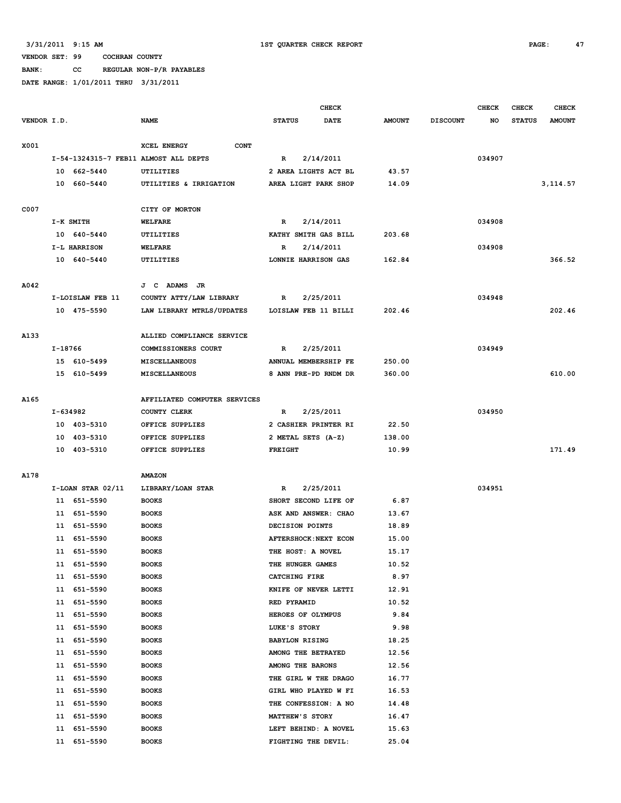# **BANK: CC REGULAR NON-P/R PAYABLES**

|             |          |                       |                                       | <b>CHECK</b>   |                       |  |               |                 | <b>CHECK</b> | <b>CHECK</b>  | <b>CHECK</b>  |
|-------------|----------|-----------------------|---------------------------------------|----------------|-----------------------|--|---------------|-----------------|--------------|---------------|---------------|
| VENDOR I.D. |          |                       | <b>NAME</b>                           | <b>STATUS</b>  | DATE                  |  | <b>AMOUNT</b> | <b>DISCOUNT</b> | NO           | <b>STATUS</b> | <b>AMOUNT</b> |
| X001        |          |                       | XCEL ENERGY<br><b>CONT</b>            |                |                       |  |               |                 |              |               |               |
|             |          |                       | I-54-1324315-7 FEB11 ALMOST ALL DEPTS | R              | 2/14/2011             |  |               |                 | 034907       |               |               |
|             |          | 10 662-5440           | <b>UTILITIES</b>                      |                | 2 AREA LIGHTS ACT BL  |  | 43.57         |                 |              |               |               |
|             |          | 10 660-5440           | UTILITIES & IRRIGATION                |                | AREA LIGHT PARK SHOP  |  | 14.09         |                 |              |               | 3, 114.57     |
| C007        |          |                       | CITY OF MORTON                        |                |                       |  |               |                 |              |               |               |
|             |          | I-K SMITH             | <b>WELFARE</b>                        | R              | 2/14/2011             |  |               |                 | 034908       |               |               |
|             |          | 10 640-5440           | UTILITIES                             |                | KATHY SMITH GAS BILL  |  | 203.68        |                 |              |               |               |
|             |          | I-L HARRISON          | <b>WELFARE</b>                        | R              | 2/14/2011             |  |               |                 | 034908       |               |               |
|             |          | 10 640-5440           | UTILITIES                             |                | LONNIE HARRISON GAS   |  | 162.84        |                 |              |               | 366.52        |
| A042        |          |                       | J C ADAMS JR                          |                |                       |  |               |                 |              |               |               |
|             |          | I-LOISLAW FEB 11      | COUNTY ATTY/LAW LIBRARY               | R              | 2/25/2011             |  |               |                 | 034948       |               |               |
|             |          | 10 475-5590           | LAW LIBRARY MTRLS/UPDATES             |                | LOISLAW FEB 11 BILLI  |  | 202.46        |                 |              |               | 202.46        |
|             |          |                       |                                       |                |                       |  |               |                 |              |               |               |
| A133        |          |                       | ALLIED COMPLIANCE SERVICE             |                |                       |  |               |                 |              |               |               |
|             | I-18766  |                       | COMMISSIONERS COURT                   | R              | 2/25/2011             |  |               |                 | 034949       |               |               |
|             |          | 15 610-5499           | MISCELLANEOUS                         |                | ANNUAL MEMBERSHIP FE  |  | 250.00        |                 |              |               |               |
|             |          | 15 610-5499           | <b>MISCELLANEOUS</b>                  |                | 8 ANN PRE-PD RNDM DR  |  | 360.00        |                 |              |               | 610.00        |
| A165        |          |                       | AFFILIATED COMPUTER SERVICES          |                |                       |  |               |                 |              |               |               |
|             | I-634982 |                       | COUNTY CLERK                          | R              | 2/25/2011             |  |               |                 | 034950       |               |               |
|             |          | 10 403-5310           | OFFICE SUPPLIES                       |                | 2 CASHIER PRINTER RI  |  | 22.50         |                 |              |               |               |
|             |          | 10 403-5310           | OFFICE SUPPLIES                       |                | 2 METAL SETS (A-Z)    |  | 138.00        |                 |              |               |               |
|             |          | 10 403-5310           | OFFICE SUPPLIES                       | <b>FREIGHT</b> |                       |  | 10.99         |                 |              |               | 171.49        |
| A178        |          |                       | <b>AMAZON</b>                         |                |                       |  |               |                 |              |               |               |
|             |          | $I-LOAN$ STAR $02/11$ | LIBRARY/LOAN STAR                     | R              | 2/25/2011             |  |               |                 | 034951       |               |               |
|             |          | 11 651-5590           | <b>BOOKS</b>                          |                | SHORT SECOND LIFE OF  |  | 6.87          |                 |              |               |               |
|             |          | 11 651-5590           | <b>BOOKS</b>                          |                | ASK AND ANSWER: CHAO  |  | 13.67         |                 |              |               |               |
|             | 11       | 651-5590              | <b>BOOKS</b>                          |                | DECISION POINTS       |  | 18.89         |                 |              |               |               |
|             |          | 11 651-5590           | <b>BOOKS</b>                          |                | AFTERSHOCK: NEXT ECON |  | 15.00         |                 |              |               |               |
|             |          | 11 651-5590           | <b>BOOKS</b>                          |                | THE HOST: A NOVEL     |  | 15.17         |                 |              |               |               |
|             |          | 11 651-5590           | <b>BOOKS</b>                          |                | THE HUNGER GAMES      |  | 10.52         |                 |              |               |               |
|             |          | 11 651-5590           | <b>BOOKS</b>                          |                | CATCHING FIRE         |  | 8.97          |                 |              |               |               |
|             |          | 11 651-5590           | <b>BOOKS</b>                          |                | KNIFE OF NEVER LETTI  |  | 12.91         |                 |              |               |               |
|             | 11       | 651-5590              | <b>BOOKS</b>                          | RED PYRAMID    |                       |  | 10.52         |                 |              |               |               |
|             | 11       | 651-5590              | <b>BOOKS</b>                          |                | HEROES OF OLYMPUS     |  | 9.84          |                 |              |               |               |
|             | 11       | 651-5590              | <b>BOOKS</b>                          | LUKE'S STORY   |                       |  | 9.98          |                 |              |               |               |
|             | 11       | 651-5590              | <b>BOOKS</b>                          |                | <b>BABYLON RISING</b> |  | 18.25         |                 |              |               |               |
|             | 11       | 651-5590              | <b>BOOKS</b>                          |                | AMONG THE BETRAYED    |  | 12.56         |                 |              |               |               |
|             | 11       | 651-5590              | <b>BOOKS</b>                          |                | AMONG THE BARONS      |  | 12.56         |                 |              |               |               |
|             | 11       | 651-5590              | <b>BOOKS</b>                          |                | THE GIRL W THE DRAGO  |  | 16.77         |                 |              |               |               |
|             | 11       | 651-5590              | <b>BOOKS</b>                          |                | GIRL WHO PLAYED W FI  |  | 16.53         |                 |              |               |               |
|             | 11       | 651-5590              | <b>BOOKS</b>                          |                | THE CONFESSION: A NO  |  | 14.48         |                 |              |               |               |
|             | 11       | 651-5590              | <b>BOOKS</b>                          |                | MATTHEW'S STORY       |  | 16.47         |                 |              |               |               |
|             | 11       | 651-5590              | <b>BOOKS</b>                          |                | LEFT BEHIND: A NOVEL  |  | 15.63         |                 |              |               |               |
|             |          | 11 651-5590           | <b>BOOKS</b>                          |                | FIGHTING THE DEVIL:   |  | 25.04         |                 |              |               |               |
|             |          |                       |                                       |                |                       |  |               |                 |              |               |               |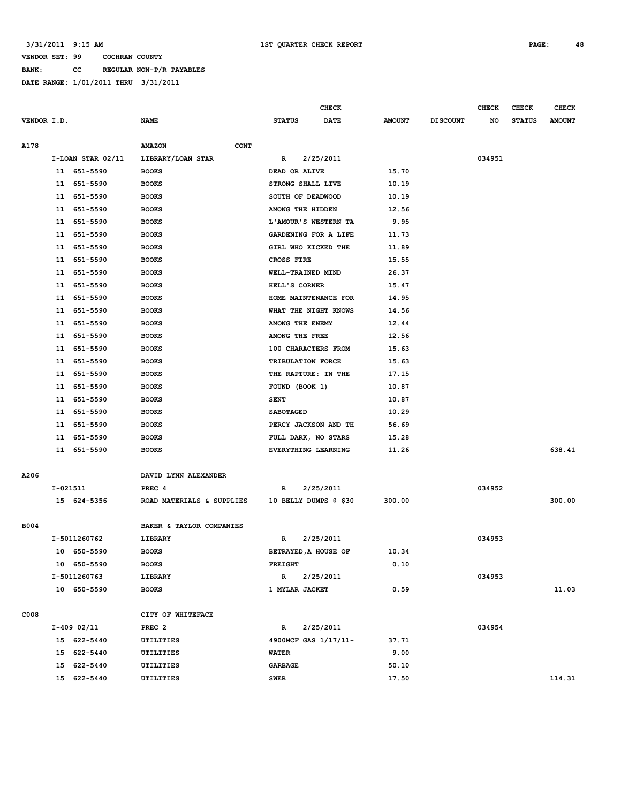**BANK: CC REGULAR NON-P/R PAYABLES**

|             |    |                   |                              |                      | <b>CHECK</b>          |               |                 | <b>CHECK</b> | CHECK         | <b>CHECK</b>  |
|-------------|----|-------------------|------------------------------|----------------------|-----------------------|---------------|-----------------|--------------|---------------|---------------|
| VENDOR I.D. |    |                   | <b>NAME</b>                  | <b>STATUS</b>        | <b>DATE</b>           | <b>AMOUNT</b> | <b>DISCOUNT</b> | NO           | <b>STATUS</b> | <b>AMOUNT</b> |
|             |    |                   |                              |                      |                       |               |                 |              |               |               |
| A178        |    |                   | <b>AMAZON</b><br><b>CONT</b> |                      |                       |               |                 |              |               |               |
|             |    | I-LOAN STAR 02/11 | LIBRARY/LOAN STAR            | $\mathbb R$          | 2/25/2011             |               |                 | 034951       |               |               |
|             |    | 11 651-5590       | <b>BOOKS</b>                 | DEAD OR ALIVE        |                       | 15.70         |                 |              |               |               |
|             |    | 11 651-5590       | <b>BOOKS</b>                 | STRONG SHALL LIVE    |                       | 10.19         |                 |              |               |               |
|             |    | 11 651-5590       | <b>BOOKS</b>                 | SOUTH OF DEADWOOD    |                       | 10.19         |                 |              |               |               |
|             |    | 11 651-5590       | <b>BOOKS</b>                 | AMONG THE HIDDEN     |                       | 12.56         |                 |              |               |               |
|             |    | 11 651-5590       | <b>BOOKS</b>                 | L'AMOUR'S WESTERN TA |                       | 9.95          |                 |              |               |               |
|             |    | 11 651-5590       | <b>BOOKS</b>                 | GARDENING FOR A LIFE |                       | 11.73         |                 |              |               |               |
|             | 11 | 651-5590          | <b>BOOKS</b>                 | GIRL WHO KICKED THE  |                       | 11.89         |                 |              |               |               |
|             | 11 | 651-5590          | <b>BOOKS</b>                 | CROSS FIRE           |                       | 15.55         |                 |              |               |               |
|             | 11 | 651-5590          | <b>BOOKS</b>                 | WELL-TRAINED MIND    |                       | 26.37         |                 |              |               |               |
|             |    | 11 651-5590       | <b>BOOKS</b>                 | HELL'S CORNER        |                       | 15.47         |                 |              |               |               |
|             |    | 11 651-5590       | <b>BOOKS</b>                 |                      | HOME MAINTENANCE FOR  | 14.95         |                 |              |               |               |
|             |    | 11 651-5590       | <b>BOOKS</b>                 | WHAT THE NIGHT KNOWS |                       | 14.56         |                 |              |               |               |
|             |    | 11 651-5590       | <b>BOOKS</b>                 | AMONG THE ENEMY      |                       | 12.44         |                 |              |               |               |
|             |    | 11 651-5590       | <b>BOOKS</b>                 | AMONG THE FREE       |                       | 12.56         |                 |              |               |               |
|             |    | 11 651-5590       | <b>BOOKS</b>                 | 100 CHARACTERS FROM  |                       | 15.63         |                 |              |               |               |
|             |    | 11 651-5590       | <b>BOOKS</b>                 | TRIBULATION FORCE    |                       | 15.63         |                 |              |               |               |
|             |    | 11 651-5590       | <b>BOOKS</b>                 | THE RAPTURE: IN THE  |                       | 17.15         |                 |              |               |               |
|             | 11 | 651-5590          | <b>BOOKS</b>                 | FOUND (BOOK 1)       |                       | 10.87         |                 |              |               |               |
|             |    | 11 651-5590       | <b>BOOKS</b>                 | <b>SENT</b>          |                       | 10.87         |                 |              |               |               |
|             | 11 | 651-5590          | <b>BOOKS</b>                 | <b>SABOTAGED</b>     |                       | 10.29         |                 |              |               |               |
|             | 11 | 651-5590          | <b>BOOKS</b>                 | PERCY JACKSON AND TH |                       | 56.69         |                 |              |               |               |
|             |    | 11 651-5590       | <b>BOOKS</b>                 | FULL DARK, NO STARS  |                       | 15.28         |                 |              |               |               |
|             |    | 11 651-5590       | <b>BOOKS</b>                 | EVERYTHING LEARNING  |                       | 11.26         |                 |              |               | 638.41        |
|             |    |                   |                              |                      |                       |               |                 |              |               |               |
| A206        |    |                   | DAVID LYNN ALEXANDER         |                      |                       |               |                 |              |               |               |
|             |    | I-021511          | PREC 4                       | R                    | 2/25/2011             |               |                 | 034952       |               |               |
|             |    | 15 624-5356       | ROAD MATERIALS & SUPPLIES    |                      | 10 BELLY DUMPS @ \$30 | 300.00        |                 |              |               | 300.00        |
|             |    |                   |                              |                      |                       |               |                 |              |               |               |
| <b>B004</b> |    |                   | BAKER & TAYLOR COMPANIES     |                      |                       |               |                 |              |               |               |
|             |    | I-5011260762      | LIBRARY                      | R                    | 2/25/2011             |               |                 | 034953       |               |               |
|             |    | 10 650-5590       | <b>BOOKS</b>                 | BETRAYED, A HOUSE OF |                       | 10.34         |                 |              |               |               |
|             |    | 10 650-5590       | <b>BOOKS</b>                 | <b>FREIGHT</b>       |                       | 0.10          |                 |              |               |               |
|             |    | I-5011260763      | LIBRARY                      | $\mathbb{R}$         | 2/25/2011             |               |                 | 034953       |               |               |
|             |    | 10 650-5590       | <b>BOOKS</b>                 | 1 MYLAR JACKET       |                       | 0.59          |                 |              |               | 11.03         |
|             |    |                   |                              |                      |                       |               |                 |              |               |               |
| C008        |    |                   | CITY OF WHITEFACE            |                      |                       |               |                 |              |               |               |
|             |    | I-409 02/11       | PREC <sub>2</sub>            | R                    | 2/25/2011             |               |                 | 034954       |               |               |
|             |    | 15 622-5440       | <b>UTILITIES</b>             |                      | 4900MCF GAS 1/17/11-  | 37.71         |                 |              |               |               |
|             |    | 15 622-5440       | UTILITIES                    | <b>WATER</b>         |                       | 9.00          |                 |              |               |               |
|             |    | 15 622-5440       | UTILITIES                    | <b>GARBAGE</b>       |                       | 50.10         |                 |              |               |               |
|             |    | 15 622-5440       | UTILITIES                    | <b>SWER</b>          |                       | 17.50         |                 |              |               | 114.31        |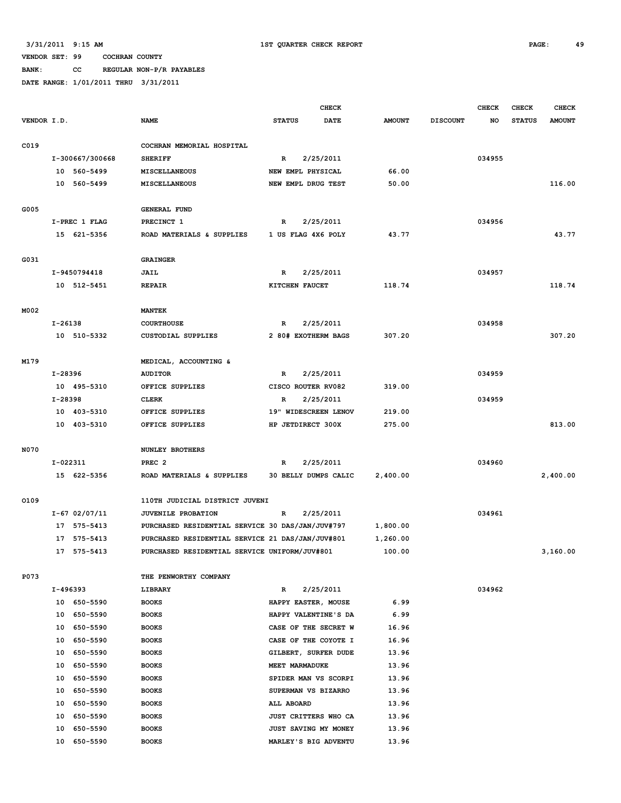**BANK: CC REGULAR NON-P/R PAYABLES**

|             |                 |                                                  |                      | <b>CHECK</b> |               |                 | <b>CHECK</b> | <b>CHECK</b>  | <b>CHECK</b>  |
|-------------|-----------------|--------------------------------------------------|----------------------|--------------|---------------|-----------------|--------------|---------------|---------------|
| VENDOR I.D. |                 | <b>NAME</b>                                      | <b>STATUS</b>        | <b>DATE</b>  | <b>AMOUNT</b> | <b>DISCOUNT</b> | NO.          | <b>STATUS</b> | <b>AMOUNT</b> |
|             |                 |                                                  |                      |              |               |                 |              |               |               |
| C019        |                 | COCHRAN MEMORIAL HOSPITAL                        |                      |              |               |                 |              |               |               |
|             | I-300667/300668 | <b>SHERIFF</b>                                   | R                    | 2/25/2011    |               |                 | 034955       |               |               |
|             | 10 560-5499     | <b>MISCELLANEOUS</b>                             | NEW EMPL PHYSICAL    |              | 66.00         |                 |              |               |               |
|             | 10 560-5499     | MISCELLANEOUS                                    | NEW EMPL DRUG TEST   |              | 50.00         |                 |              |               | 116.00        |
|             |                 |                                                  |                      |              |               |                 |              |               |               |
| G005        |                 | <b>GENERAL FUND</b>                              |                      |              |               |                 |              |               |               |
|             | I-PREC 1 FLAG   | PRECINCT 1                                       | R                    | 2/25/2011    |               |                 | 034956       |               |               |
|             | 15 621-5356     | ROAD MATERIALS & SUPPLIES                        | 1 US FLAG 4X6 POLY   |              | 43.77         |                 |              |               | 43.77         |
|             |                 |                                                  |                      |              |               |                 |              |               |               |
| G031        |                 | <b>GRAINGER</b>                                  |                      |              |               |                 |              |               |               |
|             | I-9450794418    | JAIL                                             | $\mathbb{R}$         | 2/25/2011    |               |                 | 034957       |               |               |
|             | 10 512-5451     | <b>REPAIR</b>                                    | KITCHEN FAUCET       |              | 118.74        |                 |              |               | 118.74        |
|             |                 |                                                  |                      |              |               |                 |              |               |               |
| M002        |                 | <b>MANTEK</b>                                    |                      |              |               |                 |              |               |               |
|             | I-26138         | <b>COURTHOUSE</b>                                | R                    | 2/25/2011    |               |                 | 034958       |               |               |
|             | 10 510-5332     | <b>CUSTODIAL SUPPLIES</b>                        | 2 80# EXOTHERM BAGS  |              | 307.20        |                 |              |               | 307.20        |
|             |                 |                                                  |                      |              |               |                 |              |               |               |
| M179        |                 | MEDICAL, ACCOUNTING &                            |                      |              |               |                 |              |               |               |
|             | I-28396         | <b>AUDITOR</b>                                   | R                    | 2/25/2011    |               |                 | 034959       |               |               |
|             | 10 495-5310     | OFFICE SUPPLIES                                  | CISCO ROUTER RV082   |              | 319.00        |                 |              |               |               |
|             | I-28398         | <b>CLERK</b>                                     | R                    | 2/25/2011    |               |                 | 034959       |               |               |
|             | 10 403-5310     | OFFICE SUPPLIES                                  | 19" WIDESCREEN LENOV |              | 219.00        |                 |              |               |               |
|             | 10 403-5310     | OFFICE SUPPLIES                                  | HP JETDIRECT 300X    |              | 275.00        |                 |              |               | 813.00        |
|             |                 |                                                  |                      |              |               |                 |              |               |               |
| N070        |                 | <b>NUNLEY BROTHERS</b>                           |                      |              |               |                 |              |               |               |
|             | I-022311        | PREC <sub>2</sub>                                | R                    | 2/25/2011    |               |                 | 034960       |               |               |
|             | 15 622-5356     | ROAD MATERIALS & SUPPLIES                        | 30 BELLY DUMPS CALIC |              | 2,400.00      |                 |              |               | 2,400.00      |
|             |                 |                                                  |                      |              |               |                 |              |               |               |
| 0109        |                 | 110TH JUDICIAL DISTRICT JUVENI                   |                      |              |               |                 |              |               |               |
|             | $I-67$ 02/07/11 | JUVENILE PROBATION                               | $\mathbb{R}$         | 2/25/2011    |               |                 | 034961       |               |               |
|             | 17 575-5413     | PURCHASED RESIDENTIAL SERVICE 30 DAS/JAN/JUV#797 |                      |              | 1,800.00      |                 |              |               |               |
|             | 17 575-5413     | PURCHASED RESIDENTIAL SERVICE 21 DAS/JAN/JUV#801 |                      |              | 1,260.00      |                 |              |               |               |
|             | 17 575-5413     | PURCHASED RESIDENTIAL SERVICE UNIFORM/JUV#801    |                      |              | 100.00        |                 |              |               | 3,160.00      |
|             |                 |                                                  |                      |              |               |                 |              |               |               |
| P073        |                 | THE PENWORTHY COMPANY                            |                      |              |               |                 |              |               |               |
|             | I-496393        | LIBRARY                                          | $\mathbb{R}$         | 2/25/2011    |               |                 | 034962       |               |               |
|             | 10 650-5590     | <b>BOOKS</b>                                     | HAPPY EASTER, MOUSE  |              | 6.99          |                 |              |               |               |
|             | 10 650-5590     | <b>BOOKS</b>                                     | HAPPY VALENTINE'S DA |              | 6.99          |                 |              |               |               |
|             | 10 650-5590     | <b>BOOKS</b>                                     | CASE OF THE SECRET W |              | 16.96         |                 |              |               |               |
|             | 10 650-5590     | <b>BOOKS</b>                                     | CASE OF THE COYOTE I |              | 16.96         |                 |              |               |               |
|             | 10 650-5590     | <b>BOOKS</b>                                     | GILBERT, SURFER DUDE |              | 13.96         |                 |              |               |               |
|             | 10 650-5590     | <b>BOOKS</b>                                     | MEET MARMADUKE       |              | 13.96         |                 |              |               |               |
|             | 650-5590<br>10  | <b>BOOKS</b>                                     | SPIDER MAN VS SCORPI |              | 13.96         |                 |              |               |               |
|             | 10 650-5590     | <b>BOOKS</b>                                     | SUPERMAN VS BIZARRO  |              | 13.96         |                 |              |               |               |
|             | 10 650-5590     | <b>BOOKS</b>                                     | ALL ABOARD           |              | 13.96         |                 |              |               |               |
|             | 10 650-5590     | <b>BOOKS</b>                                     | JUST CRITTERS WHO CA |              | 13.96         |                 |              |               |               |
|             | 650-5590<br>10  | <b>BOOKS</b>                                     | JUST SAVING MY MONEY |              | 13.96         |                 |              |               |               |
|             | 10 650-5590     | <b>BOOKS</b>                                     | MARLEY'S BIG ADVENTU |              | 13.96         |                 |              |               |               |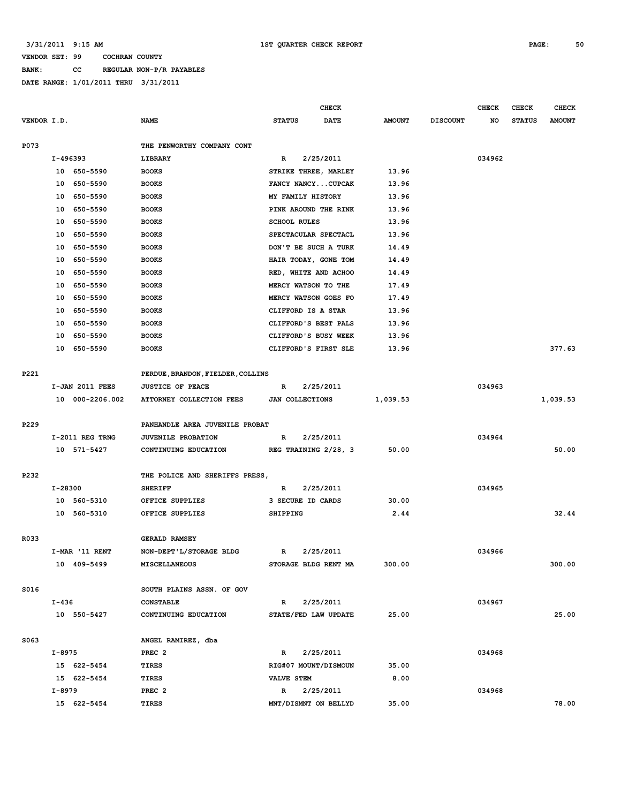**BANK: CC REGULAR NON-P/R PAYABLES**

|             |           |                 |                                   |                        | <b>CHECK</b> |               |                 | <b>CHECK</b> | CHECK         | <b>CHECK</b>  |
|-------------|-----------|-----------------|-----------------------------------|------------------------|--------------|---------------|-----------------|--------------|---------------|---------------|
| VENDOR I.D. |           |                 | <b>NAME</b>                       | <b>STATUS</b>          | <b>DATE</b>  | <b>AMOUNT</b> | <b>DISCOUNT</b> | NO           | <b>STATUS</b> | <b>AMOUNT</b> |
|             |           |                 |                                   |                        |              |               |                 |              |               |               |
| P073        |           |                 | THE PENWORTHY COMPANY CONT        |                        |              |               |                 |              |               |               |
|             | I-496393  |                 | LIBRARY                           | R                      | 2/25/2011    |               |                 | 034962       |               |               |
|             |           | 10 650-5590     | <b>BOOKS</b>                      | STRIKE THREE, MARLEY   |              | 13.96         |                 |              |               |               |
|             |           | 10 650-5590     | <b>BOOKS</b>                      | FANCY NANCYCUPCAK      |              | 13.96         |                 |              |               |               |
|             |           | 10 650-5590     | <b>BOOKS</b>                      | MY FAMILY HISTORY      |              | 13.96         |                 |              |               |               |
|             |           | 10 650-5590     | <b>BOOKS</b>                      | PINK AROUND THE RINK   |              | 13.96         |                 |              |               |               |
|             |           | 10 650-5590     | <b>BOOKS</b>                      | <b>SCHOOL RULES</b>    |              | 13.96         |                 |              |               |               |
|             | 10        | 650-5590        | <b>BOOKS</b>                      | SPECTACULAR SPECTACL   |              | 13.96         |                 |              |               |               |
|             | 10        | 650-5590        | <b>BOOKS</b>                      | DON'T BE SUCH A TURK   |              | 14.49         |                 |              |               |               |
|             | 10        | 650-5590        | <b>BOOKS</b>                      | HAIR TODAY, GONE TOM   |              | 14.49         |                 |              |               |               |
|             |           | 10 650-5590     | <b>BOOKS</b>                      | RED, WHITE AND ACHOO   |              | 14.49         |                 |              |               |               |
|             |           | 10 650-5590     | <b>BOOKS</b>                      | MERCY WATSON TO THE    |              | 17.49         |                 |              |               |               |
|             |           | 10 650-5590     | <b>BOOKS</b>                      | MERCY WATSON GOES FO   |              | 17.49         |                 |              |               |               |
|             |           | 10 650-5590     | <b>BOOKS</b>                      | CLIFFORD IS A STAR     |              | 13.96         |                 |              |               |               |
|             |           | 10 650-5590     | <b>BOOKS</b>                      | CLIFFORD'S BEST PALS   |              | 13.96         |                 |              |               |               |
|             |           | 10 650-5590     | <b>BOOKS</b>                      | CLIFFORD'S BUSY WEEK   |              | 13.96         |                 |              |               |               |
|             |           | 10 650-5590     | <b>BOOKS</b>                      | CLIFFORD'S FIRST SLE   |              | 13.96         |                 |              |               | 377.63        |
|             |           |                 |                                   |                        |              |               |                 |              |               |               |
| P221        |           |                 | PERDUE, BRANDON, FIELDER, COLLINS |                        |              |               |                 |              |               |               |
|             |           | I-JAN 2011 FEES | <b>JUSTICE OF PEACE</b>           | R                      | 2/25/2011    |               |                 | 034963       |               |               |
|             |           | 10 000-2206.002 | ATTORNEY COLLECTION FEES          | <b>JAN COLLECTIONS</b> |              | 1,039.53      |                 |              |               | 1,039.53      |
|             |           |                 |                                   |                        |              |               |                 |              |               |               |
| P229        |           |                 | PANHANDLE AREA JUVENILE PROBAT    |                        |              |               |                 |              |               |               |
|             |           | I-2011 REG TRNG | <b>JUVENILE PROBATION</b>         | $\mathbb{R}$           | 2/25/2011    |               |                 | 034964       |               |               |
|             |           | 10 571-5427     | CONTINUING EDUCATION              | REG TRAINING 2/28, 3   |              | 50.00         |                 |              |               | 50.00         |
|             |           |                 |                                   |                        |              |               |                 |              |               |               |
| P232        |           |                 | THE POLICE AND SHERIFFS PRESS,    |                        |              |               |                 |              |               |               |
|             | I-28300   |                 | <b>SHERIFF</b>                    | R                      | 2/25/2011    |               |                 | 034965       |               |               |
|             |           | 10 560-5310     | OFFICE SUPPLIES                   | 3 SECURE ID CARDS      |              | 30.00         |                 |              |               |               |
|             |           | 10 560-5310     | OFFICE SUPPLIES                   | <b>SHIPPING</b>        |              | 2.44          |                 |              |               | 32.44         |
|             |           |                 |                                   |                        |              |               |                 |              |               |               |
| R033        |           |                 | <b>GERALD RAMSEY</b>              |                        |              |               |                 |              |               |               |
|             |           | I-MAR '11 RENT  | NON-DEPT'L/STORAGE BLDG           | R                      | 2/25/2011    |               |                 | 034966       |               |               |
|             |           | 10 409-5499     | <b>MISCELLANEOUS</b>              | STORAGE BLDG RENT MA   |              | 300.00        |                 |              |               | 300.00        |
|             |           |                 |                                   |                        |              |               |                 |              |               |               |
| S016        |           |                 | SOUTH PLAINS ASSN. OF GOV         |                        |              |               |                 |              |               |               |
|             | $I - 436$ |                 | <b>CONSTABLE</b>                  | $\mathbb{R}$           | 2/25/2011    |               |                 | 034967       |               |               |
|             |           | 10 550-5427     | CONTINUING EDUCATION              | STATE/FED LAW UPDATE   |              | 25.00         |                 |              |               | 25.00         |
|             |           |                 |                                   |                        |              |               |                 |              |               |               |
| S063        |           |                 | ANGEL RAMIREZ, dba                |                        |              |               |                 |              |               |               |
|             | I-8975    |                 | PREC <sub>2</sub>                 | R                      | 2/25/2011    |               |                 | 034968       |               |               |
|             |           | 15 622-5454     | TIRES                             | RIG#07 MOUNT/DISMOUN   |              | 35.00         |                 |              |               |               |
|             |           | 15 622-5454     | TIRES                             | <b>VALVE STEM</b>      |              | 8.00          |                 |              |               |               |
|             | I-8979    |                 | PREC <sub>2</sub>                 | R                      | 2/25/2011    |               |                 | 034968       |               |               |
|             |           | 15 622-5454     | TIRES                             | MNT/DISMNT ON BELLYD   |              | 35.00         |                 |              |               | 78.00         |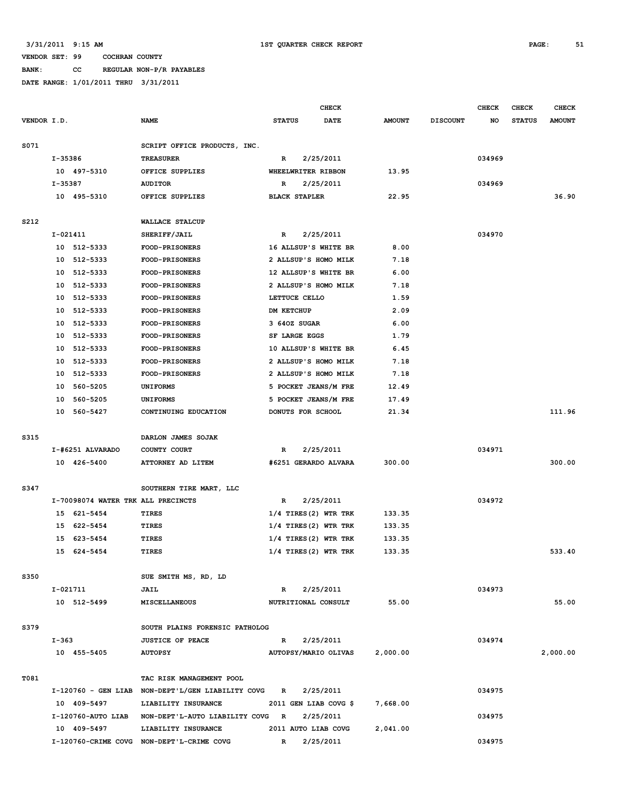# **BANK: CC REGULAR NON-P/R PAYABLES**

|             |                                    |                                                     |                         | CHECK     |               |                 | <b>CHECK</b> | <b>CHECK</b>  | CHECK         |
|-------------|------------------------------------|-----------------------------------------------------|-------------------------|-----------|---------------|-----------------|--------------|---------------|---------------|
| VENDOR I.D. |                                    | <b>NAME</b>                                         | <b>STATUS</b>           | DATE      | <b>AMOUNT</b> | <b>DISCOUNT</b> | NO           | <b>STATUS</b> | <b>AMOUNT</b> |
| S071        |                                    | SCRIPT OFFICE PRODUCTS, INC.                        |                         |           |               |                 |              |               |               |
|             | I-35386                            | <b>TREASURER</b>                                    | R                       | 2/25/2011 |               |                 | 034969       |               |               |
|             | 10 497-5310                        | OFFICE SUPPLIES                                     | WHEELWRITER RIBBON      |           | 13.95         |                 |              |               |               |
|             | I-35387                            | <b>AUDITOR</b>                                      | 2/25/2011<br>R          |           |               |                 | 034969       |               |               |
|             | 10 495-5310                        | OFFICE SUPPLIES                                     | <b>BLACK STAPLER</b>    |           | 22.95         |                 |              |               | 36.90         |
|             |                                    |                                                     |                         |           |               |                 |              |               |               |
| S212        |                                    | WALLACE STALCUP                                     |                         |           |               |                 |              |               |               |
|             | $I-021411$                         | SHERIFF/JAIL                                        | R                       | 2/25/2011 |               |                 | 034970       |               |               |
|             | 10 512-5333                        | <b>FOOD-PRISONERS</b>                               | 16 ALLSUP'S WHITE BR    |           | 8.00          |                 |              |               |               |
|             | 512-5333<br>10                     | FOOD-PRISONERS                                      | 2 ALLSUP'S HOMO MILK    |           | 7.18          |                 |              |               |               |
|             | 512-5333<br>10                     | FOOD-PRISONERS                                      | 12 ALLSUP'S WHITE BR    |           | 6.00          |                 |              |               |               |
|             | 512-5333<br>10                     | <b>FOOD-PRISONERS</b>                               | 2 ALLSUP'S HOMO MILK    |           | 7.18          |                 |              |               |               |
|             | 10<br>512-5333                     | FOOD-PRISONERS                                      | LETTUCE CELLO           |           | 1.59          |                 |              |               |               |
|             | 512-5333<br>10                     | FOOD-PRISONERS                                      | DM KETCHUP              |           | 2.09          |                 |              |               |               |
|             | 512-5333<br>10                     | <b>FOOD-PRISONERS</b>                               | 3 640Z SUGAR            |           | 6.00          |                 |              |               |               |
|             | 10<br>512-5333                     | <b>FOOD-PRISONERS</b>                               | SF LARGE EGGS           |           | 1.79          |                 |              |               |               |
|             | 512-5333<br>10                     | <b>FOOD-PRISONERS</b>                               | 10 ALLSUP'S WHITE BR    |           | 6.45          |                 |              |               |               |
|             | 512-5333<br>10                     | <b>FOOD-PRISONERS</b>                               | 2 ALLSUP'S HOMO MILK    |           | 7.18          |                 |              |               |               |
|             | 512-5333<br>10                     | FOOD-PRISONERS                                      | 2 ALLSUP'S HOMO MILK    |           | 7.18          |                 |              |               |               |
|             | 560-5205<br>10                     | <b>UNIFORMS</b>                                     | 5 POCKET JEANS/M FRE    |           | 12.49         |                 |              |               |               |
|             | 560-5205<br>10                     | <b>UNIFORMS</b>                                     | 5 POCKET JEANS/M FRE    |           | 17.49         |                 |              |               |               |
|             | 10 560-5427                        | CONTINUING EDUCATION                                | DONUTS FOR SCHOOL       |           | 21.34         |                 |              |               | 111.96        |
|             |                                    |                                                     |                         |           |               |                 |              |               |               |
| S315        |                                    | DARLON JAMES SOJAK                                  |                         |           |               |                 |              |               |               |
|             | I-#6251 ALVARADO                   | COUNTY COURT                                        | R                       | 2/25/2011 |               |                 | 034971       |               |               |
|             | 10 426-5400                        | ATTORNEY AD LITEM                                   | #6251 GERARDO ALVARA    |           | 300.00        |                 |              |               | 300.00        |
|             |                                    |                                                     |                         |           |               |                 |              |               |               |
| S347        |                                    | SOUTHERN TIRE MART, LLC                             |                         |           |               |                 |              |               |               |
|             | I-70098074 WATER TRK ALL PRECINCTS |                                                     | R                       | 2/25/2011 |               |                 | 034972       |               |               |
|             | 621-5454<br>15                     | TIRES                                               | $1/4$ TIRES (2) WTR TRK |           | 133.35        |                 |              |               |               |
|             | 622-5454<br>15                     | TIRES                                               | $1/4$ TIRES (2) WTR TRK |           | 133.35        |                 |              |               |               |
|             | 623-5454<br>15                     | TIRES                                               | $1/4$ TIRES (2) WTR TRK |           | 133.35        |                 |              |               |               |
|             | 15 624-5454                        | <b>TIRES</b>                                        | $1/4$ TIRES (2) WTR TRK |           | 133.35        |                 |              |               | 533.40        |
|             |                                    |                                                     |                         |           |               |                 |              |               |               |
| S350        |                                    | SUE SMITH MS, RD, LD                                |                         |           |               |                 |              |               |               |
|             | I-021711                           | JAIL                                                | R                       | 2/25/2011 |               |                 | 034973       |               |               |
|             | 10 512-5499                        | MISCELLANEOUS                                       | NUTRITIONAL CONSULT     |           | 55.00         |                 |              |               | 55.00         |
|             |                                    |                                                     |                         |           |               |                 |              |               |               |
| S379        |                                    | SOUTH PLAINS FORENSIC PATHOLOG                      |                         |           |               |                 |              |               |               |
|             | I-363                              | <b>JUSTICE OF PEACE</b>                             | $\mathbb{R}$            | 2/25/2011 |               |                 | 034974       |               |               |
|             | 10 455-5405                        | <b>AUTOPSY</b>                                      | AUTOPSY/MARIO OLIVAS    |           | 2,000.00      |                 |              |               | 2,000.00      |
|             |                                    |                                                     |                         |           |               |                 |              |               |               |
| T081        |                                    | TAC RISK MANAGEMENT POOL                            |                         |           |               |                 |              |               |               |
|             |                                    | I-120760 - GEN LIAB NON-DEPT'L/GEN LIABILITY COVG R |                         | 2/25/2011 |               |                 | 034975       |               |               |
|             | 10 409-5497                        | LIABILITY INSURANCE                                 | 2011 GEN LIAB COVG \$   |           | 7,668.00      |                 |              |               |               |
|             |                                    | I-120760-AUTO LIAB NON-DEPT'L-AUTO LIABILITY COVG R |                         | 2/25/2011 |               |                 | 034975       |               |               |
|             | 10 409-5497                        | LIABILITY INSURANCE                                 | 2011 AUTO LIAB COVG     |           | 2,041.00      |                 |              |               |               |
|             |                                    | I-120760-CRIME COVG NON-DEPT'L-CRIME COVG           | $\mathbb{R}$            | 2/25/2011 |               |                 | 034975       |               |               |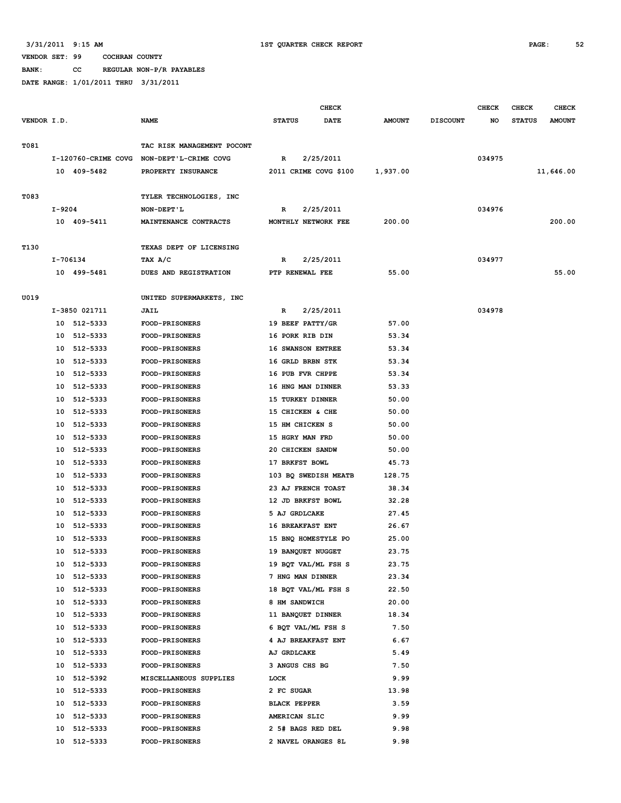**BANK: CC REGULAR NON-P/R PAYABLES**

|             |        |               |                                           |                         | <b>CHECK</b>          |               |                 | <b>CHECK</b> | <b>CHECK</b>  | <b>CHECK</b>  |
|-------------|--------|---------------|-------------------------------------------|-------------------------|-----------------------|---------------|-----------------|--------------|---------------|---------------|
| VENDOR I.D. |        |               | <b>NAME</b>                               | <b>STATUS</b>           | <b>DATE</b>           | <b>AMOUNT</b> | <b>DISCOUNT</b> | NO           | <b>STATUS</b> | <b>AMOUNT</b> |
| T081        |        |               | TAC RISK MANAGEMENT POCONT                |                         |                       |               |                 |              |               |               |
|             |        |               | I-120760-CRIME COVG NON-DEPT'L-CRIME COVG | R                       | 2/25/2011             |               |                 | 034975       |               |               |
|             |        | 10 409-5482   | PROPERTY INSURANCE                        |                         | 2011 CRIME COVG \$100 | 1,937.00      |                 |              |               | 11,646.00     |
|             |        |               |                                           |                         |                       |               |                 |              |               |               |
| T083        |        |               | TYLER TECHNOLOGIES, INC                   |                         |                       |               |                 |              |               |               |
|             | I-9204 |               | NON-DEPT'L                                | R                       | 2/25/2011             |               |                 | 034976       |               |               |
|             |        | 10 409-5411   | MAINTENANCE CONTRACTS                     | MONTHLY NETWORK FEE     |                       | 200.00        |                 |              |               | 200.00        |
| T130        |        |               | TEXAS DEPT OF LICENSING                   |                         |                       |               |                 |              |               |               |
|             |        | I-706134      | TAX A/C                                   | R                       | 2/25/2011             |               |                 | 034977       |               |               |
|             |        | 10 499-5481   | DUES AND REGISTRATION                     | PTP RENEWAL FEE         |                       | 55.00         |                 |              |               | 55.00         |
| U019        |        |               | UNITED SUPERMARKETS, INC                  |                         |                       |               |                 |              |               |               |
|             |        | I-3850 021711 | <b>JAIL</b>                               | R                       | 2/25/2011             |               |                 | 034978       |               |               |
|             |        | 10 512-5333   | <b>FOOD-PRISONERS</b>                     | 19 BEEF PATTY/GR        |                       | 57.00         |                 |              |               |               |
|             | 10     | 512-5333      | FOOD-PRISONERS                            | 16 PORK RIB DIN         |                       | 53.34         |                 |              |               |               |
|             | 10     | 512-5333      | <b>FOOD-PRISONERS</b>                     | 16 SWANSON ENTREE       |                       | 53.34         |                 |              |               |               |
|             | 10     | 512-5333      | <b>FOOD-PRISONERS</b>                     | 16 GRLD BRBN STK        |                       | 53.34         |                 |              |               |               |
|             | 10     | 512-5333      | FOOD-PRISONERS                            | 16 PUB FVR CHPPE        |                       | 53.34         |                 |              |               |               |
|             | 10     | 512-5333      | <b>FOOD-PRISONERS</b>                     | 16 HNG MAN DINNER       |                       | 53.33         |                 |              |               |               |
|             | 10     | 512-5333      | <b>FOOD-PRISONERS</b>                     | 15 TURKEY DINNER        |                       | 50.00         |                 |              |               |               |
|             | 10     | 512-5333      | FOOD-PRISONERS                            | 15 CHICKEN & CHE        |                       | 50.00         |                 |              |               |               |
|             | 10     | 512-5333      | FOOD-PRISONERS                            | 15 HM CHICKEN S         |                       | 50.00         |                 |              |               |               |
|             | 10     | 512-5333      | <b>FOOD-PRISONERS</b>                     | 15 HGRY MAN FRD         |                       | 50.00         |                 |              |               |               |
|             | 10     | 512-5333      | FOOD-PRISONERS                            | 20 CHICKEN SANDW        |                       | 50.00         |                 |              |               |               |
|             | 10     | 512-5333      | FOOD-PRISONERS                            | 17 BRKFST BOWL          |                       | 45.73         |                 |              |               |               |
|             | 10     | 512-5333      | <b>FOOD-PRISONERS</b>                     |                         | 103 BQ SWEDISH MEATB  | 128.75        |                 |              |               |               |
|             | 10     | 512-5333      | FOOD-PRISONERS                            | 23 AJ FRENCH TOAST      |                       | 38.34         |                 |              |               |               |
|             | 10     | 512-5333      | <b>FOOD-PRISONERS</b>                     | 12 JD BRKFST BOWL       |                       | 32.28         |                 |              |               |               |
|             | 10     | 512-5333      | <b>FOOD-PRISONERS</b>                     | 5 AJ GRDLCAKE           |                       | 27.45         |                 |              |               |               |
|             | 10     | 512-5333      | FOOD-PRISONERS                            | <b>16 BREAKFAST ENT</b> |                       | 26.67         |                 |              |               |               |
|             | 10     | 512-5333      | FOOD-PRISONERS                            | 15 BNQ HOMESTYLE PO     |                       | 25.00         |                 |              |               |               |
|             |        | 10 512-5333   | <b>FOOD-PRISONERS</b>                     | 19 BANQUET NUGGET       |                       | 23.75         |                 |              |               |               |
|             |        | 10 512-5333   | <b>FOOD-PRISONERS</b>                     | 19 BQT VAL/ML FSH S     |                       | 23.75         |                 |              |               |               |
|             |        | 10 512-5333   | <b>FOOD-PRISONERS</b>                     | 7 HNG MAN DINNER        |                       | 23.34         |                 |              |               |               |
|             |        | 10 512-5333   | <b>FOOD-PRISONERS</b>                     | 18 BOT VAL/ML FSH S     |                       | 22.50         |                 |              |               |               |
|             |        | 10 512-5333   | <b>FOOD-PRISONERS</b>                     | 8 HM SANDWICH           |                       | 20.00         |                 |              |               |               |
|             |        | 10 512-5333   | <b>FOOD-PRISONERS</b>                     | 11 BANQUET DINNER       |                       | 18.34         |                 |              |               |               |
|             |        | 10 512-5333   | <b>FOOD-PRISONERS</b>                     | 6 BQT VAL/ML FSH S      |                       | 7.50          |                 |              |               |               |
|             |        | 10 512-5333   | <b>FOOD-PRISONERS</b>                     | 4 AJ BREAKFAST ENT      |                       | 6.67          |                 |              |               |               |
|             |        | 10 512-5333   | <b>FOOD-PRISONERS</b>                     | AJ GRDLCAKE             |                       | 5.49          |                 |              |               |               |
|             |        | 10 512-5333   | <b>FOOD-PRISONERS</b>                     | 3 ANGUS CHS BG          |                       | 7.50          |                 |              |               |               |
|             |        | 10 512-5392   | MISCELLANEOUS SUPPLIES                    | LOCK                    |                       | 9.99          |                 |              |               |               |
|             |        | 10 512-5333   | <b>FOOD-PRISONERS</b>                     | 2 FC SUGAR              |                       | 13.98         |                 |              |               |               |
|             |        | 10 512-5333   | <b>FOOD-PRISONERS</b>                     | <b>BLACK PEPPER</b>     |                       | 3.59          |                 |              |               |               |
|             |        | 10 512-5333   | <b>FOOD-PRISONERS</b>                     | AMERICAN SLIC           |                       | 9.99          |                 |              |               |               |
|             | 10     | 512-5333      | <b>FOOD-PRISONERS</b>                     | 2 5# BAGS RED DEL       |                       | 9.98          |                 |              |               |               |
|             |        | 10 512-5333   | <b>FOOD-PRISONERS</b>                     | 2 NAVEL ORANGES 8L      |                       | 9.98          |                 |              |               |               |
|             |        |               |                                           |                         |                       |               |                 |              |               |               |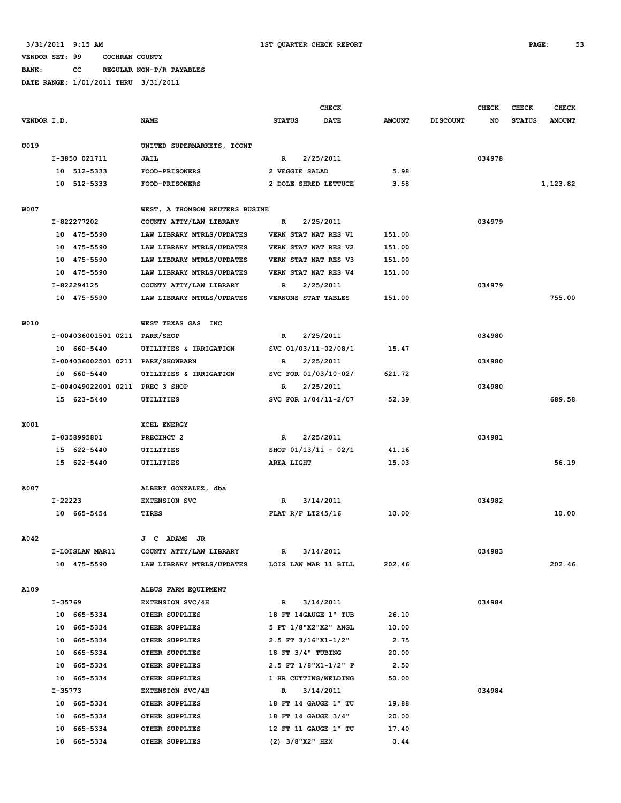**BANK: CC REGULAR NON-P/R PAYABLES**

|             |         |                                   |                                                        | <b>CHECK</b>                                 |           |                  |                 | <b>CHECK</b> | CHECK         | <b>CHECK</b>  |
|-------------|---------|-----------------------------------|--------------------------------------------------------|----------------------------------------------|-----------|------------------|-----------------|--------------|---------------|---------------|
| VENDOR I.D. |         |                                   | <b>NAME</b>                                            | <b>STATUS</b><br>DATE                        |           | <b>AMOUNT</b>    | <b>DISCOUNT</b> | NO           | <b>STATUS</b> | <b>AMOUNT</b> |
|             |         |                                   |                                                        |                                              |           |                  |                 |              |               |               |
| U019        |         |                                   | UNITED SUPERMARKETS, ICONT                             |                                              |           |                  |                 |              |               |               |
|             |         | I-3850 021711                     | JAIL                                                   | $\mathbb{R}$                                 | 2/25/2011 |                  |                 | 034978       |               |               |
|             |         | 10 512-5333                       | <b>FOOD-PRISONERS</b>                                  | 2 VEGGIE SALAD                               |           | 5.98             |                 |              |               |               |
|             |         | 10 512-5333                       | <b>FOOD-PRISONERS</b>                                  | 2 DOLE SHRED LETTUCE                         |           | 3.58             |                 |              |               | 1,123.82      |
|             |         |                                   |                                                        |                                              |           |                  |                 |              |               |               |
| <b>W007</b> |         |                                   | WEST, A THOMSON REUTERS BUSINE                         |                                              |           |                  |                 |              |               |               |
|             |         | I-822277202                       | COUNTY ATTY/LAW LIBRARY                                | R                                            | 2/25/2011 |                  |                 | 034979       |               |               |
|             |         | 10 475-5590<br>10 475-5590        | LAW LIBRARY MTRLS/UPDATES                              | VERN STAT NAT RES V1                         |           | 151.00           |                 |              |               |               |
|             |         | 10 475-5590                       | LAW LIBRARY MTRLS/UPDATES                              | VERN STAT NAT RES V2<br>VERN STAT NAT RES V3 |           | 151.00<br>151.00 |                 |              |               |               |
|             |         | 10 475-5590                       | LAW LIBRARY MTRLS/UPDATES<br>LAW LIBRARY MTRLS/UPDATES | VERN STAT NAT RES V4                         |           | 151.00           |                 |              |               |               |
|             |         | I-822294125                       | COUNTY ATTY/LAW LIBRARY                                | R                                            | 2/25/2011 |                  |                 | 034979       |               |               |
|             |         | 10 475-5590                       | LAW LIBRARY MTRLS/UPDATES                              | VERNONS STAT TABLES                          |           | 151.00           |                 |              |               | 755.00        |
|             |         |                                   |                                                        |                                              |           |                  |                 |              |               |               |
| W010        |         |                                   | WEST TEXAS GAS INC                                     |                                              |           |                  |                 |              |               |               |
|             |         | I-004036001501 0211 PARK/SHOP     |                                                        | R                                            | 2/25/2011 |                  |                 | 034980       |               |               |
|             |         | 10 660-5440                       | UTILITIES & IRRIGATION                                 | SVC 01/03/11-02/08/1                         |           | 15.47            |                 |              |               |               |
|             |         | I-004036002501 0211 PARK/SHOWBARN |                                                        | R                                            | 2/25/2011 |                  |                 | 034980       |               |               |
|             |         | 10 660-5440                       | UTILITIES & IRRIGATION                                 | SVC FOR 01/03/10-02/                         |           | 621.72           |                 |              |               |               |
|             |         | I-004049022001 0211 PREC 3 SHOP   |                                                        | $\mathbb{R}$                                 | 2/25/2011 |                  |                 | 034980       |               |               |
|             |         | 15 623-5440                       | UTILITIES                                              | SVC FOR 1/04/11-2/07                         |           | 52.39            |                 |              |               | 689.58        |
|             |         |                                   |                                                        |                                              |           |                  |                 |              |               |               |
| X001        |         |                                   | <b>XCEL ENERGY</b>                                     |                                              |           |                  |                 |              |               |               |
|             |         | I-0358995801                      | PRECINCT <sub>2</sub>                                  | $\mathbf{R}$                                 | 2/25/2011 |                  |                 | 034981       |               |               |
|             |         | 15 622-5440                       | UTILITIES                                              | SHOP $01/13/11 - 02/1$                       |           | 41.16            |                 |              |               |               |
|             |         | 15 622-5440                       | UTILITIES                                              | AREA LIGHT                                   |           | 15.03            |                 |              |               | 56.19         |
|             |         |                                   |                                                        |                                              |           |                  |                 |              |               |               |
| A007        |         |                                   | ALBERT GONZALEZ, dba                                   |                                              |           |                  |                 |              |               |               |
|             | I-22223 |                                   | <b>EXTENSION SVC</b>                                   | R                                            | 3/14/2011 |                  |                 | 034982       |               |               |
|             |         | 10 665-5454                       | TIRES                                                  | FLAT $R/F$ LT245/16                          |           | 10.00            |                 |              |               | 10.00         |
|             |         |                                   |                                                        |                                              |           |                  |                 |              |               |               |
| A042        |         |                                   | J C<br><b>ADAMS</b> JR                                 |                                              |           |                  |                 |              |               |               |
|             |         | I-LOISLAW MAR11                   | COUNTY ATTY/LAW LIBRARY                                | R                                            | 3/14/2011 |                  |                 | 034983       |               |               |
|             |         | 10 475-5590                       | LAW LIBRARY MTRLS/UPDATES                              | LOIS LAW MAR 11 BILL                         |           | 202.46           |                 |              |               | 202.46        |
| A109        |         |                                   | ALBUS FARM EQUIPMENT                                   |                                              |           |                  |                 |              |               |               |
|             | I-35769 |                                   | <b>EXTENSION SVC/4H</b>                                | $\mathbb{R}$                                 | 3/14/2011 |                  |                 | 034984       |               |               |
|             |         | 10 665-5334                       | OTHER SUPPLIES                                         | 18 FT 14GAUGE 1" TUB                         |           | 26.10            |                 |              |               |               |
|             |         | 10 665-5334                       | OTHER SUPPLIES                                         | 5 FT 1/8"X2"X2" ANGL                         |           | 10.00            |                 |              |               |               |
|             |         | 10 665-5334                       | OTHER SUPPLIES                                         | 2.5 FT 3/16"X1-1/2"                          |           | 2.75             |                 |              |               |               |
|             |         | 10 665-5334                       | OTHER SUPPLIES                                         | 18 FT 3/4" TUBING                            |           | 20.00            |                 |              |               |               |
|             |         | 10 665-5334                       | OTHER SUPPLIES                                         | 2.5 FT $1/8$ "X1-1/2" F                      |           | 2.50             |                 |              |               |               |
|             |         | 10 665-5334                       | OTHER SUPPLIES                                         | 1 HR CUTTING/WELDING                         |           | 50.00            |                 |              |               |               |
|             | I-35773 |                                   | <b>EXTENSION SVC/4H</b>                                | R                                            | 3/14/2011 |                  |                 | 034984       |               |               |
|             |         | 10 665-5334                       | OTHER SUPPLIES                                         | 18 FT 14 GAUGE 1" TU                         |           | 19.88            |                 |              |               |               |
|             |         | 10 665-5334                       | OTHER SUPPLIES                                         | 18 FT 14 GAUGE 3/4"                          |           | 20.00            |                 |              |               |               |
|             |         | 10 665-5334                       | OTHER SUPPLIES                                         | 12 FT 11 GAUGE 1" TU                         |           | 17.40            |                 |              |               |               |
|             |         | 10 665-5334                       | OTHER SUPPLIES                                         | $(2)$ 3/8"X2" HEX                            |           | 0.44             |                 |              |               |               |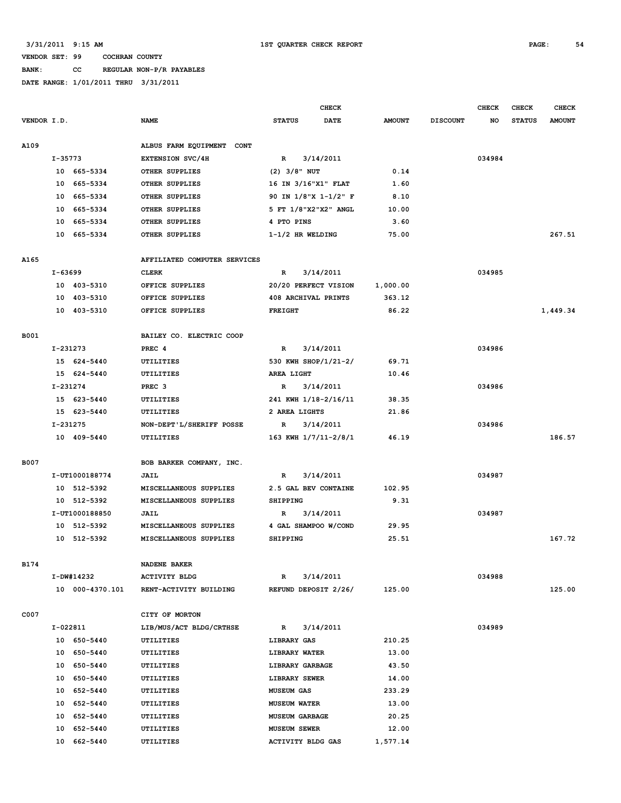# **BANK: CC REGULAR NON-P/R PAYABLES**

|             |          |                         |                              |                       | <b>CHECK</b>         |               |                 | <b>CHECK</b> | <b>CHECK</b>  | <b>CHECK</b>  |
|-------------|----------|-------------------------|------------------------------|-----------------------|----------------------|---------------|-----------------|--------------|---------------|---------------|
| VENDOR I.D. |          |                         | <b>NAME</b>                  | <b>STATUS</b>         | DATE                 | <b>AMOUNT</b> | <b>DISCOUNT</b> | NO           | <b>STATUS</b> | <b>AMOUNT</b> |
|             |          |                         |                              |                       |                      |               |                 |              |               |               |
| A109        |          |                         | ALBUS FARM EQUIPMENT CONT    |                       |                      |               |                 |              |               |               |
|             | I-35773  |                         | <b>EXTENSION SVC/4H</b>      | R                     | 3/14/2011            |               |                 | 034984       |               |               |
|             |          | 10 665-5334             | OTHER SUPPLIES               | $(2)$ 3/8" NUT        |                      | 0.14          |                 |              |               |               |
|             |          | 10 665-5334             | OTHER SUPPLIES               | 16 IN 3/16"X1" FLAT   |                      | 1.60          |                 |              |               |               |
|             |          | 10 665-5334             | OTHER SUPPLIES               | 90 IN 1/8"X 1-1/2" F  |                      | 8.10          |                 |              |               |               |
|             |          | 10 665-5334             | <b>OTHER SUPPLIES</b>        | 5 FT 1/8"X2"X2" ANGL  |                      | 10.00         |                 |              |               |               |
|             |          | 10 665-5334             | OTHER SUPPLIES               | 4 PTO PINS            |                      | 3.60          |                 |              |               |               |
|             |          | 10 665-5334             | <b>OTHER SUPPLIES</b>        | $1-1/2$ HR WELDING    |                      | 75.00         |                 |              |               | 267.51        |
|             |          |                         |                              |                       |                      |               |                 |              |               |               |
| A165        |          |                         | AFFILIATED COMPUTER SERVICES |                       |                      |               |                 |              |               |               |
|             |          | I-63699<br><b>CLERK</b> |                              | R                     | 3/14/2011            |               |                 | 034985       |               |               |
|             |          | 10 403-5310             | OFFICE SUPPLIES              |                       | 20/20 PERFECT VISION | 1,000.00      |                 |              |               |               |
|             |          | 10 403-5310             | OFFICE SUPPLIES              | 408 ARCHIVAL PRINTS   |                      | 363.12        |                 |              |               |               |
|             |          | 10 403-5310             | OFFICE SUPPLIES              | <b>FREIGHT</b>        |                      | 86.22         |                 |              |               | 1,449.34      |
|             |          |                         |                              |                       |                      |               |                 |              |               |               |
| <b>B001</b> |          |                         | BAILEY CO. ELECTRIC COOP     |                       |                      |               |                 |              |               |               |
|             |          | I-231273                | PREC 4                       | $\mathbb{R}$          | 3/14/2011            |               |                 | 034986       |               |               |
|             |          | 15 624-5440             | UTILITIES                    | 530 KWH SHOP/1/21-2/  |                      | 69.71         |                 |              |               |               |
|             |          | 15 624-5440             | <b>UTILITIES</b>             | AREA LIGHT            |                      | 10.46         |                 |              |               |               |
|             | I-231274 |                         | PREC <sub>3</sub>            | R                     | 3/14/2011            |               |                 | 034986       |               |               |
|             |          | 15 623-5440             | UTILITIES                    | 241 KWH 1/18-2/16/11  |                      | 38.35         |                 |              |               |               |
|             |          | 15 623-5440             | UTILITIES                    | 2 AREA LIGHTS         |                      | 21.86         |                 |              |               |               |
|             | I-231275 |                         | NON-DEPT'L/SHERIFF POSSE     | R                     | 3/14/2011            |               |                 | 034986       |               |               |
|             |          | 10 409-5440             | UTILITIES                    | 163 KWH 1/7/11-2/8/1  |                      | 46.19         |                 |              |               | 186.57        |
|             |          |                         |                              |                       |                      |               |                 |              |               |               |
| <b>B007</b> |          |                         | BOB BARKER COMPANY, INC.     |                       |                      |               |                 |              |               |               |
|             |          | I-UT1000188774          | JAIL                         | R                     | 3/14/2011            |               |                 | 034987       |               |               |
|             |          | 10 512-5392             | MISCELLANEOUS SUPPLIES       | 2.5 GAL BEV CONTAINE  |                      | 102.95        |                 |              |               |               |
|             |          | 10 512-5392             | MISCELLANEOUS SUPPLIES       | <b>SHIPPING</b>       |                      | 9.31          |                 |              |               |               |
|             |          | I-UT1000188850          | JAIL                         | R                     | 3/14/2011            |               |                 | 034987       |               |               |
|             |          | 10 512-5392             | MISCELLANEOUS SUPPLIES       | 4 GAL SHAMPOO W/COND  |                      | 29.95         |                 |              |               |               |
|             |          | 10 512-5392             | MISCELLANEOUS SUPPLIES       | <b>SHIPPING</b>       |                      | 25.51         |                 |              |               | 167.72        |
|             |          |                         |                              |                       |                      |               |                 |              |               |               |
| <b>B174</b> |          |                         | <b>NADENE BAKER</b>          |                       |                      |               |                 |              |               |               |
|             |          | I-DW#14232              | <b>ACTIVITY BLDG</b>         | $\mathbb{R}$          | 3/14/2011            |               |                 | 034988       |               |               |
|             |          | 10 000-4370.101         | RENT-ACTIVITY BUILDING       | REFUND DEPOSIT 2/26/  |                      | 125.00        |                 |              |               | 125.00        |
|             |          |                         |                              |                       |                      |               |                 |              |               |               |
| C007        |          |                         | CITY OF MORTON               |                       |                      |               |                 |              |               |               |
|             | I-022811 |                         | LIB/MUS/ACT BLDG/CRTHSE      | $\mathbb{R}$          | 3/14/2011            |               |                 | 034989       |               |               |
|             |          | 10 650-5440             | UTILITIES                    | LIBRARY GAS           |                      | 210.25        |                 |              |               |               |
|             |          | 10 650-5440             | UTILITIES                    | LIBRARY WATER         |                      | 13.00         |                 |              |               |               |
|             |          | 10 650-5440             | UTILITIES                    | LIBRARY GARBAGE       |                      | 43.50         |                 |              |               |               |
|             |          | 10 650-5440             | UTILITIES                    | LIBRARY SEWER         |                      | 14.00         |                 |              |               |               |
|             |          | 10 652-5440             | UTILITIES                    | <b>MUSEUM GAS</b>     |                      | 233.29        |                 |              |               |               |
|             |          | 10 652-5440             | UTILITIES                    | <b>MUSEUM WATER</b>   |                      | 13.00         |                 |              |               |               |
|             |          | 10 652-5440             | UTILITIES                    | <b>MUSEUM GARBAGE</b> |                      | 20.25         |                 |              |               |               |
|             | 10       | 652-5440                | UTILITIES                    | <b>MUSEUM SEWER</b>   |                      | 12.00         |                 |              |               |               |
|             |          | 10 662-5440             | UTILITIES                    | ACTIVITY BLDG GAS     |                      | 1,577.14      |                 |              |               |               |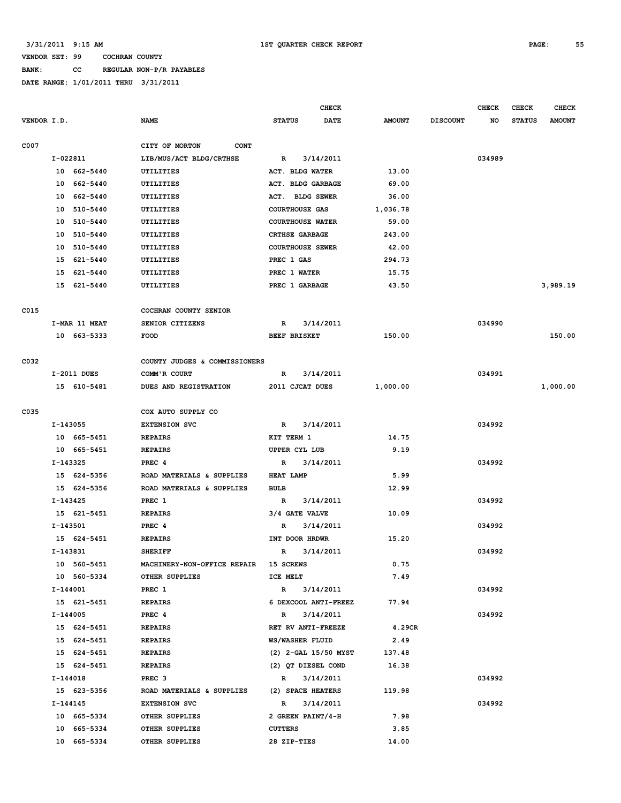# **BANK: CC REGULAR NON-P/R PAYABLES**

|             |              |               |                               |                         | CHECK                |               |                 | <b>CHECK</b> | <b>CHECK</b>  | <b>CHECK</b>  |
|-------------|--------------|---------------|-------------------------------|-------------------------|----------------------|---------------|-----------------|--------------|---------------|---------------|
| VENDOR I.D. |              |               | <b>NAME</b>                   | <b>STATUS</b>           | <b>DATE</b>          | <b>AMOUNT</b> | <b>DISCOUNT</b> | NO           | <b>STATUS</b> | <b>AMOUNT</b> |
| C007        |              |               | CITY OF MORTON<br><b>CONT</b> |                         |                      |               |                 |              |               |               |
|             | I-022811     |               | LIB/MUS/ACT BLDG/CRTHSE       | R                       | 3/14/2011            |               |                 | 034989       |               |               |
|             |              | 10 662-5440   | UTILITIES                     | ACT. BLDG WATER         |                      | 13.00         |                 |              |               |               |
|             | 10           | 662-5440      | UTILITIES                     | ACT. BLDG GARBAGE       |                      | 69.00         |                 |              |               |               |
|             | 10           | 662-5440      | UTILITIES                     | ACT.                    | <b>BLDG SEWER</b>    | 36.00         |                 |              |               |               |
|             | 10           | 510-5440      | UTILITIES                     | <b>COURTHOUSE GAS</b>   |                      | 1,036.78      |                 |              |               |               |
|             | 10           | 510-5440      | <b>UTILITIES</b>              | <b>COURTHOUSE WATER</b> |                      | 59.00         |                 |              |               |               |
|             | 10           | 510-5440      | UTILITIES                     | <b>CRTHSE GARBAGE</b>   |                      | 243.00        |                 |              |               |               |
|             | 10           | 510-5440      | UTILITIES                     | <b>COURTHOUSE SEWER</b> |                      | 42.00         |                 |              |               |               |
|             | 15           | 621-5440      | UTILITIES                     | PREC 1 GAS              |                      | 294.73        |                 |              |               |               |
|             | 15           | 621-5440      | UTILITIES                     | PREC 1 WATER            |                      | 15.75         |                 |              |               |               |
|             | 15           | 621-5440      | UTILITIES                     | PREC 1 GARBAGE          |                      | 43.50         |                 |              |               | 3,989.19      |
|             |              |               |                               |                         |                      |               |                 |              |               |               |
| C015        |              |               | COCHRAN COUNTY SENIOR         |                         |                      |               |                 |              |               |               |
|             |              | I-MAR 11 MEAT | SENIOR CITIZENS               | R                       | 3/14/2011            |               |                 | 034990       |               |               |
|             |              | 10 663-5333   | FOOD                          | <b>BEEF BRISKET</b>     |                      | 150.00        |                 |              |               | 150.00        |
|             |              |               |                               |                         |                      |               |                 |              |               |               |
| C032        |              |               | COUNTY JUDGES & COMMISSIONERS |                         |                      |               |                 |              |               |               |
|             |              | I-2011 DUES   | COMM'R COURT                  | R                       | 3/14/2011            |               |                 | 034991       |               |               |
|             |              | 15 610-5481   | DUES AND REGISTRATION         | 2011 CJCAT DUES         |                      | 1,000.00      |                 |              |               | 1,000.00      |
| C035        |              |               | COX AUTO SUPPLY CO            |                         |                      |               |                 |              |               |               |
|             | I-143055     |               | <b>EXTENSION SVC</b>          | $\mathbb{R}$            | 3/14/2011            |               |                 | 034992       |               |               |
|             |              | 10 665-5451   | <b>REPAIRS</b>                | KIT TERM 1              |                      | 14.75         |                 |              |               |               |
|             |              | 10 665-5451   | <b>REPAIRS</b>                | UPPER CYL LUB           |                      | 9.19          |                 |              |               |               |
|             | $I - 143325$ |               | PREC 4                        | R                       | 3/14/2011            |               |                 | 034992       |               |               |
|             |              | 15 624-5356   | ROAD MATERIALS & SUPPLIES     | <b>HEAT LAMP</b>        |                      | 5.99          |                 |              |               |               |
|             |              | 15 624-5356   | ROAD MATERIALS & SUPPLIES     | <b>BULB</b>             |                      | 12.99         |                 |              |               |               |
|             | I-143425     |               | PREC 1                        | R                       | 3/14/2011            |               |                 | 034992       |               |               |
|             |              | 15 621-5451   | <b>REPAIRS</b>                | 3/4 GATE VALVE          |                      | 10.09         |                 |              |               |               |
|             | $I-143501$   |               | PREC 4                        | R                       | 3/14/2011            |               |                 | 034992       |               |               |
|             |              | 15 624-5451   | <b>REPAIRS</b>                | INT DOOR HRDWR          |                      | 15.20         |                 |              |               |               |
|             | I-143831     |               | <b>SHERIFF</b>                | $\mathbb{R}$            | 3/14/2011            |               |                 | 034992       |               |               |
|             |              | 10 560-5451   | MACHINERY-NON-OFFICE REPAIR   | 15 SCREWS               |                      | 0.75          |                 |              |               |               |
|             |              | 10 560-5334   | OTHER SUPPLIES                | ICE MELT                |                      | 7.49          |                 |              |               |               |
|             | I-144001     |               | PREC 1                        | $\mathbb{R}$            | 3/14/2011            |               |                 | 034992       |               |               |
|             |              | 15 621-5451   | <b>REPAIRS</b>                |                         | 6 DEXCOOL ANTI-FREEZ | 77.94         |                 |              |               |               |
|             | I-144005     |               | PREC <sub>4</sub>             | $\mathbb{R}$            | 3/14/2011            |               |                 | 034992       |               |               |
|             |              | 15 624-5451   | <b>REPAIRS</b>                | RET RV ANTI-FREEZE      |                      | 4.29CR        |                 |              |               |               |
|             |              | 15 624-5451   | <b>REPAIRS</b>                | WS/WASHER FLUID         |                      | 2.49          |                 |              |               |               |
|             |              | 15 624-5451   | <b>REPAIRS</b>                |                         | (2) 2-GAL 15/50 MYST | 137.48        |                 |              |               |               |
|             |              | 15 624-5451   | <b>REPAIRS</b>                | (2) QT DIESEL COND      |                      | 16.38         |                 |              |               |               |
|             | I-144018     |               | PREC <sub>3</sub>             | $\mathbb{R}$            | 3/14/2011            |               |                 | 034992       |               |               |
|             |              | 15 623-5356   | ROAD MATERIALS & SUPPLIES     | (2) SPACE HEATERS       |                      | 119.98        |                 |              |               |               |
|             | I-144145     |               | <b>EXTENSION SVC</b>          | $\mathbb{R}$            | 3/14/2011            |               |                 | 034992       |               |               |
|             |              | 10 665-5334   | OTHER SUPPLIES                | 2 GREEN PAINT/4-H       |                      | 7.98          |                 |              |               |               |
|             |              | 10 665-5334   | OTHER SUPPLIES                | <b>CUTTERS</b>          |                      | 3.85          |                 |              |               |               |
|             |              | 10 665-5334   | OTHER SUPPLIES                | 28 ZIP-TIES             |                      | 14.00         |                 |              |               |               |
|             |              |               |                               |                         |                      |               |                 |              |               |               |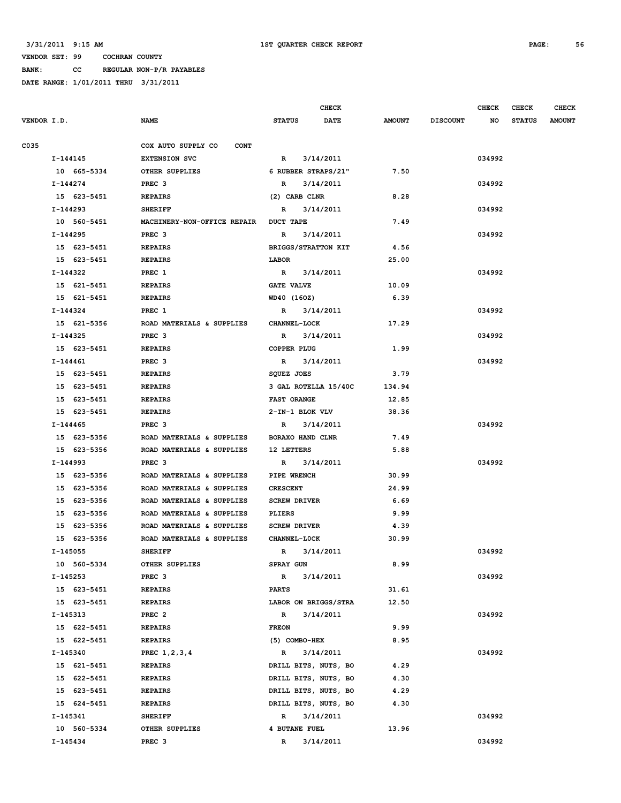**BANK: CC REGULAR NON-P/R PAYABLES**

|             |              |                                   |                         | <b>CHECK</b>         |               |                 | CHECK  | CHECK         | <b>CHECK</b>  |
|-------------|--------------|-----------------------------------|-------------------------|----------------------|---------------|-----------------|--------|---------------|---------------|
| VENDOR I.D. |              | <b>NAME</b>                       | <b>STATUS</b>           | <b>DATE</b>          | <b>AMOUNT</b> | <b>DISCOUNT</b> | NO     | <b>STATUS</b> | <b>AMOUNT</b> |
| C035        |              | COX AUTO SUPPLY CO<br><b>CONT</b> |                         |                      |               |                 |        |               |               |
|             | I-144145     | <b>EXTENSION SVC</b>              | $\mathbb{R}$            | 3/14/2011            |               |                 | 034992 |               |               |
|             | 10 665-5334  | OTHER SUPPLIES                    | 6 RUBBER STRAPS/21"     |                      | 7.50          |                 |        |               |               |
|             | I-144274     | PREC <sub>3</sub>                 | $\mathbb{R}$            | 3/14/2011            |               |                 | 034992 |               |               |
|             | 15 623-5451  | <b>REPAIRS</b>                    | (2) CARB CLNR           |                      | 8.28          |                 |        |               |               |
|             | $I-144293$   | <b>SHERIFF</b>                    | $\mathbb{R}$            | 3/14/2011            |               |                 | 034992 |               |               |
|             | 10 560-5451  | MACHINERY-NON-OFFICE REPAIR       | <b>DUCT TAPE</b>        |                      | 7.49          |                 |        |               |               |
|             | I-144295     | PREC 3                            | R                       | 3/14/2011            |               |                 | 034992 |               |               |
|             | 15 623-5451  | <b>REPAIRS</b>                    | BRIGGS/STRATTON KIT     |                      | 4.56          |                 |        |               |               |
|             | 15 623-5451  | <b>REPAIRS</b>                    | LABOR                   |                      | 25.00         |                 |        |               |               |
|             | I-144322     | PREC 1                            | $\mathbb{R}$            | 3/14/2011            |               |                 | 034992 |               |               |
|             | 15 621-5451  | <b>REPAIRS</b>                    | <b>GATE VALVE</b>       |                      | 10.09         |                 |        |               |               |
|             | 15 621-5451  | <b>REPAIRS</b>                    | WD40 (160Z)             |                      | 6.39          |                 |        |               |               |
|             | I-144324     | PREC 1                            | $\mathbf{R}$            | 3/14/2011            |               |                 | 034992 |               |               |
|             | 15 621-5356  | ROAD MATERIALS & SUPPLIES         | <b>CHANNEL-LOCK</b>     |                      | 17.29         |                 |        |               |               |
|             | I-144325     | PREC <sub>3</sub>                 | $\mathbb{R}$            | 3/14/2011            |               |                 | 034992 |               |               |
|             | 15 623-5451  | <b>REPAIRS</b>                    | COPPER PLUG             |                      | 1.99          |                 |        |               |               |
|             | $I-144461$   | PREC <sub>3</sub>                 | $\mathbb{R}$            | 3/14/2011            |               |                 | 034992 |               |               |
|             | 15 623-5451  | <b>REPAIRS</b>                    | SQUEZ JOES              |                      | 3.79          |                 |        |               |               |
|             | 15 623-5451  | <b>REPAIRS</b>                    |                         | 3 GAL ROTELLA 15/40C | 134.94        |                 |        |               |               |
|             | 15 623-5451  | <b>REPAIRS</b>                    | <b>FAST ORANGE</b>      |                      | 12.85         |                 |        |               |               |
|             | 15 623-5451  | <b>REPAIRS</b>                    | 2-IN-1 BLOK VLV         |                      | 38.36         |                 |        |               |               |
|             | I-144465     | PREC <sub>3</sub>                 | $\mathbb{R}$            | 3/14/2011            |               |                 | 034992 |               |               |
|             | 15 623-5356  | ROAD MATERIALS & SUPPLIES         | <b>BORAXO HAND CLNR</b> |                      | 7.49          |                 |        |               |               |
|             | 15 623-5356  | ROAD MATERIALS & SUPPLIES         | 12 LETTERS              |                      | 5.88          |                 |        |               |               |
|             | I-144993     | PREC <sub>3</sub>                 | $\mathbf{R}$            | 3/14/2011            |               |                 | 034992 |               |               |
|             | 15 623-5356  | ROAD MATERIALS & SUPPLIES         | PIPE WRENCH             |                      | 30.99         |                 |        |               |               |
|             | 15 623-5356  | ROAD MATERIALS & SUPPLIES         | <b>CRESCENT</b>         |                      | 24.99         |                 |        |               |               |
|             | 15 623-5356  | ROAD MATERIALS & SUPPLIES         | <b>SCREW DRIVER</b>     |                      | 6.69          |                 |        |               |               |
|             | 15 623-5356  | ROAD MATERIALS & SUPPLIES         | PLIERS                  |                      | 9.99          |                 |        |               |               |
|             | 15 623-5356  | ROAD MATERIALS & SUPPLIES         | <b>SCREW DRIVER</b>     |                      | 4.39          |                 |        |               |               |
|             | 15 623-5356  | ROAD MATERIALS & SUPPLIES         | <b>CHANNEL-LOCK</b>     |                      | 30.99         |                 |        |               |               |
|             | $I - 145055$ | <b>SHERIFF</b>                    | $\mathbb{R}$            | 3/14/2011            |               |                 | 034992 |               |               |
|             | 10 560-5334  | OTHER SUPPLIES                    | SPRAY GUN               |                      | 8.99          |                 |        |               |               |
|             | I-145253     | PREC <sub>3</sub>                 | $\mathbb{R}$            | 3/14/2011            |               |                 | 034992 |               |               |
|             | 15 623-5451  | <b>REPAIRS</b>                    | <b>PARTS</b>            |                      | 31.61         |                 |        |               |               |
|             | 15 623-5451  | <b>REPAIRS</b>                    | LABOR ON BRIGGS/STRA    |                      | 12.50         |                 |        |               |               |
|             | I-145313     | PREC <sub>2</sub>                 | $\mathbb{R}$            | 3/14/2011            |               |                 | 034992 |               |               |
|             | 15 622-5451  | <b>REPAIRS</b>                    | <b>FREON</b>            |                      | 9.99          |                 |        |               |               |
|             | 15 622-5451  | <b>REPAIRS</b>                    | (5) COMBO-HEX           |                      | 8.95          |                 |        |               |               |
|             | I-145340     | PREC 1, 2, 3, 4                   | $\mathbb{R}$            | 3/14/2011            |               |                 | 034992 |               |               |
|             | 15 621-5451  | <b>REPAIRS</b>                    | DRILL BITS, NUTS, BO    |                      | 4.29          |                 |        |               |               |
|             | 15 622-5451  | <b>REPAIRS</b>                    | DRILL BITS, NUTS, BO    |                      | 4.30          |                 |        |               |               |
|             | 15 623-5451  | <b>REPAIRS</b>                    | DRILL BITS, NUTS, BO    |                      | 4.29          |                 |        |               |               |
|             | 15 624-5451  | <b>REPAIRS</b>                    | DRILL BITS, NUTS, BO    |                      | 4.30          |                 |        |               |               |
|             | I-145341     | <b>SHERIFF</b>                    | $\mathbb{R}$            | 3/14/2011            |               |                 | 034992 |               |               |
|             | 10 560-5334  | OTHER SUPPLIES                    | <b>4 BUTANE FUEL</b>    |                      | 13.96         |                 |        |               |               |
|             | I-145434     | PREC <sub>3</sub>                 | $\mathbb{R}$            | 3/14/2011            |               |                 | 034992 |               |               |
|             |              |                                   |                         |                      |               |                 |        |               |               |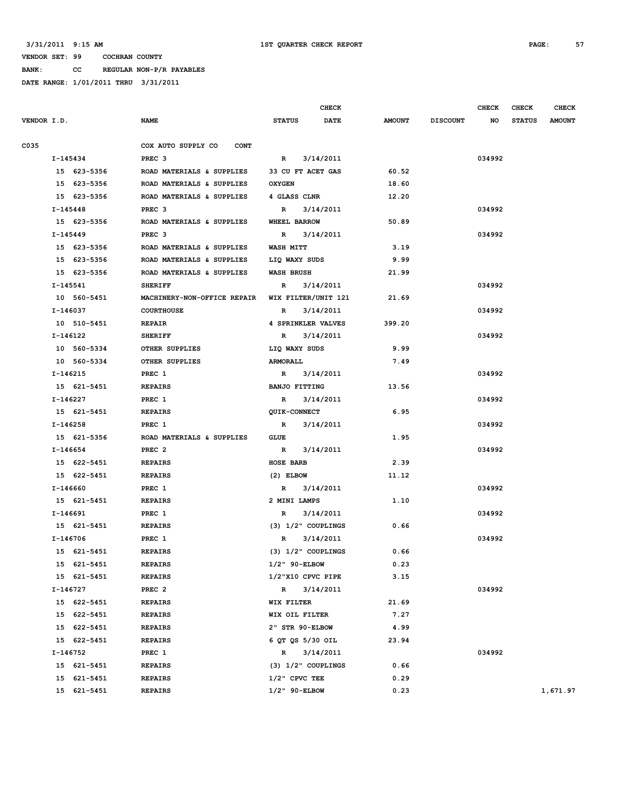**BANK: CC REGULAR NON-P/R PAYABLES**

|      |             |                                   | <b>CHECK</b>                 |               |                 | <b>CHECK</b> | <b>CHECK</b>  | <b>CHECK</b>  |
|------|-------------|-----------------------------------|------------------------------|---------------|-----------------|--------------|---------------|---------------|
|      | VENDOR I.D. | <b>NAME</b>                       | <b>DATE</b><br><b>STATUS</b> | <b>AMOUNT</b> | <b>DISCOUNT</b> | NO           | <b>STATUS</b> | <b>AMOUNT</b> |
| C035 |             | COX AUTO SUPPLY CO<br><b>CONT</b> |                              |               |                 |              |               |               |
|      | I-145434    | PREC <sub>3</sub>                 | 3/14/2011<br>R               |               |                 | 034992       |               |               |
|      | 15 623-5356 | ROAD MATERIALS & SUPPLIES         | 33 CU FT ACET GAS            | 60.52         |                 |              |               |               |
|      | 15 623-5356 | ROAD MATERIALS & SUPPLIES         | <b>OXYGEN</b>                | 18.60         |                 |              |               |               |
|      | 15 623-5356 | ROAD MATERIALS & SUPPLIES         | 4 GLASS CLNR                 | 12.20         |                 |              |               |               |
|      | I-145448    | PREC <sub>3</sub>                 | 3/14/2011<br>R               |               |                 | 034992       |               |               |
|      | 15 623-5356 | ROAD MATERIALS & SUPPLIES         | WHEEL BARROW                 | 50.89         |                 |              |               |               |
|      | $I-145449$  | PREC <sub>3</sub>                 | 3/14/2011<br>R               |               |                 | 034992       |               |               |
|      | 15 623-5356 | ROAD MATERIALS & SUPPLIES         | <b>WASH MITT</b>             | 3.19          |                 |              |               |               |
|      | 15 623-5356 | ROAD MATERIALS & SUPPLIES         | LIQ WAXY SUDS                | 9.99          |                 |              |               |               |
|      | 15 623-5356 | ROAD MATERIALS & SUPPLIES         | <b>WASH BRUSH</b>            | 21.99         |                 |              |               |               |
|      | I-145541    | <b>SHERIFF</b>                    | 3/14/2011<br>R               |               |                 | 034992       |               |               |
|      | 10 560-5451 | MACHINERY-NON-OFFICE REPAIR       | WIX FILTER/UNIT 121          | 21.69         |                 |              |               |               |
|      | I-146037    | <b>COURTHOUSE</b>                 | 3/14/2011<br>R               |               |                 | 034992       |               |               |
|      | 10 510-5451 | <b>REPAIR</b>                     | 4 SPRINKLER VALVES           | 399.20        |                 |              |               |               |
|      | I-146122    | <b>SHERIFF</b>                    | 3/14/2011<br>R               |               |                 | 034992       |               |               |
|      | 10 560-5334 | OTHER SUPPLIES                    | LIQ WAXY SUDS                | 9.99          |                 |              |               |               |
|      | 10 560-5334 | OTHER SUPPLIES                    | <b>ARMORALL</b>              | 7.49          |                 |              |               |               |
|      | I-146215    | PREC 1                            | 3/14/2011<br>$\mathbb{R}$    |               |                 | 034992       |               |               |
|      | 15 621-5451 | <b>REPAIRS</b>                    | <b>BANJO FITTING</b>         | 13.56         |                 |              |               |               |
|      | I-146227    | PREC 1                            | 3/14/2011<br>R               |               |                 | 034992       |               |               |
|      | 15 621-5451 | <b>REPAIRS</b>                    | <b>QUIK-CONNECT</b>          | 6.95          |                 |              |               |               |
|      | I-146258    | PREC 1                            | 3/14/2011<br>$\mathbb{R}$    |               |                 | 034992       |               |               |
|      | 15 621-5356 | ROAD MATERIALS & SUPPLIES         | GLUE                         | 1.95          |                 |              |               |               |
|      | I-146654    | PREC <sub>2</sub>                 | 3/14/2011<br>R               |               |                 | 034992       |               |               |
|      | 15 622-5451 | <b>REPAIRS</b>                    | <b>HOSE BARB</b>             | 2.39          |                 |              |               |               |
|      | 15 622-5451 | <b>REPAIRS</b>                    | $(2)$ ELBOW                  | 11.12         |                 |              |               |               |
|      | I-146660    | PREC 1                            | $\mathbb{R}$<br>3/14/2011    |               |                 | 034992       |               |               |
|      | 15 621-5451 | <b>REPAIRS</b>                    | 2 MINI LAMPS                 | 1.10          |                 |              |               |               |
|      | I-146691    | PREC 1                            | 3/14/2011<br>R               |               |                 | 034992       |               |               |
|      | 15 621-5451 | <b>REPAIRS</b>                    | (3) 1/2" COUPLINGS           | 0.66          |                 |              |               |               |
|      | I-146706    | PREC 1                            | 3/14/2011<br>R               |               |                 | 034992       |               |               |
|      | 15 621-5451 | <b>REPAIRS</b>                    | $(3)$ $1/2$ " COUPLINGS      | 0.66          |                 |              |               |               |
|      | 15 621-5451 | <b>REPAIRS</b>                    | 1/2" 90-ELBOW                | 0.23          |                 |              |               |               |
|      | 15 621-5451 | <b>REPAIRS</b>                    | 1/2"X10 CPVC PIPE            | 3.15          |                 |              |               |               |
|      | I-146727    | PREC <sub>2</sub>                 | 3/14/2011<br>$\mathbb{R}$    |               |                 | 034992       |               |               |
|      | 15 622-5451 | <b>REPAIRS</b>                    | WIX FILTER                   | 21.69         |                 |              |               |               |
|      | 15 622-5451 | <b>REPAIRS</b>                    | WIX OIL FILTER               | 7.27          |                 |              |               |               |
|      | 15 622-5451 | <b>REPAIRS</b>                    | 2" STR 90-ELBOW              | 4.99          |                 |              |               |               |
|      | 15 622-5451 | <b>REPAIRS</b>                    | 6 QT QS 5/30 OIL             | 23.94         |                 |              |               |               |
|      | I-146752    | PREC 1                            | 3/14/2011<br>$\mathbb{R}$    |               |                 | 034992       |               |               |
|      | 15 621-5451 | <b>REPAIRS</b>                    | $(3)$ $1/2$ " COUPLINGS      | 0.66          |                 |              |               |               |
|      | 15 621-5451 | <b>REPAIRS</b>                    | $1/2$ " CPVC TEE             | 0.29          |                 |              |               |               |
|      | 15 621-5451 | <b>REPAIRS</b>                    | $1/2$ " 90-ELBOW             | 0.23          |                 |              |               | 1,671.97      |
|      |             |                                   |                              |               |                 |              |               |               |
|      |             |                                   |                              |               |                 |              |               |               |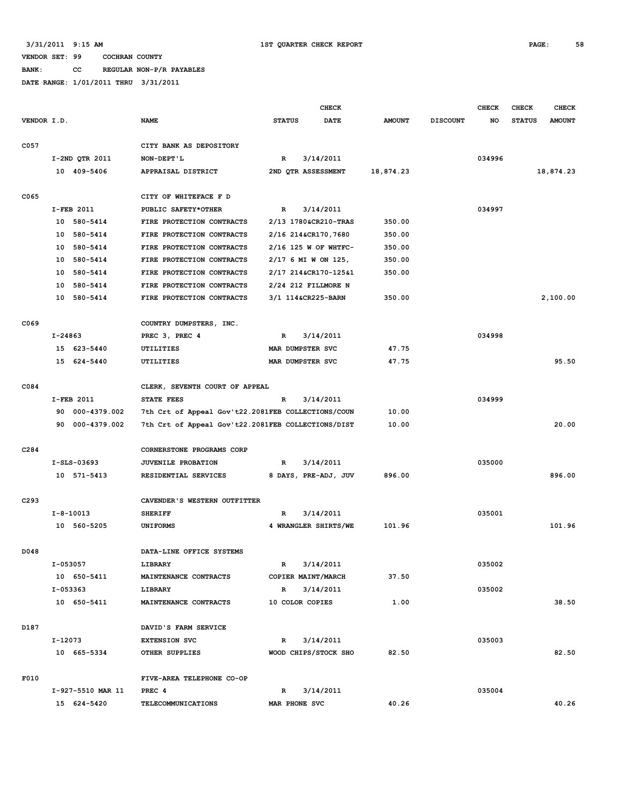**BANK: CC REGULAR NON-P/R PAYABLES**

|             |         |                   |                                                    |                                             | <b>CHECK</b> |               |                 | <b>CHECK</b> | <b>CHECK</b>  | <b>CHECK</b>  |
|-------------|---------|-------------------|----------------------------------------------------|---------------------------------------------|--------------|---------------|-----------------|--------------|---------------|---------------|
| VENDOR I.D. |         |                   | <b>NAME</b>                                        | <b>STATUS</b>                               | <b>DATE</b>  | <b>AMOUNT</b> | <b>DISCOUNT</b> | NO           | <b>STATUS</b> | <b>AMOUNT</b> |
| C057        |         |                   | CITY BANK AS DEPOSITORY                            |                                             |              |               |                 |              |               |               |
|             |         | I-2ND OTR 2011    | NON-DEPT'L                                         | $\mathbf R$                                 | 3/14/2011    |               |                 | 034996       |               |               |
|             |         | 10 409-5406       | APPRAISAL DISTRICT                                 | 2ND OTR ASSESSMENT                          |              | 18,874.23     |                 |              |               | 18,874.23     |
| C065        |         |                   | CITY OF WHITEFACE F D                              |                                             |              |               |                 |              |               |               |
|             |         | I-FEB 2011        | PUBLIC SAFETY*OTHER                                | $\mathbf R$<br>3/14/2011                    |              |               |                 | 034997       |               |               |
|             | 10      | 580-5414          | FIRE PROTECTION CONTRACTS                          | 2/13 1780&CR210-TRAS                        |              | 350.00        |                 |              |               |               |
|             | 10      | 580-5414          | FIRE PROTECTION CONTRACTS                          | 2/16 214&CR170,7680                         |              | 350.00        |                 |              |               |               |
|             | 10      | 580-5414          | FIRE PROTECTION CONTRACTS                          |                                             |              |               |                 |              |               |               |
|             | 10      | 580-5414          | FIRE PROTECTION CONTRACTS                          | 2/16 125 W OF WHTFC-                        |              | 350.00        |                 |              |               |               |
|             | 10      | 580-5414          | FIRE PROTECTION CONTRACTS                          | 2/17 6 MI W ON 125,<br>2/17 214&CR170-125&1 |              | 350.00        |                 |              |               |               |
|             | 10      | 580-5414          | FIRE PROTECTION CONTRACTS                          | 2/24 212 FILLMORE N                         |              |               |                 |              |               |               |
|             | 10      | 580-5414          |                                                    | 3/1 114&CR225-BARN                          |              | 350.00        |                 |              |               | 2,100.00      |
|             |         |                   | FIRE PROTECTION CONTRACTS                          |                                             |              |               |                 |              |               |               |
| C069        |         |                   | COUNTRY DUMPSTERS, INC.                            |                                             |              |               |                 |              |               |               |
|             | I-24863 |                   | PREC 3, PREC 4                                     | $\mathbf R$                                 |              |               |                 | 034998       |               |               |
|             | 15      | 623-5440          | UTILITIES                                          | 3/14/2011<br>MAR DUMPSTER SVC               |              | 47.75         |                 |              |               |               |
|             | 15      | 624-5440          | UTILITIES                                          | MAR DUMPSTER SVC                            |              | 47.75         |                 |              |               | 95.50         |
|             |         |                   |                                                    |                                             |              |               |                 |              |               |               |
| C084        |         |                   | CLERK, SEVENTH COURT OF APPEAL                     |                                             |              |               |                 |              |               |               |
|             |         | I-FEB 2011        | STATE FEES                                         | R                                           | 3/14/2011    |               |                 | 034999       |               |               |
|             | 90      | 000-4379.002      | 7th Crt of Appeal Gov't22.2081FEB COLLECTIONS/COUN |                                             |              | 10.00         |                 |              |               |               |
|             | 90      | 000-4379.002      | 7th Crt of Appeal Gov't22.2081FEB COLLECTIONS/DIST |                                             |              | 10.00         |                 |              |               | 20.00         |
| C284        |         |                   | CORNERSTONE PROGRAMS CORP                          |                                             |              |               |                 |              |               |               |
|             |         | $I-SLS-03693$     | JUVENILE PROBATION                                 | $\mathbf R$                                 | 3/14/2011    |               |                 | 035000       |               |               |
|             |         | 10 571-5413       | RESIDENTIAL SERVICES                               | 8 DAYS, PRE-ADJ, JUV                        |              | 896.00        |                 |              |               | 896.00        |
| C293        |         |                   | CAVENDER'S WESTERN OUTFITTER                       |                                             |              |               |                 |              |               |               |
|             |         | $I - 8 - 10013$   | <b>SHERIFF</b>                                     | R                                           | 3/14/2011    |               |                 | 035001       |               |               |
|             |         | 10 560-5205       | <b>UNIFORMS</b>                                    | 4 WRANGLER SHIRTS/WE                        |              | 101.96        |                 |              |               | 101.96        |
|             |         |                   |                                                    |                                             |              |               |                 |              |               |               |
| D048        |         |                   | DATA-LINE OFFICE SYSTEMS                           |                                             |              |               |                 |              |               |               |
|             |         | I-053057          | LIBRARY                                            | R                                           | 3/14/2011    |               |                 | 035002       |               |               |
|             |         | 10 650-5411       | MAINTENANCE CONTRACTS                              | COPIER MAINT/MARCH                          |              | 37.50         |                 |              |               |               |
|             |         | $I-053363$        | LIBRARY                                            | $\mathbb{R}$                                | 3/14/2011    |               |                 | 035002       |               |               |
|             |         | 10 650-5411       | MAINTENANCE CONTRACTS                              | 10 COLOR COPIES                             |              | 1.00          |                 |              |               | 38.50         |
| D187        |         |                   | DAVID'S FARM SERVICE                               |                                             |              |               |                 |              |               |               |
|             | I-12073 |                   | <b>EXTENSION SVC</b>                               | $\mathbb{R}$                                | 3/14/2011    |               |                 | 035003       |               |               |
|             |         | 10 665-5334       | OTHER SUPPLIES                                     | WOOD CHIPS/STOCK SHO                        |              | 82.50         |                 |              |               | 82.50         |
| F010        |         |                   |                                                    |                                             |              |               |                 |              |               |               |
|             |         |                   | FIVE-AREA TELEPHONE CO-OP                          |                                             |              |               |                 |              |               |               |
|             |         | I-927-5510 MAR 11 | PREC 4                                             | $\mathbb{R}$                                | 3/14/2011    |               |                 | 035004       |               |               |
|             |         | 15 624-5420       | <b>TELECOMMUNICATIONS</b>                          | MAR PHONE SVC                               |              | 40.26         |                 |              |               | 40.26         |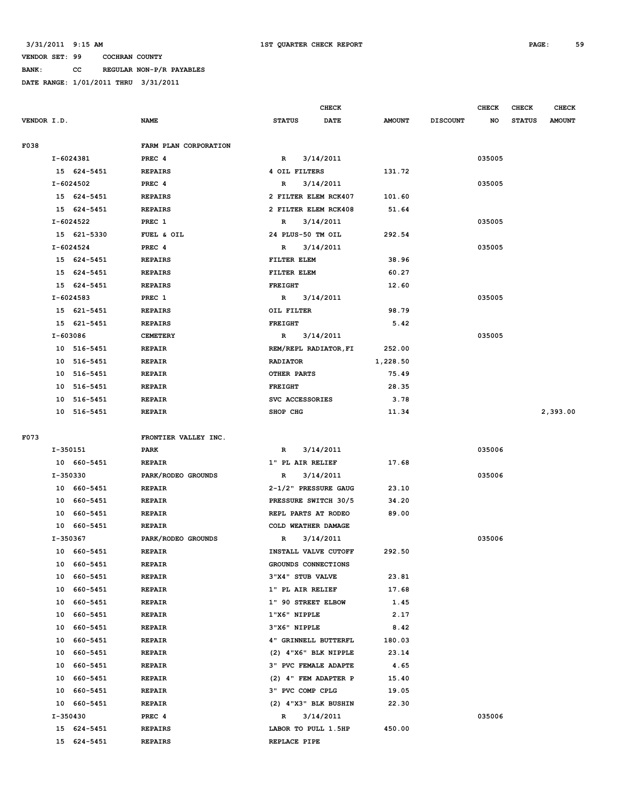**BANK: CC REGULAR NON-P/R PAYABLES**

|             |          |               |                       |                             | <b>CHECK</b> |               |                 | <b>CHECK</b> | <b>CHECK</b>  | <b>CHECK</b>  |
|-------------|----------|---------------|-----------------------|-----------------------------|--------------|---------------|-----------------|--------------|---------------|---------------|
| VENDOR I.D. |          |               | <b>NAME</b>           | <b>STATUS</b>               | DATE         | <b>AMOUNT</b> | <b>DISCOUNT</b> | NO           | <b>STATUS</b> | <b>AMOUNT</b> |
| F038        |          |               | FARM PLAN CORPORATION |                             |              |               |                 |              |               |               |
|             |          | I-6024381     | PREC <sub>4</sub>     | $\mathbb{R}$                | 3/14/2011    |               |                 | 035005       |               |               |
|             |          | 15 624-5451   | <b>REPAIRS</b>        | 4 OIL FILTERS               |              | 131.72        |                 |              |               |               |
|             |          | $I - 6024502$ | PREC <sub>4</sub>     | R                           | 3/14/2011    |               |                 | 035005       |               |               |
|             |          | 15 624-5451   | <b>REPAIRS</b>        | 2 FILTER ELEM RCK407        |              | 101.60        |                 |              |               |               |
|             |          | 15 624-5451   | <b>REPAIRS</b>        | 2 FILTER ELEM RCK408        |              | 51.64         |                 |              |               |               |
|             |          | I-6024522     | PREC 1                | R                           | 3/14/2011    |               |                 | 035005       |               |               |
|             |          | 15 621-5330   | FUEL & OIL            | 24 PLUS-50 TM OIL           |              | 292.54        |                 |              |               |               |
|             |          | I-6024524     | PREC <sub>4</sub>     | R                           | 3/14/2011    |               |                 | 035005       |               |               |
|             |          | 15 624-5451   | <b>REPAIRS</b>        | FILTER ELEM                 |              | 38.96         |                 |              |               |               |
|             |          | 15 624-5451   | <b>REPAIRS</b>        | FILTER ELEM                 |              | 60.27         |                 |              |               |               |
|             |          | 15 624-5451   | <b>REPAIRS</b>        | <b>FREIGHT</b>              |              | 12.60         |                 |              |               |               |
|             |          | I-6024583     | PREC 1                | R                           | 3/14/2011    |               |                 | 035005       |               |               |
|             |          | 15 621-5451   | <b>REPAIRS</b>        | OIL FILTER                  |              | 98.79         |                 |              |               |               |
|             |          | 15 621-5451   | <b>REPAIRS</b>        | <b>FREIGHT</b>              |              | 5.42          |                 |              |               |               |
|             |          |               |                       |                             |              |               |                 | 035005       |               |               |
|             | I-603086 |               | <b>CEMETERY</b>       | $\mathbf{R}$                | 3/14/2011    |               |                 |              |               |               |
|             |          | 10 516-5451   | <b>REPAIR</b>         | REM/REPL RADIATOR, FI       |              | 252.00        |                 |              |               |               |
|             | 10       | 516-5451      | <b>REPAIR</b>         | <b>RADIATOR</b>             |              | 1,228.50      |                 |              |               |               |
|             | 10       | 516-5451      | <b>REPAIR</b>         | OTHER PARTS                 |              | 75.49         |                 |              |               |               |
|             | 10       | 516-5451      | <b>REPAIR</b>         | FREIGHT                     |              | 28.35         |                 |              |               |               |
|             | 10       | 516-5451      | <b>REPAIR</b>         | SVC ACCESSORIES             |              | 3.78          |                 |              |               |               |
|             |          | 10 516-5451   | <b>REPAIR</b>         | SHOP CHG                    |              | 11.34         |                 |              |               | 2,393.00      |
| F073        |          |               | FRONTIER VALLEY INC.  |                             |              |               |                 |              |               |               |
|             | I-350151 |               | PARK                  | R                           | 3/14/2011    |               |                 | 035006       |               |               |
|             |          | 10 660-5451   | <b>REPAIR</b>         | 1" PL AIR RELIEF            |              | 17.68         |                 |              |               |               |
|             | I-350330 |               | PARK/RODEO GROUNDS    | R                           | 3/14/2011    |               |                 | 035006       |               |               |
|             |          | 10 660-5451   | <b>REPAIR</b>         | 2-1/2" PRESSURE GAUG        |              | 23.10         |                 |              |               |               |
|             | 10       | 660-5451      | <b>REPAIR</b>         | PRESSURE SWITCH 30/5        |              | 34.20         |                 |              |               |               |
|             | 10       | 660-5451      | <b>REPAIR</b>         | REPL PARTS AT RODEO         |              | 89.00         |                 |              |               |               |
|             |          | 10 660-5451   | <b>REPAIR</b>         | COLD WEATHER DAMAGE         |              |               |                 |              |               |               |
|             | I-350367 |               | PARK/RODEO GROUNDS    | R                           | 3/14/2011    |               |                 | 035006       |               |               |
|             |          | 10 660-5451   | <b>REPAIR</b>         | INSTALL VALVE CUTOFF        |              | 292.50        |                 |              |               |               |
|             | 10       | 660-5451      | <b>REPAIR</b>         | GROUNDS CONNECTIONS         |              |               |                 |              |               |               |
|             | 10       | 660-5451      | <b>REPAIR</b>         | 3"X4" STUB VALVE            |              | 23.81         |                 |              |               |               |
|             | 10       | 660-5451      | <b>REPAIR</b>         | 1" PL AIR RELIEF            |              | 17.68         |                 |              |               |               |
|             | 10       | 660-5451      | <b>REPAIR</b>         | 1" 90 STREET ELBOW          |              | 1.45          |                 |              |               |               |
|             | 10       | 660-5451      | <b>REPAIR</b>         | 1"X6" NIPPLE                |              | 2.17          |                 |              |               |               |
|             | 10       | 660-5451      | <b>REPAIR</b>         | 3"X6" NIPPLE                |              | 8.42          |                 |              |               |               |
|             | 10       | 660-5451      | <b>REPAIR</b>         | 4" GRINNELL BUTTERFL        |              | 180.03        |                 |              |               |               |
|             | 10       | 660-5451      | <b>REPAIR</b>         | $(2)$ 4"X6" BLK NIPPLE      |              | 23.14         |                 |              |               |               |
|             | 10       | 660-5451      | <b>REPAIR</b>         | <b>3" PVC FEMALE ADAPTE</b> |              | 4.65          |                 |              |               |               |
|             | 10       | 660-5451      | <b>REPAIR</b>         | (2) 4" FEM ADAPTER P        |              | 15.40         |                 |              |               |               |
|             | 10       | 660-5451      | <b>REPAIR</b>         | 3" PVC COMP CPLG            |              | 19.05         |                 |              |               |               |
|             |          | 10 660-5451   | <b>REPAIR</b>         | (2) 4"X3" BLK BUSHIN        |              | 22.30         |                 |              |               |               |
|             | I-350430 |               | PREC 4                | R                           | 3/14/2011    |               |                 | 035006       |               |               |
|             |          | 15 624-5451   | <b>REPAIRS</b>        | LABOR TO PULL 1.5HP         |              | 450.00        |                 |              |               |               |
|             |          | 15 624-5451   | <b>REPAIRS</b>        | REPLACE PIPE                |              |               |                 |              |               |               |
|             |          |               |                       |                             |              |               |                 |              |               |               |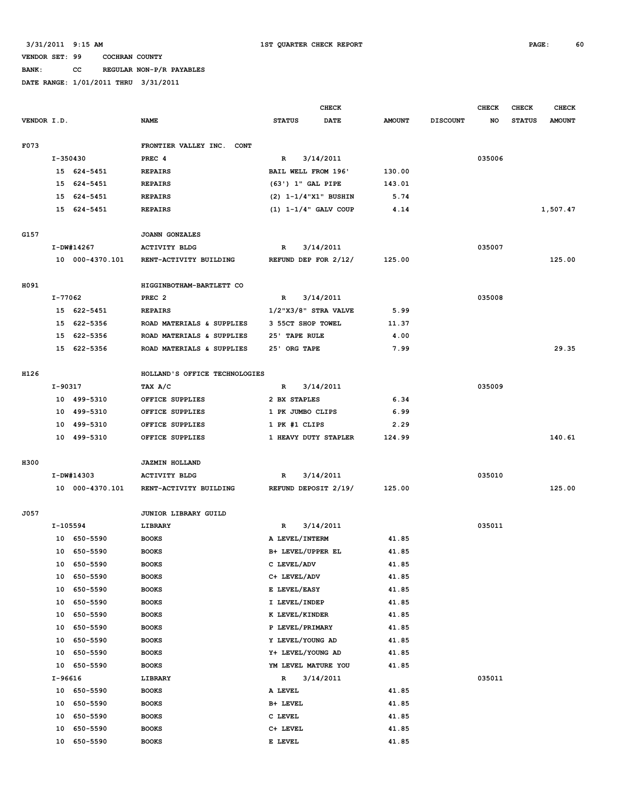**BANK: CC REGULAR NON-P/R PAYABLES**

|             |          |                 |                               |                             | <b>CHECK</b> |               |                 | <b>CHECK</b> | <b>CHECK</b>  | <b>CHECK</b>  |
|-------------|----------|-----------------|-------------------------------|-----------------------------|--------------|---------------|-----------------|--------------|---------------|---------------|
| VENDOR I.D. |          |                 | <b>NAME</b>                   | <b>STATUS</b>               | <b>DATE</b>  | <b>AMOUNT</b> | <b>DISCOUNT</b> | NO           | <b>STATUS</b> | <b>AMOUNT</b> |
| F073        |          |                 | FRONTIER VALLEY INC. CONT     |                             |              |               |                 |              |               |               |
|             | I-350430 |                 | PREC <sub>4</sub>             | $\mathbb{R}$                | 3/14/2011    |               |                 | 035006       |               |               |
|             |          | 15 624-5451     | <b>REPAIRS</b>                | BAIL WELL FROM 196'         |              | 130.00        |                 |              |               |               |
|             | 15       | 624-5451        | <b>REPAIRS</b>                | (63') 1" GAL PIPE           |              | 143.01        |                 |              |               |               |
|             | 15       | 624-5451        | <b>REPAIRS</b>                | $(2)$ 1-1/4"X1" BUSHIN      |              | 5.74          |                 |              |               |               |
|             |          | 15 624-5451     | <b>REPAIRS</b>                | $(1)$ 1-1/4" GALV COUP      |              | 4.14          |                 |              |               | 1,507.47      |
| G157        |          |                 | <b>JOANN GONZALES</b>         |                             |              |               |                 |              |               |               |
|             |          | I-DW#14267      | <b>ACTIVITY BLDG</b>          | R                           | 3/14/2011    |               |                 | 035007       |               |               |
|             |          | 10 000-4370.101 | RENT-ACTIVITY BUILDING        | REFUND DEP FOR 2/12/        |              | 125.00        |                 |              |               | 125.00        |
| H091        |          |                 | HIGGINBOTHAM-BARTLETT CO      |                             |              |               |                 |              |               |               |
|             | I-77062  |                 | PREC <sub>2</sub>             | $\mathbb{R}$                | 3/14/2011    |               |                 | 035008       |               |               |
|             |          | 15 622-5451     | <b>REPAIRS</b>                | $1/2$ "X $3/8$ " STRA VALVE |              | 5.99          |                 |              |               |               |
|             | 15       | 622-5356        | ROAD MATERIALS & SUPPLIES     | 3 55CT SHOP TOWEL           |              | 11.37         |                 |              |               |               |
|             | 15       | 622-5356        | ROAD MATERIALS & SUPPLIES     | 25' TAPE RULE               |              | 4.00          |                 |              |               |               |
|             |          | 15 622-5356     | ROAD MATERIALS & SUPPLIES     | 25' ORG TAPE                |              | 7.99          |                 |              |               | 29.35         |
| H126        |          |                 | HOLLAND'S OFFICE TECHNOLOGIES |                             |              |               |                 |              |               |               |
|             | I-90317  |                 | TAX A/C                       | $\mathbb{R}$                | 3/14/2011    |               |                 | 035009       |               |               |
|             |          | 10 499-5310     | OFFICE SUPPLIES               | 2 BX STAPLES                |              | 6.34          |                 |              |               |               |
|             | 10       | 499-5310        | OFFICE SUPPLIES               | 1 PK JUMBO CLIPS            |              | 6.99          |                 |              |               |               |
|             |          | 10 499-5310     | OFFICE SUPPLIES               | 1 PK #1 CLIPS               |              | 2.29          |                 |              |               |               |
|             |          | 10 499-5310     | OFFICE SUPPLIES               | 1 HEAVY DUTY STAPLER        |              | 124.99        |                 |              |               | 140.61        |
| H300        |          |                 | <b>JAZMIN HOLLAND</b>         |                             |              |               |                 |              |               |               |
|             |          | I-DW#14303      | <b>ACTIVITY BLDG</b>          | R                           | 3/14/2011    |               |                 | 035010       |               |               |
|             |          | 10 000-4370.101 | RENT-ACTIVITY BUILDING        | REFUND DEPOSIT 2/19/        |              | 125.00        |                 |              |               | 125.00        |
| J057        |          |                 | JUNIOR LIBRARY GUILD          |                             |              |               |                 |              |               |               |
|             | I-105594 |                 | LIBRARY                       | $\mathbb{R}$                | 3/14/2011    |               |                 | 035011       |               |               |
|             |          | 10 650-5590     | <b>BOOKS</b>                  | A LEVEL/INTERM              |              | 41.85         |                 |              |               |               |
|             |          | 10 650-5590     | <b>BOOKS</b>                  | B+ LEVEL/UPPER EL           |              | 41.85         |                 |              |               |               |
|             | 10       | 650-5590        | <b>BOOKS</b>                  | C LEVEL/ADV                 |              | 41.85         |                 |              |               |               |
|             | 10       | 650-5590        | <b>BOOKS</b>                  | C+ LEVEL/ADV                |              | 41.85         |                 |              |               |               |
|             | 10       | 650-5590        | <b>BOOKS</b>                  | E LEVEL/EASY                |              | 41.85         |                 |              |               |               |
|             | 10       | 650-5590        | <b>BOOKS</b>                  | I LEVEL/INDEP               |              | 41.85         |                 |              |               |               |
|             | 10       | 650-5590        | <b>BOOKS</b>                  | K LEVEL/KINDER              |              | 41.85         |                 |              |               |               |
|             | 10       | 650-5590        | <b>BOOKS</b>                  | P LEVEL/PRIMARY             |              | 41.85         |                 |              |               |               |
|             | 10       | 650-5590        | <b>BOOKS</b>                  | Y LEVEL/YOUNG AD            |              | 41.85         |                 |              |               |               |
|             | 10       | 650-5590        | <b>BOOKS</b>                  | Y+ LEVEL/YOUNG AD           |              | 41.85         |                 |              |               |               |
|             | 10       | 650-5590        | <b>BOOKS</b>                  | YM LEVEL MATURE YOU         |              | 41.85         |                 |              |               |               |
|             | I-96616  |                 | LIBRARY                       | R                           | 3/14/2011    |               |                 | 035011       |               |               |
|             | 10       | 650-5590        | <b>BOOKS</b>                  | A LEVEL                     |              | 41.85         |                 |              |               |               |
|             | 10       | 650-5590        | <b>BOOKS</b>                  | B+ LEVEL                    |              | 41.85         |                 |              |               |               |
|             | 10       | 650-5590        | <b>BOOKS</b>                  | C LEVEL                     |              | 41.85         |                 |              |               |               |
|             | 10       | 650-5590        | <b>BOOKS</b>                  | C+ LEVEL                    |              | 41.85         |                 |              |               |               |
|             | 10       | 650-5590        | <b>BOOKS</b>                  | E LEVEL                     |              | 41.85         |                 |              |               |               |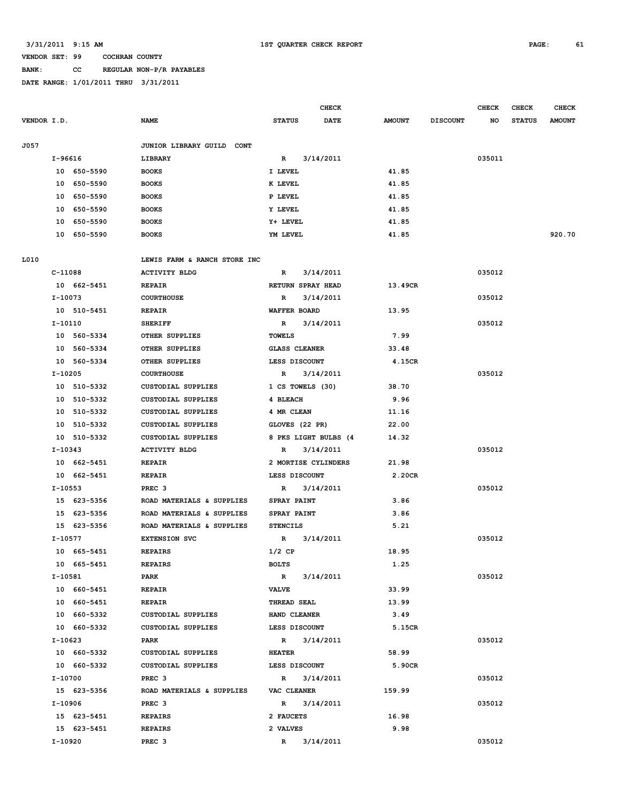#### **BANK: CC REGULAR NON-P/R PAYABLES**

|             |                |                              | <b>CHECK</b>              |               |                 | <b>CHECK</b> | <b>CHECK</b>  | <b>CHECK</b>  |
|-------------|----------------|------------------------------|---------------------------|---------------|-----------------|--------------|---------------|---------------|
| VENDOR I.D. |                | <b>NAME</b>                  | DATE<br><b>STATUS</b>     | <b>AMOUNT</b> | <b>DISCOUNT</b> | NO           | <b>STATUS</b> | <b>AMOUNT</b> |
| J057        |                | JUNIOR LIBRARY GUILD CONT    |                           |               |                 |              |               |               |
|             | I-96616        | LIBRARY                      | 3/14/2011<br>$\mathbb{R}$ |               |                 | 035011       |               |               |
|             | 10 650-5590    | <b>BOOKS</b>                 | I LEVEL                   | 41.85         |                 |              |               |               |
|             | 10 650-5590    | <b>BOOKS</b>                 | K LEVEL                   | 41.85         |                 |              |               |               |
|             | 10 650-5590    | <b>BOOKS</b>                 | P LEVEL                   | 41.85         |                 |              |               |               |
|             | 650-5590<br>10 | <b>BOOKS</b>                 | Y LEVEL                   | 41.85         |                 |              |               |               |
|             | 10 650-5590    | <b>BOOKS</b>                 | Y+ LEVEL                  | 41.85         |                 |              |               |               |
|             | 10 650-5590    | <b>BOOKS</b>                 | YM LEVEL                  | 41.85         |                 |              |               | 920.70        |
| L010        |                | LEWIS FARM & RANCH STORE INC |                           |               |                 |              |               |               |
|             | C-11088        | <b>ACTIVITY BLDG</b>         | $\mathbb{R}$<br>3/14/2011 |               |                 | 035012       |               |               |
|             | 10 662-5451    | <b>REPAIR</b>                | RETURN SPRAY HEAD         | 13.49CR       |                 |              |               |               |
|             | I-10073        | <b>COURTHOUSE</b>            | 3/14/2011<br>$\mathbb{R}$ |               |                 | 035012       |               |               |
|             | 10 510-5451    | <b>REPAIR</b>                | WAFFER BOARD              | 13.95         |                 |              |               |               |
|             | I-10110        | <b>SHERIFF</b>               | 3/14/2011<br>R            |               |                 | 035012       |               |               |
|             | 10 560-5334    | OTHER SUPPLIES               | <b>TOWELS</b>             | 7.99          |                 |              |               |               |
|             | 10 560-5334    | OTHER SUPPLIES               | <b>GLASS CLEANER</b>      | 33.48         |                 |              |               |               |
|             | 10 560-5334    | OTHER SUPPLIES               | LESS DISCOUNT             | 4.15CR        |                 |              |               |               |
|             | I-10205        | <b>COURTHOUSE</b>            | $\mathbb{R}$<br>3/14/2011 |               |                 | 035012       |               |               |
|             | 10 510-5332    | CUSTODIAL SUPPLIES           | 1 CS TOWELS (30)          | 38.70         |                 |              |               |               |
|             | 10 510-5332    | CUSTODIAL SUPPLIES           | 4 BLEACH                  | 9.96          |                 |              |               |               |
|             | 10 510-5332    | <b>CUSTODIAL SUPPLIES</b>    | 4 MR CLEAN                | 11.16         |                 |              |               |               |
|             | 10 510-5332    | <b>CUSTODIAL SUPPLIES</b>    | GLOVES (22 PR)            | 22.00         |                 |              |               |               |
|             | 10 510-5332    | <b>CUSTODIAL SUPPLIES</b>    | 8 PKS LIGHT BULBS (4      | 14.32         |                 |              |               |               |
|             | I-10343        | <b>ACTIVITY BLDG</b>         | 3/14/2011<br>R            |               |                 | 035012       |               |               |
|             | 10 662-5451    | <b>REPAIR</b>                | 2 MORTISE CYLINDERS       | 21.98         |                 |              |               |               |
|             | 10 662-5451    | <b>REPAIR</b>                | LESS DISCOUNT             | 2.20CR        |                 |              |               |               |
|             | I-10553        | PREC <sub>3</sub>            | 3/14/2011<br>R            |               |                 | 035012       |               |               |
|             | 15 623-5356    | ROAD MATERIALS & SUPPLIES    | SPRAY PAINT               | 3.86          |                 |              |               |               |
|             | 15 623-5356    | ROAD MATERIALS & SUPPLIES    | <b>SPRAY PAINT</b>        | 3.86          |                 |              |               |               |
|             | 15 623-5356    | ROAD MATERIALS & SUPPLIES    | <b>STENCILS</b>           | 5.21          |                 |              |               |               |
|             | I-10577        | <b>EXTENSION SVC</b>         | $\mathbf R$<br>3/14/2011  |               |                 | 035012       |               |               |
|             | 10 665-5451    | <b>REPAIRS</b>               | $1/2$ CP                  | 18.95         |                 |              |               |               |
|             | 10 665-5451    | <b>REPAIRS</b>               | <b>BOLTS</b>              | 1.25          |                 |              |               |               |
|             | I-10581        | PARK                         | $\mathbb{R}$<br>3/14/2011 |               |                 | 035012       |               |               |
|             | 10 660-5451    | REPAIR                       | <b>VALVE</b>              | 33.99         |                 |              |               |               |
|             | 10 660-5451    | <b>REPAIR</b>                | THREAD SEAL               | 13.99         |                 |              |               |               |
|             | 10 660-5332    | CUSTODIAL SUPPLIES           | HAND CLEANER              | 3.49          |                 |              |               |               |
|             | 10 660-5332    | <b>CUSTODIAL SUPPLIES</b>    | LESS DISCOUNT             | 5.15CR        |                 |              |               |               |
|             | I-10623        | PARK                         | $\mathbb{R}$<br>3/14/2011 |               |                 | 035012       |               |               |
|             | 10 660-5332    | CUSTODIAL SUPPLIES           | <b>HEATER</b>             | 58.99         |                 |              |               |               |
|             | 10 660-5332    | CUSTODIAL SUPPLIES           | LESS DISCOUNT             | 5.90CR        |                 |              |               |               |
|             | I-10700        | PREC <sub>3</sub>            | $\mathbb{R}$<br>3/14/2011 |               |                 | 035012       |               |               |
|             | 15 623-5356    | ROAD MATERIALS & SUPPLIES    | VAC CLEANER               | 159.99        |                 |              |               |               |
|             | I-10906        | PREC <sub>3</sub>            | $\mathbb{R}$<br>3/14/2011 |               |                 | 035012       |               |               |
|             | 15 623-5451    | <b>REPAIRS</b>               | 2 FAUCETS                 | 16.98         |                 |              |               |               |
|             | 15 623-5451    | <b>REPAIRS</b>               | 2 VALVES                  | 9.98          |                 |              |               |               |
|             | I-10920        | PREC <sub>3</sub>            | 3/14/2011<br>R            |               |                 | 035012       |               |               |
|             |                |                              |                           |               |                 |              |               |               |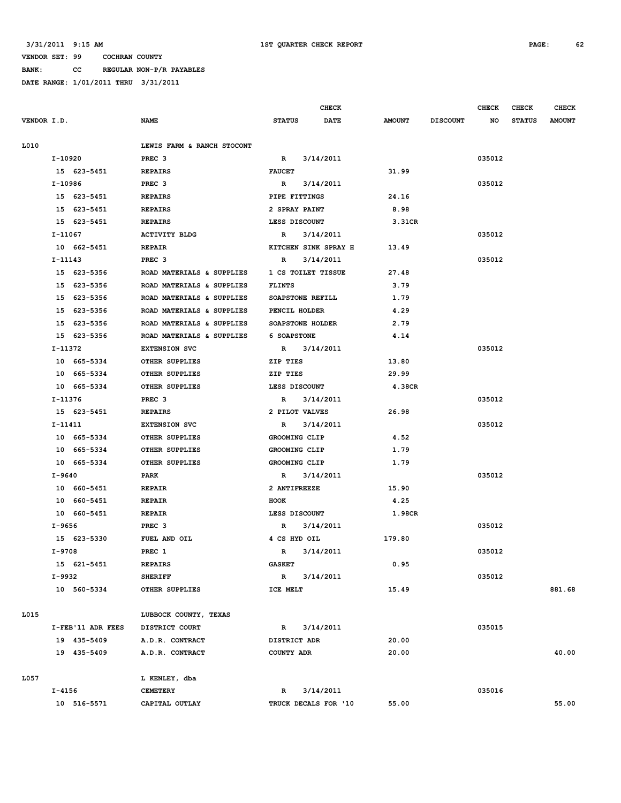**BANK: CC REGULAR NON-P/R PAYABLES**

|                   |                            |                         | CHECK       |               |                 | <b>CHECK</b> | CHECK         | <b>CHECK</b>  |
|-------------------|----------------------------|-------------------------|-------------|---------------|-----------------|--------------|---------------|---------------|
| VENDOR I.D.       | <b>NAME</b>                | <b>STATUS</b>           | <b>DATE</b> | <b>AMOUNT</b> | <b>DISCOUNT</b> | NO           | <b>STATUS</b> | <b>AMOUNT</b> |
|                   |                            |                         |             |               |                 |              |               |               |
| L010              | LEWIS FARM & RANCH STOCONT |                         |             |               |                 |              |               |               |
| I-10920           | PREC <sub>3</sub>          | $\mathbb{R}$            | 3/14/2011   |               |                 | 035012       |               |               |
| 15 623-5451       | <b>REPAIRS</b>             | <b>FAUCET</b>           |             | 31.99         |                 |              |               |               |
| I-10986           | PREC <sub>3</sub>          | R                       | 3/14/2011   |               |                 | 035012       |               |               |
| 15 623-5451       | <b>REPAIRS</b>             | PIPE FITTINGS           |             | 24.16         |                 |              |               |               |
| 15 623-5451       | <b>REPAIRS</b>             | 2 SPRAY PAINT           |             | 8.98          |                 |              |               |               |
| 15 623-5451       | <b>REPAIRS</b>             | LESS DISCOUNT           |             | 3.31CR        |                 |              |               |               |
| $I-11067$         | <b>ACTIVITY BLDG</b>       | $\mathbb{R}$            | 3/14/2011   |               |                 | 035012       |               |               |
| 10 662-5451       | <b>REPAIR</b>              | KITCHEN SINK SPRAY H    |             | 13.49         |                 |              |               |               |
| I-11143           | PREC <sub>3</sub>          | R                       | 3/14/2011   |               |                 | 035012       |               |               |
| 15 623-5356       | ROAD MATERIALS & SUPPLIES  | 1 CS TOILET TISSUE      |             | 27.48         |                 |              |               |               |
| 15 623-5356       | ROAD MATERIALS & SUPPLIES  | <b>FLINTS</b>           |             | 3.79          |                 |              |               |               |
| 15 623-5356       | ROAD MATERIALS & SUPPLIES  | SOAPSTONE REFILL        |             | 1.79          |                 |              |               |               |
| 15 623-5356       | ROAD MATERIALS & SUPPLIES  | PENCIL HOLDER           |             | 4.29          |                 |              |               |               |
| 15 623-5356       | ROAD MATERIALS & SUPPLIES  | <b>SOAPSTONE HOLDER</b> |             | 2.79          |                 |              |               |               |
| 15 623-5356       | ROAD MATERIALS & SUPPLIES  | <b>6 SOAPSTONE</b>      |             | 4.14          |                 |              |               |               |
| I-11372           | <b>EXTENSION SVC</b>       | $\mathbb{R}$            | 3/14/2011   |               |                 | 035012       |               |               |
| 10 665-5334       | <b>OTHER SUPPLIES</b>      | ZIP TIES                |             | 13.80         |                 |              |               |               |
| 10 665-5334       | OTHER SUPPLIES             | ZIP TIES                |             | 29.99         |                 |              |               |               |
| 10 665-5334       | OTHER SUPPLIES             | LESS DISCOUNT           |             | 4.38CR        |                 |              |               |               |
| I-11376           | PREC <sub>3</sub>          | $\mathbb{R}$            | 3/14/2011   |               |                 | 035012       |               |               |
| 15 623-5451       | <b>REPAIRS</b>             | 2 PILOT VALVES          |             | 26.98         |                 |              |               |               |
| I-11411           | <b>EXTENSION SVC</b>       | R                       | 3/14/2011   |               |                 | 035012       |               |               |
| 10 665-5334       | OTHER SUPPLIES             | GROOMING CLIP           |             | 4.52          |                 |              |               |               |
| 10 665-5334       | OTHER SUPPLIES             | GROOMING CLIP           |             | 1.79          |                 |              |               |               |
| 10 665-5334       | OTHER SUPPLIES             | GROOMING CLIP           |             | 1.79          |                 |              |               |               |
| I-9640            | PARK                       | R                       | 3/14/2011   |               |                 | 035012       |               |               |
| 10 660-5451       | <b>REPAIR</b>              | 2 ANTIFREEZE            |             | 15.90         |                 |              |               |               |
| 10 660-5451       | <b>REPAIR</b>              | HOOK                    |             | 4.25          |                 |              |               |               |
| 10 660-5451       | <b>REPAIR</b>              | LESS DISCOUNT           |             | 1.98CR        |                 |              |               |               |
| I-9656            | PREC <sub>3</sub>          | R                       | 3/14/2011   |               |                 | 035012       |               |               |
| 15 623-5330       | FUEL AND OIL               | 4 CS HYD OIL            |             | 179.80        |                 |              |               |               |
| $I-9708$          | PREC 1                     | $\mathbb{R}$            | 3/14/2011   |               |                 | 035012       |               |               |
| 15 621-5451       | <b>REPAIRS</b>             | <b>GASKET</b>           |             | 0.95          |                 |              |               |               |
| I-9932            | <b>SHERIFF</b>             | $\mathbb{R}$            | 3/14/2011   |               |                 | 035012       |               |               |
| 10 560-5334       | OTHER SUPPLIES             | ICE MELT                |             | 15.49         |                 |              |               | 881.68        |
|                   |                            |                         |             |               |                 |              |               |               |
| L015              | LUBBOCK COUNTY, TEXAS      |                         |             |               |                 |              |               |               |
| I-FEB'11 ADR FEES | DISTRICT COURT             | $\mathbb{R}$            | 3/14/2011   |               |                 | 035015       |               |               |
| 19 435-5409       | A.D.R. CONTRACT            | DISTRICT ADR            |             | 20.00         |                 |              |               |               |
| 19 435-5409       | A.D.R. CONTRACT            | COUNTY ADR              |             | 20.00         |                 |              |               | 40.00         |
|                   |                            |                         |             |               |                 |              |               |               |
| L057              | L KENLEY, dba              |                         |             |               |                 |              |               |               |
| I-4156            | <b>CEMETERY</b>            | R                       | 3/14/2011   |               |                 | 035016       |               |               |
| 10 516-5571       | CAPITAL OUTLAY             | TRUCK DECALS FOR '10    |             | 55.00         |                 |              |               | 55.00         |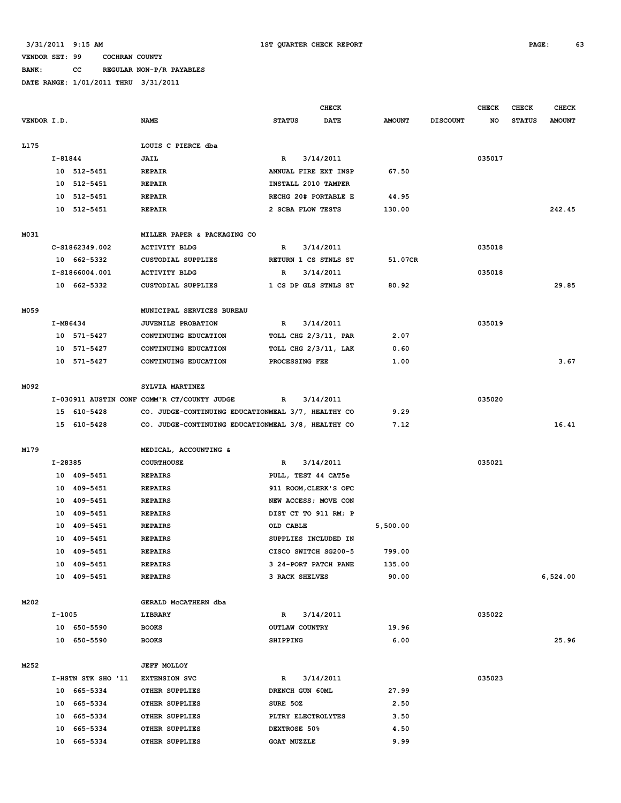# **BANK: CC REGULAR NON-P/R PAYABLES**

|             |          |                    |                                                    |                       | <b>CHECK</b> |               |                 | <b>CHECK</b> | CHECK         | <b>CHECK</b>  |
|-------------|----------|--------------------|----------------------------------------------------|-----------------------|--------------|---------------|-----------------|--------------|---------------|---------------|
| VENDOR I.D. |          |                    | <b>NAME</b>                                        | <b>STATUS</b>         | <b>DATE</b>  | <b>AMOUNT</b> | <b>DISCOUNT</b> | NO           | <b>STATUS</b> | <b>AMOUNT</b> |
| L175        |          |                    | LOUIS C PIERCE dba                                 |                       |              |               |                 |              |               |               |
|             | I-81844  |                    | JAIL                                               | $\mathbb{R}$          | 3/14/2011    |               |                 | 035017       |               |               |
|             |          | 10 512-5451        | <b>REPAIR</b>                                      | ANNUAL FIRE EXT INSP  |              | 67.50         |                 |              |               |               |
|             | 10       | 512-5451           | <b>REPAIR</b>                                      | INSTALL 2010 TAMPER   |              |               |                 |              |               |               |
|             | 10       | 512-5451           | <b>REPAIR</b>                                      | RECHG 20# PORTABLE E  |              | 44.95         |                 |              |               |               |
|             |          | 10 512-5451        | <b>REPAIR</b>                                      | 2 SCBA FLOW TESTS     |              | 130.00        |                 |              |               | 242.45        |
| M031        |          |                    | MILLER PAPER & PACKAGING CO                        |                       |              |               |                 |              |               |               |
|             |          | C-S1862349.002     | <b>ACTIVITY BLDG</b>                               | $\mathbb{R}$          | 3/14/2011    |               |                 | 035018       |               |               |
|             |          | 10 662-5332        | <b>CUSTODIAL SUPPLIES</b>                          | RETURN 1 CS STNLS ST  |              | 51.07CR       |                 |              |               |               |
|             |          | I-S1866004.001     | <b>ACTIVITY BLDG</b>                               | R                     | 3/14/2011    |               |                 | 035018       |               |               |
|             |          | 10 662-5332        | <b>CUSTODIAL SUPPLIES</b>                          | 1 CS DP GLS STNLS ST  |              | 80.92         |                 |              |               | 29.85         |
| M059        |          |                    | MUNICIPAL SERVICES BUREAU                          |                       |              |               |                 |              |               |               |
|             | I-M86434 |                    | JUVENILE PROBATION                                 | $\mathbb{R}$          | 3/14/2011    |               |                 | 035019       |               |               |
|             |          | 10 571-5427        | CONTINUING EDUCATION                               | TOLL CHG 2/3/11, PAR  |              | 2.07          |                 |              |               |               |
|             |          | 10 571-5427        | CONTINUING EDUCATION                               | TOLL CHG 2/3/11, LAK  |              | 0.60          |                 |              |               |               |
|             |          | 10 571-5427        | CONTINUING EDUCATION                               | PROCESSING FEE        |              | 1.00          |                 |              |               | 3.67          |
| M092        |          |                    | SYLVIA MARTINEZ                                    |                       |              |               |                 |              |               |               |
|             |          |                    | I-030911 AUSTIN CONF COMM'R CT/COUNTY JUDGE        | R                     | 3/14/2011    |               |                 | 035020       |               |               |
|             |          | 15 610-5428        | CO. JUDGE-CONTINUING EDUCATIONMEAL 3/7, HEALTHY CO |                       |              | 9.29          |                 |              |               |               |
|             |          | 15 610-5428        | CO. JUDGE-CONTINUING EDUCATIONMEAL 3/8, HEALTHY CO |                       |              | 7.12          |                 |              |               | 16.41         |
| M179        |          |                    | MEDICAL, ACCOUNTING &                              |                       |              |               |                 |              |               |               |
|             | I-28385  |                    | <b>COURTHOUSE</b>                                  | R                     | 3/14/2011    |               |                 | 035021       |               |               |
|             |          | 10 409-5451        | <b>REPAIRS</b>                                     | PULL, TEST 44 CAT5e   |              |               |                 |              |               |               |
|             |          | 10 409-5451        | <b>REPAIRS</b>                                     | 911 ROOM, CLERK'S OFC |              |               |                 |              |               |               |
|             |          | 10 409-5451        | <b>REPAIRS</b>                                     | NEW ACCESS; MOVE CON  |              |               |                 |              |               |               |
|             |          | 10 409-5451        | <b>REPAIRS</b>                                     | DIST CT TO 911 RM; P  |              |               |                 |              |               |               |
|             | 10       | 409-5451           | <b>REPAIRS</b>                                     | OLD CABLE             |              | 5,500.00      |                 |              |               |               |
|             |          | 10 409-5451        | <b>REPAIRS</b>                                     | SUPPLIES INCLUDED IN  |              |               |                 |              |               |               |
|             |          | 10 409-5451        | <b>REPAIRS</b>                                     | CISCO SWITCH SG200-5  |              | 799.00        |                 |              |               |               |
|             |          | 10 409-5451        | <b>REPAIRS</b>                                     | 3 24-PORT PATCH PANE  |              | 135.00        |                 |              |               |               |
|             |          | 10 409-5451        | <b>REPAIRS</b>                                     | 3 RACK SHELVES        |              | 90.00         |                 |              |               | 6,524.00      |
| M202        |          |                    | GERALD MCCATHERN dba                               |                       |              |               |                 |              |               |               |
|             | I-1005   |                    | LIBRARY                                            | $\mathbb{R}$          | 3/14/2011    |               |                 | 035022       |               |               |
|             |          | 10 650-5590        | <b>BOOKS</b>                                       | OUTLAW COUNTRY        |              | 19.96         |                 |              |               |               |
|             |          | 10 650-5590        | <b>BOOKS</b>                                       | SHIPPING              |              | 6.00          |                 |              |               | 25.96         |
| M252        |          |                    | <b>JEFF MOLLOY</b>                                 |                       |              |               |                 |              |               |               |
|             |          | I-HSTN STK SHO '11 | <b>EXTENSION SVC</b>                               | R                     | 3/14/2011    |               |                 | 035023       |               |               |
|             |          | 10 665-5334        | OTHER SUPPLIES                                     | DRENCH GUN 60ML       |              | 27.99         |                 |              |               |               |
|             |          | 10 665-5334        | OTHER SUPPLIES                                     | SURE 50Z              |              | 2.50          |                 |              |               |               |
|             |          | 10 665-5334        | OTHER SUPPLIES                                     | PLTRY ELECTROLYTES    |              | 3.50          |                 |              |               |               |
|             |          | 10 665-5334        | OTHER SUPPLIES                                     | DEXTROSE 50%          |              | 4.50          |                 |              |               |               |
|             |          | 10 665-5334        | OTHER SUPPLIES                                     | <b>GOAT MUZZLE</b>    |              | 9.99          |                 |              |               |               |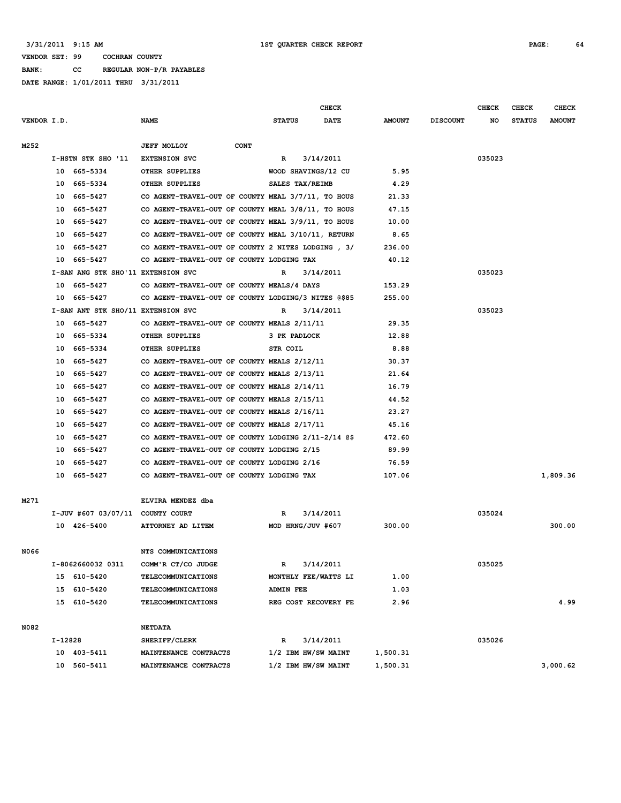**BANK: CC REGULAR NON-P/R PAYABLES**

|             |         |                                    |                                                     |                   | <b>CHECK</b>         |               |                 | <b>CHECK</b> | <b>CHECK</b>  | <b>CHECK</b>  |
|-------------|---------|------------------------------------|-----------------------------------------------------|-------------------|----------------------|---------------|-----------------|--------------|---------------|---------------|
| VENDOR I.D. |         |                                    | <b>NAME</b>                                         | <b>STATUS</b>     | <b>DATE</b>          | <b>AMOUNT</b> | <b>DISCOUNT</b> | NO           | <b>STATUS</b> | <b>AMOUNT</b> |
|             |         |                                    |                                                     |                   |                      |               |                 |              |               |               |
| M252        |         |                                    | <b>JEFF MOLLOY</b><br><b>CONT</b>                   |                   |                      |               |                 |              |               |               |
|             |         | I-HSTN STK SHO '11                 | <b>EXTENSION SVC</b>                                | R                 | 3/14/2011            |               |                 | 035023       |               |               |
|             | 10      | 665–5334                           | OTHER SUPPLIES                                      |                   | WOOD SHAVINGS/12 CU  | 5.95          |                 |              |               |               |
|             | 10      | 665-5334                           | OTHER SUPPLIES                                      | SALES TAX/REIMB   |                      | 4.29          |                 |              |               |               |
|             | 10      | 665–5427                           | CO AGENT-TRAVEL-OUT OF COUNTY MEAL 3/7/11, TO HOUS  |                   |                      | 21.33         |                 |              |               |               |
|             | 10      | 665–5427                           | CO AGENT-TRAVEL-OUT OF COUNTY MEAL 3/8/11, TO HOUS  |                   |                      | 47.15         |                 |              |               |               |
|             | 10      | 665–5427                           | CO AGENT-TRAVEL-OUT OF COUNTY MEAL 3/9/11, TO HOUS  |                   |                      | 10.00         |                 |              |               |               |
|             | 10      | 665–5427                           | CO AGENT-TRAVEL-OUT OF COUNTY MEAL 3/10/11, RETURN  |                   |                      | 8.65          |                 |              |               |               |
|             | 10      | 665-5427                           | CO AGENT-TRAVEL-OUT OF COUNTY 2 NITES LODGING, 3/   |                   |                      | 236.00        |                 |              |               |               |
|             | 10      | 665-5427                           | CO AGENT-TRAVEL-OUT OF COUNTY LODGING TAX           |                   |                      | 40.12         |                 |              |               |               |
|             |         | I-SAN ANG STK SHO'11 EXTENSION SVC |                                                     | R                 | 3/14/2011            |               |                 | 035023       |               |               |
|             | 10      | 665–5427                           | CO AGENT-TRAVEL-OUT OF COUNTY MEALS/4 DAYS          |                   |                      | 153.29        |                 |              |               |               |
|             | 10      | 665–5427                           | CO AGENT-TRAVEL-OUT OF COUNTY LODGING/3 NITES @\$85 |                   |                      | 255.00        |                 |              |               |               |
|             |         | I-SAN ANT STK SHO/11 EXTENSION SVC |                                                     | R                 | 3/14/2011            |               |                 | 035023       |               |               |
|             | 10      | 665–5427                           | CO AGENT-TRAVEL-OUT OF COUNTY MEALS 2/11/11         |                   |                      | 29.35         |                 |              |               |               |
|             | 10      | 665-5334                           | OTHER SUPPLIES                                      | 3 PK PADLOCK      |                      | 12.88         |                 |              |               |               |
|             | 10      | 665-5334                           | OTHER SUPPLIES                                      | STR COIL          |                      | 8.88          |                 |              |               |               |
|             | 10      | 665-5427                           | CO AGENT-TRAVEL-OUT OF COUNTY MEALS 2/12/11         |                   |                      | 30.37         |                 |              |               |               |
|             | 10      | 665-5427                           | CO AGENT-TRAVEL-OUT OF COUNTY MEALS 2/13/11         |                   |                      | 21.64         |                 |              |               |               |
|             | 10      | 665-5427                           | CO AGENT-TRAVEL-OUT OF COUNTY MEALS 2/14/11         |                   |                      | 16.79         |                 |              |               |               |
|             | 10      | 665-5427                           | CO AGENT-TRAVEL-OUT OF COUNTY MEALS 2/15/11         |                   |                      | 44.52         |                 |              |               |               |
|             | 10      | 665–5427                           | CO AGENT-TRAVEL-OUT OF COUNTY MEALS 2/16/11         |                   |                      | 23.27         |                 |              |               |               |
|             | 10      | 665–5427                           | CO AGENT-TRAVEL-OUT OF COUNTY MEALS 2/17/11         |                   |                      | 45.16         |                 |              |               |               |
|             | 10      | 665–5427                           | CO AGENT-TRAVEL-OUT OF COUNTY LODGING 2/11-2/14 @\$ |                   |                      | 472.60        |                 |              |               |               |
|             | 10      | 665–5427                           | CO AGENT-TRAVEL-OUT OF COUNTY LODGING 2/15          |                   |                      | 89.99         |                 |              |               |               |
|             | 10      | 665–5427                           | CO AGENT-TRAVEL-OUT OF COUNTY LODGING 2/16          |                   |                      | 76.59         |                 |              |               |               |
|             | 10      | 665–5427                           | CO AGENT-TRAVEL-OUT OF COUNTY LODGING TAX           |                   |                      | 107.06        |                 |              |               | 1,809.36      |
|             |         |                                    |                                                     |                   |                      |               |                 |              |               |               |
| M271        |         |                                    | ELVIRA MENDEZ dba                                   |                   |                      |               |                 |              |               |               |
|             |         | I-JUV #607 03/07/11 COUNTY COURT   |                                                     | R                 | 3/14/2011            |               |                 | 035024       |               |               |
|             |         | 10 426-5400                        | ATTORNEY AD LITEM                                   | MOD HRNG/JUV #607 |                      | 300.00        |                 |              |               | 300.00        |
|             |         |                                    |                                                     |                   |                      |               |                 |              |               |               |
| N066        |         |                                    | NTS COMMUNICATIONS                                  |                   |                      |               |                 |              |               |               |
|             |         | I-8062660032 0311                  | COMM'R CT/CO JUDGE                                  | R                 | 3/14/2011            |               |                 | 035025       |               |               |
|             |         | 15 610-5420                        | TELECOMMUNICATIONS                                  |                   | MONTHLY FEE/WATTS LI | 1.00          |                 |              |               |               |
|             |         | 15 610-5420                        | <b>TELECOMMUNICATIONS</b>                           | <b>ADMIN FEE</b>  |                      | 1.03          |                 |              |               |               |
|             |         | 15 610-5420                        | TELECOMMUNICATIONS                                  |                   | REG COST RECOVERY FE | 2.96          |                 |              |               | 4.99          |
|             |         |                                    |                                                     |                   |                      |               |                 |              |               |               |
| N082        |         |                                    | <b>NETDATA</b>                                      |                   |                      |               |                 |              |               |               |
|             | I-12828 |                                    | SHERIFF/CLERK                                       | R                 | 3/14/2011            |               |                 | 035026       |               |               |
|             |         | 10 403-5411                        | MAINTENANCE CONTRACTS                               |                   | 1/2 IBM HW/SW MAINT  | 1,500.31      |                 |              |               |               |
|             |         | 10 560-5411                        | MAINTENANCE CONTRACTS                               |                   | 1/2 IBM HW/SW MAINT  | 1,500.31      |                 |              |               | 3,000.62      |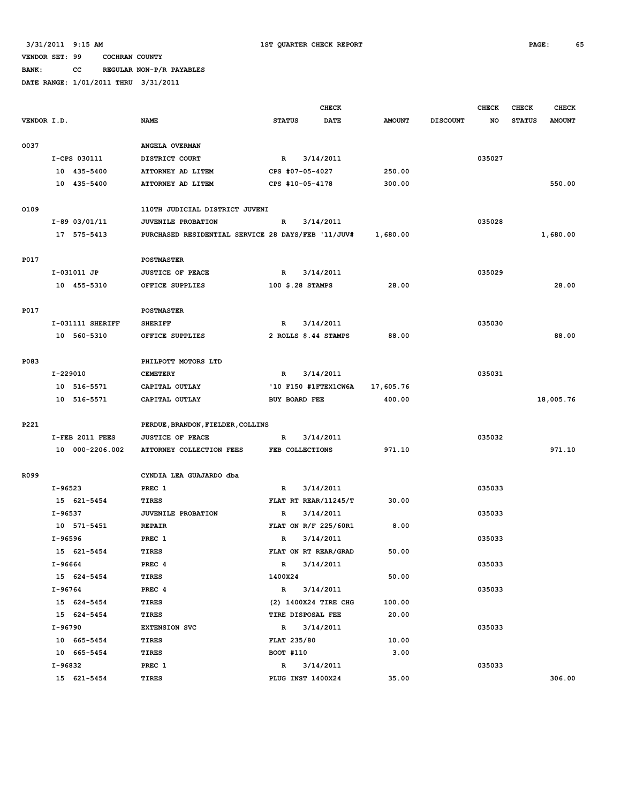**BANK: CC REGULAR NON-P/R PAYABLES**

|             |                  |                                                    | <b>CHECK</b>         |             |               |                 | <b>CHECK</b> | CHECK         | <b>CHECK</b>  |
|-------------|------------------|----------------------------------------------------|----------------------|-------------|---------------|-----------------|--------------|---------------|---------------|
| VENDOR I.D. |                  | <b>NAME</b>                                        | <b>STATUS</b>        | <b>DATE</b> | <b>AMOUNT</b> | <b>DISCOUNT</b> | NO           | <b>STATUS</b> | <b>AMOUNT</b> |
|             |                  |                                                    |                      |             |               |                 |              |               |               |
| 0037        |                  | ANGELA OVERMAN                                     |                      |             |               |                 |              |               |               |
|             | I-CPS 030111     | DISTRICT COURT                                     | $\mathbb{R}$         | 3/14/2011   |               |                 | 035027       |               |               |
|             | 10 435-5400      | ATTORNEY AD LITEM                                  | CPS #07-05-4027      |             | 250.00        |                 |              |               |               |
|             | 10 435-5400      | ATTORNEY AD LITEM                                  | CPS #10-05-4178      |             | 300.00        |                 |              |               | 550.00        |
|             |                  |                                                    |                      |             |               |                 |              |               |               |
| 0109        |                  | 110TH JUDICIAL DISTRICT JUVENI                     |                      |             |               |                 |              |               |               |
|             | $I-89$ 03/01/11  | JUVENILE PROBATION                                 | R                    | 3/14/2011   |               |                 | 035028       |               |               |
|             | 17 575-5413      | PURCHASED RESIDENTIAL SERVICE 28 DAYS/FEB '11/JUV# |                      |             | 1,680.00      |                 |              |               | 1,680.00      |
|             |                  |                                                    |                      |             |               |                 |              |               |               |
| P017        |                  | <b>POSTMASTER</b>                                  |                      |             |               |                 |              |               |               |
|             | I-031011 JP      | <b>JUSTICE OF PEACE</b>                            | $\mathbb{R}$         | 3/14/2011   |               |                 | 035029       |               |               |
|             | 10 455-5310      | OFFICE SUPPLIES                                    | 100 \$.28 STAMPS     |             | 28.00         |                 |              |               | 28.00         |
|             |                  |                                                    |                      |             |               |                 |              |               |               |
| P017        |                  | <b>POSTMASTER</b>                                  |                      |             |               |                 |              |               |               |
|             | I-031111 SHERIFF | <b>SHERIFF</b>                                     | $\mathbb{R}$         | 3/14/2011   |               |                 | 035030       |               |               |
|             | 10 560-5310      | OFFICE SUPPLIES                                    | 2 ROLLS \$.44 STAMPS |             | 88.00         |                 |              |               | 88.00         |
|             |                  |                                                    |                      |             |               |                 |              |               |               |
| P083        |                  | PHILPOTT MOTORS LTD                                |                      |             |               |                 |              |               |               |
|             | I-229010         | <b>CEMETERY</b>                                    | R                    | 3/14/2011   |               |                 | 035031       |               |               |
|             | 10 516-5571      | CAPITAL OUTLAY                                     | '10 F150 #1FTEX1CW6A |             | 17,605.76     |                 |              |               |               |
|             | 10 516-5571      | CAPITAL OUTLAY                                     | BUY BOARD FEE        |             | 400.00        |                 |              |               | 18,005.76     |
|             |                  |                                                    |                      |             |               |                 |              |               |               |
| P221        |                  | PERDUE, BRANDON, FIELDER, COLLINS                  |                      |             |               |                 |              |               |               |
|             | I-FEB 2011 FEES  | <b>JUSTICE OF PEACE</b>                            | $\mathbb{R}$         | 3/14/2011   |               |                 | 035032       |               |               |
|             | 10 000-2206.002  | ATTORNEY COLLECTION FEES                           | FEB COLLECTIONS      |             | 971.10        |                 |              |               | 971.10        |
|             |                  |                                                    |                      |             |               |                 |              |               |               |
| R099        |                  | CYNDIA LEA GUAJARDO dba                            |                      |             |               |                 |              |               |               |
|             | I-96523          | PREC 1                                             | R                    | 3/14/2011   |               |                 | 035033       |               |               |
|             | 15 621-5454      | <b>TIRES</b>                                       | FLAT RT REAR/11245/T |             | 30.00         |                 |              |               |               |
|             | I-96537          | JUVENILE PROBATION                                 | R                    | 3/14/2011   |               |                 | 035033       |               |               |
|             | 10 571-5451      | <b>REPAIR</b>                                      | FLAT ON R/F 225/60R1 |             | 8.00          |                 |              |               |               |
|             | I-96596          | PREC 1                                             | R                    | 3/14/2011   |               |                 | 035033       |               |               |
|             | 15 621-5454      | <b>TIRES</b>                                       | FLAT ON RT REAR/GRAD |             | 50.00         |                 |              |               |               |
|             | I-96664          | PREC 4                                             | $\mathbb{R}$         | 3/14/2011   |               |                 | 035033       |               |               |
|             | 15 624-5454      | TIRES                                              | 1400X24              |             | 50.00         |                 |              |               |               |
|             | I-96764          | PREC 4                                             | R 3/14/2011          |             |               |                 | 035033       |               |               |
|             | 15 624-5454      | TIRES                                              | (2) 1400X24 TIRE CHG |             | 100.00        |                 |              |               |               |
|             | 15 624-5454      | <b>TIRES</b>                                       | TIRE DISPOSAL FEE    |             | 20.00         |                 |              |               |               |
|             | I-96790          | <b>EXTENSION SVC</b>                               | R 3/14/2011          |             |               |                 | 035033       |               |               |
|             | 10 665-5454      | TIRES                                              | FLAT 235/80          |             | 10.00         |                 |              |               |               |
|             | 10 665-5454      | TIRES                                              | BOOT #110            |             | 3.00          |                 |              |               |               |
|             | I-96832          | PREC 1                                             | $\mathbb{R}$         | 3/14/2011   |               |                 | 035033       |               |               |
|             | 15 621-5454      | TIRES                                              | PLUG INST 1400X24    |             | 35.00         |                 |              |               | 306.00        |
|             |                  |                                                    |                      |             |               |                 |              |               |               |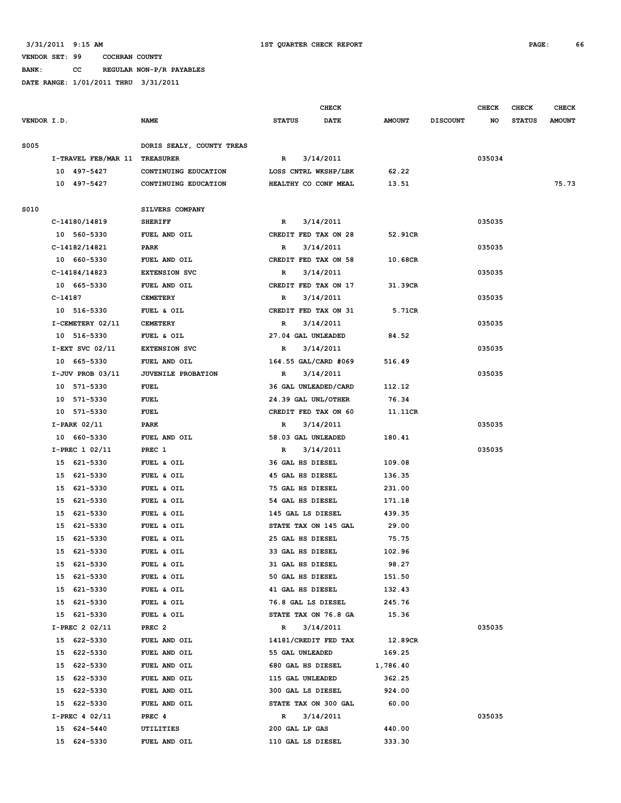#### **VENDOR SET: 99 COCHRAN COUNTY BANK: CC REGULAR NON-P/R PAYABLES**

|             |                               |                           |                         | <b>CHECK</b>         |               |                 | <b>CHECK</b> | CHECK         | <b>CHECK</b>  |
|-------------|-------------------------------|---------------------------|-------------------------|----------------------|---------------|-----------------|--------------|---------------|---------------|
| VENDOR I.D. |                               | NAME                      | <b>STATUS</b>           | <b>DATE</b>          | <b>AMOUNT</b> | <b>DISCOUNT</b> | NO           | <b>STATUS</b> | <b>AMOUNT</b> |
| <b>S005</b> |                               | DORIS SEALY, COUNTY TREAS |                         |                      |               |                 |              |               |               |
|             | I-TRAVEL FEB/MAR 11 TREASURER |                           | R                       | 3/14/2011            |               |                 | 035034       |               |               |
|             | 10 497-5427                   | CONTINUING EDUCATION      |                         | LOSS CNTRL WKSHP/LBK | 62.22         |                 |              |               |               |
|             | 10 497-5427                   | CONTINUING EDUCATION      |                         | HEALTHY CO CONF MEAL | 13.51         |                 |              |               | 75.73         |
| S010        |                               | SILVERS COMPANY           |                         |                      |               |                 |              |               |               |
|             | C-14180/14819                 | <b>SHERIFF</b>            | R                       | 3/14/2011            |               |                 | 035035       |               |               |
|             | 10 560-5330                   | FUEL AND OIL              |                         | CREDIT FED TAX ON 28 | 52.91CR       |                 |              |               |               |
|             | C-14182/14821                 | PARK                      | R                       | 3/14/2011            |               |                 | 035035       |               |               |
|             | 10 660-5330                   | FUEL AND OIL              |                         | CREDIT FED TAX ON 58 | 10.68CR       |                 |              |               |               |
|             | C-14184/14823                 | <b>EXTENSION SVC</b>      | R                       | 3/14/2011            |               |                 | 035035       |               |               |
|             | 10 665-5330                   | FUEL AND OIL              |                         | CREDIT FED TAX ON 17 | 31.39CR       |                 |              |               |               |
|             | C-14187                       | <b>CEMETERY</b>           | R                       | 3/14/2011            |               |                 | 035035       |               |               |
|             | 10 516-5330                   | FUEL & OIL                |                         | CREDIT FED TAX ON 31 | 5.71CR        |                 |              |               |               |
|             | I-CEMETERY 02/11              | <b>CEMETERY</b>           | R                       | 3/14/2011            |               |                 | 035035       |               |               |
|             | 10 516-5330                   | FUEL & OIL                | 27.04 GAL UNLEADED      |                      | 84.52         |                 |              |               |               |
|             | $I-EXT$ SVC 02/11             | <b>EXTENSION SVC</b>      | R                       | 3/14/2011            |               |                 | 035035       |               |               |
|             | 10 665-5330                   | FUEL AND OIL              |                         | 164.55 GAL/CARD #069 | 516.49        |                 |              |               |               |
|             | $I-JUV$ PROB 03/11            | JUVENILE PROBATION        | R                       | 3/14/2011            |               |                 | 035035       |               |               |
|             | 10 571-5330                   | FUEL                      |                         | 36 GAL UNLEADED/CARD | 112.12        |                 |              |               |               |
|             | 10 571-5330                   | <b>FUEL</b>               | 24.39 GAL UNL/OTHER     |                      | 76.34         |                 |              |               |               |
|             | 10 571-5330                   | <b>FUEL</b>               |                         | CREDIT FED TAX ON 60 | 11.11CR       |                 |              |               |               |
|             | $I-PARK$ 02/11                | PARK                      | R                       | 3/14/2011            |               |                 | 035035       |               |               |
|             | 10 660-5330                   | FUEL AND OIL              | 58.03 GAL UNLEADED      |                      | 180.41        |                 |              |               |               |
|             | I-PREC 1 02/11                | PREC 1                    | R                       | 3/14/2011            |               |                 | 035035       |               |               |
|             | 15 621-5330                   | FUEL & OIL                | <b>36 GAL HS DIESEL</b> |                      | 109.08        |                 |              |               |               |
|             | 15<br>621-5330                | FUEL & OIL                | 45 GAL HS DIESEL        |                      | 136.35        |                 |              |               |               |
|             | 621-5330<br>15                | FUEL & OIL                | 75 GAL HS DIESEL        |                      | 231.00        |                 |              |               |               |
|             | 15<br>621-5330                | FUEL & OIL                | 54 GAL HS DIESEL        |                      | 171.18        |                 |              |               |               |
|             | 621-5330<br>15                | FUEL & OIL                | 145 GAL LS DIESEL       |                      | 439.35        |                 |              |               |               |
|             | 621-5330<br>15                | FUEL & OIL                |                         | STATE TAX ON 145 GAL | 29.00         |                 |              |               |               |
|             | 621-5330<br>15                | FUEL & OIL                | 25 GAL HS DIESEL        |                      | 75.75         |                 |              |               |               |
|             | 15 621-5330                   | FUEL & OIL                | 33 GAL HS DIESEL        |                      | 102.96        |                 |              |               |               |
|             | 15 621-5330                   | FUEL & OIL                | 31 GAL HS DIESEL        |                      | 98.27         |                 |              |               |               |
|             | 15 621-5330                   | FUEL & OIL                | 50 GAL HS DIESEL        |                      | 151.50        |                 |              |               |               |
|             | 15 621-5330                   | FUEL & OIL                | 41 GAL HS DIESEL        |                      | 132.43        |                 |              |               |               |
|             | 621-5330<br>15                | FUEL & OIL                | 76.8 GAL LS DIESEL      |                      | 245.76        |                 |              |               |               |
|             | 621-5330<br>15                | FUEL & OIL                |                         | STATE TAX ON 76.8 GA | 15.36         |                 |              |               |               |
|             | I-PREC 2 02/11                | PREC <sub>2</sub>         | R                       | 3/14/2011            |               |                 | 035035       |               |               |
|             | 15 622-5330                   | FUEL AND OIL              |                         | 14181/CREDIT FED TAX | 12.89CR       |                 |              |               |               |
|             | 15<br>622-5330                | FUEL AND OIL              | 55 GAL UNLEADED         |                      | 169.25        |                 |              |               |               |
|             | 15 622-5330                   | FUEL AND OIL              | 680 GAL HS DIESEL       |                      | 1,786.40      |                 |              |               |               |
|             | 622-5330<br>15                | FUEL AND OIL              | 115 GAL UNLEADED        |                      | 362.25        |                 |              |               |               |
|             | 15<br>622-5330                | FUEL AND OIL              | 300 GAL LS DIESEL       |                      | 924.00        |                 |              |               |               |
|             | 622-5330<br>15                | FUEL AND OIL              |                         | STATE TAX ON 300 GAL | 60.00         |                 |              |               |               |
|             | I-PREC 4 02/11                | PREC 4                    | R                       | 3/14/2011            |               |                 | 035035       |               |               |
|             | 15 624-5440                   | UTILITIES                 | 200 GAL LP GAS          |                      | 440.00        |                 |              |               |               |
|             | 15 624-5330                   | FUEL AND OIL              | 110 GAL LS DIESEL       |                      | 333.30        |                 |              |               |               |
|             |                               |                           |                         |                      |               |                 |              |               |               |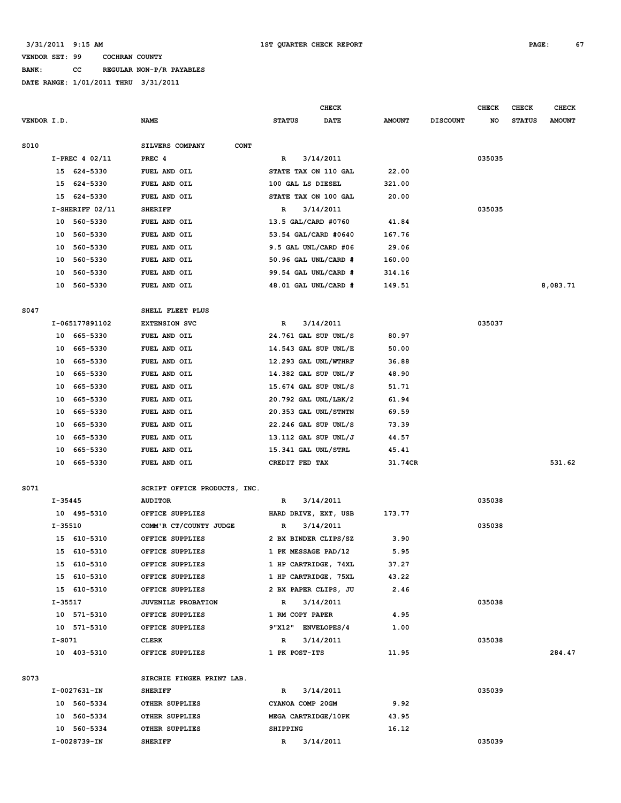**BANK: CC REGULAR NON-P/R PAYABLES**

|             |             |                      |                                |                                              | CHECK     |                  |                 | <b>CHECK</b> | <b>CHECK</b>  | <b>CHECK</b>  |
|-------------|-------------|----------------------|--------------------------------|----------------------------------------------|-----------|------------------|-----------------|--------------|---------------|---------------|
| VENDOR I.D. |             |                      | <b>NAME</b>                    | <b>STATUS</b>                                | DATE      | <b>AMOUNT</b>    | <b>DISCOUNT</b> | NO           | <b>STATUS</b> | <b>AMOUNT</b> |
|             |             |                      |                                |                                              |           |                  |                 |              |               |               |
| S010        |             |                      | SILVERS COMPANY<br><b>CONT</b> |                                              |           |                  |                 |              |               |               |
|             |             | $I-PREC 4 02/11$     | PREC <sub>4</sub>              | R                                            | 3/14/2011 |                  |                 | 035035       |               |               |
|             |             | 15 624-5330          | FUEL AND OIL                   | STATE TAX ON 110 GAL                         |           | 22.00            |                 |              |               |               |
|             | 15          | 624-5330             | FUEL AND OIL                   | 100 GAL LS DIESEL                            |           | 321.00           |                 |              |               |               |
|             | 15          | 624-5330             | FUEL AND OIL                   | STATE TAX ON 100 GAL                         |           | 20.00            |                 |              |               |               |
|             |             | $I-SHERIFF 02/11$    | <b>SHERIFF</b>                 | R                                            | 3/14/2011 |                  |                 | 035035       |               |               |
|             |             | 10 560-5330          | FUEL AND OIL                   | 13.5 GAL/CARD #0760                          |           | 41.84            |                 |              |               |               |
|             | 10          | 560-5330             | FUEL AND OIL<br>FUEL AND OIL   | 53.54 GAL/CARD #0640<br>9.5 GAL UNL/CARD #06 |           | 167.76           |                 |              |               |               |
|             | 10          | 560-5330             |                                |                                              |           | 29.06            |                 |              |               |               |
|             | 10<br>10    | 560-5330<br>560-5330 | FUEL AND OIL<br>FUEL AND OIL   | 50.96 GAL UNL/CARD #<br>99.54 GAL UNL/CARD # |           | 160.00           |                 |              |               |               |
|             | 10          | 560-5330             | FUEL AND OIL                   | 48.01 GAL UNL/CARD #                         |           | 314.16<br>149.51 |                 |              |               | 8,083.71      |
|             |             |                      |                                |                                              |           |                  |                 |              |               |               |
| S047        |             |                      | SHELL FLEET PLUS               |                                              |           |                  |                 |              |               |               |
|             |             | I-065177891102       | <b>EXTENSION SVC</b>           | R                                            | 3/14/2011 |                  |                 | 035037       |               |               |
|             |             | 10 665-5330          | FUEL AND OIL                   | 24.761 GAL SUP UNL/S                         |           | 80.97            |                 |              |               |               |
|             | 10          | 665-5330             | FUEL AND OIL                   | 14.543 GAL SUP UNL/E                         |           | 50.00            |                 |              |               |               |
|             | 10          | 665-5330             | FUEL AND OIL                   | 12.293 GAL UNL/WTHRF                         |           | 36.88            |                 |              |               |               |
|             | 10          | 665-5330             | FUEL AND OIL                   | 14.382 GAL SUP UNL/F                         |           | 48.90            |                 |              |               |               |
|             | 10          | 665-5330             | FUEL AND OIL                   | 15.674 GAL SUP UNL/S                         |           | 51.71            |                 |              |               |               |
|             | 10          | 665-5330             | FUEL AND OIL                   | 20.792 GAL UNL/LBK/2                         |           | 61.94            |                 |              |               |               |
|             | 10          | 665-5330             | FUEL AND OIL                   | 20.353 GAL UNL/STNTN                         |           | 69.59            |                 |              |               |               |
|             | 10          | 665-5330             | FUEL AND OIL                   | 22.246 GAL SUP UNL/S                         |           | 73.39            |                 |              |               |               |
|             | 10          | 665-5330             | FUEL AND OIL                   | 13.112 GAL SUP UNL/J                         |           | 44.57            |                 |              |               |               |
|             | 10          | 665-5330             | FUEL AND OIL                   | 15.341 GAL UNL/STRL                          |           | 45.41            |                 |              |               |               |
|             | 10          | 665–5330             | FUEL AND OIL                   | CREDIT FED TAX                               |           | 31.74CR          |                 |              |               | 531.62        |
|             |             |                      |                                |                                              |           |                  |                 |              |               |               |
| S071        |             |                      | SCRIPT OFFICE PRODUCTS, INC.   |                                              |           |                  |                 |              |               |               |
|             | $I - 35445$ |                      | <b>AUDITOR</b>                 | R                                            | 3/14/2011 |                  |                 | 035038       |               |               |
|             |             | 10 495-5310          | OFFICE SUPPLIES                | HARD DRIVE, EXT, USB                         |           | 173.77           |                 |              |               |               |
|             | I-35510     |                      | COMM'R CT/COUNTY JUDGE         | R                                            | 3/14/2011 |                  |                 | 035038       |               |               |
|             |             | 15 610-5310          | OFFICE SUPPLIES                | 2 BX BINDER CLIPS/SZ                         |           | 3.90             |                 |              |               |               |
|             |             | 15 610-5310          | OFFICE SUPPLIES                | 1 PK MESSAGE PAD/12                          |           | 5.95             |                 |              |               |               |
|             |             | 15 610-5310          | OFFICE SUPPLIES                | 1 HP CARTRIDGE, 74XL                         |           | 37.27            |                 |              |               |               |
|             |             | 15 610-5310          | OFFICE SUPPLIES                | 1 HP CARTRIDGE, 75XL                         |           | 43.22            |                 |              |               |               |
|             |             | 15 610-5310          | OFFICE SUPPLIES                | 2 BX PAPER CLIPS, JU                         |           | 2.46             |                 |              |               |               |
|             | I-35517     |                      | JUVENILE PROBATION             | R                                            | 3/14/2011 |                  |                 | 035038       |               |               |
|             |             | 10 571-5310          | OFFICE SUPPLIES                | 1 RM COPY PAPER<br>9"X12" ENVELOPES/4        |           | 4.95             |                 |              |               |               |
|             |             | 10 571-5310          | OFFICE SUPPLIES                |                                              |           | 1.00             |                 | 035038       |               |               |
|             | I-S071      | 10 403-5310          | CLERK<br>OFFICE SUPPLIES       | R<br>1 PK POST-ITS                           | 3/14/2011 | 11.95            |                 |              |               | 284.47        |
|             |             |                      |                                |                                              |           |                  |                 |              |               |               |
| S073        |             |                      | SIRCHIE FINGER PRINT LAB.      |                                              |           |                  |                 |              |               |               |
|             |             | I-0027631-IN         | <b>SHERIFF</b>                 | R                                            | 3/14/2011 |                  |                 | 035039       |               |               |
|             |             | 10 560-5334          | OTHER SUPPLIES                 | CYANOA COMP 20GM                             |           | 9.92             |                 |              |               |               |
|             |             | 10 560-5334          | OTHER SUPPLIES                 | MEGA CARTRIDGE/10PK                          |           | 43.95            |                 |              |               |               |
|             |             | 10 560-5334          | OTHER SUPPLIES                 | SHIPPING                                     |           | 16.12            |                 |              |               |               |
|             |             | I-0028739-IN         | <b>SHERIFF</b>                 | R                                            | 3/14/2011 |                  |                 | 035039       |               |               |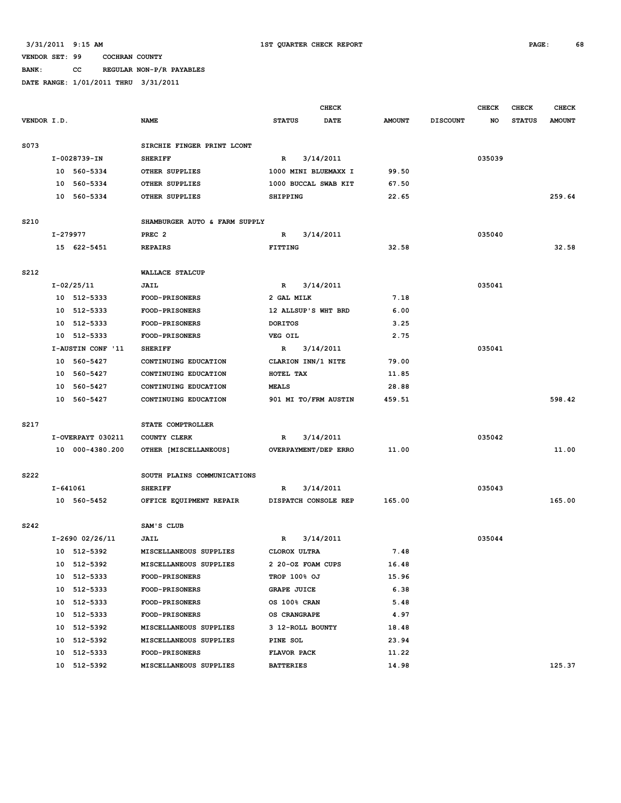# **BANK: CC REGULAR NON-P/R PAYABLES**

|             |                                     |                                  |                               |                           | <b>CHECK</b> |               |                 | <b>CHECK</b> | <b>CHECK</b>  | <b>CHECK</b>  |
|-------------|-------------------------------------|----------------------------------|-------------------------------|---------------------------|--------------|---------------|-----------------|--------------|---------------|---------------|
| VENDOR I.D. |                                     |                                  | <b>NAME</b>                   | <b>STATUS</b>             | <b>DATE</b>  | <b>AMOUNT</b> | <b>DISCOUNT</b> | NO           | <b>STATUS</b> | <b>AMOUNT</b> |
| S073        |                                     |                                  | SIRCHIE FINGER PRINT LCONT    |                           |              |               |                 |              |               |               |
|             |                                     | I-0028739-IN                     | <b>SHERIFF</b>                | $\mathbb{R}$              | 3/14/2011    |               |                 | 035039       |               |               |
|             |                                     | 10 560-5334                      | OTHER SUPPLIES                | 1000 MINI BLUEMAXX I      |              | 99.50         |                 |              |               |               |
|             | 10                                  | 560-5334                         | OTHER SUPPLIES                | 1000 BUCCAL SWAB KIT      |              | 67.50         |                 |              |               |               |
|             |                                     | 10 560-5334                      | OTHER SUPPLIES                | <b>SHIPPING</b>           |              | 22.65         |                 |              |               | 259.64        |
| S210        |                                     |                                  | SHAMBURGER AUTO & FARM SUPPLY |                           |              |               |                 |              |               |               |
|             |                                     | I-279977                         | PREC <sub>2</sub>             | $\mathbb{R}$<br>3/14/2011 |              |               |                 | 035040       |               |               |
|             |                                     | 15 622-5451                      | <b>REPAIRS</b>                | <b>FITTING</b>            |              | 32.58         |                 |              |               | 32.58         |
| S212        |                                     |                                  | <b>WALLACE STALCUP</b>        |                           |              |               |                 |              |               |               |
|             |                                     | $I-02/25/11$                     | JAIL                          | R                         | 3/14/2011    |               |                 | 035041       |               |               |
|             |                                     | 10 512-5333                      | <b>FOOD-PRISONERS</b>         | 2 GAL MILK                |              | 7.18          |                 |              |               |               |
|             |                                     | 10 512-5333                      | FOOD-PRISONERS                | 12 ALLSUP'S WHT BRD       |              | 6.00          |                 |              |               |               |
|             | 10                                  | 512-5333                         | FOOD-PRISONERS                | <b>DORITOS</b>            |              | 3.25          |                 |              |               |               |
|             | 10                                  | 512-5333                         | FOOD-PRISONERS                | <b>VEG OIL</b>            |              | 2.75          |                 |              |               |               |
|             | I-AUSTIN CONF '11<br><b>SHERIFF</b> |                                  |                               | R                         | 3/14/2011    |               |                 | 035041       |               |               |
|             |                                     | 10 560-5427                      | CONTINUING EDUCATION          | CLARION INN/1 NITE        |              | 79.00         |                 |              |               |               |
|             | 10                                  | 560-5427<br>CONTINUING EDUCATION |                               | HOTEL TAX                 |              | 11.85         |                 |              |               |               |
|             | 10                                  | 560-5427                         | CONTINUING EDUCATION          | <b>MEALS</b>              |              | 28.88         |                 |              |               |               |
|             |                                     | 10 560-5427                      | CONTINUING EDUCATION          | 901 MI TO/FRM AUSTIN      |              | 459.51        |                 |              |               | 598.42        |
| S217        |                                     |                                  | STATE COMPTROLLER             |                           |              |               |                 |              |               |               |
|             |                                     | I-OVERPAYT 030211                | COUNTY CLERK                  | $\mathbb{R}$              | 3/14/2011    |               |                 | 035042       |               |               |
|             |                                     | 10 000-4380.200                  | OTHER [MISCELLANEOUS]         | OVERPAYMENT/DEP ERRO      |              | 11.00         |                 |              |               | 11.00         |
| S222        |                                     |                                  | SOUTH PLAINS COMMUNICATIONS   |                           |              |               |                 |              |               |               |
|             |                                     | I-641061                         | <b>SHERIFF</b>                | R                         | 3/14/2011    |               |                 | 035043       |               |               |
|             |                                     | 10 560-5452                      | OFFICE EQUIPMENT REPAIR       | DISPATCH CONSOLE REP      |              | 165.00        |                 |              |               | 165.00        |
| S242        |                                     |                                  | SAM'S CLUB                    |                           |              |               |                 |              |               |               |
|             |                                     | I-2690 02/26/11                  | <b>JAIL</b>                   | $\mathbf R$               | 3/14/2011    |               |                 | 035044       |               |               |
|             |                                     | 10 512-5392                      | MISCELLANEOUS SUPPLIES        | CLOROX ULTRA              |              | 7.48          |                 |              |               |               |
|             |                                     | 10 512-5392                      | MISCELLANEOUS SUPPLIES        | 2 20-OZ FOAM CUPS         |              | 16.48         |                 |              |               |               |
|             |                                     | 10 512-5333                      | <b>FOOD-PRISONERS</b>         | TROP 100% OJ              |              | 15.96         |                 |              |               |               |
|             |                                     | 10 512-5333                      | <b>FOOD-PRISONERS</b>         | <b>GRAPE JUICE</b>        |              | 6.38          |                 |              |               |               |
|             |                                     | 10 512-5333                      | <b>FOOD-PRISONERS</b>         | OS 100% CRAN              |              | 5.48          |                 |              |               |               |
|             |                                     | 10 512-5333                      | FOOD-PRISONERS                | OS CRANGRAPE              |              | 4.97          |                 |              |               |               |
|             |                                     | 10 512-5392                      | MISCELLANEOUS SUPPLIES        | 3 12-ROLL BOUNTY          |              | 18.48         |                 |              |               |               |
|             |                                     | 10 512-5392                      | MISCELLANEOUS SUPPLIES        | PINE SOL                  |              | 23.94         |                 |              |               |               |
|             |                                     | 10 512-5333                      | FOOD-PRISONERS                | FLAVOR PACK               |              | 11.22         |                 |              |               |               |
|             |                                     | 10 512-5392                      | MISCELLANEOUS SUPPLIES        | <b>BATTERIES</b>          |              | 14.98         |                 |              |               | 125.37        |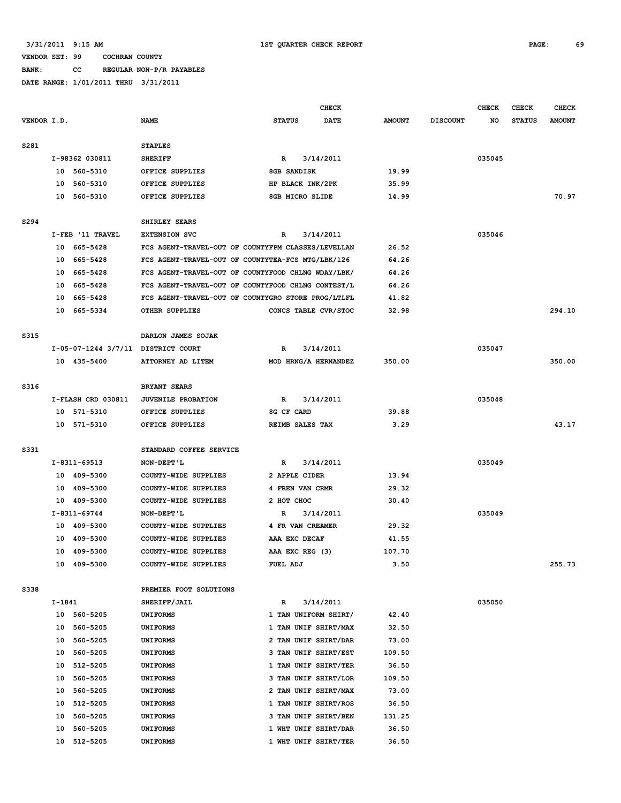**BANK: CC REGULAR NON-P/R PAYABLES**

|             |        |                                    |                                                    |                           | <b>CHECK</b> |                |                 | <b>CHECK</b> | CHECK         | <b>CHECK</b>  |
|-------------|--------|------------------------------------|----------------------------------------------------|---------------------------|--------------|----------------|-----------------|--------------|---------------|---------------|
| VENDOR I.D. |        |                                    | <b>NAME</b>                                        | <b>STATUS</b>             | <b>DATE</b>  | <b>AMOUNT</b>  | <b>DISCOUNT</b> | NO           | <b>STATUS</b> | <b>AMOUNT</b> |
| S281        |        |                                    | <b>STAPLES</b>                                     |                           |              |                |                 |              |               |               |
|             |        | I-98362 030811                     | <b>SHERIFF</b>                                     | $\mathbf{R}$              | 3/14/2011    |                |                 | 035045       |               |               |
|             |        | 10 560-5310                        | OFFICE SUPPLIES                                    | 8GB SANDISK               |              | 19.99          |                 |              |               |               |
|             |        | 10 560-5310                        | OFFICE SUPPLIES                                    | HP BLACK INK/2PK          |              | 35.99          |                 |              |               |               |
|             |        | 10 560-5310                        | OFFICE SUPPLIES                                    | 8GB MICRO SLIDE           |              | 14.99          |                 |              |               | 70.97         |
|             |        |                                    |                                                    |                           |              |                |                 |              |               |               |
| S294        |        |                                    | SHIRLEY SEARS                                      |                           |              |                |                 |              |               |               |
|             |        | I-FEB '11 TRAVEL                   | <b>EXTENSION SVC</b>                               | R                         | 3/14/2011    |                |                 | 035046       |               |               |
|             |        | 10 665-5428                        | FCS AGENT-TRAVEL-OUT OF COUNTYFPM CLASSES/LEVELLAN |                           |              | 26.52          |                 |              |               |               |
|             |        | 10 665-5428                        | FCS AGENT-TRAVEL-OUT OF COUNTYTEA-FCS MTG/LBK/126  |                           |              | 64.26          |                 |              |               |               |
|             | 10     | 665-5428                           | FCS AGENT-TRAVEL-OUT OF COUNTYFOOD CHLNG WDAY/LBK/ |                           |              | 64.26          |                 |              |               |               |
|             | 10     | 665-5428                           | FCS AGENT-TRAVEL-OUT OF COUNTYFOOD CHLNG CONTEST/L |                           |              | 64.26          |                 |              |               |               |
|             | 10     | 665-5428                           | FCS AGENT-TRAVEL-OUT OF COUNTYGRO STORE PROG/LTLFL |                           |              | 41.82          |                 |              |               |               |
|             |        | 10 665-5334                        | OTHER SUPPLIES                                     | CONCS TABLE CVR/STOC      |              | 32.98          |                 |              |               | 294.10        |
| S315        |        |                                    | DARLON JAMES SOJAK                                 |                           |              |                |                 |              |               |               |
|             |        | I-05-07-1244 3/7/11 DISTRICT COURT |                                                    | R                         | 3/14/2011    |                |                 | 035047       |               |               |
|             |        | 10 435-5400                        | ATTORNEY AD LITEM                                  | MOD HRNG/A HERNANDEZ      |              | 350.00         |                 |              |               | 350.00        |
|             |        |                                    |                                                    |                           |              |                |                 |              |               |               |
| S316        |        |                                    | <b>BRYANT SEARS</b>                                |                           |              |                |                 |              |               |               |
|             |        | I-FLASH CRD 030811                 | JUVENILE PROBATION                                 | $\mathbf{R}$              | 3/14/2011    |                |                 | 035048       |               |               |
|             |        | 10 571-5310                        | OFFICE SUPPLIES                                    | 8G CF CARD                |              | 39.88          |                 |              |               |               |
|             |        | 10 571-5310                        | OFFICE SUPPLIES                                    | REIMB SALES TAX           |              | 3.29           |                 |              |               | 43.17         |
|             |        |                                    |                                                    |                           |              |                |                 |              |               |               |
| S331        |        |                                    | STANDARD COFFEE SERVICE                            |                           |              |                |                 |              |               |               |
|             |        | I-8311-69513                       | NON-DEPT'L                                         | R                         | 3/14/2011    |                |                 | 035049       |               |               |
|             |        | 10 409-5300                        | COUNTY-WIDE SUPPLIES                               | 2 APPLE CIDER             |              | 13.94          |                 |              |               |               |
|             |        | 10 409-5300                        | COUNTY-WIDE SUPPLIES                               | 4 FREN VAN CRMR           |              | 29.32          |                 |              |               |               |
|             |        | 10 409-5300                        | COUNTY-WIDE SUPPLIES                               | 2 HOT CHOC                |              | 30.40          |                 |              |               |               |
|             |        | I-8311-69744                       | NON-DEPT'L                                         | R                         | 3/14/2011    |                |                 | 035049       |               |               |
|             |        | 10 409-5300                        | COUNTY-WIDE SUPPLIES                               | 4 FR VAN CREAMER          |              | 29.32          |                 |              |               |               |
|             | 10     | 409-5300                           | COUNTY-WIDE SUPPLIES                               | AAA EXC DECAF             |              | 41.55          |                 |              |               |               |
|             |        | 10 409-5300                        | COUNTY-WIDE SUPPLIES                               | AAA EXC REG (3)           |              | 107.70         |                 |              |               |               |
|             |        | 10 409-5300                        | COUNTY-WIDE SUPPLIES                               | FUEL ADJ                  |              | 3.50           |                 |              |               | 255.73        |
| S338        |        |                                    |                                                    |                           |              |                |                 |              |               |               |
|             | I-1841 |                                    | PREMIER FOOT SOLUTIONS<br>SHERIFF/JAIL             |                           | 3/14/2011    |                |                 | 035050       |               |               |
|             |        | 10 560-5205                        | <b>UNIFORMS</b>                                    | R<br>1 TAN UNIFORM SHIRT/ |              | 42.40          |                 |              |               |               |
|             | 10     | 560-5205                           |                                                    | 1 TAN UNIF SHIRT/MAX      |              |                |                 |              |               |               |
|             | 10     | 560-5205                           | <b>UNIFORMS</b><br><b>UNIFORMS</b>                 | 2 TAN UNIF SHIRT/DAR      |              | 32.50<br>73.00 |                 |              |               |               |
|             | 10     | 560-5205                           |                                                    | 3 TAN UNIF SHIRT/EST      |              | 109.50         |                 |              |               |               |
|             | 10     | 512-5205                           | <b>UNIFORMS</b><br><b>UNIFORMS</b>                 | 1 TAN UNIF SHIRT/TER      |              | 36.50          |                 |              |               |               |
|             | 10     | 560-5205                           | <b>UNIFORMS</b>                                    | 3 TAN UNIF SHIRT/LOR      |              | 109.50         |                 |              |               |               |
|             | 10     | 560-5205                           | <b>UNIFORMS</b>                                    | 2 TAN UNIF SHIRT/MAX      |              | 73.00          |                 |              |               |               |
|             | 10     | 512-5205                           | <b>UNIFORMS</b>                                    | 1 TAN UNIF SHIRT/ROS      |              | 36.50          |                 |              |               |               |
|             | 10     | 560-5205                           | <b>UNIFORMS</b>                                    | 3 TAN UNIF SHIRT/BEN      |              | 131.25         |                 |              |               |               |
|             | 10     | 560-5205                           | <b>UNIFORMS</b>                                    | 1 WHT UNIF SHIRT/DAR      |              | 36.50          |                 |              |               |               |
|             | 10     | 512-5205                           | <b>UNIFORMS</b>                                    | 1 WHT UNIF SHIRT/TER      |              | 36.50          |                 |              |               |               |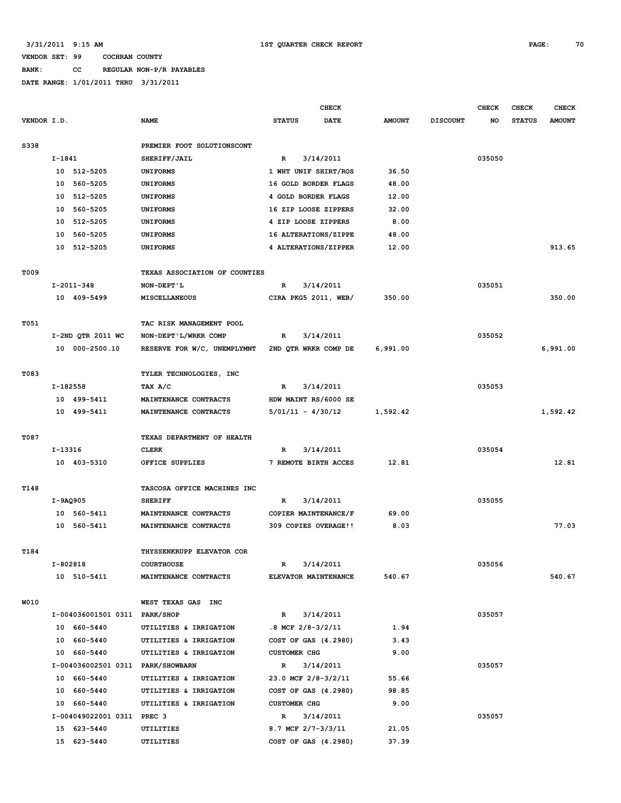# **BANK: CC REGULAR NON-P/R PAYABLES**

|             |          |                                   |                               | <b>CHECK</b>            |             |               | <b>CHECK</b>    | CHECK  | <b>CHECK</b>  |               |
|-------------|----------|-----------------------------------|-------------------------------|-------------------------|-------------|---------------|-----------------|--------|---------------|---------------|
| VENDOR I.D. |          |                                   | <b>NAME</b>                   | <b>STATUS</b>           | <b>DATE</b> | <b>AMOUNT</b> | <b>DISCOUNT</b> | NO     | <b>STATUS</b> | <b>AMOUNT</b> |
|             |          |                                   |                               |                         |             |               |                 |        |               |               |
| S338        |          |                                   | PREMIER FOOT SOLUTIONSCONT    |                         |             |               |                 |        |               |               |
|             | I-1841   |                                   | SHERIFF/JAIL                  | $\mathbf R$             | 3/14/2011   |               |                 | 035050 |               |               |
|             |          | 10 512-5205                       | <b>UNIFORMS</b>               | 1 WHT UNIF SHIRT/ROS    |             | 36.50         |                 |        |               |               |
|             |          | 10 560-5205                       | <b>UNIFORMS</b>               | 16 GOLD BORDER FLAGS    |             | 48.00         |                 |        |               |               |
|             | 10       | 512-5205                          | <b>UNIFORMS</b>               | 4 GOLD BORDER FLAGS     |             | 12.00         |                 |        |               |               |
|             |          | 10 560-5205                       | <b>UNIFORMS</b>               | 16 ZIP LOOSE ZIPPERS    |             | 32.00         |                 |        |               |               |
|             |          | 10 512-5205                       | <b>UNIFORMS</b>               | 4 ZIP LOOSE ZIPPERS     |             | 8.00          |                 |        |               |               |
|             |          | 10 560-5205                       | <b>UNIFORMS</b>               | 16 ALTERATIONS/ZIPPE    |             | 48.00         |                 |        |               |               |
|             |          | 10 512-5205                       | <b>UNIFORMS</b>               | 4 ALTERATIONS/ZIPPER    |             | 12.00         |                 |        |               | 913.65        |
|             |          |                                   |                               |                         |             |               |                 |        |               |               |
| <b>T009</b> |          |                                   | TEXAS ASSOCIATION OF COUNTIES |                         |             |               |                 |        |               |               |
|             |          | $I-2011-348$                      | NON-DEPT'L                    | R                       | 3/14/2011   |               |                 | 035051 |               |               |
|             |          | 10 409-5499                       | MISCELLANEOUS                 | CIRA PKG5 2011, WEB/    |             | 350.00        |                 |        |               | 350.00        |
|             |          |                                   | TAC RISK MANAGEMENT POOL      |                         |             |               |                 |        |               |               |
| T051        |          |                                   |                               |                         |             |               |                 |        |               |               |
|             |          | I-2ND QTR 2011 WC                 | NON-DEPT'L/WRKR COMP          | R                       | 3/14/2011   |               |                 | 035052 |               |               |
|             |          | 10 000-2500.10                    | RESERVE FOR W/C, UNEMPLYMNT   | 2ND OTR WRKR COMP DE    |             | 6,991.00      |                 |        |               | 6,991.00      |
| T083        |          |                                   | TYLER TECHNOLOGIES, INC       |                         |             |               |                 |        |               |               |
|             | I-182558 |                                   | TAX A/C                       | R                       | 3/14/2011   |               |                 | 035053 |               |               |
|             |          | 10 499-5411                       | MAINTENANCE CONTRACTS         | HDW MAINT RS/6000 SE    |             |               |                 |        |               |               |
|             |          | 10 499-5411                       | MAINTENANCE CONTRACTS         | $5/01/11 - 4/30/12$     |             | 1,592.42      |                 |        |               | 1,592.42      |
|             |          |                                   |                               |                         |             |               |                 |        |               |               |
| T087        |          |                                   | TEXAS DEPARTMENT OF HEALTH    |                         |             |               |                 |        |               |               |
|             | I-13316  |                                   | <b>CLERK</b>                  | R                       | 3/14/2011   |               |                 | 035054 |               |               |
|             |          | 10 403-5310                       | OFFICE SUPPLIES               | 7 REMOTE BIRTH ACCES    |             | 12.81         |                 |        |               | 12.81         |
|             |          |                                   |                               |                         |             |               |                 |        |               |               |
| T148        |          |                                   | TASCOSA OFFICE MACHINES INC   |                         |             |               |                 |        |               |               |
|             | I-9AQ905 |                                   | <b>SHERIFF</b>                | R                       | 3/14/2011   |               |                 | 035055 |               |               |
|             |          | 10 560-5411                       | MAINTENANCE CONTRACTS         | COPIER MAINTENANCE/F    |             | 69.00         |                 |        |               |               |
|             |          | 10 560-5411                       | MAINTENANCE CONTRACTS         | 309 COPIES OVERAGE!!    |             | 8.03          |                 |        |               | 77.03         |
|             |          |                                   |                               |                         |             |               |                 |        |               |               |
| T184        |          |                                   | THYSSENKRUPP ELEVATOR COR     |                         |             |               |                 |        |               |               |
|             |          | I-802818                          | <b>COURTHOUSE</b>             | R                       | 3/14/2011   |               |                 | 035056 |               |               |
|             |          | 10 510-5411                       | MAINTENANCE CONTRACTS         | ELEVATOR MAINTENANCE    |             | 540.67        |                 |        |               | 540.67        |
|             |          |                                   |                               |                         |             |               |                 |        |               |               |
| <b>W010</b> |          |                                   | WEST TEXAS GAS INC            |                         |             |               |                 |        |               |               |
|             |          | I-004036001501 0311 PARK/SHOP     |                               | $\mathbb{R}$            | 3/14/2011   |               |                 | 035057 |               |               |
|             |          | 10 660-5440                       | UTILITIES & IRRIGATION        | $.8$ MCF $2/8 - 3/2/11$ |             | 1.94          |                 |        |               |               |
|             |          | 10 660-5440                       | UTILITIES & IRRIGATION        | COST OF GAS (4.2980)    |             | 3.43          |                 |        |               |               |
|             |          | 10 660-5440                       | UTILITIES & IRRIGATION        | <b>CUSTOMER CHG</b>     |             | 9.00          |                 |        |               |               |
|             |          | I-004036002501 0311 PARK/SHOWBARN |                               | $\mathbb{R}$            | 3/14/2011   |               |                 | 035057 |               |               |
|             |          | 10 660-5440                       | UTILITIES & IRRIGATION        | 23.0 MCF 2/8-3/2/11     |             | 55.66         |                 |        |               |               |
|             |          | 10 660-5440                       | UTILITIES & IRRIGATION        | COST OF GAS (4.2980)    |             | 98.85         |                 |        |               |               |
|             |          | 10 660-5440                       | UTILITIES & IRRIGATION        | <b>CUSTOMER CHG</b>     |             | 9.00          |                 |        |               |               |
|             |          | I-004049022001 0311 PREC 3        |                               | $\mathbb{R}$            | 3/14/2011   |               |                 | 035057 |               |               |
|             |          | 15 623-5440                       | UTILITIES                     | 8.7 MCF 2/7-3/3/11      |             | 21.05         |                 |        |               |               |
|             |          | 15 623-5440                       | UTILITIES                     | COST OF GAS (4.2980)    |             | 37.39         |                 |        |               |               |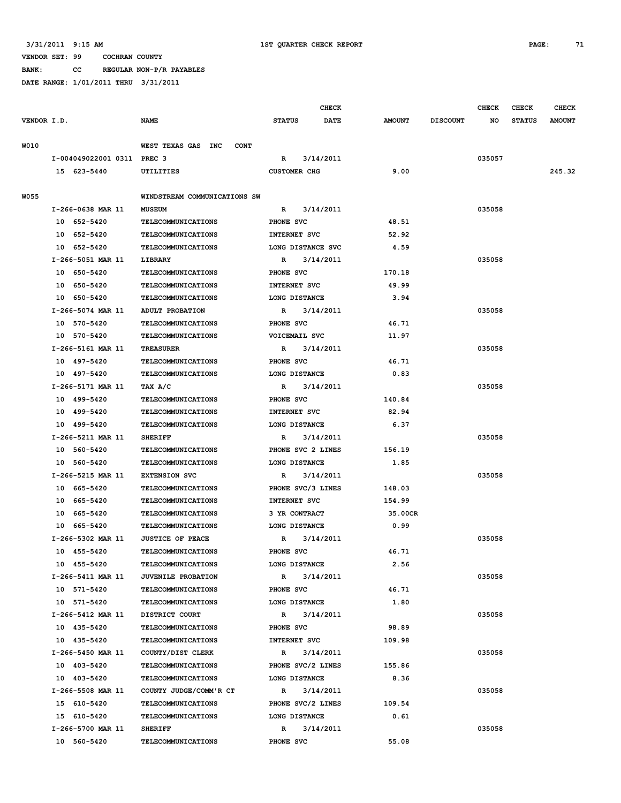**BANK: CC REGULAR NON-P/R PAYABLES**

|             |                            |                                   |                     | <b>CHECK</b> |               |                 | <b>CHECK</b> | <b>CHECK</b>  | <b>CHECK</b>  |
|-------------|----------------------------|-----------------------------------|---------------------|--------------|---------------|-----------------|--------------|---------------|---------------|
| VENDOR I.D. |                            | <b>NAME</b>                       | <b>STATUS</b>       | <b>DATE</b>  | <b>AMOUNT</b> | <b>DISCOUNT</b> | NO           | <b>STATUS</b> | <b>AMOUNT</b> |
| W010        |                            | WEST TEXAS GAS INC<br><b>CONT</b> |                     |              |               |                 |              |               |               |
|             | I-004049022001 0311 PREC 3 |                                   | $\mathbb{R}$        | 3/14/2011    |               |                 | 035057       |               |               |
|             | 15 623-5440                | UTILITIES                         | <b>CUSTOMER CHG</b> |              | 9.00          |                 |              |               | 245.32        |
|             |                            |                                   |                     |              |               |                 |              |               |               |
| <b>W055</b> |                            | WINDSTREAM COMMUNICATIONS SW      |                     |              |               |                 |              |               |               |
|             | I-266-0638 MAR 11          | <b>MUSEUM</b>                     | $\mathbb{R}$        | 3/14/2011    |               |                 | 035058       |               |               |
|             | 10 652-5420                | <b>TELECOMMUNICATIONS</b>         | PHONE SVC           |              | 48.51         |                 |              |               |               |
|             | 10 652-5420                | <b>TELECOMMUNICATIONS</b>         | <b>INTERNET SVC</b> |              | 52.92         |                 |              |               |               |
|             | 10 652-5420                | <b>TELECOMMUNICATIONS</b>         | LONG DISTANCE SVC   |              | 4.59          |                 |              |               |               |
|             | I-266-5051 MAR 11          | LIBRARY                           | R                   | 3/14/2011    |               |                 | 035058       |               |               |
|             | 10 650-5420                | <b>TELECOMMUNICATIONS</b>         | PHONE SVC           |              | 170.18        |                 |              |               |               |
|             | 10 650-5420                | <b>TELECOMMUNICATIONS</b>         | <b>INTERNET SVC</b> |              | 49.99         |                 |              |               |               |
|             | 10 650-5420                | <b>TELECOMMUNICATIONS</b>         | LONG DISTANCE       |              | 3.94          |                 |              |               |               |
|             | I-266-5074 MAR 11          | ADULT PROBATION                   | $\mathbb{R}$        | 3/14/2011    |               |                 | 035058       |               |               |
|             | 10 570-5420                | <b>TELECOMMUNICATIONS</b>         | PHONE SVC           |              | 46.71         |                 |              |               |               |
|             | 10 570-5420                | <b>TELECOMMUNICATIONS</b>         | VOICEMAIL SVC       |              | 11.97         |                 |              |               |               |
|             | I-266-5161 MAR 11          | <b>TREASURER</b>                  | $\mathbb{R}$        | 3/14/2011    |               |                 | 035058       |               |               |
|             | 10 497-5420                | <b>TELECOMMUNICATIONS</b>         | PHONE SVC           |              | 46.71         |                 |              |               |               |
|             | 10 497-5420                | <b>TELECOMMUNICATIONS</b>         | LONG DISTANCE       |              | 0.83          |                 |              |               |               |
|             | I-266-5171 MAR 11          | TAX A/C                           | $\mathbb{R}$        | 3/14/2011    |               |                 | 035058       |               |               |
|             | 10 499-5420                | <b>TELECOMMUNICATIONS</b>         | PHONE SVC           |              | 140.84        |                 |              |               |               |
|             | 10 499-5420                | TELECOMMUNICATIONS                | <b>INTERNET SVC</b> |              | 82.94         |                 |              |               |               |
|             | 10 499-5420                | <b>TELECOMMUNICATIONS</b>         | LONG DISTANCE       |              | 6.37          |                 |              |               |               |
|             | I-266-5211 MAR 11          | <b>SHERIFF</b>                    | R                   | 3/14/2011    |               |                 | 035058       |               |               |
|             | 10 560-5420                | <b>TELECOMMUNICATIONS</b>         | PHONE SVC 2 LINES   |              | 156.19        |                 |              |               |               |
|             | 10 560-5420                | <b>TELECOMMUNICATIONS</b>         | LONG DISTANCE       |              | 1.85          |                 |              |               |               |
|             | I-266-5215 MAR 11          | <b>EXTENSION SVC</b>              | R                   | 3/14/2011    |               |                 | 035058       |               |               |
|             | 10 665-5420                | <b>TELECOMMUNICATIONS</b>         | PHONE SVC/3 LINES   |              | 148.03        |                 |              |               |               |
|             | 10 665-5420                | <b>TELECOMMUNICATIONS</b>         | <b>INTERNET SVC</b> |              | 154.99        |                 |              |               |               |
|             | 10 665-5420                | TELECOMMUNICATIONS                | 3 YR CONTRACT       |              | 35.00CR       |                 |              |               |               |
|             | 10 665-5420                | <b>TELECOMMUNICATIONS</b>         | LONG DISTANCE       |              | 0.99          |                 |              |               |               |
|             | I-266-5302 MAR 11          | <b>JUSTICE OF PEACE</b>           | R                   | 3/14/2011    |               |                 | 035058       |               |               |
|             | 10 455-5420                | TELECOMMUNICATIONS                | PHONE SVC           |              | 46.71         |                 |              |               |               |
|             | 10 455-5420                | <b>TELECOMMUNICATIONS</b>         | LONG DISTANCE       |              | 2.56          |                 |              |               |               |
|             | I-266-5411 MAR 11          | <b>JUVENILE PROBATION</b>         | R 3/14/2011         |              |               |                 | 035058       |               |               |
|             | 10 571-5420                | TELECOMMUNICATIONS                | PHONE SVC           |              | 46.71         |                 |              |               |               |
|             | 10 571-5420                | <b>TELECOMMUNICATIONS</b>         | LONG DISTANCE       |              | 1.80          |                 |              |               |               |
|             | I-266-5412 MAR 11          | DISTRICT COURT                    | R 3/14/2011         |              |               |                 | 035058       |               |               |
|             | 10 435-5420                | TELECOMMUNICATIONS                | PHONE SVC           |              | 98.89         |                 |              |               |               |
|             | 10 435-5420                | <b>TELECOMMUNICATIONS</b>         | INTERNET SVC        |              | 109.98        |                 |              |               |               |
|             | I-266-5450 MAR 11          | COUNTY/DIST CLERK                 | R                   | 3/14/2011    |               |                 | 035058       |               |               |
|             | 10 403-5420                | TELECOMMUNICATIONS                | PHONE SVC/2 LINES   |              | 155.86        |                 |              |               |               |
|             | 10 403-5420                | <b>TELECOMMUNICATIONS</b>         | LONG DISTANCE       |              | 8.36          |                 |              |               |               |
|             | I-266-5508 MAR 11          | COUNTY JUDGE/COMM'R CT            | $\mathbb{R}$        | 3/14/2011    |               |                 | 035058       |               |               |
|             | 15 610-5420                | <b>TELECOMMUNICATIONS</b>         | PHONE SVC/2 LINES   |              | 109.54        |                 |              |               |               |
|             | 15 610-5420                | <b>TELECOMMUNICATIONS</b>         | LONG DISTANCE       |              | 0.61          |                 |              |               |               |
|             | I-266-5700 MAR 11          | <b>SHERIFF</b>                    | $\mathbb{R}$        | 3/14/2011    |               |                 | 035058       |               |               |
|             | 10 560-5420                | <b>TELECOMMUNICATIONS</b>         | PHONE SVC           |              | 55.08         |                 |              |               |               |
|             |                            |                                   |                     |              |               |                 |              |               |               |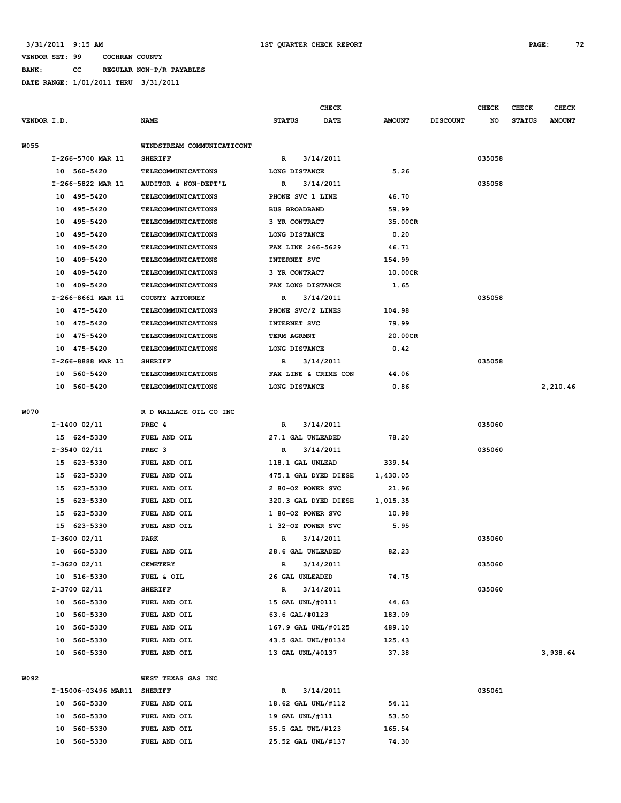**BANK: CC REGULAR NON-P/R PAYABLES DATE RANGE: 1/01/2011 THRU 3/31/2011**

| VENDOR I.D. |                |                     | <b>NAME</b>                | <b>STATUS</b> | <b>CHECK</b><br>DATE | <b>AMOUNT</b> | <b>DISCOUNT</b> | <b>CHECK</b><br>NO | <b>CHECK</b><br><b>STATUS</b> | <b>CHECK</b><br><b>AMOUNT</b> |
|-------------|----------------|---------------------|----------------------------|---------------|----------------------|---------------|-----------------|--------------------|-------------------------------|-------------------------------|
|             |                |                     |                            |               |                      |               |                 |                    |                               |                               |
| <b>W055</b> |                |                     | WINDSTREAM COMMUNICATICONT |               |                      |               |                 |                    |                               |                               |
|             |                | I-266-5700 MAR 11   | <b>SHERIFF</b>             | R             | 3/14/2011            |               |                 | 035058             |                               |                               |
|             | 10 560-5420    |                     | TELECOMMUNICATIONS         |               | LONG DISTANCE        | 5.26          |                 |                    |                               |                               |
|             |                | I-266-5822 MAR 11   | AUDITOR & NON-DEPT'L       | R             | 3/14/2011            |               |                 | 035058             |                               |                               |
|             | 10 495-5420    |                     | <b>TELECOMMUNICATIONS</b>  |               | PHONE SVC 1 LINE     | 46.70         |                 |                    |                               |                               |
|             | 10             | 495-5420            | TELECOMMUNICATIONS         |               | <b>BUS BROADBAND</b> | 59.99         |                 |                    |                               |                               |
|             | 10             | 495-5420            | TELECOMMUNICATIONS         |               | 3 YR CONTRACT        | 35.00CR       |                 |                    |                               |                               |
|             | 10             | 495-5420            | <b>TELECOMMUNICATIONS</b>  |               | LONG DISTANCE        | 0.20          |                 |                    |                               |                               |
|             | 10             | 409-5420            | TELECOMMUNICATIONS         |               | FAX LINE 266-5629    | 46.71         |                 |                    |                               |                               |
|             | 10             | 409-5420            | <b>TELECOMMUNICATIONS</b>  |               | <b>INTERNET SVC</b>  | 154.99        |                 |                    |                               |                               |
|             | 10             | 409-5420            | <b>TELECOMMUNICATIONS</b>  |               | 3 YR CONTRACT        | 10.00CR       |                 |                    |                               |                               |
|             | 10 409-5420    |                     | TELECOMMUNICATIONS         |               | FAX LONG DISTANCE    | 1.65          |                 |                    |                               |                               |
|             |                | I-266-8661 MAR 11   | COUNTY ATTORNEY            | R             | 3/14/2011            |               |                 | 035058             |                               |                               |
|             | 10 475-5420    |                     | <b>TELECOMMUNICATIONS</b>  |               | PHONE SVC/2 LINES    | 104.98        |                 |                    |                               |                               |
|             | 10 475-5420    |                     | TELECOMMUNICATIONS         |               | <b>INTERNET SVC</b>  | 79.99         |                 |                    |                               |                               |
|             | 10 475-5420    |                     | <b>TELECOMMUNICATIONS</b>  | TERM AGRMNT   |                      | 20.00CR       |                 |                    |                               |                               |
|             | 10 475-5420    |                     | <b>TELECOMMUNICATIONS</b>  |               | LONG DISTANCE        | 0.42          |                 |                    |                               |                               |
|             |                | I-266-8888 MAR 11   | <b>SHERIFF</b>             | R             | 3/14/2011            |               |                 | 035058             |                               |                               |
|             | 10 560-5420    |                     | <b>TELECOMMUNICATIONS</b>  |               | FAX LINE & CRIME CON | 44.06         |                 |                    |                               |                               |
|             | 10             | 560-5420            | <b>TELECOMMUNICATIONS</b>  |               | LONG DISTANCE        | 0.86          |                 |                    |                               | 2,210.46                      |
| W070        |                |                     | R D WALLACE OIL CO INC     |               |                      |               |                 |                    |                               |                               |
|             | I-1400 02/11   |                     | PREC 4                     | R             | 3/14/2011            |               |                 | 035060             |                               |                               |
|             | 15 624-5330    |                     | FUEL AND OIL               |               | 27.1 GAL UNLEADED    | 78.20         |                 |                    |                               |                               |
|             | $I-3540$ 02/11 |                     | PREC <sub>3</sub>          | R             | 3/14/2011            |               |                 | 035060             |                               |                               |
|             | 15 623-5330    |                     | FUEL AND OIL               |               | 118.1 GAL UNLEAD     | 339.54        |                 |                    |                               |                               |
|             | 15 623-5330    |                     | FUEL AND OIL               |               | 475.1 GAL DYED DIESE | 1,430.05      |                 |                    |                               |                               |
|             | 15 623-5330    |                     | FUEL AND OIL               |               | 2 80-OZ POWER SVC    | 21.96         |                 |                    |                               |                               |
|             | 15             | 623-5330            | FUEL AND OIL               |               | 320.3 GAL DYED DIESE | 1,015.35      |                 |                    |                               |                               |
|             | 15             | 623-5330            | FUEL AND OIL               |               | 1 80-OZ POWER SVC    | 10.98         |                 |                    |                               |                               |
|             | 15             | 623-5330            | FUEL AND OIL               |               | 1 32-0Z POWER SVC    | 5.95          |                 |                    |                               |                               |
|             | $I-3600$ 02/11 |                     | PARK                       | $\mathbb{R}$  | 3/14/2011            |               |                 | 035060             |                               |                               |
|             | 10 660-5330    |                     | FUEL AND OIL               |               | 28.6 GAL UNLEADED    | 82.23         |                 |                    |                               |                               |
|             | $I-3620$ 02/11 |                     | <b>CEMETERY</b>            | $\mathbb{R}$  | 3/14/2011            |               |                 | 035060             |                               |                               |
|             | 10 516-5330    |                     | FUEL & OIL                 |               | 26 GAL UNLEADED      | 74.75         |                 |                    |                               |                               |
|             | I-3700 02/11   |                     | <b>SHERIFF</b>             | $\mathbb R$   | 3/14/2011            |               |                 | 035060             |                               |                               |
|             | 10 560-5330    |                     | FUEL AND OIL               |               | 15 GAL UNL/#0111     | 44.63         |                 |                    |                               |                               |
|             | 10 560-5330    |                     | FUEL AND OIL               |               | 63.6 GAL/#0123       | 183.09        |                 |                    |                               |                               |
|             | 10 560-5330    |                     | FUEL AND OIL               |               | 167.9 GAL UNL/#0125  | 489.10        |                 |                    |                               |                               |
|             | 10             | 560-5330            | FUEL AND OIL               |               | 43.5 GAL UNL/#0134   | 125.43        |                 |                    |                               |                               |
|             | 10 560-5330    |                     | FUEL AND OIL               |               | 13 GAL UNL/#0137     | 37.38         |                 |                    |                               | 3,938.64                      |
| W092        |                |                     | WEST TEXAS GAS INC         |               |                      |               |                 |                    |                               |                               |
|             |                | I-15006-03496 MAR11 | <b>SHERIFF</b>             | R             | 3/14/2011            |               |                 | 035061             |                               |                               |
|             | 10 560-5330    |                     | FUEL AND OIL               |               | 18.62 GAL UNL/#112   | 54.11         |                 |                    |                               |                               |
|             | 10             | 560-5330            | FUEL AND OIL               |               | 19 GAL UNL/#111      | 53.50         |                 |                    |                               |                               |
|             | 10             | 560-5330            | FUEL AND OIL               |               | 55.5 GAL UNL/#123    | 165.54        |                 |                    |                               |                               |
|             | 10 560-5330    |                     | FUEL AND OIL               |               | 25.52 GAL UNL/#137   | 74.30         |                 |                    |                               |                               |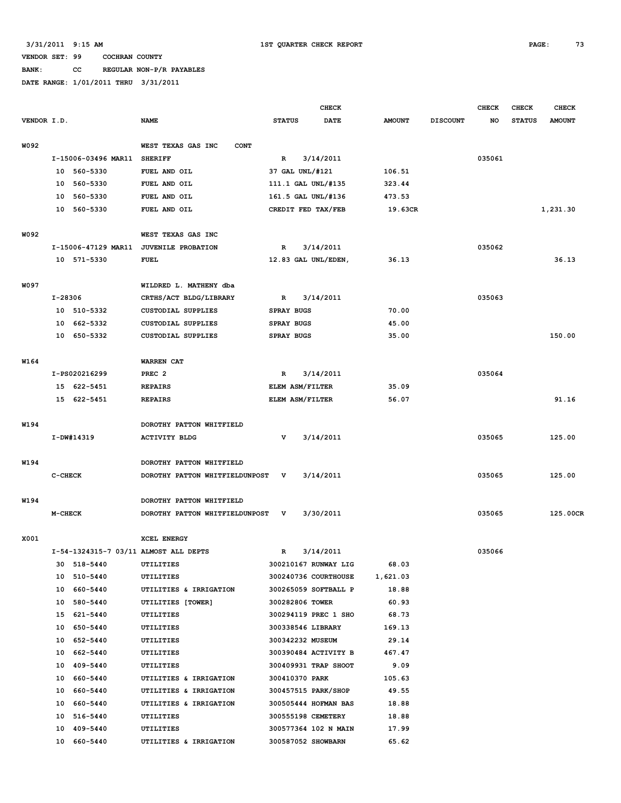**BANK: CC REGULAR NON-P/R PAYABLES**

|             |            |                     |                                        |                   | <b>CHECK</b>         |               |                 | <b>CHECK</b> | <b>CHECK</b>  | <b>CHECK</b>  |
|-------------|------------|---------------------|----------------------------------------|-------------------|----------------------|---------------|-----------------|--------------|---------------|---------------|
| VENDOR I.D. |            |                     | <b>NAME</b>                            | <b>STATUS</b>     | DATE                 | <b>AMOUNT</b> | <b>DISCOUNT</b> | NO.          | <b>STATUS</b> | <b>AMOUNT</b> |
| W092        |            |                     | WEST TEXAS GAS INC<br><b>CONT</b>      |                   |                      |               |                 |              |               |               |
|             |            | I-15006-03496 MAR11 | <b>SHERIFF</b>                         | $\mathbb{R}$      | 3/14/2011            |               |                 | 035061       |               |               |
|             |            | 10 560-5330         | FUEL AND OIL                           | 37 GAL UNL/#121   |                      | 106.51        |                 |              |               |               |
|             | 10         | 560-5330            | FUEL AND OIL                           |                   | 111.1 GAL UNL/#135   | 323.44        |                 |              |               |               |
|             | 10         | 560-5330            | FUEL AND OIL                           |                   | 161.5 GAL UNL/#136   | 473.53        |                 |              |               |               |
|             | 10         | 560-5330            | FUEL AND OIL                           |                   | CREDIT FED TAX/FEB   | 19.63CR       |                 |              |               | 1,231.30      |
| W092        |            |                     | WEST TEXAS GAS INC                     |                   |                      |               |                 |              |               |               |
|             |            |                     | I-15006-47129 MAR11 JUVENILE PROBATION | $\mathbf R$       | 3/14/2011            |               |                 | 035062       |               |               |
|             |            | 10 571-5330         | FUEL                                   |                   | 12.83 GAL UNL/EDEN,  | 36.13         |                 |              |               | 36.13         |
| W097        |            |                     | WILDRED L. MATHENY dba                 |                   |                      |               |                 |              |               |               |
|             | I-28306    |                     | CRTHS/ACT BLDG/LIBRARY                 | R                 | 3/14/2011            |               |                 | 035063       |               |               |
|             | 10         | 510-5332            | <b>CUSTODIAL SUPPLIES</b>              | <b>SPRAY BUGS</b> |                      | 70.00         |                 |              |               |               |
|             | 10         | 662-5332            | <b>CUSTODIAL SUPPLIES</b>              | <b>SPRAY BUGS</b> |                      | 45.00         |                 |              |               |               |
|             |            | 10 650-5332         | <b>CUSTODIAL SUPPLIES</b>              | <b>SPRAY BUGS</b> |                      | 35.00         |                 |              |               | 150.00        |
| W164        |            |                     | <b>WARREN CAT</b>                      |                   |                      |               |                 |              |               |               |
|             |            | I-PS020216299       | PREC <sub>2</sub>                      | R                 | 3/14/2011            |               |                 | 035064       |               |               |
|             |            | 15 622-5451         | <b>REPAIRS</b>                         | ELEM ASM/FILTER   |                      | 35.09         |                 |              |               |               |
|             |            | 15 622-5451         | <b>REPAIRS</b>                         | ELEM ASM/FILTER   |                      | 56.07         |                 |              |               | 91.16         |
| W194        |            |                     | DOROTHY PATTON WHITFIELD               |                   |                      |               |                 |              |               |               |
|             | I-DW#14319 |                     | <b>ACTIVITY BLDG</b>                   | v                 | 3/14/2011            |               |                 | 035065       |               | 125.00        |
| W194        |            |                     | DOROTHY PATTON WHITFIELD               |                   |                      |               |                 |              |               |               |
|             | C-CHECK    |                     | DOROTHY PATTON WHITFIELDUNPOST         | v                 | 3/14/2011            |               |                 | 035065       |               | 125.00        |
| W194        |            |                     | DOROTHY PATTON WHITFIELD               |                   |                      |               |                 |              |               |               |
|             | M-CHECK    |                     | DOROTHY PATTON WHITFIELDUNPOST         | v                 | 3/30/2011            |               |                 | 035065       |               | 125.00CR      |
| X001        |            |                     | <b>XCEL ENERGY</b>                     |                   |                      |               |                 |              |               |               |
|             |            |                     | I-54-1324315-7 03/11 ALMOST ALL DEPTS  | R                 | 3/14/2011            |               |                 | 035066       |               |               |
|             |            | 30 518-5440         | UTILITIES                              |                   | 300210167 RUNWAY LIG | 68.03         |                 |              |               |               |
|             |            | 10 510-5440         | UTILITIES                              |                   | 300240736 COURTHOUSE | 1,621.03      |                 |              |               |               |
|             |            | 10 660-5440         | UTILITIES & IRRIGATION                 |                   | 300265059 SOFTBALL P | 18.88         |                 |              |               |               |
|             |            | 10 580-5440         | UTILITIES [TOWER]                      | 300282806 TOWER   |                      | 60.93         |                 |              |               |               |
|             |            | 15 621-5440         | <b>UTILITIES</b>                       |                   | 300294119 PREC 1 SHO | 68.73         |                 |              |               |               |
|             |            | 10 650-5440         | UTILITIES                              |                   | 300338546 LIBRARY    | 169.13        |                 |              |               |               |
|             |            | 10 652-5440         | <b>UTILITIES</b>                       |                   | 300342232 MUSEUM     | 29.14         |                 |              |               |               |
|             |            | 10 662-5440         | UTILITIES                              |                   | 300390484 ACTIVITY B | 467.47        |                 |              |               |               |
|             |            | 10 409-5440         | UTILITIES                              |                   | 300409931 TRAP SHOOT | 9.09          |                 |              |               |               |
|             |            | 10 660-5440         | UTILITIES & IRRIGATION                 | 300410370 PARK    |                      | 105.63        |                 |              |               |               |
|             |            | 10 660-5440         | UTILITIES & IRRIGATION                 |                   | 300457515 PARK/SHOP  | 49.55         |                 |              |               |               |
|             |            | 10 660-5440         | UTILITIES & IRRIGATION                 |                   | 300505444 HOFMAN BAS | 18.88         |                 |              |               |               |
|             |            | 10 516-5440         | UTILITIES                              |                   | 300555198 CEMETERY   | 18.88         |                 |              |               |               |
|             |            | 10 409-5440         | UTILITIES                              |                   | 300577364 102 N MAIN | 17.99         |                 |              |               |               |
|             |            | 10 660-5440         | UTILITIES & IRRIGATION                 |                   | 300587052 SHOWBARN   | 65.62         |                 |              |               |               |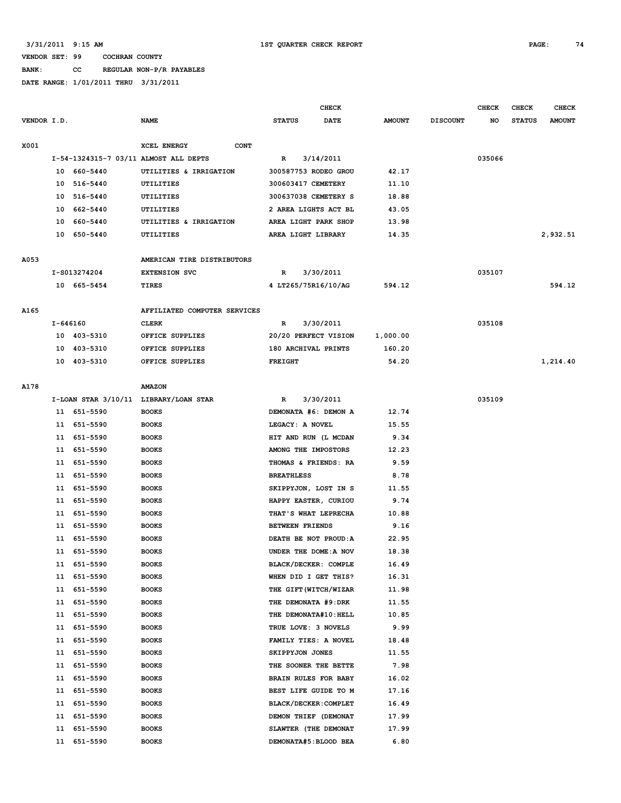### **BANK: CC REGULAR NON-P/R PAYABLES**

|             |          |              |                                       | CHECK                  |                       |               |                 | <b>CHECK</b> | <b>CHECK</b>  | <b>CHECK</b>  |
|-------------|----------|--------------|---------------------------------------|------------------------|-----------------------|---------------|-----------------|--------------|---------------|---------------|
| VENDOR I.D. |          |              | <b>NAME</b>                           | <b>STATUS</b>          | <b>DATE</b>           | <b>AMOUNT</b> | <b>DISCOUNT</b> | NO           | <b>STATUS</b> | <b>AMOUNT</b> |
| X001        |          |              | XCEL ENERGY<br><b>CONT</b>            |                        |                       |               |                 |              |               |               |
|             |          |              | I-54-1324315-7 03/11 ALMOST ALL DEPTS | R                      | 3/14/2011             |               |                 | 035066       |               |               |
|             |          | 10 660-5440  | UTILITIES & IRRIGATION                | 300587753 RODEO GROU   |                       | 42.17         |                 |              |               |               |
|             |          | 10 516-5440  | UTILITIES                             | 300603417 CEMETERY     |                       | 11.10         |                 |              |               |               |
|             | 10       | 516-5440     | UTILITIES                             | 300637038 CEMETERY S   |                       | 18.88         |                 |              |               |               |
|             | 10       | 662-5440     | UTILITIES                             | 2 AREA LIGHTS ACT BL   |                       | 43.05         |                 |              |               |               |
|             | 10       | 660-5440     | UTILITIES & IRRIGATION                | AREA LIGHT PARK SHOP   |                       | 13.98         |                 |              |               |               |
|             |          | 10 650-5440  | UTILITIES                             | AREA LIGHT LIBRARY     |                       | 14.35         |                 |              |               | 2,932.51      |
| A053        |          |              | AMERICAN TIRE DISTRIBUTORS            |                        |                       |               |                 |              |               |               |
|             |          | I-S013274204 | <b>EXTENSION SVC</b>                  | R                      | 3/30/2011             |               |                 | 035107       |               |               |
|             |          | 10 665-5454  | TIRES                                 | 4 LT265/75R16/10/AG    |                       | 594.12        |                 |              |               | 594.12        |
|             |          |              |                                       |                        |                       |               |                 |              |               |               |
| A165        |          |              | AFFILIATED COMPUTER SERVICES          |                        |                       |               |                 |              |               |               |
|             | I-646160 |              | <b>CLERK</b>                          | R                      | 3/30/2011             |               |                 | 035108       |               |               |
|             |          | 10 403-5310  | OFFICE SUPPLIES                       | 20/20 PERFECT VISION   |                       | 1,000.00      |                 |              |               |               |
|             | 10       | 403-5310     | OFFICE SUPPLIES                       | 180 ARCHIVAL PRINTS    |                       | 160.20        |                 |              |               |               |
|             |          | 10 403-5310  | OFFICE SUPPLIES                       | <b>FREIGHT</b>         |                       | 54.20         |                 |              |               | 1,214.40      |
| A178        |          |              | <b>AMAZON</b>                         |                        |                       |               |                 |              |               |               |
|             |          |              | I-LOAN STAR 3/10/11 LIBRARY/LOAN STAR | R                      | 3/30/2011             |               |                 | 035109       |               |               |
|             |          | 11 651-5590  | <b>BOOKS</b>                          | DEMONATA #6: DEMON A   |                       | 12.74         |                 |              |               |               |
|             |          | 11 651-5590  | <b>BOOKS</b>                          | LEGACY: A NOVEL        |                       | 15.55         |                 |              |               |               |
|             |          | 11 651-5590  | <b>BOOKS</b>                          | HIT AND RUN (L MCDAN   |                       | 9.34          |                 |              |               |               |
|             |          | 11 651-5590  | <b>BOOKS</b>                          | AMONG THE IMPOSTORS    |                       | 12.23         |                 |              |               |               |
|             |          | 11 651-5590  | <b>BOOKS</b>                          | THOMAS & FRIENDS: RA   |                       | 9.59          |                 |              |               |               |
|             | 11       | 651-5590     | <b>BOOKS</b>                          | <b>BREATHLESS</b>      |                       | 8.78          |                 |              |               |               |
|             | 11       | 651-5590     | <b>BOOKS</b>                          | SKIPPYJON, LOST IN S   |                       | 11.55         |                 |              |               |               |
|             |          | 11 651-5590  | <b>BOOKS</b>                          | HAPPY EASTER, CURIOU   |                       | 9.74          |                 |              |               |               |
|             | 11       | 651-5590     | <b>BOOKS</b>                          | THAT'S WHAT LEPRECHA   |                       | 10.88         |                 |              |               |               |
|             | 11       | 651-5590     | <b>BOOKS</b>                          | <b>BETWEEN FRIENDS</b> |                       | 9.16          |                 |              |               |               |
|             | 11       | 651-5590     |                                       | DEATH BE NOT PROUD: A  |                       | 22.95         |                 |              |               |               |
|             |          |              | <b>BOOKS</b>                          |                        |                       |               |                 |              |               |               |
|             |          | 11 651-5590  | <b>BOOKS</b>                          | UNDER THE DOME: A NOV  |                       | 18.38         |                 |              |               |               |
|             |          | 11 651-5590  | <b>BOOKS</b>                          | BLACK/DECKER: COMPLE   |                       | 16.49         |                 |              |               |               |
|             |          | 11 651-5590  | <b>BOOKS</b>                          | WHEN DID I GET THIS?   |                       | 16.31         |                 |              |               |               |
|             | 11       | 651-5590     | <b>BOOKS</b>                          |                        | THE GIFT (WITCH/WIZAR | 11.98         |                 |              |               |               |
|             | 11       | 651-5590     | <b>BOOKS</b>                          | THE DEMONATA #9:DRK    |                       | 11.55         |                 |              |               |               |
|             | 11       | 651-5590     | <b>BOOKS</b>                          | THE DEMONATA#10: HELL  |                       | 10.85         |                 |              |               |               |
|             | 11       | 651-5590     | <b>BOOKS</b>                          | TRUE LOVE: 3 NOVELS    |                       | 9.99          |                 |              |               |               |
|             | 11       | 651-5590     | <b>BOOKS</b>                          | FAMILY TIES: A NOVEL   |                       | 18.48         |                 |              |               |               |
|             | 11       | 651-5590     | <b>BOOKS</b>                          | SKIPPYJON JONES        |                       | 11.55         |                 |              |               |               |
|             | 11       | 651-5590     | <b>BOOKS</b>                          | THE SOONER THE BETTE   |                       | 7.98          |                 |              |               |               |
|             | 11       | 651-5590     | <b>BOOKS</b>                          | BRAIN RULES FOR BABY   |                       | 16.02         |                 |              |               |               |
|             | 11       | 651-5590     | <b>BOOKS</b>                          | BEST LIFE GUIDE TO M   |                       | 17.16         |                 |              |               |               |
|             | 11       | 651-5590     | <b>BOOKS</b>                          | BLACK/DECKER: COMPLET  |                       | 16.49         |                 |              |               |               |
|             | 11       | 651-5590     | <b>BOOKS</b>                          | DEMON THIEF (DEMONAT   |                       | 17.99         |                 |              |               |               |
|             | 11       | 651-5590     | <b>BOOKS</b>                          | SLAWTER (THE DEMONAT   |                       | 17.99         |                 |              |               |               |
|             | 11       | 651-5590     | <b>BOOKS</b>                          | DEMONATA#5: BLOOD BEA  |                       | 6.80          |                 |              |               |               |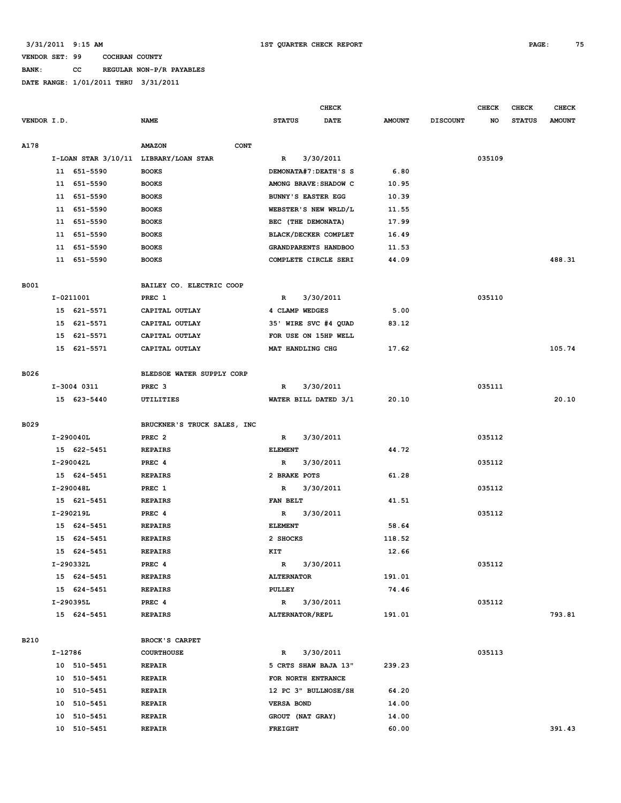# **BANK: CC REGULAR NON-P/R PAYABLES**

|             |         |                          | <b>CHECK</b>                          |                           |                       |               | <b>CHECK</b>    | <b>CHECK</b> | <b>CHECK</b>  |               |
|-------------|---------|--------------------------|---------------------------------------|---------------------------|-----------------------|---------------|-----------------|--------------|---------------|---------------|
| VENDOR I.D. |         |                          | <b>NAME</b>                           | <b>STATUS</b>             | <b>DATE</b>           | <b>AMOUNT</b> | <b>DISCOUNT</b> | NO           | <b>STATUS</b> | <b>AMOUNT</b> |
|             |         |                          |                                       |                           |                       |               |                 |              |               |               |
| A178        |         |                          | <b>AMAZON</b><br><b>CONT</b>          |                           |                       |               |                 |              |               |               |
|             |         |                          | I-LOAN STAR 3/10/11 LIBRARY/LOAN STAR | R                         | 3/30/2011             |               |                 | 035109       |               |               |
|             |         | 11 651-5590              | <b>BOOKS</b>                          |                           | DEMONATA#7: DEATH'S S | 6.80          |                 |              |               |               |
|             |         | 11 651-5590              | <b>BOOKS</b>                          |                           | AMONG BRAVE: SHADOW C | 10.95         |                 |              |               |               |
|             |         | 11 651-5590              | <b>BOOKS</b>                          | <b>BUNNY'S EASTER EGG</b> |                       | 10.39         |                 |              |               |               |
|             |         | 11 651-5590              | <b>BOOKS</b>                          |                           | WEBSTER'S NEW WRLD/L  | 11.55         |                 |              |               |               |
|             |         | 11 651-5590              | <b>BOOKS</b>                          | BEC (THE DEMONATA)        |                       | 17.99         |                 |              |               |               |
|             |         | 11 651-5590              | <b>BOOKS</b>                          |                           | BLACK/DECKER COMPLET  | 16.49         |                 |              |               |               |
|             |         | 11 651-5590              | <b>BOOKS</b>                          |                           | GRANDPARENTS HANDBOO  | 11.53         |                 |              |               |               |
|             |         | 11 651-5590              | <b>BOOKS</b>                          |                           | COMPLETE CIRCLE SERI  | 44.09         |                 |              |               | 488.31        |
| <b>B001</b> |         |                          | BAILEY CO. ELECTRIC COOP              |                           |                       |               |                 |              |               |               |
|             |         | I-0211001                | PREC 1                                | R                         | 3/30/2011             |               |                 | 035110       |               |               |
|             |         | 15 621-5571              | CAPITAL OUTLAY                        | 4 CLAMP WEDGES            |                       | 5.00          |                 |              |               |               |
|             |         | 15 621-5571              | CAPITAL OUTLAY                        |                           | 35' WIRE SVC #4 QUAD  | 83.12         |                 |              |               |               |
|             |         | 15 621-5571              | CAPITAL OUTLAY                        | FOR USE ON 15HP WELL      |                       |               |                 |              |               |               |
|             |         | 15 621-5571              | CAPITAL OUTLAY                        | MAT HANDLING CHG          |                       | 17.62         |                 |              |               | 105.74        |
|             |         |                          |                                       |                           |                       |               |                 |              |               |               |
| B026        |         |                          | BLEDSOE WATER SUPPLY CORP             |                           |                       |               |                 |              |               |               |
|             |         | I-3004 0311              | PREC <sub>3</sub>                     | R                         | 3/30/2011             |               |                 | 035111       |               |               |
|             |         | 15 623-5440              | UTILITIES                             |                           | WATER BILL DATED 3/1  | 20.10         |                 |              |               | 20.10         |
|             |         |                          |                                       |                           |                       |               |                 |              |               |               |
| B029        |         |                          | BRUCKNER'S TRUCK SALES, INC           |                           |                       |               |                 |              |               |               |
|             |         | I-290040L                | PREC <sub>2</sub>                     | R                         | 3/30/2011             |               |                 | 035112       |               |               |
|             |         | 15 622-5451              | <b>REPAIRS</b>                        | <b>ELEMENT</b>            |                       | 44.72         |                 |              |               |               |
|             |         | I-290042L                | PREC 4                                | R                         | 3/30/2011             |               |                 | 035112       |               |               |
|             |         | 15 624-5451              | <b>REPAIRS</b>                        | 2 BRAKE POTS              |                       | 61.28         |                 |              |               |               |
|             |         | I-290048L                | PREC 1                                | R<br>FAN BELT             | 3/30/2011             | 41.51         |                 | 035112       |               |               |
|             |         | 15 621-5451<br>I-290219L | <b>REPAIRS</b><br>PREC 4              | R                         | 3/30/2011             |               |                 | 035112       |               |               |
|             |         | 15 624-5451              | <b>REPAIRS</b>                        | <b>ELEMENT</b>            |                       | 58.64         |                 |              |               |               |
|             |         | 15 624-5451              | <b>REPAIRS</b>                        | 2 SHOCKS                  |                       | 118.52        |                 |              |               |               |
|             |         | 15 624-5451              | <b>REPAIRS</b>                        | KIT                       |                       | 12.66         |                 |              |               |               |
|             |         | I-290332L                | PREC 4                                | R                         | 3/30/2011             |               |                 | 035112       |               |               |
|             |         | 15 624-5451              | <b>REPAIRS</b>                        | <b>ALTERNATOR</b>         |                       | 191.01        |                 |              |               |               |
|             |         | 15 624-5451              | <b>REPAIRS</b>                        | PULLEY                    |                       | 74.46         |                 |              |               |               |
|             |         | I-290395L                | PREC 4                                | $\mathbb{R}$              | 3/30/2011             |               |                 | 035112       |               |               |
|             |         | 15 624-5451              | <b>REPAIRS</b>                        | ALTERNATOR/REPL           |                       | 191.01        |                 |              |               | 793.81        |
|             |         |                          |                                       |                           |                       |               |                 |              |               |               |
| B210        |         |                          | BROCK'S CARPET                        |                           |                       |               |                 |              |               |               |
|             | I-12786 |                          | <b>COURTHOUSE</b>                     | R                         | 3/30/2011             |               |                 | 035113       |               |               |
|             |         | 10 510-5451              | REPAIR                                |                           | 5 CRTS SHAW BAJA 13"  | 239.23        |                 |              |               |               |
|             |         | 10 510-5451              | REPAIR                                | FOR NORTH ENTRANCE        |                       |               |                 |              |               |               |
|             |         | 10 510-5451              | REPAIR                                |                           | 12 PC 3" BULLNOSE/SH  | 64.20         |                 |              |               |               |
|             |         | 10 510-5451              | <b>REPAIR</b>                         | <b>VERSA BOND</b>         |                       | 14.00         |                 |              |               |               |
|             |         | 10 510-5451              | <b>REPAIR</b>                         | GROUT (NAT GRAY)          |                       | 14.00         |                 |              |               |               |
|             |         | 10 510-5451              | <b>REPAIR</b>                         | FREIGHT                   |                       | 60.00         |                 |              |               | 391.43        |
|             |         |                          |                                       |                           |                       |               |                 |              |               |               |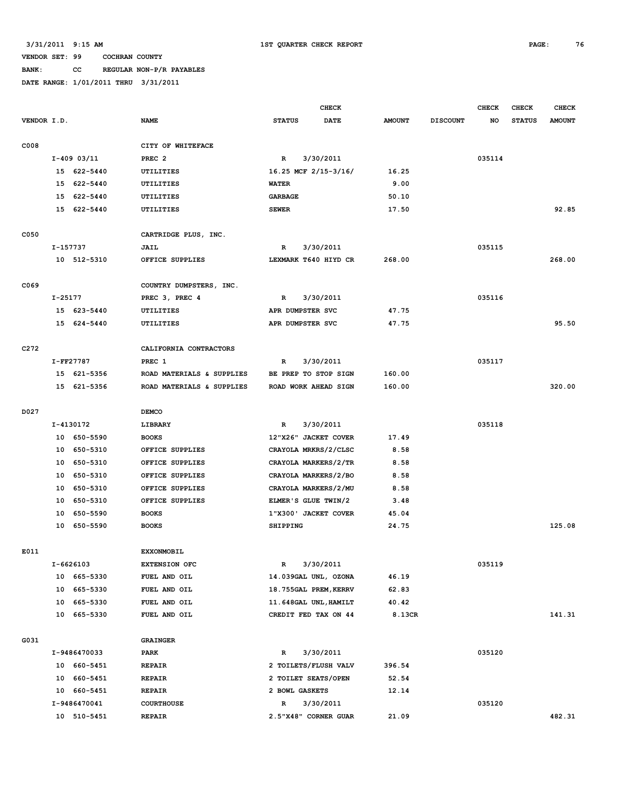## **BANK: CC REGULAR NON-P/R PAYABLES**

|                  |          |               |                           |                       | CHECK       |               |                 | <b>CHECK</b> | <b>CHECK</b>  | <b>CHECK</b>  |
|------------------|----------|---------------|---------------------------|-----------------------|-------------|---------------|-----------------|--------------|---------------|---------------|
| VENDOR I.D.      |          |               | <b>NAME</b>               | <b>STATUS</b>         | <b>DATE</b> | <b>AMOUNT</b> | <b>DISCOUNT</b> | NO           | <b>STATUS</b> | <b>AMOUNT</b> |
| C008             |          |               | CITY OF WHITEFACE         |                       |             |               |                 |              |               |               |
|                  |          | $I-409$ 03/11 | PREC <sub>2</sub>         | R                     | 3/30/2011   |               |                 | 035114       |               |               |
|                  |          | 15 622-5440   | UTILITIES                 | 16.25 MCF 2/15-3/16/  |             | 16.25         |                 |              |               |               |
|                  | 15       | 622-5440      | UTILITIES                 | <b>WATER</b>          |             | 9.00          |                 |              |               |               |
|                  | 15       | 622-5440      | UTILITIES                 | <b>GARBAGE</b>        |             | 50.10         |                 |              |               |               |
|                  |          | 15 622-5440   | UTILITIES                 | <b>SEWER</b>          |             | 17.50         |                 |              |               | 92.85         |
|                  |          |               |                           |                       |             |               |                 |              |               |               |
| C050             |          |               | CARTRIDGE PLUS, INC.      |                       |             |               |                 |              |               |               |
|                  | I-157737 |               | JAIL                      | $\mathbb{R}$          | 3/30/2011   |               |                 | 035115       |               |               |
|                  |          | 10 512-5310   | OFFICE SUPPLIES           | LEXMARK T640 HIYD CR  |             | 268.00        |                 |              |               | 268.00        |
| C069             |          |               | COUNTRY DUMPSTERS, INC.   |                       |             |               |                 |              |               |               |
|                  | I-25177  |               | PREC 3, PREC 4            | R                     | 3/30/2011   |               |                 | 035116       |               |               |
|                  |          | 15 623-5440   | UTILITIES                 | APR DUMPSTER SVC      |             | 47.75         |                 |              |               |               |
|                  |          | 15 624-5440   | UTILITIES                 | APR DUMPSTER SVC      |             | 47.75         |                 |              |               | 95.50         |
|                  |          |               |                           |                       |             |               |                 |              |               |               |
| C <sub>272</sub> |          |               | CALIFORNIA CONTRACTORS    |                       |             |               |                 |              |               |               |
|                  |          | I-FF27787     | PREC 1                    | R                     | 3/30/2011   |               |                 | 035117       |               |               |
|                  |          | 15 621-5356   | ROAD MATERIALS & SUPPLIES | BE PREP TO STOP SIGN  |             | 160.00        |                 |              |               |               |
|                  |          | 15 621-5356   | ROAD MATERIALS & SUPPLIES | ROAD WORK AHEAD SIGN  |             | 160.00        |                 |              |               | 320.00        |
| D027             |          |               | <b>DEMCO</b>              |                       |             |               |                 |              |               |               |
|                  |          | I-4130172     | LIBRARY                   | R                     | 3/30/2011   |               |                 | 035118       |               |               |
|                  |          | 10 650-5590   | <b>BOOKS</b>              | 12"X26" JACKET COVER  |             | 17.49         |                 |              |               |               |
|                  | 10       | 650-5310      | OFFICE SUPPLIES           | CRAYOLA MRKRS/2/CLSC  |             | 8.58          |                 |              |               |               |
|                  | 10       | 650-5310      | OFFICE SUPPLIES           | CRAYOLA MARKERS/2/TR  |             | 8.58          |                 |              |               |               |
|                  | 10       | 650-5310      | OFFICE SUPPLIES           | CRAYOLA MARKERS/2/BO  |             | 8.58          |                 |              |               |               |
|                  | 10       | 650-5310      | OFFICE SUPPLIES           | CRAYOLA MARKERS/2/MU  |             | 8.58          |                 |              |               |               |
|                  | 10       | 650-5310      | OFFICE SUPPLIES           | ELMER'S GLUE TWIN/2   |             | 3.48          |                 |              |               |               |
|                  | 10       | 650-5590      | <b>BOOKS</b>              | 1"X300' JACKET COVER  |             | 45.04         |                 |              |               |               |
|                  | 10       | 650-5590      | <b>BOOKS</b>              | <b>SHIPPING</b>       |             | 24.75         |                 |              |               | 125.08        |
| E011             |          |               | <b>EXXONMOBIL</b>         |                       |             |               |                 |              |               |               |
|                  |          | I-6626103     | <b>EXTENSION OFC</b>      | R                     | 3/30/2011   |               |                 | 035119       |               |               |
|                  |          | 10 665-5330   | FUEL AND OIL              | 14.039GAL UNL, OZONA  |             | 46.19         |                 |              |               |               |
|                  |          | 10 665-5330   | FUEL AND OIL              | 18.755GAL PREM, KERRV |             | 62.83         |                 |              |               |               |
|                  |          | 10 665-5330   | FUEL AND OIL              | 11.648GAL UNL, HAMILT |             | 40.42         |                 |              |               |               |
|                  |          | 10 665-5330   | FUEL AND OIL              | CREDIT FED TAX ON 44  |             | 8.13CR        |                 |              |               | 141.31        |
|                  |          |               |                           |                       |             |               |                 |              |               |               |
| G031             |          |               | <b>GRAINGER</b>           |                       |             |               |                 |              |               |               |
|                  |          | I-9486470033  | PARK                      | R                     | 3/30/2011   |               |                 | 035120       |               |               |
|                  |          | 10 660-5451   | <b>REPAIR</b>             | 2 TOILETS/FLUSH VALV  |             | 396.54        |                 |              |               |               |
|                  |          | 10 660-5451   | <b>REPAIR</b>             | 2 TOILET SEATS/OPEN   |             | 52.54         |                 |              |               |               |
|                  |          | 10 660-5451   | <b>REPAIR</b>             | 2 BOWL GASKETS        |             | 12.14         |                 |              |               |               |
|                  |          | I-9486470041  | <b>COURTHOUSE</b>         | R                     | 3/30/2011   |               |                 | 035120       |               |               |
|                  |          | 10 510-5451   | <b>REPAIR</b>             | 2.5"X48" CORNER GUAR  |             | 21.09         |                 |              |               | 482.31        |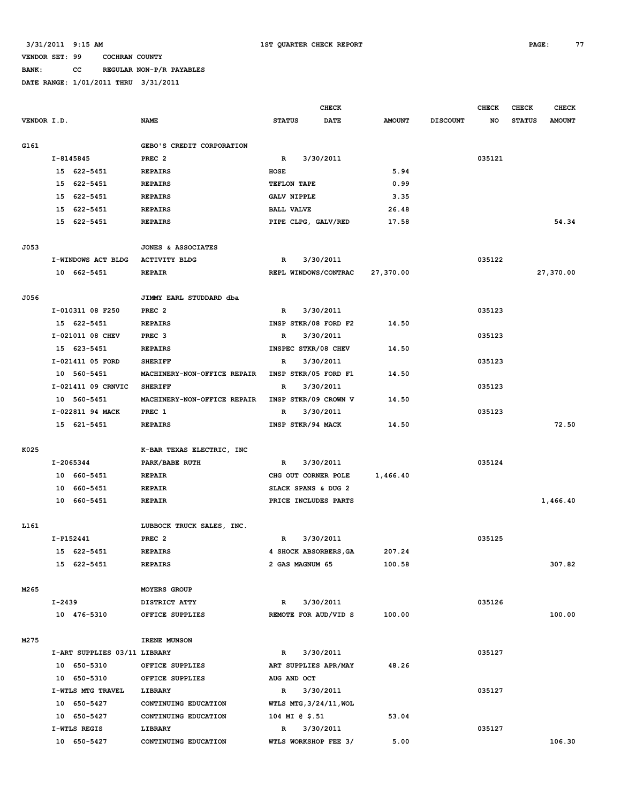# **BANK: CC REGULAR NON-P/R PAYABLES**

|             |                              |                             | <b>CHECK</b>                         |               |                 | <b>CHECK</b> | <b>CHECK</b>  | <b>CHECK</b>  |
|-------------|------------------------------|-----------------------------|--------------------------------------|---------------|-----------------|--------------|---------------|---------------|
| VENDOR I.D. |                              | <b>NAME</b>                 | <b>STATUS</b><br><b>DATE</b>         | <b>AMOUNT</b> | <b>DISCOUNT</b> | NO           | <b>STATUS</b> | <b>AMOUNT</b> |
| G161        |                              | GEBO'S CREDIT CORPORATION   |                                      |               |                 |              |               |               |
|             | I-8145845                    | PREC <sub>2</sub>           | 3/30/2011<br>$\mathbb{R}$            |               |                 | 035121       |               |               |
|             | 15 622-5451                  | <b>REPAIRS</b>              | HOSE                                 | 5.94          |                 |              |               |               |
|             | 15<br>622-5451               | <b>REPAIRS</b>              | TEFLON TAPE                          | 0.99          |                 |              |               |               |
|             | 15 622-5451                  | <b>REPAIRS</b>              | <b>GALV NIPPLE</b>                   | 3.35          |                 |              |               |               |
|             | 15 622-5451                  | <b>REPAIRS</b>              | <b>BALL VALVE</b>                    | 26.48         |                 |              |               |               |
|             | 15 622-5451                  | <b>REPAIRS</b>              | PIPE CLPG, GALV/RED                  | 17.58         |                 |              |               | 54.34         |
|             |                              |                             |                                      |               |                 |              |               |               |
| J053        |                              | JONES & ASSOCIATES          |                                      |               |                 |              |               |               |
|             | I-WINDOWS ACT BLDG           | <b>ACTIVITY BLDG</b>        | 3/30/2011<br>$\mathbb{R}$            |               |                 | 035122       |               |               |
|             | 10 662-5451                  | <b>REPAIR</b>               | REPL WINDOWS/CONTRAC                 | 27,370.00     |                 |              |               | 27,370.00     |
| J056        |                              | JIMMY EARL STUDDARD dba     |                                      |               |                 |              |               |               |
|             | I-010311 08 F250             | PREC <sub>2</sub>           | 3/30/2011<br>R                       |               |                 | 035123       |               |               |
|             | 15 622-5451                  | <b>REPAIRS</b>              | INSP STKR/08 FORD F2                 | 14.50         |                 |              |               |               |
|             | I-021011 08 CHEV             | PREC <sub>3</sub>           | 3/30/2011<br>$\mathbb{R}$            |               |                 | 035123       |               |               |
|             | 15 623-5451                  | <b>REPAIRS</b>              | INSPEC STKR/08 CHEV                  | 14.50         |                 |              |               |               |
|             | I-021411 05 FORD             | <b>SHERIFF</b>              | 3/30/2011<br>R                       |               |                 | 035123       |               |               |
|             | 10 560-5451                  | MACHINERY-NON-OFFICE REPAIR | INSP STKR/05 FORD F1                 | 14.50         |                 |              |               |               |
|             | I-021411 09 CRNVIC           | <b>SHERIFF</b>              | 3/30/2011<br>$\mathbb{R}$            |               |                 | 035123       |               |               |
|             | 10 560-5451                  | MACHINERY-NON-OFFICE REPAIR | INSP STKR/09 CROWN V                 | 14.50         |                 |              |               |               |
|             | I-022811 94 MACK             | PREC 1                      | 3/30/2011<br>$\mathbf R$             |               |                 | 035123       |               |               |
|             | 15 621-5451                  | <b>REPAIRS</b>              | INSP STKR/94 MACK                    | 14.50         |                 |              |               | 72.50         |
|             |                              |                             |                                      |               |                 |              |               |               |
| K025        |                              | K-BAR TEXAS ELECTRIC, INC   |                                      |               |                 |              |               |               |
|             | I-2065344                    | PARK/BABE RUTH              | 3/30/2011<br>R                       |               |                 | 035124       |               |               |
|             | 10 660-5451                  | <b>REPAIR</b>               | CHG OUT CORNER POLE                  | 1,466.40      |                 |              |               |               |
|             | 10 660-5451                  | <b>REPAIR</b>               | SLACK SPANS & DUG 2                  |               |                 |              |               |               |
|             | 10 660-5451                  | <b>REPAIR</b>               | PRICE INCLUDES PARTS                 |               |                 |              |               | 1,466.40      |
| L161        |                              | LUBBOCK TRUCK SALES, INC.   |                                      |               |                 |              |               |               |
|             | I-P152441                    | PREC <sub>2</sub>           | 3/30/2011<br>R                       |               |                 | 035125       |               |               |
|             | 15 622-5451                  | <b>REPAIRS</b>              | 4 SHOCK ABSORBERS, GA                | 207.24        |                 |              |               |               |
|             | 15 622-5451                  | <b>REPAIRS</b>              | 2 GAS MAGNUM 65                      | 100.58        |                 |              |               | 307.82        |
| M265        |                              | MOYERS GROUP                |                                      |               |                 |              |               |               |
|             | I-2439                       | DISTRICT ATTY               | 3/30/2011<br>$\mathbb{R}$            |               |                 | 035126       |               |               |
|             | 10 476-5310                  | OFFICE SUPPLIES             | REMOTE FOR AUD/VID S                 | 100.00        |                 |              |               | 100.00        |
| M275        |                              | IRENE MUNSON                |                                      |               |                 |              |               |               |
|             | I-ART SUPPLIES 03/11 LIBRARY |                             | 3/30/2011                            |               |                 |              |               |               |
|             | 10 650-5310                  | OFFICE SUPPLIES             | $\mathbb{R}$<br>ART SUPPLIES APR/MAY | 48.26         |                 | 035127       |               |               |
|             |                              | OFFICE SUPPLIES             |                                      |               |                 |              |               |               |
|             | 10 650-5310                  |                             | AUG AND OCT                          |               |                 |              |               |               |
|             | I-WTLS MTG TRAVEL            | LIBRARY                     | 3/30/2011<br>R                       |               |                 | 035127       |               |               |
|             | 10 650-5427                  | CONTINUING EDUCATION        | WTLS MTG, 3/24/11, WOL               |               |                 |              |               |               |
|             | 10 650-5427                  | CONTINUING EDUCATION        | 104 MI @ \$.51                       | 53.04         |                 |              |               |               |
|             | I-WTLS REGIS                 | LIBRARY                     | 3/30/2011<br>$\mathbb{R}$            |               |                 | 035127       |               |               |
|             | 10 650-5427                  | CONTINUING EDUCATION        | WTLS WORKSHOP FEE 3/                 | 5.00          |                 |              |               | 106.30        |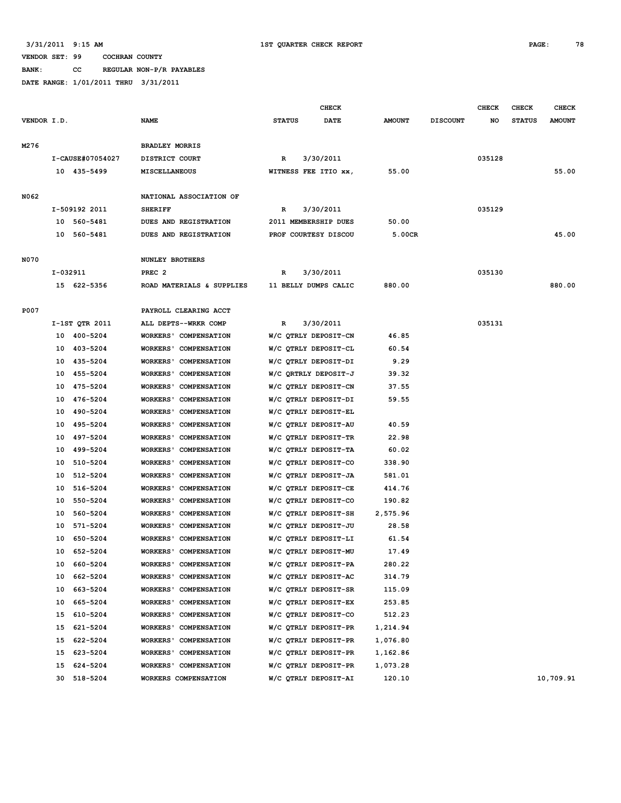**BANK: CC REGULAR NON-P/R PAYABLES**

|             |                  |                        |                              |               | CHECK                |               |                 | <b>CHECK</b> | <b>CHECK</b>  | <b>CHECK</b>  |
|-------------|------------------|------------------------|------------------------------|---------------|----------------------|---------------|-----------------|--------------|---------------|---------------|
| VENDOR I.D. |                  | <b>NAME</b>            |                              | <b>STATUS</b> | <b>DATE</b>          | <b>AMOUNT</b> | <b>DISCOUNT</b> | NO           | <b>STATUS</b> | <b>AMOUNT</b> |
|             |                  |                        |                              |               |                      |               |                 |              |               |               |
| M276        |                  | <b>BRADLEY MORRIS</b>  |                              |               |                      |               |                 |              |               |               |
|             | I-CAUSE#07054027 | DISTRICT COURT         |                              | R             | 3/30/2011            |               |                 | 035128       |               |               |
|             | 10 435-5499      | <b>MISCELLANEOUS</b>   |                              |               | WITNESS FEE ITIO xx, | 55.00         |                 |              |               | 55.00         |
|             |                  |                        |                              |               |                      |               |                 |              |               |               |
| N062        |                  |                        | NATIONAL ASSOCIATION OF      |               |                      |               |                 |              |               |               |
|             | I-509192 2011    | <b>SHERIFF</b>         |                              | R             | 3/30/2011            |               |                 | 035129       |               |               |
|             | 10 560-5481      |                        | DUES AND REGISTRATION        |               | 2011 MEMBERSHIP DUES | 50.00         |                 |              |               |               |
|             | 10 560-5481      |                        | DUES AND REGISTRATION        |               | PROF COURTESY DISCOU | 5.00CR        |                 |              |               | 45.00         |
|             |                  |                        |                              |               |                      |               |                 |              |               |               |
| N070        |                  | <b>NUNLEY BROTHERS</b> |                              |               |                      |               |                 |              |               |               |
|             | I-032911         | PREC <sub>2</sub>      |                              | R             | 3/30/2011            |               |                 | 035130       |               |               |
|             | 15 622-5356      |                        | ROAD MATERIALS & SUPPLIES    |               | 11 BELLY DUMPS CALIC | 880.00        |                 |              |               | 880.00        |
|             |                  |                        |                              |               |                      |               |                 |              |               |               |
| P007        |                  |                        | PAYROLL CLEARING ACCT        |               |                      |               |                 |              |               |               |
|             | I-1ST QTR 2011   |                        | ALL DEPTS--WRKR COMP         | R             | 3/30/2011            |               |                 | 035131       |               |               |
|             | 10 400-5204      |                        | WORKERS' COMPENSATION        |               | W/C QTRLY DEPOSIT-CN | 46.85         |                 |              |               |               |
|             | 403-5204<br>10   |                        | WORKERS' COMPENSATION        |               | W/C QTRLY DEPOSIT-CL | 60.54         |                 |              |               |               |
|             | 435-5204<br>10   |                        | WORKERS' COMPENSATION        |               | W/C QTRLY DEPOSIT-DI | 9.29          |                 |              |               |               |
|             | 455-5204<br>10   |                        | WORKERS' COMPENSATION        |               | W/C QRTRLY DEPOSIT-J | 39.32         |                 |              |               |               |
|             | 475-5204<br>10   |                        | WORKERS' COMPENSATION        |               | W/C QTRLY DEPOSIT-CN | 37.55         |                 |              |               |               |
|             | 476-5204<br>10   |                        | WORKERS' COMPENSATION        |               | W/C QTRLY DEPOSIT-DI | 59.55         |                 |              |               |               |
|             | 490-5204<br>10   |                        | WORKERS' COMPENSATION        |               | W/C QTRLY DEPOSIT-EL |               |                 |              |               |               |
|             | 495-5204<br>10   |                        | WORKERS' COMPENSATION        |               | W/C QTRLY DEPOSIT-AU | 40.59         |                 |              |               |               |
|             | 497-5204<br>10   |                        | WORKERS' COMPENSATION        |               | W/C QTRLY DEPOSIT-TR | 22.98         |                 |              |               |               |
|             | 499-5204<br>10   |                        | <b>WORKERS' COMPENSATION</b> |               | W/C QTRLY DEPOSIT-TA | 60.02         |                 |              |               |               |
|             | 10<br>510-5204   |                        | WORKERS' COMPENSATION        |               | W/C QTRLY DEPOSIT-CO | 338.90        |                 |              |               |               |
|             | 10<br>512-5204   |                        | WORKERS' COMPENSATION        |               | W/C QTRLY DEPOSIT-JA | 581.01        |                 |              |               |               |
|             | 10<br>516-5204   |                        | WORKERS' COMPENSATION        |               | W/C QTRLY DEPOSIT-CE | 414.76        |                 |              |               |               |
|             | 550-5204<br>10   |                        | WORKERS' COMPENSATION        |               | W/C QTRLY DEPOSIT-CO | 190.82        |                 |              |               |               |
|             | 560-5204<br>10   |                        | WORKERS' COMPENSATION        |               | W/C QTRLY DEPOSIT-SH | 2,575.96      |                 |              |               |               |
|             | 10<br>571-5204   |                        | WORKERS' COMPENSATION        |               | W/C QTRLY DEPOSIT-JU | 28.58         |                 |              |               |               |
|             | 650-5204<br>10   |                        | WORKERS' COMPENSATION        |               | W/C QTRLY DEPOSIT-LI | 61.54         |                 |              |               |               |
|             | 10<br>652-5204   |                        | <b>WORKERS' COMPENSATION</b> |               | W/C QTRLY DEPOSIT-MU | 17.49         |                 |              |               |               |
|             | 660-5204<br>10   |                        | WORKERS' COMPENSATION        |               | W/C QTRLY DEPOSIT-PA | 280.22        |                 |              |               |               |
|             | 662-5204<br>10   |                        | WORKERS' COMPENSATION        |               | W/C QTRLY DEPOSIT-AC | 314.79        |                 |              |               |               |
|             | 663-5204<br>10   |                        | WORKERS' COMPENSATION        |               | W/C QTRLY DEPOSIT-SR | 115.09        |                 |              |               |               |
|             | 10<br>665-5204   |                        | <b>WORKERS' COMPENSATION</b> |               | W/C QTRLY DEPOSIT-EX | 253.85        |                 |              |               |               |
|             | 610-5204<br>15   |                        | <b>WORKERS' COMPENSATION</b> |               | W/C QTRLY DEPOSIT-CO | 512.23        |                 |              |               |               |
|             | 621-5204<br>15   |                        | <b>WORKERS' COMPENSATION</b> |               | W/C QTRLY DEPOSIT-PR | 1,214.94      |                 |              |               |               |
|             | 622-5204<br>15   |                        | WORKERS' COMPENSATION        |               | W/C QTRLY DEPOSIT-PR | 1,076.80      |                 |              |               |               |
|             | 623-5204<br>15   |                        | <b>WORKERS' COMPENSATION</b> |               | W/C QTRLY DEPOSIT-PR | 1,162.86      |                 |              |               |               |
|             | 624-5204<br>15   |                        | <b>WORKERS' COMPENSATION</b> |               | W/C QTRLY DEPOSIT-PR | 1,073.28      |                 |              |               |               |
|             | 518-5204<br>30   |                        | WORKERS COMPENSATION         |               | W/C QTRLY DEPOSIT-AI | 120.10        |                 |              |               | 10,709.91     |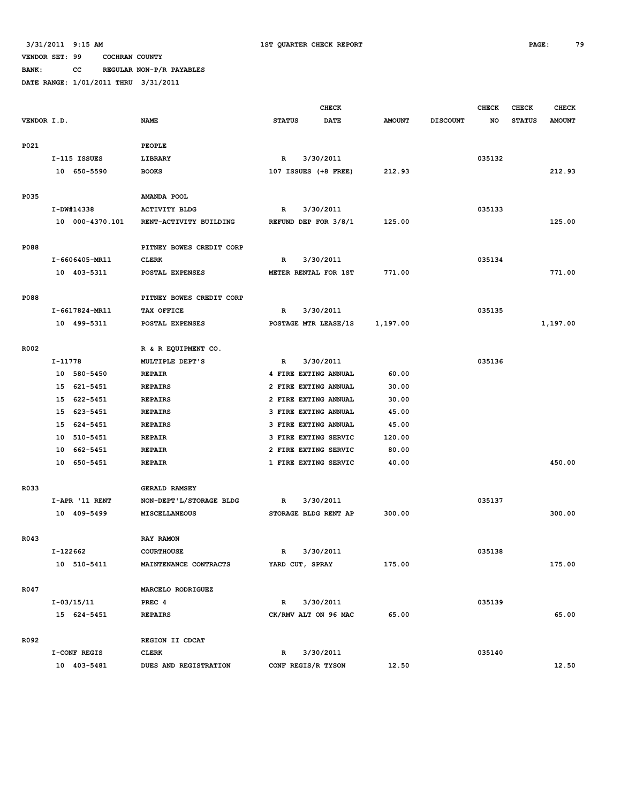**BANK: CC REGULAR NON-P/R PAYABLES**

| VENDOR I.D.<br><b>NAME</b><br><b>STATUS</b><br><b>DATE</b><br><b>AMOUNT</b><br><b>DISCOUNT</b><br>NO<br>P021<br>PEOPLE<br>3/30/2011<br>035132<br>I-115 ISSUES<br>LIBRARY<br>$\mathbb{R}$<br>10 650-5590<br>212.93<br><b>BOOKS</b><br>107 ISSUES (+8 FREE) | <b>AMOUNT</b><br><b>STATUS</b><br>212.93 |
|-----------------------------------------------------------------------------------------------------------------------------------------------------------------------------------------------------------------------------------------------------------|------------------------------------------|
|                                                                                                                                                                                                                                                           |                                          |
|                                                                                                                                                                                                                                                           |                                          |
|                                                                                                                                                                                                                                                           |                                          |
|                                                                                                                                                                                                                                                           |                                          |
|                                                                                                                                                                                                                                                           |                                          |
|                                                                                                                                                                                                                                                           |                                          |
| P035<br>AMANDA POOL                                                                                                                                                                                                                                       |                                          |
| I-DW#14338<br>3/30/2011<br>035133<br><b>ACTIVITY BLDG</b><br>R                                                                                                                                                                                            |                                          |
| 10 000-4370.101<br>REFUND DEP FOR 3/8/1<br>125.00<br>RENT-ACTIVITY BUILDING                                                                                                                                                                               | 125.00                                   |
|                                                                                                                                                                                                                                                           |                                          |
| P088<br>PITNEY BOWES CREDIT CORP                                                                                                                                                                                                                          |                                          |
| I-6606405-MR11<br><b>CLERK</b><br>3/30/2011<br>035134<br>R                                                                                                                                                                                                |                                          |
| 10 403-5311<br>POSTAL EXPENSES<br>METER RENTAL FOR 1ST<br>771.00                                                                                                                                                                                          | 771.00                                   |
|                                                                                                                                                                                                                                                           |                                          |
| P088<br>PITNEY BOWES CREDIT CORP                                                                                                                                                                                                                          |                                          |
| I-6617824-MR11<br>3/30/2011<br>035135<br>TAX OFFICE<br>R                                                                                                                                                                                                  |                                          |
| 10 499-5311<br>POSTAL EXPENSES<br>POSTAGE MTR LEASE/1S<br>1,197.00                                                                                                                                                                                        | 1,197.00                                 |
|                                                                                                                                                                                                                                                           |                                          |
| R002<br>R & R EQUIPMENT CO.                                                                                                                                                                                                                               |                                          |
| 3/30/2011<br>035136<br>$I-11778$<br>MULTIPLE DEPT'S<br>R                                                                                                                                                                                                  |                                          |
| 10 580-5450<br><b>REPAIR</b><br>4 FIRE EXTING ANNUAL<br>60.00                                                                                                                                                                                             |                                          |
| 15 621-5451<br><b>REPAIRS</b><br>2 FIRE EXTING ANNUAL<br>30.00                                                                                                                                                                                            |                                          |
| 15 622-5451<br><b>REPAIRS</b><br>2 FIRE EXTING ANNUAL<br>30.00                                                                                                                                                                                            |                                          |
| 15 623-5451<br><b>REPAIRS</b><br>3 FIRE EXTING ANNUAL<br>45.00                                                                                                                                                                                            |                                          |
| 15<br>624-5451<br><b>REPAIRS</b><br>3 FIRE EXTING ANNUAL<br>45.00                                                                                                                                                                                         |                                          |
| 510-5451<br><b>REPAIR</b><br>120.00<br>10<br>3 FIRE EXTING SERVIC                                                                                                                                                                                         |                                          |
| 10<br>662-5451<br><b>REPAIR</b><br>2 FIRE EXTING SERVIC<br>80.00                                                                                                                                                                                          |                                          |
| 10 650-5451<br><b>REPAIR</b><br>1 FIRE EXTING SERVIC<br>40.00                                                                                                                                                                                             | 450.00                                   |
|                                                                                                                                                                                                                                                           |                                          |
| R033<br><b>GERALD RAMSEY</b>                                                                                                                                                                                                                              |                                          |
| NON-DEPT'L/STORAGE BLDG<br>3/30/2011<br>035137<br>I-APR '11 RENT<br>$\mathbf R$                                                                                                                                                                           |                                          |
| 10 409-5499<br>300.00<br>MISCELLANEOUS<br>STORAGE BLDG RENT AP                                                                                                                                                                                            | 300.00                                   |
|                                                                                                                                                                                                                                                           |                                          |
| R043<br>RAY RAMON                                                                                                                                                                                                                                         |                                          |
| I-122662<br>3/30/2011<br>035138<br><b>COURTHOUSE</b><br>$\mathbf R$                                                                                                                                                                                       |                                          |
| 10 510-5411<br>YARD CUT, SPRAY<br>175.00<br>MAINTENANCE CONTRACTS                                                                                                                                                                                         | 175.00                                   |
|                                                                                                                                                                                                                                                           |                                          |
| R047<br>MARCELO RODRIGUEZ                                                                                                                                                                                                                                 |                                          |
| $I-03/15/11$<br>3/30/2011<br>PREC 4<br>$\mathbb{R}$<br>035139                                                                                                                                                                                             |                                          |
| 15 624-5451<br>CK/RMV ALT ON 96 MAC<br>65.00<br><b>REPAIRS</b>                                                                                                                                                                                            | 65.00                                    |
|                                                                                                                                                                                                                                                           |                                          |
| R092<br>REGION II CDCAT                                                                                                                                                                                                                                   |                                          |
| 3/30/2011<br>035140<br>I-CONF REGIS<br><b>CLERK</b><br>$\mathbb{R}$                                                                                                                                                                                       |                                          |
| 10 403-5481<br>CONF REGIS/R TYSON<br>12.50<br>DUES AND REGISTRATION                                                                                                                                                                                       | 12.50                                    |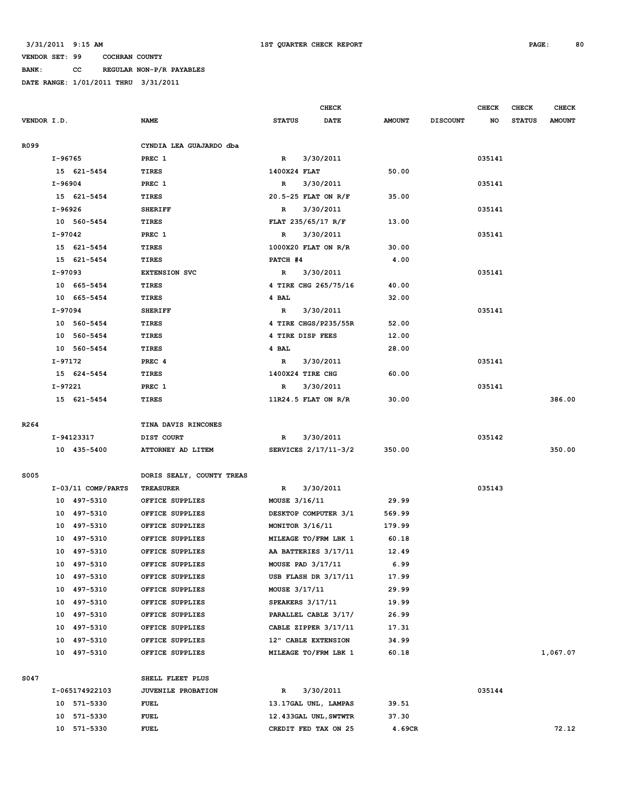**BANK: CC REGULAR NON-P/R PAYABLES**

|                  |         |                      |                           |                    | <b>CHECK</b>          |               |                 | <b>CHECK</b> | <b>CHECK</b>  | <b>CHECK</b>  |
|------------------|---------|----------------------|---------------------------|--------------------|-----------------------|---------------|-----------------|--------------|---------------|---------------|
| VENDOR I.D.      |         |                      | <b>NAME</b>               | <b>STATUS</b>      | <b>DATE</b>           | <b>AMOUNT</b> | <b>DISCOUNT</b> | NO           | <b>STATUS</b> | <b>AMOUNT</b> |
|                  |         |                      |                           |                    |                       |               |                 |              |               |               |
| R099             |         |                      | CYNDIA LEA GUAJARDO dba   |                    |                       |               |                 |              |               |               |
|                  | I-96765 |                      | PREC 1                    | R                  | 3/30/2011             |               |                 | 035141       |               |               |
|                  |         | 15 621-5454          | TIRES                     | 1400X24 FLAT       |                       | 50.00         |                 |              |               |               |
|                  | I-96904 |                      | PREC 1                    | $\mathbb{R}$       | 3/30/2011             |               |                 | 035141       |               |               |
|                  |         | 15 621-5454          | <b>TIRES</b>              |                    | 20.5-25 FLAT ON R/F   | 35.00         |                 |              |               |               |
|                  | I-96926 |                      | <b>SHERIFF</b>            | R                  | 3/30/2011             |               |                 | 035141       |               |               |
|                  |         | 10 560-5454          | TIRES                     | FLAT 235/65/17 R/F |                       | 13.00         |                 |              |               |               |
|                  | I-97042 |                      | PREC 1                    | R                  | 3/30/2011             |               |                 | 035141       |               |               |
|                  |         | 15 621-5454          | TIRES                     |                    | 1000X20 FLAT ON R/R   | 30.00         |                 |              |               |               |
|                  |         | 15 621-5454          | <b>TIRES</b>              | PATCH #4           |                       | 4.00          |                 |              |               |               |
|                  | I-97093 |                      | <b>EXTENSION SVC</b>      | $\mathbb{R}$       | 3/30/2011             |               |                 | 035141       |               |               |
|                  |         | 10 665-5454          | TIRES                     |                    | 4 TIRE CHG 265/75/16  | 40.00         |                 |              |               |               |
|                  |         | 10 665-5454          | <b>TIRES</b>              | 4 BAL              |                       | 32.00         |                 |              |               |               |
|                  | I-97094 |                      | <b>SHERIFF</b>            | R                  | 3/30/2011             |               |                 | 035141       |               |               |
|                  |         | 10 560-5454          | TIRES                     |                    | 4 TIRE CHGS/P235/55R  | 52.00         |                 |              |               |               |
|                  |         | 10 560-5454          | <b>TIRES</b>              | 4 TIRE DISP FEES   |                       | 12.00         |                 |              |               |               |
|                  |         | 10 560-5454          | TIRES                     | 4 BAL              |                       | 28.00         |                 |              |               |               |
|                  | I-97172 |                      | PREC <sub>4</sub>         | R                  | 3/30/2011             |               |                 | 035141       |               |               |
|                  |         | 15 624-5454          | <b>TIRES</b>              | 1400X24 TIRE CHG   |                       | 60.00         |                 |              |               |               |
|                  | I-97221 |                      | PREC 1                    | R                  | 3/30/2011             |               |                 | 035141       |               |               |
|                  |         | 15 621-5454          | TIRES                     |                    | $11R24.5$ FLAT ON R/R | 30.00         |                 |              |               | 386.00        |
|                  |         |                      |                           |                    |                       |               |                 |              |               |               |
| R <sub>264</sub> |         |                      | TINA DAVIS RINCONES       |                    |                       |               |                 |              |               |               |
|                  |         | I-94123317           | DIST COURT                | R                  | 3/30/2011             |               |                 | 035142       |               |               |
|                  |         | 10 435-5400          | ATTORNEY AD LITEM         |                    | SERVICES 2/17/11-3/2  | 350.00        |                 |              |               | 350.00        |
| S005             |         |                      | DORIS SEALY, COUNTY TREAS |                    |                       |               |                 |              |               |               |
|                  |         | $I-03/11$ COMP/PARTS | <b>TREASURER</b>          | R                  | 3/30/2011             |               |                 | 035143       |               |               |
|                  |         | 10 497-5310          | OFFICE SUPPLIES           | MOUSE 3/16/11      |                       | 29.99         |                 |              |               |               |
|                  |         | 10 497-5310          | OFFICE SUPPLIES           |                    | DESKTOP COMPUTER 3/1  | 569.99        |                 |              |               |               |
|                  |         | 10 497-5310          | OFFICE SUPPLIES           | MONITOR 3/16/11    |                       | 179.99        |                 |              |               |               |
|                  |         | 10 497-5310          | OFFICE SUPPLIES           |                    | MILEAGE TO/FRM LBK 1  | 60.18         |                 |              |               |               |
|                  |         | 10 497-5310          | OFFICE SUPPLIES           |                    | AA BATTERIES 3/17/11  | 12.49         |                 |              |               |               |
|                  |         | 10 497-5310          | OFFICE SUPPLIES           | MOUSE PAD 3/17/11  |                       | 6.99          |                 |              |               |               |
|                  |         | 10 497-5310          | OFFICE SUPPLIES           |                    | USB FLASH DR 3/17/11  | 17.99         |                 |              |               |               |
|                  |         | 10 497-5310          | OFFICE SUPPLIES           | MOUSE 3/17/11      |                       | 29.99         |                 |              |               |               |
|                  |         | 10 497-5310          | OFFICE SUPPLIES           | SPEAKERS 3/17/11   |                       | 19.99         |                 |              |               |               |
|                  |         | 10 497-5310          | OFFICE SUPPLIES           |                    | PARALLEL CABLE 3/17/  | 26.99         |                 |              |               |               |
|                  |         | 10 497-5310          | OFFICE SUPPLIES           |                    | CABLE ZIPPER 3/17/11  | 17.31         |                 |              |               |               |
|                  |         | 10 497-5310          | OFFICE SUPPLIES           |                    | 12" CABLE EXTENSION   | 34.99         |                 |              |               |               |
|                  |         | 10 497-5310          | OFFICE SUPPLIES           |                    | MILEAGE TO/FRM LBK 1  | 60.18         |                 |              |               | 1,067.07      |
|                  |         |                      |                           |                    |                       |               |                 |              |               |               |
| S047             |         |                      | SHELL FLEET PLUS          |                    |                       |               |                 |              |               |               |
|                  |         | I-065174922103       | JUVENILE PROBATION        | R                  | 3/30/2011             |               |                 | 035144       |               |               |
|                  |         | 10 571-5330          | <b>FUEL</b>               |                    | 13.17GAL UNL, LAMPAS  | 39.51         |                 |              |               |               |
|                  |         | 10 571-5330          | <b>FUEL</b>               |                    | 12.433GAL UNL, SWTWTR | 37.30         |                 |              |               |               |
|                  |         | 10 571-5330          | <b>FUEL</b>               |                    | CREDIT FED TAX ON 25  | 4.69CR        |                 |              |               | 72.12         |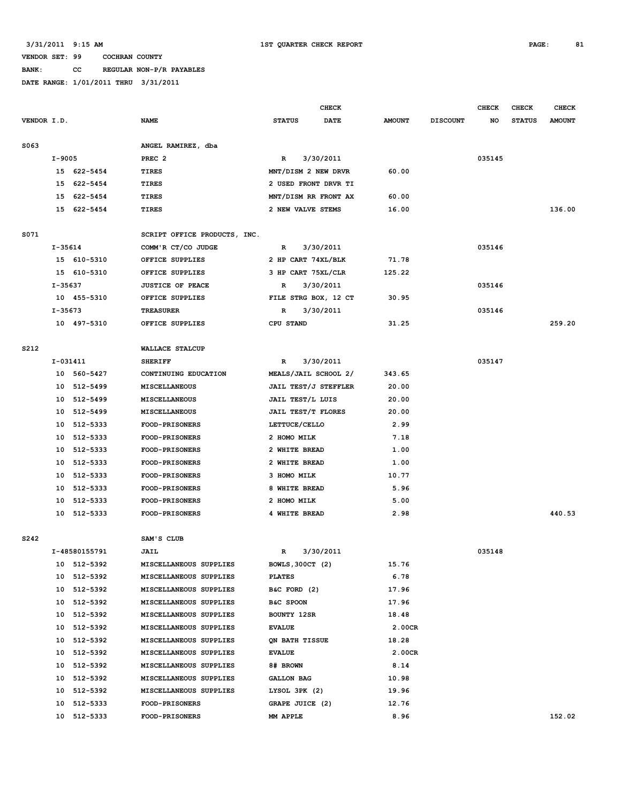## **BANK: CC REGULAR NON-P/R PAYABLES**

|             |          |                            |                                                  |                                          | <b>CHECK</b> |               |                 | <b>CHECK</b> | <b>CHECK</b>  | <b>CHECK</b>  |
|-------------|----------|----------------------------|--------------------------------------------------|------------------------------------------|--------------|---------------|-----------------|--------------|---------------|---------------|
| VENDOR I.D. |          |                            | <b>NAME</b>                                      | <b>STATUS</b>                            | DATE         | <b>AMOUNT</b> | <b>DISCOUNT</b> | NO           | <b>STATUS</b> | <b>AMOUNT</b> |
|             |          |                            |                                                  |                                          |              |               |                 |              |               |               |
| S063        |          |                            | ANGEL RAMIREZ, dba                               |                                          |              |               |                 |              |               |               |
|             | $I-9005$ |                            | PREC <sub>2</sub>                                | R                                        | 3/30/2011    |               |                 | 035145       |               |               |
|             |          | 15 622-5454                | TIRES                                            | MNT/DISM 2 NEW DRVR                      |              | 60.00         |                 |              |               |               |
|             |          | 15 622-5454                | TIRES                                            | 2 USED FRONT DRVR TI                     |              |               |                 |              |               |               |
|             |          | 15 622-5454                | TIRES                                            | MNT/DISM RR FRONT AX                     |              | 60.00         |                 |              |               |               |
|             |          | 15 622-5454                | TIRES                                            | 2 NEW VALVE STEMS                        |              | 16.00         |                 |              |               | 136.00        |
| S071        |          |                            | SCRIPT OFFICE PRODUCTS, INC.                     |                                          |              |               |                 |              |               |               |
|             | I-35614  |                            | COMM'R CT/CO JUDGE                               | R                                        | 3/30/2011    |               |                 | 035146       |               |               |
|             |          | 15 610-5310                | OFFICE SUPPLIES                                  | 2 HP CART 74XL/BLK                       |              | 71.78         |                 |              |               |               |
|             |          | 15 610-5310                | OFFICE SUPPLIES                                  | 3 HP CART 75XL/CLR                       |              | 125.22        |                 |              |               |               |
|             | I-35637  |                            | <b>JUSTICE OF PEACE</b>                          | R                                        | 3/30/2011    |               |                 | 035146       |               |               |
|             |          | 10 455-5310                | OFFICE SUPPLIES                                  | FILE STRG BOX, 12 CT                     |              | 30.95         |                 |              |               |               |
|             | I-35673  |                            | <b>TREASURER</b>                                 | R                                        | 3/30/2011    |               |                 | 035146       |               |               |
|             |          | 10 497-5310                | OFFICE SUPPLIES                                  | CPU STAND                                |              | 31.25         |                 |              |               | 259.20        |
|             |          |                            |                                                  |                                          |              |               |                 |              |               |               |
| S212        |          |                            | WALLACE STALCUP                                  |                                          |              |               |                 |              |               |               |
|             |          | I-031411                   | <b>SHERIFF</b>                                   | R                                        | 3/30/2011    |               |                 | 035147       |               |               |
|             |          | 10 560-5427                | CONTINUING EDUCATION                             | MEALS/JAIL SCHOOL 2/                     |              | 343.65        |                 |              |               |               |
|             |          | 10 512-5499                | MISCELLANEOUS                                    | <b>JAIL TEST/J STEFFLER</b>              |              | 20.00         |                 |              |               |               |
|             |          | 10 512-5499                | MISCELLANEOUS                                    | JAIL TEST/L LUIS                         |              | 20.00         |                 |              |               |               |
|             |          | 10 512-5499                | MISCELLANEOUS                                    | <b>JAIL TEST/T FLORES</b>                |              | 20.00         |                 |              |               |               |
|             |          | 10 512-5333                | <b>FOOD-PRISONERS</b>                            | LETTUCE/CELLO                            |              | 2.99          |                 |              |               |               |
|             |          | 10 512-5333                | <b>FOOD-PRISONERS</b>                            | 2 HOMO MILK                              |              | 7.18          |                 |              |               |               |
|             |          | 10 512-5333                | <b>FOOD-PRISONERS</b>                            | 2 WHITE BREAD                            |              | 1.00          |                 |              |               |               |
|             |          | 10 512-5333                | <b>FOOD-PRISONERS</b>                            | 2 WHITE BREAD                            |              | 1.00          |                 |              |               |               |
|             |          | 10 512-5333                | <b>FOOD-PRISONERS</b>                            | 3 HOMO MILK                              |              | 10.77         |                 |              |               |               |
|             |          | 10 512-5333                | <b>FOOD-PRISONERS</b>                            | 8 WHITE BREAD                            |              | 5.96          |                 |              |               |               |
|             |          | 10 512-5333                | FOOD-PRISONERS                                   | 2 HOMO MILK                              |              | 5.00          |                 |              |               |               |
|             | 10       | 512-5333                   | <b>FOOD-PRISONERS</b>                            | 4 WHITE BREAD                            |              | 2.98          |                 |              |               | 440.53        |
|             |          |                            |                                                  |                                          |              |               |                 |              |               |               |
| S242        |          |                            | SAM'S CLUB                                       |                                          |              |               |                 |              |               |               |
|             |          | I-48580155791              | <b>JAIL</b><br>MISCELLANEOUS SUPPLIES            | R                                        | 3/30/2011    | 15.76         |                 | 035148       |               |               |
|             |          | 10 512-5392<br>10 512-5392 | MISCELLANEOUS SUPPLIES                           | <b>BOWLS, 300CT (2)</b><br><b>PLATES</b> |              | 6.78          |                 |              |               |               |
|             |          |                            | MISCELLANEOUS SUPPLIES                           |                                          |              | 17.96         |                 |              |               |               |
|             |          | 10 512-5392                |                                                  | B&C FORD (2)                             |              |               |                 |              |               |               |
|             |          | 10 512-5392                | MISCELLANEOUS SUPPLIES                           | B&C SPOON                                |              | 17.96         |                 |              |               |               |
|             |          | 10 512-5392                | MISCELLANEOUS SUPPLIES                           | BOUNTY 12SR                              |              | 18.48         |                 |              |               |               |
|             |          | 10 512-5392                | MISCELLANEOUS SUPPLIES                           | <b>EVALUE</b>                            |              | 2.00CR        |                 |              |               |               |
|             |          | 10 512-5392<br>10 512-5392 | MISCELLANEOUS SUPPLIES<br>MISCELLANEOUS SUPPLIES | QN BATH TISSUE<br><b>EVALUE</b>          |              | 18.28         |                 |              |               |               |
|             |          |                            |                                                  |                                          |              | 2.00CR        |                 |              |               |               |
|             |          | 10 512-5392<br>512-5392    | MISCELLANEOUS SUPPLIES                           | 8# BROWN                                 |              | 8.14          |                 |              |               |               |
|             | 10       |                            | MISCELLANEOUS SUPPLIES                           | <b>GALLON BAG</b>                        |              | 10.98         |                 |              |               |               |
|             |          | 10 512-5392                | MISCELLANEOUS SUPPLIES                           | LYSOL 3PK (2)                            |              | 19.96         |                 |              |               |               |
|             | 10       | 512-5333<br>10 512-5333    | <b>FOOD-PRISONERS</b><br>FOOD-PRISONERS          | GRAPE JUICE (2)<br>MM APPLE              |              | 12.76<br>8.96 |                 |              |               | 152.02        |
|             |          |                            |                                                  |                                          |              |               |                 |              |               |               |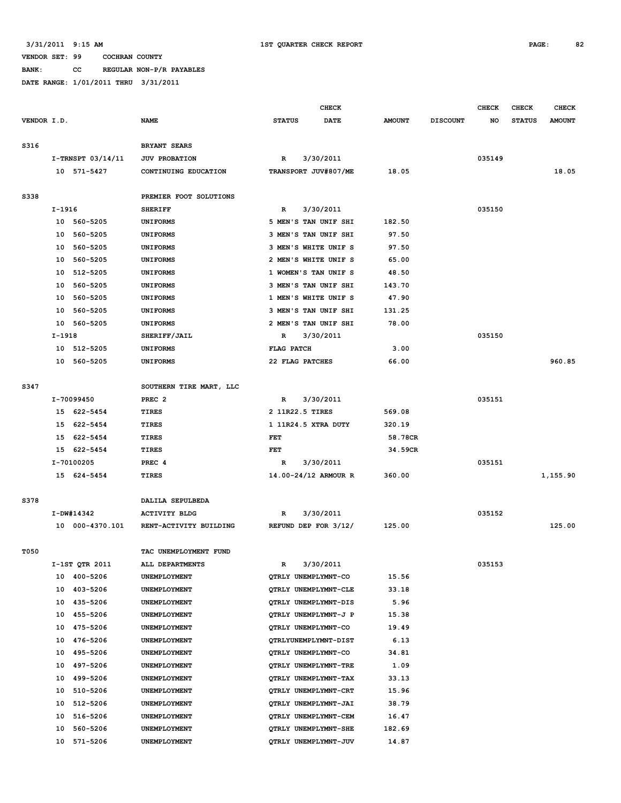**BANK: CC REGULAR NON-P/R PAYABLES**

|             |        |                         |                              |                   | <b>CHECK</b>                                 |                 |                 | <b>CHECK</b> | <b>CHECK</b>  | <b>CHECK</b>  |
|-------------|--------|-------------------------|------------------------------|-------------------|----------------------------------------------|-----------------|-----------------|--------------|---------------|---------------|
| VENDOR I.D. |        |                         | <b>NAME</b>                  | <b>STATUS</b>     | <b>DATE</b>                                  | <b>AMOUNT</b>   | <b>DISCOUNT</b> | NO           | <b>STATUS</b> | <b>AMOUNT</b> |
|             |        |                         |                              |                   |                                              |                 |                 |              |               |               |
| S316        |        |                         | <b>BRYANT SEARS</b>          |                   |                                              |                 |                 |              |               |               |
|             |        | I-TRNSPT 03/14/11       | <b>JUV PROBATION</b>         | R                 | 3/30/2011                                    |                 |                 | 035149       |               |               |
|             |        | 10 571-5427             | CONTINUING EDUCATION         |                   | TRANSPORT JUV#807/ME                         | 18.05           |                 |              |               | 18.05         |
|             |        |                         |                              |                   |                                              |                 |                 |              |               |               |
| S338        |        |                         | PREMIER FOOT SOLUTIONS       |                   |                                              |                 |                 |              |               |               |
|             | I-1916 |                         | <b>SHERIFF</b>               | R                 | 3/30/2011                                    |                 |                 | 035150       |               |               |
|             |        | 10 560-5205             | <b>UNIFORMS</b>              |                   | 5 MEN'S TAN UNIF SHI                         | 182.50          |                 |              |               |               |
|             |        | 10 560-5205             | <b>UNIFORMS</b>              |                   | 3 MEN'S TAN UNIF SHI                         | 97.50           |                 |              |               |               |
|             |        | 10 560-5205             | <b>UNIFORMS</b>              |                   | 3 MEN'S WHITE UNIF S                         | 97.50           |                 |              |               |               |
|             | 10     | 560-5205                | <b>UNIFORMS</b>              |                   | 2 MEN'S WHITE UNIF S                         | 65.00           |                 |              |               |               |
|             | 10     | 512-5205                | <b>UNIFORMS</b>              |                   | 1 WOMEN'S TAN UNIF S                         | 48.50           |                 |              |               |               |
|             | 10     | 560-5205                | <b>UNIFORMS</b>              |                   | 3 MEN'S TAN UNIF SHI                         | 143.70          |                 |              |               |               |
|             | 10     | 560-5205                | <b>UNIFORMS</b>              |                   | 1 MEN'S WHITE UNIF S                         | 47.90           |                 |              |               |               |
|             | 10     | 560-5205                | <b>UNIFORMS</b>              |                   | 3 MEN'S TAN UNIF SHI                         | 131.25          |                 |              |               |               |
|             | 10     | 560-5205                | <b>UNIFORMS</b>              |                   | 2 MEN'S TAN UNIF SHI                         | 78.00           |                 |              |               |               |
|             | I-1918 |                         | SHERIFF/JAIL                 | R                 | 3/30/2011                                    |                 |                 | 035150       |               |               |
|             |        | 10 512-5205             | <b>UNIFORMS</b>              | <b>FLAG PATCH</b> |                                              | 3.00            |                 |              |               |               |
|             |        | 10 560-5205             | <b>UNIFORMS</b>              | 22 FLAG PATCHES   |                                              | 66.00           |                 |              |               | 960.85        |
|             |        |                         |                              |                   |                                              |                 |                 |              |               |               |
| S347        |        |                         | SOUTHERN TIRE MART, LLC      |                   |                                              |                 |                 |              |               |               |
|             |        | I-70099450              | PREC <sub>2</sub>            | R                 | 3/30/2011                                    |                 |                 | 035151       |               |               |
|             |        | 15 622-5454             | TIRES                        | 2 11R22.5 TIRES   |                                              | 569.08          |                 |              |               |               |
|             | 15     | 622-5454                | <b>TIRES</b>                 |                   | 1 11R24.5 XTRA DUTY                          | 320.19          |                 |              |               |               |
|             | 15     | 622-5454                | <b>TIRES</b>                 | FET               |                                              | 58.78CR         |                 |              |               |               |
|             |        | 15 622-5454             | TIRES                        | FET               |                                              | 34.59CR         |                 |              |               |               |
|             |        | I-70100205              | PREC <sub>4</sub>            | R                 | 3/30/2011                                    |                 |                 | 035151       |               |               |
|             |        | 15 624-5454             | TIRES                        |                   | 14.00-24/12 ARMOUR R                         | 360.00          |                 |              |               | 1,155.90      |
|             |        |                         |                              |                   |                                              |                 |                 |              |               |               |
| S378        |        |                         | DALILA SEPULBEDA             |                   |                                              |                 |                 |              |               |               |
|             |        | I-DW#14342              | <b>ACTIVITY BLDG</b>         | R                 | 3/30/2011                                    |                 |                 | 035152       |               |               |
|             |        | 10 000-4370.101         | RENT-ACTIVITY BUILDING       |                   | REFUND DEP FOR 3/12/                         | 125.00          |                 |              |               | 125.00        |
|             |        |                         |                              |                   |                                              |                 |                 |              |               |               |
| T050        |        |                         | TAC UNEMPLOYMENT FUND        |                   |                                              |                 |                 |              |               |               |
|             |        | I-1ST QTR 2011          | ALL DEPARTMENTS              | R                 | 3/30/2011                                    |                 |                 | 035153       |               |               |
|             |        | 10 400-5206             | <b>UNEMPLOYMENT</b>          |                   | OTRLY UNEMPLYMNT-CO                          | 15.56           |                 |              |               |               |
|             | 10     | 403-5206                | UNEMPLOYMENT                 |                   | QTRLY UNEMPLYMNT-CLE                         | 33.18           |                 |              |               |               |
|             | 10     | 435-5206                | UNEMPLOYMENT                 |                   | QTRLY UNEMPLYMNT-DIS                         | 5.96            |                 |              |               |               |
|             | 10     | 455-5206                | UNEMPLOYMENT                 |                   | QTRLY UNEMPLYMNT-J P                         | 15.38           |                 |              |               |               |
|             | 10     | 475-5206                | UNEMPLOYMENT                 |                   | QTRLY UNEMPLYMNT-CO                          | 19.49           |                 |              |               |               |
|             | 10     | 476-5206                | UNEMPLOYMENT                 |                   | QTRLYUNEMPLYMNT-DIST                         | 6.13            |                 |              |               |               |
|             | 10     | 495-5206                | UNEMPLOYMENT                 |                   | QTRLY UNEMPLYMNT-CO                          | 34.81           |                 |              |               |               |
|             | 10     | 497-5206                | UNEMPLOYMENT                 |                   | QTRLY UNEMPLYMNT-TRE                         | 1.09            |                 |              |               |               |
|             | 10     | 499-5206                | UNEMPLOYMENT                 |                   | QTRLY UNEMPLYMNT-TAX                         | 33.13           |                 |              |               |               |
|             | 10     | 510-5206                | UNEMPLOYMENT                 |                   | QTRLY UNEMPLYMNT-CRT                         | 15.96           |                 |              |               |               |
|             | 10     | 512-5206                | UNEMPLOYMENT                 |                   | QTRLY UNEMPLYMNT-JAI                         | 38.79           |                 |              |               |               |
|             | 10     | 516-5206                | UNEMPLOYMENT                 |                   | QTRLY UNEMPLYMNT-CEM                         | 16.47           |                 |              |               |               |
|             | 10     | 560-5206<br>10 571-5206 | UNEMPLOYMENT<br>UNEMPLOYMENT |                   | QTRLY UNEMPLYMNT-SHE<br>QTRLY UNEMPLYMNT-JUV | 182.69<br>14.87 |                 |              |               |               |
|             |        |                         |                              |                   |                                              |                 |                 |              |               |               |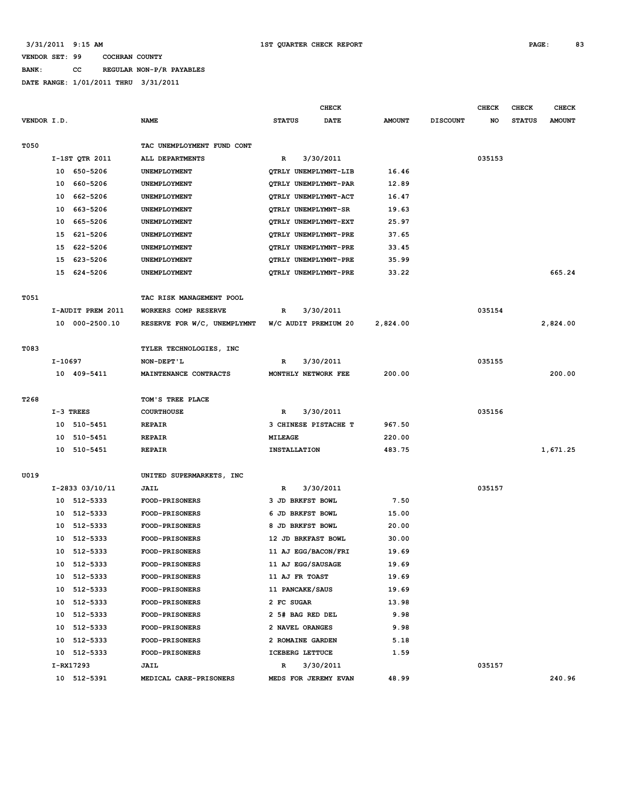| <b>BANK:</b> | CC. |  | REGULAR NON-P/R PAYABLES |
|--------------|-----|--|--------------------------|
|              |     |  |                          |

|             |         |                   |                                                  |                     | <b>CHECK</b>         |               |                 | <b>CHECK</b> | <b>CHECK</b>  | <b>CHECK</b>  |
|-------------|---------|-------------------|--------------------------------------------------|---------------------|----------------------|---------------|-----------------|--------------|---------------|---------------|
| VENDOR I.D. |         |                   | <b>NAME</b>                                      | <b>STATUS</b>       | DATE                 | <b>AMOUNT</b> | <b>DISCOUNT</b> | NO           | <b>STATUS</b> | <b>AMOUNT</b> |
|             |         |                   |                                                  |                     |                      |               |                 |              |               |               |
| T050        |         |                   | TAC UNEMPLOYMENT FUND CONT                       |                     |                      |               |                 |              |               |               |
|             |         | I-1ST QTR 2011    | ALL DEPARTMENTS                                  | R                   | 3/30/2011            |               |                 | 035153       |               |               |
|             |         | 10 650-5206       | UNEMPLOYMENT                                     |                     | QTRLY UNEMPLYMNT-LIB | 16.46         |                 |              |               |               |
|             |         | 10 660-5206       | UNEMPLOYMENT                                     |                     | QTRLY UNEMPLYMNT-PAR | 12.89         |                 |              |               |               |
|             | 10      | 662-5206          | UNEMPLOYMENT                                     |                     | QTRLY UNEMPLYMNT-ACT | 16.47         |                 |              |               |               |
|             | 10      | 663-5206          | UNEMPLOYMENT                                     |                     | QTRLY UNEMPLYMNT-SR  | 19.63         |                 |              |               |               |
|             | 10      | 665-5206          | UNEMPLOYMENT                                     |                     | QTRLY UNEMPLYMNT-EXT | 25.97         |                 |              |               |               |
|             | 15      | 621-5206          | UNEMPLOYMENT                                     |                     | QTRLY UNEMPLYMNT-PRE | 37.65         |                 |              |               |               |
|             | 15      | 622-5206          | UNEMPLOYMENT                                     |                     | QTRLY UNEMPLYMNT-PRE | 33.45         |                 |              |               |               |
|             | 15      | 623-5206          | UNEMPLOYMENT                                     |                     | QTRLY UNEMPLYMNT-PRE | 35.99         |                 |              |               |               |
|             |         | 15 624-5206       | UNEMPLOYMENT                                     |                     | QTRLY UNEMPLYMNT-PRE | 33.22         |                 |              |               | 665.24        |
|             |         |                   |                                                  |                     |                      |               |                 |              |               |               |
| T051        |         |                   | TAC RISK MANAGEMENT POOL                         |                     |                      |               |                 |              |               |               |
|             |         | I-AUDIT PREM 2011 | WORKERS COMP RESERVE                             | R                   | 3/30/2011            |               |                 | 035154       |               |               |
|             |         | 10 000-2500.10    | RESERVE FOR W/C, UNEMPLYMNT W/C AUDIT PREMIUM 20 |                     |                      | 2,824.00      |                 |              |               | 2,824.00      |
|             |         |                   |                                                  |                     |                      |               |                 |              |               |               |
| T083        |         |                   | TYLER TECHNOLOGIES, INC                          |                     |                      |               |                 |              |               |               |
|             | I-10697 |                   | NON-DEPT'L                                       | R                   | 3/30/2011            |               |                 | 035155       |               |               |
|             |         | 10 409-5411       | MAINTENANCE CONTRACTS                            |                     | MONTHLY NETWORK FEE  | 200.00        |                 |              |               | 200.00        |
|             |         |                   |                                                  |                     |                      |               |                 |              |               |               |
| T268        |         |                   | TOM'S TREE PLACE                                 |                     |                      |               |                 |              |               |               |
|             |         | $I-3$ TREES       | <b>COURTHOUSE</b>                                | $\mathbb{R}$        | 3/30/2011            |               |                 | 035156       |               |               |
|             |         | 10 510-5451       | <b>REPAIR</b>                                    |                     | 3 CHINESE PISTACHE T | 967.50        |                 |              |               |               |
|             | 10      | 510-5451          | <b>REPAIR</b>                                    | MILEAGE             |                      | 220.00        |                 |              |               |               |
|             |         | 10 510-5451       | <b>REPAIR</b>                                    | <b>INSTALLATION</b> |                      | 483.75        |                 |              |               | 1,671.25      |
|             |         |                   |                                                  |                     |                      |               |                 |              |               |               |
| U019        |         |                   | UNITED SUPERMARKETS, INC                         |                     |                      |               |                 |              |               |               |
|             |         | I-2833 03/10/11   | <b>JAIL</b>                                      | R                   | 3/30/2011            |               |                 | 035157       |               |               |
|             |         | 10 512-5333       | <b>FOOD-PRISONERS</b>                            |                     | 3 JD BRKFST BOWL     | 7.50          |                 |              |               |               |
|             | 10      | 512-5333          | <b>FOOD-PRISONERS</b>                            |                     | 6 JD BRKFST BOWL     | 15.00         |                 |              |               |               |
|             | 10      | 512-5333          | FOOD-PRISONERS                                   |                     | 8 JD BRKFST BOWL     | 20.00         |                 |              |               |               |
|             | 10      | 512-5333          | <b>FOOD-PRISONERS</b>                            |                     | 12 JD BRKFAST BOWL   | 30.00         |                 |              |               |               |
|             |         | 10 512-5333       | <b>FOOD-PRISONERS</b>                            |                     | 11 AJ EGG/BACON/FRI  | 19.69         |                 |              |               |               |
|             |         | 10 512-5333       | <b>FOOD-PRISONERS</b>                            |                     | 11 AJ EGG/SAUSAGE    | 19.69         |                 |              |               |               |
|             |         | 10 512-5333       | <b>FOOD-PRISONERS</b>                            | 11 AJ FR TOAST      |                      | 19.69         |                 |              |               |               |
|             |         | 10 512-5333       | FOOD-PRISONERS                                   |                     | 11 PANCAKE/SAUS      | 19.69         |                 |              |               |               |
|             |         | 10 512-5333       | FOOD-PRISONERS                                   | 2 FC SUGAR          |                      | 13.98         |                 |              |               |               |
|             |         | 10 512-5333       | <b>FOOD-PRISONERS</b>                            |                     | 2 5# BAG RED DEL     | 9.98          |                 |              |               |               |
|             |         | 10 512-5333       | <b>FOOD-PRISONERS</b>                            |                     | 2 NAVEL ORANGES      | 9.98          |                 |              |               |               |
|             |         | 10 512-5333       | <b>FOOD-PRISONERS</b>                            |                     | 2 ROMAINE GARDEN     | 5.18          |                 |              |               |               |
|             |         | 10 512-5333       | <b>FOOD-PRISONERS</b>                            |                     | ICEBERG LETTUCE      | 1.59          |                 |              |               |               |
|             |         | I-RX17293         | <b>JAIL</b>                                      | $\mathbb{R}$        | 3/30/2011            |               |                 | 035157       |               |               |
|             |         | 10 512-5391       | MEDICAL CARE-PRISONERS                           |                     | MEDS FOR JEREMY EVAN | 48.99         |                 |              |               | 240.96        |
|             |         |                   |                                                  |                     |                      |               |                 |              |               |               |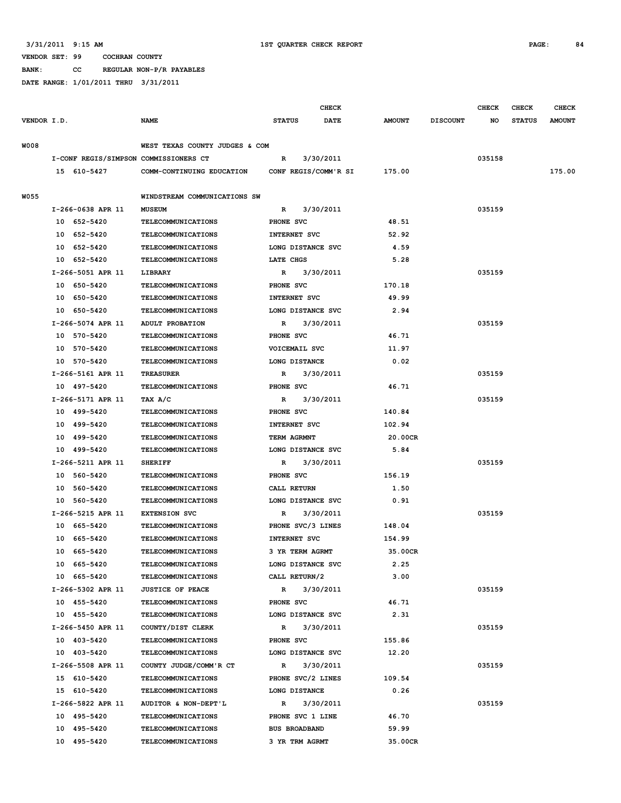**BANK: CC REGULAR NON-P/R PAYABLES**

|             |                                       |                                | <b>CHECK</b>         |             |               |                 | <b>CHECK</b> | <b>CHECK</b>  | <b>CHECK</b>  |
|-------------|---------------------------------------|--------------------------------|----------------------|-------------|---------------|-----------------|--------------|---------------|---------------|
| VENDOR I.D. |                                       | <b>NAME</b>                    | <b>STATUS</b>        | <b>DATE</b> | <b>AMOUNT</b> | <b>DISCOUNT</b> | NO           | <b>STATUS</b> | <b>AMOUNT</b> |
| <b>W008</b> |                                       | WEST TEXAS COUNTY JUDGES & COM |                      |             |               |                 |              |               |               |
|             | I-CONF REGIS/SIMPSON COMMISSIONERS CT |                                | $\mathbb{R}$         | 3/30/2011   |               |                 | 035158       |               |               |
|             | 15 610-5427                           | COMM-CONTINUING EDUCATION      | CONF REGIS/COMM'R SI |             | 175.00        |                 |              |               | 175.00        |
|             |                                       |                                |                      |             |               |                 |              |               |               |
| W055        |                                       | WINDSTREAM COMMUNICATIONS SW   |                      |             |               |                 |              |               |               |
|             | I-266-0638 APR 11                     | <b>MUSEUM</b>                  | $\mathbb{R}$         | 3/30/2011   |               |                 | 035159       |               |               |
|             | 10 652-5420                           | <b>TELECOMMUNICATIONS</b>      | PHONE SVC            |             | 48.51         |                 |              |               |               |
|             | 10 652-5420                           | <b>TELECOMMUNICATIONS</b>      | INTERNET SVC         |             | 52.92         |                 |              |               |               |
|             | 10 652-5420                           | <b>TELECOMMUNICATIONS</b>      | LONG DISTANCE SVC    |             | 4.59          |                 |              |               |               |
|             | 10 652-5420                           | <b>TELECOMMUNICATIONS</b>      | LATE CHGS            |             | 5.28          |                 |              |               |               |
|             | I-266-5051 APR 11                     | LIBRARY                        | R                    | 3/30/2011   |               |                 | 035159       |               |               |
|             | 10 650-5420                           | <b>TELECOMMUNICATIONS</b>      | PHONE SVC            |             | 170.18        |                 |              |               |               |
|             | 10 650-5420                           | <b>TELECOMMUNICATIONS</b>      | INTERNET SVC         |             | 49.99         |                 |              |               |               |
|             | 10 650-5420                           | <b>TELECOMMUNICATIONS</b>      | LONG DISTANCE SVC    |             | 2.94          |                 |              |               |               |
|             | I-266-5074 APR 11                     | ADULT PROBATION                | R                    | 3/30/2011   |               |                 | 035159       |               |               |
|             | 10 570-5420                           | <b>TELECOMMUNICATIONS</b>      | PHONE SVC            |             | 46.71         |                 |              |               |               |
|             | 10 570-5420                           | <b>TELECOMMUNICATIONS</b>      | VOICEMAIL SVC        |             | 11.97         |                 |              |               |               |
|             | 10 570-5420                           | TELECOMMUNICATIONS             | LONG DISTANCE        |             | 0.02          |                 |              |               |               |
|             | I-266-5161 APR 11                     | <b>TREASURER</b>               | R                    | 3/30/2011   |               |                 | 035159       |               |               |
|             | 10 497-5420                           | <b>TELECOMMUNICATIONS</b>      | PHONE SVC            |             | 46.71         |                 |              |               |               |
|             | I-266-5171 APR 11                     | TAX A/C                        | R                    | 3/30/2011   |               |                 | 035159       |               |               |
|             | 10 499-5420                           | <b>TELECOMMUNICATIONS</b>      | PHONE SVC            |             | 140.84        |                 |              |               |               |
|             | 10 499-5420                           | TELECOMMUNICATIONS             | INTERNET SVC         |             | 102.94        |                 |              |               |               |
|             | 10 499-5420                           | TELECOMMUNICATIONS             | TERM AGRMNT          |             | 20.00CR       |                 |              |               |               |
|             | 10 499-5420                           | <b>TELECOMMUNICATIONS</b>      | LONG DISTANCE SVC    |             | 5.84          |                 |              |               |               |
|             | I-266-5211 APR 11                     | <b>SHERIFF</b>                 | R                    | 3/30/2011   |               |                 | 035159       |               |               |
|             | 10 560-5420                           | <b>TELECOMMUNICATIONS</b>      | PHONE SVC            |             | 156.19        |                 |              |               |               |
|             | 10 560-5420                           | <b>TELECOMMUNICATIONS</b>      | CALL RETURN          |             | 1.50          |                 |              |               |               |
|             | 10 560-5420                           | TELECOMMUNICATIONS             | LONG DISTANCE SVC    |             | 0.91          |                 |              |               |               |
|             | I-266-5215 APR 11                     | <b>EXTENSION SVC</b>           | R                    | 3/30/2011   |               |                 | 035159       |               |               |
|             | 10 665-5420                           | <b>TELECOMMUNICATIONS</b>      | PHONE SVC/3 LINES    |             | 148.04        |                 |              |               |               |
|             | 10 665-5420                           | TELECOMMUNICATIONS             | INTERNET SVC         |             | 154.99        |                 |              |               |               |
|             | 10 665-5420                           | TELECOMMUNICATIONS             | 3 YR TERM AGRMT      |             | 35.00CR       |                 |              |               |               |
|             | 10 665-5420                           | TELECOMMUNICATIONS             | LONG DISTANCE SVC    |             | 2.25          |                 |              |               |               |
|             | 10 665-5420                           | <b>TELECOMMUNICATIONS</b>      | CALL RETURN/2        |             | 3.00          |                 |              |               |               |
|             | I-266-5302 APR 11                     | <b>JUSTICE OF PEACE</b>        | $\mathbb{R}$         | 3/30/2011   |               |                 | 035159       |               |               |
|             | 10 455-5420                           | <b>TELECOMMUNICATIONS</b>      | PHONE SVC            |             | 46.71         |                 |              |               |               |
|             | 10 455-5420                           | <b>TELECOMMUNICATIONS</b>      | LONG DISTANCE SVC    |             | 2.31          |                 |              |               |               |
|             | I-266-5450 APR 11                     | COUNTY/DIST CLERK              | $\mathbb{R}$         | 3/30/2011   |               |                 | 035159       |               |               |
|             | 10 403-5420                           | <b>TELECOMMUNICATIONS</b>      | PHONE SVC            |             | 155.86        |                 |              |               |               |
|             | 10 403-5420                           | TELECOMMUNICATIONS             | LONG DISTANCE SVC    |             | 12.20         |                 |              |               |               |
|             | I-266-5508 APR 11                     | COUNTY JUDGE/COMM'R CT         | $\mathbb{R}$         | 3/30/2011   |               |                 | 035159       |               |               |
|             | 15 610-5420                           | TELECOMMUNICATIONS             | PHONE SVC/2 LINES    |             | 109.54        |                 |              |               |               |
|             | 15 610-5420                           | TELECOMMUNICATIONS             | LONG DISTANCE        |             | 0.26          |                 |              |               |               |
|             | I-266-5822 APR 11                     | AUDITOR & NON-DEPT'L           | R                    | 3/30/2011   |               |                 | 035159       |               |               |
|             | 10 495-5420                           | TELECOMMUNICATIONS             | PHONE SVC 1 LINE     |             | 46.70         |                 |              |               |               |
|             | 10 495-5420                           | TELECOMMUNICATIONS             | <b>BUS BROADBAND</b> |             | 59.99         |                 |              |               |               |
|             | 10 495-5420                           | <b>TELECOMMUNICATIONS</b>      | 3 YR TRM AGRMT       |             | 35.00CR       |                 |              |               |               |
|             |                                       |                                |                      |             |               |                 |              |               |               |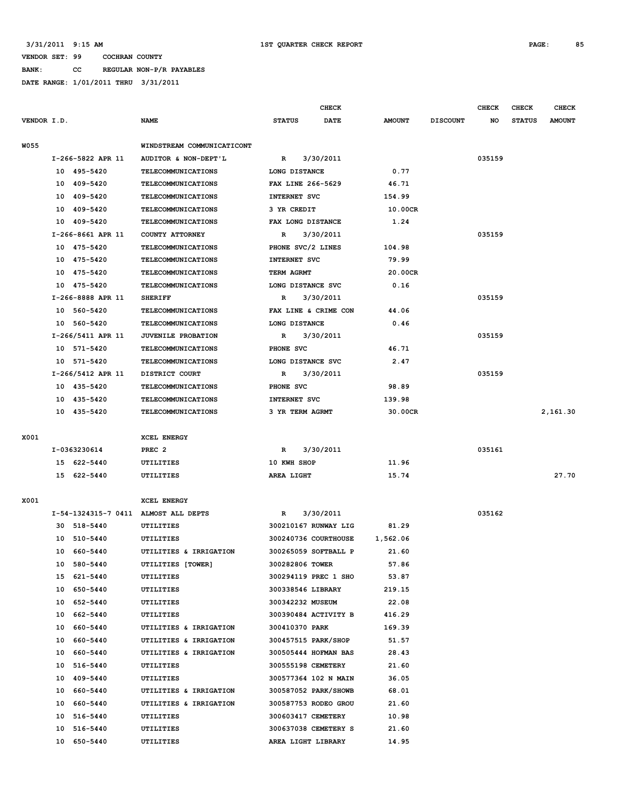**BANK: CC REGULAR NON-P/R PAYABLES DATE RANGE: 1/01/2011 THRU 3/31/2011**

|             |    |                   | <b>CHECK</b>                         |                     |                      |               |                 | <b>CHECK</b> | CHECK         | <b>CHECK</b>  |
|-------------|----|-------------------|--------------------------------------|---------------------|----------------------|---------------|-----------------|--------------|---------------|---------------|
| VENDOR I.D. |    |                   | <b>NAME</b>                          | <b>STATUS</b>       | DATE                 | <b>AMOUNT</b> | <b>DISCOUNT</b> | NO           | <b>STATUS</b> | <b>AMOUNT</b> |
|             |    |                   |                                      |                     |                      |               |                 |              |               |               |
| <b>W055</b> |    |                   | WINDSTREAM COMMUNICATICONT           |                     |                      |               |                 |              |               |               |
|             |    | I-266-5822 APR 11 | AUDITOR & NON-DEPT'L                 | R                   | 3/30/2011            |               |                 | 035159       |               |               |
|             |    | 10 495-5420       | TELECOMMUNICATIONS                   | LONG DISTANCE       |                      | 0.77          |                 |              |               |               |
|             |    | 10 409-5420       | <b>TELECOMMUNICATIONS</b>            | FAX LINE 266-5629   |                      | 46.71         |                 |              |               |               |
|             |    | 10 409-5420       | TELECOMMUNICATIONS                   | INTERNET SVC        |                      | 154.99        |                 |              |               |               |
|             |    | 10 409-5420       | <b>TELECOMMUNICATIONS</b>            | 3 YR CREDIT         |                      | 10.00CR       |                 |              |               |               |
|             |    | 10 409-5420       | <b>TELECOMMUNICATIONS</b>            | FAX LONG DISTANCE   |                      | 1.24          |                 |              |               |               |
|             |    | I-266-8661 APR 11 | COUNTY ATTORNEY                      | R                   | 3/30/2011            |               |                 | 035159       |               |               |
|             |    | 10 475-5420       | <b>TELECOMMUNICATIONS</b>            | PHONE SVC/2 LINES   |                      | 104.98        |                 |              |               |               |
|             |    | 10 475-5420       | TELECOMMUNICATIONS                   | INTERNET SVC        |                      | 79.99         |                 |              |               |               |
|             |    | 10 475-5420       | TELECOMMUNICATIONS                   | TERM AGRMT          |                      | 20.00CR       |                 |              |               |               |
|             |    | 10 475-5420       | <b>TELECOMMUNICATIONS</b>            | LONG DISTANCE SVC   |                      | 0.16          |                 |              |               |               |
|             |    | I-266-8888 APR 11 | <b>SHERIFF</b>                       | R                   | 3/30/2011            |               |                 | 035159       |               |               |
|             |    | 10 560-5420       | TELECOMMUNICATIONS                   |                     | FAX LINE & CRIME CON | 44.06         |                 |              |               |               |
|             |    | 10 560-5420       | <b>TELECOMMUNICATIONS</b>            | LONG DISTANCE       |                      | 0.46          |                 |              |               |               |
|             |    | I-266/5411 APR 11 | JUVENILE PROBATION                   | $\mathbf R$         | 3/30/2011            |               |                 | 035159       |               |               |
|             |    | 10 571-5420       | TELECOMMUNICATIONS                   | PHONE SVC           |                      | 46.71         |                 |              |               |               |
|             |    | 10 571-5420       | <b>TELECOMMUNICATIONS</b>            | LONG DISTANCE SVC   |                      | 2.47          |                 |              |               |               |
|             |    | I-266/5412 APR 11 | DISTRICT COURT                       | R                   | 3/30/2011            |               |                 | 035159       |               |               |
|             |    | 10 435-5420       | TELECOMMUNICATIONS                   | PHONE SVC           |                      | 98.89         |                 |              |               |               |
|             |    | 10 435-5420       | <b>TELECOMMUNICATIONS</b>            | INTERNET SVC        |                      | 139.98        |                 |              |               |               |
|             |    | 10 435-5420       | <b>TELECOMMUNICATIONS</b>            | 3 YR TERM AGRMT     |                      | 30.00CR       |                 |              |               | 2,161.30      |
|             |    |                   |                                      |                     |                      |               |                 |              |               |               |
| X001        |    |                   | XCEL ENERGY                          |                     |                      |               |                 |              |               |               |
|             |    | I-0363230614      | PREC <sub>2</sub>                    | R                   | 3/30/2011            |               |                 | 035161       |               |               |
|             |    | 15 622-5440       | UTILITIES                            | 10 KWH SHOP         |                      | 11.96         |                 |              |               |               |
|             |    | 15 622-5440       | UTILITIES                            | AREA LIGHT          |                      | 15.74         |                 |              |               | 27.70         |
|             |    |                   |                                      |                     |                      |               |                 |              |               |               |
| X001        |    |                   | XCEL ENERGY                          |                     |                      |               |                 |              |               |               |
|             |    |                   | I-54-1324315-7 0411 ALMOST ALL DEPTS | R                   | 3/30/2011            |               |                 | 035162       |               |               |
|             |    | 30 518-5440       | UTILITIES                            |                     | 300210167 RUNWAY LIG | 81.29         |                 |              |               |               |
|             |    | 10 510-5440       | UTILITIES                            |                     | 300240736 COURTHOUSE | 1,562.06      |                 |              |               |               |
|             |    | 10 660-5440       | UTILITIES & IRRIGATION               |                     | 300265059 SOFTBALL P | 21.60         |                 |              |               |               |
|             |    |                   |                                      | 300282806 TOWER     |                      | 57.86         |                 |              |               |               |
|             |    | 10 580-5440       | UTILITIES [TOWER]                    |                     | 300294119 PREC 1 SHO |               |                 |              |               |               |
|             |    | 15 621-5440       | UTILITIES                            |                     |                      | 53.87         |                 |              |               |               |
|             | 10 | 650-5440          | UTILITIES                            | 300338546 LIBRARY   |                      | 219.15        |                 |              |               |               |
|             |    | 10 652-5440       | UTILITIES                            | 300342232 MUSEUM    |                      | 22.08         |                 |              |               |               |
|             |    | 10 662-5440       | UTILITIES                            |                     | 300390484 ACTIVITY B | 416.29        |                 |              |               |               |
|             |    | 10 660-5440       | UTILITIES & IRRIGATION               | 300410370 PARK      |                      | 169.39        |                 |              |               |               |
|             |    | 10 660-5440       | UTILITIES & IRRIGATION               | 300457515 PARK/SHOP |                      | 51.57         |                 |              |               |               |
|             |    | 10 660-5440       | UTILITIES & IRRIGATION               |                     | 300505444 HOFMAN BAS | 28.43         |                 |              |               |               |
|             | 10 | 516-5440          | UTILITIES                            | 300555198 CEMETERY  |                      | 21.60         |                 |              |               |               |
|             |    | 10 409-5440       | UTILITIES                            |                     | 300577364 102 N MAIN | 36.05         |                 |              |               |               |
|             |    | 10 660-5440       | UTILITIES & IRRIGATION               |                     | 300587052 PARK/SHOWB | 68.01         |                 |              |               |               |
|             |    | 10 660-5440       | UTILITIES & IRRIGATION               |                     | 300587753 RODEO GROU | 21.60         |                 |              |               |               |
|             |    | 10 516-5440       | UTILITIES                            | 300603417 CEMETERY  |                      | 10.98         |                 |              |               |               |
|             | 10 | 516-5440          | UTILITIES                            |                     | 300637038 CEMETERY S | 21.60         |                 |              |               |               |
|             |    | 10 650-5440       | UTILITIES                            | AREA LIGHT LIBRARY  |                      | 14.95         |                 |              |               |               |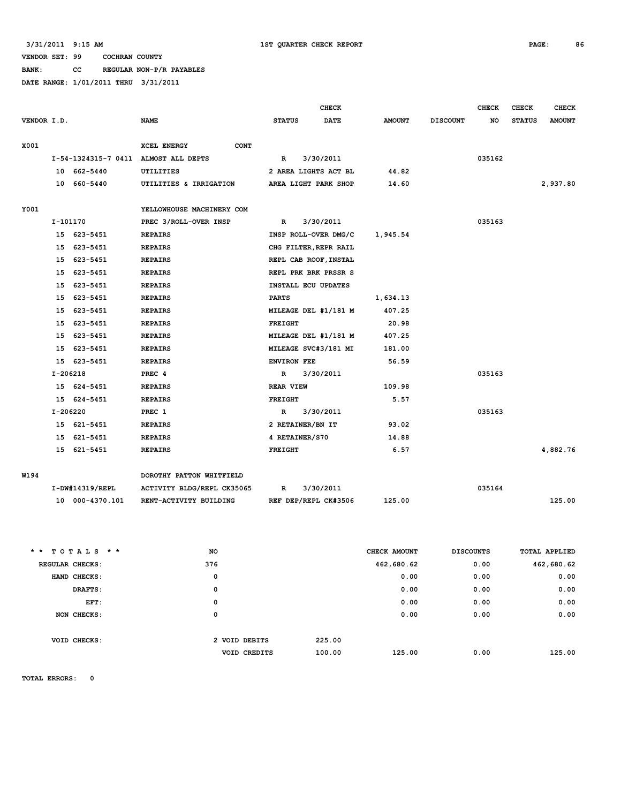### **BANK: CC REGULAR NON-P/R PAYABLES**

**DATE RANGE: 1/01/2011 THRU 3/31/2011**

|             |            |                 | <b>CHECK</b>                         |                    |                       |               |                  |           | <b>CHECK</b>  | <b>CHECK</b>  |
|-------------|------------|-----------------|--------------------------------------|--------------------|-----------------------|---------------|------------------|-----------|---------------|---------------|
| VENDOR I.D. |            |                 | <b>NAME</b>                          | <b>STATUS</b>      | <b>DATE</b>           | <b>AMOUNT</b> | <b>DISCOUNT</b>  | <b>NO</b> | <b>STATUS</b> | <b>AMOUNT</b> |
|             |            |                 |                                      |                    |                       |               |                  |           |               |               |
| X001        |            |                 | <b>XCEL ENERGY</b><br><b>CONT</b>    |                    |                       |               |                  |           |               |               |
|             |            |                 | I-54-1324315-7 0411 ALMOST ALL DEPTS | R                  | 3/30/2011             |               |                  | 035162    |               |               |
|             |            | 10 662-5440     | UTILITIES                            |                    | 2 AREA LIGHTS ACT BL  | 44.82         |                  |           |               |               |
|             |            | 10 660-5440     | UTILITIES & IRRIGATION               |                    | AREA LIGHT PARK SHOP  | 14.60         |                  |           |               | 2,937.80      |
|             |            |                 |                                      |                    |                       |               |                  |           |               |               |
| Y001        |            |                 | YELLOWHOUSE MACHINERY COM            |                    |                       |               |                  |           |               |               |
|             | I-101170   |                 | PREC 3/ROLL-OVER INSP                | R                  | 3/30/2011             |               |                  | 035163    |               |               |
|             |            | 15 623-5451     | <b>REPAIRS</b>                       |                    | INSP ROLL-OVER DMG/C  | 1,945.54      |                  |           |               |               |
|             | 15         | 623-5451        | <b>REPAIRS</b>                       |                    | CHG FILTER, REPR RAIL |               |                  |           |               |               |
|             | 15         | 623-5451        | <b>REPAIRS</b>                       |                    | REPL CAB ROOF, INSTAL |               |                  |           |               |               |
|             | 15         | 623-5451        | <b>REPAIRS</b>                       |                    | REPL PRK BRK PRSSR S  |               |                  |           |               |               |
|             | 15         | 623-5451        | <b>REPAIRS</b>                       |                    | INSTALL ECU UPDATES   |               |                  |           |               |               |
|             | 15         | 623-5451        | <b>REPAIRS</b>                       | <b>PARTS</b>       |                       | 1,634.13      |                  |           |               |               |
|             | 15         | 623-5451        | <b>REPAIRS</b>                       |                    | MILEAGE DEL #1/181 M  | 407.25        |                  |           |               |               |
|             | 15         | 623-5451        | <b>REPAIRS</b>                       | <b>FREIGHT</b>     |                       | 20.98         |                  |           |               |               |
|             | 15         | 623-5451        | <b>REPAIRS</b>                       |                    | MILEAGE DEL #1/181 M  | 407.25        |                  |           |               |               |
|             | 15         | 623-5451        | <b>REPAIRS</b>                       |                    | MILEAGE SVC#3/181 MI  | 181.00        |                  |           |               |               |
|             | 15         | 623-5451        | <b>REPAIRS</b>                       | <b>ENVIRON FEE</b> |                       | 56.59         |                  |           |               |               |
|             | $I-206218$ |                 | PREC 4                               | $\mathbf R$        | 3/30/2011             |               |                  | 035163    |               |               |
|             |            | 15 624-5451     | <b>REPAIRS</b>                       | <b>REAR VIEW</b>   |                       | 109.98        |                  |           |               |               |
|             | 15         | 624-5451        | <b>REPAIRS</b>                       | <b>FREIGHT</b>     |                       | 5.57          |                  |           |               |               |
|             | I-206220   |                 | PREC 1                               | $\mathbf R$        | 3/30/2011             |               |                  | 035163    |               |               |
|             |            | 15 621-5451     | <b>REPAIRS</b>                       | 2 RETAINER/BN IT   |                       | 93.02         |                  |           |               |               |
|             | 15         | 621-5451        | <b>REPAIRS</b>                       | 4 RETAINER/S70     |                       | 14.88         |                  |           |               |               |
|             |            | 15 621-5451     | <b>REPAIRS</b>                       | <b>FREIGHT</b>     |                       | 6.57          |                  |           |               | 4,882.76      |
|             |            |                 |                                      |                    |                       |               |                  |           |               |               |
| W194        |            |                 | DOROTHY PATTON WHITFIELD             |                    |                       |               |                  |           |               |               |
|             |            | I-DW#14319/REPL | ACTIVITY BLDG/REPL CK35065           | R                  | 3/30/2011             |               |                  | 035164    |               |               |
|             |            | 10 000-4370.101 | RENT-ACTIVITY BUILDING               |                    | REF DEP/REPL CK#3506  | 125.00        |                  |           |               | 125.00        |
|             |            |                 |                                      |                    |                       |               |                  |           |               |               |
|             |            |                 |                                      |                    |                       |               |                  |           |               |               |
|             |            |                 |                                      |                    |                       |               |                  |           |               |               |
| * *         |            | $TOTALS$ **     | NO                                   |                    |                       | CHECK AMOUNT  | <b>DISCOUNTS</b> |           |               | TOTAL APPLIED |
|             |            | REGULAR CHECKS: | 376                                  |                    |                       | 462,680.62    |                  | 0.00      |               | 462,680.62    |
|             |            | HAND CHECKS:    | $\mathbf 0$                          |                    |                       | 0.00          |                  | 0.00      |               | 0.00          |
|             |            | DRAFTS:         | $\mathbf 0$                          |                    |                       | 0.00          |                  | 0.00      |               | 0.00          |

 **EFT: 0 0.00 0.00 0.00 NON CHECKS: 0 0.00 0.00 0.00 VOID CHECKS: 2 VOID DEBITS 225.00 VOID CREDITS** 100.00 125.00 0.00 125.00

**TOTAL ERRORS: 0**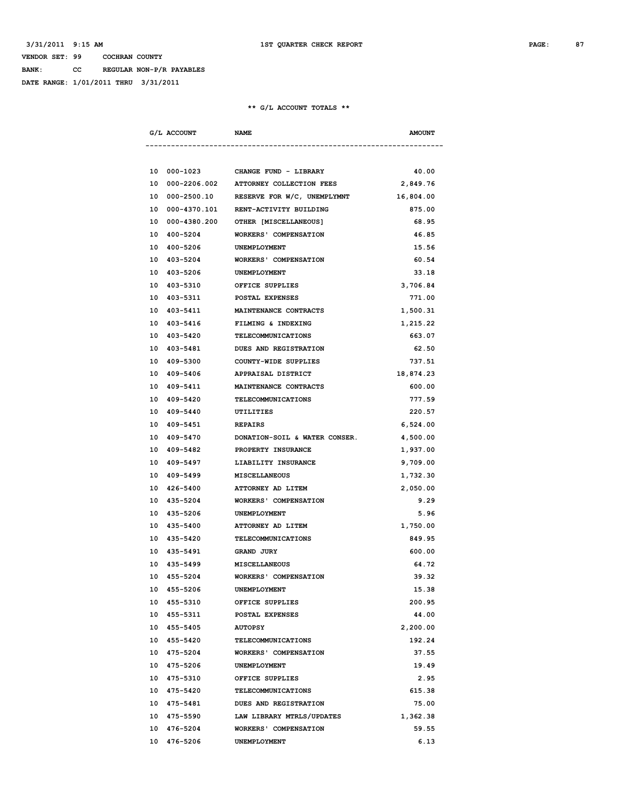**BANK: CC REGULAR NON-P/R PAYABLES**

**DATE RANGE: 1/01/2011 THRU 3/31/2011**

| G/L ACCOUNT              | <b>NAME</b>                                 | <b>AMOUNT</b> |
|--------------------------|---------------------------------------------|---------------|
|                          |                                             |               |
|                          | 10 000-1023 CHANGE FUND - LIBRARY           | 40.00         |
|                          | 10 000-2206.002 ATTORNEY COLLECTION FEES    | 2,849.76      |
| 10 000-2500.10           | RESERVE FOR W/C, UNEMPLYMNT                 | 16,804.00     |
|                          | 10 000-4370.101 RENT-ACTIVITY BUILDING      | 875.00        |
|                          | 10 000-4380.200 OTHER [MISCELLANEOUS]       | 68.95         |
| 10 400-5204              | <b>WORKERS' COMPENSATION</b>                | 46.85         |
| 10 400-5206 UNEMPLOYMENT |                                             | 15.56         |
|                          | 10 403-5204 WORKERS' COMPENSATION           | 60.54         |
| 10 403-5206 UNEMPLOYMENT |                                             | 33.18         |
|                          | 10 403-5310 OFFICE SUPPLIES                 | 3,706.84      |
| 10 403-5311              | <b>POSTAL EXPENSES</b>                      | 771.00        |
| 10 403-5411              | <b>MAINTENANCE CONTRACTS</b>                | 1,500.31      |
| 10 403-5416              | FILMING & INDEXING                          | 1,215.22      |
| 10 403-5420              | TELECOMMUNICATIONS                          | 663.07        |
| 10 403-5481              | DUES AND REGISTRATION                       | 62.50         |
| 10 409-5300              | COUNTY-WIDE SUPPLIES                        | 737.51        |
| 10 409-5406              | APPRAISAL DISTRICT                          | 18,874.23     |
| 10 409-5411              | <b>MAINTENANCE CONTRACTS</b>                | 600.00        |
| 10 409-5420              | TELECOMMUNICATIONS                          | 777.59        |
| 10 409-5440              | UTILITIES                                   | 220.57        |
| 10 409-5451              | <b>REPAIRS</b>                              | 6,524.00      |
|                          | 10 409-5470 DONATION-SOIL & WATER CONSER.   | 4,500.00      |
| 10 409-5482              | PROPERTY INSURANCE                          | 1,937.00      |
| 10 409-5497              | LIABILITY INSURANCE                         | 9,709.00      |
| 10 409-5499              | <b>MISCELLANEOUS</b>                        | 1,732.30      |
| 10 426-5400              | ATTORNEY AD LITEM                           | 2,050.00      |
| 10 435-5204              | <b>WORKERS' COMPENSATION</b>                | 9.29          |
| 10 435-5206              | UNEMPLOYMENT                                | 5.96          |
| 10 435-5400              | <b>ATTORNEY AD LITEM</b>                    | 1,750.00      |
| 10 435-5420              | TELECOMMUNICATIONS                          | 849.95        |
| 10 435-5491 GRAND JURY   |                                             | 600.00        |
| 10 435-5499              | <b>MISCELLANEOUS</b>                        | 64.72         |
| 10<br>455-5204           | <b>WORKERS' COMPENSATION</b>                | 39.32         |
| 10 455-5206              | UNEMPLOYMENT                                | 15.38         |
| 10 455-5310              | OFFICE SUPPLIES                             | 200.95        |
| 10 455-5311              | POSTAL EXPENSES                             | 44.00         |
| 10 455-5405              |                                             |               |
|                          | <b>AUTOPSY</b><br><b>TELECOMMUNICATIONS</b> | 2,200.00      |
| 10 455-5420              |                                             | 192.24        |
| 10 475-5204              | <b>WORKERS' COMPENSATION</b>                | 37.55         |
| 10 475-5206              | UNEMPLOYMENT                                | 19.49         |
| 10 475-5310              | OFFICE SUPPLIES                             | 2.95          |
| 10 475-5420              | <b>TELECOMMUNICATIONS</b>                   | 615.38        |
| 10 475-5481              | DUES AND REGISTRATION                       | 75.00         |
| 10 475-5590              | LAW LIBRARY MTRLS/UPDATES                   | 1,362.38      |
| 10<br>476-5204           | <b>WORKERS' COMPENSATION</b>                | 59.55         |
| 10 476-5206              | UNEMPLOYMENT                                | 6.13          |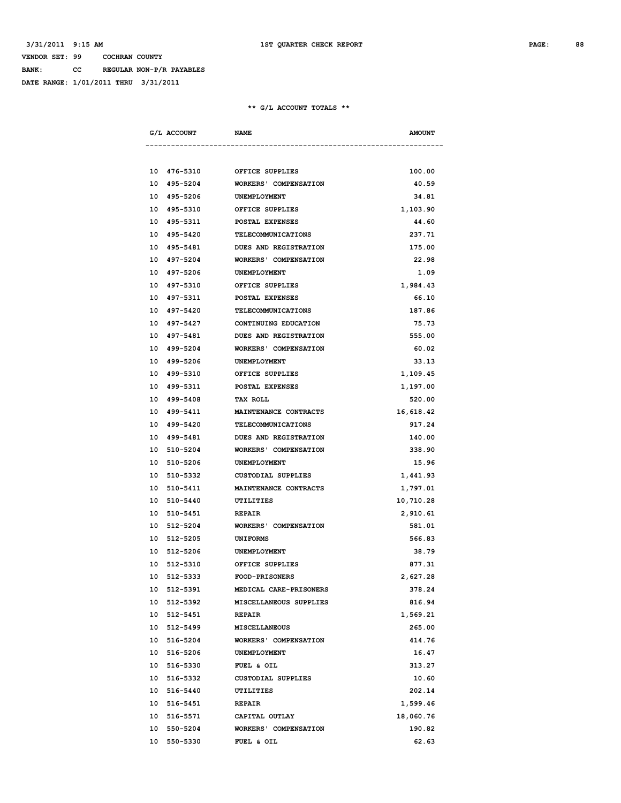**BANK: CC REGULAR NON-P/R PAYABLES**

**DATE RANGE: 1/01/2011 THRU 3/31/2011**

|  | G/L ACCOUNT              | <b>NAME</b>                       | <b>AMOUNT</b> |
|--|--------------------------|-----------------------------------|---------------|
|  |                          |                                   |               |
|  |                          | 10 476-5310 OFFICE SUPPLIES       | 100.00        |
|  | 10 495-5204              | <b>WORKERS' COMPENSATION</b>      | 40.59         |
|  | 10 495-5206              | <b>UNEMPLOYMENT</b>               | 34.81         |
|  | 10 495-5310              | OFFICE SUPPLIES                   | 1,103.90      |
|  | 10 495-5311              | POSTAL EXPENSES                   | 44.60         |
|  | 10 495-5420              | TELECOMMUNICATIONS                | 237.71        |
|  | 10 495-5481              | <b>DUES AND REGISTRATION</b>      | 175.00        |
|  | 10 497-5204              | WORKERS' COMPENSATION             | 22.98         |
|  | 10 497-5206              | UNEMPLOYMENT                      | 1.09          |
|  |                          | 10 497-5310 OFFICE SUPPLIES       | 1,984.43      |
|  |                          | 10 497-5311 POSTAL EXPENSES       | 66.10         |
|  | 10 497-5420              | TELECOMMUNICATIONS                | 187.86        |
|  |                          | 10 497-5427 CONTINUING EDUCATION  | 75.73         |
|  | 10 497-5481              | <b>DUES AND REGISTRATION</b>      | 555.00        |
|  | 10 499-5204              | <b>WORKERS' COMPENSATION</b>      | 60.02         |
|  | 10 499-5206              | UNEMPLOYMENT                      | 33.13         |
|  | 10 499-5310              | OFFICE SUPPLIES                   | 1,109.45      |
|  | 10 499-5311              | POSTAL EXPENSES                   | 1,197.00      |
|  | 10 499-5408              | <b>TAX ROLL</b>                   | 520.00        |
|  | 10 499-5411              | MAINTENANCE CONTRACTS             | 16,618.42     |
|  | 10 499-5420              | TELECOMMUNICATIONS                | 917.24        |
|  |                          | 10 499-5481 DUES AND REGISTRATION | 140.00        |
|  |                          | 10 510-5204 WORKERS' COMPENSATION | 338.90        |
|  | 10 510-5206 UNEMPLOYMENT |                                   | 15.96         |
|  | 10 510-5332              | CUSTODIAL SUPPLIES                | 1,441.93      |
|  | 10 510-5411              | <b>MAINTENANCE CONTRACTS</b>      | 1,797.01      |
|  | 10 510-5440              | UTILITIES                         | 10,710.28     |
|  | 10 510-5451              | <b>REPAIR</b>                     | 2,910.61      |
|  | 10 512-5204              | <b>WORKERS' COMPENSATION</b>      | 581.01        |
|  | 10 512-5205              | <b>UNIFORMS</b>                   | 566.83        |
|  | 10 512-5206              | <b>UNEMPLOYMENT</b>               | 38.79         |
|  | 10 512-5310              | OFFICE SUPPLIES                   | 877.31        |
|  | 10 512-5333              | <b>FOOD-PRISONERS</b>             | 2,627.28      |
|  | 10 512-5391              | MEDICAL CARE-PRISONERS            | 378.24        |
|  | 10 512-5392              | MISCELLANEOUS SUPPLIES            |               |
|  |                          | <b>REPAIR</b>                     | 816.94        |
|  | 10 512-5451              |                                   | 1,569.21      |
|  | 10 512-5499              | <b>MISCELLANEOUS</b>              | 265.00        |
|  | 10 516-5204              | <b>WORKERS' COMPENSATION</b>      | 414.76        |
|  | 10 516-5206              | UNEMPLOYMENT                      | 16.47         |
|  | 10 516-5330              | FUEL & OIL                        | 313.27        |
|  | 10 516-5332              | <b>CUSTODIAL SUPPLIES</b>         | 10.60         |
|  | 10 516-5440              | UTILITIES                         | 202.14        |
|  | 10 516-5451              | <b>REPAIR</b>                     | 1,599.46      |
|  | 10 516-5571              | CAPITAL OUTLAY                    | 18,060.76     |
|  | 10 550-5204              | <b>WORKERS' COMPENSATION</b>      | 190.82        |
|  | 10 550-5330              | FUEL & OIL                        | 62.63         |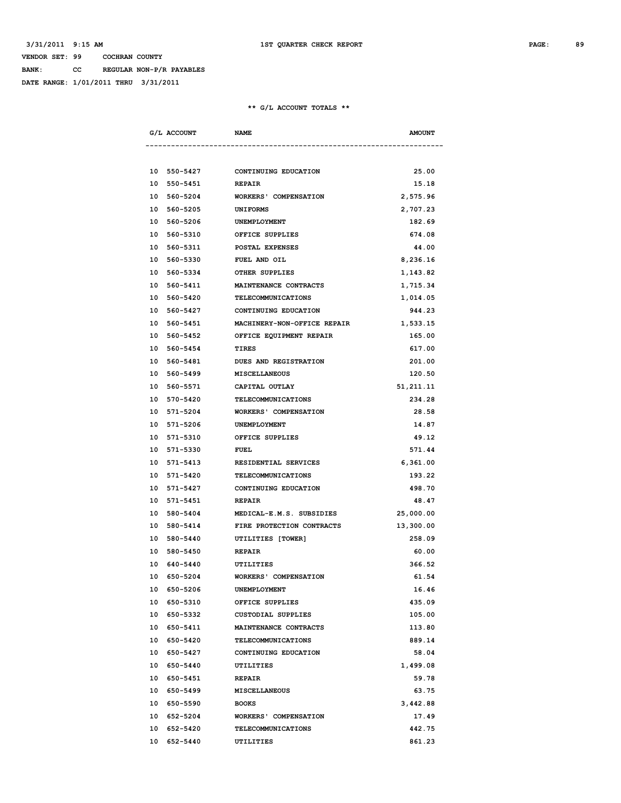**BANK: CC REGULAR NON-P/R PAYABLES**

**DATE RANGE: 1/01/2011 THRU 3/31/2011**

| G/L ACCOUNT    | <b>NAME</b>                  | <b>AMOUNT</b> |
|----------------|------------------------------|---------------|
|                |                              |               |
| 10 550-5427    | CONTINUING EDUCATION         | 25.00         |
| 10 550-5451    | <b>REPAIR</b>                | 15.18         |
| 10 560-5204    | <b>WORKERS' COMPENSATION</b> | 2,575.96      |
| 10 560-5205    | <b>UNIFORMS</b>              | 2,707.23      |
| 10 560-5206    | UNEMPLOYMENT                 | 182.69        |
| 10 560-5310    | OFFICE SUPPLIES              | 674.08        |
| 10 560-5311    | POSTAL EXPENSES              | 44.00         |
| 10 560-5330    | <b>FUEL AND OIL</b>          | 8,236.16      |
| 10 560-5334    | OTHER SUPPLIES               | 1,143.82      |
| 560-5411<br>10 | MAINTENANCE CONTRACTS        | 1,715.34      |
| 10 560-5420    | TELECOMMUNICATIONS           | 1,014.05      |
| 10 560-5427    | CONTINUING EDUCATION         | 944.23        |
| 10 560-5451    | MACHINERY-NON-OFFICE REPAIR  | 1,533.15      |
| 10 560-5452    | OFFICE EQUIPMENT REPAIR      | 165.00        |
| 10 560-5454    | TIRES                        | 617.00        |
| 10 560-5481    | DUES AND REGISTRATION        | 201.00        |
| 10 560-5499    | <b>MISCELLANEOUS</b>         | 120.50        |
| 10 560-5571    | CAPITAL OUTLAY               | 51, 211.11    |
| 10 570-5420    | TELECOMMUNICATIONS           | 234.28        |
| 10 571-5204    | <b>WORKERS' COMPENSATION</b> | 28.58         |
| 10 571-5206    | UNEMPLOYMENT                 | 14.87         |
| 10 571-5310    | OFFICE SUPPLIES              | 49.12         |
| 10 571-5330    | <b>FUEL</b>                  | 571.44        |
| 10 571-5413    | RESIDENTIAL SERVICES         | 6,361.00      |
| 10 571-5420    | TELECOMMUNICATIONS           | 193.22        |
| 10 571-5427    | CONTINUING EDUCATION         | 498.70        |
| 10 571-5451    | <b>REPAIR</b>                | 48.47         |
| 10 580-5404    | MEDICAL-E.M.S. SUBSIDIES     | 25,000.00     |
| 10 580-5414    | FIRE PROTECTION CONTRACTS    | 13,300.00     |
| 10 580-5440    | UTILITIES [TOWER]            | 258.09        |
| 10 580-5450    | <b>REPAIR</b>                | 60.00         |
| 10 640-5440    | UTILITIES                    | 366.52        |
| 10 650-5204    | <b>WORKERS' COMPENSATION</b> | 61.54         |
| 10 650-5206    | UNEMPLOYMENT                 | 16.46         |
| 10 650-5310    | OFFICE SUPPLIES              | 435.09        |
| 10 650-5332    | <b>CUSTODIAL SUPPLIES</b>    | 105.00        |
| 10 650-5411    | MAINTENANCE CONTRACTS        | 113.80        |
| 10 650-5420    | <b>TELECOMMUNICATIONS</b>    | 889.14        |
| 10 650-5427    | CONTINUING EDUCATION         | 58.04         |
| 10 650-5440    | UTILITIES                    | 1,499.08      |
| 10 650-5451    | <b>REPAIR</b>                | 59.78         |
| 10 650-5499    | <b>MISCELLANEOUS</b>         | 63.75         |
| 10 650-5590    | <b>BOOKS</b>                 | 3,442.88      |
| 10 652-5204    | <b>WORKERS' COMPENSATION</b> | 17.49         |
| 10 652-5420    | TELECOMMUNICATIONS           | 442.75        |
| 10 652-5440    | UTILITIES                    | 861.23        |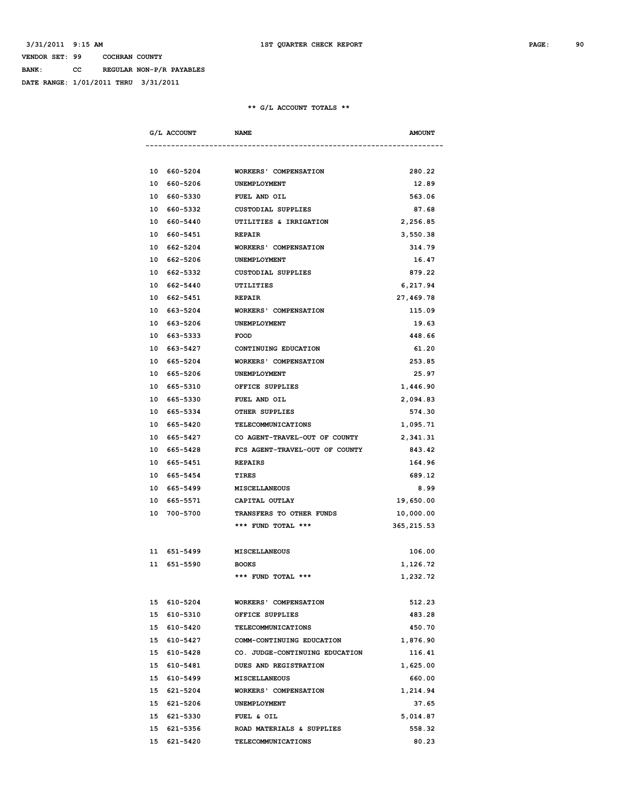**BANK: CC REGULAR NON-P/R PAYABLES**

**DATE RANGE: 1/01/2011 THRU 3/31/2011**

|  | G/L ACCOUNT           | <b>NAME</b>                                | <b>AMOUNT</b> |
|--|-----------------------|--------------------------------------------|---------------|
|  |                       |                                            |               |
|  |                       | 10 660-5204 WORKERS' COMPENSATION          | 280.22        |
|  | 10 660-5206           | <b>UNEMPLOYMENT</b>                        | 12.89         |
|  | 10 660-5330           | <b>FUEL AND OIL</b>                        | 563.06        |
|  | 10 660-5332           | CUSTODIAL SUPPLIES                         | 87.68         |
|  | 10 660-5440           | UTILITIES & IRRIGATION                     | 2,256.85      |
|  | 10 660-5451           | <b>REPAIR</b>                              | 3,550.38      |
|  | 10 662-5204           | <b>WORKERS' COMPENSATION</b>               | 314.79        |
|  |                       | 10 662-5206 UNEMPLOYMENT                   | 16.47         |
|  | 10 662-5332           | CUSTODIAL SUPPLIES                         | 879.22        |
|  | 10 662-5440 UTILITIES |                                            | 6,217.94      |
|  | 10 662-5451 REPAIR    |                                            | 27,469.78     |
|  |                       | 10 663-5204 WORKERS' COMPENSATION          | 115.09        |
|  | 10 663-5206           | UNEMPLOYMENT                               | 19.63         |
|  | 10 663-5333           | <b>FOOD</b>                                | 448.66        |
|  | 10 663-5427           | CONTINUING EDUCATION                       | 61.20         |
|  | 10 665-5204           | <b>WORKERS' COMPENSATION</b>               | 253.85        |
|  | 10 665-5206           | UNEMPLOYMENT                               | 25.97         |
|  | 10 665-5310           | OFFICE SUPPLIES                            | 1,446.90      |
|  | 10 665-5330           | FUEL AND OIL                               | 2,094.83      |
|  | 10 665-5334           | <b>OTHER SUPPLIES</b>                      | 574.30        |
|  |                       | 10 665-5420 TELECOMMUNICATIONS             | 1,095.71      |
|  |                       | 10 665-5427 CO AGENT-TRAVEL-OUT OF COUNTY  | 2,341.31      |
|  |                       | 10 665-5428 FCS AGENT-TRAVEL-OUT OF COUNTY | 843.42        |
|  | 10 665-5451 REPAIRS   |                                            | 164.96        |
|  | 10 665-5454           | <b>TIRES</b>                               | 689.12        |
|  | 10 665-5499           | MISCELLANEOUS                              | 8.99          |
|  | 10 665-5571           | CAPITAL OUTLAY                             | 19,650.00     |
|  | 10 700-5700           | <b>TRANSFERS TO OTHER FUNDS</b>            | 10,000.00     |
|  |                       | *** FUND TOTAL ***                         | 365, 215.53   |
|  |                       |                                            |               |
|  | 11 651-5499           | <b>MISCELLANEOUS</b>                       | 106.00        |
|  | 11 651-5590           | <b>BOOKS</b>                               | 1,126.72      |
|  |                       | *** FUND TOTAL ***                         | 1,232.72      |
|  |                       |                                            |               |
|  | 15 610-5204           | <b>WORKERS' COMPENSATION</b>               | 512.23        |
|  | 15 610-5310           | OFFICE SUPPLIES                            | 483.28        |
|  | 15 610-5420           | <b>TELECOMMUNICATIONS</b>                  | 450.70        |
|  | 15 610-5427           | COMM-CONTINUING EDUCATION                  | 1,876.90      |
|  | 15 610-5428           | CO. JUDGE-CONTINUING EDUCATION             | 116.41        |
|  |                       | DUES AND REGISTRATION                      | 1,625.00      |
|  | 15 610-5481           |                                            |               |
|  | 15 610-5499           | <b>MISCELLANEOUS</b>                       | 660.00        |
|  | 15 621-5204           | <b>WORKERS' COMPENSATION</b>               | 1,214.94      |
|  | 15 621-5206           | UNEMPLOYMENT                               | 37.65         |
|  | 15 621-5330           | FUEL & OIL                                 | 5,014.87      |
|  | 15 621-5356           | ROAD MATERIALS & SUPPLIES                  | 558.32        |
|  | 15 621-5420           | TELECOMMUNICATIONS                         | 80.23         |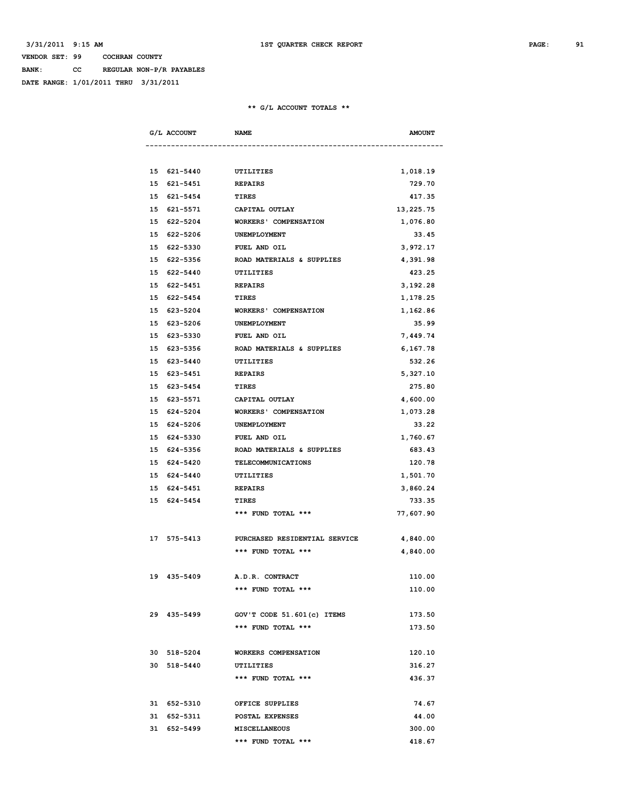**BANK: CC REGULAR NON-P/R PAYABLES**

**DATE RANGE: 1/01/2011 THRU 3/31/2011**

| G/L ACCOUNT | <b>NAME</b>              |                                           | <b>AMOUNT</b> |
|-------------|--------------------------|-------------------------------------------|---------------|
|             |                          |                                           |               |
|             | 15 621-5440 UTILITIES    |                                           | 1,018.19      |
|             | 15 621-5451              | <b>REPAIRS</b>                            | 729.70        |
| 15 621-5454 |                          | TIRES                                     | 417.35        |
|             | 15 621-5571              | CAPITAL OUTLAY                            | 13,225.75     |
|             | 15 622-5204              | WORKERS' COMPENSATION                     | 1,076.80      |
|             | 15 622-5206              | UNEMPLOYMENT                              | 33.45         |
|             | 15 622-5330 FUEL AND OIL |                                           | 3,972.17      |
|             |                          | 15 622-5356 ROAD MATERIALS & SUPPLIES     | 4,391.98      |
|             | 15 622-5440 UTILITIES    |                                           | 423.25        |
|             | 15 622-5451 REPAIRS      |                                           | 3,192.28      |
|             | 15 622-5454 TIRES        |                                           | 1,178.25      |
|             | 15 623-5204              | <b>WORKERS' COMPENSATION</b>              | 1,162.86      |
| 15 623-5206 |                          | UNEMPLOYMENT                              | 35.99         |
| 15 623-5330 |                          | FUEL AND OIL                              | 7,449.74      |
| 15 623-5356 |                          | ROAD MATERIALS & SUPPLIES                 | 6,167.78      |
| 15 623-5440 |                          | UTILITIES                                 | 532.26        |
|             | 15 623-5451              | <b>REPAIRS</b>                            | 5,327.10      |
|             | 15 623-5454              | <b>TIRES</b>                              | 275.80        |
|             |                          | 15 623-5571 CAPITAL OUTLAY                | 4,600.00      |
|             |                          | 15 624-5204 WORKERS' COMPENSATION         | 1,073.28      |
| 15 624-5206 |                          | UNEMPLOYMENT                              | 33.22         |
|             | 15 624-5330 FUEL AND OIL |                                           | 1,760.67      |
|             |                          | 15 624-5356 ROAD MATERIALS & SUPPLIES     | 683.43        |
|             | 15 624-5420              | TELECOMMUNICATIONS                        | 120.78        |
| 15 624-5440 |                          | UTILITIES                                 | 1,501.70      |
|             | 15 624-5451              | <b>REPAIRS</b>                            | 3,860.24      |
| 15 624-5454 |                          | TIRES                                     | 733.35        |
|             |                          | *** FUND TOTAL ***                        | 77,607.90     |
|             |                          | 17 575-5413 PURCHASED RESIDENTIAL SERVICE | 4,840.00      |
|             |                          | *** FUND TOTAL ***                        | 4,840.00      |
| 19 435-5409 |                          | A.D.R. CONTRACT                           | 110.00        |
|             |                          | *** FUND TOTAL ***                        | 110.00        |
| 29 435-5499 |                          | GOV'T CODE 51.601(c) ITEMS                | 173.50        |
|             |                          | *** FUND TOTAL ***                        | 173.50        |
| 30 518-5204 |                          | WORKERS COMPENSATION                      | 120.10        |
| 30 518-5440 |                          | UTILITIES                                 | 316.27        |
|             |                          | *** FUND TOTAL ***                        | 436.37        |
| 31 652-5310 |                          | OFFICE SUPPLIES                           | 74.67         |
| 31 652-5311 |                          | <b>POSTAL EXPENSES</b>                    | 44.00         |
| 31 652-5499 |                          | MISCELLANEOUS                             | 300.00        |
|             |                          | *** FUND TOTAL ***                        | 418.67        |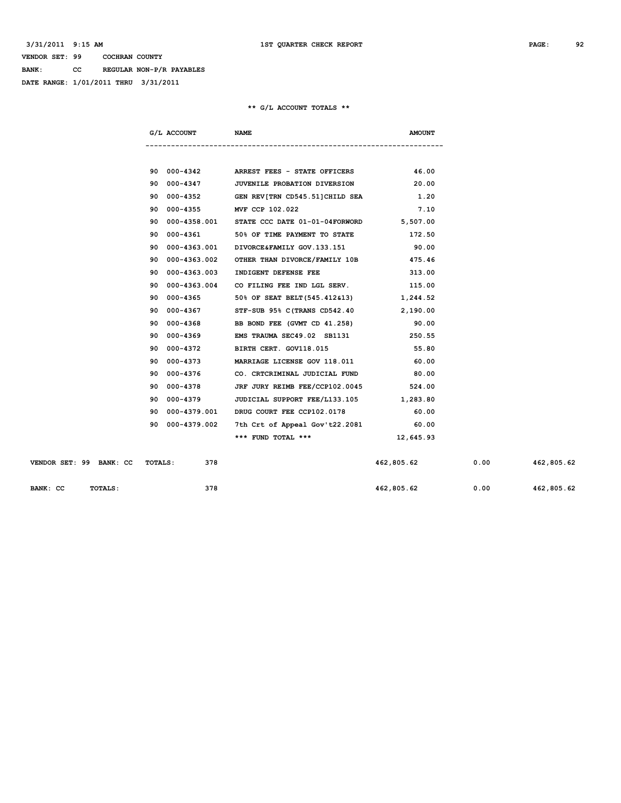**BANK: CC REGULAR NON-P/R PAYABLES**

**DATE RANGE: 1/01/2011 THRU 3/31/2011**

|     | G/L ACCOUNT NAME         |                                                      | <b>AMOUNT</b> |
|-----|--------------------------|------------------------------------------------------|---------------|
|     |                          |                                                      |               |
|     |                          | 90 000-4342 ARREST FEES - STATE OFFICERS 46.00       |               |
| 90  |                          | 000-4347 JUVENILE PROBATION DIVERSION                | 20.00         |
| 90. |                          | 000-4352 GEN REV[TRN CD545.51]CHILD SEA 1.20         |               |
| 90  | 000-4355 MVF CCP 102.022 |                                                      | 7.10          |
| 90  |                          | 000-4358.001 STATE CCC DATE 01-01-04FORWORD 5,507.00 |               |
| 90  |                          | 000-4361 50% OF TIME PAYMENT TO STATE 50 172.50      |               |
| 90. |                          | 000-4363.001 DIVORCE&FAMILY GOV.133.151 90.00        |               |
| 90  |                          | 000-4363.002 OTHER THAN DIVORCE/FAMILY 10B 475.46    |               |
| 90  |                          | 000-4363.003 INDIGENT DEFENSE FEE 313.00             |               |
| 90  |                          | 000-4363.004 CO FILING FEE IND LGL SERV. 115.00      |               |
| 90  |                          | 000-4365 50% OF SEAT BELT (545.412&13) 1,244.52      |               |
| 90  |                          | 000-4367 STF-SUB 95% C (TRANS CD542.40 2,190.00      |               |
| 90  |                          | 000-4368 BB BOND FEE (GVMT CD 41.258) 90.00          |               |
| 90  |                          | 000-4369 EMS TRAUMA SEC49.02 SB1131 250.55           |               |
| 90  |                          | 000-4372 BIRTH CERT. GOV118.015 55.80                |               |
| 90  |                          | 000-4373 MARRIAGE LICENSE GOV 118.011 60.00          |               |
| 90  |                          | 000-4376 CO. CRTCRIMINAL JUDICIAL FUND 80.00         |               |
| 90  |                          | 000-4378 JRF JURY REIMB FEE/CCP102.0045 524.00       |               |
| 90  |                          | 000-4379 JUDICIAL SUPPORT FEE/L133.105 1,283.80      |               |
| 90  |                          | 000-4379.001 DRUG COURT FEE CCP102.0178              | 60.00         |
| 90. |                          | 000-4379.002 7th Crt of Appeal Gov't22.2081 60.00    |               |
|     |                          | *** FUND TOTAL *** 12,645.93                         |               |

| VENDOR SET: 99 | <b>BANK: CC</b> | TOTALS: | 378 | 462,805.62 | 0.00 | 462,805.62 |
|----------------|-----------------|---------|-----|------------|------|------------|
| BANK: CC       | TOTALS:         |         | 378 | 462,805.62 | 0.00 | 462,805.62 |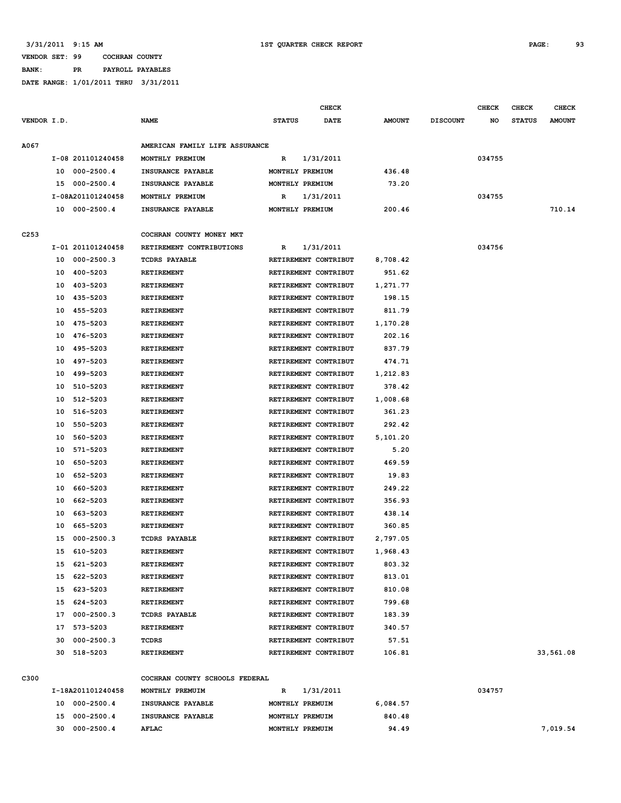### **VENDOR SET: 99 COCHRAN COUNTY BANK: PR PAYROLL PAYABLES**

**DATE RANGE: 1/01/2011 THRU 3/31/2011**

|             |    |                   |                                |                                              | <b>CHECK</b> |               |                 | <b>CHECK</b> | <b>CHECK</b>  | <b>CHECK</b>  |
|-------------|----|-------------------|--------------------------------|----------------------------------------------|--------------|---------------|-----------------|--------------|---------------|---------------|
| VENDOR I.D. |    |                   | <b>NAME</b>                    | <b>STATUS</b>                                | DATE         | <b>AMOUNT</b> | <b>DISCOUNT</b> | NO           | <b>STATUS</b> | <b>AMOUNT</b> |
| A067        |    |                   | AMERICAN FAMILY LIFE ASSURANCE |                                              |              |               |                 |              |               |               |
|             |    | I-08 201101240458 | MONTHLY PREMIUM                | R                                            | 1/31/2011    |               |                 | 034755       |               |               |
|             | 10 | 000-2500.4        | INSURANCE PAYABLE              | MONTHLY PREMIUM                              |              | 436.48        |                 |              |               |               |
|             | 15 | 000-2500.4        | INSURANCE PAYABLE              | MONTHLY PREMIUM                              |              | 73.20         |                 |              |               |               |
|             |    | I-08A201101240458 | MONTHLY PREMIUM                | R                                            | 1/31/2011    |               |                 | 034755       |               |               |
|             |    | 10 000-2500.4     | INSURANCE PAYABLE              | MONTHLY PREMIUM                              |              | 200.46        |                 |              |               | 710.14        |
|             |    |                   |                                |                                              |              |               |                 |              |               |               |
| C253        |    |                   | COCHRAN COUNTY MONEY MKT       |                                              |              |               |                 |              |               |               |
|             |    | I-01 201101240458 | RETIREMENT CONTRIBUTIONS       | R                                            | 1/31/2011    |               |                 | 034756       |               |               |
|             |    | 10 000-2500.3     | <b>TCDRS PAYABLE</b>           | RETIREMENT CONTRIBUT                         |              | 8,708.42      |                 |              |               |               |
|             | 10 | 400-5203          | RETIREMENT                     | RETIREMENT CONTRIBUT                         |              | 951.62        |                 |              |               |               |
|             | 10 | 403-5203          | RETIREMENT                     | RETIREMENT CONTRIBUT                         |              | 1,271.77      |                 |              |               |               |
|             | 10 | 435-5203          | <b>RETIREMENT</b>              | RETIREMENT CONTRIBUT                         |              | 198.15        |                 |              |               |               |
|             | 10 | 455-5203          | RETIREMENT                     | RETIREMENT CONTRIBUT                         |              | 811.79        |                 |              |               |               |
|             | 10 | 475-5203          | RETIREMENT                     | RETIREMENT CONTRIBUT                         |              | 1,170.28      |                 |              |               |               |
|             | 10 | 476-5203          | <b>RETIREMENT</b>              | RETIREMENT CONTRIBUT                         |              | 202.16        |                 |              |               |               |
|             | 10 | 495-5203          | RETIREMENT                     | RETIREMENT CONTRIBUT                         |              | 837.79        |                 |              |               |               |
|             | 10 | 497-5203          | RETIREMENT                     | RETIREMENT CONTRIBUT                         |              | 474.71        |                 |              |               |               |
|             | 10 | 499-5203          | <b>RETIREMENT</b>              | RETIREMENT CONTRIBUT                         |              | 1,212.83      |                 |              |               |               |
|             | 10 | 510-5203          | <b>RETIREMENT</b>              | RETIREMENT CONTRIBUT                         |              | 378.42        |                 |              |               |               |
|             | 10 | 512-5203          | <b>RETIREMENT</b>              | RETIREMENT CONTRIBUT                         |              | 1,008.68      |                 |              |               |               |
|             | 10 | 516-5203          | <b>RETIREMENT</b>              | RETIREMENT CONTRIBUT                         |              | 361.23        |                 |              |               |               |
|             | 10 | 550-5203          | <b>RETIREMENT</b>              | RETIREMENT CONTRIBUT                         |              | 292.42        |                 |              |               |               |
|             | 10 | 560-5203          | <b>RETIREMENT</b>              | RETIREMENT CONTRIBUT                         |              | 5,101.20      |                 |              |               |               |
|             | 10 | 571-5203          | RETIREMENT                     | RETIREMENT CONTRIBUT                         |              | 5.20          |                 |              |               |               |
|             | 10 | 650-5203          | <b>RETIREMENT</b>              | RETIREMENT CONTRIBUT                         |              | 469.59        |                 |              |               |               |
|             | 10 | 652-5203          | <b>RETIREMENT</b>              | RETIREMENT CONTRIBUT                         |              | 19.83         |                 |              |               |               |
|             |    |                   |                                |                                              |              | 249.22        |                 |              |               |               |
|             | 10 | 660-5203          | <b>RETIREMENT</b>              | RETIREMENT CONTRIBUT<br>RETIREMENT CONTRIBUT |              |               |                 |              |               |               |
|             | 10 | 662-5203          | RETIREMENT                     |                                              |              | 356.93        |                 |              |               |               |
|             | 10 | 663-5203          | <b>RETIREMENT</b>              | RETIREMENT CONTRIBUT                         |              | 438.14        |                 |              |               |               |
|             | 10 | 665-5203          | <b>RETIREMENT</b>              | RETIREMENT CONTRIBUT                         |              | 360.85        |                 |              |               |               |
|             | 15 | $000 - 2500.3$    | <b>TCDRS PAYABLE</b>           | RETIREMENT CONTRIBUT                         |              | 2,797.05      |                 |              |               |               |
|             | 15 | 610-5203          | <b>RETIREMENT</b>              | RETIREMENT CONTRIBUT                         |              | 1,968.43      |                 |              |               |               |
|             | 15 | 621-5203          | RETIREMENT                     | RETIREMENT CONTRIBUT                         |              | 803.32        |                 |              |               |               |
|             | 15 | 622-5203          | RETIREMENT                     | RETIREMENT CONTRIBUT                         |              | 813.01        |                 |              |               |               |
|             | 15 | 623-5203          | <b>RETIREMENT</b>              | RETIREMENT CONTRIBUT                         |              | 810.08        |                 |              |               |               |
|             |    | 15 624-5203       | RETIREMENT                     | RETIREMENT CONTRIBUT                         |              | 799.68        |                 |              |               |               |
|             | 17 | 000-2500.3        | <b>TCDRS PAYABLE</b>           | RETIREMENT CONTRIBUT                         |              | 183.39        |                 |              |               |               |
|             |    | 17 573-5203       | RETIREMENT                     | RETIREMENT CONTRIBUT                         |              | 340.57        |                 |              |               |               |
|             | 30 | 000-2500.3        | TCDRS                          | RETIREMENT CONTRIBUT                         |              | 57.51         |                 |              |               |               |
|             | 30 | 518-5203          | RETIREMENT                     | RETIREMENT CONTRIBUT                         |              | 106.81        |                 |              |               | 33,561.08     |
| C300        |    |                   | COCHRAN COUNTY SCHOOLS FEDERAL |                                              |              |               |                 |              |               |               |
|             |    | I-18A201101240458 | MONTHLY PREMUIM                | R                                            | 1/31/2011    |               |                 | 034757       |               |               |
|             |    | 10 000-2500.4     | INSURANCE PAYABLE              | MONTHLY PREMUIM                              |              | 6,084.57      |                 |              |               |               |
|             |    | 15 000-2500.4     | INSURANCE PAYABLE              | MONTHLY PREMUIM                              |              | 840.48        |                 |              |               |               |
|             |    |                   |                                |                                              |              |               |                 |              |               |               |

 **30 000-2500.4 AFLAC MONTHLY PREMUIM 94.49 7,019.54**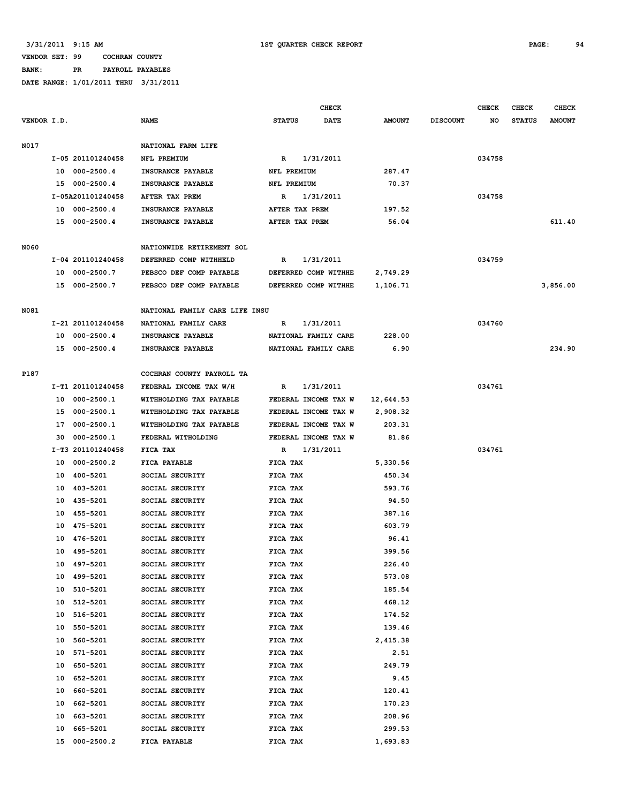#### **3/31/2011 9:15 AM 1ST QUARTER CHECK REPORT PAGE: 94**

# **VENDOR SET: 99 COCHRAN COUNTY**

# **BANK: PR PAYROLL PAYABLES**

|             |    |                   |                                | <b>CHECK</b>   |                      |               |                 | <b>CHECK</b> | <b>CHECK</b>  | <b>CHECK</b>  |
|-------------|----|-------------------|--------------------------------|----------------|----------------------|---------------|-----------------|--------------|---------------|---------------|
| VENDOR I.D. |    |                   | <b>NAME</b>                    | <b>STATUS</b>  | <b>DATE</b>          | <b>AMOUNT</b> | <b>DISCOUNT</b> | NO           | <b>STATUS</b> | <b>AMOUNT</b> |
|             |    |                   |                                |                |                      |               |                 |              |               |               |
| N017        |    |                   | NATIONAL FARM LIFE             |                |                      |               |                 |              |               |               |
|             |    | I-05 201101240458 | NFL PREMIUM                    | R              | 1/31/2011            |               |                 | 034758       |               |               |
|             |    | 10 000-2500.4     | INSURANCE PAYABLE              | NFL PREMIUM    |                      | 287.47        |                 |              |               |               |
|             |    | 15 000-2500.4     | INSURANCE PAYABLE              | NFL PREMIUM    |                      | 70.37         |                 |              |               |               |
|             |    | I-05A201101240458 | AFTER TAX PREM                 | R              | 1/31/2011            |               |                 | 034758       |               |               |
|             |    | 10 000-2500.4     | INSURANCE PAYABLE              | AFTER TAX PREM |                      | 197.52        |                 |              |               |               |
|             |    | 15 000-2500.4     | INSURANCE PAYABLE              | AFTER TAX PREM |                      | 56.04         |                 |              |               | 611.40        |
|             |    |                   |                                |                |                      |               |                 |              |               |               |
| N060        |    |                   | NATIONWIDE RETIREMENT SOL      |                |                      |               |                 |              |               |               |
|             |    | I-04 201101240458 | DEFERRED COMP WITHHELD         | R              | 1/31/2011            |               |                 | 034759       |               |               |
|             |    | 10 000-2500.7     | PEBSCO DEF COMP PAYABLE        |                | DEFERRED COMP WITHHE | 2,749.29      |                 |              |               |               |
|             |    | 15 000-2500.7     | PEBSCO DEF COMP PAYABLE        |                | DEFERRED COMP WITHHE | 1,106.71      |                 |              |               | 3,856.00      |
|             |    |                   |                                |                |                      |               |                 |              |               |               |
| N081        |    |                   | NATIONAL FAMILY CARE LIFE INSU |                |                      |               |                 |              |               |               |
|             |    | I-21 201101240458 | NATIONAL FAMILY CARE           | R              | 1/31/2011            |               |                 | 034760       |               |               |
|             |    | 10 000-2500.4     | INSURANCE PAYABLE              |                | NATIONAL FAMILY CARE | 228.00        |                 |              |               |               |
|             |    | 15 000-2500.4     | INSURANCE PAYABLE              |                | NATIONAL FAMILY CARE | 6.90          |                 |              |               | 234.90        |
|             |    |                   |                                |                |                      |               |                 |              |               |               |
|             |    |                   |                                |                |                      |               |                 |              |               |               |
| P187        |    |                   | COCHRAN COUNTY PAYROLL TA      |                |                      |               |                 |              |               |               |
|             |    | I-T1 201101240458 | FEDERAL INCOME TAX W/H         | R              | 1/31/2011            |               |                 | 034761       |               |               |
|             |    | 10 000-2500.1     | WITHHOLDING TAX PAYABLE        |                | FEDERAL INCOME TAX W | 12,644.53     |                 |              |               |               |
|             |    | 15 000-2500.1     | WITHHOLDING TAX PAYABLE        |                | FEDERAL INCOME TAX W | 2,908.32      |                 |              |               |               |
|             |    | 17 000-2500.1     | WITHHOLDING TAX PAYABLE        |                | FEDERAL INCOME TAX W | 203.31        |                 |              |               |               |
|             |    | 30 000-2500.1     | FEDERAL WITHOLDING             |                | FEDERAL INCOME TAX W | 81.86         |                 |              |               |               |
|             |    | I-T3 201101240458 | FICA TAX                       | R              | 1/31/2011            |               |                 | 034761       |               |               |
|             | 10 | 000-2500.2        | FICA PAYABLE                   | FICA TAX       |                      | 5,330.56      |                 |              |               |               |
|             |    | 10 400-5201       | SOCIAL SECURITY                | FICA TAX       |                      | 450.34        |                 |              |               |               |
|             |    | 10 403-5201       | SOCIAL SECURITY                | FICA TAX       |                      | 593.76        |                 |              |               |               |
|             |    | 10 435-5201       | SOCIAL SECURITY                | FICA TAX       |                      | 94.50         |                 |              |               |               |
|             |    | 10 455-5201       | SOCIAL SECURITY                | FICA TAX       |                      | 387.16        |                 |              |               |               |
|             |    | 10 475-5201       | SOCIAL SECURITY                | FICA TAX       |                      | 603.79        |                 |              |               |               |
|             | 10 | 476-5201          | SOCIAL SECURITY                | FICA TAX       |                      | 96.41         |                 |              |               |               |
|             |    | 10 495-5201       | SOCIAL SECURITY                | FICA TAX       |                      | 399.56        |                 |              |               |               |
|             |    | 10 497-5201       | SOCIAL SECURITY                | FICA TAX       |                      | 226.40        |                 |              |               |               |
|             |    | 10 499-5201       | SOCIAL SECURITY                | FICA TAX       |                      | 573.08        |                 |              |               |               |
|             | 10 | 510-5201          | SOCIAL SECURITY                | FICA TAX       |                      | 185.54        |                 |              |               |               |
|             | 10 | 512-5201          | SOCIAL SECURITY                | FICA TAX       |                      | 468.12        |                 |              |               |               |
|             | 10 | 516-5201          | SOCIAL SECURITY                | FICA TAX       |                      | 174.52        |                 |              |               |               |
|             | 10 | 550-5201          | SOCIAL SECURITY                | FICA TAX       |                      | 139.46        |                 |              |               |               |
|             | 10 | 560-5201          | SOCIAL SECURITY                | FICA TAX       |                      | 2,415.38      |                 |              |               |               |
|             | 10 | 571-5201          | SOCIAL SECURITY                | FICA TAX       |                      | 2.51          |                 |              |               |               |
|             | 10 | 650-5201          | SOCIAL SECURITY                | FICA TAX       |                      | 249.79        |                 |              |               |               |
|             | 10 | 652-5201          | SOCIAL SECURITY                | FICA TAX       |                      | 9.45          |                 |              |               |               |
|             | 10 | 660-5201          | SOCIAL SECURITY                | FICA TAX       |                      | 120.41        |                 |              |               |               |
|             | 10 | 662-5201          | SOCIAL SECURITY                | FICA TAX       |                      | 170.23        |                 |              |               |               |
|             | 10 | 663-5201          | SOCIAL SECURITY                | FICA TAX       |                      | 208.96        |                 |              |               |               |
|             | 10 | 665-5201          | SOCIAL SECURITY                | FICA TAX       |                      | 299.53        |                 |              |               |               |
|             | 15 | $000 - 2500.2$    | FICA PAYABLE                   | FICA TAX       |                      | 1,693.83      |                 |              |               |               |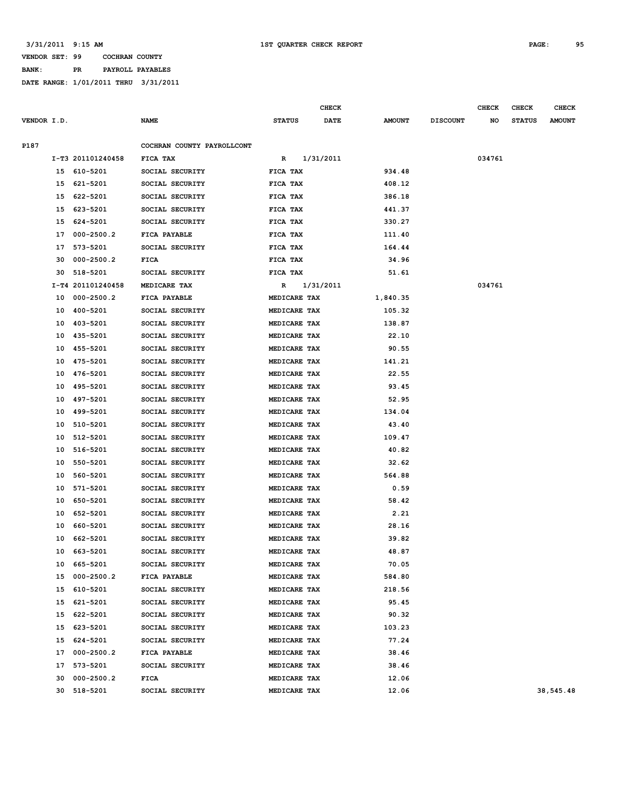**BANK: PR PAYROLL PAYABLES**

|             |    |                   |                            |               |              | <b>CHECK</b> |               |                 | <b>CHECK</b> | <b>CHECK</b>  | <b>CHECK</b>  |
|-------------|----|-------------------|----------------------------|---------------|--------------|--------------|---------------|-----------------|--------------|---------------|---------------|
| VENDOR I.D. |    |                   | <b>NAME</b>                | <b>STATUS</b> |              | <b>DATE</b>  | <b>AMOUNT</b> | <b>DISCOUNT</b> | NO           | <b>STATUS</b> | <b>AMOUNT</b> |
| P187        |    |                   | COCHRAN COUNTY PAYROLLCONT |               |              |              |               |                 |              |               |               |
|             |    | I-T3 201101240458 | FICA TAX                   | R             |              | 1/31/2011    |               |                 | 034761       |               |               |
|             | 15 | 610-5201          | SOCIAL SECURITY            | FICA TAX      |              |              | 934.48        |                 |              |               |               |
|             | 15 | 621-5201          | SOCIAL SECURITY            | FICA TAX      |              |              | 408.12        |                 |              |               |               |
|             | 15 | 622-5201          | SOCIAL SECURITY            | FICA TAX      |              |              | 386.18        |                 |              |               |               |
|             | 15 | 623-5201          | SOCIAL SECURITY            | FICA TAX      |              |              | 441.37        |                 |              |               |               |
|             | 15 | 624-5201          | SOCIAL SECURITY            | FICA TAX      |              |              | 330.27        |                 |              |               |               |
|             | 17 | $000 - 2500.2$    | FICA PAYABLE               | FICA TAX      |              |              | 111.40        |                 |              |               |               |
|             | 17 | 573-5201          | SOCIAL SECURITY            | FICA TAX      |              |              | 164.44        |                 |              |               |               |
|             | 30 | $000 - 2500.2$    | <b>FICA</b>                | FICA TAX      |              |              | 34.96         |                 |              |               |               |
|             | 30 | 518-5201          | SOCIAL SECURITY            | FICA TAX      |              |              | 51.61         |                 |              |               |               |
|             |    | I-T4 201101240458 | MEDICARE TAX               | R             |              | 1/31/2011    |               |                 | 034761       |               |               |
|             | 10 | $000 - 2500.2$    | FICA PAYABLE               |               | MEDICARE TAX |              | 1,840.35      |                 |              |               |               |
|             | 10 | 400-5201          | SOCIAL SECURITY            |               | MEDICARE TAX |              | 105.32        |                 |              |               |               |
|             | 10 | 403-5201          | SOCIAL SECURITY            |               | MEDICARE TAX |              | 138.87        |                 |              |               |               |
|             | 10 | 435-5201          | SOCIAL SECURITY            |               | MEDICARE TAX |              | 22.10         |                 |              |               |               |
|             | 10 | 455-5201          | SOCIAL SECURITY            |               | MEDICARE TAX |              | 90.55         |                 |              |               |               |
|             | 10 | 475-5201          | SOCIAL SECURITY            |               | MEDICARE TAX |              | 141.21        |                 |              |               |               |
|             | 10 | 476-5201          | SOCIAL SECURITY            |               | MEDICARE TAX |              | 22.55         |                 |              |               |               |
|             | 10 | 495-5201          | SOCIAL SECURITY            |               | MEDICARE TAX |              | 93.45         |                 |              |               |               |
|             | 10 | 497-5201          | SOCIAL SECURITY            |               | MEDICARE TAX |              | 52.95         |                 |              |               |               |
|             | 10 | 499-5201          | SOCIAL SECURITY            |               | MEDICARE TAX |              | 134.04        |                 |              |               |               |
|             | 10 | 510-5201          | SOCIAL SECURITY            |               | MEDICARE TAX |              | 43.40         |                 |              |               |               |
|             | 10 | 512-5201          | SOCIAL SECURITY            |               | MEDICARE TAX |              | 109.47        |                 |              |               |               |
|             | 10 | 516-5201          | SOCIAL SECURITY            |               | MEDICARE TAX |              | 40.82         |                 |              |               |               |
|             | 10 | 550-5201          | SOCIAL SECURITY            |               | MEDICARE TAX |              | 32.62         |                 |              |               |               |
|             | 10 | 560-5201          | SOCIAL SECURITY            |               | MEDICARE TAX |              | 564.88        |                 |              |               |               |
|             | 10 | 571-5201          | SOCIAL SECURITY            |               | MEDICARE TAX |              | 0.59          |                 |              |               |               |
|             | 10 | 650-5201          | SOCIAL SECURITY            |               | MEDICARE TAX |              | 58.42         |                 |              |               |               |
|             | 10 | 652-5201          | SOCIAL SECURITY            |               | MEDICARE TAX |              | 2.21          |                 |              |               |               |
|             | 10 | 660-5201          | SOCIAL SECURITY            |               | MEDICARE TAX |              | 28.16         |                 |              |               |               |
|             | 10 | 662-5201          | SOCIAL SECURITY            |               | MEDICARE TAX |              | 39.82         |                 |              |               |               |
|             | 10 | 663-5201          | SOCIAL SECURITY            |               | MEDICARE TAX |              | 48.87         |                 |              |               |               |
|             | 10 | 665-5201          | SOCIAL SECURITY            |               | MEDICARE TAX |              | 70.05         |                 |              |               |               |
|             | 15 | $000 - 2500.2$    | FICA PAYABLE               |               | MEDICARE TAX |              | 584.80        |                 |              |               |               |
|             | 15 | 610-5201          | SOCIAL SECURITY            |               | MEDICARE TAX |              | 218.56        |                 |              |               |               |
|             | 15 | 621-5201          | SOCIAL SECURITY            |               | MEDICARE TAX |              | 95.45         |                 |              |               |               |
|             | 15 | 622-5201          | SOCIAL SECURITY            |               | MEDICARE TAX |              | 90.32         |                 |              |               |               |
|             | 15 | 623-5201          | SOCIAL SECURITY            |               | MEDICARE TAX |              | 103.23        |                 |              |               |               |
|             | 15 | 624-5201          | SOCIAL SECURITY            |               | MEDICARE TAX |              | 77.24         |                 |              |               |               |
|             | 17 | $000 - 2500.2$    | FICA PAYABLE               |               | MEDICARE TAX |              | 38.46         |                 |              |               |               |
|             | 17 | 573-5201          | SOCIAL SECURITY            |               | MEDICARE TAX |              | 38.46         |                 |              |               |               |
|             | 30 | $000 - 2500.2$    | <b>FICA</b>                |               | MEDICARE TAX |              | 12.06         |                 |              |               |               |
|             | 30 | 518-5201          | SOCIAL SECURITY            |               | MEDICARE TAX |              | 12.06         |                 |              |               | 38,545.48     |
|             |    |                   |                            |               |              |              |               |                 |              |               |               |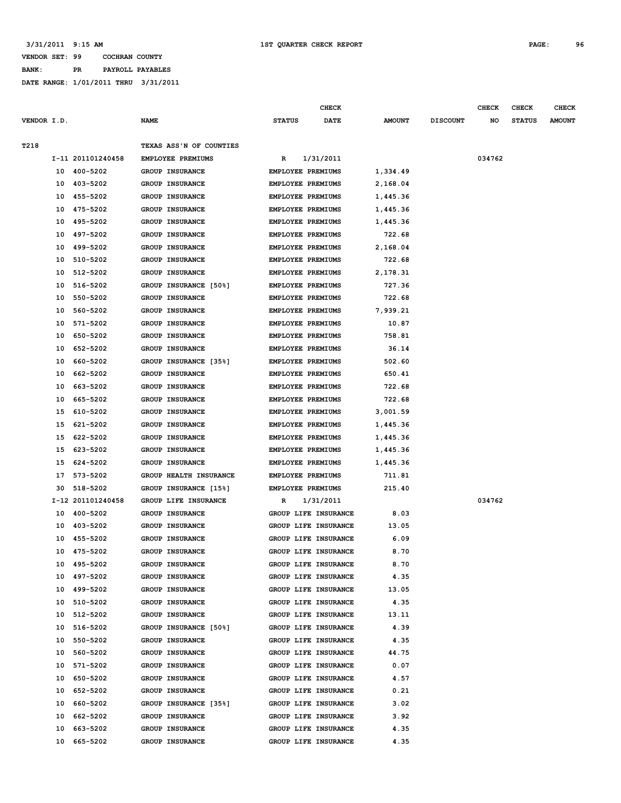### **VENDOR SET: 99 COCHRAN COUNTY BANK: PR PAYROLL PAYABLES**

|             |    |                   |                         |                          | <b>CHECK</b>         |               |                 | <b>CHECK</b> | <b>CHECK</b>  | <b>CHECK</b>  |
|-------------|----|-------------------|-------------------------|--------------------------|----------------------|---------------|-----------------|--------------|---------------|---------------|
| VENDOR I.D. |    |                   | <b>NAME</b>             | <b>STATUS</b>            | <b>DATE</b>          | <b>AMOUNT</b> | <b>DISCOUNT</b> | NO           | <b>STATUS</b> | <b>AMOUNT</b> |
|             |    |                   |                         |                          |                      |               |                 |              |               |               |
| T218        |    |                   | TEXAS ASS'N OF COUNTIES |                          |                      |               |                 |              |               |               |
|             |    | I-11 201101240458 | EMPLOYEE PREMIUMS       | R                        | 1/31/2011            |               |                 | 034762       |               |               |
|             | 10 | 400-5202          | GROUP INSURANCE         | EMPLOYEE PREMIUMS        |                      | 1,334.49      |                 |              |               |               |
|             | 10 | 403-5202          | GROUP INSURANCE         | EMPLOYEE PREMIUMS        |                      | 2,168.04      |                 |              |               |               |
|             | 10 | 455-5202          | GROUP INSURANCE         | EMPLOYEE PREMIUMS        |                      | 1,445.36      |                 |              |               |               |
|             | 10 | 475-5202          | GROUP INSURANCE         | EMPLOYEE PREMIUMS        |                      | 1,445.36      |                 |              |               |               |
|             | 10 | 495-5202          | <b>GROUP INSURANCE</b>  | EMPLOYEE PREMIUMS        |                      | 1,445.36      |                 |              |               |               |
|             | 10 | 497-5202          | <b>GROUP INSURANCE</b>  | <b>EMPLOYEE PREMIUMS</b> |                      | 722.68        |                 |              |               |               |
|             | 10 | 499-5202          | GROUP INSURANCE         | EMPLOYEE PREMIUMS        |                      | 2,168.04      |                 |              |               |               |
|             | 10 | 510-5202          | GROUP INSURANCE         | EMPLOYEE PREMIUMS        |                      | 722.68        |                 |              |               |               |
|             | 10 | 512-5202          | GROUP INSURANCE         | EMPLOYEE PREMIUMS        |                      | 2,178.31      |                 |              |               |               |
|             | 10 | 516-5202          | GROUP INSURANCE [50%]   | EMPLOYEE PREMIUMS        |                      | 727.36        |                 |              |               |               |
|             | 10 | 550-5202          | GROUP INSURANCE         | EMPLOYEE PREMIUMS        |                      | 722.68        |                 |              |               |               |
|             | 10 | 560-5202          | GROUP INSURANCE         | EMPLOYEE PREMIUMS        |                      | 7,939.21      |                 |              |               |               |
|             | 10 | 571-5202          | GROUP INSURANCE         | EMPLOYEE PREMIUMS        |                      | 10.87         |                 |              |               |               |
|             | 10 | 650-5202          | <b>GROUP INSURANCE</b>  | EMPLOYEE PREMIUMS        |                      | 758.81        |                 |              |               |               |
|             | 10 | 652-5202          | <b>GROUP INSURANCE</b>  | EMPLOYEE PREMIUMS        |                      | 36.14         |                 |              |               |               |
|             | 10 | 660-5202          | GROUP INSURANCE [35%]   | EMPLOYEE PREMIUMS        |                      | 502.60        |                 |              |               |               |
|             | 10 | 662-5202          | GROUP INSURANCE         | EMPLOYEE PREMIUMS        |                      | 650.41        |                 |              |               |               |
|             | 10 | 663-5202          | GROUP INSURANCE         | <b>EMPLOYEE PREMIUMS</b> |                      | 722.68        |                 |              |               |               |
|             | 10 | 665-5202          | <b>GROUP INSURANCE</b>  | <b>EMPLOYEE PREMIUMS</b> |                      | 722.68        |                 |              |               |               |
|             | 15 | 610-5202          | <b>GROUP INSURANCE</b>  | EMPLOYEE PREMIUMS        |                      | 3,001.59      |                 |              |               |               |
|             | 15 | 621-5202          | <b>GROUP INSURANCE</b>  | EMPLOYEE PREMIUMS        |                      | 1,445.36      |                 |              |               |               |
|             | 15 | 622-5202          | GROUP INSURANCE         | EMPLOYEE PREMIUMS        |                      | 1,445.36      |                 |              |               |               |
|             | 15 | 623-5202          | GROUP INSURANCE         | EMPLOYEE PREMIUMS        |                      | 1,445.36      |                 |              |               |               |
|             | 15 | 624-5202          | GROUP INSURANCE         | EMPLOYEE PREMIUMS        |                      | 1,445.36      |                 |              |               |               |
|             | 17 | 573-5202          | GROUP HEALTH INSURANCE  | EMPLOYEE PREMIUMS        |                      | 711.81        |                 |              |               |               |
|             | 30 | 518-5202          | GROUP INSURANCE [15%]   | EMPLOYEE PREMIUMS        |                      | 215.40        |                 |              |               |               |
|             |    | I-12 201101240458 | GROUP LIFE INSURANCE    | R                        | 1/31/2011            |               |                 | 034762       |               |               |
|             | 10 | 400-5202          | GROUP INSURANCE         |                          | GROUP LIFE INSURANCE | 8.03          |                 |              |               |               |
|             | 10 | 403-5202          | GROUP INSURANCE         |                          | GROUP LIFE INSURANCE | 13.05         |                 |              |               |               |
|             | 10 | 455-5202          | GROUP INSURANCE         |                          | GROUP LIFE INSURANCE | 6.09          |                 |              |               |               |
|             | 10 | 475-5202          | <b>GROUP INSURANCE</b>  |                          | GROUP LIFE INSURANCE | 8.70          |                 |              |               |               |
|             |    | 10 495-5202       | GROUP INSURANCE         |                          | GROUP LIFE INSURANCE | 8.70          |                 |              |               |               |
|             |    | 10 497-5202       | GROUP INSURANCE         |                          | GROUP LIFE INSURANCE | 4.35          |                 |              |               |               |
|             | 10 | 499-5202          | <b>GROUP INSURANCE</b>  |                          | GROUP LIFE INSURANCE | 13.05         |                 |              |               |               |
|             | 10 | 510-5202          | GROUP INSURANCE         |                          | GROUP LIFE INSURANCE | 4.35          |                 |              |               |               |
|             | 10 | 512-5202          | GROUP INSURANCE         |                          | GROUP LIFE INSURANCE | 13.11         |                 |              |               |               |
|             | 10 | 516-5202          | GROUP INSURANCE [50%]   |                          | GROUP LIFE INSURANCE | 4.39          |                 |              |               |               |
|             | 10 | 550-5202          | GROUP INSURANCE         |                          | GROUP LIFE INSURANCE | 4.35          |                 |              |               |               |
|             | 10 | 560-5202          | GROUP INSURANCE         |                          | GROUP LIFE INSURANCE | 44.75         |                 |              |               |               |
|             | 10 | 571-5202          | GROUP INSURANCE         |                          | GROUP LIFE INSURANCE | 0.07          |                 |              |               |               |
|             | 10 | 650-5202          | GROUP INSURANCE         |                          | GROUP LIFE INSURANCE | 4.57          |                 |              |               |               |
|             | 10 | 652-5202          | GROUP INSURANCE         |                          | GROUP LIFE INSURANCE | 0.21          |                 |              |               |               |
|             | 10 | 660-5202          | GROUP INSURANCE [35%]   |                          | GROUP LIFE INSURANCE | 3.02          |                 |              |               |               |
|             | 10 | 662-5202          | GROUP INSURANCE         |                          | GROUP LIFE INSURANCE | 3.92          |                 |              |               |               |
|             | 10 | 663-5202          | GROUP INSURANCE         |                          | GROUP LIFE INSURANCE | 4.35          |                 |              |               |               |
|             | 10 | 665-5202          | <b>GROUP INSURANCE</b>  |                          | GROUP LIFE INSURANCE | 4.35          |                 |              |               |               |
|             |    |                   |                         |                          |                      |               |                 |              |               |               |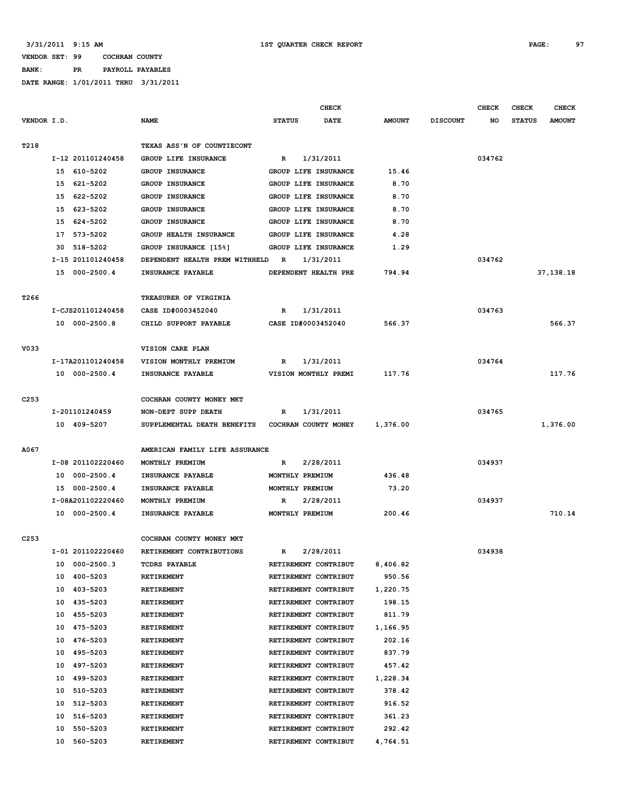**BANK: PR PAYROLL PAYABLES**

|                  |                                    |                                             |                         | <b>CHECK</b> |               |                 | <b>CHECK</b> | <b>CHECK</b>  | <b>CHECK</b>  |
|------------------|------------------------------------|---------------------------------------------|-------------------------|--------------|---------------|-----------------|--------------|---------------|---------------|
| VENDOR I.D.      |                                    | <b>NAME</b>                                 | <b>STATUS</b>           | <b>DATE</b>  | <b>AMOUNT</b> | <b>DISCOUNT</b> | NO           | <b>STATUS</b> | <b>AMOUNT</b> |
|                  |                                    |                                             |                         |              |               |                 |              |               |               |
| T218             |                                    | TEXAS ASS'N OF COUNTIECONT                  |                         |              |               |                 |              |               |               |
|                  | I-12 201101240458                  | GROUP LIFE INSURANCE                        | R                       | 1/31/2011    |               |                 | 034762       |               |               |
|                  | 15 610-5202                        | GROUP INSURANCE                             | GROUP LIFE INSURANCE    |              | 15.46         |                 |              |               |               |
|                  | 15 621-5202                        | GROUP INSURANCE                             | GROUP LIFE INSURANCE    |              | 8.70          |                 |              |               |               |
|                  | 15 622-5202                        | GROUP INSURANCE                             | GROUP LIFE INSURANCE    |              | 8.70          |                 |              |               |               |
|                  | 15 623-5202                        | GROUP INSURANCE                             | GROUP LIFE INSURANCE    |              | 8.70          |                 |              |               |               |
|                  | 15 624-5202                        | <b>GROUP INSURANCE</b>                      | GROUP LIFE INSURANCE    |              | 8.70          |                 |              |               |               |
|                  | 17 573-5202                        | GROUP HEALTH INSURANCE                      | GROUP LIFE INSURANCE    |              | 4.28          |                 |              |               |               |
|                  | 30 518-5202                        | GROUP INSURANCE [15%]                       | GROUP LIFE INSURANCE    |              | 1.29          |                 |              |               |               |
|                  | I-15 201101240458                  | DEPENDENT HEALTH PREM WITHHELD              | $\mathbb{R}$            | 1/31/2011    |               |                 | 034762       |               |               |
|                  | 15 000-2500.4                      | INSURANCE PAYABLE                           | DEPENDENT HEALTH PRE    |              | 794.94        |                 |              |               | 37,138.18     |
|                  |                                    |                                             |                         |              |               |                 |              |               |               |
| T <sub>266</sub> |                                    | TREASURER OF VIRGINIA                       |                         |              |               |                 | 034763       |               |               |
|                  | I-CJS201101240458<br>10 000-2500.8 | CASE ID#0003452040<br>CHILD SUPPORT PAYABLE | R<br>CASE ID#0003452040 | 1/31/2011    | 566.37        |                 |              |               | 566.37        |
|                  |                                    |                                             |                         |              |               |                 |              |               |               |
| V033             |                                    | VISION CARE PLAN                            |                         |              |               |                 |              |               |               |
|                  | I-17A201101240458                  | VISION MONTHLY PREMIUM                      | R                       | 1/31/2011    |               |                 | 034764       |               |               |
|                  | 10 000-2500.4                      | INSURANCE PAYABLE                           | VISION MONTHLY PREMI    |              | 117.76        |                 |              |               | 117.76        |
|                  |                                    |                                             |                         |              |               |                 |              |               |               |
| C <sub>253</sub> |                                    | COCHRAN COUNTY MONEY MKT                    |                         |              |               |                 |              |               |               |
|                  | I-201101240459                     | NON-DEPT SUPP DEATH                         | R                       | 1/31/2011    |               |                 | 034765       |               |               |
|                  | 10 409-5207                        | SUPPLEMENTAL DEATH BENEFITS                 | COCHRAN COUNTY MONEY    |              | 1,376.00      |                 |              |               | 1,376.00      |
|                  |                                    |                                             |                         |              |               |                 |              |               |               |
| A067             |                                    | AMERICAN FAMILY LIFE ASSURANCE              |                         |              |               |                 |              |               |               |
|                  | I-08 201102220460                  | MONTHLY PREMIUM                             | R                       | 2/28/2011    |               |                 | 034937       |               |               |
|                  | 000-2500.4<br>10                   | INSURANCE PAYABLE                           | MONTHLY PREMIUM         |              | 436.48        |                 |              |               |               |
|                  | 15 000-2500.4                      | INSURANCE PAYABLE                           | MONTHLY PREMIUM         |              | 73.20         |                 |              |               |               |
|                  | I-08A201102220460                  | MONTHLY PREMIUM                             | R                       | 2/28/2011    |               |                 | 034937       |               |               |
|                  | 10 000-2500.4                      | INSURANCE PAYABLE                           | MONTHLY PREMIUM         |              | 200.46        |                 |              |               | 710.14        |
|                  |                                    |                                             |                         |              |               |                 |              |               |               |
| C <sub>253</sub> |                                    | COCHRAN COUNTY MONEY MKT                    |                         |              |               |                 |              |               |               |
|                  | I-01 201102220460                  | RETIREMENT CONTRIBUTIONS                    | R                       | 2/28/2011    |               |                 | 034938       |               |               |
|                  | 000-2500.3<br>10                   | <b>TCDRS PAYABLE</b>                        | RETIREMENT CONTRIBUT    |              | 8,406.82      |                 |              |               |               |
|                  | 400-5203<br>10                     | RETIREMENT                                  | RETIREMENT CONTRIBUT    |              | 950.56        |                 |              |               |               |
|                  | 403-5203<br>10                     | RETIREMENT                                  | RETIREMENT CONTRIBUT    |              | 1,220.75      |                 |              |               |               |
|                  | 435-5203<br>10                     | RETIREMENT                                  | RETIREMENT CONTRIBUT    |              | 198.15        |                 |              |               |               |
|                  | 455-5203<br>10                     | <b>RETIREMENT</b>                           | RETIREMENT CONTRIBUT    |              | 811.79        |                 |              |               |               |
|                  | 475-5203<br>10                     | RETIREMENT                                  | RETIREMENT CONTRIBUT    |              | 1,166.95      |                 |              |               |               |
|                  | 476-5203<br>10                     | RETIREMENT                                  | RETIREMENT CONTRIBUT    |              | 202.16        |                 |              |               |               |
|                  | 495-5203<br>10                     | RETIREMENT                                  | RETIREMENT CONTRIBUT    |              | 837.79        |                 |              |               |               |
|                  | 10<br>497-5203                     | RETIREMENT                                  | RETIREMENT CONTRIBUT    |              | 457.42        |                 |              |               |               |
|                  | 499-5203<br>10                     | RETIREMENT                                  | RETIREMENT CONTRIBUT    |              | 1,228.34      |                 |              |               |               |
|                  | 510-5203<br>10                     | RETIREMENT                                  | RETIREMENT CONTRIBUT    |              | 378.42        |                 |              |               |               |
|                  | 10<br>512-5203                     | RETIREMENT                                  | RETIREMENT CONTRIBUT    |              | 916.52        |                 |              |               |               |
|                  | 516-5203<br>10                     | RETIREMENT                                  | RETIREMENT CONTRIBUT    |              | 361.23        |                 |              |               |               |
|                  | 550-5203<br>10                     | RETIREMENT                                  | RETIREMENT CONTRIBUT    |              | 292.42        |                 |              |               |               |
|                  | 10<br>560-5203                     | RETIREMENT                                  | RETIREMENT CONTRIBUT    |              | 4,764.51      |                 |              |               |               |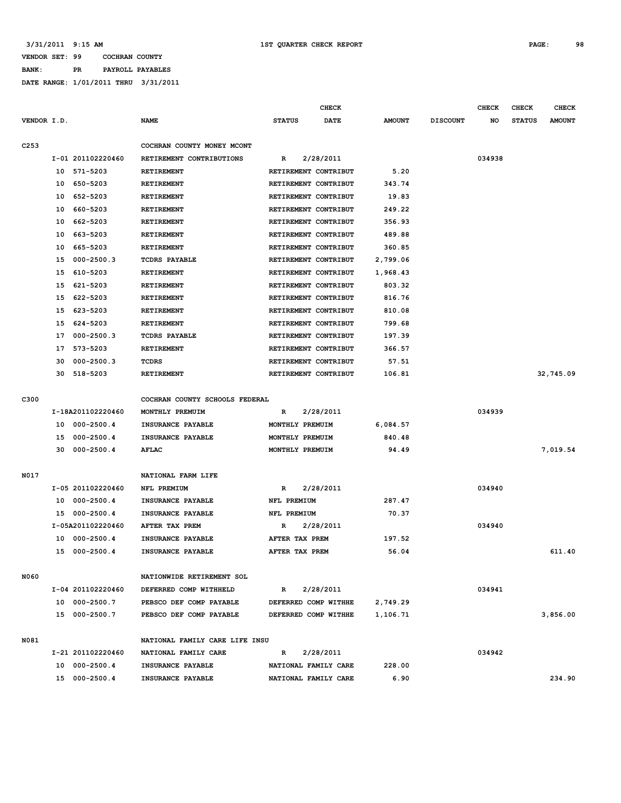**BANK: PR PAYROLL PAYABLES DATE RANGE: 1/01/2011 THRU 3/31/2011**

|                  |    |                   |                                               |                      | <b>CHECK</b> |               |                 | <b>CHECK</b> | <b>CHECK</b>  | <b>CHECK</b>  |
|------------------|----|-------------------|-----------------------------------------------|----------------------|--------------|---------------|-----------------|--------------|---------------|---------------|
| VENDOR I.D.      |    |                   | <b>NAME</b>                                   | <b>STATUS</b>        | <b>DATE</b>  | <b>AMOUNT</b> | <b>DISCOUNT</b> | NO           | <b>STATUS</b> | <b>AMOUNT</b> |
|                  |    |                   |                                               |                      |              |               |                 |              |               |               |
| C <sub>253</sub> |    |                   | COCHRAN COUNTY MONEY MCONT                    |                      |              |               |                 |              |               |               |
|                  |    | I-01 201102220460 | RETIREMENT CONTRIBUTIONS<br><b>RETIREMENT</b> | R                    | 2/28/2011    |               |                 | 034938       |               |               |
|                  | 10 | 571-5203          |                                               | RETIREMENT CONTRIBUT |              | 5.20          |                 |              |               |               |
|                  | 10 | 650-5203          | RETIREMENT                                    | RETIREMENT CONTRIBUT |              | 343.74        |                 |              |               |               |
|                  | 10 | 652-5203          | RETIREMENT                                    | RETIREMENT CONTRIBUT |              | 19.83         |                 |              |               |               |
|                  | 10 | 660-5203          | RETIREMENT                                    | RETIREMENT CONTRIBUT |              | 249.22        |                 |              |               |               |
|                  | 10 | 662-5203          | <b>RETIREMENT</b>                             | RETIREMENT CONTRIBUT |              | 356.93        |                 |              |               |               |
|                  | 10 | 663-5203          | <b>RETIREMENT</b>                             | RETIREMENT CONTRIBUT |              | 489.88        |                 |              |               |               |
|                  | 10 | 665-5203          | RETIREMENT                                    | RETIREMENT CONTRIBUT |              | 360.85        |                 |              |               |               |
|                  | 15 | $000 - 2500.3$    | <b>TCDRS PAYABLE</b>                          | RETIREMENT CONTRIBUT |              | 2,799.06      |                 |              |               |               |
|                  | 15 | 610-5203          | RETIREMENT                                    | RETIREMENT CONTRIBUT |              | 1,968.43      |                 |              |               |               |
|                  | 15 | 621-5203          | RETIREMENT                                    | RETIREMENT CONTRIBUT |              | 803.32        |                 |              |               |               |
|                  | 15 | 622-5203          | <b>RETIREMENT</b>                             | RETIREMENT CONTRIBUT |              | 816.76        |                 |              |               |               |
|                  | 15 | 623-5203          | <b>RETIREMENT</b>                             | RETIREMENT CONTRIBUT |              | 810.08        |                 |              |               |               |
|                  | 15 | 624-5203          | RETIREMENT                                    | RETIREMENT CONTRIBUT |              | 799.68        |                 |              |               |               |
|                  | 17 | $000 - 2500.3$    | <b>TCDRS PAYABLE</b>                          | RETIREMENT CONTRIBUT |              | 197.39        |                 |              |               |               |
|                  | 17 | 573-5203          | RETIREMENT                                    | RETIREMENT CONTRIBUT |              | 366.57        |                 |              |               |               |
|                  | 30 | $000 - 2500.3$    | TCDRS                                         | RETIREMENT CONTRIBUT |              | 57.51         |                 |              |               |               |
|                  | 30 | 518-5203          | <b>RETIREMENT</b>                             | RETIREMENT CONTRIBUT |              | 106.81        |                 |              |               | 32,745.09     |
| C300             |    |                   | COCHRAN COUNTY SCHOOLS FEDERAL                |                      |              |               |                 |              |               |               |
|                  |    | I-18A201102220460 | MONTHLY PREMUIM                               | R                    | 2/28/2011    |               |                 | 034939       |               |               |
|                  | 10 | $000 - 2500.4$    | INSURANCE PAYABLE                             | MONTHLY PREMUIM      |              | 6,084.57      |                 |              |               |               |
|                  | 15 | $000 - 2500.4$    | INSURANCE PAYABLE                             | MONTHLY PREMUIM      |              | 840.48        |                 |              |               |               |
|                  | 30 | $000 - 2500.4$    | <b>AFLAC</b>                                  | MONTHLY PREMUIM      |              | 94.49         |                 |              |               | 7,019.54      |
|                  |    |                   |                                               |                      |              |               |                 |              |               |               |
| N017             |    |                   | NATIONAL FARM LIFE                            |                      |              |               |                 |              |               |               |
|                  |    | I-05 201102220460 | NFL PREMIUM                                   | R                    | 2/28/2011    |               |                 | 034940       |               |               |
|                  | 10 | $000 - 2500.4$    | INSURANCE PAYABLE                             | NFL PREMIUM          |              | 287.47        |                 |              |               |               |
|                  | 15 | $000 - 2500.4$    | INSURANCE PAYABLE                             | NFL PREMIUM          |              | 70.37         |                 |              |               |               |
|                  |    | I-05A201102220460 | AFTER TAX PREM                                | R                    | 2/28/2011    |               |                 | 034940       |               |               |
|                  | 10 | $000 - 2500.4$    | INSURANCE PAYABLE                             | AFTER TAX PREM       |              | 197.52        |                 |              |               |               |
|                  | 15 | $000 - 2500.4$    | INSURANCE PAYABLE                             | AFTER TAX PREM       |              | 56.04         |                 |              |               | 611.40        |
| N060             |    |                   | NATIONWIDE RETIREMENT SOL                     |                      |              |               |                 |              |               |               |
|                  |    | I-04 201102220460 | DEFERRED COMP WITHHELD                        | R                    | 2/28/2011    |               |                 | 034941       |               |               |
|                  |    | 10 000-2500.7     | PEBSCO DEF COMP PAYABLE                       | DEFERRED COMP WITHHE |              | 2,749.29      |                 |              |               |               |
|                  |    | 15 000-2500.7     | PEBSCO DEF COMP PAYABLE                       | DEFERRED COMP WITHHE |              | 1,106.71      |                 |              |               | 3,856.00      |
| N081             |    |                   | NATIONAL FAMILY CARE LIFE INSU                |                      |              |               |                 |              |               |               |
|                  |    | I-21 201102220460 | NATIONAL FAMILY CARE                          | R                    | 2/28/2011    |               |                 | 034942       |               |               |
|                  |    | 10 000-2500.4     | INSURANCE PAYABLE                             | NATIONAL FAMILY CARE |              | 228.00        |                 |              |               |               |
|                  |    | 15 000-2500.4     | INSURANCE PAYABLE                             | NATIONAL FAMILY CARE |              | 6.90          |                 |              |               | 234.90        |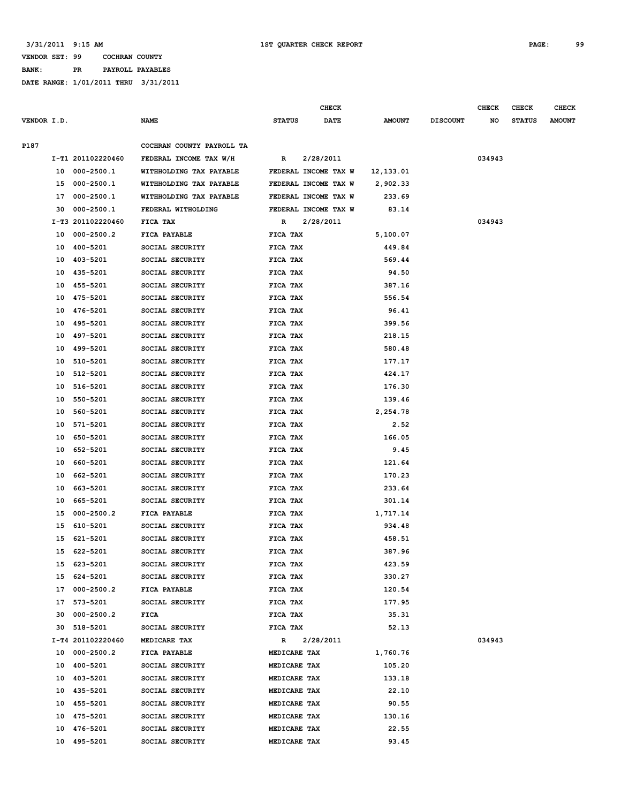### **VENDOR SET: 99 COCHRAN COUNTY BANK: PR PAYROLL PAYABLES**

|             |    |                   |                                                     |               | <b>CHECK</b>                                 |               |                 | <b>CHECK</b> | CHECK         | <b>CHECK</b>  |
|-------------|----|-------------------|-----------------------------------------------------|---------------|----------------------------------------------|---------------|-----------------|--------------|---------------|---------------|
| VENDOR I.D. |    |                   | <b>NAME</b>                                         | <b>STATUS</b> | <b>DATE</b>                                  | <b>AMOUNT</b> | <b>DISCOUNT</b> | NO           | <b>STATUS</b> | <b>AMOUNT</b> |
| P187        |    |                   |                                                     |               |                                              |               |                 |              |               |               |
|             |    | I-T1 201102220460 | COCHRAN COUNTY PAYROLL TA<br>FEDERAL INCOME TAX W/H | R             | 2/28/2011                                    |               |                 | 034943       |               |               |
|             |    | 10 000-2500.1     | WITHHOLDING TAX PAYABLE                             |               | FEDERAL INCOME TAX W                         | 12,133.01     |                 |              |               |               |
|             |    |                   |                                                     |               |                                              |               |                 |              |               |               |
|             |    | 15 000-2500.1     | WITHHOLDING TAX PAYABLE                             |               | FEDERAL INCOME TAX W                         | 2,902.33      |                 |              |               |               |
|             | 17 | 000-2500.1        | WITHHOLDING TAX PAYABLE                             |               | FEDERAL INCOME TAX W<br>FEDERAL INCOME TAX W | 233.69        |                 |              |               |               |
|             | 30 | 000-2500.1        | FEDERAL WITHOLDING<br>FICA TAX                      |               |                                              | 83.14         |                 | 034943       |               |               |
|             |    | I-T3 201102220460 |                                                     | R             | 2/28/2011                                    |               |                 |              |               |               |
|             | 10 | 000-2500.2        | FICA PAYABLE                                        | FICA TAX      |                                              | 5,100.07      |                 |              |               |               |
|             | 10 | 400-5201          | SOCIAL SECURITY                                     | FICA TAX      |                                              | 449.84        |                 |              |               |               |
|             | 10 | 403-5201          | SOCIAL SECURITY                                     | FICA TAX      |                                              | 569.44        |                 |              |               |               |
|             | 10 | 435-5201          | SOCIAL SECURITY                                     | FICA TAX      |                                              | 94.50         |                 |              |               |               |
|             | 10 | 455-5201          | SOCIAL SECURITY                                     | FICA TAX      |                                              | 387.16        |                 |              |               |               |
|             | 10 | 475-5201          | SOCIAL SECURITY                                     | FICA TAX      |                                              | 556.54        |                 |              |               |               |
|             | 10 | 476-5201          | SOCIAL SECURITY                                     | FICA TAX      |                                              | 96.41         |                 |              |               |               |
|             | 10 | 495-5201          | SOCIAL SECURITY                                     | FICA TAX      |                                              | 399.56        |                 |              |               |               |
|             | 10 | 497-5201          | SOCIAL SECURITY                                     | FICA TAX      |                                              | 218.15        |                 |              |               |               |
|             | 10 | 499-5201          | SOCIAL SECURITY                                     | FICA TAX      |                                              | 580.48        |                 |              |               |               |
|             | 10 | 510-5201          | SOCIAL SECURITY                                     | FICA TAX      |                                              | 177.17        |                 |              |               |               |
|             | 10 | 512-5201          | SOCIAL SECURITY                                     | FICA TAX      |                                              | 424.17        |                 |              |               |               |
|             | 10 | 516-5201          | SOCIAL SECURITY                                     | FICA TAX      |                                              | 176.30        |                 |              |               |               |
|             | 10 | 550-5201          | SOCIAL SECURITY                                     | FICA TAX      |                                              | 139.46        |                 |              |               |               |
|             | 10 | 560-5201          | SOCIAL SECURITY                                     | FICA TAX      |                                              | 2,254.78      |                 |              |               |               |
|             | 10 | 571-5201          | SOCIAL SECURITY                                     | FICA TAX      |                                              | 2.52          |                 |              |               |               |
|             | 10 | 650-5201          | SOCIAL SECURITY                                     | FICA TAX      |                                              | 166.05        |                 |              |               |               |
|             | 10 | 652-5201          | SOCIAL SECURITY                                     | FICA TAX      |                                              | 9.45          |                 |              |               |               |
|             | 10 | 660-5201          | SOCIAL SECURITY                                     | FICA TAX      |                                              | 121.64        |                 |              |               |               |
|             | 10 | 662-5201          | SOCIAL SECURITY                                     | FICA TAX      |                                              | 170.23        |                 |              |               |               |
|             | 10 | 663-5201          | SOCIAL SECURITY                                     | FICA TAX      |                                              | 233.64        |                 |              |               |               |
|             | 10 | 665-5201          | SOCIAL SECURITY                                     | FICA TAX      |                                              | 301.14        |                 |              |               |               |
|             | 15 | $000 - 2500.2$    | FICA PAYABLE                                        | FICA TAX      |                                              | 1,717.14      |                 |              |               |               |
|             | 15 | 610-5201          | SOCIAL SECURITY                                     | FICA TAX      |                                              | 934.48        |                 |              |               |               |
|             | 15 | 621-5201          | SOCIAL SECURITY                                     | FICA TAX      |                                              | 458.51        |                 |              |               |               |
|             | 15 | 622-5201          | SOCIAL SECURITY                                     | FICA TAX      |                                              | 387.96        |                 |              |               |               |
|             |    | 15 623-5201       | SOCIAL SECURITY                                     | FICA TAX      |                                              | 423.59        |                 |              |               |               |
|             |    | 15 624-5201       | SOCIAL SECURITY                                     | FICA TAX      |                                              | 330.27        |                 |              |               |               |
|             |    | 17 000-2500.2     | FICA PAYABLE                                        | FICA TAX      |                                              | 120.54        |                 |              |               |               |
|             |    | 17 573-5201       | SOCIAL SECURITY                                     | FICA TAX      |                                              | 177.95        |                 |              |               |               |
|             |    | 30 000-2500.2     | FICA                                                | FICA TAX      |                                              | 35.31         |                 |              |               |               |
|             |    | 30 518-5201       | SOCIAL SECURITY                                     | FICA TAX      |                                              | 52.13         |                 |              |               |               |
|             |    | I-T4 201102220460 | MEDICARE TAX                                        | $\mathbb{R}$  | 2/28/2011                                    |               |                 | 034943       |               |               |
|             |    | 10 000-2500.2     | <b>FICA PAYABLE</b>                                 | MEDICARE TAX  |                                              | 1,760.76      |                 |              |               |               |
|             |    | 10 400-5201       | SOCIAL SECURITY                                     | MEDICARE TAX  |                                              | 105.20        |                 |              |               |               |
|             |    | 10 403-5201       | SOCIAL SECURITY                                     | MEDICARE TAX  |                                              | 133.18        |                 |              |               |               |
|             |    | 10 435-5201       | SOCIAL SECURITY                                     | MEDICARE TAX  |                                              | 22.10         |                 |              |               |               |
|             |    | 10 455-5201       | SOCIAL SECURITY                                     | MEDICARE TAX  |                                              | 90.55         |                 |              |               |               |
|             |    | 10 475-5201       | SOCIAL SECURITY                                     | MEDICARE TAX  |                                              | 130.16        |                 |              |               |               |
|             |    | 10 476-5201       | SOCIAL SECURITY                                     | MEDICARE TAX  |                                              | 22.55         |                 |              |               |               |
|             |    | 10 495-5201       | SOCIAL SECURITY                                     | MEDICARE TAX  |                                              | 93.45         |                 |              |               |               |
|             |    |                   |                                                     |               |                                              |               |                 |              |               |               |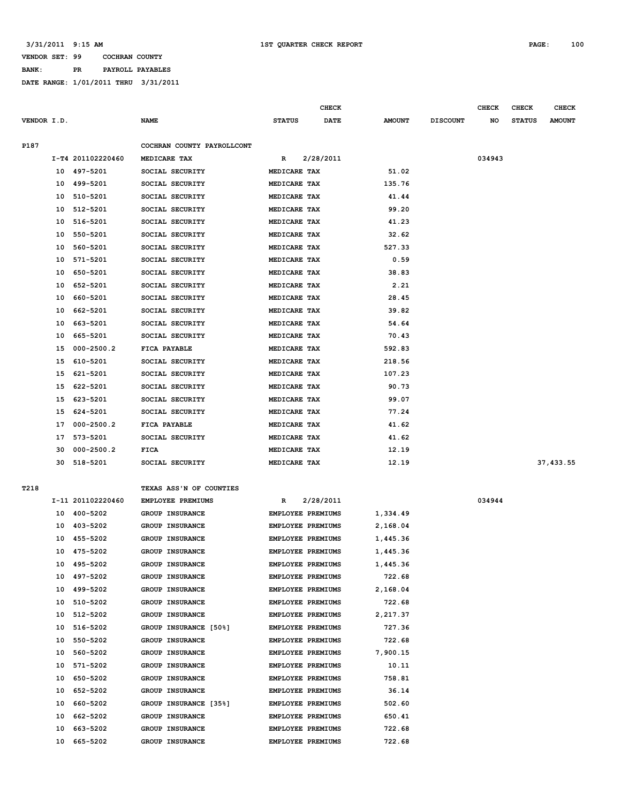**BANK: PR PAYROLL PAYABLES**

|             |    |                   |                            |                          | <b>CHECK</b> |               |                 | <b>CHECK</b> | <b>CHECK</b>  | <b>CHECK</b>  |
|-------------|----|-------------------|----------------------------|--------------------------|--------------|---------------|-----------------|--------------|---------------|---------------|
| VENDOR I.D. |    |                   | <b>NAME</b>                | <b>STATUS</b>            | <b>DATE</b>  | <b>AMOUNT</b> | <b>DISCOUNT</b> | NO           | <b>STATUS</b> | <b>AMOUNT</b> |
|             |    |                   |                            |                          |              |               |                 |              |               |               |
| P187        |    |                   | COCHRAN COUNTY PAYROLLCONT |                          |              |               |                 |              |               |               |
|             |    | I-T4 201102220460 | MEDICARE TAX               | R                        | 2/28/2011    |               |                 | 034943       |               |               |
|             |    | 10 497-5201       | SOCIAL SECURITY            | MEDICARE TAX             |              | 51.02         |                 |              |               |               |
|             | 10 | 499-5201          | SOCIAL SECURITY            | MEDICARE TAX             |              | 135.76        |                 |              |               |               |
|             | 10 | 510-5201          | SOCIAL SECURITY            | MEDICARE TAX             |              | 41.44         |                 |              |               |               |
|             | 10 | 512-5201          | SOCIAL SECURITY            | MEDICARE TAX             |              | 99.20         |                 |              |               |               |
|             | 10 | 516-5201          | SOCIAL SECURITY            | MEDICARE TAX             |              | 41.23         |                 |              |               |               |
|             | 10 | 550-5201          | SOCIAL SECURITY            | MEDICARE TAX             |              | 32.62         |                 |              |               |               |
|             | 10 | 560-5201          | SOCIAL SECURITY            | MEDICARE TAX             |              | 527.33        |                 |              |               |               |
|             | 10 | 571-5201          | SOCIAL SECURITY            | MEDICARE TAX             |              | 0.59          |                 |              |               |               |
|             | 10 | 650-5201          | SOCIAL SECURITY            | MEDICARE TAX             |              | 38.83         |                 |              |               |               |
|             | 10 | 652-5201          | SOCIAL SECURITY            | MEDICARE TAX             |              | 2.21          |                 |              |               |               |
|             | 10 | 660-5201          | SOCIAL SECURITY            | MEDICARE TAX             |              | 28.45         |                 |              |               |               |
|             | 10 | 662-5201          | SOCIAL SECURITY            | MEDICARE TAX             |              | 39.82         |                 |              |               |               |
|             | 10 | 663-5201          | SOCIAL SECURITY            | MEDICARE TAX             |              | 54.64         |                 |              |               |               |
|             | 10 | 665-5201          | SOCIAL SECURITY            | MEDICARE TAX             |              | 70.43         |                 |              |               |               |
|             | 15 | $000 - 2500.2$    | FICA PAYABLE               | MEDICARE TAX             |              | 592.83        |                 |              |               |               |
|             | 15 | 610-5201          | SOCIAL SECURITY            | MEDICARE TAX             |              | 218.56        |                 |              |               |               |
|             | 15 | 621-5201          | SOCIAL SECURITY            | MEDICARE TAX             |              | 107.23        |                 |              |               |               |
|             | 15 | 622-5201          | SOCIAL SECURITY            | MEDICARE TAX             |              | 90.73         |                 |              |               |               |
|             | 15 | 623-5201          | SOCIAL SECURITY            | MEDICARE TAX             |              | 99.07         |                 |              |               |               |
|             | 15 | 624-5201          | SOCIAL SECURITY            | MEDICARE TAX             |              | 77.24         |                 |              |               |               |
|             | 17 | $000 - 2500.2$    | FICA PAYABLE               | MEDICARE TAX             |              | 41.62         |                 |              |               |               |
|             | 17 | 573-5201          | SOCIAL SECURITY            | MEDICARE TAX             |              | 41.62         |                 |              |               |               |
|             | 30 | $000 - 2500.2$    | <b>FICA</b>                | MEDICARE TAX             |              | 12.19         |                 |              |               |               |
|             | 30 | 518-5201          | SOCIAL SECURITY            | MEDICARE TAX             |              | 12.19         |                 |              |               | 37,433.55     |
|             |    |                   |                            |                          |              |               |                 |              |               |               |
| T218        |    |                   | TEXAS ASS'N OF COUNTIES    |                          |              |               |                 |              |               |               |
|             |    | I-11 201102220460 | <b>EMPLOYEE PREMIUMS</b>   | R                        | 2/28/2011    |               |                 | 034944       |               |               |
|             | 10 | 400-5202          | GROUP INSURANCE            | <b>EMPLOYEE PREMIUMS</b> |              | 1,334.49      |                 |              |               |               |
|             | 10 | 403-5202          | GROUP INSURANCE            | <b>EMPLOYEE PREMIUMS</b> |              | 2,168.04      |                 |              |               |               |
|             | 10 | 455-5202          | <b>GROUP INSURANCE</b>     | <b>EMPLOYEE PREMIUMS</b> |              | 1,445.36      |                 |              |               |               |
|             | 10 | 475-5202          | GROUP INSURANCE            | <b>EMPLOYEE PREMIUMS</b> |              | 1,445.36      |                 |              |               |               |
|             |    | 10 495-5202       | <b>GROUP INSURANCE</b>     | EMPLOYEE PREMIUMS        |              | 1,445.36      |                 |              |               |               |
|             | 10 | 497-5202          | <b>GROUP INSURANCE</b>     | EMPLOYEE PREMIUMS        |              | 722.68        |                 |              |               |               |
|             | 10 | 499-5202          | <b>GROUP INSURANCE</b>     | EMPLOYEE PREMIUMS        |              | 2,168.04      |                 |              |               |               |
|             | 10 | 510-5202          | GROUP INSURANCE            | EMPLOYEE PREMIUMS        |              | 722.68        |                 |              |               |               |
|             | 10 | 512-5202          | GROUP INSURANCE            | EMPLOYEE PREMIUMS        |              | 2,217.37      |                 |              |               |               |
|             | 10 | 516-5202          | GROUP INSURANCE [50%]      | <b>EMPLOYEE PREMIUMS</b> |              | 727.36        |                 |              |               |               |
|             | 10 | 550-5202          | GROUP INSURANCE            | EMPLOYEE PREMIUMS        |              | 722.68        |                 |              |               |               |
|             | 10 | 560-5202          | GROUP INSURANCE            | <b>EMPLOYEE PREMIUMS</b> |              | 7,900.15      |                 |              |               |               |
|             | 10 | 571-5202          | GROUP INSURANCE            | EMPLOYEE PREMIUMS        |              | 10.11         |                 |              |               |               |
|             | 10 | 650-5202          | GROUP INSURANCE            | EMPLOYEE PREMIUMS        |              | 758.81        |                 |              |               |               |
|             | 10 | 652-5202          | <b>GROUP INSURANCE</b>     | EMPLOYEE PREMIUMS        |              | 36.14         |                 |              |               |               |
|             | 10 | 660-5202          | GROUP INSURANCE [35%]      | EMPLOYEE PREMIUMS        |              | 502.60        |                 |              |               |               |
|             | 10 | 662-5202          | GROUP INSURANCE            | EMPLOYEE PREMIUMS        |              | 650.41        |                 |              |               |               |
|             | 10 | 663-5202          | GROUP INSURANCE            | EMPLOYEE PREMIUMS        |              | 722.68        |                 |              |               |               |
|             | 10 | 665-5202          | GROUP INSURANCE            | EMPLOYEE PREMIUMS        |              | 722.68        |                 |              |               |               |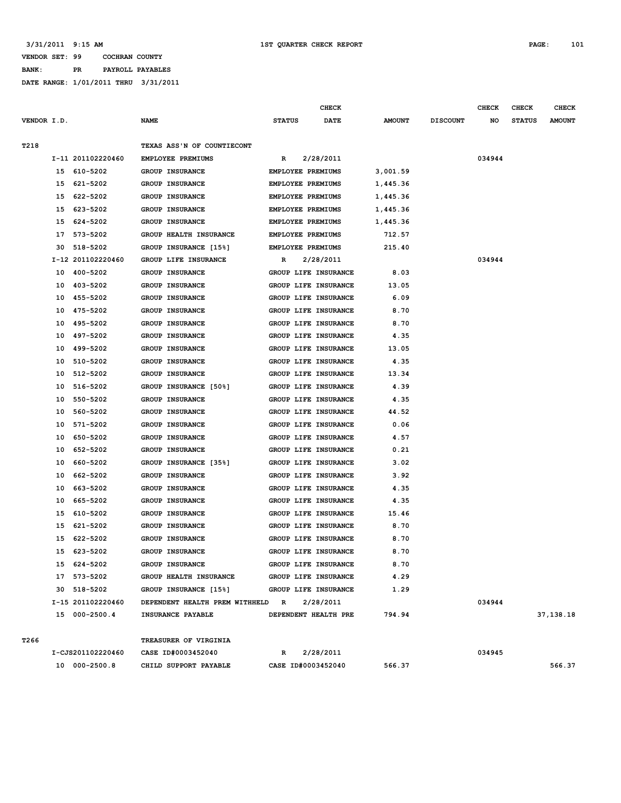#### **3/31/2011 9:15 AM 1ST QUARTER CHECK REPORT PAGE: 101**

### **VENDOR SET: 99 COCHRAN COUNTY BANK: PR PAYROLL PAYABLES**

|             |    |                   |                                  |               | <b>CHECK</b>             |               |                 | <b>CHECK</b> | CHECK         | <b>CHECK</b>  |
|-------------|----|-------------------|----------------------------------|---------------|--------------------------|---------------|-----------------|--------------|---------------|---------------|
| VENDOR I.D. |    |                   | <b>NAME</b>                      | <b>STATUS</b> | <b>DATE</b>              | <b>AMOUNT</b> | <b>DISCOUNT</b> | NO           | <b>STATUS</b> | <b>AMOUNT</b> |
|             |    |                   | TEXAS ASS'N OF COUNTIECONT       |               |                          |               |                 |              |               |               |
| T218        |    | I-11 201102220460 | EMPLOYEE PREMIUMS                |               | 2/28/2011                |               |                 | 034944       |               |               |
|             |    | 15 610-5202       | <b>GROUP INSURANCE</b>           | R             | EMPLOYEE PREMIUMS        | 3,001.59      |                 |              |               |               |
|             |    | 15 621-5202       | <b>GROUP INSURANCE</b>           |               | EMPLOYEE PREMIUMS        | 1,445.36      |                 |              |               |               |
|             | 15 | 622-5202          | <b>GROUP INSURANCE</b>           |               | EMPLOYEE PREMIUMS        | 1,445.36      |                 |              |               |               |
|             | 15 | 623-5202          | <b>GROUP INSURANCE</b>           |               | EMPLOYEE PREMIUMS        | 1,445.36      |                 |              |               |               |
|             | 15 | 624-5202          | <b>GROUP INSURANCE</b>           |               | <b>EMPLOYEE PREMIUMS</b> | 1,445.36      |                 |              |               |               |
|             | 17 | 573-5202          | GROUP HEALTH INSURANCE           |               | <b>EMPLOYEE PREMIUMS</b> | 712.57        |                 |              |               |               |
|             | 30 | 518-5202          | GROUP INSURANCE [15%]            |               | EMPLOYEE PREMIUMS        | 215.40        |                 |              |               |               |
|             |    | I-12 201102220460 | GROUP LIFE INSURANCE             | R             | 2/28/2011                |               |                 | 034944       |               |               |
|             | 10 | 400-5202          | <b>GROUP INSURANCE</b>           |               | GROUP LIFE INSURANCE     | 8.03          |                 |              |               |               |
|             | 10 | 403-5202          | <b>GROUP INSURANCE</b>           |               | GROUP LIFE INSURANCE     | 13.05         |                 |              |               |               |
|             | 10 | 455-5202          | <b>GROUP INSURANCE</b>           |               | GROUP LIFE INSURANCE     | 6.09          |                 |              |               |               |
|             | 10 | 475-5202          | <b>GROUP INSURANCE</b>           |               | GROUP LIFE INSURANCE     | 8.70          |                 |              |               |               |
|             | 10 | 495-5202          | <b>GROUP INSURANCE</b>           |               | GROUP LIFE INSURANCE     | 8.70          |                 |              |               |               |
|             | 10 | 497-5202          | <b>GROUP INSURANCE</b>           |               | GROUP LIFE INSURANCE     | 4.35          |                 |              |               |               |
|             | 10 | 499-5202          | <b>GROUP INSURANCE</b>           |               | GROUP LIFE INSURANCE     | 13.05         |                 |              |               |               |
|             | 10 | 510-5202          | <b>GROUP INSURANCE</b>           |               | GROUP LIFE INSURANCE     | 4.35          |                 |              |               |               |
|             | 10 | 512-5202          | GROUP INSURANCE                  |               | GROUP LIFE INSURANCE     | 13.34         |                 |              |               |               |
|             | 10 | 516-5202          | GROUP INSURANCE [50%]            |               | GROUP LIFE INSURANCE     | 4.39          |                 |              |               |               |
|             | 10 | 550-5202          | <b>GROUP INSURANCE</b>           |               | GROUP LIFE INSURANCE     | 4.35          |                 |              |               |               |
|             | 10 | 560-5202          | <b>GROUP INSURANCE</b>           |               | GROUP LIFE INSURANCE     | 44.52         |                 |              |               |               |
|             | 10 | 571-5202          | <b>GROUP INSURANCE</b>           |               | GROUP LIFE INSURANCE     | 0.06          |                 |              |               |               |
|             | 10 | 650-5202          | <b>GROUP INSURANCE</b>           |               | GROUP LIFE INSURANCE     | 4.57          |                 |              |               |               |
|             | 10 | 652-5202          | <b>GROUP INSURANCE</b>           |               | GROUP LIFE INSURANCE     | 0.21          |                 |              |               |               |
|             | 10 | 660-5202          | GROUP INSURANCE [35%]            |               | GROUP LIFE INSURANCE     | 3.02          |                 |              |               |               |
|             | 10 | 662-5202          | <b>GROUP INSURANCE</b>           |               | GROUP LIFE INSURANCE     | 3.92          |                 |              |               |               |
|             | 10 | 663-5202          | <b>GROUP INSURANCE</b>           |               | GROUP LIFE INSURANCE     | 4.35          |                 |              |               |               |
|             | 10 | 665-5202          | <b>GROUP INSURANCE</b>           |               | GROUP LIFE INSURANCE     | 4.35          |                 |              |               |               |
|             | 15 | 610-5202          | <b>GROUP INSURANCE</b>           |               | GROUP LIFE INSURANCE     | 15.46         |                 |              |               |               |
|             | 15 | 621-5202          | GROUP INSURANCE                  |               | GROUP LIFE INSURANCE     | 8.70          |                 |              |               |               |
|             | 15 | 622-5202          | <b>GROUP INSURANCE</b>           |               | GROUP LIFE INSURANCE     | 8.70          |                 |              |               |               |
|             | 15 | 623-5202          | <b>GROUP INSURANCE</b>           |               | GROUP LIFE INSURANCE     | 8.70          |                 |              |               |               |
|             |    | 15 624-5202       | GROUP INSURANCE                  |               | GROUP LIFE INSURANCE     | 8.70          |                 |              |               |               |
|             |    | 17 573-5202       | GROUP HEALTH INSURANCE           |               | GROUP LIFE INSURANCE     | 4.29          |                 |              |               |               |
|             |    | 30 518-5202       | GROUP INSURANCE [15%]            |               | GROUP LIFE INSURANCE     | 1.29          |                 |              |               |               |
|             |    | I-15 201102220460 | DEPENDENT HEALTH PREM WITHHELD R |               | 2/28/2011                |               |                 | 034944       |               |               |
|             |    | 15 000-2500.4     | INSURANCE PAYABLE                |               | DEPENDENT HEALTH PRE     | 794.94        |                 |              |               | 37,138.18     |
| T266        |    |                   | TREASURER OF VIRGINIA            |               |                          |               |                 |              |               |               |
|             |    | I-CJS201102220460 | CASE ID#0003452040               | R             | 2/28/2011                |               |                 | 034945       |               |               |
|             |    | 10 000-2500.8     | CHILD SUPPORT PAYABLE            |               | CASE ID#0003452040       | 566.37        |                 |              |               | 566.37        |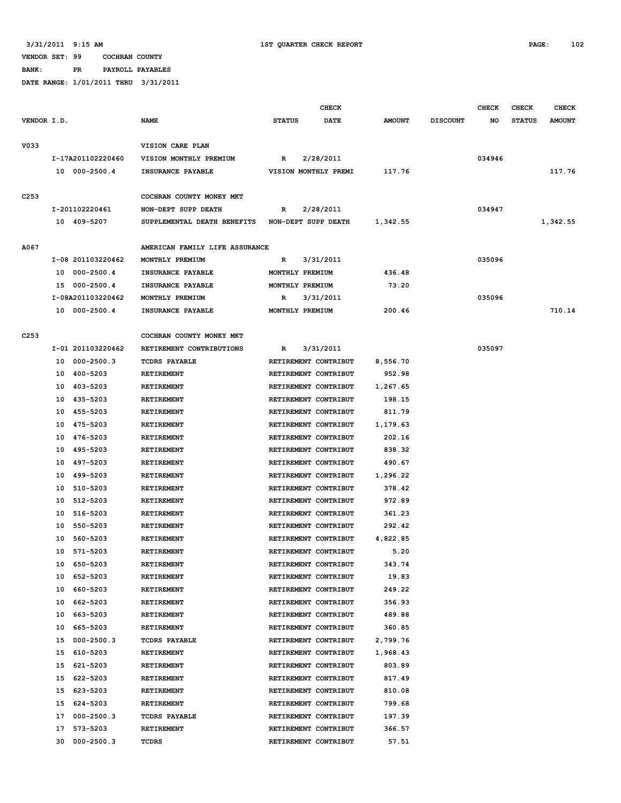**BANK: PR PAYROLL PAYABLES**

|                  |                      |                                                 | <b>CHECK</b>                 |               |                 | <b>CHECK</b> | CHECK         | <b>CHECK</b>  |
|------------------|----------------------|-------------------------------------------------|------------------------------|---------------|-----------------|--------------|---------------|---------------|
| VENDOR I.D.      |                      | <b>NAME</b>                                     | <b>STATUS</b><br><b>DATE</b> | <b>AMOUNT</b> | <b>DISCOUNT</b> | NO           | <b>STATUS</b> | <b>AMOUNT</b> |
| V033             |                      | VISION CARE PLAN                                |                              |               |                 |              |               |               |
|                  | I-17A201102220460    | VISION MONTHLY PREMIUM                          | 2/28/2011<br>R               |               |                 | 034946       |               |               |
|                  | 10 000-2500.4        | INSURANCE PAYABLE                               | VISION MONTHLY PREMI         | 117.76        |                 |              |               | 117.76        |
|                  |                      |                                                 |                              |               |                 |              |               |               |
| C <sub>253</sub> |                      | COCHRAN COUNTY MONEY MKT                        |                              |               |                 |              |               |               |
|                  | I-201102220461       | NON-DEPT SUPP DEATH                             | 2/28/2011<br>R               |               |                 | 034947       |               |               |
|                  | 10 409-5207          | SUPPLEMENTAL DEATH BENEFITS NON-DEPT SUPP DEATH |                              | 1,342.55      |                 |              |               | 1,342.55      |
|                  |                      |                                                 |                              |               |                 |              |               |               |
| A067             |                      | AMERICAN FAMILY LIFE ASSURANCE                  |                              |               |                 |              |               |               |
|                  | I-08 201103220462    | MONTHLY PREMIUM                                 | 3/31/2011<br>R               |               |                 | 035096       |               |               |
|                  | 10 000-2500.4        | INSURANCE PAYABLE                               | MONTHLY PREMIUM              | 436.48        |                 |              |               |               |
|                  | 15 000-2500.4        | INSURANCE PAYABLE                               | MONTHLY PREMIUM              | 73.20         |                 |              |               |               |
|                  | I-08A201103220462    | MONTHLY PREMIUM                                 | 3/31/2011<br>R               |               |                 | 035096       |               |               |
|                  | 10 000-2500.4        | INSURANCE PAYABLE                               | MONTHLY PREMIUM              | 200.46        |                 |              |               | 710.14        |
|                  |                      |                                                 |                              |               |                 |              |               |               |
| C <sub>253</sub> |                      | COCHRAN COUNTY MONEY MKT                        |                              |               |                 |              |               |               |
|                  | I-01 201103220462    | RETIREMENT CONTRIBUTIONS                        | 3/31/2011<br>R               |               |                 | 035097       |               |               |
|                  | 000-2500.3<br>10     | <b>TCDRS PAYABLE</b>                            | RETIREMENT CONTRIBUT         | 8,556.70      |                 |              |               |               |
|                  | 400-5203<br>10       | <b>RETIREMENT</b>                               | RETIREMENT CONTRIBUT         | 952.98        |                 |              |               |               |
|                  | 403-5203<br>10       | <b>RETIREMENT</b>                               | RETIREMENT CONTRIBUT         | 1,267.65      |                 |              |               |               |
|                  | 10 435-5203          | RETIREMENT                                      | RETIREMENT CONTRIBUT         | 198.15        |                 |              |               |               |
|                  | 455-5203<br>10       | <b>RETIREMENT</b>                               | RETIREMENT CONTRIBUT         | 811.79        |                 |              |               |               |
|                  | 10 475-5203          | RETIREMENT                                      | RETIREMENT CONTRIBUT         | 1,179.63      |                 |              |               |               |
|                  | 476-5203<br>10       | RETIREMENT                                      | RETIREMENT CONTRIBUT         | 202.16        |                 |              |               |               |
|                  | 495-5203<br>10       | <b>RETIREMENT</b>                               | RETIREMENT CONTRIBUT         | 838.32        |                 |              |               |               |
|                  | 497-5203<br>10       | <b>RETIREMENT</b>                               | RETIREMENT CONTRIBUT         | 490.67        |                 |              |               |               |
|                  | 499-5203<br>10       | RETIREMENT                                      | RETIREMENT CONTRIBUT         | 1,296.22      |                 |              |               |               |
|                  | 510-5203<br>10       | <b>RETIREMENT</b>                               | RETIREMENT CONTRIBUT         | 378.42        |                 |              |               |               |
|                  | 512-5203<br>10       | <b>RETIREMENT</b>                               | RETIREMENT CONTRIBUT         | 972.89        |                 |              |               |               |
|                  | 516-5203<br>10       | RETIREMENT                                      | RETIREMENT CONTRIBUT         | 361.23        |                 |              |               |               |
|                  | 550-5203<br>10       | RETIREMENT                                      | RETIREMENT CONTRIBUT         | 292.42        |                 |              |               |               |
|                  | 560-5203<br>10       | <b>RETIREMENT</b>                               | RETIREMENT CONTRIBUT         | 4,822.85      |                 |              |               |               |
|                  | 571-5203<br>10       | RETIREMENT                                      | RETIREMENT CONTRIBUT         | 5.20          |                 |              |               |               |
|                  | 650-5203<br>10       | RETIREMENT                                      | RETIREMENT CONTRIBUT         | 343.74        |                 |              |               |               |
|                  | 652-5203<br>10       | RETIREMENT                                      | RETIREMENT CONTRIBUT         | 19.83         |                 |              |               |               |
|                  | 10<br>660-5203       | RETIREMENT                                      | RETIREMENT CONTRIBUT         | 249.22        |                 |              |               |               |
|                  | 662-5203<br>10       | <b>RETIREMENT</b>                               | RETIREMENT CONTRIBUT         | 356.93        |                 |              |               |               |
|                  | 10<br>663-5203       | RETIREMENT                                      | RETIREMENT CONTRIBUT         | 489.88        |                 |              |               |               |
|                  | 10<br>665-5203       | RETIREMENT                                      | RETIREMENT CONTRIBUT         | 360.85        |                 |              |               |               |
|                  | $000 - 2500.3$<br>15 | <b>TCDRS PAYABLE</b>                            | RETIREMENT CONTRIBUT         | 2,799.76      |                 |              |               |               |
|                  | 610-5203<br>15       | RETIREMENT                                      | RETIREMENT CONTRIBUT         | 1,968.43      |                 |              |               |               |
|                  | 15<br>621-5203       | RETIREMENT                                      | RETIREMENT CONTRIBUT         | 803.89        |                 |              |               |               |
|                  | 622-5203<br>15       | RETIREMENT                                      | RETIREMENT CONTRIBUT         | 817.49        |                 |              |               |               |
|                  | 623-5203<br>15       | RETIREMENT                                      | RETIREMENT CONTRIBUT         | 810.08        |                 |              |               |               |
|                  |                      |                                                 |                              |               |                 |              |               |               |
|                  | 15<br>624-5203       | RETIREMENT                                      | RETIREMENT CONTRIBUT         | 799.68        |                 |              |               |               |
|                  | $000 - 2500.3$<br>17 | <b>TCDRS PAYABLE</b>                            | RETIREMENT CONTRIBUT         | 197.39        |                 |              |               |               |
|                  | 573-5203<br>17       | RETIREMENT                                      | RETIREMENT CONTRIBUT         | 366.57        |                 |              |               |               |
|                  | 30 000-2500.3        | TCDRS                                           | RETIREMENT CONTRIBUT         | 57.51         |                 |              |               |               |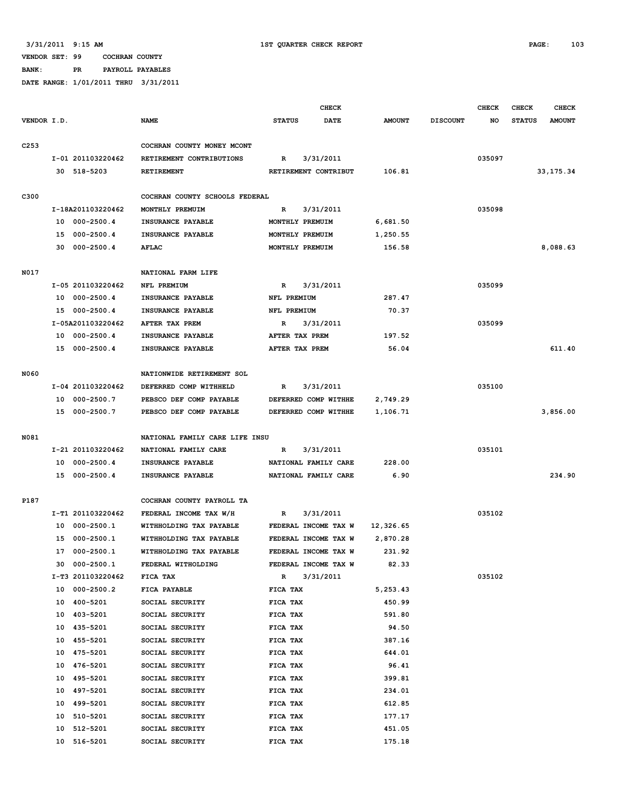**BANK: PR PAYROLL PAYABLES**

|                  |    |                   |                                                   |                 | <b>CHECK</b>         |               |                 | <b>CHECK</b> | <b>CHECK</b>  | <b>CHECK</b>  |
|------------------|----|-------------------|---------------------------------------------------|-----------------|----------------------|---------------|-----------------|--------------|---------------|---------------|
| VENDOR I.D.      |    |                   | <b>NAME</b>                                       | <b>STATUS</b>   | DATE                 | <b>AMOUNT</b> | <b>DISCOUNT</b> | NO           | <b>STATUS</b> | <b>AMOUNT</b> |
|                  |    |                   |                                                   |                 |                      |               |                 |              |               |               |
| C <sub>253</sub> |    |                   | COCHRAN COUNTY MONEY MCONT                        |                 |                      |               |                 |              |               |               |
|                  |    | I-01 201103220462 | RETIREMENT CONTRIBUTIONS                          | R               | 3/31/2011            |               |                 | 035097       |               |               |
|                  |    | 30 518-5203       | RETIREMENT                                        |                 | RETIREMENT CONTRIBUT | 106.81        |                 |              |               | 33, 175. 34   |
|                  |    |                   |                                                   |                 |                      |               |                 |              |               |               |
| C300             |    | I-18A201103220462 | COCHRAN COUNTY SCHOOLS FEDERAL<br>MONTHLY PREMUIM | $\mathbb{R}$    | 3/31/2011            |               |                 | 035098       |               |               |
|                  |    | 10 000-2500.4     | INSURANCE PAYABLE                                 | MONTHLY PREMUIM |                      | 6,681.50      |                 |              |               |               |
|                  |    | 15 000-2500.4     | INSURANCE PAYABLE                                 | MONTHLY PREMUIM |                      | 1,250.55      |                 |              |               |               |
|                  |    | 30 000-2500.4     | <b>AFLAC</b>                                      | MONTHLY PREMUIM |                      | 156.58        |                 |              |               | 8,088.63      |
|                  |    |                   |                                                   |                 |                      |               |                 |              |               |               |
| N017             |    |                   | NATIONAL FARM LIFE                                |                 |                      |               |                 |              |               |               |
|                  |    | I-05 201103220462 | NFL PREMIUM                                       | R               | 3/31/2011            |               |                 | 035099       |               |               |
|                  | 10 | 000-2500.4        | INSURANCE PAYABLE                                 | NFL PREMIUM     |                      | 287.47        |                 |              |               |               |
|                  |    | 15 000-2500.4     | INSURANCE PAYABLE                                 | NFL PREMIUM     |                      | 70.37         |                 |              |               |               |
|                  |    | I-05A201103220462 | AFTER TAX PREM                                    | R               | 3/31/2011            |               |                 | 035099       |               |               |
|                  |    | 10 000-2500.4     | INSURANCE PAYABLE                                 | AFTER TAX PREM  |                      | 197.52        |                 |              |               |               |
|                  |    | 15 000-2500.4     | INSURANCE PAYABLE                                 | AFTER TAX PREM  |                      | 56.04         |                 |              |               | 611.40        |
|                  |    |                   |                                                   |                 |                      |               |                 |              |               |               |
| N060             |    |                   | NATIONWIDE RETIREMENT SOL                         |                 |                      |               |                 |              |               |               |
|                  |    | I-04 201103220462 | DEFERRED COMP WITHHELD                            | $\mathbb{R}$    | 3/31/2011            |               |                 | 035100       |               |               |
|                  |    | 10 000-2500.7     | PEBSCO DEF COMP PAYABLE                           |                 | DEFERRED COMP WITHHE | 2,749.29      |                 |              |               |               |
|                  |    | 15 000-2500.7     | PEBSCO DEF COMP PAYABLE                           |                 | DEFERRED COMP WITHHE | 1,106.71      |                 |              |               | 3,856.00      |
|                  |    |                   |                                                   |                 |                      |               |                 |              |               |               |
| N081             |    |                   | NATIONAL FAMILY CARE LIFE INSU                    |                 |                      |               |                 |              |               |               |
|                  |    | I-21 201103220462 | NATIONAL FAMILY CARE                              | R               | 3/31/2011            |               |                 | 035101       |               |               |
|                  |    | 10 000-2500.4     | INSURANCE PAYABLE                                 |                 | NATIONAL FAMILY CARE | 228.00        |                 |              |               |               |
|                  |    | 15 000-2500.4     | INSURANCE PAYABLE                                 |                 | NATIONAL FAMILY CARE | 6.90          |                 |              |               | 234.90        |
|                  |    |                   | COCHRAN COUNTY PAYROLL TA                         |                 |                      |               |                 |              |               |               |
| P187             |    | I-T1 201103220462 | FEDERAL INCOME TAX W/H                            | R               | 3/31/2011            |               |                 | 035102       |               |               |
|                  |    | 10 000-2500.1     | WITHHOLDING TAX PAYABLE                           |                 | FEDERAL INCOME TAX W | 12,326.65     |                 |              |               |               |
|                  |    | 15 000-2500.1     | WITHHOLDING TAX PAYABLE                           |                 | FEDERAL INCOME TAX W | 2,870.28      |                 |              |               |               |
|                  |    | 17 000-2500.1     | WITHHOLDING TAX PAYABLE                           |                 | FEDERAL INCOME TAX W | 231.92        |                 |              |               |               |
|                  |    | 30 000-2500.1     | FEDERAL WITHOLDING                                |                 | FEDERAL INCOME TAX W | 82.33         |                 |              |               |               |
|                  |    | I-T3 201103220462 | FICA TAX                                          | $\mathbb{R}$    | 3/31/2011            |               |                 | 035102       |               |               |
|                  | 10 | 000-2500.2        | FICA PAYABLE                                      | FICA TAX        |                      | 5,253.43      |                 |              |               |               |
|                  | 10 | 400-5201          | SOCIAL SECURITY                                   | FICA TAX        |                      | 450.99        |                 |              |               |               |
|                  | 10 | 403-5201          | SOCIAL SECURITY                                   | FICA TAX        |                      | 591.80        |                 |              |               |               |
|                  |    | 10 435-5201       | SOCIAL SECURITY                                   | FICA TAX        |                      | 94.50         |                 |              |               |               |
|                  |    | 10 455-5201       | SOCIAL SECURITY                                   | FICA TAX        |                      | 387.16        |                 |              |               |               |
|                  | 10 | 475-5201          | SOCIAL SECURITY                                   | FICA TAX        |                      | 644.01        |                 |              |               |               |
|                  | 10 | 476-5201          | SOCIAL SECURITY                                   | FICA TAX        |                      | 96.41         |                 |              |               |               |
|                  | 10 | 495-5201          | SOCIAL SECURITY                                   | FICA TAX        |                      | 399.81        |                 |              |               |               |
|                  |    | 10 497-5201       | SOCIAL SECURITY                                   | FICA TAX        |                      | 234.01        |                 |              |               |               |
|                  |    | 10 499-5201       | SOCIAL SECURITY                                   | FICA TAX        |                      | 612.85        |                 |              |               |               |
|                  | 10 | 510-5201          | SOCIAL SECURITY                                   | FICA TAX        |                      | 177.17        |                 |              |               |               |
|                  | 10 | 512-5201          | SOCIAL SECURITY                                   | FICA TAX        |                      | 451.05        |                 |              |               |               |
|                  | 10 | 516-5201          | SOCIAL SECURITY                                   | FICA TAX        |                      | 175.18        |                 |              |               |               |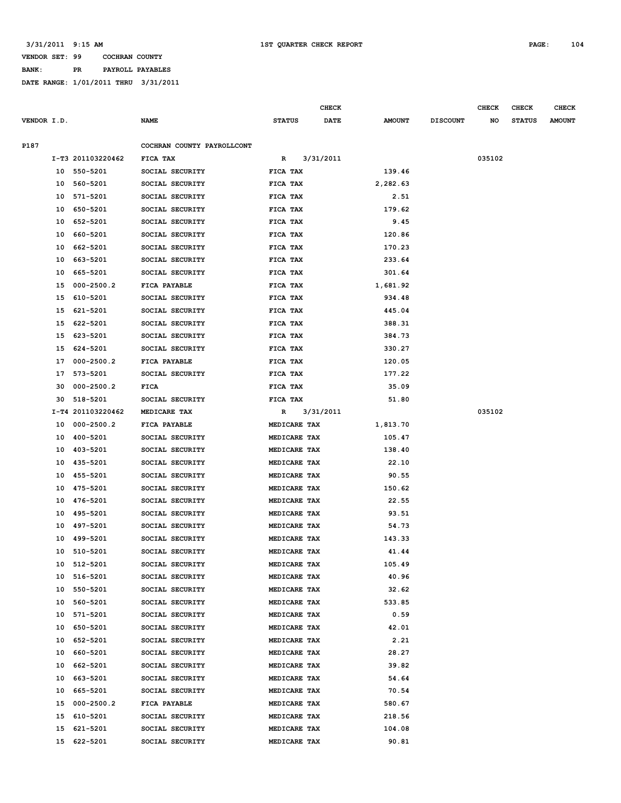**BANK: PR PAYROLL PAYABLES**

|             |    |                   |                            |               |              | CHECK       |               |                 | <b>CHECK</b> | CHECK         | <b>CHECK</b>  |
|-------------|----|-------------------|----------------------------|---------------|--------------|-------------|---------------|-----------------|--------------|---------------|---------------|
| VENDOR I.D. |    |                   | <b>NAME</b>                | <b>STATUS</b> |              | <b>DATE</b> | <b>AMOUNT</b> | <b>DISCOUNT</b> | NO           | <b>STATUS</b> | <b>AMOUNT</b> |
|             |    |                   |                            |               |              |             |               |                 |              |               |               |
| P187        |    |                   | COCHRAN COUNTY PAYROLLCONT |               |              |             |               |                 |              |               |               |
|             |    | I-T3 201103220462 | FICA TAX                   | R             |              | 3/31/2011   |               |                 | 035102       |               |               |
|             |    | 10 550-5201       | SOCIAL SECURITY            | FICA TAX      |              |             | 139.46        |                 |              |               |               |
|             | 10 | 560-5201          | SOCIAL SECURITY            | FICA TAX      |              |             | 2,282.63      |                 |              |               |               |
|             | 10 | 571-5201          | SOCIAL SECURITY            | FICA TAX      |              |             | 2.51          |                 |              |               |               |
|             | 10 | 650-5201          | SOCIAL SECURITY            | FICA TAX      |              |             | 179.62        |                 |              |               |               |
|             | 10 | 652-5201          | SOCIAL SECURITY            | FICA TAX      |              |             | 9.45          |                 |              |               |               |
|             | 10 | 660-5201          | SOCIAL SECURITY            | FICA TAX      |              |             | 120.86        |                 |              |               |               |
|             | 10 | 662-5201          | SOCIAL SECURITY            | FICA TAX      |              |             | 170.23        |                 |              |               |               |
|             | 10 | 663-5201          | SOCIAL SECURITY            | FICA TAX      |              |             | 233.64        |                 |              |               |               |
|             | 10 | 665-5201          | SOCIAL SECURITY            | FICA TAX      |              |             | 301.64        |                 |              |               |               |
|             | 15 | $000 - 2500.2$    | FICA PAYABLE               | FICA TAX      |              |             | 1,681.92      |                 |              |               |               |
|             | 15 | 610-5201          | SOCIAL SECURITY            | FICA TAX      |              |             | 934.48        |                 |              |               |               |
|             | 15 | 621-5201          | SOCIAL SECURITY            | FICA TAX      |              |             | 445.04        |                 |              |               |               |
|             | 15 | 622-5201          | SOCIAL SECURITY            | FICA TAX      |              |             | 388.31        |                 |              |               |               |
|             | 15 | 623-5201          | SOCIAL SECURITY            | FICA TAX      |              |             | 384.73        |                 |              |               |               |
|             | 15 | 624-5201          | SOCIAL SECURITY            | FICA TAX      |              |             | 330.27        |                 |              |               |               |
|             | 17 | $000 - 2500.2$    | FICA PAYABLE               | FICA TAX      |              |             | 120.05        |                 |              |               |               |
|             | 17 | 573-5201          | SOCIAL SECURITY            | FICA TAX      |              |             | 177.22        |                 |              |               |               |
|             | 30 | $000 - 2500.2$    | FICA                       | FICA TAX      |              |             | 35.09         |                 |              |               |               |
|             | 30 | 518-5201          | SOCIAL SECURITY            | FICA TAX      |              |             | 51.80         |                 |              |               |               |
|             |    | I-T4 201103220462 | MEDICARE TAX               | R             |              | 3/31/2011   |               |                 | 035102       |               |               |
|             | 10 | $000 - 2500.2$    | FICA PAYABLE               |               | MEDICARE TAX |             | 1,813.70      |                 |              |               |               |
|             | 10 | 400-5201          | SOCIAL SECURITY            |               | MEDICARE TAX |             | 105.47        |                 |              |               |               |
|             | 10 | 403-5201          | SOCIAL SECURITY            |               | MEDICARE TAX |             | 138.40        |                 |              |               |               |
|             | 10 | 435-5201          | SOCIAL SECURITY            |               | MEDICARE TAX |             | 22.10         |                 |              |               |               |
|             | 10 | 455-5201          | SOCIAL SECURITY            |               | MEDICARE TAX |             | 90.55         |                 |              |               |               |
|             | 10 | 475-5201          | SOCIAL SECURITY            |               | MEDICARE TAX |             | 150.62        |                 |              |               |               |
|             | 10 | 476-5201          | SOCIAL SECURITY            |               | MEDICARE TAX |             | 22.55         |                 |              |               |               |
|             | 10 | 495-5201          | SOCIAL SECURITY            |               | MEDICARE TAX |             | 93.51         |                 |              |               |               |
|             | 10 | 497-5201          | SOCIAL SECURITY            |               | MEDICARE TAX |             | 54.73         |                 |              |               |               |
|             | 10 | 499-5201          | SOCIAL SECURITY            |               | MEDICARE TAX |             | 143.33        |                 |              |               |               |
|             | 10 | 510-5201          | SOCIAL SECURITY            |               | MEDICARE TAX |             | 41.44         |                 |              |               |               |
|             |    | 10 512-5201       | SOCIAL SECURITY            |               | MEDICARE TAX |             | 105.49        |                 |              |               |               |
|             | 10 | 516-5201          | SOCIAL SECURITY            |               | MEDICARE TAX |             | 40.96         |                 |              |               |               |
|             | 10 | 550-5201          | SOCIAL SECURITY            |               | MEDICARE TAX |             | 32.62         |                 |              |               |               |
|             | 10 | 560-5201          | SOCIAL SECURITY            |               | MEDICARE TAX |             | 533.85        |                 |              |               |               |
|             | 10 | 571-5201          | SOCIAL SECURITY            |               | MEDICARE TAX |             | 0.59          |                 |              |               |               |
|             | 10 | 650-5201          | SOCIAL SECURITY            |               | MEDICARE TAX |             | 42.01         |                 |              |               |               |
|             | 10 | 652-5201          | SOCIAL SECURITY            |               | MEDICARE TAX |             | 2.21          |                 |              |               |               |
|             | 10 | 660-5201          | SOCIAL SECURITY            |               | MEDICARE TAX |             | 28.27         |                 |              |               |               |
|             | 10 | 662-5201          | SOCIAL SECURITY            |               | MEDICARE TAX |             | 39.82         |                 |              |               |               |
|             | 10 | 663-5201          | SOCIAL SECURITY            |               | MEDICARE TAX |             | 54.64         |                 |              |               |               |
|             | 10 | 665-5201          | SOCIAL SECURITY            |               | MEDICARE TAX |             | 70.54         |                 |              |               |               |
|             | 15 | $000 - 2500.2$    | FICA PAYABLE               |               | MEDICARE TAX |             | 580.67        |                 |              |               |               |
|             | 15 | 610-5201          | SOCIAL SECURITY            |               | MEDICARE TAX |             | 218.56        |                 |              |               |               |
|             | 15 | 621-5201          | SOCIAL SECURITY            |               | MEDICARE TAX |             | 104.08        |                 |              |               |               |
|             | 15 | 622-5201          | SOCIAL SECURITY            |               | MEDICARE TAX |             | 90.81         |                 |              |               |               |
|             |    |                   |                            |               |              |             |               |                 |              |               |               |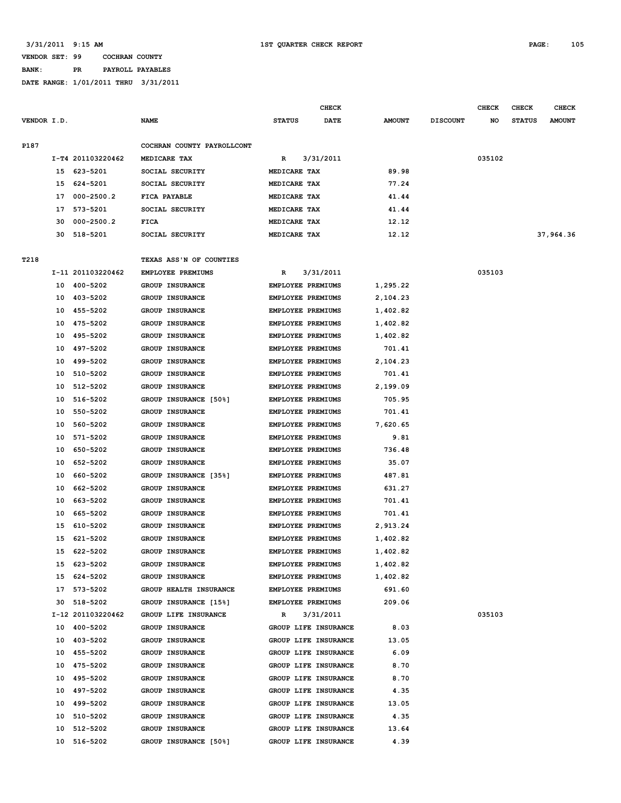**BANK: PR PAYROLL PAYABLES**

|             |    |                   |                            |               | <b>CHECK</b>             |               |                 | <b>CHECK</b> | <b>CHECK</b>  | <b>CHECK</b>  |
|-------------|----|-------------------|----------------------------|---------------|--------------------------|---------------|-----------------|--------------|---------------|---------------|
| VENDOR I.D. |    |                   | <b>NAME</b>                | <b>STATUS</b> | <b>DATE</b>              | <b>AMOUNT</b> | <b>DISCOUNT</b> | NO           | <b>STATUS</b> | <b>AMOUNT</b> |
| P187        |    |                   | COCHRAN COUNTY PAYROLLCONT |               |                          |               |                 |              |               |               |
|             |    | I-T4 201103220462 | MEDICARE TAX               | R             | 3/31/2011                |               |                 | 035102       |               |               |
|             | 15 | 623-5201          | SOCIAL SECURITY            | MEDICARE TAX  |                          | 89.98         |                 |              |               |               |
|             | 15 | 624-5201          | SOCIAL SECURITY            | MEDICARE TAX  |                          | 77.24         |                 |              |               |               |
|             | 17 | $000 - 2500.2$    | FICA PAYABLE               | MEDICARE TAX  |                          | 41.44         |                 |              |               |               |
|             | 17 | 573-5201          | SOCIAL SECURITY            | MEDICARE TAX  |                          | 41.44         |                 |              |               |               |
|             | 30 | $000 - 2500.2$    | FICA                       | MEDICARE TAX  |                          | 12.12         |                 |              |               |               |
|             | 30 | 518-5201          | SOCIAL SECURITY            | MEDICARE TAX  |                          | 12.12         |                 |              |               | 37,964.36     |
| T218        |    |                   | TEXAS ASS'N OF COUNTIES    |               |                          |               |                 |              |               |               |
|             |    | I-11 201103220462 | EMPLOYEE PREMIUMS          | R             | 3/31/2011                |               |                 | 035103       |               |               |
|             | 10 | 400-5202          | <b>GROUP INSURANCE</b>     |               | EMPLOYEE PREMIUMS        | 1,295.22      |                 |              |               |               |
|             | 10 | 403-5202          | <b>GROUP INSURANCE</b>     |               | EMPLOYEE PREMIUMS        | 2,104.23      |                 |              |               |               |
|             | 10 | 455-5202          | <b>GROUP INSURANCE</b>     |               | <b>EMPLOYEE PREMIUMS</b> | 1,402.82      |                 |              |               |               |
|             | 10 | 475-5202          | <b>GROUP INSURANCE</b>     |               | EMPLOYEE PREMIUMS        | 1,402.82      |                 |              |               |               |
|             | 10 | 495-5202          | <b>GROUP INSURANCE</b>     |               | EMPLOYEE PREMIUMS        | 1,402.82      |                 |              |               |               |
|             | 10 | 497-5202          | <b>GROUP INSURANCE</b>     |               | EMPLOYEE PREMIUMS        | 701.41        |                 |              |               |               |
|             | 10 | 499-5202          | <b>GROUP INSURANCE</b>     |               | <b>EMPLOYEE PREMIUMS</b> | 2,104.23      |                 |              |               |               |
|             | 10 | 510-5202          | <b>GROUP INSURANCE</b>     |               | EMPLOYEE PREMIUMS        | 701.41        |                 |              |               |               |
|             | 10 | 512-5202          | <b>GROUP INSURANCE</b>     |               | EMPLOYEE PREMIUMS        | 2,199.09      |                 |              |               |               |
|             | 10 | 516-5202          | GROUP INSURANCE [50%]      |               | EMPLOYEE PREMIUMS        | 705.95        |                 |              |               |               |
|             | 10 | 550-5202          | GROUP INSURANCE            |               | EMPLOYEE PREMIUMS        | 701.41        |                 |              |               |               |
|             | 10 | 560-5202          | <b>GROUP INSURANCE</b>     |               | EMPLOYEE PREMIUMS        | 7,620.65      |                 |              |               |               |
|             | 10 | 571-5202          | GROUP INSURANCE            |               | EMPLOYEE PREMIUMS        | 9.81          |                 |              |               |               |
|             | 10 | 650-5202          | GROUP INSURANCE            |               | <b>EMPLOYEE PREMIUMS</b> | 736.48        |                 |              |               |               |
|             | 10 | 652-5202          | GROUP INSURANCE            |               | EMPLOYEE PREMIUMS        | 35.07         |                 |              |               |               |
|             | 10 | 660-5202          | GROUP INSURANCE [35%]      |               | EMPLOYEE PREMIUMS        | 487.81        |                 |              |               |               |
|             | 10 | 662-5202          | GROUP INSURANCE            |               | <b>EMPLOYEE PREMIUMS</b> | 631.27        |                 |              |               |               |
|             | 10 | 663-5202          | <b>GROUP INSURANCE</b>     |               | EMPLOYEE PREMIUMS        | 701.41        |                 |              |               |               |
|             | 10 | 665-5202          | GROUP INSURANCE            |               | EMPLOYEE PREMIUMS        | 701.41        |                 |              |               |               |
|             | 15 | 610-5202          | GROUP INSURANCE            |               | EMPLOYEE PREMIUMS        | 2,913.24      |                 |              |               |               |
|             | 15 | 621-5202          | <b>GROUP INSURANCE</b>     |               | <b>EMPLOYEE PREMIUMS</b> | 1,402.82      |                 |              |               |               |
|             | 15 | 622-5202          | GROUP INSURANCE            |               | EMPLOYEE PREMIUMS        | 1,402.82      |                 |              |               |               |
|             |    | 15 623-5202       | GROUP INSURANCE            |               | EMPLOYEE PREMIUMS        | 1,402.82      |                 |              |               |               |
|             | 15 | 624-5202          | <b>GROUP INSURANCE</b>     |               | EMPLOYEE PREMIUMS        | 1,402.82      |                 |              |               |               |
|             |    | 17 573-5202       | GROUP HEALTH INSURANCE     |               | EMPLOYEE PREMIUMS        | 691.60        |                 |              |               |               |
|             |    | 30 518-5202       | GROUP INSURANCE [15%]      |               | EMPLOYEE PREMIUMS        | 209.06        |                 |              |               |               |
|             |    | I-12 201103220462 | GROUP LIFE INSURANCE       | R             | 3/31/2011                |               |                 | 035103       |               |               |
|             |    | 10 400-5202       | GROUP INSURANCE            |               | GROUP LIFE INSURANCE     | 8.03          |                 |              |               |               |
|             |    | 10 403-5202       | GROUP INSURANCE            |               | GROUP LIFE INSURANCE     | 13.05         |                 |              |               |               |
|             |    | 10 455-5202       | GROUP INSURANCE            |               | GROUP LIFE INSURANCE     | 6.09          |                 |              |               |               |
|             |    | 10 475-5202       | GROUP INSURANCE            |               | GROUP LIFE INSURANCE     | 8.70          |                 |              |               |               |
|             |    | 10 495-5202       | GROUP INSURANCE            |               | GROUP LIFE INSURANCE     | 8.70          |                 |              |               |               |
|             |    | 10 497-5202       | GROUP INSURANCE            |               | GROUP LIFE INSURANCE     | 4.35          |                 |              |               |               |
|             |    | 10 499-5202       | GROUP INSURANCE            |               | GROUP LIFE INSURANCE     | 13.05         |                 |              |               |               |
|             |    | 10 510-5202       | GROUP INSURANCE            |               | GROUP LIFE INSURANCE     | 4.35          |                 |              |               |               |
|             | 10 | 512-5202          | <b>GROUP INSURANCE</b>     |               | GROUP LIFE INSURANCE     | 13.64         |                 |              |               |               |
|             |    | 10 516-5202       | GROUP INSURANCE [50%]      |               | GROUP LIFE INSURANCE     | 4.39          |                 |              |               |               |
|             |    |                   |                            |               |                          |               |                 |              |               |               |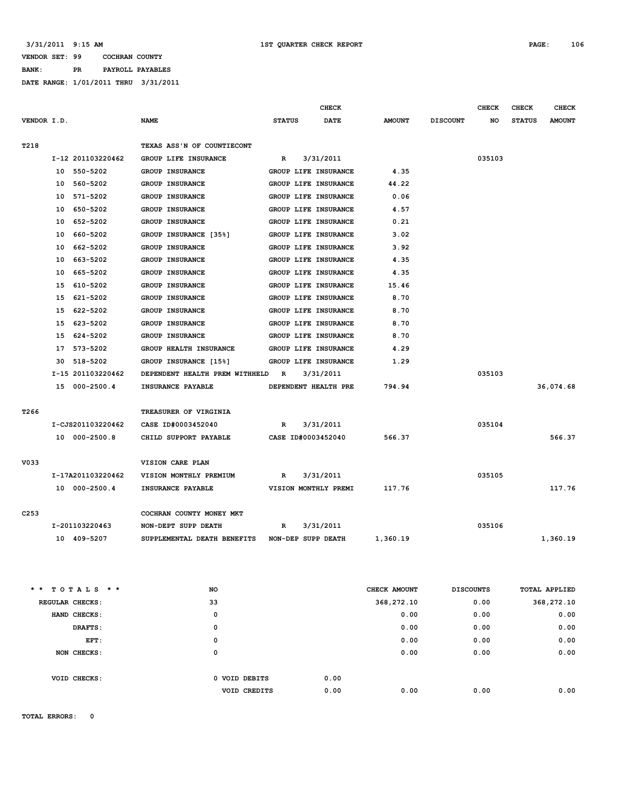### **VENDOR SET: 99 COCHRAN COUNTY BANK: PR PAYROLL PAYABLES**

**DATE RANGE: 1/01/2011 THRU 3/31/2011**

|                  |    |                   |                                |               | <b>CHECK</b>         |               |                 | <b>CHECK</b> | <b>CHECK</b>  | CHECK         |
|------------------|----|-------------------|--------------------------------|---------------|----------------------|---------------|-----------------|--------------|---------------|---------------|
| VENDOR I.D.      |    |                   | <b>NAME</b>                    | <b>STATUS</b> | <b>DATE</b>          | <b>AMOUNT</b> | <b>DISCOUNT</b> | NO           | <b>STATUS</b> | <b>AMOUNT</b> |
|                  |    |                   |                                |               |                      |               |                 |              |               |               |
| T218             |    |                   | TEXAS ASS'N OF COUNTIECONT     |               |                      |               |                 |              |               |               |
|                  |    | I-12 201103220462 | GROUP LIFE INSURANCE           | $\mathbb{R}$  | 3/31/2011            |               |                 | 035103       |               |               |
|                  |    | 10 550-5202       | GROUP INSURANCE                |               | GROUP LIFE INSURANCE | 4.35          |                 |              |               |               |
|                  |    | 10 560-5202       | GROUP INSURANCE                |               | GROUP LIFE INSURANCE | 44.22         |                 |              |               |               |
|                  | 10 | 571-5202          | GROUP INSURANCE                |               | GROUP LIFE INSURANCE | 0.06          |                 |              |               |               |
|                  | 10 | 650-5202          | <b>GROUP INSURANCE</b>         |               | GROUP LIFE INSURANCE | 4.57          |                 |              |               |               |
|                  | 10 | 652-5202          | GROUP INSURANCE                |               | GROUP LIFE INSURANCE | 0.21          |                 |              |               |               |
|                  | 10 | 660-5202          | GROUP INSURANCE [35%]          |               | GROUP LIFE INSURANCE | 3.02          |                 |              |               |               |
|                  | 10 | 662-5202          | <b>GROUP INSURANCE</b>         |               | GROUP LIFE INSURANCE | 3.92          |                 |              |               |               |
|                  | 10 | 663-5202          | GROUP INSURANCE                |               | GROUP LIFE INSURANCE | 4.35          |                 |              |               |               |
|                  | 10 | 665-5202          | GROUP INSURANCE                |               | GROUP LIFE INSURANCE | 4.35          |                 |              |               |               |
|                  | 15 | 610-5202          | <b>GROUP INSURANCE</b>         |               | GROUP LIFE INSURANCE | 15.46         |                 |              |               |               |
|                  | 15 | 621-5202          | GROUP INSURANCE                |               | GROUP LIFE INSURANCE | 8.70          |                 |              |               |               |
|                  | 15 | 622-5202          | <b>GROUP INSURANCE</b>         |               | GROUP LIFE INSURANCE | 8.70          |                 |              |               |               |
|                  | 15 | 623-5202          | <b>GROUP INSURANCE</b>         |               | GROUP LIFE INSURANCE | 8.70          |                 |              |               |               |
|                  | 15 | 624-5202          | <b>GROUP INSURANCE</b>         |               | GROUP LIFE INSURANCE | 8.70          |                 |              |               |               |
|                  | 17 | 573-5202          | GROUP HEALTH INSURANCE         |               | GROUP LIFE INSURANCE | 4.29          |                 |              |               |               |
|                  |    | 30 518-5202       | GROUP INSURANCE [15%]          |               | GROUP LIFE INSURANCE | 1.29          |                 |              |               |               |
|                  |    | I-15 201103220462 | DEPENDENT HEALTH PREM WITHHELD | $\mathbb{R}$  | 3/31/2011            |               |                 | 035103       |               |               |
|                  |    | 15 000-2500.4     | INSURANCE PAYABLE              |               | DEPENDENT HEALTH PRE | 794.94        |                 |              |               | 36,074.68     |
|                  |    |                   |                                |               |                      |               |                 |              |               |               |
| T266             |    |                   | TREASURER OF VIRGINIA          |               |                      |               |                 |              |               |               |
|                  |    | I-CJS201103220462 | CASE ID#0003452040             | R             | 3/31/2011            |               |                 | 035104       |               |               |
|                  |    | 10 000-2500.8     | CHILD SUPPORT PAYABLE          |               | CASE ID#0003452040   | 566.37        |                 |              |               | 566.37        |
|                  |    |                   |                                |               |                      |               |                 |              |               |               |
| V033             |    |                   | VISION CARE PLAN               |               |                      |               |                 |              |               |               |
|                  |    | I-17A201103220462 | VISION MONTHLY PREMIUM         | R             | 3/31/2011            |               |                 | 035105       |               |               |
|                  |    | 10 000-2500.4     | INSURANCE PAYABLE              |               | VISION MONTHLY PREMI | 117.76        |                 |              |               | 117.76        |
|                  |    |                   |                                |               |                      |               |                 |              |               |               |
| C <sub>253</sub> |    |                   | COCHRAN COUNTY MONEY MKT       |               |                      |               |                 |              |               |               |
|                  |    | I-201103220463    | NON-DEPT SUPP DEATH            | R             | 3/31/2011            |               |                 | 035106       |               |               |
|                  |    | 10 409-5207       | SUPPLEMENTAL DEATH BENEFITS    |               | NON-DEP SUPP DEATH   | 1,360.19      |                 |              |               | 1,360.19      |
|                  |    |                   |                                |               |                      |               |                 |              |               |               |

| $*$ * TOTALS * * | <b>NO</b> |                     | CHECK AMOUNT | <b>DISCOUNTS</b> | TOTAL APPLIED |
|------------------|-----------|---------------------|--------------|------------------|---------------|
| REGULAR CHECKS:  | 33        |                     | 368,272.10   | 0.00             | 368,272.10    |
| HAND CHECKS:     |           | 0                   | 0.00         | 0.00             | 0.00          |
| DRAFTS:          |           | 0                   | 0.00         | 0.00             | 0.00          |
| EFT:             |           | 0                   | 0.00         | 0.00             | 0.00          |
| NON CHECKS:      |           | 0                   | 0.00         | 0.00             | 0.00          |
|                  |           |                     |              |                  |               |
| VOID CHECKS:     |           | 0 VOID DEBITS       | 0.00         |                  |               |
|                  |           | <b>VOID CREDITS</b> | 0.00<br>0.00 | 0.00             | 0.00          |
|                  |           |                     |              |                  |               |

**TOTAL ERRORS: 0**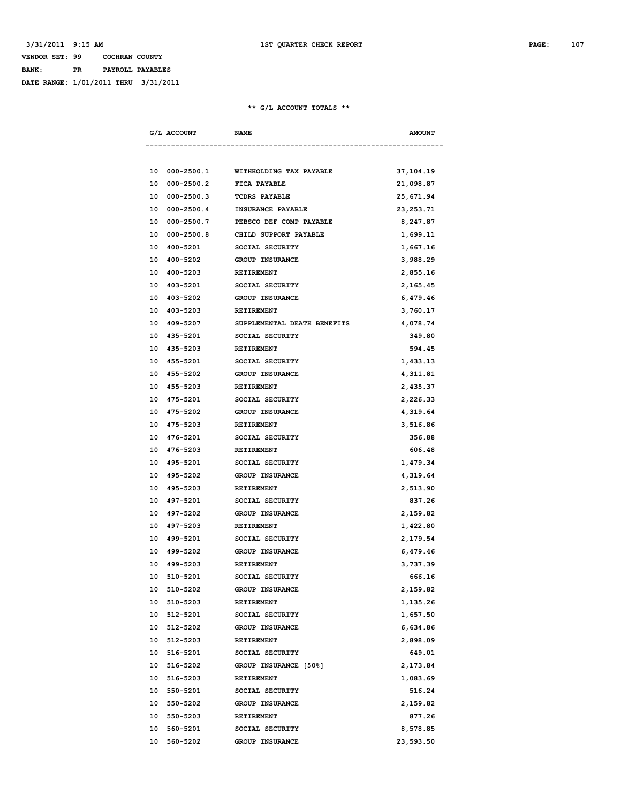### **VENDOR SET: 99 COCHRAN COUNTY BANK: PR PAYROLL PAYABLES DATE RANGE: 1/01/2011 THRU 3/31/2011**

| G/L ACCOUNT          | <b>NAME</b>                 | <b>AMOUNT</b> |
|----------------------|-----------------------------|---------------|
|                      |                             |               |
| 10 000-2500.1        | WITHHOLDING TAX PAYABLE     | 37,104.19     |
| $000 - 2500.2$<br>10 | FICA PAYABLE                | 21,098.87     |
| $000 - 2500.3$<br>10 | <b>TCDRS PAYABLE</b>        | 25,671.94     |
| $000 - 2500.4$<br>10 | INSURANCE PAYABLE           | 23, 253. 71   |
| 10<br>000-2500.7     | PEBSCO DEF COMP PAYABLE     | 8,247.87      |
| $000 - 2500.8$<br>10 | CHILD SUPPORT PAYABLE       | 1,699.11      |
| 10 400-5201          | SOCIAL SECURITY             | 1,667.16      |
| 400-5202<br>10       | <b>GROUP INSURANCE</b>      | 3,988.29      |
| 400-5203<br>10       | <b>RETIREMENT</b>           | 2,855.16      |
| 403-5201<br>10       | SOCIAL SECURITY             | 2,165.45      |
| 403-5202<br>10       | GROUP INSURANCE             | 6,479.46      |
| 403-5203<br>10       | <b>RETIREMENT</b>           | 3,760.17      |
| 409-5207<br>10       | SUPPLEMENTAL DEATH BENEFITS | 4,078.74      |
| 435-5201<br>10       | SOCIAL SECURITY             | 349.80        |
| 435-5203<br>10       | <b>RETIREMENT</b>           | 594.45        |
| 10 455-5201          | SOCIAL SECURITY             | 1,433.13      |
| 10 455-5202          | GROUP INSURANCE             | 4,311.81      |
| 10 455-5203          | <b>RETIREMENT</b>           | 2,435.37      |
| 10 475-5201          | SOCIAL SECURITY             | 2,226.33      |
| 475-5202<br>10       | <b>GROUP INSURANCE</b>      | 4,319.64      |
| 475-5203<br>10       | <b>RETIREMENT</b>           | 3,516.86      |
| 10 476-5201          | SOCIAL SECURITY             | 356.88        |
| 10 476-5203          | RETIREMENT                  | 606.48        |
| 10 495-5201          | SOCIAL SECURITY             | 1,479.34      |
| 10 495-5202          | GROUP INSURANCE             | 4,319.64      |
| 495-5203<br>10       | RETIREMENT                  | 2,513.90      |
| 497-5201<br>10       | SOCIAL SECURITY             | 837.26        |
| 10 497-5202          | GROUP INSURANCE             | 2,159.82      |
| 10 497-5203          | RETIREMENT                  | 1,422.80      |
| 10 499-5201          | SOCIAL SECURITY             | 2,179.54      |
| 10 499-5202          | GROUP INSURANCE             | 6,479.46      |
| 499-5203<br>10       | RETIREMENT                  | 3,737.39      |
| 10<br>510-5201       | SOCIAL SECURITY             | 666.16        |
| 510-5202<br>10       | GROUP INSURANCE             | 2,159.82      |
| 10 510-5203          | RETIREMENT                  | 1,135.26      |
| 512-5201<br>10       | SOCIAL SECURITY             | 1,657.50      |
| 10 512-5202          | GROUP INSURANCE             | 6,634.86      |
| 512-5203<br>10       | RETIREMENT                  | 2,898.09      |
| 10<br>516-5201       | SOCIAL SECURITY             | 649.01        |
| 516-5202<br>10       | GROUP INSURANCE [50%]       | 2,173.84      |
| 10 516-5203          | RETIREMENT                  | 1,083.69      |
| 10 550-5201          | SOCIAL SECURITY             | 516.24        |
| 10 550-5202          | GROUP INSURANCE             | 2,159.82      |
| 10 550-5203          | RETIREMENT                  | 877.26        |
| 560-5201<br>10       | SOCIAL SECURITY             | 8,578.85      |
| 10<br>560-5202       | GROUP INSURANCE             | 23,593.50     |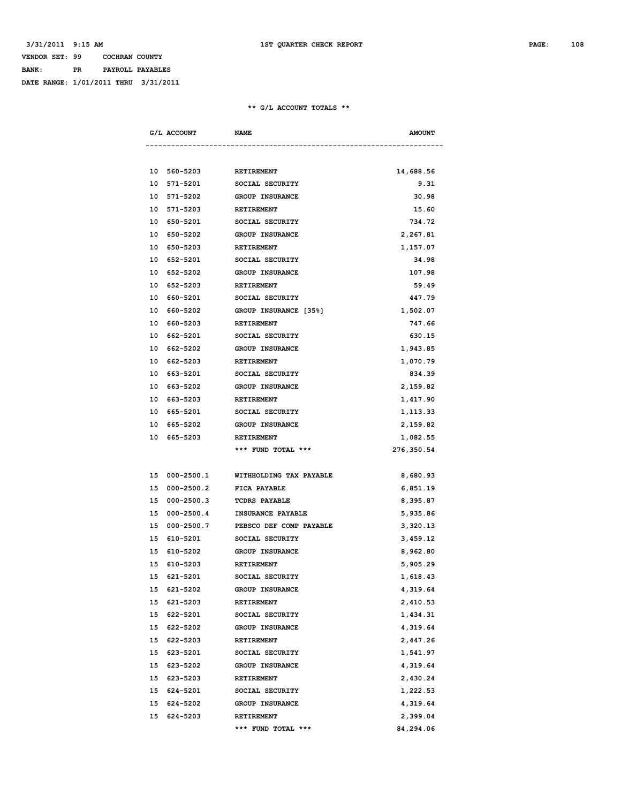### **VENDOR SET: 99 COCHRAN COUNTY BANK: PR PAYROLL PAYABLES DATE RANGE: 1/01/2011 THRU 3/31/2011**

| G/L ACCOUNT          | <b>NAME</b>              | <b>AMOUNT</b> |
|----------------------|--------------------------|---------------|
|                      |                          |               |
| 10 560-5203          | RETIREMENT               | 14,688.56     |
| 571-5201<br>10       | SOCIAL SECURITY          | 9.31          |
| 571-5202<br>10       | <b>GROUP INSURANCE</b>   | 30.98         |
| 10<br>571-5203       | <b>RETIREMENT</b>        | 15.60         |
| 10<br>650-5201       | SOCIAL SECURITY          | 734.72        |
| 10<br>650-5202       | <b>GROUP INSURANCE</b>   | 2,267.81      |
| 10<br>650-5203       | RETIREMENT               | 1,157.07      |
| 652-5201<br>10       | SOCIAL SECURITY          | 34.98         |
| 10<br>652-5202       | <b>GROUP INSURANCE</b>   | 107.98        |
| 10<br>652-5203       | RETIREMENT               | 59.49         |
| 660-5201<br>10       | SOCIAL SECURITY          | 447.79        |
| 660-5202<br>10       | GROUP INSURANCE [35%]    | 1,502.07      |
| 10<br>660-5203       | RETIREMENT               | 747.66        |
| 662-5201<br>10       | SOCIAL SECURITY          | 630.15        |
| 662-5202<br>10       | <b>GROUP INSURANCE</b>   | 1,943.85      |
| 10<br>662-5203       | <b>RETIREMENT</b>        | 1,070.79      |
| 663-5201<br>10       | SOCIAL SECURITY          | 834.39        |
| 663-5202<br>10       | <b>GROUP INSURANCE</b>   | 2,159.82      |
| 10<br>663-5203       | <b>RETIREMENT</b>        | 1,417.90      |
| 665-5201<br>10       | SOCIAL SECURITY          | 1,113.33      |
| 10<br>665–5202       | <b>GROUP INSURANCE</b>   | 2,159.82      |
| 10<br>665–5203       | RETIREMENT               | 1,082.55      |
|                      | *** FUND TOTAL ***       | 276,350.54    |
|                      |                          |               |
| 15 000-2500.1        | WITHHOLDING TAX PAYABLE  | 8,680.93      |
| $000 - 2500.2$<br>15 | FICA PAYABLE             | 6,851.19      |
| 000-2500.3<br>15     | <b>TCDRS PAYABLE</b>     | 8,395.87      |
| $000 - 2500.4$<br>15 | <b>INSURANCE PAYABLE</b> | 5,935.86      |
| $000 - 2500.7$<br>15 | PEBSCO DEF COMP PAYABLE  | 3,320.13      |
| 610-5201<br>15       | SOCIAL SECURITY          | 3,459.12      |
| 610-5202<br>15       | <b>GROUP INSURANCE</b>   | 8,962.80      |
| 610-5203<br>15       | <b>RETIREMENT</b>        | 5,905.29      |
| 15 621-5201          | SOCIAL SECURITY          | 1,618.43      |
| 15 621-5202          | GROUP INSURANCE          | 4,319.64      |
| 15 621-5203          | RETIREMENT               | 2,410.53      |
| 15 622-5201          | SOCIAL SECURITY          | 1,434.31      |
| 15 622-5202          | GROUP INSURANCE          | 4,319.64      |
| 15 622-5203          | RETIREMENT               | 2,447.26      |
| 15 623-5201          | SOCIAL SECURITY          | 1,541.97      |
| 15 623-5202          | GROUP INSURANCE          | 4,319.64      |
| 15 623-5203          | RETIREMENT               | 2,430.24      |
| 15 624-5201          | SOCIAL SECURITY          | 1,222.53      |
| 15 624-5202          | GROUP INSURANCE          | 4,319.64      |
| 15 624-5203          | RETIREMENT               | 2,399.04      |
|                      | *** FUND TOTAL ***       | 84,294.06     |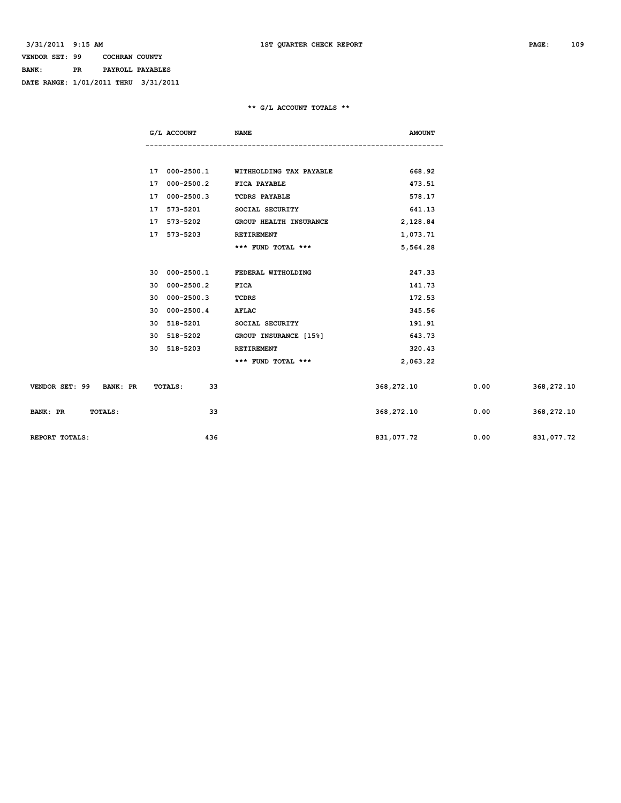## **VENDOR SET: 99 COCHRAN COUNTY BANK: PR PAYROLL PAYABLES DATE RANGE: 1/01/2011 THRU 3/31/2011**

## **\*\* G/L ACCOUNT TOTALS \*\***

|                                   | G/L ACCOUNT                | <b>NAME</b>                           | <b>AMOUNT</b> |      |            |
|-----------------------------------|----------------------------|---------------------------------------|---------------|------|------------|
|                                   |                            |                                       |               |      |            |
|                                   |                            | 17 000-2500.1 WITHHOLDING TAX PAYABLE | 668.92        |      |            |
|                                   | 17 000-2500.2 FICA PAYABLE |                                       | 473.51        |      |            |
|                                   | 17 000-2500.3              | <b>TCDRS PAYABLE</b>                  | 578.17        |      |            |
|                                   | 17 573-5201                | SOCIAL SECURITY                       | 641.13        |      |            |
|                                   | 17 573-5202                | GROUP HEALTH INSURANCE                | 2,128.84      |      |            |
|                                   | 17 573-5203                | RETIREMENT                            | 1,073.71      |      |            |
|                                   |                            | *** FUND TOTAL ***                    | 5,564.28      |      |            |
|                                   |                            |                                       |               |      |            |
|                                   | 30 000-2500.1              | FEDERAL WITHOLDING                    | 247.33        |      |            |
|                                   | 30 000-2500.2              | <b>FICA</b>                           | 141.73        |      |            |
|                                   | 30 000-2500.3              | <b>TCDRS</b>                          | 172.53        |      |            |
|                                   | 30 000-2500.4              | AFLAC                                 | 345.56        |      |            |
|                                   | 30 518-5201                | SOCIAL SECURITY                       | 191.91        |      |            |
|                                   | 30 518-5202                | GROUP INSURANCE [15%]                 | 643.73        |      |            |
|                                   | 30 518-5203                | RETIREMENT                            | 320.43        |      |            |
|                                   |                            | *** FUND TOTAL ***                    | 2,063.22      |      |            |
| VENDOR SET: 99 BANK: PR           | TOTALS:<br>33              |                                       | 368,272.10    | 0.00 | 368,272.10 |
| <b>BANK: PR</b><br><b>TOTALS:</b> | 33                         |                                       | 368, 272.10   | 0.00 | 368,272.10 |
| REPORT TOTALS:                    | 436                        |                                       | 831,077.72    | 0.00 | 831,077.72 |